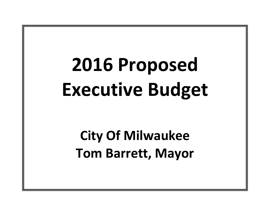# **2016 Proposed Executive Budget**

**City Of Milwaukee Tom Barrett, Mayor**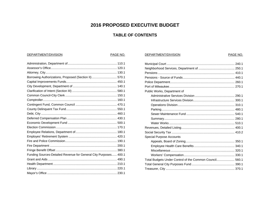# 2016 PROPOSED EXECUTIVE BUDGET

# **TABLE OF CONTENTS**

DEPARTMENT/DIVISION

# DEPARTMENT/DIVISION

# PAGE NO.

| Borrowing Authorizations, Proposed (Section II)  570.1           |
|------------------------------------------------------------------|
|                                                                  |
|                                                                  |
|                                                                  |
|                                                                  |
|                                                                  |
|                                                                  |
|                                                                  |
|                                                                  |
|                                                                  |
|                                                                  |
|                                                                  |
|                                                                  |
|                                                                  |
|                                                                  |
|                                                                  |
|                                                                  |
| Funding Sources-Detailed Revenue for General City Purposes 400.1 |
|                                                                  |
|                                                                  |
|                                                                  |
|                                                                  |

| Public Works, Department of                             |  |
|---------------------------------------------------------|--|
|                                                         |  |
|                                                         |  |
|                                                         |  |
|                                                         |  |
|                                                         |  |
|                                                         |  |
|                                                         |  |
|                                                         |  |
|                                                         |  |
| Special Purpose Accounts                                |  |
|                                                         |  |
|                                                         |  |
|                                                         |  |
|                                                         |  |
| Total Budgets Under Control of the Common Council 560.1 |  |
|                                                         |  |
|                                                         |  |

PAGE NO.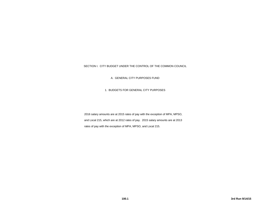## SECTION I. CITY BUDGET UNDER THE CONTROL OF THE COMMON COUNCIL

A. GENERAL CITY PURPOSES FUND

1. BUDGETS FOR GENERAL CITY PURPOSES

2016 salary amounts are at 2015 rates of pay with the exception of MPA, MPSO, and Local 215, which are at 2012 rates of pay. 2015 salary amounts are at 2013 rates of pay with the exception of MPA, MPSO, and Local 215.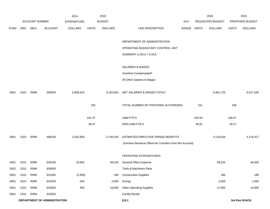|             |      |                       |                              | 2014               |              | 2015           |                                                          |            |              | 2016             |              | 2016            |
|-------------|------|-----------------------|------------------------------|--------------------|--------------|----------------|----------------------------------------------------------|------------|--------------|------------------|--------------|-----------------|
|             |      | <b>ACCOUNT NUMBER</b> |                              | <b>EXPENDITURE</b> |              | <b>BUDGET</b>  |                                                          | <b>PAY</b> |              | REQUESTED BUDGET |              | PROPOSED BUDGET |
| <b>FUND</b> | ORG  | <b>SBCL</b>           | <b>ACCOUNT</b>               | <b>DOLLARS</b>     | <b>UNITS</b> | <b>DOLLARS</b> | LINE DESCRIPTION                                         | RANGE      | <b>UNITS</b> | <b>DOLLARS</b>   | <b>UNITS</b> | <b>DOLLARS</b>  |
|             |      |                       |                              |                    |              |                | DEPARTMENT OF ADMINISTRATION                             |            |              |                  |              |                 |
|             |      |                       |                              |                    |              |                | OPERATING BUDGETARY CONTROL UNIT                         |            |              |                  |              |                 |
|             |      |                       |                              |                    |              |                | SUMMARY (1 BCU = $6$ DU)                                 |            |              |                  |              |                 |
|             |      |                       |                              |                    |              |                | SALARIES & WAGES                                         |            |              |                  |              |                 |
|             |      |                       |                              |                    |              |                | Overtime Compensated*                                    |            |              |                  |              |                 |
|             |      |                       |                              |                    |              |                | All Other Salaries & Wages                               |            |              |                  |              |                 |
| 0001        | 1510 | R999                  | 006000                       | 5,658,423          |              | 6,102,654      | NET SALARIES & WAGES TOTAL*                              |            |              | 6,491,723        |              | 6,617,535       |
|             |      |                       |                              |                    | 150          |                | TOTAL NUMBER OF POSITIONS AUTHORIZED                     |            | 151          |                  | 158          |                 |
|             |      |                       |                              |                    | 101.37       |                | O&M FTE'S                                                |            | 103.93       |                  | 106.67       |                 |
|             |      |                       |                              |                    | 38.47        |                | NON-O&M FTE'S                                            |            | 36.91        |                  | 40.17        |                 |
| 0001        | 1510 | R999                  | 006100                       | 2,531,859          |              | 2,746,193      | ESTIMATED EMPLOYEE FRINGE BENEFITS                       |            |              | 3,116,026        |              | 3,176,417       |
|             |      |                       |                              |                    |              |                | (Involves Revenue Offset-No Transfers from this Account) |            |              |                  |              |                 |
|             |      |                       |                              |                    |              |                | OPERATING EXPENDITURES                                   |            |              |                  |              |                 |
| 0001        | 1510 | R999                  | 630100                       | 18,934             |              | 58,334         | <b>General Office Expense</b>                            |            |              | 59,334           |              | 46,000          |
| 0001        | 1510 | R999                  | 630500                       |                    |              |                | Tools & Machinery Parts                                  |            |              |                  |              |                 |
| 0001        | 1510 | R999                  | 631000                       | (2, 569)           |              | 180            | <b>Construction Supplies</b>                             |            |              | 180              |              | 180             |
| 0001        | 1510 | R999                  | 631500                       | 526                |              | 2,000          | Energy                                                   |            |              | 2,000            |              | 1,000           |
| 0001        | 1510 | R999                  | 632000                       | 453                |              | 18,000         | <b>Other Operating Supplies</b>                          |            |              | 17,000           |              | 14,000          |
| 0001        | 1510 | R999                  | 632500                       |                    |              |                | <b>Facility Rental</b>                                   |            |              |                  |              |                 |
|             |      |                       | DEPARTMENT OF ADMINISTRATION |                    |              |                | 110.1                                                    |            |              |                  |              | 3rd Run 9/14/15 |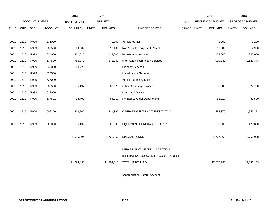|             |      |                       |                | 2014               |              | 2015           |                                        |       |              | 2016             |              | 2016            |
|-------------|------|-----------------------|----------------|--------------------|--------------|----------------|----------------------------------------|-------|--------------|------------------|--------------|-----------------|
|             |      | <b>ACCOUNT NUMBER</b> |                | <b>EXPENDITURE</b> |              | <b>BUDGET</b>  |                                        | PAY   |              | REQUESTED BUDGET |              | PROPOSED BUDGET |
| <b>FUND</b> | ORG  | <b>SBCL</b>           | <b>ACCOUNT</b> | <b>DOLLARS</b>     | <b>UNITS</b> | <b>DOLLARS</b> | LINE DESCRIPTION                       | RANGE | <b>UNITS</b> | <b>DOLLARS</b>   | <b>UNITS</b> | <b>DOLLARS</b>  |
|             |      |                       |                |                    |              |                |                                        |       |              |                  |              |                 |
| 0001        | 1510 | R999                  | 633000         |                    |              | 1,200          | Vehicle Rental                         |       |              | 1,200            |              | 1,200           |
| 0001        | 1510 | R999                  | 633500         | 19,302             |              | 12,400         | Non-Vehicle Equipment Rental           |       |              | 12,900           |              | 12,900          |
| 0001        | 1510 | R999                  | 634000         | 311,026            |              | 113,000        | <b>Professional Services</b>           |       |              | 123,000          |              | 347,000         |
| 0001        | 1510 | R999                  | 634500         | 756,270            |              | 872,343        | <b>Information Technology Services</b> |       |              | 900,843          |              | 1,120,343       |
| 0001        | 1510 | R999                  | 635000         | 10,723             |              |                | <b>Property Services</b>               |       |              |                  |              |                 |
| 0001        | 1510 | R999                  | 635500         |                    |              |                | Infrastructure Services                |       |              |                  |              |                 |
| 0001        | 1510 | R999                  | 636000         |                    |              |                | Vehicle Repair Services                |       |              |                  |              |                 |
| 0001        | 1510 | R999                  | 636500         | 85,197             |              | 80,225         | <b>Other Operating Services</b>        |       |              | 88,605           |              | 77,700          |
| 0001        | 1510 | R999                  | 637000         |                    |              |                | Loans and Grants                       |       |              |                  |              |                 |
| 0001        | 1510 | R999                  | 637501         | 13,700             |              | 54,217         | Reimburse Other Departments            |       |              | 53,817           |              | 39,500          |
|             |      |                       |                |                    |              |                |                                        |       |              |                  |              |                 |
| 0001        | 1510 | R999                  | 006300         | 1,213,562          |              | 1,211,899      | OPERATING EXPENDITURES TOTAL*          |       |              | 1,258,879        |              | 1,659,823       |
|             |      |                       |                |                    |              |                |                                        |       |              |                  |              |                 |
| 0001        | 1510 | R999                  | 006800         | 55,192             |              | 25,300         | EQUIPMENT PURCHASES TOTAL*             |       |              | 33,300           |              | 125,300         |
|             |      |                       |                |                    |              |                |                                        |       |              |                  |              |                 |
|             |      |                       |                | 1,635,394          |              | 1,722,965      | <b>SPECIAL FUNDS</b>                   |       |              | 1,777,068        |              | 1,752,068       |
|             |      |                       |                |                    |              |                |                                        |       |              |                  |              |                 |
|             |      |                       |                |                    |              |                | DEPARTMENT OF ADMINISTRATION           |       |              |                  |              |                 |
|             |      |                       |                |                    |              |                | (OPERATING) BUDGETARY CONTROL UNIT     |       |              |                  |              |                 |
|             |      |                       |                | 11,094,430         |              | 11,809,011     | TOTAL (1 BCU=6 DU)                     |       |              | 12,676,996       |              | 13,331,143      |
|             |      |                       |                |                    |              |                |                                        |       |              |                  |              |                 |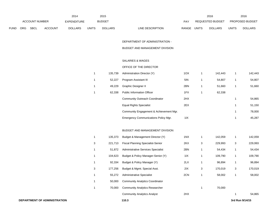|             | 2014                                        |                       |                |                    |                | 2015                      |                         | 2016                    |                | 2016                   |
|-------------|---------------------------------------------|-----------------------|----------------|--------------------|----------------|---------------------------|-------------------------|-------------------------|----------------|------------------------|
|             |                                             | <b>ACCOUNT NUMBER</b> |                | <b>EXPENDITURE</b> |                | <b>BUDGET</b>             | <b>PAY</b>              | <b>REQUESTED BUDGET</b> |                | <b>PROPOSED BUDGET</b> |
| <b>FUND</b> | <b>ORG</b><br><b>SBCL</b><br><b>ACCOUNT</b> |                       | <b>DOLLARS</b> | <b>UNITS</b>       | <b>DOLLARS</b> | RANGE<br>LINE DESCRIPTION | UNITS<br><b>DOLLARS</b> | <b>UNITS</b>            | <b>DOLLARS</b> |                        |

DEPARTMENT OF ADMINISTRATION -

BUDGET AND MANAGEMENT DIVISION

#### SALARIES & WAGES

### OFFICE OF THE DIRECTOR

| 135.739 | Administration Director (Y)                 | 10X |   | 142.443 | 1 | 142,443 |
|---------|---------------------------------------------|-----|---|---------|---|---------|
| 52.227  | Program Assistant III                       | 5I  | 1 | 54,807  | 1 | 54,807  |
| 49.229  | <b>Graphic Designer II</b>                  | 2BN |   | 51.660  |   | 51,660  |
| 62.338  | <b>Public Information Officer</b>           | 1FX |   | 62,338  |   |         |
|         | <b>Community Outreach Coordinator</b>       | 2HX |   |         | 1 | 54,865  |
|         | <b>Equal Rights Specialist</b>              | 2EX |   |         | 1 | 51,150  |
|         | Community Engagement & Achievement Mgr.     |     |   |         | 1 | 78,000  |
|         | <b>Emergency Communications Policy Mgr.</b> | 11X |   |         |   | 45.287  |

# BUDGET AND MANAGEMENT DIVISION

|   | 135.373 | Budget & Management Director (Y)          | 1NX |   | 142,059 |   | 142,059 |
|---|---------|-------------------------------------------|-----|---|---------|---|---------|
| 3 | 221.713 | <b>Fiscal Planning Specialist-Senior</b>  | 2KX | 3 | 229,993 | 3 | 229,993 |
| 1 | 51.872  | <b>Administrative Services Specialist</b> | 2BN | 1 | 54,434  | 1 | 54,434  |
| 1 | 104.623 | Budget & Policy Manager-Senior (Y)        | 11X | 1 | 109,790 | 1 | 109,790 |
| 1 | 92,334  | Budget & Policy Manager (Y)               | 2LX | 1 | 96,894  | 1 | 96,894  |
| 3 | 177.256 | Budget & Mgmt. Special Asst.              | 2IX | 3 | 170,019 | 3 | 170,019 |
| 1 | 55.272  | <b>Administrative Specialist</b>          | 2CN | 1 | 58,002  | 1 | 58,002  |
| 1 | 50,000  | <b>Community Analytics Coordinator</b>    |     |   |         |   |         |
| 1 | 70.000  | <b>Community Analytics Researcher</b>     |     |   | 70,000  |   |         |
|   |         | <b>Community Analytics Analyst</b>        | 2HX |   |         | 1 | 54,865  |
|   |         |                                           |     |   |         |   |         |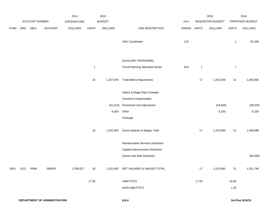|             |      |                | 2014           | 2015           |                |                |                                          | 2016        |              | 2016             |              |                 |
|-------------|------|----------------|----------------|----------------|----------------|----------------|------------------------------------------|-------------|--------------|------------------|--------------|-----------------|
|             |      | ACCOUNT NUMBER |                | EXPENDITURE    |                | <b>BUDGET</b>  |                                          | PAY         |              | REQUESTED BUDGET |              | PROPOSED BUDGET |
| <b>FUND</b> | ORG  | SBCL           | <b>ACCOUNT</b> | <b>DOLLARS</b> | <b>UNITS</b>   | <b>DOLLARS</b> | LINE DESCRIPTION                         | RANGE UNITS |              | <b>DOLLARS</b>   | <b>UNITS</b> | <b>DOLLARS</b>  |
|             |      |                |                |                |                |                |                                          |             |              |                  |              |                 |
|             |      |                |                |                |                |                | <b>ADA Coordinator</b>                   | 2JX         |              |                  | $\mathbf{1}$ | 62,338          |
|             |      |                |                |                |                |                |                                          |             |              |                  |              |                 |
|             |      |                |                |                |                |                |                                          |             |              |                  |              |                 |
|             |      |                |                |                |                |                | AUXILIARY PERSONNEL                      |             |              |                  |              |                 |
|             |      |                |                |                | $\overline{1}$ |                | <b>Fiscal Planning Specialist-Senior</b> | 2KX         | $\mathbf{1}$ |                  | $\mathbf{1}$ |                 |
|             |      |                |                |                |                |                |                                          |             |              |                  |              |                 |
|             |      |                |                |                | 18             | 1,257,976      | <b>Total Before Adjustments</b>          |             | $17$         | 1,242,439        | 21           | 1,456,606       |
|             |      |                |                |                |                |                | Salary & Wage Rate Changes               |             |              |                  |              |                 |
|             |      |                |                |                |                |                | Overtime Compensated                     |             |              |                  |              |                 |
|             |      |                |                |                |                | (61, 513)      | Personnel Cost Adjustment                |             |              | (24, 849)        |              | (28,020)        |
|             |      |                |                |                |                | 6,000          | Other                                    |             |              | 8,100            |              | 8,100           |
|             |      |                |                |                |                |                | Furlough                                 |             |              |                  |              |                 |
|             |      |                |                |                |                |                |                                          |             |              |                  |              |                 |
|             |      |                |                |                | 18             | 1,202,463      | Gross Salaries & Wages Total             |             | $17$         | 1,225,690        | 21           | 1,436,686       |
|             |      |                |                |                |                |                |                                          |             |              |                  |              |                 |
|             |      |                |                |                |                |                | Reimbursable Services Deduction          |             |              |                  |              |                 |
|             |      |                |                |                |                |                | <b>Capital Improvements Deduction</b>    |             |              |                  |              |                 |
|             |      |                |                |                |                |                | <b>Grants and Aids Deduction</b>         |             |              |                  |              | (84, 940)       |
|             |      |                |                |                |                |                |                                          |             |              |                  |              |                 |
| 0001        | 1512 | R999           | 006000         | 1,009,527      | 18             |                | 1,202,463 NET SALARIES & WAGES TOTAL     |             | $17$         | 1,225,690        | $21$         | 1,351,746       |
|             |      |                |                |                |                |                |                                          |             |              |                  |              |                 |
|             |      |                |                |                | 17.00          |                | O&M FTE'S                                |             | 17.00        |                  | 18.60        |                 |
|             |      |                |                |                |                |                | NON-O&M FTE'S                            |             |              |                  | 1.40         |                 |
|             |      |                |                |                |                |                |                                          |             |              |                  |              |                 |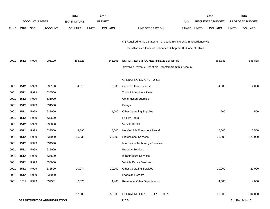|             |            |                       |                              | 2014               |              | 2015           |                                                                           |       |       | 2016                    |              | 2016            |
|-------------|------------|-----------------------|------------------------------|--------------------|--------------|----------------|---------------------------------------------------------------------------|-------|-------|-------------------------|--------------|-----------------|
|             |            | <b>ACCOUNT NUMBER</b> |                              | <b>EXPENDITURE</b> |              | <b>BUDGET</b>  |                                                                           | PAY   |       | <b>REQUESTED BUDGET</b> |              | PROPOSED BUDGET |
| <b>FUND</b> | <b>ORG</b> | SBCL                  | <b>ACCOUNT</b>               | <b>DOLLARS</b>     | <b>UNITS</b> | <b>DOLLARS</b> | LINE DESCRIPTION                                                          | RANGE | UNITS | <b>DOLLARS</b>          | <b>UNITS</b> | <b>DOLLARS</b>  |
|             |            |                       |                              |                    |              |                |                                                                           |       |       |                         |              |                 |
|             |            |                       |                              |                    |              |                | (Y) Required to file a statement of economic interests in accordance with |       |       |                         |              |                 |
|             |            |                       |                              |                    |              |                | the Milwaukee Code of Ordinances Chapter 303-Code of Ethics.              |       |       |                         |              |                 |
|             |            |                       |                              |                    |              |                |                                                                           |       |       |                         |              |                 |
| 0001        | 1512       | R999                  | 006100                       | 463,328            |              | 541,108        | ESTIMATED EMPLOYEE FRINGE BENEFITS                                        |       |       | 588,331                 |              | 648,838         |
|             |            |                       |                              |                    |              |                | (Involves Revenue Offset-No Transfers from this Account)                  |       |       |                         |              |                 |
|             |            |                       |                              |                    |              |                | OPERATING EXPENDITURES                                                    |       |       |                         |              |                 |
| 0001        | 1512       | R999                  | 630100                       | 4,015              |              | 3,000          | <b>General Office Expense</b>                                             |       |       | 4,000                   |              | 4,000           |
| 0001        | 1512       | R999                  | 630500                       |                    |              |                | Tools & Machinery Parts                                                   |       |       |                         |              |                 |
| 0001        | 1512       | R999                  | 631000                       |                    |              |                | <b>Construction Supplies</b>                                              |       |       |                         |              |                 |
| 0001        | 1512       | R999                  | 631500                       |                    |              |                | Energy                                                                    |       |       |                         |              |                 |
| 0001        | 1512       | R999                  | 632000                       |                    |              | 1,000          | <b>Other Operating Supplies</b>                                           |       |       | 500                     |              | 500             |
| 0001        | 1512       | R999                  | 632500                       |                    |              |                | <b>Facility Rental</b>                                                    |       |       |                         |              |                 |
| 0001        | 1512       | R999                  | 633000                       |                    |              |                | Vehicle Rental                                                            |       |       |                         |              |                 |
| 0001        | 1512       | R999                  | 633500                       | 4,590              |              | 5,000          | Non-Vehicle Equipment Rental                                              |       |       | 5,500                   |              | 5,500           |
| 0001        | 1512       | R999                  | 634000                       | 85,332             |              | 25,000         | <b>Professional Services</b>                                              |       |       | 35,000                  |              | 270,000         |
| 0001        | 1512       | R999                  | 634500                       |                    |              |                | Information Technology Services                                           |       |       |                         |              |                 |
| 0001        | 1512       | R999                  | 635000                       |                    |              |                | <b>Property Services</b>                                                  |       |       |                         |              |                 |
| 0001        | 1512       | R999                  | 635500                       |                    |              |                | <b>Infrastructure Services</b>                                            |       |       |                         |              |                 |
| 0001        | 1512       | R999                  | 636000                       |                    |              |                | Vehicle Repair Services                                                   |       |       |                         |              |                 |
| 0001        | 1512       | R999                  | 636500                       | 20,274             |              | 19,900         | <b>Other Operating Services</b>                                           |       |       | 20,000                  |              | 20,000          |
| 0001        | 1512       | R999                  | 637000                       |                    |              |                | Loans and Grants                                                          |       |       |                         |              |                 |
| 0001        | 1512       | R999                  | 637501                       | 2,875              |              | 4,400          | Reimburse Other Departments                                               |       |       | 4,000                   |              | 4,000           |
|             |            |                       |                              | 117,086            |              | 58,300         | OPERATING EXPENDITURES TOTAL                                              |       |       | 69,000                  |              | 304,000         |
|             |            |                       | DEPARTMENT OF ADMINISTRATION |                    |              |                | 110.5                                                                     |       |       |                         |              | 3rd Run 9/14/15 |
|             |            |                       |                              |                    |              |                |                                                                           |       |       |                         |              |                 |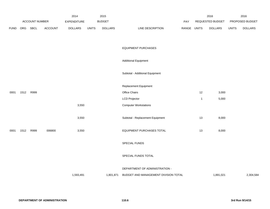|             |      |                       |         | 2014               |              | 2015           |                                      |       |              | 2016             |              | 2016            |
|-------------|------|-----------------------|---------|--------------------|--------------|----------------|--------------------------------------|-------|--------------|------------------|--------------|-----------------|
|             |      | <b>ACCOUNT NUMBER</b> |         | <b>EXPENDITURE</b> |              | <b>BUDGET</b>  |                                      | PAY   |              | REQUESTED BUDGET |              | PROPOSED BUDGET |
| <b>FUND</b> | ORG  | <b>SBCL</b>           | ACCOUNT | <b>DOLLARS</b>     | <b>UNITS</b> | <b>DOLLARS</b> | LINE DESCRIPTION                     | RANGE | <b>UNITS</b> | <b>DOLLARS</b>   | <b>UNITS</b> | <b>DOLLARS</b>  |
|             |      |                       |         |                    |              |                |                                      |       |              |                  |              |                 |
|             |      |                       |         |                    |              |                | <b>EQUIPMENT PURCHASES</b>           |       |              |                  |              |                 |
|             |      |                       |         |                    |              |                | <b>Additional Equipment</b>          |       |              |                  |              |                 |
|             |      |                       |         |                    |              |                | Subtotal - Additional Equipment      |       |              |                  |              |                 |
|             |      |                       |         |                    |              |                | Replacement Equipment                |       |              |                  |              |                 |
| 0001        | 1512 | R999                  |         |                    |              |                | Office Chairs                        |       | 12           | 3,000            |              |                 |
|             |      |                       |         |                    |              |                | <b>LCD Projector</b>                 |       | $\mathbf{1}$ | 5,000            |              |                 |
|             |      |                       |         | 3,550              |              |                | <b>Computer Workstations</b>         |       |              |                  |              |                 |
|             |      |                       |         | 3,550              |              |                | Subtotal - Replacement Equipment     |       | 13           | 8,000            |              |                 |
| 0001        | 1512 | R999                  | 006800  | 3,550              |              |                | EQUIPMENT PURCHASES TOTAL            |       | 13           | 8,000            |              |                 |
|             |      |                       |         |                    |              |                | SPECIAL FUNDS                        |       |              |                  |              |                 |
|             |      |                       |         |                    |              |                | SPECIAL FUNDS TOTAL                  |       |              |                  |              |                 |
|             |      |                       |         |                    |              |                | DEPARTMENT OF ADMINISTRATION -       |       |              |                  |              |                 |
|             |      |                       |         | 1,593,491          |              | 1,801,871      | BUDGET AND MANAGEMENT DIVISION TOTAL |       |              | 1,891,021        |              | 2,304,584       |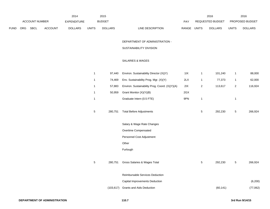|      |     |                | 2014           | 2015               |              |                |                                                | 2016  |              | 2016             |                |                 |
|------|-----|----------------|----------------|--------------------|--------------|----------------|------------------------------------------------|-------|--------------|------------------|----------------|-----------------|
|      |     | ACCOUNT NUMBER |                | <b>EXPENDITURE</b> |              | <b>BUDGET</b>  |                                                | PAY   |              | REQUESTED BUDGET |                | PROPOSED BUDGET |
| FUND | ORG | SBCL           | <b>ACCOUNT</b> | <b>DOLLARS</b>     | <b>UNITS</b> | <b>DOLLARS</b> | LINE DESCRIPTION                               | RANGE | <b>UNITS</b> | <b>DOLLARS</b>   | <b>UNITS</b>   | <b>DOLLARS</b>  |
|      |     |                |                |                    |              |                |                                                |       |              |                  |                |                 |
|      |     |                |                |                    |              |                | DEPARTMENT OF ADMINISTRATION -                 |       |              |                  |                |                 |
|      |     |                |                |                    |              |                | SUSTAINABILITY DIVISION                        |       |              |                  |                |                 |
|      |     |                |                |                    |              |                | SALARIES & WAGES                               |       |              |                  |                |                 |
|      |     |                |                |                    |              |                |                                                |       |              |                  |                |                 |
|      |     |                |                |                    | $\mathbf{1}$ | 97,440         | Environ. Sustainability Director (X)(Y)        | 11X   | $\mathbf{1}$ | 101,240          | $\mathbf{1}$   | 88,000          |
|      |     |                |                |                    | $\mathbf{1}$ | 74,469         | Env. Sustainability Prog. Mgr. (X)(Y)          | 2LX   | $\mathbf{1}$ | 77,373           | $\mathbf{1}$   | 62,000          |
|      |     |                |                |                    | $\mathbf{1}$ | 57,883         | Environ. Sustainability Prog. Coord. (X)(Y)(A) | 2IX   | $\sqrt{2}$   | 113,617          | $\overline{c}$ | 116,924         |
|      |     |                |                |                    | $\mathbf{1}$ | 50,959         | Grant Monitor (X)(Y)(B)                        | 2GX   |              |                  |                |                 |
|      |     |                |                |                    | $\mathbf{1}$ |                | Graduate Intern (0.5 FTE)                      | 9PN   | $\mathbf{1}$ |                  | $\mathbf{1}$   |                 |
|      |     |                |                |                    |              |                |                                                |       |              |                  |                |                 |
|      |     |                |                |                    | $\sqrt{5}$   | 280,751        | <b>Total Before Adjustments</b>                |       | $\sqrt{5}$   | 292,230          | $\overline{5}$ | 266,924         |
|      |     |                |                |                    |              |                | Salary & Wage Rate Changes                     |       |              |                  |                |                 |
|      |     |                |                |                    |              |                | Overtime Compensated                           |       |              |                  |                |                 |
|      |     |                |                |                    |              |                | Personnel Cost Adjustment                      |       |              |                  |                |                 |
|      |     |                |                |                    |              |                | Other                                          |       |              |                  |                |                 |
|      |     |                |                |                    |              |                | Furlough                                       |       |              |                  |                |                 |
|      |     |                |                |                    |              |                |                                                |       |              |                  |                |                 |
|      |     |                |                |                    | $\sqrt{5}$   | 280,751        | Gross Salaries & Wages Total                   |       | 5            | 292,230          | $\,$ 5 $\,$    | 266,924         |
|      |     |                |                |                    |              |                |                                                |       |              |                  |                |                 |
|      |     |                |                |                    |              |                | Reimbursable Services Deduction                |       |              |                  |                |                 |
|      |     |                |                |                    |              |                | <b>Capital Improvements Deduction</b>          |       |              |                  |                | (6, 200)        |
|      |     |                |                |                    |              |                | (103,617) Grants and Aids Deduction            |       |              | (60, 141)        |                | (77,062)        |
|      |     |                |                |                    |              |                |                                                |       |              |                  |                |                 |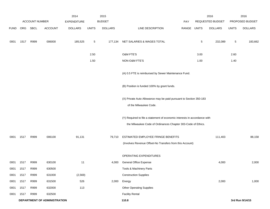|             |            |                       |                              | 2014               |              | 2015           |                                                                                                                                           |       |              | 2016             |                 | 2016            |
|-------------|------------|-----------------------|------------------------------|--------------------|--------------|----------------|-------------------------------------------------------------------------------------------------------------------------------------------|-------|--------------|------------------|-----------------|-----------------|
|             |            | <b>ACCOUNT NUMBER</b> |                              | <b>EXPENDITURE</b> |              | <b>BUDGET</b>  |                                                                                                                                           | PAY   |              | REQUESTED BUDGET |                 | PROPOSED BUDGET |
| <b>FUND</b> | <b>ORG</b> | SBCL                  | <b>ACCOUNT</b>               | <b>DOLLARS</b>     | <b>UNITS</b> | <b>DOLLARS</b> | LINE DESCRIPTION                                                                                                                          | RANGE | <b>UNITS</b> | <b>DOLLARS</b>   | <b>UNITS</b>    | <b>DOLLARS</b>  |
| 0001        | 1517       | R999                  | 006000                       | 185,525            | 5            | 177,134        | NET SALARIES & WAGES TOTAL                                                                                                                |       | 5            | 232,089          | $5\phantom{.0}$ | 183,662         |
|             |            |                       |                              |                    | 2.50         |                | O&M FTE'S                                                                                                                                 |       | 3.00         |                  | 2.60            |                 |
|             |            |                       |                              |                    | 1.50         |                | NON-O&M FTE'S                                                                                                                             |       | 1.00         |                  | 1.40            |                 |
|             |            |                       |                              |                    |              |                | (A) 0.5 FTE is reimbursed by Sewer Maintenance Fund.                                                                                      |       |              |                  |                 |                 |
|             |            |                       |                              |                    |              |                | (B) Position is funded 100% by grant funds.                                                                                               |       |              |                  |                 |                 |
|             |            |                       |                              |                    |              |                | (X) Private Auto Allowance may be paid pursuant to Section 350-183<br>of the Milwaukee Code.                                              |       |              |                  |                 |                 |
|             |            |                       |                              |                    |              |                | (Y) Required to file a statement of economic interests in accordance with<br>the Milwaukee Code of Ordinances Chapter 303-Code of Ethics. |       |              |                  |                 |                 |
| 0001        | 1517       | R999                  | 006100                       | 91,131             |              | 79,710         | ESTIMATED EMPLOYEE FRINGE BENEFITS                                                                                                        |       |              | 111,403          |                 | 88,158          |
|             |            |                       |                              |                    |              |                | (Involves Revenue Offset-No Transfers from this Account)                                                                                  |       |              |                  |                 |                 |
|             |            |                       |                              |                    |              |                | OPERATING EXPENDITURES                                                                                                                    |       |              |                  |                 |                 |
| 0001        | 1517       | R999                  | 630100                       | 11                 |              | 4,000          | General Office Expense                                                                                                                    |       |              | 4,000            |                 | 2,000           |
| 0001        | 1517       | R999                  | 630500                       |                    |              |                | Tools & Machinery Parts                                                                                                                   |       |              |                  |                 |                 |
| 0001        | 1517       | R999                  | 631000                       | (2, 569)           |              |                | <b>Construction Supplies</b>                                                                                                              |       |              |                  |                 |                 |
| 0001        | 1517       | R999                  | 631500                       | 526                |              | 2,000          | Energy                                                                                                                                    |       |              | 2,000            |                 | 1,000           |
| 0001        | 1517       | R999                  | 632000                       | 113                |              |                | <b>Other Operating Supplies</b>                                                                                                           |       |              |                  |                 |                 |
| 0001        | 1517       | R999                  | 632500                       |                    |              |                | <b>Facility Rental</b>                                                                                                                    |       |              |                  |                 |                 |
|             |            |                       | DEPARTMENT OF ADMINISTRATION |                    |              |                | 110.8                                                                                                                                     |       |              |                  |                 | 3rd Run 9/14/15 |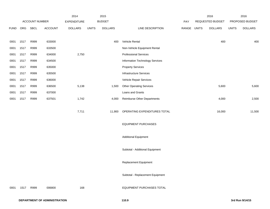|             |      |                |                | 2014           |              | 2015           |                                    |       |              | 2016             |              | 2016            |
|-------------|------|----------------|----------------|----------------|--------------|----------------|------------------------------------|-------|--------------|------------------|--------------|-----------------|
|             |      | ACCOUNT NUMBER |                | EXPENDITURE    |              | <b>BUDGET</b>  |                                    | PAY   |              | REQUESTED BUDGET |              | PROPOSED BUDGET |
| <b>FUND</b> | ORG  | SBCL           | <b>ACCOUNT</b> | <b>DOLLARS</b> | <b>UNITS</b> | <b>DOLLARS</b> | LINE DESCRIPTION                   | RANGE | <b>UNITS</b> | <b>DOLLARS</b>   | <b>UNITS</b> | <b>DOLLARS</b>  |
|             |      |                |                |                |              |                |                                    |       |              |                  |              |                 |
| 0001        | 1517 | R999           | 633000         |                |              | 400            | Vehicle Rental                     |       |              | 400              |              | 400             |
| 0001        | 1517 | R999           | 633500         |                |              |                | Non-Vehicle Equipment Rental       |       |              |                  |              |                 |
| 0001        | 1517 | R999           | 634000         | 2,750          |              |                | <b>Professional Services</b>       |       |              |                  |              |                 |
| 0001        | 1517 | R999           | 634500         |                |              |                | Information Technology Services    |       |              |                  |              |                 |
| 0001        | 1517 | R999           | 635000         |                |              |                | <b>Property Services</b>           |       |              |                  |              |                 |
| 0001        | 1517 | R999           | 635500         |                |              |                | Infrastructure Services            |       |              |                  |              |                 |
| 0001        | 1517 | R999           | 636000         |                |              |                | Vehicle Repair Services            |       |              |                  |              |                 |
| 0001        | 1517 | R999           | 636500         | 5,138          |              | 1,500          | <b>Other Operating Services</b>    |       |              | 5,600            |              | 5,600           |
| 0001        | 1517 | R999           | 637000         |                |              |                | Loans and Grants                   |       |              |                  |              |                 |
| 0001        | 1517 | R999           | 637501         | 1,742          |              | 4,000          | <b>Reimburse Other Departments</b> |       |              | 4,000            |              | 2,500           |
|             |      |                |                |                |              |                |                                    |       |              |                  |              |                 |
|             |      |                |                | 7,711          |              | 11,900         | OPERATING EXPENDITURES TOTAL       |       |              | 16,000           |              | 11,500          |
|             |      |                |                |                |              |                |                                    |       |              |                  |              |                 |
|             |      |                |                |                |              |                | <b>EQUIPMENT PURCHASES</b>         |       |              |                  |              |                 |
|             |      |                |                |                |              |                |                                    |       |              |                  |              |                 |
|             |      |                |                |                |              |                | <b>Additional Equipment</b>        |       |              |                  |              |                 |
|             |      |                |                |                |              |                |                                    |       |              |                  |              |                 |
|             |      |                |                |                |              |                | Subtotal - Additional Equipment    |       |              |                  |              |                 |
|             |      |                |                |                |              |                | Replacement Equipment              |       |              |                  |              |                 |
|             |      |                |                |                |              |                |                                    |       |              |                  |              |                 |
|             |      |                |                |                |              |                | Subtotal - Replacement Equipment   |       |              |                  |              |                 |
|             |      |                |                |                |              |                |                                    |       |              |                  |              |                 |
| 0001        | 1517 | R999           | 006800         | 168            |              |                | EQUIPMENT PURCHASES TOTAL          |       |              |                  |              |                 |
|             |      |                |                |                |              |                |                                    |       |              |                  |              |                 |
|             |      |                |                |                |              |                |                                    |       |              |                  |              |                 |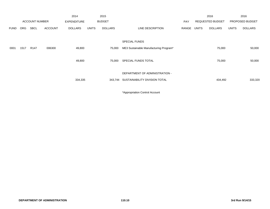|             |            |                       |                | 2014               |              | 2015           |                                        |       |              | 2016                    |              | 2016            |
|-------------|------------|-----------------------|----------------|--------------------|--------------|----------------|----------------------------------------|-------|--------------|-------------------------|--------------|-----------------|
|             |            | <b>ACCOUNT NUMBER</b> |                | <b>EXPENDITURE</b> |              | <b>BUDGET</b>  |                                        | PAY   |              | <b>REQUESTED BUDGET</b> |              | PROPOSED BUDGET |
| <b>FUND</b> | <b>ORG</b> | <b>SBCL</b>           | <b>ACCOUNT</b> | DOLLARS            | <b>UNITS</b> | <b>DOLLARS</b> | LINE DESCRIPTION                       | RANGE | <b>UNITS</b> | <b>DOLLARS</b>          | <b>UNITS</b> | <b>DOLLARS</b>  |
|             |            |                       |                |                    |              |                | <b>SPECIAL FUNDS</b>                   |       |              |                         |              |                 |
| 0001        | 1517       | R <sub>147</sub>      | 006300         | 49,800             |              | 75,000         | ME3 Sustainable Manufacturing Program* |       |              | 75,000                  |              | 50,000          |
|             |            |                       |                | 49,800             |              | 75,000         | SPECIAL FUNDS TOTAL                    |       |              | 75,000                  |              | 50,000          |
|             |            |                       |                |                    |              |                | DEPARTMENT OF ADMINISTRATION -         |       |              |                         |              |                 |
|             |            |                       |                | 334,335            |              |                | 343,744 SUSTAINABILITY DIVISION TOTAL  |       |              | 434,492                 |              | 333,320         |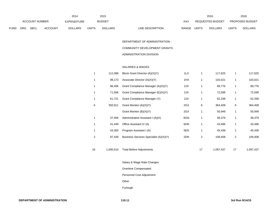|             |                                             |  |                    | 2014         |                | 2015                      |              |                  | 2016         |                        | 2016 |
|-------------|---------------------------------------------|--|--------------------|--------------|----------------|---------------------------|--------------|------------------|--------------|------------------------|------|
|             | <b>ACCOUNT NUMBER</b>                       |  | <b>EXPENDITURE</b> |              | <b>BUDGET</b>  | PAY                       |              | REQUESTED BUDGET |              | <b>PROPOSED BUDGET</b> |      |
| <b>FUND</b> | <b>ORG</b><br><b>SBCL</b><br><b>ACCOUNT</b> |  | <b>DOLLARS</b>     | <b>UNITS</b> | <b>DOLLARS</b> | LINE DESCRIPTION<br>RANGE | <b>UNITS</b> | <b>DOLLARS</b>   | <b>UNITS</b> | <b>DOLLARS</b>         |      |

DEPARTMENT OF ADMINISTRATION -COMMUNITY DEVELOPMENT GRANTS ADMINISTRATION DIVISION

#### SALARIES & WAGES

|    | 112,089   | Block Grant Director (A)(X)(Y)         | 1LX | 1  | 117,625   | 1  | 117,625   |
|----|-----------|----------------------------------------|-----|----|-----------|----|-----------|
|    | 98,173    | Associate Director (A)(X)(Y)           | 1HX | 1  | 103,021   | 1  | 103,021   |
|    | 86,406    | Grant Compliance Manager (A)(X)(Y)     | 2JX | 1  | 89,776    | 1  | 89,776    |
| 1  | 71,566    | Grant Compliance Manager (E)(X)(Y)     | 2JX | 1  | 72,599    | 1  | 72,599    |
| 1  | 61,721    | Grant Compliance Manager (Y)           | 2JX | 1  | 62,338    | 1  | 62,338    |
| 6  | 350,911   | Grant Monitor (A)(X)(Y)                | 2GX | 6  | 364,408   | 6  | 364,408   |
|    |           | Grant Monitor (B)(X)(Y)                | 2GX | 1  | 50,949    | 1  | 50,949    |
| 1  | 37,456    | Administrative Assistant I (A)(X)      | 6GN | 1  | 38,379    | 1  | 38,379    |
| 1  | 41,449    | Office Assistant IV (A)                | 6HN | 1  | 43,496    | 1  | 43,496    |
| 1  | 43,300    | Program Assistant I (A)                | 5EN | 1  | 45,438    | 1  | 45,438    |
| 2  | 97,439    | Business Services Specialist (A)(X)(Y) | 2DN | 2  | 109,408   | 2  | 109,408   |
|    |           |                                        |     |    |           |    |           |
| 16 | 1,000,510 | <b>Total Before Adjustments</b>        |     | 17 | 1,097,437 | 17 | 1,097,437 |

Salary & Wage Rate Changes

Overtime Compensated

Personnel Cost Adjustment

Other

Furlough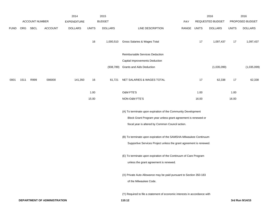|             |      |                |                | 2014               |              | 2015           |                                                                           |             |       | 2016             |              | 2016            |
|-------------|------|----------------|----------------|--------------------|--------------|----------------|---------------------------------------------------------------------------|-------------|-------|------------------|--------------|-----------------|
|             |      | ACCOUNT NUMBER |                | <b>EXPENDITURE</b> |              | <b>BUDGET</b>  |                                                                           | PAY         |       | REQUESTED BUDGET |              | PROPOSED BUDGET |
| <b>FUND</b> | ORG  | SBCL           | <b>ACCOUNT</b> | <b>DOLLARS</b>     | <b>UNITS</b> | <b>DOLLARS</b> | LINE DESCRIPTION                                                          | RANGE UNITS |       | <b>DOLLARS</b>   | <b>UNITS</b> | <b>DOLLARS</b>  |
|             |      |                |                |                    | 16           | 1,000,510      | Gross Salaries & Wages Total                                              |             | 17    | 1,097,437        | 17           | 1,097,437       |
|             |      |                |                |                    |              |                | Reimbursable Services Deduction                                           |             |       |                  |              |                 |
|             |      |                |                |                    |              |                | Capital Improvements Deduction                                            |             |       |                  |              |                 |
|             |      |                |                |                    |              | (938,789)      | <b>Grants and Aids Deduction</b>                                          |             |       | (1,035,099)      |              | (1,035,099)     |
| 0001        | 1511 | R999           | 006000         | 141,350            | 16           | 61,721         | NET SALARIES & WAGES TOTAL                                                |             | 17    | 62,338           | 17           | 62,338          |
|             |      |                |                |                    | 1.00         |                | O&M FTE'S                                                                 |             | 1.00  |                  | 1.00         |                 |
|             |      |                |                |                    | 15.00        |                | NON-O&M FTE'S                                                             |             | 16.00 |                  | 16.00        |                 |
|             |      |                |                |                    |              |                | (A) To terminate upon expiration of the Community Development             |             |       |                  |              |                 |
|             |      |                |                |                    |              |                | Block Grant Program year unless grant agreement is renewed or             |             |       |                  |              |                 |
|             |      |                |                |                    |              |                | fiscal year is altered by Common Council action.                          |             |       |                  |              |                 |
|             |      |                |                |                    |              |                | (B) To terminate upon expiration of the SAMSHA-Milwaukee Continuum        |             |       |                  |              |                 |
|             |      |                |                |                    |              |                | Supportive Services Project unless the grant agreement is renewed.        |             |       |                  |              |                 |
|             |      |                |                |                    |              |                | (E) To terminate upon expiration of the Continuum of Care Program         |             |       |                  |              |                 |
|             |      |                |                |                    |              |                | unless the grant agreement is renewed.                                    |             |       |                  |              |                 |
|             |      |                |                |                    |              |                | (X) Private Auto Allowance may be paid pursuant to Section 350-183        |             |       |                  |              |                 |
|             |      |                |                |                    |              |                | of the Milwaukee Code.                                                    |             |       |                  |              |                 |
|             |      |                |                |                    |              |                | (Y) Required to file a statement of economic interests in accordance with |             |       |                  |              |                 |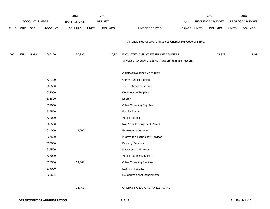|             |            |                       |                | 2014               |              | 2015           |                                                              |             | 2016             |              | 2016            |
|-------------|------------|-----------------------|----------------|--------------------|--------------|----------------|--------------------------------------------------------------|-------------|------------------|--------------|-----------------|
|             |            | <b>ACCOUNT NUMBER</b> |                | <b>EXPENDITURE</b> |              | <b>BUDGET</b>  |                                                              | <b>PAY</b>  | REQUESTED BUDGET |              | PROPOSED BUDGET |
| <b>FUND</b> | <b>ORG</b> | SBCL                  | <b>ACCOUNT</b> | <b>DOLLARS</b>     | <b>UNITS</b> | <b>DOLLARS</b> | LINE DESCRIPTION                                             | RANGE UNITS | <b>DOLLARS</b>   | <b>UNITS</b> | <b>DOLLARS</b>  |
|             |            |                       |                |                    |              |                |                                                              |             |                  |              |                 |
|             |            |                       |                |                    |              |                | the Milwaukee Code of Ordinances Chapter 303-Code of Ethics. |             |                  |              |                 |
|             |            |                       |                |                    |              |                |                                                              |             |                  |              |                 |
| 0001        | 1511       | R999                  | 006100         | 27,990             |              | 27,774         | ESTIMATED EMPLOYEE FRINGE BENEFITS                           |             | 29,922           |              | 29,922          |
|             |            |                       |                |                    |              |                | (Involves Revenue Offset-No Transfers from this Account)     |             |                  |              |                 |
|             |            |                       |                |                    |              |                | OPERATING EXPENDITURES                                       |             |                  |              |                 |
|             |            |                       | 630100         |                    |              |                | General Office Expense                                       |             |                  |              |                 |
|             |            |                       | 630500         |                    |              |                | Tools & Machinery Parts                                      |             |                  |              |                 |
|             |            |                       | 631000         |                    |              |                | <b>Construction Supplies</b>                                 |             |                  |              |                 |
|             |            |                       | 631500         |                    |              |                | Energy                                                       |             |                  |              |                 |
|             |            |                       | 632000         |                    |              |                | <b>Other Operating Supplies</b>                              |             |                  |              |                 |
|             |            |                       | 632500         |                    |              |                | <b>Facility Rental</b>                                       |             |                  |              |                 |
|             |            |                       | 633000         |                    |              |                | Vehicle Rental                                               |             |                  |              |                 |
|             |            |                       | 633500         |                    |              |                | Non-Vehicle Equipment Rental                                 |             |                  |              |                 |
|             |            |                       | 634000         | 6,000              |              |                | <b>Professional Services</b>                                 |             |                  |              |                 |
|             |            |                       | 634500         |                    |              |                | Information Technology Services                              |             |                  |              |                 |
|             |            |                       | 635000         |                    |              |                | <b>Property Services</b>                                     |             |                  |              |                 |
|             |            |                       | 635500         |                    |              |                | <b>Infrastructure Services</b>                               |             |                  |              |                 |
|             |            |                       | 636000         |                    |              |                | Vehicle Repair Services                                      |             |                  |              |                 |
|             |            |                       | 636500         | 18,468             |              |                | <b>Other Operating Services</b>                              |             |                  |              |                 |
|             |            |                       | 637000         |                    |              |                | Loans and Grants                                             |             |                  |              |                 |
|             |            |                       | 637501         |                    |              |                | <b>Reimburse Other Departments</b>                           |             |                  |              |                 |
|             |            |                       |                |                    |              |                |                                                              |             |                  |              |                 |
|             |            |                       |                | 24,468             |              |                | OPERATING EXPENDITURES TOTAL                                 |             |                  |              |                 |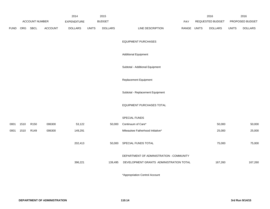|             |      |                       |                | 2014               |              | 2015           |                                          |              | 2016             |              | 2016            |
|-------------|------|-----------------------|----------------|--------------------|--------------|----------------|------------------------------------------|--------------|------------------|--------------|-----------------|
|             |      | <b>ACCOUNT NUMBER</b> |                | <b>EXPENDITURE</b> |              | <b>BUDGET</b>  | PAY                                      |              | REQUESTED BUDGET |              | PROPOSED BUDGET |
| <b>FUND</b> | ORG  | <b>SBCL</b>           | <b>ACCOUNT</b> | <b>DOLLARS</b>     | <b>UNITS</b> | <b>DOLLARS</b> | LINE DESCRIPTION<br>RANGE                | <b>UNITS</b> | <b>DOLLARS</b>   | <b>UNITS</b> | <b>DOLLARS</b>  |
|             |      |                       |                |                    |              |                | <b>EQUIPMENT PURCHASES</b>               |              |                  |              |                 |
|             |      |                       |                |                    |              |                | <b>Additional Equipment</b>              |              |                  |              |                 |
|             |      |                       |                |                    |              |                | Subtotal - Additional Equipment          |              |                  |              |                 |
|             |      |                       |                |                    |              |                | Replacement Equipment                    |              |                  |              |                 |
|             |      |                       |                |                    |              |                | Subtotal - Replacement Equipment         |              |                  |              |                 |
|             |      |                       |                |                    |              |                | EQUIPMENT PURCHASES TOTAL                |              |                  |              |                 |
|             |      |                       |                |                    |              |                | SPECIAL FUNDS                            |              |                  |              |                 |
| 0001        | 1510 | R <sub>150</sub>      | 006300         | 53,122             |              | 50,000         | Continuum of Care*                       |              | 50,000           |              | 50,000          |
| 0001        | 1510 | R149                  | 006300         | 149,291            |              |                | Milwaukee Fatherhood Initiative*         |              | 25,000           |              | 25,000          |
|             |      |                       |                | 202,413            |              | 50,000         | SPECIAL FUNDS TOTAL                      |              | 75,000           |              | 75,000          |
|             |      |                       |                |                    |              |                | DEPARTMENT OF ADMINISTRATION - COMMUNITY |              |                  |              |                 |
|             |      |                       |                | 396,221            |              | 139,495        | DEVELOPMENT GRANTS ADMINISTRATION TOTAL  |              | 167,260          |              | 167,260         |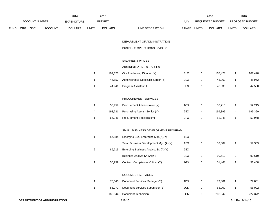|      |     |                       |                | 2014               |                 | 2015           |                                        |             |                | 2016             |                | 2016            |
|------|-----|-----------------------|----------------|--------------------|-----------------|----------------|----------------------------------------|-------------|----------------|------------------|----------------|-----------------|
|      |     | <b>ACCOUNT NUMBER</b> |                | <b>EXPENDITURE</b> |                 | <b>BUDGET</b>  |                                        | PAY         |                | REQUESTED BUDGET |                | PROPOSED BUDGET |
| FUND | ORG | SBCL                  | <b>ACCOUNT</b> | <b>DOLLARS</b>     | <b>UNITS</b>    | <b>DOLLARS</b> | LINE DESCRIPTION                       | RANGE UNITS |                | <b>DOLLARS</b>   | <b>UNITS</b>   | <b>DOLLARS</b>  |
|      |     |                       |                |                    |                 |                |                                        |             |                |                  |                |                 |
|      |     |                       |                |                    |                 |                | DEPARTMENT OF ADMINISTRATION-          |             |                |                  |                |                 |
|      |     |                       |                |                    |                 |                | BUSINESS OPERATIONS DIVISION           |             |                |                  |                |                 |
|      |     |                       |                |                    |                 |                | SALARIES & WAGES                       |             |                |                  |                |                 |
|      |     |                       |                |                    |                 |                | ADMINISTRATIVE SERVICES                |             |                |                  |                |                 |
|      |     |                       |                |                    | $\mathbf{1}$    | 102,373        | City Purchasing Director (Y)           | 1LX         | $\mathbf{1}$   | 107,428          | $\overline{1}$ | 107,428         |
|      |     |                       |                |                    | 1               | 44,857         | Administrative Specialist-Senior (Y)   | 2EX         | $\mathbf{1}$   | 45,962           | $\overline{1}$ | 45,962          |
|      |     |                       |                |                    | 1               | 44,941         | Program Assistant II                   | 5FN         | $\mathbf{1}$   | 42,538           | $\overline{1}$ | 42,538          |
|      |     |                       |                |                    |                 |                |                                        |             |                |                  |                |                 |
|      |     |                       |                |                    |                 |                | PROCUREMENT SERVICES                   |             |                |                  |                |                 |
|      |     |                       |                |                    | 1               | 50,959         | Procurement Administrator (Y)          | 1CX         | $\mathbf{1}$   | 52,215           | $\mathbf{1}$   | 52,215          |
|      |     |                       |                |                    | 4               | 193,721        | Purchasing Agent - Senior (Y)          | 2EX         | 4              | 199,399          | 4              | 199,399         |
|      |     |                       |                |                    | $\mathbf{1}$    | 66,946         | Procurement Specialist (Y)             | 2FX         | $\mathbf{1}$   | 52,948           | $\overline{1}$ | 52,948          |
|      |     |                       |                |                    |                 |                | SMALL BUSINESS DEVELOPMENT PROGRAM     |             |                |                  |                |                 |
|      |     |                       |                |                    | $\mathbf 1$     | 57,884         | Emerging Bus. Enterprise Mgr.(A)(Y)    | 1EX         |                |                  |                |                 |
|      |     |                       |                |                    |                 |                | Small Business Development Mgr. (A)(Y) | 1EX         | 1              | 59,309           | $\mathbf{1}$   | 59,309          |
|      |     |                       |                |                    | $\overline{c}$  | 89,715         | Emerging Business Analyst-Sr. (A)(Y)   | 2EX         |                |                  |                |                 |
|      |     |                       |                |                    |                 |                | Business Analyst-Sr. (A)(Y)            | 2EX         | $\overline{2}$ | 90,610           | $\overline{c}$ | 90,610          |
|      |     |                       |                |                    | 1               | 50,959         | Contract Compliance Officer (Y)        | 2GX         | 1              | 51,468           | $\mathbf{1}$   | 51,468          |
|      |     |                       |                |                    |                 |                |                                        |             |                |                  |                |                 |
|      |     |                       |                |                    |                 |                | DOCUMENT SERVICES                      |             |                |                  |                |                 |
|      |     |                       |                |                    | $\mathbf{1}$    | 76,046         | Document Services Manager (Y)          | 1DX         | $\mathbf{1}$   | 79,801           | $\mathbf{1}$   | 79,801          |
|      |     |                       |                |                    | $\mathbf{1}$    | 55,272         | Document Services Supervisor (Y)       | 2CN         | $\mathbf{1}$   | 58,002           | $\mathbf{1}$   | 58,002          |
|      |     |                       |                |                    | $5\phantom{.0}$ | 186,844        | Document Technician                    | 3CN         | $\,$ 5 $\,$    | 203,642          | 6              | 222,372         |
|      |     |                       |                |                    |                 |                |                                        |             |                |                  |                |                 |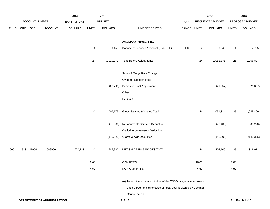|             |      |                |                              | 2014           |                 | 2015                                                           |                                                                  |       |              | 2016             |              | 2016            |
|-------------|------|----------------|------------------------------|----------------|-----------------|----------------------------------------------------------------|------------------------------------------------------------------|-------|--------------|------------------|--------------|-----------------|
|             |      | ACCOUNT NUMBER |                              | EXPENDITURE    |                 | <b>BUDGET</b>                                                  |                                                                  | PAY   |              | REQUESTED BUDGET |              | PROPOSED BUDGET |
| <b>FUND</b> | ORG  | SBCL           | ACCOUNT                      | <b>DOLLARS</b> | <b>UNITS</b>    | <b>DOLLARS</b>                                                 | LINE DESCRIPTION                                                 | RANGE | <b>UNITS</b> | <b>DOLLARS</b>   | <b>UNITS</b> | <b>DOLLARS</b>  |
|             |      |                |                              |                |                 |                                                                |                                                                  |       |              |                  |              |                 |
|             |      |                |                              |                |                 |                                                                | AUXILIARY PERSONNEL                                              |       |              |                  |              |                 |
|             |      |                |                              |                | 4               | 9,455                                                          | Document Services Assistant (0.25 FTE)                           | 9EN   | 4            | 9,549            | 4            | 4,775           |
|             |      |                |                              |                | 24              | 1,029,972                                                      | <b>Total Before Adjustments</b>                                  |       | 24           | 1,052,871        | 25           | 1,066,827       |
|             |      |                |                              |                |                 |                                                                | Salary & Wage Rate Change                                        |       |              |                  |              |                 |
|             |      |                |                              |                |                 |                                                                | Overtime Compensated                                             |       |              |                  |              |                 |
|             |      |                |                              |                |                 | (20, 799)                                                      | Personnel Cost Adjustment                                        |       |              | (21, 057)        |              | (21, 337)       |
|             |      |                |                              |                |                 |                                                                | Other                                                            |       |              |                  |              |                 |
|             |      |                |                              |                |                 |                                                                | Furlough                                                         |       |              |                  |              |                 |
|             |      |                |                              |                | 24              | 1,009,173                                                      | Gross Salaries & Wages Total                                     |       | 24           | 1,031,814        | 25           | 1,045,490       |
|             |      |                |                              |                |                 | (75,030)                                                       | Reimbursable Services Deduction                                  |       |              | (78, 400)        |              | (80, 273)       |
|             |      |                |                              |                |                 |                                                                | Capital Improvements Deduction                                   |       |              |                  |              |                 |
|             |      |                |                              |                |                 | (146, 521)                                                     | <b>Grants &amp; Aids Deduction</b>                               |       |              | (148, 305)       |              | (148, 305)      |
| 0001        | 1513 | R999           | 006000                       | 770,788        | 24              | 787,622                                                        | NET SALARIES & WAGES TOTAL                                       |       | 24           | 805,109          | 25           | 816,912         |
|             |      |                |                              |                | 16.00           |                                                                | <b>O&amp;M FTE'S</b>                                             |       | 16.00        |                  | 17.00        |                 |
|             |      |                |                              |                | 4.50            |                                                                | NON-O&M FTE'S                                                    |       | 4.50         |                  | 4.50         |                 |
|             |      |                |                              |                |                 |                                                                | (A) To terminate upon expiration of the CDBG program year unless |       |              |                  |              |                 |
|             |      |                |                              |                |                 | grant agreement is renewed or fiscal year is altered by Common |                                                                  |       |              |                  |              |                 |
|             |      |                |                              |                | Council action. |                                                                |                                                                  |       |              |                  |              |                 |
|             |      |                | DEPARTMENT OF ADMINISTRATION |                |                 |                                                                | 110.16                                                           |       |              |                  |              | 3rd Run 9/14/15 |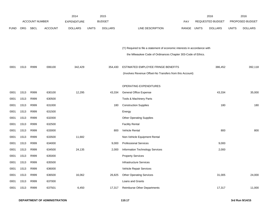|             |            |                       |                | 2014               |              | 2015           |                                                                           |       |              | 2016                    |              | 2016            |
|-------------|------------|-----------------------|----------------|--------------------|--------------|----------------|---------------------------------------------------------------------------|-------|--------------|-------------------------|--------------|-----------------|
|             |            | <b>ACCOUNT NUMBER</b> |                | <b>EXPENDITURE</b> |              | <b>BUDGET</b>  |                                                                           | PAY   |              | <b>REQUESTED BUDGET</b> |              | PROPOSED BUDGET |
| <b>FUND</b> | <b>ORG</b> | <b>SBCL</b>           | <b>ACCOUNT</b> | <b>DOLLARS</b>     | <b>UNITS</b> | <b>DOLLARS</b> | LINE DESCRIPTION                                                          | RANGE | <b>UNITS</b> | <b>DOLLARS</b>          | <b>UNITS</b> | <b>DOLLARS</b>  |
|             |            |                       |                |                    |              |                |                                                                           |       |              |                         |              |                 |
|             |            |                       |                |                    |              |                |                                                                           |       |              |                         |              |                 |
|             |            |                       |                |                    |              |                | (Y) Required to file a statement of economic interests in accordance with |       |              |                         |              |                 |
|             |            |                       |                |                    |              |                | the Milwaukee Code of Ordinances Chapter 303-Code of Ethics.              |       |              |                         |              |                 |
|             |            |                       |                |                    |              |                |                                                                           |       |              |                         |              |                 |
| 0001        | 1513       | R999                  | 006100         | 342,429            |              | 354,430        | ESTIMATED EMPLOYEE FRINGE BENEFITS                                        |       |              | 386,452                 |              | 392,118         |
|             |            |                       |                |                    |              |                | (Involves Revenue Offset-No Transfers from this Account)                  |       |              |                         |              |                 |
|             |            |                       |                |                    |              |                |                                                                           |       |              |                         |              |                 |
|             |            |                       |                |                    |              |                | OPERATING EXPENDITURES                                                    |       |              |                         |              |                 |
| 0001        | 1513       | R999                  | 630100         | 12,295             |              | 43,334         | General Office Expense                                                    |       |              | 43,334                  |              | 35,000          |
| 0001        | 1513       | R999                  | 630500         |                    |              |                | Tools & Machinery Parts                                                   |       |              |                         |              |                 |
| 0001        | 1513       | R999                  | 631000         |                    |              | 180            | <b>Construction Supplies</b>                                              |       |              | 180                     |              | 180             |
| 0001        | 1513       | R999                  | 631500         |                    |              |                | Energy                                                                    |       |              |                         |              |                 |
| 0001        | 1513       | R999                  | 632000         |                    |              |                | <b>Other Operating Supplies</b>                                           |       |              |                         |              |                 |
| 0001        | 1513       | R999                  | 632500         |                    |              |                | <b>Facility Rental</b>                                                    |       |              |                         |              |                 |
| 0001        | 1513       | R999                  | 633000         |                    |              | 800            | Vehicle Rental                                                            |       |              | 800                     |              | 800             |
| 0001        | 1513       | R999                  | 633500         | 11,682             |              |                | Non-Vehicle Equipment Rental                                              |       |              |                         |              |                 |
| 0001        | 1513       | R999                  | 634000         |                    |              | 9,000          | <b>Professional Services</b>                                              |       |              | 9,000                   |              |                 |
| 0001        | 1513       | R999                  | 634500         | 24,135             |              | 2,000          | Information Technology Services                                           |       |              | 2,000                   |              |                 |
| 0001        | 1513       | R999                  | 635000         |                    |              |                | <b>Property Services</b>                                                  |       |              |                         |              |                 |
| 0001        | 1513       | R999                  | 635500         |                    |              |                | Infrastructure Services                                                   |       |              |                         |              |                 |
| 0001        | 1513       | R999                  | 636000         |                    |              |                | Vehicle Repair Services                                                   |       |              |                         |              |                 |
| 0001        | 1513       | R999                  | 636500         | 16,062             |              | 26,825         | <b>Other Operating Services</b>                                           |       |              | 31,005                  |              | 24,000          |
| 0001        | 1513       | R999                  | 637000         |                    |              |                | Loans and Grants                                                          |       |              |                         |              |                 |
| 0001        | 1513       | R999                  | 637501         | 6,450              |              | 17,317         | <b>Reimburse Other Departments</b>                                        |       |              | 17,317                  |              | 11,000          |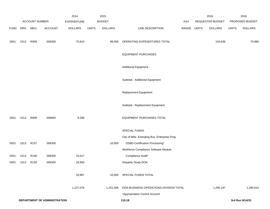|             |      |                  |                                     | 2014               |              | 2015           |                                              |             | 2016             |              | 2016            |
|-------------|------|------------------|-------------------------------------|--------------------|--------------|----------------|----------------------------------------------|-------------|------------------|--------------|-----------------|
|             |      | ACCOUNT NUMBER   |                                     | <b>EXPENDITURE</b> |              | <b>BUDGET</b>  |                                              | PAY         | REQUESTED BUDGET |              | PROPOSED BUDGET |
| <b>FUND</b> | ORG  | <b>SBCL</b>      | <b>ACCOUNT</b>                      | <b>DOLLARS</b>     | <b>UNITS</b> | <b>DOLLARS</b> | LINE DESCRIPTION                             | RANGE UNITS | <b>DOLLARS</b>   | <b>UNITS</b> | <b>DOLLARS</b>  |
| 0001        | 1513 | R999             | 006300                              | 70,624             |              | 99,456         | OPERATING EXPENDITURES TOTAL                 |             | 103,636          |              | 70,980          |
|             |      |                  |                                     |                    |              |                | <b>EQUIPMENT PURCHASES</b>                   |             |                  |              |                 |
|             |      |                  |                                     |                    |              |                | <b>Additional Equipment</b>                  |             |                  |              |                 |
|             |      |                  |                                     |                    |              |                | Subtotal - Additional Equipment              |             |                  |              |                 |
|             |      |                  |                                     |                    |              |                | Replacement Equipment                        |             |                  |              |                 |
|             |      |                  |                                     |                    |              |                | Subtotal - Replacement Equipment             |             |                  |              |                 |
| 0001        | 1513 | R999             | 006800                              | 9,268              |              |                | EQUIPMENT PURCHASES TOTAL                    |             |                  |              |                 |
|             |      |                  |                                     |                    |              |                | SPECIAL FUNDS                                |             |                  |              |                 |
|             |      |                  |                                     |                    |              |                | City of Milw. Emerging Bus. Enterprise Prog. |             |                  |              |                 |
| 0001        | 1513 | R <sub>157</sub> | 006300                              |                    |              | 10,000         | OSBD-Certification Processing*               |             |                  |              |                 |
|             |      |                  |                                     |                    |              |                | Workforce Compliance Software Module         |             |                  |              |                 |
| 0001        | 1513 | R146             | 006300                              | 15,017             |              |                | Compliance Audit*                            |             |                  |              |                 |
| 0001        | 1513 | R <sub>159</sub> | 006300                              | 18,950             |              |                | Disparity Study-DOA                          |             |                  |              |                 |
|             |      |                  |                                     | 33,967             |              |                | 10,000 SPECIAL FUNDS TOTAL                   |             |                  |              |                 |
|             |      |                  |                                     | 1,227,076          |              | 1,251,508      | DOA-BUSINESS OPERATIONS DIVISION TOTAL       |             | 1,295,197        |              | 1,280,010       |
|             |      |                  |                                     |                    |              |                | *Appropriation Control Account               |             |                  |              |                 |
|             |      |                  | <b>DEPARTMENT OF ADMINISTRATION</b> |                    |              |                | 110.18                                       |             |                  |              | 3rd Run 9/14/15 |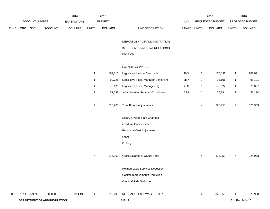|             |      |                |                              | 2014           |              | 2015           |                                       |             |              | 2016             |              | 2016            |
|-------------|------|----------------|------------------------------|----------------|--------------|----------------|---------------------------------------|-------------|--------------|------------------|--------------|-----------------|
|             |      | ACCOUNT NUMBER |                              | EXPENDITURE    |              | <b>BUDGET</b>  |                                       | PAY         |              | REQUESTED BUDGET |              | PROPOSED BUDGET |
| <b>FUND</b> | ORG  | SBCL           | ACCOUNT                      | <b>DOLLARS</b> | <b>UNITS</b> | <b>DOLLARS</b> | LINE DESCRIPTION                      | RANGE UNITS |              | <b>DOLLARS</b>   | <b>UNITS</b> | <b>DOLLARS</b>  |
|             |      |                |                              |                |              |                | DEPARTMENT OF ADMINISTRATION -        |             |              |                  |              |                 |
|             |      |                |                              |                |              |                | INTERGOVERNMENTAL RELATIONS           |             |              |                  |              |                 |
|             |      |                |                              |                |              |                | <b>DIVISION</b>                       |             |              |                  |              |                 |
|             |      |                |                              |                |              |                | SALARIES & WAGES                      |             |              |                  |              |                 |
|             |      |                |                              |                | $\mathbf{1}$ | 102,813        | Legislative Liaison Director (Y)      | 1NX         | $\mathbf{1}$ | 107,891          | $\mathbf{1}$ | 107,891         |
|             |      |                |                              |                | $\mathbf{1}$ | 90,726         | Legislative Fiscal Manager-Senior (Y) | 2MX         | $\mathbf{1}$ | 95,101           | $\mathbf{1}$ | 95,101          |
|             |      |                |                              |                | 1            | 70,126         | Legislative Fiscal Manager (Y)        | 2LX         | $\mathbf{1}$ | 70,827           | $\mathbf{1}$ | 70,827          |
|             |      |                |                              |                | $\mathbf{1}$ | 52,538         | Administrative Services Coordinator   | 5JN         | $\mathbf{1}$ | 55,134           | $\mathbf{1}$ | 55,134          |
|             |      |                |                              |                | 4            | 316,203        | <b>Total Before Adjustments</b>       |             | 4            | 328,953          | 4            | 328,953         |
|             |      |                |                              |                |              |                | Salary & Wage Rate Changes            |             |              |                  |              |                 |
|             |      |                |                              |                |              |                | Overtime Compensated                  |             |              |                  |              |                 |
|             |      |                |                              |                |              |                | Personnel Cost Adjustment             |             |              |                  |              |                 |
|             |      |                |                              |                |              |                | Other                                 |             |              |                  |              |                 |
|             |      |                |                              |                |              |                | Furlough                              |             |              |                  |              |                 |
|             |      |                |                              |                | 4            | 316,203        | Gross Salaries & Wages Total          |             | 4            | 328,953          | 4            | 328,953         |
|             |      |                |                              |                |              |                | Reimbursable Services Deduction       |             |              |                  |              |                 |
|             |      |                |                              |                |              |                | Capital Improvements Deduction        |             |              |                  |              |                 |
|             |      |                |                              |                |              |                | <b>Grants &amp; Aids Deduction</b>    |             |              |                  |              |                 |
| 0001        | 1514 | R999           | 006000                       | 314,192        | 4            | 316,203        | NET SALARIES & WAGES TOTAL            |             | 4            | 328,953          | 4            | 328,953         |
|             |      |                | DEPARTMENT OF ADMINISTRATION |                |              |                | 110.19                                |             |              |                  |              | 3rd Run 9/14/15 |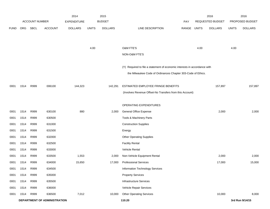|             |            |                       |                              | 2014               |              | 2015           |                                                                           |       |              | 2016             |              | 2016            |
|-------------|------------|-----------------------|------------------------------|--------------------|--------------|----------------|---------------------------------------------------------------------------|-------|--------------|------------------|--------------|-----------------|
|             |            | <b>ACCOUNT NUMBER</b> |                              | <b>EXPENDITURE</b> |              | <b>BUDGET</b>  |                                                                           | PAY   |              | REQUESTED BUDGET |              | PROPOSED BUDGET |
| <b>FUND</b> | <b>ORG</b> | <b>SBCL</b>           | <b>ACCOUNT</b>               | <b>DOLLARS</b>     | <b>UNITS</b> | <b>DOLLARS</b> | LINE DESCRIPTION                                                          | RANGE | <b>UNITS</b> | <b>DOLLARS</b>   | <b>UNITS</b> | <b>DOLLARS</b>  |
|             |            |                       |                              |                    |              |                |                                                                           |       |              |                  |              |                 |
|             |            |                       |                              |                    |              |                |                                                                           |       |              |                  |              |                 |
|             |            |                       |                              |                    | 4.00         |                | O&M FTE'S                                                                 |       | 4.00         |                  | 4.00         |                 |
|             |            |                       |                              |                    |              |                | NON-O&M FTE'S                                                             |       |              |                  |              |                 |
|             |            |                       |                              |                    |              |                | (Y) Required to file a statement of economic interests in accordance with |       |              |                  |              |                 |
|             |            |                       |                              |                    |              |                | the Milwaukee Code of Ordinances Chapter 303-Code of Ethics.              |       |              |                  |              |                 |
|             |            |                       |                              |                    |              |                |                                                                           |       |              |                  |              |                 |
| 0001        | 1514       | R999                  | 006100                       | 144,323            |              | 142,291        | ESTIMATED EMPLOYEE FRINGE BENEFITS                                        |       |              | 157,897          |              | 157,897         |
|             |            |                       |                              |                    |              |                | (Involves Revenue Offset-No Transfers from this Account)                  |       |              |                  |              |                 |
|             |            |                       |                              |                    |              |                |                                                                           |       |              |                  |              |                 |
|             |            |                       |                              |                    |              |                | OPERATING EXPENDITURES                                                    |       |              |                  |              |                 |
| 0001        | 1514       | R999                  | 630100                       | 880                |              | 2,000          | <b>General Office Expense</b>                                             |       |              | 2,000            |              | 2,000           |
| 0001        | 1514       | R999                  | 630500                       |                    |              |                | Tools & Machinery Parts                                                   |       |              |                  |              |                 |
| 0001        | 1514       | R999                  | 631000                       |                    |              |                | <b>Construction Supplies</b>                                              |       |              |                  |              |                 |
| 0001        | 1514       | R999                  | 631500                       |                    |              |                | Energy                                                                    |       |              |                  |              |                 |
| 0001        | 1514       | R999                  | 632000                       |                    |              |                | <b>Other Operating Supplies</b>                                           |       |              |                  |              |                 |
| 0001        | 1514       | R999                  | 632500                       |                    |              |                | <b>Facility Rental</b>                                                    |       |              |                  |              |                 |
| 0001        | 1514       | R999                  | 633000                       |                    |              |                | <b>Vehicle Rental</b>                                                     |       |              |                  |              |                 |
| 0001        | 1514       | R999                  | 633500                       | 1,553              |              | 2,000          | Non-Vehicle Equipment Rental                                              |       |              | 2,000            |              | 2,000           |
| 0001        | 1514       | R999                  | 634000                       | 15,650             |              | 17,000         | <b>Professional Services</b>                                              |       |              | 17,000           |              | 15,000          |
| 0001        | 1514       | R999                  | 634500                       |                    |              |                | Information Technology Services                                           |       |              |                  |              |                 |
| 0001        | 1514       | R999                  | 635000                       |                    |              |                | <b>Property Services</b>                                                  |       |              |                  |              |                 |
| 0001        | 1514       | R999                  | 635500                       |                    |              |                | <b>Infrastructure Services</b>                                            |       |              |                  |              |                 |
| 0001        | 1514       | R999                  | 636000                       |                    |              |                | Vehicle Repair Services                                                   |       |              |                  |              |                 |
| 0001        | 1514       | R999                  | 636500                       | 7,012              |              | 10,000         | <b>Other Operating Services</b>                                           |       |              | 10,000           |              | 8,000           |
|             |            |                       | DEPARTMENT OF ADMINISTRATION |                    |              |                | 110.20                                                                    |       |              |                  |              | 3rd Run 9/14/15 |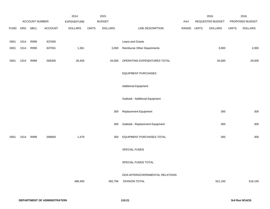|             |      |                |                | 2014           |              | 2015           |                                    |       |              | 2016                    |              | 2016            |
|-------------|------|----------------|----------------|----------------|--------------|----------------|------------------------------------|-------|--------------|-------------------------|--------------|-----------------|
|             |      | ACCOUNT NUMBER |                | EXPENDITURE    |              | <b>BUDGET</b>  |                                    | PAY   |              | <b>REQUESTED BUDGET</b> |              | PROPOSED BUDGET |
| <b>FUND</b> | ORG  | SBCL           | <b>ACCOUNT</b> | <b>DOLLARS</b> | <b>UNITS</b> | <b>DOLLARS</b> | LINE DESCRIPTION                   | RANGE | <b>UNITS</b> | <b>DOLLARS</b>          | <b>UNITS</b> | <b>DOLLARS</b>  |
|             |      |                |                |                |              |                |                                    |       |              |                         |              |                 |
| 0001        | 1514 | R999           | 637000         |                |              |                | Loans and Grants                   |       |              |                         |              |                 |
| 0001        | 1514 | R999           | 637501         | 1,361          |              | 3,000          | <b>Reimburse Other Departments</b> |       |              | 3,000                   |              | 2,000           |
|             |      |                |                |                |              |                |                                    |       |              |                         |              |                 |
| 0001        | 1514 | R999           | 006300         | 26,456         |              | 34,000         | OPERATING EXPENDITURES TOTAL       |       |              | 34,000                  |              | 29,000          |
|             |      |                |                |                |              |                |                                    |       |              |                         |              |                 |
|             |      |                |                |                |              |                | <b>EQUIPMENT PURCHASES</b>         |       |              |                         |              |                 |
|             |      |                |                |                |              |                |                                    |       |              |                         |              |                 |
|             |      |                |                |                |              |                | <b>Additional Equipment</b>        |       |              |                         |              |                 |
|             |      |                |                |                |              |                |                                    |       |              |                         |              |                 |
|             |      |                |                |                |              |                | Subtotal - Additional Equipment    |       |              |                         |              |                 |
|             |      |                |                |                |              | 300            | Replacement Equipment              |       |              | 300                     |              | 300             |
|             |      |                |                |                |              |                |                                    |       |              |                         |              |                 |
|             |      |                |                |                |              | 300            | Subtotal - Replacement Equipment   |       |              | 300                     |              | 300             |
|             |      |                |                |                |              |                |                                    |       |              |                         |              |                 |
| 0001        | 1514 | R999           | 006800         | 1,479          |              | 300            | EQUIPMENT PURCHASES TOTAL          |       |              | 300                     |              | 300             |
|             |      |                |                |                |              |                |                                    |       |              |                         |              |                 |
|             |      |                |                |                |              |                | SPECIAL FUNDS                      |       |              |                         |              |                 |
|             |      |                |                |                |              |                |                                    |       |              |                         |              |                 |
|             |      |                |                |                |              |                | SPECIAL FUNDS TOTAL                |       |              |                         |              |                 |
|             |      |                |                |                |              |                |                                    |       |              |                         |              |                 |
|             |      |                |                |                |              |                | DOA-INTERGOVERNMENTAL RELATIONS    |       |              |                         |              |                 |
|             |      |                |                | 486,450        |              | 492,794        | <b>DIVISION TOTAL</b>              |       |              | 521,150                 |              | 516,150         |
|             |      |                |                |                |              |                |                                    |       |              |                         |              |                 |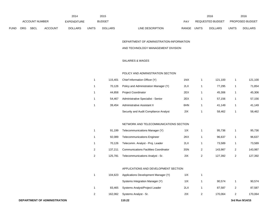|                | 2014 |                    |                |                | 2015  |                  | 2016                             |                         | 2016         |                |
|----------------|------|--------------------|----------------|----------------|-------|------------------|----------------------------------|-------------------------|--------------|----------------|
| ACCOUNT NUMBER |      | <b>EXPENDITURE</b> |                | <b>BUDGET</b>  | PAY   | REQUESTED BUDGET |                                  | <b>PROPOSED BUDGET</b>  |              |                |
| FUND           | ORG  | SBCL               | <b>ACCOUNT</b> | <b>DOLLARS</b> | UNITS | <b>DOLLARS</b>   | <b>RANGE</b><br>LINE DESCRIPTION | UNITS<br><b>DOLLARS</b> | <b>UNITS</b> | <b>DOLLARS</b> |

# DEPARTMENT OF ADMINISTRATION-INFORMATION

#### AND TECHNOLOGY MANAGEMENT DIVISION

# SALARIES & WAGES

#### POLICY AND ADMINISTRATION SECTION

| 115.401 | Chief Information Officer (Y)         | 1NX | 121.100 | 121,100 |
|---------|---------------------------------------|-----|---------|---------|
| 70.126  | Policy and Administration Manager (Y) | 2LX | 77.295  | 71,854  |
| 44.858  | <b>Project Coordinator</b>            | 2EX | 45.306  | 45,306  |
| 54.467  | Administrative Specialist - Senior    | 2EX | 57.156  | 57,156  |
| 39.454  | Administrative Assistant II           | 6HN | 41.149  | 41,149  |
|         | Security and Audit Compliance Analyst | 2IX | 58.462  | 58,462  |

# NETWORK AND TELECOMMUNICATIONS SECTION

|   | 91.199  | Telecommunications Manager (Y)               | 11X | 95.736  | 95,736  |
|---|---------|----------------------------------------------|-----|---------|---------|
|   | 92.089  | <b>Telecommunications Engineer</b>           | 2KX | 96.637  | 96,637  |
|   | 70.126  | Telecomm. Analyst - Proj. Leader             | 2LX | 73.589  | 73,589  |
| 2 | 137.211 | <b>Communications Facilities Coordinator</b> | 3SN | 143.987 | 143.987 |
|   | 125.781 | Telecommunications Analyst - Sr.             | 2IX | 127.392 | 127,392 |

#### APPLICATIONS AND DEVELOPMENT SECTION

|   | 104.623 | Applications Development Manager (Y) | 11X            |         |         |
|---|---------|--------------------------------------|----------------|---------|---------|
|   |         | Systems Integration Manager (Y)      | 11X            | 90.574  | 90,574  |
|   | 83.465  | Systems Analyst/Project Leader       | 2LX            | 87.587  | 87,587  |
| 2 | 162.062 | Systems Analyst - Sr.                | 2 <sup>N</sup> | 170.064 | 170,064 |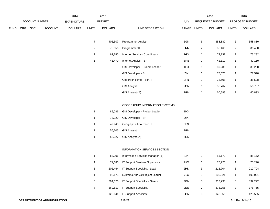|      |     |                       | 2015<br>2014   |                    |                |                |                                | 2016  |                |                  | 2016           |                 |  |
|------|-----|-----------------------|----------------|--------------------|----------------|----------------|--------------------------------|-------|----------------|------------------|----------------|-----------------|--|
|      |     | <b>ACCOUNT NUMBER</b> |                | <b>EXPENDITURE</b> |                | <b>BUDGET</b>  |                                | PAY   |                | REQUESTED BUDGET |                | PROPOSED BUDGET |  |
| FUND | ORG | SBCL                  | <b>ACCOUNT</b> | <b>DOLLARS</b>     | <b>UNITS</b>   | <b>DOLLARS</b> | LINE DESCRIPTION               | RANGE | <b>UNITS</b>   | <b>DOLLARS</b>   | <b>UNITS</b>   | <b>DOLLARS</b>  |  |
|      |     |                       |                |                    |                |                |                                |       |                |                  |                |                 |  |
|      |     |                       |                |                    | $\overline{7}$ | 405,507        | <b>Programmer Analyst</b>      | 2GN   | 6              | 358,880          | 6              | 358,880         |  |
|      |     |                       |                |                    | 2              | 75,356         | Programmer II                  | 3NN   | $\overline{2}$ | 86,468           | $\overline{2}$ | 86,468          |  |
|      |     |                       |                |                    |                | 69,786         | Internet Services Coordinator  | 2GX   | $\mathbf{1}$   | 73,232           | $\mathbf{1}$   | 73,232          |  |
|      |     |                       |                |                    | 1              | 41,470         | Internet Analyst - Sr.         | 5FN   | $\mathbf{1}$   | 42,110           | $\mathbf{1}$   | 42,110          |  |
|      |     |                       |                |                    |                |                | GIS Developer - Project Leader | 1HX   | $\mathbf{1}$   | 89,288           | $\mathbf{1}$   | 89,288          |  |
|      |     |                       |                |                    |                |                | GIS Developer - Sr.            | 2IX   | $\mathbf{1}$   | 77,570           | $\mathbf{1}$   | 77,570          |  |
|      |     |                       |                |                    |                |                | Geographic Info. Tech. II      | 3FN   | $\mathbf{1}$   | 38,508           | $\mathbf{1}$   | 38,508          |  |
|      |     |                       |                |                    |                |                | <b>GIS Analyst</b>             | 2GN   | $\mathbf{1}$   | 56,767           | $\mathbf{1}$   | 56,767          |  |
|      |     |                       |                |                    |                |                | GIS Analyst (A)                | 2GN   | $\mathbf{1}$   | 60,893           | $\mathbf{1}$   | 60,893          |  |
|      |     |                       |                |                    |                |                |                                |       |                |                  |                |                 |  |
|      |     |                       |                |                    |                |                |                                |       |                |                  |                |                 |  |

#### GEOGRAPHIC INFORMATION SYSTEMS

| 1 | 85.086 | GIS Developer - Project Leader | 1HX |
|---|--------|--------------------------------|-----|
| 1 | 73.920 | GIS Developer - Sr.            | 2IX |
| 1 | 42.940 | Geographic Info. Tech. II      | 3FN |
| 1 |        | 56,205 GIS Analyst             | 2GN |
| 1 | 58.027 | GIS Analyst (A)                | 2GN |

# INFORMATION SERVICES SECTION

|   | 83.206  | Information Services Manager (Y)      | 11X |   | 85,172  |   | 85,172  |
|---|---------|---------------------------------------|-----|---|---------|---|---------|
|   | 71.680  | <b>IT Support Services Supervisor</b> | 2KX |   | 75.220  |   | 75,220  |
| 3 | 206.464 | IT Support Specialist - Lead          | 2HN | 3 | 212.704 | 3 | 212,704 |
|   | 98.173  | Systems Analyst/Project Leader        | 2LX |   | 103.021 |   | 103,021 |
| 5 | 304.676 | <b>IT Support Specialist - Senior</b> | 2GN | 5 | 312.293 | 6 | 392,272 |
|   | 369.517 | <b>IT Support Specialist</b>          | 2EN |   | 378.755 |   | 378,755 |
| 3 | 125.641 | <b>IT Support Associate</b>           | 5GN | 3 | 128.555 | 3 | 128,555 |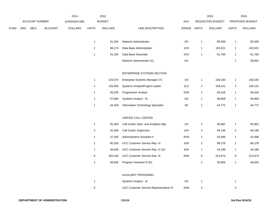|      |     |                |                | 2014               |                | 2015           |                                      |       |                         | 2016             |                | 2016            |
|------|-----|----------------|----------------|--------------------|----------------|----------------|--------------------------------------|-------|-------------------------|------------------|----------------|-----------------|
|      |     | ACCOUNT NUMBER |                | <b>EXPENDITURE</b> |                | <b>BUDGET</b>  |                                      | PAY   |                         | REQUESTED BUDGET |                | PROPOSED BUDGET |
| FUND | ORG | <b>SBCL</b>    | <b>ACCOUNT</b> | <b>DOLLARS</b>     | <b>UNITS</b>   | <b>DOLLARS</b> | LINE DESCRIPTION                     | RANGE | <b>UNITS</b>            | <b>DOLLARS</b>   | <b>UNITS</b>   | <b>DOLLARS</b>  |
|      |     |                |                |                    | $\mathbf{1}$   | 81,034         | Network Administrator                | 2IX   | $\mathbf{1}$            | 85,036           | $\mathbf{1}$   | 85,036          |
|      |     |                |                |                    | $\mathbf{1}$   | 98,174         | Data Base Administrator              | 1HX   | $\mathbf{1}$            | 103,021          | $\mathbf{1}$   | 103,021         |
|      |     |                |                |                    | $\mathbf{1}$   | 61,155         | Data Base Associate                  | 2GX   | 1                       | 61,766           | $\mathbf{1}$   | 61,766          |
|      |     |                |                |                    |                |                | Network Administrator (X)            | 2IX   |                         |                  | $\overline{1}$ | 58,981          |
|      |     |                |                |                    |                |                | ENTERPRISE SYSTEMS SECTION           |       |                         |                  |                |                 |
|      |     |                |                |                    | $\mathbf{1}$   | 103,070        | Enterprise Systems Manager (Y)       | 11X   | $\mathbf{1}$            | 108,160          | $\mathbf{1}$   | 108,160         |
|      |     |                |                |                    | $\sqrt{2}$     | 155,050        | Systems Analyst/Project Leader       | 2LX   | $\overline{\mathbf{c}}$ | 158,151          | $\overline{c}$ | 158,151         |
|      |     |                |                |                    | $\mathbf{1}$   | 56,205         | Programmer Analyst                   | 2GN   | $\mathbf{1}$            | 60,426           | -1             | 60,426          |
|      |     |                |                |                    | $\mathbf{1}$   | 57,884         | Systems Analyst - Sr.                | 2IX   | $\mathbf{1}$            | 58,958           | 1              | 58,958          |
|      |     |                |                |                    | $\mathbf{1}$   | 44,329         | Information Technology Specialist    | 3G    | $\mathbf{1}$            | 44,772           | 1              | 44,772          |
|      |     |                |                |                    |                |                | UNIFIED CALL CENTER                  |       |                         |                  |                |                 |
|      |     |                |                |                    | $\mathbf{1}$   | 91,350         | Call Center Oper. and Analytics Mgr. | 11X   | $\mathbf{1}$            | 95,862           | $\mathbf{1}$   | 95,862          |
|      |     |                |                |                    | $\overline{2}$ | 91,958         | Call Center Supervisor               | 1AX   | $\sqrt{2}$              | 94,146           | $\overline{2}$ | 94,146          |
|      |     |                |                |                    | $\mathbf{1}$   | 37,345         | Administrative Assistant II          | 6HN   | $\mathbf{1}$            | 43,496           | $\mathbf{1}$   | 43,496          |
|      |     |                |                |                    | $\overline{2}$ | 80,200         | UCC Customer Service Rep. IV         | 6JN   | $\overline{\mathbf{c}}$ | 86,278           | $\overline{2}$ | 86,278          |
|      |     |                |                |                    | $\mathbf{1}$   | 46,628         | UCC Customer Service Rep. IV (D)     | 6JN   | $\mathbf{1}$            | 44,198           | $\mathbf{1}$   | 44,198          |
|      |     |                |                |                    | 9              | 305,433        | UCC Customer Service Rep. III        | 6HN   | 9                       | 313,974          | 9              | 313,974         |
|      |     |                |                |                    | $\mathbf{1}$   | 46,628         | Program Assistant III (D)            |       | $\mathbf{1}$            | 50,859           | $\mathbf{1}$   | 49,643          |
|      |     |                |                |                    |                |                | AUXILIARY PERSONNEL                  |       |                         |                  |                |                 |
|      |     |                |                |                    | $\mathbf{1}$   |                | Systems Analyst - Sr.                | 2IX   | $\mathbf{1}$            |                  | $\mathbf{1}$   |                 |

3 UCC Customer Service Representative III 6HN 3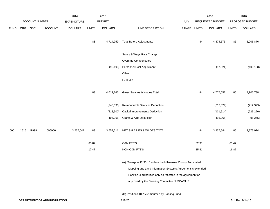|             |      |                       |                | 2014               |              | 2015           |                                                              |       |              | 2016             |              | 2016            |
|-------------|------|-----------------------|----------------|--------------------|--------------|----------------|--------------------------------------------------------------|-------|--------------|------------------|--------------|-----------------|
|             |      | <b>ACCOUNT NUMBER</b> |                | <b>EXPENDITURE</b> |              | <b>BUDGET</b>  |                                                              | PAY   |              | REQUESTED BUDGET |              | PROPOSED BUDGET |
| <b>FUND</b> | ORG  | SBCL                  | <b>ACCOUNT</b> | <b>DOLLARS</b>     | <b>UNITS</b> | <b>DOLLARS</b> | LINE DESCRIPTION                                             | RANGE | <b>UNITS</b> | <b>DOLLARS</b>   | <b>UNITS</b> | <b>DOLLARS</b>  |
|             |      |                       |                |                    | 83           | 4,714,959      | <b>Total Before Adjustments</b>                              |       | 84           | 4,874,576        | 86           | 5,006,876       |
|             |      |                       |                |                    |              |                | Salary & Wage Rate Change                                    |       |              |                  |              |                 |
|             |      |                       |                |                    |              |                | Overtime Compensated                                         |       |              |                  |              |                 |
|             |      |                       |                |                    |              | (95, 193)      | Personnel Cost Adjustment                                    |       |              | (97, 524)        |              | (100, 138)      |
|             |      |                       |                |                    |              |                | Other                                                        |       |              |                  |              |                 |
|             |      |                       |                |                    |              |                | Furlough                                                     |       |              |                  |              |                 |
|             |      |                       |                |                    | 83           | 4,619,766      | Gross Salaries & Wages Total                                 |       | 84           | 4,777,052        | 86           | 4,906,738       |
|             |      |                       |                |                    |              | (748,090)      | Reimbursable Services Deduction                              |       |              | (712, 329)       |              | (712, 329)      |
|             |      |                       |                |                    |              | (218,900)      | <b>Capital Improvements Deduction</b>                        |       |              | (131, 914)       |              | (225, 220)      |
|             |      |                       |                |                    |              | (95, 265)      | <b>Grants &amp; Aids Deduction</b>                           |       |              | (95, 265)        |              | (95, 265)       |
| 0001        | 1515 | R999                  | 006000         | 3,237,041          | 83           | 3,557,511      | NET SALARIES & WAGES TOTAL                                   |       | 84           | 3,837,544        | 86           | 3,873,924       |
|             |      |                       |                |                    | 60.87        |                | O&M FTE'S                                                    |       | 62.93        |                  | 63.47        |                 |
|             |      |                       |                |                    | 17.47        |                | NON-O&M FTE'S                                                |       | 15.41        |                  | 16.87        |                 |
|             |      |                       |                |                    |              |                | (A) To expire 12/31/16 unless the Milwaukee County Automated |       |              |                  |              |                 |
|             |      |                       |                |                    |              |                | Mapping and Land Information Systems Agreement is extended.  |       |              |                  |              |                 |
|             |      |                       |                |                    |              |                | Position is authorized only as reflected in the agreement as |       |              |                  |              |                 |
|             |      |                       |                |                    |              |                | approved by the Steering Committee of MCAMLIS.               |       |              |                  |              |                 |
|             |      |                       |                |                    |              |                | (D) Positions 100% reimbursed by Parking Fund.               |       |              |                  |              |                 |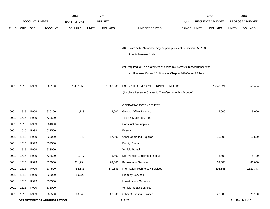|             |            |                       |                              | 2014               |              | 2015           |                                                                           |             | 2016             |              | 2016            |
|-------------|------------|-----------------------|------------------------------|--------------------|--------------|----------------|---------------------------------------------------------------------------|-------------|------------------|--------------|-----------------|
|             |            | <b>ACCOUNT NUMBER</b> |                              | <b>EXPENDITURE</b> |              | <b>BUDGET</b>  |                                                                           | <b>PAY</b>  | REQUESTED BUDGET |              | PROPOSED BUDGET |
| <b>FUND</b> | <b>ORG</b> | SBCL                  | <b>ACCOUNT</b>               | <b>DOLLARS</b>     | <b>UNITS</b> | <b>DOLLARS</b> | LINE DESCRIPTION                                                          | RANGE UNITS | <b>DOLLARS</b>   | <b>UNITS</b> | <b>DOLLARS</b>  |
|             |            |                       |                              |                    |              |                |                                                                           |             |                  |              |                 |
|             |            |                       |                              |                    |              |                |                                                                           |             |                  |              |                 |
|             |            |                       |                              |                    |              |                | (X) Private Auto Allowance may be paid pursuant to Section 350-183        |             |                  |              |                 |
|             |            |                       |                              |                    |              |                | of the Milwaukee Code.                                                    |             |                  |              |                 |
|             |            |                       |                              |                    |              |                | (Y) Required to file a statement of economic interests in accordance with |             |                  |              |                 |
|             |            |                       |                              |                    |              |                | the Milwaukee Code of Ordinances Chapter 303-Code of Ethics.              |             |                  |              |                 |
|             |            |                       |                              |                    |              |                |                                                                           |             |                  |              |                 |
| 0001        | 1515       | R999                  | 006100                       | 1,462,658          |              | 1,600,880      | ESTIMATED EMPLOYEE FRINGE BENEFITS                                        |             | 1,842,021        |              | 1,859,484       |
|             |            |                       |                              |                    |              |                | (Involves Revenue Offset-No Transfers from this Account)                  |             |                  |              |                 |
|             |            |                       |                              |                    |              |                |                                                                           |             |                  |              |                 |
|             |            |                       |                              |                    |              |                | OPERATING EXPENDITURES                                                    |             |                  |              |                 |
| 0001        | 1515       | R999                  | 630100                       | 1,733              |              | 6,000          | <b>General Office Expense</b>                                             |             | 6,000            |              | 3,000           |
| 0001        | 1515       | R999                  | 630500                       |                    |              |                | Tools & Machinery Parts                                                   |             |                  |              |                 |
| 0001        | 1515       | R999                  | 631000                       |                    |              |                | <b>Construction Supplies</b>                                              |             |                  |              |                 |
| 0001        | 1515       | R999                  | 631500                       |                    |              |                | Energy                                                                    |             |                  |              |                 |
| 0001        | 1515       | R999                  | 632000                       | 340                |              | 17,000         | <b>Other Operating Supplies</b>                                           |             | 16,500           |              | 13,500          |
| 0001        | 1515       | R999                  | 632500                       |                    |              |                | <b>Facility Rental</b>                                                    |             |                  |              |                 |
| 0001        | 1515       | R999                  | 633000                       |                    |              |                | Vehicle Rental                                                            |             |                  |              |                 |
| 0001        | 1515       | R999                  | 633500                       | 1,477              |              | 5,400          | Non-Vehicle Equipment Rental                                              |             | 5,400            |              | 5,400           |
| 0001        | 1515       | R999                  | 634000                       | 201,294            |              | 62,000         | <b>Professional Services</b>                                              |             | 62,000           |              | 62,000          |
| 0001        | 1515       | R999                  | 634500                       | 732,135            |              | 870,343        | Information Technology Services                                           |             | 898,843          |              | 1,120,343       |
| 0001        | 1515       | R999                  | 635000                       | 10,723             |              |                | <b>Property Services</b>                                                  |             |                  |              |                 |
| 0001        | 1515       | R999                  | 635500                       |                    |              |                | <b>Infrastructure Services</b>                                            |             |                  |              |                 |
| 0001        | 1515       | R999                  | 636000                       |                    |              |                | Vehicle Repair Services                                                   |             |                  |              |                 |
| 0001        | 1515       | R999                  | 636500                       | 18,243             |              | 22,000         | <b>Other Operating Services</b>                                           |             | 22,000           |              | 20,100          |
|             |            |                       | DEPARTMENT OF ADMINISTRATION |                    |              |                | 110.26                                                                    |             |                  |              | 3rd Run 9/14/15 |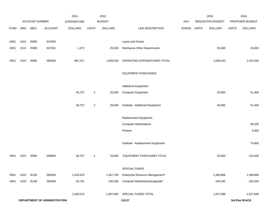|             |      |                  |                              | 2014               |                | 2015           |                                    |             | 2016             |              | 2016            |
|-------------|------|------------------|------------------------------|--------------------|----------------|----------------|------------------------------------|-------------|------------------|--------------|-----------------|
|             |      | ACCOUNT NUMBER   |                              | <b>EXPENDITURE</b> |                | <b>BUDGET</b>  |                                    | PAY         | REQUESTED BUDGET |              | PROPOSED BUDGET |
| <b>FUND</b> | ORG  | <b>SBCL</b>      | <b>ACCOUNT</b>               | <b>DOLLARS</b>     | <b>UNITS</b>   | <b>DOLLARS</b> | LINE DESCRIPTION                   | RANGE UNITS | <b>DOLLARS</b>   | <b>UNITS</b> | <b>DOLLARS</b>  |
|             |      |                  |                              |                    |                |                |                                    |             |                  |              |                 |
| 0001        | 1515 | R999             | 637000                       |                    |                |                | Loans and Grants                   |             |                  |              |                 |
| 0001        | 1515 | R999             | 637501                       | 1,272              |                | 25,500         | <b>Reimburse Other Departments</b> |             | 25,500           |              | 20,000          |
|             |      |                  |                              |                    |                |                |                                    |             |                  |              |                 |
| 0001        | 1515 | R999             | 006300                       | 967,217            |                | 1,008,243      | OPERATING EXPENDITURES TOTAL       |             | 1,036,243        |              | 1,244,343       |
|             |      |                  |                              |                    |                |                |                                    |             |                  |              |                 |
|             |      |                  |                              |                    |                |                | <b>EQUIPMENT PURCHASES</b>         |             |                  |              |                 |
|             |      |                  |                              |                    |                |                |                                    |             |                  |              |                 |
|             |      |                  |                              |                    |                |                | <b>Additional Equipment</b>        |             |                  |              |                 |
|             |      |                  |                              | 40,727             | $\overline{c}$ | 25,000         | <b>Computer Equipment</b>          |             | 25,000           |              | 51,400          |
|             |      |                  |                              |                    |                |                |                                    |             |                  |              |                 |
|             |      |                  |                              | 40,727             | $\overline{a}$ | 25,000         | Subtotal - Additional Equipment    |             | 25,000           |              | 51,400          |
|             |      |                  |                              |                    |                |                |                                    |             |                  |              |                 |
|             |      |                  |                              |                    |                |                | Replacement Equipment              |             |                  |              |                 |
|             |      |                  |                              |                    |                |                | <b>Computer Workstations</b>       |             |                  |              | 65,200          |
|             |      |                  |                              |                    |                |                | Printers                           |             |                  |              | 8,400           |
|             |      |                  |                              |                    |                |                |                                    |             |                  |              |                 |
|             |      |                  |                              |                    |                |                | Subtotal - Replacement Equipment   |             |                  |              | 73,600          |
|             |      |                  |                              |                    |                |                |                                    |             |                  |              |                 |
| 0001        | 1515 | R999             | 006800                       | 40,727             | $\overline{a}$ | 25,000         | EQUIPMENT PURCHASES TOTAL          |             | 25,000           |              | 125,000         |
|             |      |                  |                              |                    |                |                |                                    |             |                  |              |                 |
|             |      |                  |                              |                    |                |                | SPECIAL FUNDS                      |             |                  |              |                 |
| 0001        | 1510 | R <sub>158</sub> | 006300                       | 1,319,423          |                | 1,357,765      | Enterprise Resource Management*    |             | 1,396,868        |              | 1,396,868       |
| 0001        | 1510 | R148             | 006300                       | 29,791             |                | 230,200        | Computer Maintenance/Upgrade*      |             | 230,200          |              | 230,200         |
|             |      |                  |                              |                    |                |                |                                    |             |                  |              |                 |
|             |      |                  |                              | 1,349,214          |                | 1,587,965      | SPECIAL FUNDS TOTAL                |             | 1,627,068        |              | 1,627,068       |
|             |      |                  | DEPARTMENT OF ADMINISTRATION |                    |                |                | 110.27                             |             |                  |              | 3rd Run 9/14/15 |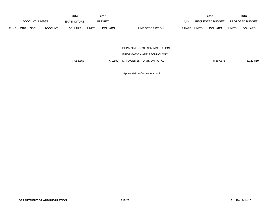|             |                       |             |                | 2014           |               | 2015           |                              |       |                         | 2016           |                 | 2016           |
|-------------|-----------------------|-------------|----------------|----------------|---------------|----------------|------------------------------|-------|-------------------------|----------------|-----------------|----------------|
|             | <b>ACCOUNT NUMBER</b> |             | EXPENDITURE    |                | <b>BUDGET</b> |                | <b>PAY</b>                   |       | <b>REQUESTED BUDGET</b> |                | PROPOSED BUDGET |                |
| <b>FUND</b> | <b>ORG</b>            | <b>SBCL</b> | <b>ACCOUNT</b> | <b>DOLLARS</b> | <b>UNITS</b>  | <b>DOLLARS</b> | LINE DESCRIPTION             | RANGE | <b>UNITS</b>            | <b>DOLLARS</b> | <b>UNITS</b>    | <b>DOLLARS</b> |
|             |                       |             |                |                |               |                | DEPARTMENT OF ADMINISTRATION |       |                         |                |                 |                |

INFORMATION AND TECHNOLOGY

7,056,857 7,779,599 MANAGEMENT DIVISION TOTAL 8,367,876 8,729,819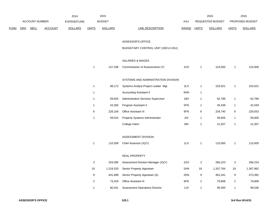|      |            |                       | 2014           |                    | 2015                      |                |                                       | 2016         |                         | 2016             |                  |                 |
|------|------------|-----------------------|----------------|--------------------|---------------------------|----------------|---------------------------------------|--------------|-------------------------|------------------|------------------|-----------------|
|      |            | <b>ACCOUNT NUMBER</b> |                | <b>EXPENDITURE</b> |                           | <b>BUDGET</b>  |                                       | PAY          |                         | REQUESTED BUDGET |                  | PROPOSED BUDGET |
| FUND | <b>ORG</b> | <b>SBCL</b>           | <b>ACCOUNT</b> | <b>DOLLARS</b>     | <b>UNITS</b>              | <b>DOLLARS</b> | <b>LINE DESCRIPTION</b>               | <b>RANGE</b> | <b>UNITS</b>            | <b>DOLLARS</b>   | <b>UNITS</b>     | <b>DOLLARS</b>  |
|      |            |                       |                |                    |                           |                |                                       |              |                         |                  |                  |                 |
|      |            |                       |                |                    |                           |                | ASSESSOR'S OFFICE                     |              |                         |                  |                  |                 |
|      |            |                       |                |                    |                           |                | BUDGETARY CONTROL UNIT (1BCU=1DU)     |              |                         |                  |                  |                 |
|      |            |                       |                |                    |                           |                |                                       |              |                         |                  |                  |                 |
|      |            |                       |                |                    |                           |                | SALARIES & WAGES                      |              |                         |                  |                  |                 |
|      |            |                       |                |                    | $\mathbf{1}$              | 147,336        | Commissioner of Assessments (Y)       | 1OX          | $\mathbf{1}$            | 124,000          | $\mathbf{1}$     | 124,000         |
|      |            |                       |                |                    |                           |                |                                       |              |                         |                  |                  |                 |
|      |            |                       |                |                    |                           |                | SYSTEMS AND ADMINISTRATION DIVISION   |              |                         |                  |                  |                 |
|      |            |                       |                |                    | $\mathbf{1}$              | 98,172         | Systems Analyst Project Leader Mgr.   | 2LX          | $\mathbf{1}$            | 103,021          | $\mathbf{1}$     | 103,021         |
|      |            |                       |                |                    | $\mathbf{1}$              |                | <b>Accounting Assistant II</b>        | 6HN          | $\mathbf{1}$            |                  |                  |                 |
|      |            |                       |                |                    | 1                         | 59,834         | Administrative Services Supervisor    | 1BX          | 1                       | 62,789           | $\mathbf{1}$     | 62,789          |
|      |            |                       |                |                    | $\mathbf{1}$              | 43,300         | Program Assistant II                  | 5FN          | $\mathbf{1}$            | 45,438           | $\mathbf{1}$     | 42,539          |
|      |            |                       |                |                    | 6                         | 228,156        | Office Assistant III                  | 6FN          | 6                       | 234,740          | $\,6\,$          | 229,553         |
|      |            |                       |                |                    | $\mathbf{1}$              | 59,015         | <b>Property Systems Administrator</b> | $2IX$        | $\mathbf{1}$            | 59,605           | $\mathbf{1}$     | 59,605          |
|      |            |                       |                |                    |                           |                | College Intern                        | 9I           | $\mathbf{1}$            | 21,507           | $\mathbf{1}$     | 21,507          |
|      |            |                       |                |                    |                           |                |                                       |              |                         |                  |                  |                 |
|      |            |                       |                |                    |                           |                | ASSESSMENT DIVISION                   |              |                         |                  |                  |                 |
|      |            |                       |                |                    | $\mathbf{1}$              | 110,558        | Chief Assessor (X)(Y)                 | 1LX          | $\mathbf{1}$            | 110,000          | $\mathbf{1}$     | 110,000         |
|      |            |                       |                |                    |                           |                |                                       |              |                         |                  |                  |                 |
|      |            |                       |                |                    |                           |                | REAL PROPERTY                         |              |                         |                  |                  |                 |
|      |            |                       |                |                    | $\ensuremath{\mathsf{3}}$ | 254,095        | Assessment Division Manager (X)(Y)    | 1GX          | 3                       | 266,223          | 3                | 266,224         |
|      |            |                       |                |                    | $19$                      | 1,218,333      | Senior Property Appraiser             | 2HN          | 19                      | 1,337,764        | 19               | 1,367,962       |
|      |            |                       |                |                    | 9                         | 441,689        | Senior Property Appraiser (A)         | 2DN          | $\boldsymbol{9}$        | 461,041          | $\boldsymbol{9}$ | 473,381         |
|      |            |                       |                |                    | 2                         | 73,429         | Office Assistant III                  | 6FN          | $\overline{\mathbf{c}}$ | 79,808           | $\overline{a}$   | 79,808          |
|      |            |                       |                |                    | $\mathbf{1}$              | 80,441         | <b>Assessment Operations Director</b> | 1JX          | 1                       | 95,000           | 1                | 99,536          |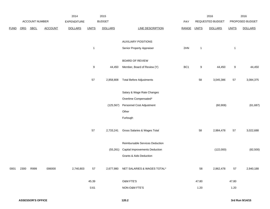|            |             |                | 2014           |              | 2015           |                                    |                                                                     |              | 2016           |                               | 2016            |
|------------|-------------|----------------|----------------|--------------|----------------|------------------------------------|---------------------------------------------------------------------|--------------|----------------|-------------------------------|-----------------|
|            |             |                | EXPENDITURE    |              |                |                                    | PAY                                                                 |              |                |                               | PROPOSED BUDGET |
| <b>ORG</b> | <b>SBCL</b> | <b>ACCOUNT</b> | <b>DOLLARS</b> | <b>UNITS</b> | <b>DOLLARS</b> | <b>LINE DESCRIPTION</b>            | RANGE                                                               | <b>UNITS</b> | <b>DOLLARS</b> | <b>UNITS</b>                  | <b>DOLLARS</b>  |
|            |             |                |                |              |                |                                    |                                                                     |              |                |                               |                 |
|            |             |                |                |              |                | <b>AUXILIARY POSITIONS</b>         |                                                                     |              |                |                               |                 |
|            |             |                |                | $\mathbf{1}$ |                | Senior Property Appraiser          | 2HN                                                                 | $\mathbf{1}$ |                | $\mathbf{1}$                  |                 |
|            |             |                |                |              |                |                                    |                                                                     |              |                |                               |                 |
|            |             |                |                |              |                | <b>BOARD OF REVIEW</b>             |                                                                     |              |                |                               |                 |
|            |             |                |                | $9\,$        | 44,450         | Member, Board of Review (Y)        | BC <sub>1</sub>                                                     | 9            | 44,450         | 9                             | 44,450          |
|            |             |                |                |              |                |                                    |                                                                     |              |                |                               |                 |
|            |             |                |                | 57           | 2,858,808      | <b>Total Before Adjustments</b>    |                                                                     | 58           | 3,045,386      | 57                            | 3,084,375       |
|            |             |                |                |              |                |                                    |                                                                     |              |                |                               |                 |
|            |             |                |                |              |                |                                    |                                                                     |              |                |                               |                 |
|            |             |                |                |              |                | Overtime Compensated*              |                                                                     |              |                |                               |                 |
|            |             |                |                |              | (125, 567)     | Personnel Cost Adjustment          |                                                                     |              |                |                               | (61, 687)       |
|            |             |                |                |              |                | Other                              |                                                                     |              |                |                               |                 |
|            |             |                |                |              |                | Furlough                           |                                                                     |              |                |                               |                 |
|            |             |                |                |              |                |                                    |                                                                     |              |                |                               |                 |
|            |             |                |                | 57           | 2,733,241      | Gross Salaries & Wages Total       |                                                                     | 58           | 2,984,478      | 57                            | 3,022,688       |
|            |             |                |                |              |                |                                    |                                                                     |              |                |                               |                 |
|            |             |                |                |              |                | Reimbursable Services Deduction    |                                                                     |              |                |                               |                 |
|            |             |                |                |              | (55, 261)      | Capital Improvements Deduction     |                                                                     |              | (122,000)      |                               | (82, 500)       |
|            |             |                |                |              |                | <b>Grants &amp; Aids Deduction</b> |                                                                     |              |                |                               |                 |
|            |             |                |                |              |                |                                    |                                                                     |              |                |                               |                 |
| 2300       | R999        | 006000         | 2,740,803      | 57           |                |                                    |                                                                     | 58           | 2,862,478      | 57                            | 2,940,188       |
|            |             |                |                |              |                |                                    |                                                                     |              |                |                               |                 |
|            |             |                |                | 45.39        |                | O&M FTE'S                          |                                                                     | 47.80        |                | 47.80                         |                 |
|            |             |                |                | 0.61         |                | NON-O&M FTE'S                      |                                                                     | 1.20         |                | 1.20                          |                 |
|            |             |                | ACCOUNT NUMBER |              |                | <b>BUDGET</b>                      | Salary & Wage Rate Changes<br>2,677,980 NET SALARIES & WAGES TOTAL* |              |                | REQUESTED BUDGET<br>(60, 908) |                 |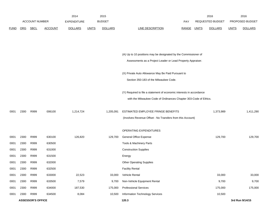|             |                       |             |                    | 2014           | 2015          |                |                                  |                         | 2016           | 2016                   |                |
|-------------|-----------------------|-------------|--------------------|----------------|---------------|----------------|----------------------------------|-------------------------|----------------|------------------------|----------------|
|             | <b>ACCOUNT NUMBER</b> |             | <b>EXPENDITURE</b> |                | <b>BUDGET</b> | PAY            |                                  | <b>REQUESTED BUDGET</b> |                | <b>PROPOSED BUDGET</b> |                |
| <b>FUND</b> | ORG                   | <b>SBCL</b> | <b>ACCOUNT</b>     | <b>DOLLARS</b> | <b>UNITS</b>  | <b>DOLLARS</b> | LINE DESCRIPTION<br><b>RANGE</b> | UNITS                   | <b>DOLLARS</b> | <b>UNITS</b>           | <b>DOLLARS</b> |

|      |      |      |        |           |           | (A) Up to 10 positions may be designated by the Commissioner of<br>Assessments as a Project Leader or Lead Property Appraiser.            |           |           |
|------|------|------|--------|-----------|-----------|-------------------------------------------------------------------------------------------------------------------------------------------|-----------|-----------|
|      |      |      |        |           |           | (X) Private Auto Allowance May Be Paid Pursuant to<br>Section 350-183 of the Milwaukee Code.                                              |           |           |
|      |      |      |        |           |           | (Y) Required to file a statement of economic interests in accordance<br>with the Milwaukee Code of Ordinances Chapter 303-Code of Ethics. |           |           |
| 0001 | 2300 | R999 | 006100 | 1,214,724 | 1,205,091 | ESTIMATED EMPLOYEE FRINGE BENEFITS<br>(Involves Revenue Offset - No Transfers from this Account)                                          | 1,373,989 | 1,411,290 |
|      |      |      |        |           |           | OPERATING EXPENDITURES                                                                                                                    |           |           |
| 0001 | 2300 | R999 | 630100 | 126,820   | 129,700   | General Office Expense                                                                                                                    | 129,700   | 129,700   |
| 0001 | 2300 | R999 | 630500 |           |           | Tools & Machinery Parts                                                                                                                   |           |           |
| 0001 | 2300 | R999 | 631000 |           |           | <b>Construction Supplies</b>                                                                                                              |           |           |
| 0001 | 2300 | R999 | 631500 |           |           | Energy                                                                                                                                    |           |           |
| 0001 | 2300 | R999 | 632000 |           |           | <b>Other Operating Supplies</b>                                                                                                           |           |           |
| 0001 | 2300 | R999 | 632500 |           |           | <b>Facility Rental</b>                                                                                                                    |           |           |
| 0001 | 2300 | R999 | 633000 | 22,523    | 33,000    | Vehicle Rental                                                                                                                            | 33,000    | 33,000    |
| 0001 | 2300 | R999 | 633500 | 7,579     | 9,700     | Non-Vehicle Equipment Rental                                                                                                              | 9,700     | 9,700     |
| 0001 | 2300 | R999 | 634000 | 187,530   | 175,000   | <b>Professional Services</b>                                                                                                              | 175,000   | 175,000   |
| 0001 | 2300 | R999 | 634500 | 8,084     | 10,500    | Information Technology Services                                                                                                           | 10,500    |           |
|      |      |      |        |           |           |                                                                                                                                           |           |           |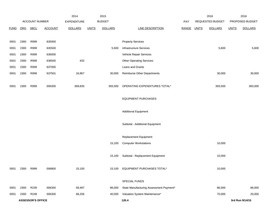|             |            |                          |                | 2014               |              | 2015           |                                         |              |              | 2016             |              | 2016            |
|-------------|------------|--------------------------|----------------|--------------------|--------------|----------------|-----------------------------------------|--------------|--------------|------------------|--------------|-----------------|
|             |            | ACCOUNT NUMBER           |                | <b>EXPENDITURE</b> |              | <b>BUDGET</b>  |                                         | PAY          |              | REQUESTED BUDGET |              | PROPOSED BUDGET |
| <b>FUND</b> | <b>ORG</b> | <b>SBCL</b>              | <b>ACCOUNT</b> | <b>DOLLARS</b>     | <b>UNITS</b> | <b>DOLLARS</b> | <b>LINE DESCRIPTION</b>                 | <b>RANGE</b> | <b>UNITS</b> | <b>DOLLARS</b>   | <b>UNITS</b> | <b>DOLLARS</b>  |
|             |            |                          |                |                    |              |                |                                         |              |              |                  |              |                 |
| 0001        | 2300       | R999                     | 635000         |                    |              |                | <b>Property Services</b>                |              |              |                  |              |                 |
| 0001        | 2300       | R999                     | 635500         |                    |              | 5,600          | <b>Infrastructure Services</b>          |              |              | 5,600            |              | 5,600           |
| 0001        | 2300       | R999                     | 636000         |                    |              |                | Vehicle Repair Services                 |              |              |                  |              |                 |
| 0001        | 2300       | R999                     | 636500         | 432                |              |                | <b>Other Operating Services</b>         |              |              |                  |              |                 |
| 0001        | 2300       | R999                     | 637000         |                    |              |                | Loans and Grants                        |              |              |                  |              |                 |
| 0001        | 2300       | R999                     | 637501         | 16,867             |              | 30,000         | <b>Reimburse Other Departments</b>      |              |              | 30,000           |              | 30,000          |
|             |            |                          |                |                    |              |                |                                         |              |              |                  |              |                 |
| 0001        | 2300       | R999                     | 006300         | 369,835            |              | 393,500        | OPERATING EXPENDITURES TOTAL*           |              |              | 393,500          |              | 383,000         |
|             |            |                          |                |                    |              |                |                                         |              |              |                  |              |                 |
|             |            |                          |                |                    |              |                | <b>EQUIPMENT PURCHASES</b>              |              |              |                  |              |                 |
|             |            |                          |                |                    |              |                |                                         |              |              |                  |              |                 |
|             |            |                          |                |                    |              |                | <b>Additional Equipment</b>             |              |              |                  |              |                 |
|             |            |                          |                |                    |              |                |                                         |              |              |                  |              |                 |
|             |            |                          |                |                    |              |                | Subtotal - Additional Equipment         |              |              |                  |              |                 |
|             |            |                          |                |                    |              |                |                                         |              |              |                  |              |                 |
|             |            |                          |                |                    |              |                | Replacement Equipment                   |              |              |                  |              |                 |
|             |            |                          |                |                    |              | 15,100         | <b>Computer Workstations</b>            |              |              | 10,000           |              |                 |
|             |            |                          |                |                    |              |                |                                         |              |              |                  |              |                 |
|             |            |                          |                |                    |              | 15,100         | Subtotal - Replacement Equipment        |              |              | 10,000           |              |                 |
|             |            |                          |                |                    |              |                |                                         |              |              |                  |              |                 |
| 0001        | 2300       | R999                     | 006800         | 15,100             |              | 15,100         | EQUIPMENT PURCHASES TOTAL*              |              |              | 10,000           |              |                 |
|             |            |                          |                |                    |              |                |                                         |              |              |                  |              |                 |
|             |            |                          |                |                    |              |                | SPECIAL FUNDS                           |              |              |                  |              |                 |
| 0001        | 2300       | R239                     | 006300         | 59,497             |              | 86,000         | State Manufacturing Assessment Payment* |              |              | 86,000           |              | 86,000          |
| 0001        | 2300       | R248                     | 006300         | 68,206             |              | 40,000         | Valuation System Maintenance*           |              |              | 70,000           |              | 20,000          |
|             |            | <b>ASSESSOR'S OFFICE</b> |                |                    |              |                | 120.4                                   |              |              |                  |              | 3rd Run 9/14/15 |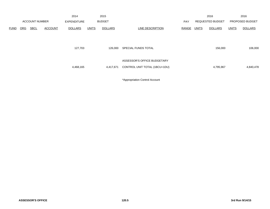|             |                       |             |                    | 2014           |               | 2015           |                               |       |                         | 2016           |                 | 2016           |
|-------------|-----------------------|-------------|--------------------|----------------|---------------|----------------|-------------------------------|-------|-------------------------|----------------|-----------------|----------------|
|             | <b>ACCOUNT NUMBER</b> |             | <b>EXPENDITURE</b> |                | <b>BUDGET</b> |                | <b>PAY</b>                    |       | <b>REQUESTED BUDGET</b> |                | PROPOSED BUDGET |                |
| <b>FUND</b> | <b>ORG</b>            | <b>SBCL</b> | <b>ACCOUNT</b>     | <b>DOLLARS</b> | <b>UNITS</b>  | <b>DOLLARS</b> | LINE DESCRIPTION              | RANGE | <u>UNITS</u>            | <b>DOLLARS</b> | <b>UNITS</b>    | <b>DOLLARS</b> |
|             |                       |             |                    |                |               |                |                               |       |                         |                |                 |                |
|             |                       |             |                    |                |               |                |                               |       |                         |                |                 |                |
|             |                       |             |                    | 127,703        |               | 126,000        | SPECIAL FUNDS TOTAL           |       |                         | 156,000        |                 | 106,000        |
|             |                       |             |                    |                |               |                |                               |       |                         |                |                 |                |
|             |                       |             |                    |                |               |                | ASSESSOR'S OFFICE BUDGETARY   |       |                         |                |                 |                |
|             |                       |             |                    |                |               |                |                               |       |                         |                |                 |                |
|             |                       |             |                    | 4,468,165      |               | 4,417,671      | CONTROL UNIT TOTAL (1BCU=1DU) |       |                         | 4,795,967      |                 | 4,840,478      |
|             |                       |             |                    |                |               |                |                               |       |                         |                |                 |                |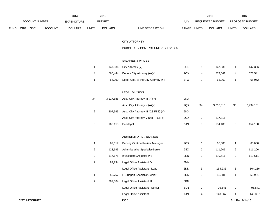|             |            |                       |                | 2014               |              | 2015           |                                  |              | 2016             |       | 2016                   |
|-------------|------------|-----------------------|----------------|--------------------|--------------|----------------|----------------------------------|--------------|------------------|-------|------------------------|
|             |            | <b>ACCOUNT NUMBER</b> |                | <b>EXPENDITURE</b> |              | <b>BUDGET</b>  | PAY                              |              | REQUESTED BUDGET |       | <b>PROPOSED BUDGET</b> |
| <b>FUND</b> | <b>ORG</b> | <b>SBCL</b>           | <b>ACCOUNT</b> | <b>DOLLARS</b>     | <b>UNITS</b> | <b>DOLLARS</b> | LINE DESCRIPTION<br><b>RANGE</b> | <b>UNITS</b> | <b>DOLLARS</b>   | UNITS | <b>DOLLARS</b>         |

# CITY ATTORNEY

# BUDGETARY CONTROL UNIT (1BCU=1DU)

#### SALARIES & WAGES

|  | 147,336 City Attorney (Y)                   | <b>EOE</b> | 147.336 |   | 147,336 |
|--|---------------------------------------------|------------|---------|---|---------|
|  | 560,444 Deputy City Attorney (A)(Y)         | 1OX        | 573.541 | 4 | 573,541 |
|  | 64,000 Spec. Asst. to the City Attorney (Y) | 1FX        | 65,062  |   | 65,062  |

# LEGAL DIVISION

| 34 | 3,117,688 | Asst. City Attorney III (A)(Y)        | 2NX |    |           |    |           |
|----|-----------|---------------------------------------|-----|----|-----------|----|-----------|
|    |           | Asst. City Attorney V (A)(Y)          | 2QX | 34 | 3,216,315 | 36 | 3,434,131 |
| 2  | 207.563   | Asst. City Attorney III (0.8 FTE) (Y) | 2NX |    |           |    |           |
|    |           | Asst. City Attorney V (0.8 FTE) (Y)   | 2QX | 2  | 217.816   |    |           |
|    | 160,110   | Paralegal                             | 5JN | 3  | 154,180   | 3  | 154,180   |

#### ADMINISTRATIVE DIVISION

|                | 62,017  | <b>Parking Citation Review Manager</b> | 2GX |   | 65,080  |                | 65,080  |
|----------------|---------|----------------------------------------|-----|---|---------|----------------|---------|
| 2              | 123,695 | Administrative Specialist-Senior       | 2EX | 2 | 111,206 | $\overline{2}$ | 111,206 |
| 2              | 117,175 | Investigator/Adjuster (Y)              | 2EN | 2 | 119,611 | 2              | 119,611 |
| $\overline{2}$ | 84,734  | Legal Office Assistant IV              | 6MN |   |         |                |         |
|                |         | Legal Office Assistant - Lead          | 6NN | 3 | 164,236 | 3              | 164,236 |
|                | 56,767  | IT Support Specialist-Senior           | 2GN |   | 58,981  |                | 58,981  |
| 7              | 287,304 | Legal Office Assistant III             | 6KN |   |         |                |         |
|                |         | Legal Office Assistant - Senior        | 6LN | 2 | 96,541  | 2              | 96,541  |
|                |         | Legal Office Assistant                 | 6JN | 4 | 143,367 | 4              | 143,367 |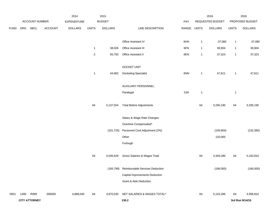|             |      |                      |                | 2014               |                         | 2015           |                                   |       |              | 2016             |                | 2016            |
|-------------|------|----------------------|----------------|--------------------|-------------------------|----------------|-----------------------------------|-------|--------------|------------------|----------------|-----------------|
|             |      | ACCOUNT NUMBER       |                | <b>EXPENDITURE</b> |                         | <b>BUDGET</b>  |                                   | PAY   |              | REQUESTED BUDGET |                | PROPOSED BUDGET |
| <b>FUND</b> | ORG  | SBCL                 | <b>ACCOUNT</b> | <b>DOLLARS</b>     | <b>UNITS</b>            | <b>DOLLARS</b> | LINE DESCRIPTION                  | RANGE | <b>UNITS</b> | <b>DOLLARS</b>   | <b>UNITS</b>   | <b>DOLLARS</b>  |
|             |      |                      |                |                    |                         |                | Office Assistant IV               | 6HN   | $\mathbf{1}$ | 37,080           | $\overline{1}$ | 37,080          |
|             |      |                      |                |                    | $\mathbf{1}$            | 38,026         | Office Assistant III              | 6FN   | $\mathbf{1}$ | 39,904           | $\mathbf{1}$   | 39,904          |
|             |      |                      |                |                    | $\overline{\mathbf{c}}$ | 65,793         | Office Assistant II               | 6EN   | $\mathbf{1}$ | 37,323           | $\overline{1}$ | 37,323          |
|             |      |                      |                |                    |                         |                | DOCKET UNIT                       |       |              |                  |                |                 |
|             |      |                      |                |                    | $\mathbf{1}$            | 44,902         | <b>Docketing Specialist</b>       | 6NN   | $\mathbf{1}$ | 47,611           | $\overline{1}$ | 47,611          |
|             |      |                      |                |                    |                         |                | AUXILIARY PERSONNEL               |       |              |                  |                |                 |
|             |      |                      |                |                    |                         |                | Paralegal                         | 5JN   | $\mathbf{1}$ |                  | $\overline{1}$ |                 |
|             |      |                      |                |                    | 64                      | 5,137,554      | <b>Total Before Adjustments</b>   |       | 64           | 5,295,190        | 64             | 5,295,190       |
|             |      |                      |                |                    |                         |                | Salary & Wage Rate Changes        |       |              |                  |                |                 |
|             |      |                      |                |                    |                         |                | Overtime Compensated*             |       |              |                  |                |                 |
|             |      |                      |                |                    |                         | (101, 725)     | Personnel Cost Adjustment (2%)    |       |              | (105, 904)       |                | (132, 380)      |
|             |      |                      |                |                    |                         |                | Other                             |       |              | 120,000          |                |                 |
|             |      |                      |                |                    |                         |                | Furlough                          |       |              |                  |                |                 |
|             |      |                      |                |                    | 64                      | 5,035,829      | Gross Salaries & Wages Total      |       | 64           | 5,309,286        | 64             | 5,162,810       |
|             |      |                      |                |                    |                         | (165, 799)     | Reimbursable Services Deduction   |       |              | (166,000)        |                | (166,000)       |
|             |      |                      |                |                    |                         |                | Capital Improvements Deduction    |       |              |                  |                |                 |
|             |      |                      |                |                    |                         |                | <b>Grant &amp; Aids Deduction</b> |       |              |                  |                |                 |
| 0001        | 1490 | R999                 | 006000         | 4,889,040          | 64                      | 4,870,030      | NET SALARIES & WAGES TOTAL*       |       | 64           | 5,143,286        | 64             | 4,996,810       |
|             |      | <b>CITY ATTORNEY</b> |                |                    |                         |                | 130.2                             |       |              |                  |                | 3rd Run 9/14/15 |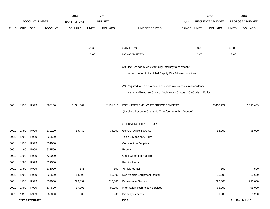|             |      |                       |                | 2014               |              | 2015           |                                                                      |             |       | 2016             |              | 2016            |
|-------------|------|-----------------------|----------------|--------------------|--------------|----------------|----------------------------------------------------------------------|-------------|-------|------------------|--------------|-----------------|
|             |      | <b>ACCOUNT NUMBER</b> |                | <b>EXPENDITURE</b> |              | <b>BUDGET</b>  |                                                                      | <b>PAY</b>  |       | REQUESTED BUDGET |              | PROPOSED BUDGET |
| <b>FUND</b> | ORG  | SBCL                  | <b>ACCOUNT</b> | <b>DOLLARS</b>     | <b>UNITS</b> | <b>DOLLARS</b> | LINE DESCRIPTION                                                     | RANGE UNITS |       | <b>DOLLARS</b>   | <b>UNITS</b> | <b>DOLLARS</b>  |
|             |      |                       |                |                    |              |                |                                                                      |             |       |                  |              |                 |
|             |      |                       |                |                    |              |                |                                                                      |             |       |                  |              |                 |
|             |      |                       |                |                    | 58.60        |                | O&M FTE'S                                                            |             | 58.60 |                  | 59.00        |                 |
|             |      |                       |                |                    | 2.00         |                | NON-O&M FTE'S                                                        |             | 2.00  |                  | 2.00         |                 |
|             |      |                       |                |                    |              |                |                                                                      |             |       |                  |              |                 |
|             |      |                       |                |                    |              |                | (A) One Position of Assistant City Attorney to be vacant             |             |       |                  |              |                 |
|             |      |                       |                |                    |              |                | for each of up to two filled Deputy City Attorney positions.         |             |       |                  |              |                 |
|             |      |                       |                |                    |              |                | (Y) Required to file a statement of economic interests in accordance |             |       |                  |              |                 |
|             |      |                       |                |                    |              |                | with the Milwaukee Code of Ordinances Chapter 303-Code of Ethics.    |             |       |                  |              |                 |
|             |      |                       |                |                    |              |                |                                                                      |             |       |                  |              |                 |
| 0001        | 1490 | R999                  | 006100         | 2,221,367          |              | 2,191,513      | ESTIMATED EMPLOYEE FRINGE BENEFITS                                   |             |       | 2,468,777        |              | 2,398,469       |
|             |      |                       |                |                    |              |                | (Involves Revenue Offset-No Transfers from this Account)             |             |       |                  |              |                 |
|             |      |                       |                |                    |              |                | OPERATING EXPENDITURES                                               |             |       |                  |              |                 |
| 0001        | 1490 | R999                  | 630100         | 59,489             |              | 34,000         | <b>General Office Expense</b>                                        |             |       | 35,000           |              | 35,000          |
| 0001        | 1490 | R999                  | 630500         |                    |              |                | Tools & Machinery Parts                                              |             |       |                  |              |                 |
| 0001        | 1490 | R999                  | 631000         |                    |              |                | <b>Construction Supplies</b>                                         |             |       |                  |              |                 |
| 0001        | 1490 | R999                  | 631500         |                    |              |                | Energy                                                               |             |       |                  |              |                 |
| 0001        | 1490 | R999                  | 632000         |                    |              |                | <b>Other Operating Supplies</b>                                      |             |       |                  |              |                 |
| 0001        | 1490 | R999                  | 632500         |                    |              |                | <b>Facility Rental</b>                                               |             |       |                  |              |                 |
| 0001        | 1490 | R999                  | 633000         | 543                |              | 500            | Vehicle Rental                                                       |             |       | 500              |              | 500             |
| 0001        | 1490 | R999                  | 633500         | 14,698             |              | 16,600         | Non-Vehicle Equipment Rental                                         |             |       | 16,600           |              | 16,600          |
| 0001        | 1490 | R999                  | 634000         | 273,392            |              | 216,000        | <b>Professional Services</b>                                         |             |       | 220,000          |              | 250,000         |
| 0001        | 1490 | R999                  | 634500         | 87,891             |              | 90,000         | Information Technology Services                                      |             |       | 65,000           |              | 65,000          |
| 0001        | 1490 | R999                  | 635000         | 1,200              |              | 1,200          | <b>Property Services</b>                                             |             |       | 1,200            |              | 1,200           |
|             |      | <b>CITY ATTORNEY</b>  |                |                    |              |                | 130.3                                                                |             |       |                  |              | 3rd Run 9/14/15 |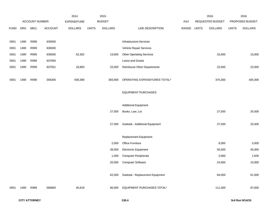|             |      |                |         | 2014               |              | 2015           |                                         |       |              | 2016             |              | 2016            |
|-------------|------|----------------|---------|--------------------|--------------|----------------|-----------------------------------------|-------|--------------|------------------|--------------|-----------------|
|             |      | ACCOUNT NUMBER |         | <b>EXPENDITURE</b> |              | <b>BUDGET</b>  |                                         | PAY   |              | REQUESTED BUDGET |              | PROPOSED BUDGET |
| <b>FUND</b> | ORG  | <b>SBCL</b>    | ACCOUNT | <b>DOLLARS</b>     | <b>UNITS</b> | <b>DOLLARS</b> | LINE DESCRIPTION                        | RANGE | <b>UNITS</b> | <b>DOLLARS</b>   | <b>UNITS</b> | <b>DOLLARS</b>  |
|             |      |                |         |                    |              |                |                                         |       |              |                  |              |                 |
| 0001        | 1490 | R999           | 635500  |                    |              |                | Infrastructure Services                 |       |              |                  |              |                 |
| 0001        | 1490 | R999           | 636000  |                    |              |                | Vehicle Repair Services                 |       |              |                  |              |                 |
| 0001        | 1490 | R999           | 636500  | 52,302             |              | 13,600         | <b>Other Operating Services</b>         |       |              | 15,000           |              | 15,000          |
| 0001        | 1490 | R999           | 637000  |                    |              |                | Loans and Grants                        |       |              |                  |              |                 |
| 0001        | 1490 | R999           | 637501  | 16,883             |              | 22,000         | <b>Reimburse Other Departments</b>      |       |              | 22,000           |              | 22,000          |
|             |      |                |         |                    |              |                |                                         |       |              |                  |              |                 |
| 0001        | 1490 | R999           | 006300  | 506,398            |              | 393,900        | OPERATING EXPENDITURES TOTAL*           |       |              | 375,300          |              | 405,300         |
|             |      |                |         |                    |              |                |                                         |       |              |                  |              |                 |
|             |      |                |         |                    |              |                | <b>EQUIPMENT PURCHASES</b>              |       |              |                  |              |                 |
|             |      |                |         |                    |              |                |                                         |       |              |                  |              |                 |
|             |      |                |         |                    |              |                | <b>Additional Equipment</b>             |       |              |                  |              |                 |
|             |      |                |         |                    |              | 27,500         | Books, Law, Lot                         |       |              | 27,500           |              | 25,500          |
|             |      |                |         |                    |              |                |                                         |       |              |                  |              |                 |
|             |      |                |         |                    |              | 27,500         | Subtotal - Additional Equipment         |       |              | 27,500           |              | 25,500          |
|             |      |                |         |                    |              |                |                                         |       |              |                  |              |                 |
|             |      |                |         |                    |              |                | Replacement Equipment                   |       |              |                  |              |                 |
|             |      |                |         |                    |              | 2,000          | Office Furniture                        |       |              | 8,000            |              | 5,000           |
|             |      |                |         |                    |              | 39,500         | Electronic Equipment                    |       |              | 50,000           |              | 45,000          |
|             |      |                |         |                    |              | 1,000          | <b>Computer Peripherals</b>             |       |              | 2,000            |              | 1,500           |
|             |      |                |         |                    |              | 20,000         | <b>Computer Software</b>                |       |              | 24,000           |              | 10,000          |
|             |      |                |         |                    |              |                |                                         |       |              |                  |              |                 |
|             |      |                |         |                    |              |                | 62,500 Subtotal - Replacement Equipment |       |              | 84,000           |              | 61,500          |
|             |      |                |         |                    |              |                |                                         |       |              |                  |              |                 |
| 0001        | 1490 | R999           | 006800  | 45,619             |              | 90,000         | EQUIPMENT PURCHASES TOTAL*              |       |              | 111,500          |              | 87,000          |
|             |      |                |         |                    |              |                |                                         |       |              |                  |              |                 |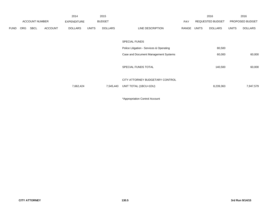|             |     |                       |                | 2014               |              | 2015           |                                                          |       |       | 2016                    |              | 2016            |
|-------------|-----|-----------------------|----------------|--------------------|--------------|----------------|----------------------------------------------------------|-------|-------|-------------------------|--------------|-----------------|
|             |     | <b>ACCOUNT NUMBER</b> |                | <b>EXPENDITURE</b> |              | <b>BUDGET</b>  |                                                          | PAY   |       | <b>REQUESTED BUDGET</b> |              | PROPOSED BUDGET |
| <b>FUND</b> | ORG | <b>SBCL</b>           | <b>ACCOUNT</b> | <b>DOLLARS</b>     | <b>UNITS</b> | <b>DOLLARS</b> | LINE DESCRIPTION                                         | RANGE | UNITS | <b>DOLLARS</b>          | <b>UNITS</b> | <b>DOLLARS</b>  |
|             |     |                       |                |                    |              |                | <b>SPECIAL FUNDS</b>                                     |       |       |                         |              |                 |
|             |     |                       |                |                    |              |                | Police Litigation - Services & Operating                 |       |       | 80,500                  |              |                 |
|             |     |                       |                |                    |              |                | Case and Document Management Systems                     |       |       | 60,000                  |              | 60,000          |
|             |     |                       |                |                    |              |                | SPECIAL FUNDS TOTAL                                      |       |       | 140,500                 |              | 60,000          |
|             |     |                       |                | 7,662,424          |              | 7,545,443      | CITY ATTORNEY BUDGETARY CONTROL<br>UNIT TOTAL (1BCU=1DU) |       |       | 8,239,363               |              | 7,947,579       |
|             |     |                       |                |                    |              |                |                                                          |       |       |                         |              |                 |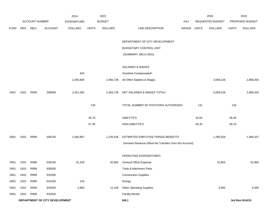|             |      |                       |                                | 2014               |              | 2015           |                                                          |       |              | 2016             |              | 2016            |
|-------------|------|-----------------------|--------------------------------|--------------------|--------------|----------------|----------------------------------------------------------|-------|--------------|------------------|--------------|-----------------|
|             |      | <b>ACCOUNT NUMBER</b> |                                | <b>EXPENDITURE</b> |              | <b>BUDGET</b>  |                                                          | PAY   |              | REQUESTED BUDGET |              | PROPOSED BUDGET |
| <b>FUND</b> | ORG  | SBCL                  | <b>ACCOUNT</b>                 | <b>DOLLARS</b>     | <b>UNITS</b> | <b>DOLLARS</b> | LINE DESCRIPTION                                         | RANGE | <b>UNITS</b> | <b>DOLLARS</b>   | <b>UNITS</b> | <b>DOLLARS</b>  |
|             |      |                       |                                |                    |              |                |                                                          |       |              |                  |              |                 |
|             |      |                       |                                |                    |              |                | DEPARTMENT OF CITY DEVELOPMENT                           |       |              |                  |              |                 |
|             |      |                       |                                |                    |              |                | BUDGETARY CONTROL UNIT                                   |       |              |                  |              |                 |
|             |      |                       |                                |                    |              |                | (SUMMARY 1BCU=2DU)                                       |       |              |                  |              |                 |
|             |      |                       |                                |                    |              |                |                                                          |       |              |                  |              |                 |
|             |      |                       |                                |                    |              |                | SALARIES & WAGES                                         |       |              |                  |              |                 |
|             |      |                       |                                | 443                |              |                | Overtime Compensated*                                    |       |              |                  |              |                 |
|             |      |                       |                                | 2,350,849          |              | 2,456,728      | All Other Salaries & Wages                               |       |              | 2,699,228        |              | 2,888,203       |
|             |      |                       |                                |                    |              |                |                                                          |       |              |                  |              |                 |
| 0001        | 1910 | R999                  | 006000                         | 2,351,292          |              | 2,456,728      | NET SALARIES & WAGES TOTAL*                              |       |              | 2,699,228        |              | 2,888,203       |
|             |      |                       |                                |                    |              |                |                                                          |       |              |                  |              |                 |
|             |      |                       |                                |                    | 135          |                | TOTAL NUMBER OF POSITIONS AUTHORIZED                     |       | 131          |                  | 133          |                 |
|             |      |                       |                                |                    |              |                |                                                          |       |              |                  |              |                 |
|             |      |                       |                                |                    | 36.70        |                | O&M FTE'S                                                |       | 42.65        |                  | 46.40        |                 |
|             |      |                       |                                |                    | 67.30        |                | NON-O&M FTE'S                                            |       | 60.35        |                  | 58.10        |                 |
|             |      |                       |                                |                    |              |                |                                                          |       |              |                  |              |                 |
| 0001        | 1910 | R999                  | 006100                         | 1,082,867          |              | 1,105,528      | ESTIMATED EMPLOYEE FRINGE BENEFITS                       |       |              | 1,295,629        |              | 1,386,337       |
|             |      |                       |                                |                    |              |                | (Involves Revenue Offset-No Transfers from this Account) |       |              |                  |              |                 |
|             |      |                       |                                |                    |              |                |                                                          |       |              |                  |              |                 |
|             |      |                       |                                |                    |              |                | OPERATING EXPENDITURES                                   |       |              |                  |              |                 |
| 0001        | 1910 | R999                  | 630100                         | 31,426             |              | 32,850         | General Office Expense                                   |       |              | 32,850           |              | 32,850          |
| 0001        | 1910 | R999                  | 630500                         |                    |              |                | Tools & Machinery Parts                                  |       |              |                  |              |                 |
| 0001        | 1910 | R999                  | 631000                         |                    |              |                | <b>Construction Supplies</b>                             |       |              |                  |              |                 |
| 0001        | 1910 | R999                  | 631500                         | 146                |              |                | Energy                                                   |       |              |                  |              |                 |
| 0001        | 1910 | R999                  | 632000                         | 2,860              |              | 11,100         | Other Operating Supplies                                 |       |              | 3,000            |              | 3,000           |
| 0001        | 1910 | R999                  | 632500                         |                    |              |                | <b>Facility Rental</b>                                   |       |              |                  |              |                 |
|             |      |                       | DEPARTMENT OF CITY DEVELOPMENT |                    |              |                | 140.1                                                    |       |              |                  |              | 3rd Run 9/14/15 |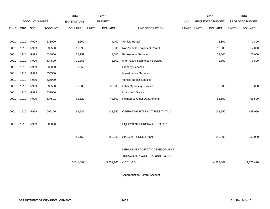|             |      |                |                | 2014               |              | 2015           |                                 |       |              | 2016             |              | 2016            |
|-------------|------|----------------|----------------|--------------------|--------------|----------------|---------------------------------|-------|--------------|------------------|--------------|-----------------|
|             |      | ACCOUNT NUMBER |                | <b>EXPENDITURE</b> |              | <b>BUDGET</b>  |                                 | PAY   |              | REQUESTED BUDGET |              | PROPOSED BUDGET |
| <b>FUND</b> | ORG  | <b>SBCL</b>    | <b>ACCOUNT</b> | <b>DOLLARS</b>     | <b>UNITS</b> | <b>DOLLARS</b> | LINE DESCRIPTION                | RANGE | <b>UNITS</b> | <b>DOLLARS</b>   | <b>UNITS</b> | <b>DOLLARS</b>  |
|             |      |                |                |                    |              |                |                                 |       |              |                  |              |                 |
| 0001        | 1910 | R999           | 633000         | 2,669              |              | 4,400          | Vehicle Rental                  |       |              | 2,800            |              | 2,800           |
| 0001        | 1910 | R999           | 633500         | 11,398             |              | 6,000          | Non-Vehicle Equipment Rental    |       |              | 12,000           |              | 12,000          |
| 0001        | 1910 | R999           | 634000         | 25,159             |              | 4,000          | <b>Professional Services</b>    |       |              | 22,000           |              | 22,000          |
| 0001        | 1910 | R999           | 634500         | 11,358             |              | 1,800          | Information Technology Services |       |              | 1,800            |              | 1,800           |
| 0001        | 1910 | R999           | 635000         | 6,359              |              |                | <b>Property Services</b>        |       |              |                  |              |                 |
| 0001        | 1910 | R999           | 635500         |                    |              |                | Infrastructure Services         |       |              |                  |              |                 |
| 0001        | 1910 | R999           | 636000         |                    |              |                | Vehicle Repair Services         |       |              |                  |              |                 |
| 0001        | 1910 | R999           | 636500         | 5,685              |              | 30,300         | <b>Other Operating Services</b> |       |              | 8,000            |              | 8,000           |
| 0001        | 1910 | R999           | 637000         |                    |              |                | Loans and Grants                |       |              |                  |              |                 |
| 0001        | 1910 | R999           | 637501         | 65,522             |              | 48,500         | Reimburse Other Departments     |       |              | 56,500           |              | 66,500          |
|             |      |                |                |                    |              |                |                                 |       |              |                  |              |                 |
| 0001        | 1910 | R999           | 006300         | 162,582            |              | 138,950        | OPERATING EXPENDITURES TOTAL*   |       |              | 138,950          |              | 148,950         |
|             |      |                |                |                    |              |                |                                 |       |              |                  |              |                 |
| 0001        | 1910 | R999           | 006800         |                    |              |                | EQUIPMENT PURCHASES TOTAL*      |       |              |                  |              |                 |
|             |      |                |                |                    |              |                |                                 |       |              |                  |              |                 |
|             |      |                |                | 145,156            |              | 150,000        | SPECIAL FUNDS TOTAL             |       |              | 150,000          |              | 250,000         |
|             |      |                |                |                    |              |                |                                 |       |              |                  |              |                 |
|             |      |                |                |                    |              |                | DEPARTMENT OF CITY DEVELOPMENT  |       |              |                  |              |                 |
|             |      |                |                |                    |              |                | BUDGETARY CONTROL UNIT TOTAL    |       |              |                  |              |                 |
|             |      |                |                | 3,741,897          |              | 3,851,206      | $(1BCU=2DU)$                    |       |              | 4,283,807        |              | 4,673,490       |
|             |      |                |                |                    |              |                |                                 |       |              |                  |              |                 |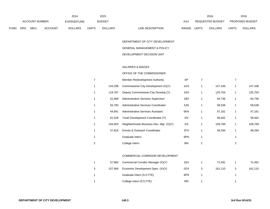|             |            |                       |                | 2014           |              | 2015           |                           |              | 2016             |       | 2016                   |
|-------------|------------|-----------------------|----------------|----------------|--------------|----------------|---------------------------|--------------|------------------|-------|------------------------|
|             |            | <b>ACCOUNT NUMBER</b> |                | EXPENDITURE    |              | <b>BUDGET</b>  | PAY                       |              | REQUESTED BUDGET |       | <b>PROPOSED BUDGET</b> |
| <b>FUND</b> | <b>ORG</b> | <b>SBCL</b>           | <b>ACCOUNT</b> | <b>DOLLARS</b> | <b>UNITS</b> | <b>DOLLARS</b> | LINE DESCRIPTION<br>RANGE | <b>UNITS</b> | <b>DOLLARS</b>   | JNITS | <b>DOLLARS</b>         |

DEPARTMENT OF CITY DEVELOPMENT-

### GENERAL MANAGEMENT & POLICY

### DEVELOPMENT DECISION UNIT

### SALARIES & WAGES

### OFFICE OF THE COMMISSIONER

| 7            |         | Member Redevelopment Authority          | <b>SP</b> |   |         |   |         |
|--------------|---------|-----------------------------------------|-----------|---|---------|---|---------|
| 1            | 144,299 | Commissioner-City Development (X)(Y)    | 1OX       |   | 147,336 | 1 | 147,336 |
| 1            | 119,787 | Deputy Commissioner-City Develop. (Y)   | 1NX       |   | 125,704 | 1 | 125,704 |
| 1            | 61,689  | Administrative Services Supervisor      | 1BX       |   | 64,736  | 1 | 64,736  |
| $\mathbf{1}$ | 55,783  | Administrative Services Coordinator     | 5JN       |   | 58,538  | 1 | 58,538  |
| 1            | 44,941  | Administrative Services Assistant       | 6KN       |   | 47,161  | 1 | 47,161  |
| 1            | 61,528  | Youth Development Coordinator (Y)       | 2IX       |   | 58,462  | 1 | 58,462  |
| 1            | 104.603 | Neighborhoods Business Dev. Mgr. (X)(Y) | 1IX       |   | 109,769 | 1 | 109,769 |
| 1            | 47,816  | Events & Outreach Coordinator           | 2FX       |   | 48,294  | 1 | 48,294  |
| 1            |         | Graduate Intern                         | 9PN       |   |         | 1 |         |
| 2            |         | College Intern                          | 9IN       | 2 |         | 2 |         |
|              |         |                                         |           |   |         |   |         |

# COMMERCIAL CORRIDOR DEVELOPMENT

|   | 57.884  | Commercial Corridor Manager (X)(Y) | 1EX | 72.491  | 72,491  |
|---|---------|------------------------------------|-----|---------|---------|
| 3 | 157.964 | Economic Development Spec. (X)(Y)  | 2GX | 161.110 | 161,110 |
|   |         | Graduate Intern (0.5 FTE)          | 9PN |         |         |
|   |         | College Intern (0.5 FTE)           | 9IN |         |         |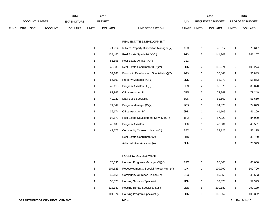|             |     |                       |                                | 2014               |              | 2015           |                                                  |       |                | 2016             |                | 2016            |
|-------------|-----|-----------------------|--------------------------------|--------------------|--------------|----------------|--------------------------------------------------|-------|----------------|------------------|----------------|-----------------|
|             |     | <b>ACCOUNT NUMBER</b> |                                | <b>EXPENDITURE</b> |              | <b>BUDGET</b>  |                                                  | PAY   |                | REQUESTED BUDGET |                | PROPOSED BUDGET |
| <b>FUND</b> | ORG | <b>SBCL</b>           | <b>ACCOUNT</b>                 | <b>DOLLARS</b>     | <b>UNITS</b> | <b>DOLLARS</b> | LINE DESCRIPTION                                 | RANGE | <b>UNITS</b>   | <b>DOLLARS</b>   | <b>UNITS</b>   | <b>DOLLARS</b>  |
|             |     |                       |                                |                    |              |                | REAL ESTATE & DEVELOPMENT                        |       |                |                  |                |                 |
|             |     |                       |                                |                    | $\mathbf{1}$ | 74,914         | In Rem Property Disposition Manager (Y)          | 1FX   | $\mathbf{1}$   | 78,617           | $\mathbf{1}$   | 78,617          |
|             |     |                       |                                |                    | 2            | 134,465        | Real Estate Specialist (X)(Y)                    | 2GX   | $\overline{2}$ | 141,107          | $\overline{a}$ | 141,107         |
|             |     |                       |                                |                    | 1            | 55,558         | Real Estate Analyst (X)(Y)                       | 2EX   |                |                  |                |                 |
|             |     |                       |                                |                    | $\mathbf{1}$ | 45,888         | Real Estate Coordinator II (X)(Y)                | 2DN   | $\overline{2}$ | 103,274          | $\overline{a}$ | 103,274         |
|             |     |                       |                                |                    | $\mathbf{1}$ | 54,168         | Economic Development Specialist (X)(Y)           | 2GX   | $\mathbf{1}$   | 56,843           | 1              | 56,843          |
|             |     |                       |                                |                    | $\mathbf{1}$ | 56,102         | Property Manager (X)(Y)                          | 2DN   | $\mathbf{1}$   | 58,873           | 1              | 58,873          |
|             |     |                       |                                |                    | 1            | 42,118         | Program Assistant II (X)                         | 5FN   | $\overline{2}$ | 85,078           | $\overline{a}$ | 85,078          |
|             |     |                       |                                |                    | 2            | 82,967         | Office Assistant III                             | 6FN   | $\overline{c}$ | 79,249           | $\overline{a}$ | 79,249          |
|             |     |                       |                                |                    | 1            | 49,229         | Data Base Specialist                             | 5GN   | $\mathbf{1}$   | 51,660           | 1              | 51,660          |
|             |     |                       |                                |                    | $\mathbf{1}$ | 71,349         | Program Manager (X)(Y)                           | 2GX   | $\mathbf{1}$   | 74,873           | 1              | 74,873          |
|             |     |                       |                                |                    | $\mathbf{1}$ | 39,174         | Office Assistant IV                              | 6HN   | $\mathbf{1}$   | 41,109           | $\mathbf{1}$   | 41,109          |
|             |     |                       |                                |                    | $\mathbf{1}$ | 98,173         | Real Estate Development Serv. Mgr. (Y)           | 1HX   | $\mathbf{1}$   | 87,823           | 1              | 84,000          |
|             |     |                       |                                |                    | 1            | 40,100         | Program Assistant I                              | 5EN   | $\mathbf{1}$   | 40,501           | 1              | 40,501          |
|             |     |                       |                                |                    | $\mathbf{1}$ | 49,672         | Community Outreach Liaison (Y)                   | 2EX   | $\mathbf{1}$   | 52,125           | 1              | 52,125          |
|             |     |                       |                                |                    |              |                | Real Estate Coordinator (A)                      | 2BN   |                |                  | -1             | 33,759          |
|             |     |                       |                                |                    |              |                | Administrative Assistant (A)                     | 6HN   |                |                  | 1              | 28,373          |
|             |     |                       |                                |                    |              |                |                                                  |       |                |                  |                |                 |
|             |     |                       |                                |                    |              |                | HOUSING DEVELOPMENT                              |       |                |                  |                |                 |
|             |     |                       |                                |                    | $\mathbf{1}$ | 70,036         | Housing Programs Manager (X)(Y)                  | 1FX   | $\mathbf{1}$   | 65,000           | 1              | 65,000          |
|             |     |                       |                                |                    |              |                | 104,623 Redevelopment & Special Project Mgr. (Y) | 11X   | $\mathbf{1}$   | 109,790          |                | 109,790         |
|             |     |                       |                                |                    | $\mathbf{1}$ | 49,161         | Community Outreach Liaison (Y)                   | 2EX   | $\mathbf{1}$   | 49,653           | 1              | 49,653          |
|             |     |                       |                                |                    | $\mathbf{1}$ | 56,578         | <b>Housing Services Specialist</b>               | 2DN   | $\mathbf{1}$   | 59,373           | 1              | 59,373          |
|             |     |                       |                                |                    | 5            | 328,147        | Housing Rehab Specialist (X)(Y)                  | 2EN   | 5              | 299,189          | 5              | 299,189         |
|             |     |                       |                                |                    | 3            | 104,974        | Housing Program Specialist (Y)                   | 2DN   | $\mathbf{3}$   | 108,352          | 3              | 108,352         |
|             |     |                       | DEPARTMENT OF CITY DEVELOPMENT |                    |              |                | 140.4                                            |       |                |                  |                | 3rd Run 9/14/15 |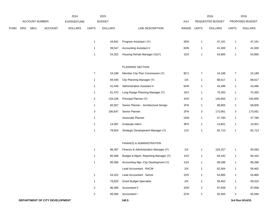|      |     |                |                | 2014               |                | 2015           |                                       |                 |                         | 2016             |                         | 2016            |
|------|-----|----------------|----------------|--------------------|----------------|----------------|---------------------------------------|-----------------|-------------------------|------------------|-------------------------|-----------------|
|      |     | ACCOUNT NUMBER |                | <b>EXPENDITURE</b> |                | <b>BUDGET</b>  |                                       | PAY             |                         | REQUESTED BUDGET |                         | PROPOSED BUDGET |
| FUND | ORG | <b>SBCL</b>    | <b>ACCOUNT</b> | <b>DOLLARS</b>     | <b>UNITS</b>   | <b>DOLLARS</b> | LINE DESCRIPTION                      | RANGE           | <b>UNITS</b>            | <b>DOLLARS</b>   | <b>UNITS</b>            | <b>DOLLARS</b>  |
|      |     |                |                |                    |                |                |                                       |                 |                         |                  |                         |                 |
|      |     |                |                |                    | $\mathbf{1}$   | 44,941         | Program Assistant I (Y)               | 5EN             | $\mathbf{1}$            | 47,161           | $\overline{1}$          | 47,161          |
|      |     |                |                |                    | $\mathbf{1}$   | 39,547         | <b>Accounting Assistant II</b>        | 6HN             | $\mathbf{1}$            | 41,500           | $\overline{1}$          | 41,500          |
|      |     |                |                |                    | $\mathbf{1}$   | 54,322         | Housing Rehab Manager (X)(Y)          | 1DX             | 1                       | 54,865           | $\overline{1}$          | 54,865          |
|      |     |                |                |                    |                |                | PLANNING SECTION                      |                 |                         |                  |                         |                 |
|      |     |                |                |                    | $\overline{7}$ | 24,188         | Member City Plan Commission (Y)       | BC <sub>1</sub> | $\overline{7}$          | 24,188           | $\overline{7}$          | 24,188          |
|      |     |                |                |                    | $\mathbf{1}$   | 84,446         | City Planning Manager (Y)             | 11X             | $\mathbf{1}$            | 88,617           | $\overline{1}$          | 88,617          |
|      |     |                |                |                    | $\mathbf{1}$   | 41,449         | Administrative Assistant II           | 6HN             | $\mathbf{1}$            | 43,496           | $\overline{1}$          | 43,496          |
|      |     |                |                |                    | $\mathbf{1}$   | 81,470         | Long Range Planning Manager (Y)       | 2KX             | 1                       | 75,350           | $\overline{1}$          | 75,350          |
|      |     |                |                |                    | $\overline{a}$ | 134,226        | Principal Planner (Y)                 | 2HX             | $\overline{\mathbf{c}}$ | 140,855          | 2                       | 140,855         |
|      |     |                |                |                    | $\mathbf{1}$   | 65,567         | Senior Planner - Architectural Design | 2FN             | 1                       | 68,805           | $\overline{1}$          | 68,805          |
|      |     |                |                |                    | $\sqrt{3}$     | 180,647        | Senior Planner                        | 2FN             | 3                       | 173,061          | 3                       | 173,061         |
|      |     |                |                |                    | $\mathbf{1}$   |                | Associate Planner                     | 2DN             | 1                       | 47,780           | $\overline{1}$          | 47,780          |
|      |     |                |                |                    | $\mathbf{1}$   | 14,487         | Graduate Intern                       | 9PX             | 1                       | 14,851           | $\overline{1}$          | 14,851          |
|      |     |                |                |                    | $\mathbf{1}$   | 78,820         | Strategic Development Manager (Y)     | 2JX             | 1                       | 82,713           | $\overline{1}$          | 82,713          |
|      |     |                |                |                    |                |                | FINANCE & ADMINISTRATION              |                 |                         |                  |                         |                 |
|      |     |                |                |                    | $\mathbf{1}$   | 98,397         | Finance & Administration Manager (Y)  | 11X             | $\mathbf{1}$            | 103,257          | $\overline{1}$          | 93,593          |
|      |     |                |                |                    | $\mathbf{1}$   | 80,468         | Budget & Mgmt. Reporting Manager (Y)  | 1HX             | 1                       | 84,442           | $\overline{1}$          | 84,442          |
|      |     |                |                |                    | $\mathbf{1}$   | 85,086         | Accounting Mgr.-City Development (Y)  | 1GX             | $\mathbf{1}$            | 89,288           | $\overline{1}$          | 89,288          |
|      |     |                |                |                    |                |                | Lead Accountant - RACM                | 2IX             | $\mathbf{1}$            | 62,564           | $\mathbf{1}$            | 58,462          |
|      |     |                |                |                    | $\mathbf{1}$   | 54,322         | Lead Accountant - Senior              | 2HX             | $\mathbf{1}$            | 54,865           | $\mathbf{1}$            | 54,865          |
|      |     |                |                |                    | $\mathbf{1}$   | 78,820         | <b>Grant Budget Specialist</b>        | 2IX             | $\mathbf{1}$            | 58,462           | $\overline{1}$          | 59,310          |
|      |     |                |                |                    | $\overline{a}$ | 96,366         | Accountant II                         | 2DN             | $\overline{\mathbf{c}}$ | 97,658           | $\overline{\mathbf{c}}$ | 97,658          |
|      |     |                |                |                    | $\overline{a}$ | 99,260         | Accountant I                          | 2CN             | $\overline{\mathbf{c}}$ | 92,594           | $\overline{a}$          | 92,594          |
|      |     |                |                |                    |                |                |                                       |                 |                         |                  |                         |                 |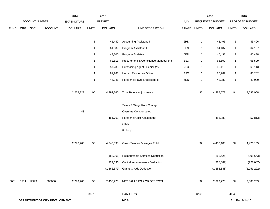|             |      |                |                                | 2014               |                         | 2015           |                                       |       |              | 2016             |              | 2016            |
|-------------|------|----------------|--------------------------------|--------------------|-------------------------|----------------|---------------------------------------|-------|--------------|------------------|--------------|-----------------|
|             |      | ACCOUNT NUMBER |                                | <b>EXPENDITURE</b> |                         | <b>BUDGET</b>  |                                       | PAY   |              | REQUESTED BUDGET |              | PROPOSED BUDGET |
| <b>FUND</b> | ORG  | SBCL           | <b>ACCOUNT</b>                 | <b>DOLLARS</b>     | <b>UNITS</b>            | <b>DOLLARS</b> | LINE DESCRIPTION                      | RANGE | <b>UNITS</b> | <b>DOLLARS</b>   | <b>UNITS</b> | <b>DOLLARS</b>  |
|             |      |                |                                |                    |                         |                |                                       |       |              |                  |              |                 |
|             |      |                |                                |                    | $\overline{1}$          | 41,449         | <b>Accounting Assistant II</b>        | 6HN   | $\mathbf{1}$ | 43,496           | $\mathbf{1}$ | 43,496          |
|             |      |                |                                |                    | $\overline{\mathbf{1}}$ | 61,089         | Program Assistant II                  | 5FN   | $\mathbf{1}$ | 64,107           | $\mathbf{1}$ | 64,107          |
|             |      |                |                                |                    | $\overline{1}$          | 43,300         | Program Assistant I                   | 5EN   | $\mathbf{1}$ | 45,438           | $\mathbf{1}$ | 45,438          |
|             |      |                |                                |                    | $\overline{1}$          | 62,511         | Procurement & Compliance Manager (Y)  | 1EX   | $\mathbf{1}$ | 65,599           | $\mathbf{1}$ | 65,599          |
|             |      |                |                                |                    | $\overline{1}$          | 57,283         | Purchasing Agent - Senior (Y)         | 2EX   | $\mathbf{1}$ | 60,113           | $\mathbf{1}$ | 60,113          |
|             |      |                |                                |                    | $\overline{1}$          | 81,268         | Human Resources Officer               | 1FX   | $\mathbf{1}$ | 85,282           | $\mathbf{1}$ | 85,282          |
|             |      |                |                                |                    | $\overline{\mathbf{1}}$ | 44,941         | Personnel Payroll Assistant III       | 5EN   | $\mathbf{1}$ | 42,080           | $\mathbf{1}$ | 42,080          |
|             |      |                |                                | 2,278,322          | $90\,$                  | 4,292,360      | <b>Total Before Adjustments</b>       |       | 92           | 4,488,577        | 94           | 4,533,968       |
|             |      |                |                                |                    |                         |                | Salary & Wage Rate Change             |       |              |                  |              |                 |
|             |      |                |                                | 443                |                         |                | Overtime Compensated                  |       |              |                  |              |                 |
|             |      |                |                                |                    |                         | (51, 762)      | Personnel Cost Adjustment             |       |              | (55, 389)        |              | (57, 813)       |
|             |      |                |                                |                    |                         |                | Other                                 |       |              |                  |              |                 |
|             |      |                |                                |                    |                         |                | Furlough                              |       |              |                  |              |                 |
|             |      |                |                                | 2,278,765          | $90\,$                  | 4,240,598      | Gross Salaries & Wages Total          |       | 92           | 4,433,188        | 94           | 4,476,155       |
|             |      |                |                                |                    |                         | (188, 261)     | Reimbursable Services Deduction       |       |              | (252, 525)       |              | (308, 643)      |
|             |      |                |                                |                    |                         | (229, 030)     | <b>Capital Improvements Deduction</b> |       |              | (228, 087)       |              | (228, 087)      |
|             |      |                |                                |                    |                         |                | (1,366,579) Grants & Aids Deduction   |       |              | (1, 253, 348)    |              | (1,051,222)     |
| 0001        | 1911 | R999           | 006000                         | 2,278,765          | 90                      | 2,456,728      | NET SALARIES & WAGES TOTAL            |       | 92           | 2,699,228        | 94           | 2,888,203       |
|             |      |                |                                |                    | 36.70                   |                | O&M FTE'S                             |       | 42.65        |                  | 46.40        |                 |
|             |      |                | DEPARTMENT OF CITY DEVELOPMENT |                    |                         |                | 140.6                                 |       |              |                  |              | 3rd Run 9/14/15 |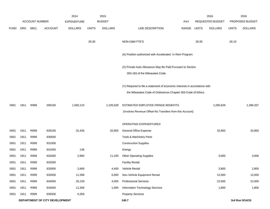|             |      |                |                                | 2014               |              | 2015           |                                                                           |       |              | 2016             |              | 2016            |
|-------------|------|----------------|--------------------------------|--------------------|--------------|----------------|---------------------------------------------------------------------------|-------|--------------|------------------|--------------|-----------------|
|             |      | ACCOUNT NUMBER |                                | <b>EXPENDITURE</b> |              | <b>BUDGET</b>  |                                                                           | PAY   |              | REQUESTED BUDGET |              | PROPOSED BUDGET |
| <b>FUND</b> | ORG  | SBCL           | <b>ACCOUNT</b>                 | <b>DOLLARS</b>     | <b>UNITS</b> | <b>DOLLARS</b> | LINE DESCRIPTION                                                          | RANGE | <b>UNITS</b> | <b>DOLLARS</b>   | <b>UNITS</b> | <b>DOLLARS</b>  |
|             |      |                |                                |                    |              |                |                                                                           |       |              |                  |              |                 |
|             |      |                |                                |                    | 29.30        |                | NON-O&M FTE'S                                                             |       | 28.35        |                  | 26.10        |                 |
|             |      |                |                                |                    |              |                |                                                                           |       |              |                  |              |                 |
|             |      |                |                                |                    |              |                | (A) Position authorized with Accelerated In Rem Program.                  |       |              |                  |              |                 |
|             |      |                |                                |                    |              |                |                                                                           |       |              |                  |              |                 |
|             |      |                |                                |                    |              |                | (X) Private Auto Allowance May Be Paid Pursuant to Section                |       |              |                  |              |                 |
|             |      |                |                                |                    |              |                | 350-183 of the Milwaukee Code.                                            |       |              |                  |              |                 |
|             |      |                |                                |                    |              |                | (Y) Required to file a statement of economic interests in accordance with |       |              |                  |              |                 |
|             |      |                |                                |                    |              |                |                                                                           |       |              |                  |              |                 |
|             |      |                |                                |                    |              |                | the Milwaukee Code of Ordinances Chapter 303-Code of Ethics.              |       |              |                  |              |                 |
| 0001        | 1911 | R999           | 006100                         | 1,082,110          |              | 1,105,528      | ESTIMATED EMPLOYEE FRINGE BENEFITS                                        |       |              | 1,295,629        |              | 1,386,337       |
|             |      |                |                                |                    |              |                | (Involves Revenue Offset-No Transfers from this Account)                  |       |              |                  |              |                 |
|             |      |                |                                |                    |              |                |                                                                           |       |              |                  |              |                 |
|             |      |                |                                |                    |              |                | OPERATING EXPENDITURES                                                    |       |              |                  |              |                 |
| 0001        | 1911 | R999           | 630100                         | 31,426             |              | 32,850         | <b>General Office Expense</b>                                             |       |              | 32,850           |              | 32,850          |
| 0001        | 1911 | R999           | 630500                         |                    |              |                | Tools & Machinery Parts                                                   |       |              |                  |              |                 |
| 0001        | 1911 | R999           | 631000                         |                    |              |                | <b>Construction Supplies</b>                                              |       |              |                  |              |                 |
| 0001        | 1911 | R999           | 631500                         | 146                |              |                | Energy                                                                    |       |              |                  |              |                 |
| 0001        | 1911 | R999           | 632000                         | 2,860              |              | 11,100         | <b>Other Operating Supplies</b>                                           |       |              | 3,000            |              | 3,000           |
| 0001        | 1911 | R999           | 632500                         |                    |              |                | <b>Facility Rental</b>                                                    |       |              |                  |              |                 |
| 0001        | 1911 | R999           | 633000                         | 2,669              |              | 4,400          | Vehicle Rental                                                            |       |              | 2,800            |              | 2,800           |
| 0001        | 1911 | R999           | 633500                         | 11,398             |              | 6,000          | Non-Vehicle Equipment Rental                                              |       |              | 12,000           |              | 12,000          |
| 0001        | 1911 | R999           | 634000                         | 25,159             |              | 4,000          | <b>Professional Services</b>                                              |       |              | 22,000           |              | 22,000          |
| 0001        | 1911 | R999           | 634500                         | 11,358             |              | 1,800          | Information Technology Services                                           |       |              | 1,800            |              | 1,800           |
| 0001        | 1911 | R999           | 635000                         | 6,359              |              |                | <b>Property Services</b>                                                  |       |              |                  |              |                 |
|             |      |                | DEPARTMENT OF CITY DEVELOPMENT |                    |              |                | 140.7                                                                     |       |              |                  |              | 3rd Run 9/14/15 |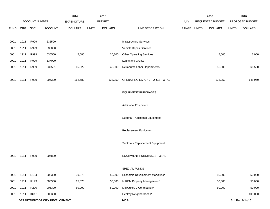|             |      |                       |                                | 2014               |              | 2015           |                                  |       |              | 2016             |              | 2016            |
|-------------|------|-----------------------|--------------------------------|--------------------|--------------|----------------|----------------------------------|-------|--------------|------------------|--------------|-----------------|
|             |      | <b>ACCOUNT NUMBER</b> |                                | <b>EXPENDITURE</b> |              | <b>BUDGET</b>  |                                  | PAY   |              | REQUESTED BUDGET |              | PROPOSED BUDGET |
| <b>FUND</b> | ORG  | SBCL                  | <b>ACCOUNT</b>                 | <b>DOLLARS</b>     | <b>UNITS</b> | <b>DOLLARS</b> | LINE DESCRIPTION                 | RANGE | <b>UNITS</b> | <b>DOLLARS</b>   | <b>UNITS</b> | <b>DOLLARS</b>  |
|             |      |                       |                                |                    |              |                |                                  |       |              |                  |              |                 |
| 0001        | 1911 | R999                  | 635500                         |                    |              |                | <b>Infrastructure Services</b>   |       |              |                  |              |                 |
| 0001        | 1911 | R999                  | 636000                         |                    |              |                | Vehicle Repair Services          |       |              |                  |              |                 |
| 0001        | 1911 | R999                  | 636500                         | 5,685              |              | 30,300         | <b>Other Operating Services</b>  |       |              | 8,000            |              | 8,000           |
| 0001        | 1911 | R999                  | 637000                         |                    |              |                | Loans and Grants                 |       |              |                  |              |                 |
| 0001        | 1911 | R999                  | 637501                         | 65,522             |              | 48,500         | Reimburse Other Departments      |       |              | 56,500           |              | 66,500          |
|             |      |                       |                                |                    |              |                |                                  |       |              |                  |              |                 |
| 0001        | 1911 | R999                  | 006300                         | 162,582            |              | 138,950        | OPERATING EXPENDITURES TOTAL     |       |              | 138,950          |              | 148,950         |
|             |      |                       |                                |                    |              |                |                                  |       |              |                  |              |                 |
|             |      |                       |                                |                    |              |                | <b>EQUIPMENT PURCHASES</b>       |       |              |                  |              |                 |
|             |      |                       |                                |                    |              |                |                                  |       |              |                  |              |                 |
|             |      |                       |                                |                    |              |                | <b>Additional Equipment</b>      |       |              |                  |              |                 |
|             |      |                       |                                |                    |              |                |                                  |       |              |                  |              |                 |
|             |      |                       |                                |                    |              |                | Subtotal - Additional Equipment  |       |              |                  |              |                 |
|             |      |                       |                                |                    |              |                |                                  |       |              |                  |              |                 |
|             |      |                       |                                |                    |              |                | Replacement Equipment            |       |              |                  |              |                 |
|             |      |                       |                                |                    |              |                |                                  |       |              |                  |              |                 |
|             |      |                       |                                |                    |              |                | Subtotal - Replacement Equipment |       |              |                  |              |                 |
|             |      |                       |                                |                    |              |                |                                  |       |              |                  |              |                 |
| 0001        | 1911 | R999                  | 006800                         |                    |              |                | EQUIPMENT PURCHASES TOTAL        |       |              |                  |              |                 |
|             |      |                       |                                |                    |              |                | SPECIAL FUNDS                    |       |              |                  |              |                 |
| 0001        | 1911 | R194                  | 006300                         | 30,078             |              | 50,000         | Economic Development Marketing*  |       |              | 50,000           |              | 50,000          |
| 0001        | 1911 | R199                  | 006300                         | 65,078             |              | 50,000         | In REM Property Management*      |       |              | 50,000           |              | 50,000          |
| 0001        | 1911 | R200                  | 006300                         | 50,000             |              | 50,000         | Milwaukee 7 Contribution*        |       |              | 50,000           |              | 50,000          |
| 0001        | 1911 | <b>RXXX</b>           | 006300                         |                    |              |                | Healthy Neighborhoods*           |       |              |                  |              | 100,000         |
|             |      |                       | DEPARTMENT OF CITY DEVELOPMENT |                    |              |                | 140.8                            |       |              |                  |              | 3rd Run 9/14/15 |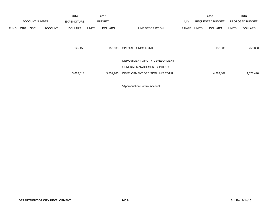|             |            |                       |                | 2014               |              | 2015           |                                        |            |       | 2016                    |       | 2016            |
|-------------|------------|-----------------------|----------------|--------------------|--------------|----------------|----------------------------------------|------------|-------|-------------------------|-------|-----------------|
|             |            | <b>ACCOUNT NUMBER</b> |                | <b>EXPENDITURE</b> |              | <b>BUDGET</b>  |                                        | <b>PAY</b> |       | <b>REQUESTED BUDGET</b> |       | PROPOSED BUDGET |
| <b>FUND</b> | <b>ORG</b> | <b>SBCL</b>           | <b>ACCOUNT</b> | <b>DOLLARS</b>     | <b>UNITS</b> | <b>DOLLARS</b> | LINE DESCRIPTION                       | RANGE      | UNITS | <b>DOLLARS</b>          | UNITS | <b>DOLLARS</b>  |
|             |            |                       |                |                    |              |                |                                        |            |       |                         |       |                 |
|             |            |                       |                |                    |              |                |                                        |            |       |                         |       |                 |
|             |            |                       |                | 145,156            |              | 150,000        | SPECIAL FUNDS TOTAL                    |            |       | 150,000                 |       | 250,000         |
|             |            |                       |                |                    |              |                |                                        |            |       |                         |       |                 |
|             |            |                       |                |                    |              |                | DEPARTMENT OF CITY DEVELOPMENT-        |            |       |                         |       |                 |
|             |            |                       |                |                    |              |                |                                        |            |       |                         |       |                 |
|             |            |                       |                |                    |              |                | <b>GENERAL MANAGEMENT &amp; POLICY</b> |            |       |                         |       |                 |
|             |            |                       |                | 3,668,613          |              | 3,851,206      | DEVELOPMENT DECISION UNIT TOTAL        |            |       | 4,283,807               |       | 4,673,490       |
|             |            |                       |                |                    |              |                |                                        |            |       |                         |       |                 |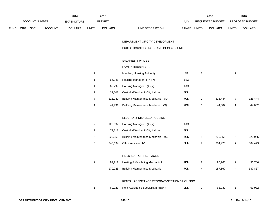|             |            |                       |                | 2014           |                | 2015           |                                       |           |                | 2016             |                | 2016            |
|-------------|------------|-----------------------|----------------|----------------|----------------|----------------|---------------------------------------|-----------|----------------|------------------|----------------|-----------------|
|             |            | <b>ACCOUNT NUMBER</b> |                | EXPENDITURE    |                | <b>BUDGET</b>  |                                       | PAY       |                | REQUESTED BUDGET |                | PROPOSED BUDGET |
| <b>FUND</b> | <b>ORG</b> | SBCL                  | <b>ACCOUNT</b> | <b>DOLLARS</b> | <b>UNITS</b>   | <b>DOLLARS</b> | LINE DESCRIPTION                      | RANGE     | <b>UNITS</b>   | <b>DOLLARS</b>   | <b>UNITS</b>   | <b>DOLLARS</b>  |
|             |            |                       |                |                |                |                |                                       |           |                |                  |                |                 |
|             |            |                       |                |                |                |                | DEPARTMENT OF CITY DEVELOPMENT-       |           |                |                  |                |                 |
|             |            |                       |                |                |                |                | PUBLIC HOUSING PROGRAMS DECISION UNIT |           |                |                  |                |                 |
|             |            |                       |                |                |                |                |                                       |           |                |                  |                |                 |
|             |            |                       |                |                |                |                | <b>SALARIES &amp; WAGES</b>           |           |                |                  |                |                 |
|             |            |                       |                |                |                |                | <b>FAMILY HOUSING UNIT</b>            |           |                |                  |                |                 |
|             |            |                       |                |                | $\overline{7}$ |                | Member, Housing Authority             | <b>SP</b> | $\overline{7}$ |                  | $\overline{7}$ |                 |
|             |            |                       |                |                | $\mathbf{1}$   | 66,941         | Housing Manager III (X)(Y)            | 1BX       |                |                  |                |                 |
|             |            |                       |                |                | $\mathbf{1}$   | 62,799         | Housing Manager II (X)(Y)             | 1AX       |                |                  |                |                 |
|             |            |                       |                |                | $\mathbf{1}$   | 39,608         | Custodial Worker II-City Laborer      | 8DN       |                |                  |                |                 |
|             |            |                       |                |                | $\overline{7}$ | 311,080        | Building Maintenance Mechanic II (X)  | 7CN       | $\overline{7}$ | 326,444          | $\overline{7}$ | 326,444         |
|             |            |                       |                |                | $\mathbf{1}$   | 41,931         | Building Maintenance Mechanic I (X)   | 7BN       | $\overline{1}$ | 44,002           | -1             | 44,002          |
|             |            |                       |                |                |                |                |                                       |           |                |                  |                |                 |
|             |            |                       |                |                |                |                | ELDERLY & DISABLED HOUSING            |           |                |                  |                |                 |
|             |            |                       |                |                | $\overline{2}$ | 125,597        | Housing Manager II (X)(Y)             | 1AX       |                |                  |                |                 |

| 2 | 79.218  | Custodial Worker II-City Laborer             | 8DN |                      |         |   |         |
|---|---------|----------------------------------------------|-----|----------------------|---------|---|---------|
| 5 |         | 220,955 Building Maintenance Mechanic II (X) | 7CN | $\ddot{\phantom{1}}$ | 220.955 | 5 | 220.955 |
| 6 | 248.694 | Office Assistant IV                          | 6HN |                      | 304.473 |   | 304,473 |

# FIELD SUPPORT SERVICES

|  | 92,212 Heating & Ventilating Mechanic II | 7DN. | 96.766  | 96.766  |
|--|------------------------------------------|------|---------|---------|
|  | 179,025 Building Maintenance Mechanic II | 7CN  | 187.867 | 187,867 |

#### RENTAL ASSISTANCE PROGRAM-SECTION 8 HOUSING

|  | 60,923 Rent Assistance Specialist III (B)(Y) | 2DN | 63.932 | 63,932 |
|--|----------------------------------------------|-----|--------|--------|
|  |                                              |     |        |        |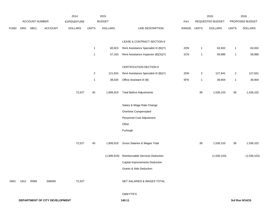|             |      |                |                                | 2014           |              | 2015           |                                       |             |                         | 2016             |                | 2016            |
|-------------|------|----------------|--------------------------------|----------------|--------------|----------------|---------------------------------------|-------------|-------------------------|------------------|----------------|-----------------|
|             |      | ACCOUNT NUMBER |                                | EXPENDITURE    |              | <b>BUDGET</b>  |                                       | PAY         |                         | REQUESTED BUDGET |                | PROPOSED BUDGET |
| <b>FUND</b> | ORG  | SBCL           | <b>ACCOUNT</b>                 | <b>DOLLARS</b> | <b>UNITS</b> | <b>DOLLARS</b> | LINE DESCRIPTION                      | RANGE UNITS |                         | <b>DOLLARS</b>   | <b>UNITS</b>   | <b>DOLLARS</b>  |
|             |      |                |                                |                |              |                |                                       |             |                         |                  |                |                 |
|             |      |                |                                |                |              |                | LEASE & CONTRACT-SECTION 8            |             |                         |                  |                |                 |
|             |      |                |                                |                | $\mathbf{1}$ | 60,923         | Rent Assistance Specialist III (B)(Y) | 2DN         | $\mathbf{1}$            | 63,932           | $\mathbf{1}$   | 63,932          |
|             |      |                |                                |                | $\mathbf{1}$ | 57,163         | Rent Assistance Inspector (B)(X)(Y)   | 2CN         | $\mathbf{1}$            | 59,986           | $\mathbf{1}$   | 59,986          |
|             |      |                |                                |                |              |                |                                       |             |                         |                  |                |                 |
|             |      |                |                                |                |              |                | CERTIFICATION-SECTION 8               |             |                         |                  |                |                 |
|             |      |                |                                |                | $\sqrt{2}$   | 121,824        | Rent Assistance Specialist III (B)(Y) | 2DN         | $\overline{\mathbf{c}}$ | 127,841          | $\overline{2}$ | 127,841         |
|             |      |                |                                |                | $\mathbf{1}$ | 38,026         | Office Assistant III (B)              | 6FN         | $\mathbf{1}$            | 39,904           | $\mathbf{1}$   | 39,904          |
|             |      |                |                                |                |              |                |                                       |             |                         |                  |                |                 |
|             |      |                |                                | 72,527         | 45           | 1,806,919      | <b>Total Before Adjustments</b>       |             | 39                      | 1,536,103        | 39             | 1,536,102       |
|             |      |                |                                |                |              |                |                                       |             |                         |                  |                |                 |
|             |      |                |                                |                |              |                | Salary & Wage Rate Change             |             |                         |                  |                |                 |
|             |      |                |                                |                |              |                | Overtime Compensated                  |             |                         |                  |                |                 |
|             |      |                |                                |                |              |                | Personnel Cost Adjustment             |             |                         |                  |                |                 |
|             |      |                |                                |                |              |                | Other                                 |             |                         |                  |                |                 |
|             |      |                |                                |                |              |                | Furlough                              |             |                         |                  |                |                 |
|             |      |                |                                | 72,527         | 45           | 1,806,919      | Gross Salaries & Wages Total          |             | 39                      | 1,536,103        | 39             | 1,536,102       |
|             |      |                |                                |                |              |                |                                       |             |                         |                  |                |                 |
|             |      |                |                                |                |              | (1,806,919)    | Reimbursable Services Deduction       |             |                         | (1,536,103)      |                | (1,536,102)     |
|             |      |                |                                |                |              |                | Capital Improvements Deduction        |             |                         |                  |                |                 |
|             |      |                |                                |                |              |                | <b>Grants &amp; Aids Deduction</b>    |             |                         |                  |                |                 |
|             |      |                |                                |                |              |                |                                       |             |                         |                  |                |                 |
| 0001        | 1912 | R999           | 006000                         | 72,527         |              |                | NET SALARIES & WAGES TOTAL            |             |                         |                  |                |                 |
|             |      |                |                                |                |              |                |                                       |             |                         |                  |                |                 |
|             |      |                |                                |                |              |                | O&M FTE'S                             |             |                         |                  |                |                 |
|             |      |                | DEPARTMENT OF CITY DEVELOPMENT |                |              |                | 140.11                                |             |                         |                  |                | 3rd Run 9/14/15 |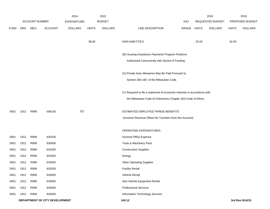|             |      |                       |                                | 2014           |              | 2015           |                                                                           |       |              | 2016             |              | 2016            |
|-------------|------|-----------------------|--------------------------------|----------------|--------------|----------------|---------------------------------------------------------------------------|-------|--------------|------------------|--------------|-----------------|
|             |      | <b>ACCOUNT NUMBER</b> |                                | EXPENDITURE    |              | <b>BUDGET</b>  |                                                                           | PAY   |              | REQUESTED BUDGET |              | PROPOSED BUDGET |
| <b>FUND</b> | ORG  | SBCL                  | <b>ACCOUNT</b>                 | <b>DOLLARS</b> | <b>UNITS</b> | <b>DOLLARS</b> | LINE DESCRIPTION                                                          | RANGE | <b>UNITS</b> | <b>DOLLARS</b>   | <b>UNITS</b> | <b>DOLLARS</b>  |
|             |      |                       |                                |                |              |                |                                                                           |       |              |                  |              |                 |
|             |      |                       |                                |                | 38.00        |                | NON-O&M FTE'S                                                             |       | 32.00        |                  | 32.00        |                 |
|             |      |                       |                                |                |              |                |                                                                           |       |              |                  |              |                 |
|             |      |                       |                                |                |              |                | (B) Housing Assistance Payments Program Positions                         |       |              |                  |              |                 |
|             |      |                       |                                |                |              |                | Authorized Concurrently with Section 8 Funding.                           |       |              |                  |              |                 |
|             |      |                       |                                |                |              |                |                                                                           |       |              |                  |              |                 |
|             |      |                       |                                |                |              |                | (X) Private Auto Allowance May Be Paid Pursuant to                        |       |              |                  |              |                 |
|             |      |                       |                                |                |              |                | Section 350-183 of the Milwaukee Code.                                    |       |              |                  |              |                 |
|             |      |                       |                                |                |              |                |                                                                           |       |              |                  |              |                 |
|             |      |                       |                                |                |              |                | (Y) Required to file a statement of economic interests in accordance with |       |              |                  |              |                 |
|             |      |                       |                                |                |              |                | the Milwaukee Code of Ordinances Chapter 303-Code of Ethics.              |       |              |                  |              |                 |
|             |      |                       |                                |                |              |                |                                                                           |       |              |                  |              |                 |
| 0001        | 1912 | R999                  | 006100                         | 757            |              |                | ESTIMATED EMPLOYEE FRINGE BENEFITS                                        |       |              |                  |              |                 |
|             |      |                       |                                |                |              |                | (Involves Revenue Offset-No Transfers from this Account)                  |       |              |                  |              |                 |
|             |      |                       |                                |                |              |                |                                                                           |       |              |                  |              |                 |
|             |      |                       |                                |                |              |                | <b>OPERATING EXPENDITURES</b>                                             |       |              |                  |              |                 |
| 0001        | 1912 | R999                  | 630100                         |                |              |                | General Office Expense                                                    |       |              |                  |              |                 |
| 0001        | 1912 | R999                  | 630500                         |                |              |                | Tools & Machinery Parts                                                   |       |              |                  |              |                 |
| 0001        | 1912 | R999                  | 631000                         |                |              |                | <b>Construction Supplies</b>                                              |       |              |                  |              |                 |
| 0001        | 1912 | R999                  | 631500                         |                |              |                | Energy                                                                    |       |              |                  |              |                 |
| 0001        | 1912 | R999                  | 632000                         |                |              |                | <b>Other Operating Supplies</b>                                           |       |              |                  |              |                 |
| 0001        | 1912 | R999                  | 632500                         |                |              |                | <b>Facility Rental</b>                                                    |       |              |                  |              |                 |
| 0001        | 1912 | R999                  | 633000                         |                |              |                | Vehicle Rental                                                            |       |              |                  |              |                 |
| 0001        | 1912 | R999                  | 633500                         |                |              |                | Non-Vehicle Equipment Rental                                              |       |              |                  |              |                 |
| 0001        | 1912 | R999                  | 634000                         |                |              |                | <b>Professional Services</b>                                              |       |              |                  |              |                 |
| 0001        | 1912 | R999                  | 634500                         |                |              |                | Information Technology Services                                           |       |              |                  |              |                 |
|             |      |                       | DEPARTMENT OF CITY DEVELOPMENT |                |              |                | 140.12                                                                    |       |              |                  |              | 3rd Run 9/14/15 |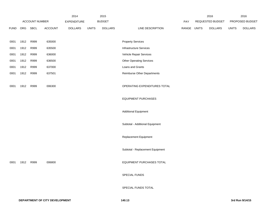|             |      |                |         | 2014               |              | 2015           |                                  |       |              | 2016             |              | 2016            |
|-------------|------|----------------|---------|--------------------|--------------|----------------|----------------------------------|-------|--------------|------------------|--------------|-----------------|
|             |      | ACCOUNT NUMBER |         | <b>EXPENDITURE</b> |              | <b>BUDGET</b>  |                                  | PAY   |              | REQUESTED BUDGET |              | PROPOSED BUDGET |
| <b>FUND</b> | ORG  | SBCL           | ACCOUNT | <b>DOLLARS</b>     | <b>UNITS</b> | <b>DOLLARS</b> | LINE DESCRIPTION                 | RANGE | <b>UNITS</b> | <b>DOLLARS</b>   | <b>UNITS</b> | <b>DOLLARS</b>  |
|             | 1912 | R999           |         |                    |              |                | <b>Property Services</b>         |       |              |                  |              |                 |
| 0001        |      |                | 635000  |                    |              |                |                                  |       |              |                  |              |                 |
| 0001        | 1912 | R999           | 635500  |                    |              |                | <b>Infrastructure Services</b>   |       |              |                  |              |                 |
| 0001        | 1912 | R999           | 636000  |                    |              |                | Vehicle Repair Services          |       |              |                  |              |                 |
| 0001        | 1912 | R999           | 636500  |                    |              |                | <b>Other Operating Services</b>  |       |              |                  |              |                 |
| 0001        | 1912 | R999           | 637000  |                    |              |                | Loans and Grants                 |       |              |                  |              |                 |
| 0001        | 1912 | R999           | 637501  |                    |              |                | Reimburse Other Departments      |       |              |                  |              |                 |
| 0001        | 1912 | R999           | 006300  |                    |              |                | OPERATING EXPENDITURES TOTAL     |       |              |                  |              |                 |
|             |      |                |         |                    |              |                | <b>EQUIPMENT PURCHASES</b>       |       |              |                  |              |                 |
|             |      |                |         |                    |              |                | <b>Additional Equipment</b>      |       |              |                  |              |                 |
|             |      |                |         |                    |              |                | Subtotal - Additional Equipment  |       |              |                  |              |                 |
|             |      |                |         |                    |              |                | Replacement Equipment            |       |              |                  |              |                 |
|             |      |                |         |                    |              |                | Subtotal - Replacement Equipment |       |              |                  |              |                 |
| 0001        | 1912 | R999           | 006800  |                    |              |                | EQUIPMENT PURCHASES TOTAL        |       |              |                  |              |                 |
|             |      |                |         |                    |              |                | SPECIAL FUNDS                    |       |              |                  |              |                 |
|             |      |                |         |                    |              |                | SPECIAL FUNDS TOTAL              |       |              |                  |              |                 |
|             |      |                |         |                    |              |                |                                  |       |              |                  |              |                 |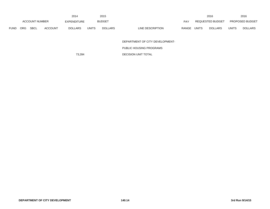|             |                |      |                | 2014           |              | 2015           |                  |              |              | 2016             |              | 2016                   |
|-------------|----------------|------|----------------|----------------|--------------|----------------|------------------|--------------|--------------|------------------|--------------|------------------------|
|             | ACCOUNT NUMBER |      |                | EXPENDITURE    |              | <b>BUDGET</b>  |                  | <b>PAY</b>   |              | REQUESTED BUDGET |              | <b>PROPOSED BUDGET</b> |
| <b>FUND</b> | <b>ORG</b>     | SBCL | <b>ACCOUNT</b> | <b>DOLLARS</b> | <b>UNITS</b> | <b>DOLLARS</b> | LINE DESCRIPTION | <b>RANGE</b> | <b>UNITS</b> | <b>DOLLARS</b>   | <b>UNITS</b> | <b>DOLLARS</b>         |

DEPARTMENT OF CITY DEVELOPMENT-

PUBLIC HOUSING PROGRAMS

73,284 DECISION UNIT TOTAL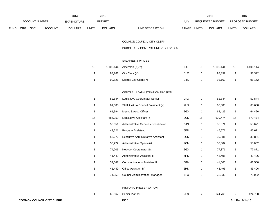|             |                                      |  |                    | 2014         |                | 2015                      |                                | 2016  |                        | 2016 |
|-------------|--------------------------------------|--|--------------------|--------------|----------------|---------------------------|--------------------------------|-------|------------------------|------|
|             | <b>ACCOUNT NUMBER</b>                |  | <b>EXPENDITURE</b> |              | <b>BUDGET</b>  | PAY                       | <b>REQUESTED BUDGET</b>        |       | <b>PROPOSED BUDGET</b> |      |
| <b>FUND</b> | <b>SBCL</b><br><b>ACCOUNT</b><br>ORG |  | <b>DOLLARS</b>     | <b>UNITS</b> | <b>DOLLARS</b> | LINE DESCRIPTION<br>RANGE | <b>UNITS</b><br><b>DOLLARS</b> | UNITS | <b>DOLLARS</b>         |      |

COMMON COUNCIL-CITY CLERK

BUDGETARY CONTROL UNIT (1BCU=1DU)

### SALARIES & WAGES

| 15 |        | 1,106,144 Alderman $(X)(Y)$ | EO  | 15 | 1.106.144 | 15 | 1,106,144 |
|----|--------|-----------------------------|-----|----|-----------|----|-----------|
|    | 93,761 | City Clerk (Y)              | 1LX |    | 98.392    |    | 98,392    |
|    | 90,821 | Deputy City Clerk (Y)       | 1JX |    | 91.162    |    | 91,162    |

## CENTRAL ADMINISTRATION DIVISION

| $\mathbf{1}$ | 52,844  | Legislative Coordinator-Senior        | 2KX |    | 52,844  |    | 52,844  |
|--------------|---------|---------------------------------------|-----|----|---------|----|---------|
| 1            | 61,000  | Staff Asst. to Council President (Y)  | 2HX | 1  | 68,680  |    | 68,680  |
| 1            | 61,394  | Mgmt. & Acct. Officer                 | 2GX | 1  | 64,426  | 1  | 64,426  |
| 15           | 684,059 | Legislative Assistant (Y)             | 2CN | 15 | 679,474 | 15 | 679,474 |
| 1            | 53,051  | Administrative Services Coordinator   | 5JN | 1  | 55,671  | 1  | 55,671  |
| $\mathbf{1}$ | 43,521  | Program Assistant I                   | 5EN | 1  | 45,671  |    | 45,671  |
| 1            | 55,272  | Executive Administrative Assistant II | 2CN |    | 39,881  |    | 39,881  |
| 1            | 55,272  | <b>Administrative Specialist</b>      | 2CN | 1  | 58,002  |    | 58,002  |
| 1            | 74,206  | Network Coordinator Sr.               | 2GX | 1  | 77,871  |    | 77,871  |
| $\mathbf{1}$ | 41,449  | Administrative Assistant II           | 6HN | 1  | 43,496  | 1  | 43,496  |
| 1            | 39,547  | <b>Communications Assistant II</b>    | 6GN | 1  | 41,500  | 1  | 41,500  |
| 1            | 41,449  | <b>Office Assistant IV</b>            | 6HN | 1  | 43,496  | 1  | 43,496  |
| 1            | 74,359  | <b>Council Administration Manager</b> | 1FX |    | 78,032  | 1  | 78,032  |
|              |         |                                       |     |    |         |    |         |

### HISTORIC PRESERVATION

|  | 65,567 Senior Planner | 2FN | 124.768 | 124,768 |
|--|-----------------------|-----|---------|---------|
|  |                       |     |         |         |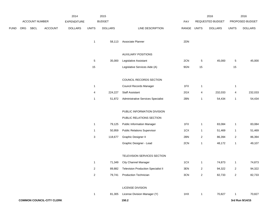|      |     |                |                                  | 2014               |                | 2015           |                                            |       |                | 2016             |                         | 2016            |
|------|-----|----------------|----------------------------------|--------------------|----------------|----------------|--------------------------------------------|-------|----------------|------------------|-------------------------|-----------------|
|      |     | ACCOUNT NUMBER |                                  | <b>EXPENDITURE</b> |                | <b>BUDGET</b>  |                                            | PAY   |                | REQUESTED BUDGET |                         | PROPOSED BUDGET |
| FUND | ORG | SBCL           | ACCOUNT                          | <b>DOLLARS</b>     | <b>UNITS</b>   | <b>DOLLARS</b> | LINE DESCRIPTION                           | RANGE | <b>UNITS</b>   | <b>DOLLARS</b>   | <b>UNITS</b>            | <b>DOLLARS</b>  |
|      |     |                |                                  |                    | $\mathbf{1}$   | 58,113         | Associate Planner                          | 2DN   |                |                  |                         |                 |
|      |     |                |                                  |                    |                |                | <b>AUXILIARY POSITIONS</b>                 |       |                |                  |                         |                 |
|      |     |                |                                  |                    | $\overline{5}$ | 35,000         | Legislative Assistant                      | 2CN   | $\overline{5}$ | 45,000           | 5                       | 45,000          |
|      |     |                |                                  |                    | $15\,$         |                | Legislative Services Aide (A)              | 9GN   | 15             |                  | 15                      |                 |
|      |     |                |                                  |                    |                |                | COUNCIL RECORDS SECTION                    |       |                |                  |                         |                 |
|      |     |                |                                  |                    | $\mathbf{1}$   |                | Council Records Manager                    | 1FX   | $\overline{1}$ |                  | $\mathbf{1}$            |                 |
|      |     |                |                                  |                    | 4              | 224,227        | Staff Assistant                            | 2GX   | 4              | 232,033          | 4                       | 232,033         |
|      |     |                |                                  |                    | $\mathbf{1}$   | 51,872         | Administrative Services Specialist         | 2BN   | $\mathbf{1}$   | 54,434           | $\mathbf{1}$            | 54,434          |
|      |     |                |                                  |                    |                |                | PUBLIC INFORMATION DIVISION                |       |                |                  |                         |                 |
|      |     |                |                                  |                    |                |                | PUBLIC RELATIONS SECTION                   |       |                |                  |                         |                 |
|      |     |                |                                  |                    | $\mathbf{1}$   | 79,125         | <b>Public Information Manager</b>          | 1FX   | $\mathbf{1}$   | 83,084           | $\mathbf{1}$            | 83,084          |
|      |     |                |                                  |                    | $\mathbf{1}$   | 50,959         | <b>Public Relations Supervisor</b>         | 1CX   | $\overline{1}$ | 51,469           | $\mathbf{1}$            | 51,469          |
|      |     |                |                                  |                    | 3              | 118,677        | Graphic Designer II                        | 2BN   | $\overline{2}$ | 86,394           | $\overline{2}$          | 86,394          |
|      |     |                |                                  |                    |                |                | Graphic Designer - Lead                    | 2CN   | $\mathbf{1}$   | 48,172           | $\mathbf{1}$            | 49,107          |
|      |     |                |                                  |                    |                |                | TELEVISION SERVICES SECTION                |       |                |                  |                         |                 |
|      |     |                |                                  |                    | $\mathbf{1}$   | 71,349         | <b>City Channel Manager</b>                | 1CX   | $\mathbf{1}$   | 74,873           | $\mathbf{1}$            | 74,873          |
|      |     |                |                                  |                    | $\sqrt{2}$     | 89,882         | <b>Television Production Specialist II</b> | 3EN   | $\mathbf{2}$   | 94,322           | $\overline{\mathbf{c}}$ | 94,322          |
|      |     |                |                                  |                    | $\sqrt{2}$     | 79,741         | <b>Production Technician</b>               | 3CN   | $\overline{a}$ | 82,733           | $\overline{a}$          | 82,733          |
|      |     |                |                                  |                    |                |                | LICENSE DIVISION                           |       |                |                  |                         |                 |
|      |     |                |                                  |                    | $\mathbf{1}$   | 81,305         | License Division Manager (Y)               | 1HX   | $\mathbf{1}$   | 70,827           | $\mathbf{1}$            | 70,827          |
|      |     |                | <b>COMMON COUNCIL-CITY CLERK</b> |                    |                |                | 150.2                                      |       |                |                  |                         | 3rd Run 9/14/15 |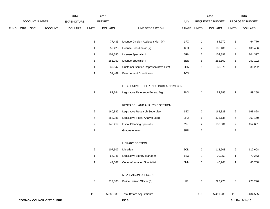|             |     |                |                                  | 2014               |                | 2015           |                                        |             |                | 2016             |                         | 2016            |
|-------------|-----|----------------|----------------------------------|--------------------|----------------|----------------|----------------------------------------|-------------|----------------|------------------|-------------------------|-----------------|
|             |     | ACCOUNT NUMBER |                                  | <b>EXPENDITURE</b> |                | <b>BUDGET</b>  |                                        | PAY         |                | REQUESTED BUDGET |                         | PROPOSED BUDGET |
| <b>FUND</b> | ORG | <b>SBCL</b>    | <b>ACCOUNT</b>                   | <b>DOLLARS</b>     | <b>UNITS</b>   | <b>DOLLARS</b> | LINE DESCRIPTION                       | RANGE UNITS |                | <b>DOLLARS</b>   | <b>UNITS</b>            | <b>DOLLARS</b>  |
|             |     |                |                                  |                    | $\mathbf{1}$   | 77,433         | License Division Assistant Mgr. (Y)    | 1FX         | $\overline{1}$ | 64,770           | $\mathbf{1}$            | 64,770          |
|             |     |                |                                  |                    | $\mathbf{1}$   | 52,428         | License Coordinator (Y)                | 1CX         | 2              | 106,486          | $\overline{2}$          | 106,486         |
|             |     |                |                                  |                    | $\overline{c}$ | 101,386        | License Specialist III                 | 5GN         | 2              | 104,397          | $\overline{a}$          | 104,397         |
|             |     |                |                                  |                    | 6              | 251,059        | License Specialist II                  | 5EN         | 6              | 252,102          | 6                       | 252,102         |
|             |     |                |                                  |                    | $\mathbf{1}$   | 39,547         | Customer Service Representative II (Y) | 6GN         | $\mathbf{1}$   | 33,976           | $\mathbf{1}$            | 36,252          |
|             |     |                |                                  |                    | $\mathbf{1}$   | 51,469         | <b>Enforcement Coordinator</b>         | 1CX         |                |                  |                         |                 |
|             |     |                |                                  |                    |                |                | LEGISLATIVE REFERENCE BUREAU DIVISION  |             |                |                  |                         |                 |
|             |     |                |                                  |                    | $\mathbf{1}$   | 82,844         | Legislative Reference Bureau Mgr.      | 1HX         | $\overline{1}$ | 89,288           | $\mathbf{1}$            | 89,288          |
|             |     |                |                                  |                    |                |                | RESEARCH AND ANALYSIS SECTION          |             |                |                  |                         |                 |
|             |     |                |                                  |                    | $\overline{2}$ | 160,882        | Legislative Research Supervisor        | 1EX         | $\overline{c}$ | 168,828          | $\overline{2}$          | 168,828         |
|             |     |                |                                  |                    | 6              | 353,281        | Legislative Fiscal Analyst Lead        | 2HX         | 6              | 373,135          | 6                       | 363,160         |
|             |     |                |                                  |                    | $\overline{2}$ | 145,419        | <b>Fiscal Planning Specialist</b>      | 2IX         | 2              | 152,601          | $\overline{a}$          | 152,601         |
|             |     |                |                                  |                    | $\sqrt{2}$     |                | Graduate Intern                        | 9PN         | $\sqrt{2}$     |                  | $\overline{\mathbf{c}}$ |                 |
|             |     |                |                                  |                    |                |                | <b>LIBRARY SECTION</b>                 |             |                |                  |                         |                 |
|             |     |                |                                  |                    | $\overline{2}$ | 107,307        | Librarian II                           | 2CN         | 2              | 112,608          | $\overline{a}$          | 112,608         |
|             |     |                |                                  |                    | $\mathbf{1}$   | 66,946         | Legislative Library Manager            | 1BX         | $\overline{1}$ | 70,253           | $\mathbf{1}$            | 70,253          |
|             |     |                |                                  |                    | $\mathbf{1}$   | 44,567         | <b>Code Information Specialist</b>     | 6NN         | $\overline{1}$ | 46,768           | 1                       | 46,768          |
|             |     |                |                                  |                    |                |                | <b>MPA LIAISON OFFICERS</b>            |             |                |                  |                         |                 |
|             |     |                |                                  |                    | 3              | 219,805        | Police Liaison Officer (B)             | 4F          | $\mathbf{3}$   | 223,226          | $\mathbf{3}$            | 223,226         |
|             |     |                |                                  |                    | 115            | 5,388,339      | <b>Total Before Adjustments</b>        |             | 115            | 5,491,289        | 115                     | 5,484,525       |
|             |     |                | <b>COMMON COUNCIL-CITY CLERK</b> |                    |                |                | 150.3                                  |             |                |                  |                         | 3rd Run 9/14/15 |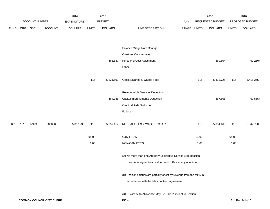|             |      |                |                                  | 2014               |              | 2015           |                                                                       |             |       | 2016             |              | 2016            |
|-------------|------|----------------|----------------------------------|--------------------|--------------|----------------|-----------------------------------------------------------------------|-------------|-------|------------------|--------------|-----------------|
|             |      | ACCOUNT NUMBER |                                  | <b>EXPENDITURE</b> |              | <b>BUDGET</b>  |                                                                       | PAY         |       | REQUESTED BUDGET |              | PROPOSED BUDGET |
| <b>FUND</b> | ORG  | SBCL           | <b>ACCOUNT</b>                   | <b>DOLLARS</b>     | <b>UNITS</b> | <b>DOLLARS</b> | LINE DESCRIPTION                                                      | RANGE UNITS |       | <b>DOLLARS</b>   | <b>UNITS</b> | <b>DOLLARS</b>  |
|             |      |                |                                  |                    |              |                |                                                                       |             |       |                  |              |                 |
|             |      |                |                                  |                    |              |                | Salary & Wage Rate Change                                             |             |       |                  |              |                 |
|             |      |                |                                  |                    |              |                | Overtime Compensated*                                                 |             |       |                  |              |                 |
|             |      |                |                                  |                    |              | (66, 837)      | Personnel Cost Adjustment                                             |             |       | (69, 564)        |              |                 |
|             |      |                |                                  |                    |              |                |                                                                       |             |       |                  |              | (69, 260)       |
|             |      |                |                                  |                    |              |                | Other                                                                 |             |       |                  |              |                 |
|             |      |                |                                  |                    | 115          | 5,321,502      | Gross Salaries & Wages Total                                          |             | 115   | 5,421,725        | 115          | 5,415,265       |
|             |      |                |                                  |                    |              |                |                                                                       |             |       |                  |              |                 |
|             |      |                |                                  |                    |              |                | Reimbursable Services Deduction                                       |             |       |                  |              |                 |
|             |      |                |                                  |                    |              | (64, 385)      | <b>Capital Improvements Deduction</b>                                 |             |       | (67, 565)        |              | (67, 565)       |
|             |      |                |                                  |                    |              |                | <b>Grants &amp; Aids Deduction</b>                                    |             |       |                  |              |                 |
|             |      |                |                                  |                    |              |                | Furlough                                                              |             |       |                  |              |                 |
| 0001        | 1310 | R999           | 006000                           | 5,057,936          | 115          | 5,257,117      | NET SALARIES & WAGES TOTAL*                                           |             | 115   | 5,354,160        | 115          | 5,347,700       |
|             |      |                |                                  |                    | 94.00        |                | O&M FTE'S                                                             |             | 94.00 |                  | 94.00        |                 |
|             |      |                |                                  |                    | 1.00         |                | NON-O&M FTE'S                                                         |             | 1.00  |                  | 1.00         |                 |
|             |      |                |                                  |                    |              |                | (A) No more than one Auxiliary Legislative Service Aide position      |             |       |                  |              |                 |
|             |      |                |                                  |                    |              |                | may be assigned to any aldermanic office at any one time.             |             |       |                  |              |                 |
|             |      |                |                                  |                    |              |                | (B) Position salaries are partially offset by revenue from the MPA in |             |       |                  |              |                 |
|             |      |                |                                  |                    |              |                | accordance with the labor contract agreement.                         |             |       |                  |              |                 |
|             |      |                |                                  |                    |              |                | (X) Private Auto Allowance May Be Paid Pursuant to Section            |             |       |                  |              |                 |
|             |      |                | <b>COMMON COUNCIL-CITY CLERK</b> |                    |              |                | 150.4                                                                 |             |       |                  |              | 3rd Run 9/14/15 |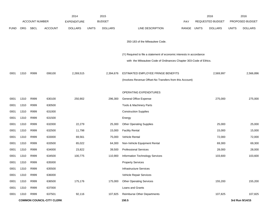|             |            |                       |                                  | 2014               |              | 2015           |                                                                      |       |              | 2016             |              | 2016            |
|-------------|------------|-----------------------|----------------------------------|--------------------|--------------|----------------|----------------------------------------------------------------------|-------|--------------|------------------|--------------|-----------------|
|             |            | <b>ACCOUNT NUMBER</b> |                                  | <b>EXPENDITURE</b> |              | <b>BUDGET</b>  |                                                                      | PAY   |              | REQUESTED BUDGET |              | PROPOSED BUDGET |
| <b>FUND</b> | <b>ORG</b> | <b>SBCL</b>           | <b>ACCOUNT</b>                   | <b>DOLLARS</b>     | <b>UNITS</b> | <b>DOLLARS</b> | LINE DESCRIPTION                                                     | RANGE | <b>UNITS</b> | <b>DOLLARS</b>   | <b>UNITS</b> | <b>DOLLARS</b>  |
|             |            |                       |                                  |                    |              |                | 350-183 of the Milwaukee Code.                                       |       |              |                  |              |                 |
|             |            |                       |                                  |                    |              |                |                                                                      |       |              |                  |              |                 |
|             |            |                       |                                  |                    |              |                | (Y) Required to file a statement of economic interests in accordance |       |              |                  |              |                 |
|             |            |                       |                                  |                    |              |                | with the Milwaukee Code of Ordinances Chapter 303-Code of Ethics.    |       |              |                  |              |                 |
|             |            |                       |                                  |                    |              |                |                                                                      |       |              |                  |              |                 |
| 0001        | 1310       | R999                  | 006100                           | 2,269,515          |              | 2,394,676      | ESTIMATED EMPLOYEE FRINGE BENEFITS                                   |       |              | 2,569,997        |              | 2,566,896       |
|             |            |                       |                                  |                    |              |                | (Involves Revenue Offset-No Transfers from this Account)             |       |              |                  |              |                 |
|             |            |                       |                                  |                    |              |                |                                                                      |       |              |                  |              |                 |
|             |            |                       |                                  |                    |              |                | OPERATING EXPENDITURES                                               |       |              |                  |              |                 |
| 0001        | 1310       | R999                  | 630100                           | 250,902            |              | 296,300        | <b>General Office Expense</b>                                        |       |              | 275,000          |              | 275,000         |
| 0001        | 1310       | R999                  | 630500                           |                    |              |                | Tools & Machinery Parts                                              |       |              |                  |              |                 |
| 0001        | 1310       | R999                  | 631000                           |                    |              |                | <b>Construction Supplies</b>                                         |       |              |                  |              |                 |
| 0001        | 1310       | R999                  | 631500                           |                    |              |                | Energy                                                               |       |              |                  |              |                 |
| 0001        | 1310       | R999                  | 632000                           | 22,279             |              | 25,300         | <b>Other Operating Supplies</b>                                      |       |              | 25,000           |              | 25,000          |
| 0001        | 1310       | R999                  | 632500                           | 11,798             |              | 15,000         | <b>Facility Rental</b>                                               |       |              | 15,000           |              | 15,000          |
| 0001        | 1310       | R999                  | 633000                           | 69,561             |              | 75,000         | Vehicle Rental                                                       |       |              | 72,000           |              | 72,000          |
| 0001        | 1310       | R999                  | 633500                           | 65,022             |              | 64,300         | Non-Vehicle Equipment Rental                                         |       |              | 69,300           |              | 69,300          |
| 0001        | 1310       | R999                  | 634000                           | 23,822             |              | 39,500         | <b>Professional Services</b>                                         |       |              | 28,000           |              | 28,000          |
| 0001        | 1310       | R999                  | 634500                           | 100,775            |              | 110,900        | Information Technology Services                                      |       |              | 103,600          |              | 103,600         |
| 0001        | 1310       | R999                  | 635000                           |                    |              |                | <b>Property Services</b>                                             |       |              |                  |              |                 |
| 0001        | 1310       | R999                  | 635500                           |                    |              |                | <b>Infrastructure Services</b>                                       |       |              |                  |              |                 |
| 0001        | 1310       | R999                  | 636000                           |                    |              |                | Vehicle Repair Services                                              |       |              |                  |              |                 |
| 0001        | 1310       | R999                  | 636500                           | 175,176            |              | 175,000        | <b>Other Operating Services</b>                                      |       |              | 155,200          |              | 155,200         |
| 0001        | 1310       | R999                  | 637000                           |                    |              |                | Loans and Grants                                                     |       |              |                  |              |                 |
| 0001        | 1310       | R999                  | 637501                           | 92,116             |              | 107,825        | Reimburse Other Departments                                          |       |              | 107,825          |              | 107,825         |
|             |            |                       | <b>COMMON COUNCIL-CITY CLERK</b> |                    |              |                | 150.5                                                                |       |              |                  |              | 3rd Run 9/14/15 |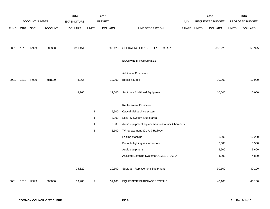|             |      |                |                | 2014               |              | 2015           |                                                 |       |              | 2016                    |              | 2016            |
|-------------|------|----------------|----------------|--------------------|--------------|----------------|-------------------------------------------------|-------|--------------|-------------------------|--------------|-----------------|
|             |      | ACCOUNT NUMBER |                | <b>EXPENDITURE</b> |              | <b>BUDGET</b>  |                                                 | PAY   |              | <b>REQUESTED BUDGET</b> |              | PROPOSED BUDGET |
| <b>FUND</b> | ORG  | SBCL           | <b>ACCOUNT</b> | <b>DOLLARS</b>     | <b>UNITS</b> | <b>DOLLARS</b> | LINE DESCRIPTION                                | RANGE | <b>UNITS</b> | <b>DOLLARS</b>          | <b>UNITS</b> | <b>DOLLARS</b>  |
|             |      |                |                |                    |              |                |                                                 |       |              |                         |              |                 |
|             |      |                |                |                    |              |                |                                                 |       |              |                         |              |                 |
| 0001        | 1310 | R999           | 006300         | 811,451            |              | 909,125        | OPERATING EXPENDITURES TOTAL*                   |       |              | 850,925                 |              | 850,925         |
|             |      |                |                |                    |              |                |                                                 |       |              |                         |              |                 |
|             |      |                |                |                    |              |                | <b>EQUIPMENT PURCHASES</b>                      |       |              |                         |              |                 |
|             |      |                |                |                    |              |                |                                                 |       |              |                         |              |                 |
|             |      |                |                |                    |              |                | <b>Additional Equipment</b>                     |       |              |                         |              |                 |
| 0001        | 1310 | R999           | 681500         | 8,966              |              | 12,000         | Books & Maps                                    |       |              | 10,000                  |              | 10,000          |
|             |      |                |                |                    |              |                |                                                 |       |              |                         |              |                 |
|             |      |                |                | 8,966              |              | 12,000         | Subtotal - Additional Equipment                 |       |              | 10,000                  |              | 10,000          |
|             |      |                |                |                    |              |                |                                                 |       |              |                         |              |                 |
|             |      |                |                |                    |              |                | Replacement Equipment                           |       |              |                         |              |                 |
|             |      |                |                |                    | $\mathbf{1}$ | 9,500          | Optical disk archive system                     |       |              |                         |              |                 |
|             |      |                |                |                    | $\mathbf{1}$ | 2,000          | Security System Studio area                     |       |              |                         |              |                 |
|             |      |                |                |                    | $\mathbf{1}$ | 5,500          | Audio equipment replacement in Council Chambers |       |              |                         |              |                 |
|             |      |                |                |                    | $\mathbf{1}$ | 2,100          | TV replacement 301-A & Hallway                  |       |              |                         |              |                 |
|             |      |                |                |                    |              |                | <b>Folding Machine</b>                          |       |              | 16,200                  |              | 16,200          |
|             |      |                |                |                    |              |                | Portable lighting kits for remote               |       |              | 3,500                   |              | 3,500           |
|             |      |                |                |                    |              |                | Audio equipment                                 |       |              | 5,600                   |              | 5,600           |
|             |      |                |                |                    |              |                | Assisted Listening Systems CC, 301-B, 301-A     |       |              | 4,800                   |              | 4,800           |
|             |      |                |                |                    |              |                |                                                 |       |              |                         |              |                 |
|             |      |                |                | 24,320             | 4            | 19,100         | Subtotal - Replacement Equipment                |       |              | 30,100                  |              | 30,100          |
|             |      |                |                |                    |              |                |                                                 |       |              |                         |              |                 |
| 0001        | 1310 | R999           | 006800         | 33,286             | 4            | 31,100         | EQUIPMENT PURCHASES TOTAL*                      |       |              | 40,100                  |              | 40,100          |
|             |      |                |                |                    |              |                |                                                 |       |              |                         |              |                 |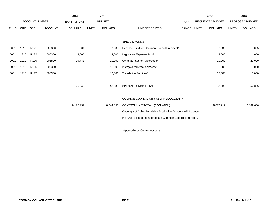|             |            |                       |                | 2014               |              | 2015           |                                                                  |       |       | 2016                    |              | 2016            |
|-------------|------------|-----------------------|----------------|--------------------|--------------|----------------|------------------------------------------------------------------|-------|-------|-------------------------|--------------|-----------------|
|             |            | <b>ACCOUNT NUMBER</b> |                | <b>EXPENDITURE</b> |              | <b>BUDGET</b>  |                                                                  | PAY   |       | <b>REQUESTED BUDGET</b> |              | PROPOSED BUDGET |
| <b>FUND</b> | <b>ORG</b> | <b>SBCL</b>           | <b>ACCOUNT</b> | <b>DOLLARS</b>     | <b>UNITS</b> | <b>DOLLARS</b> | LINE DESCRIPTION                                                 | RANGE | UNITS | <b>DOLLARS</b>          | <b>UNITS</b> | <b>DOLLARS</b>  |
|             |            |                       |                |                    |              |                |                                                                  |       |       |                         |              |                 |
|             |            |                       |                |                    |              |                | <b>SPECIAL FUNDS</b>                                             |       |       |                         |              |                 |
| 0001        | 1310       | R <sub>121</sub>      | 006300         | 501                |              | 3,035          | Expense Fund for Common Council President*                       |       |       | 3,035                   |              | 3,035           |
| 0001        | 1310       | R <sub>122</sub>      | 006300         | 4,000              |              | 4,000          | Legislative Expense Fund*                                        |       |       | 4,000                   |              | 4,000           |
| 0001        | 1310       | R <sub>129</sub>      | 006800         | 20,748             |              | 20,000         | Computer System Upgrades*                                        |       |       | 20,000                  |              | 20,000          |
| 0001        | 1310       | R <sub>136</sub>      | 006300         |                    |              | 15,000         | Intergovernmental Services*                                      |       |       | 15,000                  |              | 15,000          |
| 0001        | 1310       | R <sub>137</sub>      | 006300         |                    |              | 10,000         | <b>Translation Services*</b>                                     |       |       | 15,000                  |              | 15,000          |
|             |            |                       |                |                    |              |                |                                                                  |       |       |                         |              |                 |
|             |            |                       |                | 25,249             |              | 52,035         | SPECIAL FUNDS TOTAL                                              |       |       | 57,035                  |              | 57,035          |
|             |            |                       |                |                    |              |                |                                                                  |       |       |                         |              |                 |
|             |            |                       |                |                    |              |                | COMMON COUNCIL-CITY CLERK BUDGETARY                              |       |       |                         |              |                 |
|             |            |                       |                | 8,197,437          |              | 8,644,053      | CONTROL UNIT TOTAL (1BCU=1DU)                                    |       |       | 8,872,217               |              | 8,862,656       |
|             |            |                       |                |                    |              |                | Oversight of Cable Television Production functions will be under |       |       |                         |              |                 |
|             |            |                       |                |                    |              |                | the jurisdiction of the appropriate Common Council committee.    |       |       |                         |              |                 |
|             |            |                       |                |                    |              |                |                                                                  |       |       |                         |              |                 |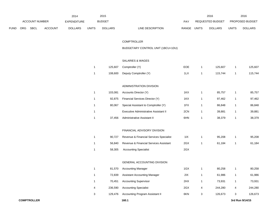|      |     |                |                | 2014               |              | 2015           |                                         |             |              | 2016             |                | 2016            |
|------|-----|----------------|----------------|--------------------|--------------|----------------|-----------------------------------------|-------------|--------------|------------------|----------------|-----------------|
|      |     | ACCOUNT NUMBER |                | <b>EXPENDITURE</b> |              | <b>BUDGET</b>  |                                         | PAY         |              | REQUESTED BUDGET |                | PROPOSED BUDGET |
| FUND | ORG | <b>SBCL</b>    | <b>ACCOUNT</b> | <b>DOLLARS</b>     | <b>UNITS</b> | <b>DOLLARS</b> | LINE DESCRIPTION                        | RANGE UNITS |              | <b>DOLLARS</b>   | <b>UNITS</b>   | <b>DOLLARS</b>  |
|      |     |                |                |                    |              |                |                                         |             |              |                  |                |                 |
|      |     |                |                |                    |              |                | <b>COMPTROLLER</b>                      |             |              |                  |                |                 |
|      |     |                |                |                    |              |                | BUDGETARY CONTROL UNIT (1BCU=1DU)       |             |              |                  |                |                 |
|      |     |                |                |                    |              |                |                                         |             |              |                  |                |                 |
|      |     |                |                |                    |              |                | SALARIES & WAGES                        |             |              |                  |                |                 |
|      |     |                |                |                    | $\mathbf{1}$ | 125,607        | Comptroller (Y)                         | EOE         | $\mathbf{1}$ | 125,607          | $\overline{1}$ | 125,607         |
|      |     |                |                |                    | $\mathbf{1}$ | 108,600        | Deputy Comptroller (Y)                  | 1LX         | $\mathbf{1}$ | 115,744          | $\overline{1}$ | 115,744         |
|      |     |                |                |                    |              |                | ADMINISTRATION DIVISION                 |             |              |                  |                |                 |
|      |     |                |                |                    | $\mathbf{1}$ | 103,081        | Accounts Director (Y)                   | 1KX         | 1            | 85,757           | $\overline{1}$ | 85,757          |
|      |     |                |                |                    | 1            | 92,875         | Financial Services Director (Y)         | 1KX         | 1            | 97,462           | $\overline{1}$ | 97,462          |
|      |     |                |                |                    | 1            | 80,067         | Special Assistant to Comptroller (Y)    | 1FX         | 1            | 86,848           | $\overline{1}$ | 86,848          |
|      |     |                |                |                    | 1            |                | Executive Administrative Assistant II   | 2CN         | 1            | 39,881           | $\overline{1}$ | 39,881          |
|      |     |                |                |                    | $\mathbf{1}$ | 37,456         | Administrative Assistant II             | 6HN         | $\mathbf{1}$ | 38,379           | $\mathbf{1}$   | 38,379          |
|      |     |                |                |                    |              |                |                                         |             |              |                  |                |                 |
|      |     |                |                |                    |              |                | FINANCIAL ADVISORY DIVISION             |             |              |                  |                |                 |
|      |     |                |                |                    | $\mathbf{1}$ | 90,727         | Revenue & Financial Services Specialist | 11X         | $\mathbf{1}$ | 95,208           | $\mathbf{1}$   | 95,208          |
|      |     |                |                |                    | 1            | 56,840         | Revenue & Financial Services Assistant  | 2GX         | $\mathbf{1}$ | 61,184           | $\overline{1}$ | 61,184          |
|      |     |                |                |                    | 1            | 58,305         | <b>Accounting Specialist</b>            | 2GX         |              |                  |                |                 |
|      |     |                |                |                    |              |                |                                         |             |              |                  |                |                 |
|      |     |                |                |                    |              |                | GENERAL ACCOUNTING DIVISION             |             |              |                  |                |                 |
|      |     |                |                |                    |              | 81,570         | <b>Accounting Manager</b>               | 1GX         |              | 80,258           | $\mathbf{1}$   | 80,258          |
|      |     |                |                |                    | $\mathbf{1}$ | 72,839         | Assistant Accounting Manager            | 2IX         | 1            | 61,986           | $\mathbf{1}$   | 61,986          |
|      |     |                |                |                    | $\mathbf{1}$ | 70,451         | <b>Accounting Supervisor</b>            | 2HX         | 1            | 73,931           | $\mathbf{1}$   | 73,931          |
|      |     |                |                |                    | 4            | 236,590        | <b>Accounting Specialist</b>            | 2GX         | 4            | 244,280          | 4              | 244,280         |
|      |     |                |                |                    | $\mathbf{3}$ | 129,476        | Accounting Program Assistant II         | 6KN         | 3            | 126,673          | 3              | 126,673         |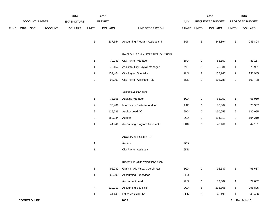|      |     |                |                | 2014               |                         | 2015           |                                    |             |                | 2016             |                         | 2016            |
|------|-----|----------------|----------------|--------------------|-------------------------|----------------|------------------------------------|-------------|----------------|------------------|-------------------------|-----------------|
|      |     | ACCOUNT NUMBER |                | <b>EXPENDITURE</b> |                         | <b>BUDGET</b>  |                                    | PAY         |                | REQUESTED BUDGET |                         | PROPOSED BUDGET |
| FUND | ORG | SBCL           | <b>ACCOUNT</b> | <b>DOLLARS</b>     | <b>UNITS</b>            | <b>DOLLARS</b> | LINE DESCRIPTION                   | RANGE UNITS |                | <b>DOLLARS</b>   | <b>UNITS</b>            | <b>DOLLARS</b>  |
|      |     |                |                |                    |                         |                |                                    |             |                |                  |                         |                 |
|      |     |                |                |                    | $\,$ 5 $\,$             | 237,654        | Accounting Program Assistant III   | 5GN         | $\,$ 5 $\,$    | 243,894          | $\,$ 5 $\,$             | 243,894         |
|      |     |                |                |                    |                         |                | PAYROLL ADMINISTRATION DIVISION    |             |                |                  |                         |                 |
|      |     |                |                |                    | $\mathbf{1}$            | 79,243         | City Payroll Manager               | 1HX         | $\mathbf{1}$   | 83,157           | $\mathbf{1}$            | 83,157          |
|      |     |                |                |                    | $\mathbf{1}$            | 70,452         | Assistant City Payroll Manager     | 2IX         | $\mathbf{1}$   | 73,931           | $\mathbf{1}$            | 73,931          |
|      |     |                |                |                    | $\overline{c}$          | 132,404        | <b>City Payroll Specialist</b>     | 2HX         | $\overline{2}$ | 138,945          | $\overline{c}$          | 138,945         |
|      |     |                |                |                    | $\boldsymbol{2}$        | 98,902         | City Payroll Assistant - Sr.       | 5GN         | $\overline{c}$ | 103,788          | $\overline{\mathbf{c}}$ | 103,788         |
|      |     |                |                |                    |                         |                |                                    |             |                |                  |                         |                 |
|      |     |                |                |                    |                         |                | <b>AUDITING DIVISION</b>           |             |                |                  |                         |                 |
|      |     |                |                |                    | $\mathbf{1}$            | 78,155         | <b>Auditing Manager</b>            | 1GX         | $\mathbf{1}$   | 68,950           | $\mathbf{1}$            | 68,950          |
|      |     |                |                |                    | $\overline{a}$          | 75,401         | <b>Information Systems Auditor</b> | 2JX         | 1              | 70,367           | $\mathbf{1}$            | 70,367          |
|      |     |                |                |                    | $\overline{\mathbf{c}}$ | 129,236        | Auditor Lead (X)                   | 2HX         | $\sqrt{2}$     | 130,055          | $\overline{c}$          | 130,055         |
|      |     |                |                |                    | 3                       | 180,034        | Auditor                            | 2GX         | 3              | 194,219          | 3                       | 194,219         |
|      |     |                |                |                    | $\mathbf{1}$            | 44,941         | Accounting Program Assistant II    | 6KN         | $\mathbf{1}$   | 47,161           | $\mathbf{1}$            | 47,161          |
|      |     |                |                |                    |                         |                |                                    |             |                |                  |                         |                 |
|      |     |                |                |                    |                         |                | <b>AUXILIARY POSITIONS</b>         |             |                |                  |                         |                 |
|      |     |                |                |                    | $\mathbf 1$             |                | Auditor                            | 2GX         |                |                  |                         |                 |
|      |     |                |                |                    | $\mathbf{1}$            |                | <b>City Payroll Assistant</b>      | 6KN         |                |                  |                         |                 |
|      |     |                |                |                    |                         |                |                                    |             |                |                  |                         |                 |
|      |     |                |                |                    |                         |                | REVENUE AND COST DIVISION          |             |                |                  |                         |                 |
|      |     |                |                |                    | $\mathbf{1}$            | 92,089         | Grant-In-Aid Fiscal Coordinator    | 1GX         | $\mathbf{1}$   | 96,637           | $\mathbf{1}$            | 96,637          |
|      |     |                |                |                    | $\mathbf{1}$            | 65,200         | <b>Accounting Supervisor</b>       | 2HX         |                |                  |                         |                 |
|      |     |                |                |                    |                         |                | Accountant Lead                    | 2HX         | $\mathbf{1}$   | 79,602           | $\mathbf{1}$            | 79,602          |
|      |     |                |                |                    | 4                       | 229,012        | <b>Accounting Specialist</b>       | 2GX         | $\,$ 5 $\,$    | 295,805          | 5                       | 295,805         |
|      |     |                |                |                    | $\mathbf{1}$            | 41,449         | Office Assistant IV                | 6HN         | $\mathbf{1}$   | 43,496           | $\mathbf{1}$            | 43,496          |
|      |     |                |                |                    |                         |                |                                    |             |                |                  |                         |                 |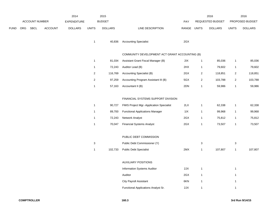|             |            |                       |                | 2014               |                | 2015           |                                                |            |       | 2016                    |                | 2016            |
|-------------|------------|-----------------------|----------------|--------------------|----------------|----------------|------------------------------------------------|------------|-------|-------------------------|----------------|-----------------|
|             |            | <b>ACCOUNT NUMBER</b> |                | <b>EXPENDITURE</b> |                | <b>BUDGET</b>  |                                                | <b>PAY</b> |       | <b>REQUESTED BUDGET</b> |                | PROPOSED BUDGET |
| <b>FUND</b> | <b>ORG</b> | <b>SBCL</b>           | <b>ACCOUNT</b> | <b>DOLLARS</b>     | <b>UNITS</b>   | <b>DOLLARS</b> | LINE DESCRIPTION                               | RANGE      | UNITS | <b>DOLLARS</b>          | <b>UNITS</b>   | <b>DOLLARS</b>  |
|             |            |                       |                |                    |                | 40,836         | <b>Accounting Specialist</b>                   | 2GX        |       |                         |                |                 |
|             |            |                       |                |                    |                |                | COMMUNITY DEVELOPMENT ACT GRANT ACCOUNTING (B) |            |       |                         |                |                 |
|             |            |                       |                |                    |                | 81,034         | Assistant Grant Fiscal Manager (B)             | 2IX        |       | 85,036                  |                | 85,036          |
|             |            |                       |                |                    |                | 72,243         | Auditor Lead (B)                               | 2HX        | -1    | 79,602                  |                | 79,602          |
|             |            |                       |                |                    | $\overline{2}$ | 116,769        | <b>Accounting Specialist (B)</b>               | 2GX        | 2     | 118,851                 | $\overline{2}$ | 118,851         |
|             |            |                       |                |                    | 2              | 97,259         | Accounting Program Assistant III (B)           | 5GX        | 2     | 103,788                 | 2              | 103,788         |

# FINANCIAL SYSTEMS SUPPORT DIVISION

| 90.727 | <b>FMIS Project Mgr.-Application Specialist</b> | 2LX   | 62.338 | 62,338 |
|--------|-------------------------------------------------|-------|--------|--------|
| 89.700 | <b>Functional Applications Manager</b>          | 1 I X | 99.968 | 99,968 |
| 72.243 | <b>Network Analyst</b>                          | 2GX   | 75.812 | 75,812 |
| 70.047 | <b>Financial Systems Analyst</b>                | 2GX   | 73.507 | 73,507 |

1 57,163 Accountant II (B) 2DN 1 59,986 1 59,986

#### PUBLIC DEBT COMMISSION

|  | Public Debt Commissioner (Y)   |     |         |         |
|--|--------------------------------|-----|---------|---------|
|  | 102,733 Public Debt Specialist | 2MX | 107.807 | 107,807 |

#### AUXILIARY POSITIONS

| <b>Information Systems Auditor</b>  | 2JX |  |
|-------------------------------------|-----|--|
| Auditor                             | 2GX |  |
| <b>City Payroll Assistant</b>       | 6KN |  |
| Functional Applications Analyst Sr. | 2JX |  |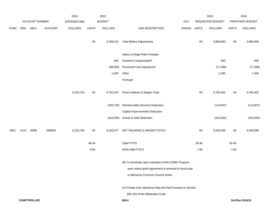|             |      |                    |                | 2014               |              | 2015           |                                                            |       |              | 2016             |              | 2016            |
|-------------|------|--------------------|----------------|--------------------|--------------|----------------|------------------------------------------------------------|-------|--------------|------------------|--------------|-----------------|
|             |      | ACCOUNT NUMBER     |                | <b>EXPENDITURE</b> |              | <b>BUDGET</b>  |                                                            | PAY   |              | REQUESTED BUDGET |              | PROPOSED BUDGET |
| <b>FUND</b> | ORG  | SBCL               | <b>ACCOUNT</b> | <b>DOLLARS</b>     | <b>UNITS</b> | <b>DOLLARS</b> | LINE DESCRIPTION                                           | RANGE | <b>UNITS</b> | <b>DOLLARS</b>   | <b>UNITS</b> | <b>DOLLARS</b>  |
|             |      |                    |                |                    | 65           | 3,789,410      | <b>Total Before Adjustments</b>                            |       | 65           | 3,869,900        | 65           | 3,869,900       |
|             |      |                    |                |                    |              |                | Salary & Wage Rate Changes                                 |       |              |                  |              |                 |
|             |      |                    |                |                    |              | 500            | Overtime Compensated*                                      |       |              | 500              |              | 500             |
|             |      |                    |                |                    |              | (88,900)       | Personnel Cost Adjustment                                  |       |              | (77, 398)        |              | (77, 398)       |
|             |      |                    |                |                    |              | 1,400          | Other                                                      |       |              | 1,400            |              | 1,400           |
|             |      |                    |                |                    |              |                | Furlough                                                   |       |              |                  |              |                 |
|             |      |                    |                | 3,219,728          | 65           | 3,702,410      | Gross Salaries & Wages Total                               |       | 65           | 3,794,402        | 65           | 3,794,402       |
|             |      |                    |                |                    |              | (109, 733)     | Reimbursable Services Deduction                            |       |              | (114, 807)       |              | (114, 807)      |
|             |      |                    |                |                    |              |                | Capital Improvements Deduction                             |       |              |                  |              |                 |
|             |      |                    |                |                    |              | (410,000)      | <b>Grants &amp; Aids Deduction</b>                         |       |              | (410,000)        |              | (410,000)       |
| 0001        | 2110 | R999               | 006000         | 3,219,728          | 65           | 3,182,677      | NET SALARIES & WAGES TOTAL*                                |       | 65           | 3,269,595        | 65           | 3,269,595       |
|             |      |                    |                |                    | 48.34        |                | O&M FTE'S                                                  |       | 50.40        |                  | 50.40        |                 |
|             |      |                    |                |                    | 9.66         |                | NON-O&M FTE'S                                              |       | 7.60         |                  | 7.60         |                 |
|             |      |                    |                |                    |              |                | (B) To terminate upon expiration of the CDBG Program       |       |              |                  |              |                 |
|             |      |                    |                |                    |              |                | year unless grant agreement is renewed or fiscal year      |       |              |                  |              |                 |
|             |      |                    |                |                    |              |                | is altered by Common Council action.                       |       |              |                  |              |                 |
|             |      |                    |                |                    |              |                | (X) Private Auto Allowance May Be Paid Pursuant to Section |       |              |                  |              |                 |
|             |      |                    |                |                    |              |                | 350-183 of the Milwaukee Code.                             |       |              |                  |              |                 |
|             |      | <b>COMPTROLLER</b> |                |                    |              |                | 160.4                                                      |       |              |                  |              | 3rd Run 9/14/15 |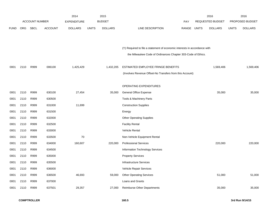|             |      |                       |                | 2014               |              | 2015           |                                                                           |       |              | 2016                    |              | 2016            |
|-------------|------|-----------------------|----------------|--------------------|--------------|----------------|---------------------------------------------------------------------------|-------|--------------|-------------------------|--------------|-----------------|
|             |      | <b>ACCOUNT NUMBER</b> |                | <b>EXPENDITURE</b> |              | <b>BUDGET</b>  |                                                                           | PAY   |              | <b>REQUESTED BUDGET</b> |              | PROPOSED BUDGET |
| <b>FUND</b> | ORG  | <b>SBCL</b>           | <b>ACCOUNT</b> | <b>DOLLARS</b>     | <b>UNITS</b> | <b>DOLLARS</b> | LINE DESCRIPTION                                                          | RANGE | <b>UNITS</b> | <b>DOLLARS</b>          | <b>UNITS</b> | <b>DOLLARS</b>  |
|             |      |                       |                |                    |              |                |                                                                           |       |              |                         |              |                 |
|             |      |                       |                |                    |              |                |                                                                           |       |              |                         |              |                 |
|             |      |                       |                |                    |              |                | (Y) Required to file a statement of economic interests in accordance with |       |              |                         |              |                 |
|             |      |                       |                |                    |              |                | the Milwaukee Code of Ordinances Chapter 303-Code of Ethics.              |       |              |                         |              |                 |
|             |      |                       |                |                    |              |                |                                                                           |       |              |                         |              |                 |
| 0001        | 2110 | R999                  | 006100         | 1,425,429          |              | 1,432,205      | ESTIMATED EMPLOYEE FRINGE BENEFITS                                        |       |              | 1,569,406               |              | 1,569,406       |
|             |      |                       |                |                    |              |                | (Involves Revenue Offset-No Transfers from this Account)                  |       |              |                         |              |                 |
|             |      |                       |                |                    |              |                |                                                                           |       |              |                         |              |                 |
|             |      |                       |                |                    |              |                | OPERATING EXPENDITURES                                                    |       |              |                         |              |                 |
| 0001        | 2110 | R999                  | 630100         | 27,454             |              | 35,000         | General Office Expense                                                    |       |              | 35,000                  |              | 35,000          |
| 0001        | 2110 | R999                  | 630500         |                    |              |                | Tools & Machinery Parts                                                   |       |              |                         |              |                 |
| 0001        | 2110 | R999                  | 631000         | 11,699             |              |                | <b>Construction Supplies</b>                                              |       |              |                         |              |                 |
| 0001        | 2110 | R999                  | 631500         |                    |              |                | Energy                                                                    |       |              |                         |              |                 |
| 0001        | 2110 | R999                  | 632000         |                    |              |                | <b>Other Operating Supplies</b>                                           |       |              |                         |              |                 |
| 0001        | 2110 | R999                  | 632500         |                    |              |                | <b>Facility Rental</b>                                                    |       |              |                         |              |                 |
| 0001        | 2110 | R999                  | 633000         |                    |              |                | Vehicle Rental                                                            |       |              |                         |              |                 |
| 0001        | 2110 | R999                  | 633500         | 70                 |              |                | Non-Vehicle Equipment Rental                                              |       |              |                         |              |                 |
| 0001        | 2110 | R999                  | 634000         | 160,607            |              | 220,000        | <b>Professional Services</b>                                              |       |              | 220,000                 |              | 220,000         |
| 0001        | 2110 | R999                  | 634500         |                    |              |                | Information Technology Services                                           |       |              |                         |              |                 |
| 0001        | 2110 | R999                  | 635000         |                    |              |                | <b>Property Services</b>                                                  |       |              |                         |              |                 |
| 0001        | 2110 | R999                  | 635500         |                    |              |                | <b>Infrastructure Services</b>                                            |       |              |                         |              |                 |
| 0001        | 2110 | R999                  | 636000         |                    |              |                | Vehicle Repair Services                                                   |       |              |                         |              |                 |
| 0001        | 2110 | R999                  | 636500         | 46,693             |              | 59,000         | <b>Other Operating Services</b>                                           |       |              | 51,000                  |              | 51,000          |
| 0001        | 2110 | R999                  | 637000         |                    |              |                | Loans and Grants                                                          |       |              |                         |              |                 |
| 0001        | 2110 | R999                  | 637501         | 29,357             |              | 27,000         | <b>Reimburse Other Departments</b>                                        |       |              | 35,000                  |              | 35,000          |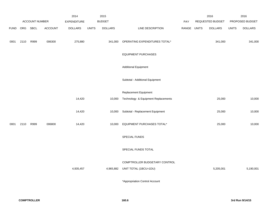|             |      |                       |                | 2014               |              | 2015           |                                     |       |              | 2016             |              | 2016            |
|-------------|------|-----------------------|----------------|--------------------|--------------|----------------|-------------------------------------|-------|--------------|------------------|--------------|-----------------|
|             |      | <b>ACCOUNT NUMBER</b> |                | <b>EXPENDITURE</b> |              | <b>BUDGET</b>  |                                     | PAY   |              | REQUESTED BUDGET |              | PROPOSED BUDGET |
| <b>FUND</b> | ORG  | SBCL                  | <b>ACCOUNT</b> | <b>DOLLARS</b>     | <b>UNITS</b> | <b>DOLLARS</b> | LINE DESCRIPTION                    | RANGE | <b>UNITS</b> | <b>DOLLARS</b>   | <b>UNITS</b> | <b>DOLLARS</b>  |
| 0001        | 2110 | R999                  | 006300         | 275,880            |              | 341,000        | OPERATING EXPENDITURES TOTAL*       |       |              | 341,000          |              | 341,000         |
|             |      |                       |                |                    |              |                | <b>EQUIPMENT PURCHASES</b>          |       |              |                  |              |                 |
|             |      |                       |                |                    |              |                | <b>Additional Equipment</b>         |       |              |                  |              |                 |
|             |      |                       |                |                    |              |                | Subtotal - Additional Equipment     |       |              |                  |              |                 |
|             |      |                       |                |                    |              |                | Replacement Equipment               |       |              |                  |              |                 |
|             |      |                       |                | 14,420             |              | 10,000         | Technology & Equipment Replacements |       |              | 25,000           |              | 10,000          |
|             |      |                       |                | 14,420             |              | 10,000         | Subtotal - Replacement Equipment    |       |              | 25,000           |              | 10,000          |
| 0001        | 2110 | R999                  | 006800         | 14,420             |              | 10,000         | EQUIPMENT PURCHASES TOTAL*          |       |              | 25,000           |              | 10,000          |
|             |      |                       |                |                    |              |                | SPECIAL FUNDS                       |       |              |                  |              |                 |
|             |      |                       |                |                    |              |                | SPECIAL FUNDS TOTAL                 |       |              |                  |              |                 |
|             |      |                       |                |                    |              |                | COMPTROLLER BUDGETARY CONTROL       |       |              |                  |              |                 |
|             |      |                       |                | 4,935,457          |              | 4,965,882      | UNIT TOTAL (1BCU=1DU)               |       |              | 5,205,001        |              | 5,190,001       |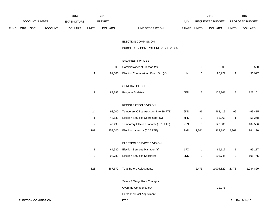|      |     |                            |                | 2014               |                | 2015           |                                          |             |                  | 2016             |                | 2016            |
|------|-----|----------------------------|----------------|--------------------|----------------|----------------|------------------------------------------|-------------|------------------|------------------|----------------|-----------------|
|      |     | <b>ACCOUNT NUMBER</b>      |                | <b>EXPENDITURE</b> |                | <b>BUDGET</b>  |                                          | PAY         |                  | REQUESTED BUDGET |                | PROPOSED BUDGET |
| FUND | ORG | SBCL                       | <b>ACCOUNT</b> | <b>DOLLARS</b>     | <b>UNITS</b>   | <b>DOLLARS</b> | LINE DESCRIPTION                         | RANGE UNITS |                  | <b>DOLLARS</b>   | <b>UNITS</b>   | <b>DOLLARS</b>  |
|      |     |                            |                |                    |                |                | ELECTION COMMISSION                      |             |                  |                  |                |                 |
|      |     |                            |                |                    |                |                | BUDGETARY CONTROL UNIT (1BCU=1DU)        |             |                  |                  |                |                 |
|      |     |                            |                |                    |                |                | SALARIES & WAGES                         |             |                  |                  |                |                 |
|      |     |                            |                |                    | 3              | 500            | Commissioner of Election (Y)             |             | 3                | 500              | $\mathbf{3}$   | 500             |
|      |     |                            |                |                    | $\mathbf{1}$   | 91,000         | Election Commission - Exec. Dir. (Y)     | 11X         | 1                | 96,927           | $\mathbf{1}$   | 96,927          |
|      |     |                            |                |                    |                |                | <b>GENERAL OFFICE</b>                    |             |                  |                  |                |                 |
|      |     |                            |                |                    | $\overline{a}$ | 83,783         | Program Assistant I                      | 5EN         | 3                | 128,161          | $\mathbf{3}$   | 128,161         |
|      |     |                            |                |                    |                |                | <b>REGISTRATION DIVISION</b>             |             |                  |                  |                |                 |
|      |     |                            |                |                    | 24             | 98,000         | Temporary Office Assistant II (0.39 FTE) | 9KN         | 96               | 463,415          | 96             | 463,415         |
|      |     |                            |                |                    | $\mathbf{1}$   | 48,133         | Election Services Coordinator (X)        | 5HN         | $\mathbf{1}$     | 51,268           | $\overline{1}$ | 51,268          |
|      |     |                            |                |                    | $\sqrt{2}$     | 49,493         | Temporary Election Laborer (0.73 FTE)    | 9LN         | $\mathbf 5$      | 129,506          | $\,$ 5 $\,$    | 109,506         |
|      |     |                            |                |                    | 787            | 353,000        | Election Inspector (0.26 FTE)            | 9AN         | 2,361            | 964,190          | 2,361          | 964,190         |
|      |     |                            |                |                    |                |                | ELECTION SERVICE DIVISION                |             |                  |                  |                |                 |
|      |     |                            |                |                    | $\mathbf{1}$   | 64,980         | Election Services Manager (Y)            | 1FX         | $\mathbf{1}$     | 69,117           | $\mathbf{1}$   | 69,117          |
|      |     |                            |                |                    | $\sqrt{2}$     | 98,783         | <b>Election Services Specialist</b>      | 2DN         | $\boldsymbol{2}$ | 101,745          | $\overline{2}$ | 101,745         |
|      |     |                            |                |                    | 823            |                | 887,672 Total Before Adjustments         |             | 2,473            | 2,004,829 2,473  |                | 1,984,829       |
|      |     |                            |                |                    |                |                | Salary & Wage Rate Changes               |             |                  |                  |                |                 |
|      |     |                            |                |                    |                |                | Overtime Compensated*                    |             |                  | 11,275           |                |                 |
|      |     |                            |                |                    |                |                | Personnel Cost Adjustment                |             |                  |                  |                |                 |
|      |     | <b>ELECTION COMMISSION</b> |                |                    |                |                | 170.1                                    |             |                  |                  |                | 3rd Run 9/14/15 |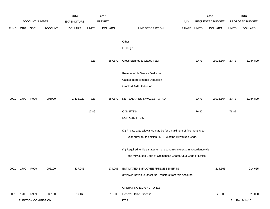|             |      |                            |                | 2014               |              | 2015           |                                                                           |             |       | 2016             |              | 2016            |
|-------------|------|----------------------------|----------------|--------------------|--------------|----------------|---------------------------------------------------------------------------|-------------|-------|------------------|--------------|-----------------|
|             |      | ACCOUNT NUMBER             |                | <b>EXPENDITURE</b> |              | <b>BUDGET</b>  |                                                                           | <b>PAY</b>  |       | REQUESTED BUDGET |              | PROPOSED BUDGET |
| <b>FUND</b> | ORG  | SBCL                       | <b>ACCOUNT</b> | <b>DOLLARS</b>     | <b>UNITS</b> | <b>DOLLARS</b> | LINE DESCRIPTION                                                          | RANGE UNITS |       | <b>DOLLARS</b>   | <b>UNITS</b> | <b>DOLLARS</b>  |
|             |      |                            |                |                    |              |                |                                                                           |             |       |                  |              |                 |
|             |      |                            |                |                    |              |                | Other                                                                     |             |       |                  |              |                 |
|             |      |                            |                |                    |              |                | Furlough                                                                  |             |       |                  |              |                 |
|             |      |                            |                |                    |              |                |                                                                           |             |       |                  |              |                 |
|             |      |                            |                |                    | 823          | 887,672        | Gross Salaries & Wages Total                                              |             | 2,473 | 2,016,104        | 2,473        | 1,984,829       |
|             |      |                            |                |                    |              |                | Reimbursable Service Deduction                                            |             |       |                  |              |                 |
|             |      |                            |                |                    |              |                | Capital Improvements Deduction                                            |             |       |                  |              |                 |
|             |      |                            |                |                    |              |                | Grants & Aids Deduction                                                   |             |       |                  |              |                 |
|             |      |                            |                |                    |              |                |                                                                           |             |       |                  |              |                 |
| 0001        | 1700 | R999                       | 006000         | 1,415,029          | 823          | 887,672        | NET SALARIES & WAGES TOTAL*                                               |             | 2,473 | 2,016,104        | 2,473        | 1,984,829       |
|             |      |                            |                |                    |              |                |                                                                           |             |       |                  |              |                 |
|             |      |                            |                |                    | 17.86        |                | O&M FTE'S                                                                 |             | 76.87 |                  | 76.87        |                 |
|             |      |                            |                |                    |              |                | NON-O&M FTE'S                                                             |             |       |                  |              |                 |
|             |      |                            |                |                    |              |                | (X) Private auto allowance may be for a maximum of five months per        |             |       |                  |              |                 |
|             |      |                            |                |                    |              |                | year pursuant to section 350-183 of the Milwaukee Code.                   |             |       |                  |              |                 |
|             |      |                            |                |                    |              |                |                                                                           |             |       |                  |              |                 |
|             |      |                            |                |                    |              |                | (Y) Required to file a statement of economic interests in accordance with |             |       |                  |              |                 |
|             |      |                            |                |                    |              |                | the Milwaukee Code of Ordinances Chapter 303-Code of Ethics.              |             |       |                  |              |                 |
|             |      |                            |                |                    |              |                |                                                                           |             |       |                  |              |                 |
| 0001        | 1700 | R999                       | 006100         | 427,045            |              | 174,006        | ESTIMATED EMPLOYEE FRINGE BENEFITS                                        |             |       | 214,665          |              | 214,665         |
|             |      |                            |                |                    |              |                | (Involves Revenue Offset-No Transfers from this Account)                  |             |       |                  |              |                 |
|             |      |                            |                |                    |              |                | OPERATING EXPENDITURES                                                    |             |       |                  |              |                 |
| 0001        | 1700 | R999                       | 630100         | 86,165             |              | 10,000         | <b>General Office Expense</b>                                             |             |       | 26,000           |              | 26,000          |
|             |      | <b>ELECTION COMMISSION</b> |                |                    |              |                | 170.2                                                                     |             |       |                  |              | 3rd Run 9/14/15 |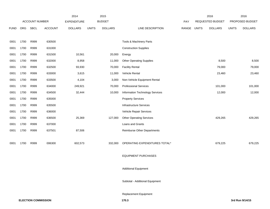|             |                       |      |                    | 2014           |              | 2015           |                                    |                  | 2016         |                 | 2016         |                |
|-------------|-----------------------|------|--------------------|----------------|--------------|----------------|------------------------------------|------------------|--------------|-----------------|--------------|----------------|
|             | <b>ACCOUNT NUMBER</b> |      | <b>EXPENDITURE</b> | <b>BUDGET</b>  |              | PAY            |                                    | REQUESTED BUDGET |              | PROPOSED BUDGET |              |                |
| <b>FUND</b> | <b>ORG</b>            | SBCL | <b>ACCOUNT</b>     | <b>DOLLARS</b> | <b>UNITS</b> | <b>DOLLARS</b> | LINE DESCRIPTION                   | RANGE            | <b>UNITS</b> | <b>DOLLARS</b>  | <b>UNITS</b> | <b>DOLLARS</b> |
|             |                       |      |                    |                |              |                |                                    |                  |              |                 |              |                |
| 0001        | 1700                  | R999 | 630500             |                |              |                | Tools & Machinery Parts            |                  |              |                 |              |                |
| 0001        | 1700                  | R999 | 631000             |                |              |                | <b>Construction Supplies</b>       |                  |              |                 |              |                |
| 0001        | 1700                  | R999 | 631500             | 10,561         |              | 20,000         | Energy                             |                  |              |                 |              |                |
| 0001        | 1700                  | R999 | 632000             | 8,958          |              | 11,000         | <b>Other Operating Supplies</b>    |                  |              | 8,500           |              | 8,500          |
| 0001        | 1700                  | R999 | 632500             | 93,930         |              | 70,000         | <b>Facility Rental</b>             |                  |              | 79,000          |              | 79,000         |
| 0001        | 1700                  | R999 | 633000             | 3,615          |              | 11,000         | Vehicle Rental                     |                  |              | 23,460          |              | 23,460         |
| 0001        | 1700                  | R999 | 633500             | 4,104          |              | 3,000          | Non-Vehicle Equipment Rental       |                  |              |                 |              |                |
| 0001        | 1700                  | R999 | 634000             | 249,921        |              | 70,000         | <b>Professional Services</b>       |                  |              | 101,000         |              | 101,000        |
| 0001        | 1700                  | R999 | 634500             | 32,444         |              | 10,000         | Information Technology Services    |                  |              | 12,000          |              | 12,000         |
| 0001        | 1700                  | R999 | 635000             |                |              |                | <b>Property Services</b>           |                  |              |                 |              |                |
| 0001        | 1700                  | R999 | 635500             |                |              |                | <b>Infrastructure Services</b>     |                  |              |                 |              |                |
| 0001        | 1700                  | R999 | 636000             |                |              |                | Vehicle Repair Services            |                  |              |                 |              |                |
| 0001        | 1700                  | R999 | 636500             | 25,369         |              | 127,000        | <b>Other Operating Services</b>    |                  |              | 429,265         |              | 429,265        |
| 0001        | 1700                  | R999 | 637000             |                |              |                | Loans and Grants                   |                  |              |                 |              |                |
| 0001        | 1700                  | R999 | 637501             | 87,506         |              |                | <b>Reimburse Other Departments</b> |                  |              |                 |              |                |
|             |                       |      |                    |                |              |                |                                    |                  |              |                 |              |                |
| 0001        | 1700                  | R999 | 006300             | 602,573        |              | 332,000        | OPERATING EXPENDITURES TOTAL*      |                  |              | 679,225         |              | 679,225        |
|             |                       |      |                    |                |              |                |                                    |                  |              |                 |              |                |
|             |                       |      |                    |                |              |                | <b>EQUIPMENT PURCHASES</b>         |                  |              |                 |              |                |
|             |                       |      |                    |                |              |                |                                    |                  |              |                 |              |                |
|             |                       |      |                    |                |              |                | <b>Additional Equipment</b>        |                  |              |                 |              |                |
|             |                       |      |                    |                |              |                | Subtotal - Additional Equipment    |                  |              |                 |              |                |
|             |                       |      |                    |                |              |                |                                    |                  |              |                 |              |                |
|             |                       |      |                    |                |              |                |                                    |                  |              |                 |              |                |

Replacement Equipment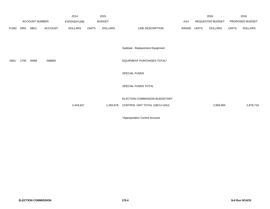|                       |      |                | 2014               | 2015         |                |                                                                |     |                  |                | 2016            |                |
|-----------------------|------|----------------|--------------------|--------------|----------------|----------------------------------------------------------------|-----|------------------|----------------|-----------------|----------------|
| <b>ACCOUNT NUMBER</b> |      |                | <b>EXPENDITURE</b> |              |                |                                                                | PAY | REQUESTED BUDGET |                | PROPOSED BUDGET |                |
| ORG                   | SBCL | <b>ACCOUNT</b> | <b>DOLLARS</b>     | <b>UNITS</b> | <b>DOLLARS</b> | LINE DESCRIPTION                                               |     |                  | <b>DOLLARS</b> | <b>UNITS</b>    | <b>DOLLARS</b> |
|                       |      |                |                    |              |                | Subtotal - Replacement Equipment                               |     |                  |                |                 |                |
| 1700                  | R999 | 006800         |                    |              |                | EQUIPMENT PURCHASES TOTAL*                                     |     |                  |                |                 |                |
|                       |      |                |                    |              |                | SPECIAL FUNDS                                                  |     |                  |                |                 |                |
|                       |      |                |                    |              |                | SPECIAL FUNDS TOTAL                                            |     |                  |                |                 |                |
|                       |      |                |                    |              | 1,393,678      | ELECTION COMMISSION BUDGETARY<br>CONTROL UNIT TOTAL (1BCU=1DU) |     |                  | 2,909,994      |                 | 2,878,719      |
| <b>FUND</b>           |      |                |                    |              | 2,444,647      | <b>BUDGET</b>                                                  |     |                  | RANGE<br>UNITS | 2016            |                |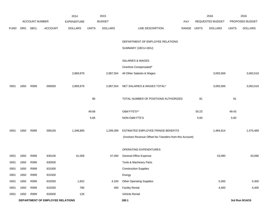|             |                                  |                       |                | 2014               |              | 2015           |                                                          |             | 2016  |                  | 2016         |                 |
|-------------|----------------------------------|-----------------------|----------------|--------------------|--------------|----------------|----------------------------------------------------------|-------------|-------|------------------|--------------|-----------------|
|             |                                  | <b>ACCOUNT NUMBER</b> |                | <b>EXPENDITURE</b> |              | <b>BUDGET</b>  |                                                          | PAY         |       | REQUESTED BUDGET |              | PROPOSED BUDGET |
| <b>FUND</b> | ORG                              | <b>SBCL</b>           | <b>ACCOUNT</b> | <b>DOLLARS</b>     | <b>UNITS</b> | <b>DOLLARS</b> | LINE DESCRIPTION                                         | RANGE UNITS |       | <b>DOLLARS</b>   | <b>UNITS</b> | <b>DOLLARS</b>  |
|             |                                  |                       |                |                    |              |                |                                                          |             |       |                  |              |                 |
|             |                                  |                       |                |                    |              |                | DEPARTMENT OF EMPLOYEE RELATIONS                         |             |       |                  |              |                 |
|             |                                  |                       |                |                    |              |                | SUMMARY (1BCU=3DU)                                       |             |       |                  |              |                 |
|             |                                  |                       |                |                    |              |                |                                                          |             |       |                  |              |                 |
|             |                                  |                       |                |                    |              |                | SALARIES & WAGES                                         |             |       |                  |              |                 |
|             |                                  |                       |                |                    |              |                | Overtime Compensated*                                    |             |       |                  |              |                 |
|             |                                  |                       |                | 2,869,979          |              | 2,887,554      | All Other Salaries & Wages                               |             |       | 3,093,569        |              | 3,063,519       |
|             |                                  |                       |                |                    |              |                |                                                          |             |       |                  |              |                 |
| 0001        | 1650                             | R999                  | 006000         | 2,869,979          |              | 2,887,554      | NET SALARIES & WAGES TOTAL*                              |             |       | 3,093,569        |              | 3,063,519       |
|             |                                  |                       |                |                    | 80           |                | TOTAL NUMBER OF POSITIONS AUTHORIZED                     |             | 81    |                  | 81           |                 |
|             |                                  |                       |                |                    |              |                |                                                          |             |       |                  |              |                 |
|             |                                  |                       |                |                    | 49.68        |                | O&M FTE'S**                                              |             | 50.23 |                  | 49.43        |                 |
|             |                                  |                       |                |                    | 5.66         |                | NON-O&M FTE'S                                            |             | 5.60  |                  | 5.60         |                 |
|             |                                  |                       |                |                    |              |                |                                                          |             |       |                  |              |                 |
| 0001        | 1650                             | R999                  | 006100         | 1,348,890          |              | 1,299,399      | ESTIMATED EMPLOYEE FRINGE BENEFITS                       |             |       | 1,484,914        |              | 1,470,489       |
|             |                                  |                       |                |                    |              |                | (Involves Revenue Offset-No Transfers from this Account) |             |       |                  |              |                 |
|             |                                  |                       |                |                    |              |                | OPERATING EXPENDITURES                                   |             |       |                  |              |                 |
| 0001        | 1650                             | R999                  | 630100         | 41,008             |              | 47,400         | General Office Expense                                   |             |       | 43,090           |              | 43,090          |
| 0001        | 1650                             | R999                  | 630500         |                    |              |                | Tools & Machinery Parts                                  |             |       |                  |              |                 |
| 0001        | 1650                             | R999                  | 631000         |                    |              |                | <b>Construction Supplies</b>                             |             |       |                  |              |                 |
| 0001        | 1650                             | R999                  | 631500         |                    |              |                | Energy                                                   |             |       |                  |              |                 |
| 0001        | 1650                             | R999                  | 632000         | 1,652              |              | 4,100          | <b>Other Operating Supplies</b>                          |             |       | 5,300            |              | 5,300           |
| 0001        | 1650                             | R999                  | 632500         | 780                |              | 400            | <b>Facility Rental</b>                                   |             |       | 4,400            |              | 4,400           |
| 0001        | 1650                             | R999                  | 633000         | 126                |              |                | Vehicle Rental                                           |             |       |                  |              |                 |
|             | DEPARTMENT OF EMPLOYEE RELATIONS |                       |                |                    |              |                | 180.1                                                    |             |       |                  |              | 3rd Run 9/14/15 |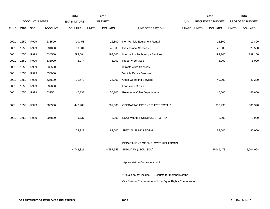|             |      |                       |                | 2014               |              | 2015           |                                                          |       |              | 2016                    |              | 2016            |
|-------------|------|-----------------------|----------------|--------------------|--------------|----------------|----------------------------------------------------------|-------|--------------|-------------------------|--------------|-----------------|
|             |      | <b>ACCOUNT NUMBER</b> |                | <b>EXPENDITURE</b> |              | <b>BUDGET</b>  |                                                          | PAY   |              | <b>REQUESTED BUDGET</b> |              | PROPOSED BUDGET |
| <b>FUND</b> | ORG  | <b>SBCL</b>           | <b>ACCOUNT</b> | <b>DOLLARS</b>     | <b>UNITS</b> | <b>DOLLARS</b> | LINE DESCRIPTION                                         | RANGE | <b>UNITS</b> | <b>DOLLARS</b>          | <b>UNITS</b> | <b>DOLLARS</b>  |
|             |      |                       |                |                    |              |                |                                                          |       |              |                         |              |                 |
| 0001        | 1650 | R999                  | 633500         | 10,458             |              | 12,800         | Non-Vehicle Equipment Rental                             |       |              | 12,800                  |              | 12,800          |
| 0001        | 1650 | R999                  | 634000         | 30,001             |              | 49,500         | <b>Professional Services</b>                             |       |              | 29,500                  |              | 29,500          |
| 0001        | 1650 | R999                  | 634500         | 293,884            |              | 193,500        | Information Technology Services                          |       |              | 199,100                 |              | 199,100         |
| 0001        | 1650 | R999                  | 635000         | 2,074              |              | 5,000          | <b>Property Services</b>                                 |       |              | 5,000                   |              | 5,000           |
| 0001        | 1650 | R999                  | 635500         |                    |              |                | <b>Infrastructure Services</b>                           |       |              |                         |              |                 |
| 0001        | 1650 | R999                  | 636000         |                    |              |                | Vehicle Repair Services                                  |       |              |                         |              |                 |
| 0001        | 1650 | R999                  | 636500         | 21,672             |              | 24,200         | <b>Other Operating Services</b>                          |       |              | 40,200                  |              | 40,200          |
| 0001        | 1650 | R999                  | 637000         |                    |              |                | Loans and Grants                                         |       |              |                         |              |                 |
| 0001        | 1650 | R999                  | 637501         | 47,333             |              | 50,100         | <b>Reimburse Other Departments</b>                       |       |              | 47,600                  |              | 47,600          |
|             |      |                       |                |                    |              |                |                                                          |       |              |                         |              |                 |
| 0001        | 1650 | R999                  | 006300         | 448,988            |              | 387,000        | OPERATING EXPENDITURES TOTAL*                            |       |              | 386,990                 |              | 386,990         |
|             |      |                       |                |                    |              |                |                                                          |       |              |                         |              |                 |
| 0001        | 1650 | R999                  | 006800         | 6,737              |              | 2,000          | EQUIPMENT PURCHASES TOTAL*                               |       |              | 2,000                   |              | 2,000           |
|             |      |                       |                |                    |              |                |                                                          |       |              |                         |              |                 |
|             |      |                       |                | 74,227             |              | 82,000         | SPECIAL FUNDS TOTAL                                      |       |              | 82,000                  |              | 82,000          |
|             |      |                       |                |                    |              |                |                                                          |       |              |                         |              |                 |
|             |      |                       |                |                    |              |                | DEPARTMENT OF EMPLOYEE RELATIONS                         |       |              |                         |              |                 |
|             |      |                       |                | 4,748,821          |              | 4,657,953      | SUMMARY (1BCU=3DU)                                       |       |              | 5,049,473               |              | 5,004,998       |
|             |      |                       |                |                    |              |                |                                                          |       |              |                         |              |                 |
|             |      |                       |                |                    |              |                | *Appropriation Control Account                           |       |              |                         |              |                 |
|             |      |                       |                |                    |              |                |                                                          |       |              |                         |              |                 |
|             |      |                       |                |                    |              |                | **Totals do not include FTE counts for members of the    |       |              |                         |              |                 |
|             |      |                       |                |                    |              |                | City Service Commission and the Equal Rights Commission. |       |              |                         |              |                 |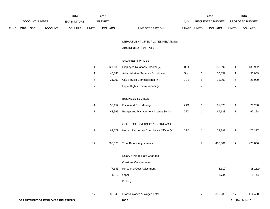|             | 2014           |             |                |                |       | 2015           |                                  | 2016                           |              | 2016                   |
|-------------|----------------|-------------|----------------|----------------|-------|----------------|----------------------------------|--------------------------------|--------------|------------------------|
|             | ACCOUNT NUMBER |             |                | EXPENDITURE    |       | <b>BUDGET</b>  | PAY                              | REQUESTED BUDGET               |              | <b>PROPOSED BUDGET</b> |
| <b>FUND</b> | <b>ORG</b>     | <b>SBCL</b> | <b>ACCOUNT</b> | <b>DOLLARS</b> | UNITS | <b>DOLLARS</b> | LINE DESCRIPTION<br><b>RANGE</b> | <b>UNITS</b><br><b>DOLLARS</b> | <b>UNITS</b> | <b>DOLLARS</b>         |

## DEPARTMENT OF EMPLOYEE RELATIONS

### ADMINISTRATION DIVISION

## SALARIES & WAGES

| 127.685 | Employee Relations Director (Y)     | 1OX             | 133.992 | 133,992 |
|---------|-------------------------------------|-----------------|---------|---------|
| 45.888  | Administrative Services Coordinator | 5IN             | 50.059  | 50,059  |
| 21.000  | City Service Commissioner (Y)       | BC <sub>1</sub> | 21.000  | 21,000  |
|         | Equal Rights Commissioner (Y)       |                 |         |         |

## BUSINESS SECTION

| 1  | 58,152  | Fiscal and Risk Manager                | 2KX | 1  | 61,025   | 1  | 76,280   |
|----|---------|----------------------------------------|-----|----|----------|----|----------|
| 1  | 63,969  | Budget and Management Analyst Senior   | 2FX | 1  | 67,128   | 1  | 67,128   |
|    |         | OFFICE OF DIVERSITY & OUTREACH         |     |    |          |    |          |
| 1  | 69,679  | Human Resources Compliance Officer (Y) | 2JX | 1  | 72,397   | 1  | 72,397   |
| 17 | 386,373 | <b>Total Before Adjustments</b>        |     | 17 | 405,601  | 17 | 420,856  |
|    |         | Salary & Wage Rate Changes             |     |    |          |    |          |
|    |         | Overtime Compensated                   |     |    |          |    |          |
|    | (7,643) | Personnel Cost Adjustment              |     |    | (8, 112) |    | (8, 112) |
|    | 1,816   | Other                                  |     |    | 1,744    |    | 1,744    |
|    |         | Furlough                               |     |    |          |    |          |
| 17 | 380,546 | Gross Salaries & Wages Total           |     | 17 | 399,233  | 17 | 414,488  |
|    |         |                                        |     |    |          |    |          |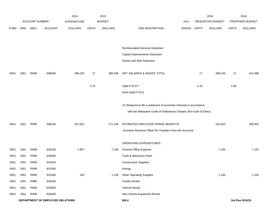|             |                                  |                |                | 2014               |              | 2015           |                                                                      |             |      | 2016             |              | 2016            |
|-------------|----------------------------------|----------------|----------------|--------------------|--------------|----------------|----------------------------------------------------------------------|-------------|------|------------------|--------------|-----------------|
|             |                                  | ACCOUNT NUMBER |                | <b>EXPENDITURE</b> |              | <b>BUDGET</b>  |                                                                      | PAY         |      | REQUESTED BUDGET |              | PROPOSED BUDGET |
| <b>FUND</b> | ORG                              | SBCL           | <b>ACCOUNT</b> | <b>DOLLARS</b>     | <b>UNITS</b> | <b>DOLLARS</b> | LINE DESCRIPTION                                                     | RANGE UNITS |      | <b>DOLLARS</b>   | <b>UNITS</b> | <b>DOLLARS</b>  |
|             |                                  |                |                |                    |              |                |                                                                      |             |      |                  |              |                 |
|             |                                  |                |                |                    |              |                |                                                                      |             |      |                  |              |                 |
|             |                                  |                |                |                    |              |                | Reimbursable Services Deduction                                      |             |      |                  |              |                 |
|             |                                  |                |                |                    |              |                | Capital Improvements Deduction                                       |             |      |                  |              |                 |
|             |                                  |                |                |                    |              |                | Grants and Aids Deduction                                            |             |      |                  |              |                 |
| 0001        | 1651                             | R999           | 006000         | 399,150            | 17           | 380,546        | NET SALARIES & WAGES TOTAL                                           |             | 17   | 399,233          | 17           | 414,488         |
|             |                                  |                |                |                    | 4.70         |                | O&M FTE'S**                                                          |             | 4.70 |                  | 4.90         |                 |
|             |                                  |                |                |                    |              |                | NON-O&M FTE'S                                                        |             |      |                  |              |                 |
|             |                                  |                |                |                    |              |                |                                                                      |             |      |                  |              |                 |
|             |                                  |                |                |                    |              |                | (Y) Required to file a statement of economic interests in accordance |             |      |                  |              |                 |
|             |                                  |                |                |                    |              |                | with the Milwaukee Code of Ordinances Chapter 303-Code of Ethics.    |             |      |                  |              |                 |
| 0001        | 1651                             | R999           | 006100         | 187,601            |              | 171,246        | ESTIMATED EMPLOYEE FRINGE BENEFITS                                   |             |      | 191,632          |              | 198,954         |
|             |                                  |                |                |                    |              |                | (Involves Revenue Offset-No Transfers from this Account)             |             |      |                  |              |                 |
|             |                                  |                |                |                    |              |                |                                                                      |             |      |                  |              |                 |
|             |                                  |                |                |                    |              |                | OPERATING EXPENDITURES                                               |             |      |                  |              |                 |
| 0001        | 1651                             | R999           | 630100         | 7,607              |              | 7,100          | <b>General Office Expense</b>                                        |             |      | 7,150            |              | 7,150           |
| 0001        | 1651                             | R999           | 630500         |                    |              |                | Tools & Machinery Parts                                              |             |      |                  |              |                 |
| 0001        | 1651                             | R999           | 631000         |                    |              |                | <b>Construction Supplies</b>                                         |             |      |                  |              |                 |
| 0001        | 1651                             | R999           | 631500         |                    |              |                | Energy                                                               |             |      |                  |              |                 |
| 0001        | 1651                             | R999           | 632000         | 320                |              | 1,100          | <b>Other Operating Supplies</b>                                      |             |      | 1,100            |              | 1,100           |
| 0001        | 1651                             | R999           | 632500         |                    |              |                | <b>Facility Rental</b>                                               |             |      |                  |              |                 |
| 0001        | 1651                             | R999           | 633000         |                    |              |                | Vehicle Rental                                                       |             |      |                  |              |                 |
| 0001        | 1651                             | R999           | 633500         |                    |              |                | Non-Vehicle Equipment Rental                                         |             |      |                  |              |                 |
|             | DEPARTMENT OF EMPLOYEE RELATIONS |                |                |                    |              |                | 180.4                                                                |             |      |                  |              | 3rd Run 9/14/15 |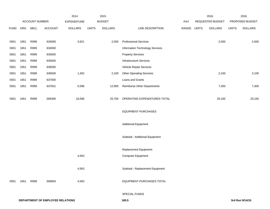|             |      |                       |                                         | 2014               |              | 2015           |                                    |             | 2016             |              | 2016            |
|-------------|------|-----------------------|-----------------------------------------|--------------------|--------------|----------------|------------------------------------|-------------|------------------|--------------|-----------------|
|             |      | <b>ACCOUNT NUMBER</b> |                                         | <b>EXPENDITURE</b> |              | <b>BUDGET</b>  |                                    | PAY         | REQUESTED BUDGET |              | PROPOSED BUDGET |
| <b>FUND</b> | ORG  | <b>SBCL</b>           | <b>ACCOUNT</b>                          | <b>DOLLARS</b>     | <b>UNITS</b> | <b>DOLLARS</b> | LINE DESCRIPTION                   | RANGE UNITS | <b>DOLLARS</b>   | <b>UNITS</b> | <b>DOLLARS</b>  |
|             |      |                       |                                         |                    |              |                |                                    |             |                  |              |                 |
| 0001        | 1651 | R999                  | 634000                                  | 3,621              |              | 2,500          | <b>Professional Services</b>       |             | 2,500            |              | 2,500           |
| 0001        | 1651 | R999                  | 634500                                  |                    |              |                | Information Technology Services    |             |                  |              |                 |
| 0001        | 1651 | R999                  | 635000                                  |                    |              |                | <b>Property Services</b>           |             |                  |              |                 |
| 0001        | 1651 | R999                  | 635500                                  |                    |              |                | Infrastructure Services            |             |                  |              |                 |
| 0001        | 1651 | R999                  | 636000                                  |                    |              |                | Vehicle Repair Services            |             |                  |              |                 |
| 0001        | 1651 | R999                  | 636500                                  | 1,452              |              | 2,100          | <b>Other Operating Services</b>    |             | 2,100            |              | 2,100           |
| 0001        | 1651 | R999                  | 637000                                  |                    |              |                | Loans and Grants                   |             |                  |              |                 |
| 0001        | 1651 | R999                  | 637501                                  | 5,596              |              | 12,900         | <b>Reimburse Other Departments</b> |             | 7,300            |              | 7,300           |
|             |      |                       |                                         |                    |              |                |                                    |             |                  |              |                 |
| 0001        | 1651 | R999                  | 006300                                  | 18,596             |              | 25,700         | OPERATING EXPENDITURES TOTAL       |             | 20,150           |              | 20,150          |
|             |      |                       |                                         |                    |              |                |                                    |             |                  |              |                 |
|             |      |                       |                                         |                    |              |                | <b>EQUIPMENT PURCHASES</b>         |             |                  |              |                 |
|             |      |                       |                                         |                    |              |                |                                    |             |                  |              |                 |
|             |      |                       |                                         |                    |              |                | <b>Additional Equipment</b>        |             |                  |              |                 |
|             |      |                       |                                         |                    |              |                |                                    |             |                  |              |                 |
|             |      |                       |                                         |                    |              |                | Subtotal - Additional Equipment    |             |                  |              |                 |
|             |      |                       |                                         |                    |              |                |                                    |             |                  |              |                 |
|             |      |                       |                                         |                    |              |                | Replacement Equipment              |             |                  |              |                 |
|             |      |                       |                                         | 4,563              |              |                | Computer Equipment                 |             |                  |              |                 |
|             |      |                       |                                         |                    |              |                |                                    |             |                  |              |                 |
|             |      |                       |                                         | 4,563              |              |                | Subtotal - Replacement Equipment   |             |                  |              |                 |
|             |      |                       |                                         |                    |              |                |                                    |             |                  |              |                 |
| 0001        | 1651 | R999                  | 006800                                  | 4,563              |              |                | EQUIPMENT PURCHASES TOTAL          |             |                  |              |                 |
|             |      |                       |                                         |                    |              |                |                                    |             |                  |              |                 |
|             |      |                       |                                         |                    |              |                | SPECIAL FUNDS                      |             |                  |              |                 |
|             |      |                       | <b>DEPARTMENT OF EMPLOYEE RELATIONS</b> |                    |              |                | 180.5                              |             |                  |              | 3rd Run 9/14/15 |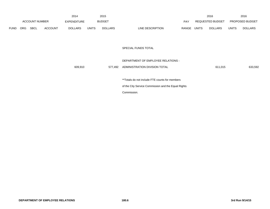|      | <b>ACCOUNT NUMBER</b> |      | 2014           |                    | 2015         |                |                                                     | 2016        |                  | 2016         |                 |
|------|-----------------------|------|----------------|--------------------|--------------|----------------|-----------------------------------------------------|-------------|------------------|--------------|-----------------|
|      |                       |      |                | <b>EXPENDITURE</b> |              | <b>BUDGET</b>  |                                                     | PAY         | REQUESTED BUDGET |              | PROPOSED BUDGET |
| FUND | ORG                   | SBCL | <b>ACCOUNT</b> | <b>DOLLARS</b>     | <b>UNITS</b> | <b>DOLLARS</b> | LINE DESCRIPTION                                    | RANGE UNITS | <b>DOLLARS</b>   | <b>UNITS</b> | <b>DOLLARS</b>  |
|      |                       |      |                |                    |              |                |                                                     |             |                  |              |                 |
|      |                       |      |                |                    |              |                |                                                     |             |                  |              |                 |
|      |                       |      |                |                    |              |                | SPECIAL FUNDS TOTAL                                 |             |                  |              |                 |
|      |                       |      |                |                    |              |                |                                                     |             |                  |              |                 |
|      |                       |      |                |                    |              |                | DEPARTMENT OF EMPLOYEE RELATIONS -                  |             |                  |              |                 |
|      |                       |      |                | 609,910            |              | 577,492        | ADMINISTRATION DIVISION TOTAL                       |             | 611,015          |              | 633,592         |
|      |                       |      |                |                    |              |                |                                                     |             |                  |              |                 |
|      |                       |      |                |                    |              |                | **Totals do not include FTE counts for members      |             |                  |              |                 |
|      |                       |      |                |                    |              |                | of the City Service Commission and the Equal Rights |             |                  |              |                 |
|      |                       |      |                |                    |              |                | Commission.                                         |             |                  |              |                 |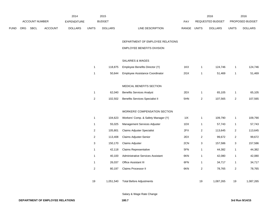|             |     |                |                | 2014               |                | 2015           |                                        |             |                  | 2016             |                           | 2016            |
|-------------|-----|----------------|----------------|--------------------|----------------|----------------|----------------------------------------|-------------|------------------|------------------|---------------------------|-----------------|
|             |     | ACCOUNT NUMBER |                | <b>EXPENDITURE</b> |                | <b>BUDGET</b>  |                                        | PAY         |                  | REQUESTED BUDGET |                           | PROPOSED BUDGET |
| <b>FUND</b> | ORG | <b>SBCL</b>    | <b>ACCOUNT</b> | <b>DOLLARS</b>     | <b>UNITS</b>   | <b>DOLLARS</b> | LINE DESCRIPTION                       | RANGE UNITS |                  | <b>DOLLARS</b>   | <b>UNITS</b>              | <b>DOLLARS</b>  |
|             |     |                |                |                    |                |                |                                        |             |                  |                  |                           |                 |
|             |     |                |                |                    |                |                | DEPARTMENT OF EMPLOYEE RELATIONS       |             |                  |                  |                           |                 |
|             |     |                |                |                    |                |                | <b>EMPLOYEE BENEFITS DIVISION</b>      |             |                  |                  |                           |                 |
|             |     |                |                |                    |                |                |                                        |             |                  |                  |                           |                 |
|             |     |                |                |                    |                |                | SALARIES & WAGES                       |             |                  |                  |                           |                 |
|             |     |                |                |                    | $\mathbf{1}$   | 118,875        | Employee Benefits Director (Y)         | 1KX         | $\mathbf{1}$     | 124,746          | $\mathbf{1}$              | 124,746         |
|             |     |                |                |                    | $\mathbf{1}$   | 50,644         | Employee Assistance Coordinator        | 2GX         | $\mathbf{1}$     | 51,469           | $\mathbf{1}$              | 51,469          |
|             |     |                |                |                    |                |                |                                        |             |                  |                  |                           |                 |
|             |     |                |                |                    |                |                | MEDICAL BENEFITS SECTION               |             |                  |                  |                           |                 |
|             |     |                |                |                    | $\mathbf{1}$   | 62,040         | <b>Benefits Services Analyst</b>       | 2EX         | $\mathbf{1}$     | 65,105           | $\mathbf{1}$              | 65,105          |
|             |     |                |                |                    | $\overline{2}$ | 102,502        | <b>Benefits Services Specialist II</b> | 5HN         | $\overline{2}$   | 107,565          | $\overline{2}$            | 107,565         |
|             |     |                |                |                    |                |                |                                        |             |                  |                  |                           |                 |
|             |     |                |                |                    |                |                | <b>WORKERS' COMPENSATION SECTION</b>   |             |                  |                  |                           |                 |
|             |     |                |                |                    | $\mathbf{1}$   | 104,623        | Workers' Comp. & Safety Manager (Y)    | 11X         | $\mathbf{1}$     | 109,790          | $\mathbf{1}$              | 109,790         |
|             |     |                |                |                    | $\mathbf{1}$   | 55,025         | Management Services Adjuster           | 1DX         | $\mathbf{1}$     | 57,743           | $\mathbf{1}$              | 57,743          |
|             |     |                |                |                    | $\overline{c}$ | 105,801        | <b>Claims Adjuster Specialist</b>      | 2FX         | $\overline{2}$   | 113,645          | $\overline{2}$            | 113,645         |
|             |     |                |                |                    | $\overline{c}$ | 113,408        | Claims Adjuster-Senior                 | 2EX         | $\overline{2}$   | 99,672           | $\overline{c}$            | 99,672          |
|             |     |                |                |                    | $\sqrt{3}$     | 150,170        | Claims Adjuster                        | 2CN         | 3                | 157,586          | $\ensuremath{\mathsf{3}}$ | 157,586         |
|             |     |                |                |                    | $\mathbf{1}$   | 42,118         | <b>Claims Representative</b>           | 5FN         | $\mathbf{1}$     | 44,382           | $\mathbf{1}$              | 44,382          |
|             |     |                |                |                    | $\mathbf{1}$   | 40,100         | Administrative Services Assistant      | 6KN         | $\mathbf{1}$     | 42,080           | $\mathbf{1}$              | 42,080          |
|             |     |                |                |                    | $\mathbf{1}$   | 26,037         | Office Assistant III                   | 6FN         | $\mathbf{1}$     | 34,717           | $\mathbf{1}$              | 34,717          |
|             |     |                |                |                    | $\overline{c}$ | 80,197         | Claims Processor II                    | 6KN         | $\boldsymbol{2}$ | 78,765           | $\sqrt{2}$                | 78,765          |
|             |     |                |                |                    |                |                |                                        |             |                  |                  |                           |                 |
|             |     |                |                |                    | 19             | 1,051,540      | <b>Total Before Adjustments</b>        |             | 19               | 1,087,265        | 19                        | 1,087,265       |

Salary & Wage Rate Change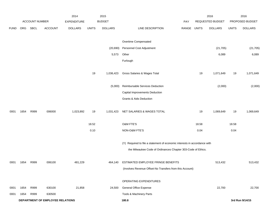|             |      |                |                                  | 2014               |              | 2015           |                                                                           |             | 2016  |                  | 2016         |                 |  |
|-------------|------|----------------|----------------------------------|--------------------|--------------|----------------|---------------------------------------------------------------------------|-------------|-------|------------------|--------------|-----------------|--|
|             |      | ACCOUNT NUMBER |                                  | <b>EXPENDITURE</b> |              | <b>BUDGET</b>  |                                                                           | PAY         |       | REQUESTED BUDGET |              | PROPOSED BUDGET |  |
| <b>FUND</b> | ORG  | SBCL           | <b>ACCOUNT</b>                   | <b>DOLLARS</b>     | <b>UNITS</b> | <b>DOLLARS</b> | LINE DESCRIPTION                                                          | RANGE UNITS |       | <b>DOLLARS</b>   | <b>UNITS</b> | <b>DOLLARS</b>  |  |
|             |      |                |                                  |                    |              |                |                                                                           |             |       |                  |              |                 |  |
|             |      |                |                                  |                    |              |                | Overtime Compensated                                                      |             |       |                  |              |                 |  |
|             |      |                |                                  |                    |              | (20, 690)      | Personnel Cost Adjustment                                                 |             |       | (21, 705)        |              | (21, 705)       |  |
|             |      |                |                                  |                    |              | 5,573          | Other                                                                     |             |       | 6,089            |              | 6,089           |  |
|             |      |                |                                  |                    |              |                | Furlough                                                                  |             |       |                  |              |                 |  |
|             |      |                |                                  |                    |              |                |                                                                           |             |       |                  |              |                 |  |
|             |      |                |                                  |                    | 19           | 1,036,423      | Gross Salaries & Wages Total                                              |             | 19    | 1,071,649        | 19           | 1,071,649       |  |
|             |      |                |                                  |                    |              |                |                                                                           |             |       |                  |              |                 |  |
|             |      |                |                                  |                    |              | (5,000)        | Reimbursable Services Deduction                                           |             |       | (2,000)          |              | (2,000)         |  |
|             |      |                |                                  |                    |              |                | Capital Improvements Deduction                                            |             |       |                  |              |                 |  |
|             |      |                |                                  |                    |              |                | Grants & Aids Deduction                                                   |             |       |                  |              |                 |  |
| 0001        | 1654 | R999           | 006000                           | 1,023,892          | 19           | 1,031,423      | NET SALARIES & WAGES TOTAL                                                |             | 19    | 1,069,649        | 19           | 1,069,649       |  |
|             |      |                |                                  |                    | 18.52        |                | O&M FTE'S                                                                 |             | 18.58 |                  | 18.58        |                 |  |
|             |      |                |                                  |                    | 0.10         |                | NON-O&M FTE'S                                                             |             | 0.04  |                  | 0.04         |                 |  |
|             |      |                |                                  |                    |              |                |                                                                           |             |       |                  |              |                 |  |
|             |      |                |                                  |                    |              |                | (Y) Required to file a statement of economic interests in accordance with |             |       |                  |              |                 |  |
|             |      |                |                                  |                    |              |                | the Milwaukee Code of Ordinances Chapter 303-Code of Ethics.              |             |       |                  |              |                 |  |
| 0001        | 1654 | R999           | 006100                           | 481,229            |              | 464,140        | ESTIMATED EMPLOYEE FRINGE BENEFITS                                        |             |       | 513,432          |              | 513,432         |  |
|             |      |                |                                  |                    |              |                | (Involves Revenue Offset-No Transfers from this Account)                  |             |       |                  |              |                 |  |
|             |      |                |                                  |                    |              |                |                                                                           |             |       |                  |              |                 |  |
|             |      |                |                                  |                    |              |                | OPERATING EXPENDITURES                                                    |             |       |                  |              |                 |  |
| 0001        | 1654 | R999           | 630100                           | 21,858             |              | 24,500         | General Office Expense                                                    |             |       | 22,700           |              | 22,700          |  |
| 0001        | 1654 | R999           | 630500                           |                    |              |                | Tools & Machinery Parts                                                   |             |       |                  |              |                 |  |
|             |      |                | DEPARTMENT OF EMPLOYEE RELATIONS |                    |              |                | 180.8                                                                     |             |       | 3rd Run 9/14/15  |              |                 |  |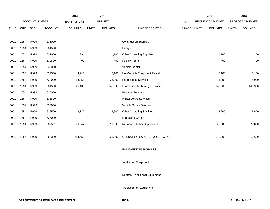|             |            |                       |                | 2014               |              | 2015           |                                    | 2016  |              |                         | 2016         |                 |
|-------------|------------|-----------------------|----------------|--------------------|--------------|----------------|------------------------------------|-------|--------------|-------------------------|--------------|-----------------|
|             |            | <b>ACCOUNT NUMBER</b> |                | <b>EXPENDITURE</b> |              | <b>BUDGET</b>  |                                    | PAY   |              | <b>REQUESTED BUDGET</b> |              | PROPOSED BUDGET |
| <b>FUND</b> | <b>ORG</b> | <b>SBCL</b>           | <b>ACCOUNT</b> | <b>DOLLARS</b>     | <b>UNITS</b> | <b>DOLLARS</b> | LINE DESCRIPTION                   | RANGE | <b>UNITS</b> | <b>DOLLARS</b>          | <b>UNITS</b> | <b>DOLLARS</b>  |
|             |            |                       |                |                    |              |                |                                    |       |              |                         |              |                 |
| 0001        | 1654       | R999                  | 631000         |                    |              |                | <b>Construction Supplies</b>       |       |              |                         |              |                 |
| 0001        | 1654       | R999                  | 631500         |                    |              |                | Energy                             |       |              |                         |              |                 |
| 0001        | 1654       | R999                  | 632000         | 394                |              | 1,100          | <b>Other Operating Supplies</b>    |       |              | 1,100                   |              | 1,100           |
| 0001        | 1654       | R999                  | 632500         | 400                |              | 400            | <b>Facility Rental</b>             |       |              | 400                     |              | 400             |
| 0001        | 1654       | R999                  | 633000         |                    |              |                | Vehicle Rental                     |       |              |                         |              |                 |
| 0001        | 1654       | R999                  | 633500         | 3,945              |              | 5,100          | Non-Vehicle Equipment Rental       |       |              | 5,100                   |              | 5,100           |
| 0001        | 1654       | R999                  | 634000         | 13,358             |              | 26,000         | <b>Professional Services</b>       |       |              | 5,000                   |              | 5,000           |
| 0001        | 1654       | R999                  | 634500         | 145,403            |              | 148,500        | Information Technology Services    |       |              | 148,900                 |              | 148,900         |
| 0001        | 1654       | R999                  | 635000         |                    |              |                | <b>Property Services</b>           |       |              |                         |              |                 |
| 0001        | 1654       | R999                  | 635500         |                    |              |                | Infrastructure Services            |       |              |                         |              |                 |
| 0001        | 1654       | R999                  | 636000         |                    |              |                | Vehicle Repair Services            |       |              |                         |              |                 |
| 0001        | 1654       | R999                  | 636500         | 2,847              |              | 3,600          | <b>Other Operating Services</b>    |       |              | 3,600                   |              | 3,600           |
| 0001        | 1654       | R999                  | 637000         |                    |              |                | Loans and Grants                   |       |              |                         |              |                 |
| 0001        | 1654       | R999                  | 637501         | 26,247             |              | 11,800         | <b>Reimburse Other Departments</b> |       |              | 25,800                  |              | 25,800          |
|             |            |                       |                |                    |              |                |                                    |       |              |                         |              |                 |
| 0001        | 1654       | R999                  | 006300         | 214,452            |              | 221,000        | OPERATING EXPENDITURES TOTAL       |       |              | 212,600                 |              | 212,600         |
|             |            |                       |                |                    |              |                |                                    |       |              |                         |              |                 |
|             |            |                       |                |                    |              |                | $-0.0011 - 0.0001$                 |       |              |                         |              |                 |

EQUIPMENT PURCHASES

Additional Equipment

Subtotal - Additional Equipment

Replacement Equipment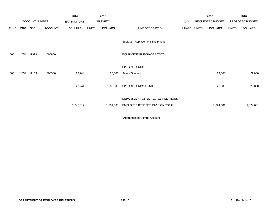|             |      |                  |                | 2014               |              | 2015           |                                   |       |              | 2016             |              | 2016            |
|-------------|------|------------------|----------------|--------------------|--------------|----------------|-----------------------------------|-------|--------------|------------------|--------------|-----------------|
|             |      | ACCOUNT NUMBER   |                | <b>EXPENDITURE</b> |              | <b>BUDGET</b>  |                                   | PAY   |              | REQUESTED BUDGET |              | PROPOSED BUDGET |
| <b>FUND</b> | ORG  | SBCL             | <b>ACCOUNT</b> | <b>DOLLARS</b>     | <b>UNITS</b> | <b>DOLLARS</b> | LINE DESCRIPTION                  | RANGE | <b>UNITS</b> | <b>DOLLARS</b>   | <b>UNITS</b> | <b>DOLLARS</b>  |
|             |      |                  |                |                    |              |                | Subtotal - Replacement Equipment  |       |              |                  |              |                 |
| 0001        | 1654 | R999             | 006800         |                    |              |                | <b>EQUIPMENT PURCHASES TOTAL</b>  |       |              |                  |              |                 |
|             |      |                  |                |                    |              |                | SPECIAL FUNDS                     |       |              |                  |              |                 |
| 0001        | 1654 | R <sub>163</sub> | 006300         | 26,244             |              | 35,000         | Safety Glasses*                   |       |              | 29,000           |              | 29,000          |
|             |      |                  |                | 26,244             |              | 35,000         | SPECIAL FUNDS TOTAL               |       |              | 29,000           |              | 29,000          |
|             |      |                  |                |                    |              |                | DEPARTMENT OF EMPLOYEE RELATIONS- |       |              |                  |              |                 |
|             |      |                  |                | 1,745,817          |              | 1,751,563      | EMPLOYEE BENEFITS DIVISION TOTAL  |       |              | 1,824,681        |              | 1,824,681       |
|             |      |                  |                |                    |              |                |                                   |       |              |                  |              |                 |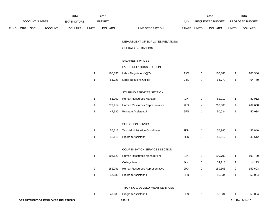|      |     |                |                                  | 2014               |                | 2015           |                                        |             |                         | 2016             |                         | 2016            |
|------|-----|----------------|----------------------------------|--------------------|----------------|----------------|----------------------------------------|-------------|-------------------------|------------------|-------------------------|-----------------|
|      |     | ACCOUNT NUMBER |                                  | <b>EXPENDITURE</b> |                | <b>BUDGET</b>  |                                        | PAY         |                         | REQUESTED BUDGET |                         | PROPOSED BUDGET |
| FUND | ORG | <b>SBCL</b>    | <b>ACCOUNT</b>                   | <b>DOLLARS</b>     | <b>UNITS</b>   | <b>DOLLARS</b> | LINE DESCRIPTION                       | RANGE UNITS |                         | <b>DOLLARS</b>   | <b>UNITS</b>            | <b>DOLLARS</b>  |
|      |     |                |                                  |                    |                |                | DEPARTMENT OF EMPLOYEE RELATIONS       |             |                         |                  |                         |                 |
|      |     |                |                                  |                    |                |                | OPERATIONS DIVISION                    |             |                         |                  |                         |                 |
|      |     |                |                                  |                    |                |                | SALARIES & WAGES                       |             |                         |                  |                         |                 |
|      |     |                |                                  |                    |                |                | LABOR RELATIONS SECTION                |             |                         |                  |                         |                 |
|      |     |                |                                  |                    | $\mathbf{1}$   | 100,386        | Labor Negotiator (X)(Y)                | 1KX         | $\mathbf{1}$            | 100,386          | -1                      | 100,386         |
|      |     |                |                                  |                    | $\mathbf{1}$   | 61,721         | Labor Relations Officer                | 2JX         | $\mathbf{1}$            | 64,770           | $\mathbf{1}$            | 64,770          |
|      |     |                |                                  |                    |                |                | STAFFING SERVICES SECTION              |             |                         |                  |                         |                 |
|      |     |                |                                  |                    | $\mathbf{1}$   | 81,200         | Human Resources Manager                | 11X         | $\mathbf{1}$            | 82,012           | 1                       | 82,012          |
|      |     |                |                                  |                    | 4              | 272,914        | Human Resources Representative         | 2HX         | 4                       | 267,668          | 4                       | 267,668         |
|      |     |                |                                  |                    | $\mathbf{1}$   | 47,680         | Program Assistant II                   | 5FN         | 1                       | 50,034           | $\mathbf{1}$            | 50,034          |
|      |     |                |                                  |                    |                |                | SELECTION SERVICES                     |             |                         |                  |                         |                 |
|      |     |                |                                  |                    | $\mathbf{1}$   | 55,213         | <b>Test Administration Coordinator</b> | 2DN         | $\mathbf{1}$            | 57,940           | -1                      | 57,940          |
|      |     |                |                                  |                    | $\mathbf{1}$   | 42,118         | Program Assistant I                    | 5EN         | $\mathbf{1}$            | 43,612           | $\mathbf{1}$            | 43,612          |
|      |     |                |                                  |                    |                |                | COMPENSATION SERVICES SECTION          |             |                         |                  |                         |                 |
|      |     |                |                                  |                    | $\mathbf{1}$   | 104,623        | Human Resources Manager (Y)            | 11X         | $\mathbf{1}$            | 109,790          | $\mathbf{1}$            | 109,790         |
|      |     |                |                                  |                    |                |                | College Intern                         | 9IN         | $\mathbf{1}$            | 14,113           | 1                       | 14,113          |
|      |     |                |                                  |                    | $\overline{c}$ | 152,091        | Human Resources Representative         | 2HX         | $\overline{\mathbf{c}}$ | 159,603          | $\overline{\mathbf{c}}$ | 159,603         |
|      |     |                |                                  |                    | $\mathbf{1}$   | 47,680         | Program Assistant II                   | 5FN         | $\mathbf{1}$            | 50,034           | $\mathbf{1}$            | 50,034          |
|      |     |                |                                  |                    |                |                | TRAINING & DEVELOPMENT SERVICES        |             |                         |                  |                         |                 |
|      |     |                |                                  |                    | $\mathbf{1}$   | 47,680         | Program Assistant II                   | 5FN         | $\mathbf{1}$            | 50,034           | -1                      | 50,034          |
|      |     |                | DEPARTMENT OF EMPLOYEE RELATIONS |                    |                |                | 180.11                                 |             |                         |                  |                         | 3rd Run 9/14/15 |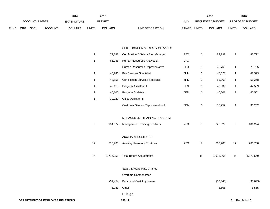|             |                |             |                | 2014               |       | 2015           |                           | 2016                    |       | 2016                   |
|-------------|----------------|-------------|----------------|--------------------|-------|----------------|---------------------------|-------------------------|-------|------------------------|
|             | ACCOUNT NUMBER |             |                | <b>EXPENDITURE</b> |       | <b>BUDGET</b>  | PAY                       | REQUESTED BUDGET        |       | <b>PROPOSED BUDGET</b> |
| <b>FUND</b> | <b>ORG</b>     | <b>SBCL</b> | <b>ACCOUNT</b> | <b>DOLLARS</b>     | UNITS | <b>DOLLARS</b> | RANGE<br>LINE DESCRIPTION | UNITS<br><b>DOLLARS</b> | UNITS | <b>DOLLARS</b>         |

#### CERTIFICATION & SALARY SERVICES

| $\mathbf{1}$ | 79,848    | Certification & Salary Sys. Manager      | 1EX | 1            | 83,792    | 1  | 83,792          |
|--------------|-----------|------------------------------------------|-----|--------------|-----------|----|-----------------|
| 1            | 66,946    | Human Resources Analyst-Sr.              | 2FX |              |           |    |                 |
|              |           | Human Resources Representative           | 2HX | $\mathbf{1}$ | 73,765    | 1  | 73,765          |
| $\mathbf 1$  | 45,286    | Pay Services Specialist                  | 5HN | 1            | 47,523    | 1  | 47,523          |
| 1            | 48,855    | <b>Certification Services Specialist</b> | 5HN | $\mathbf{1}$ | 51,268    | 1  | 51,268          |
| 1            | 42,118    | Program Assistant II                     | 5FN | 1            | 42,539    | 1  | 42,539          |
| $\mathbf 1$  | 40,100    | Program Assistant I                      | 5EN | 1            | 40,501    | 1  | 40,501          |
| 1            | 30,227    | Office Assistant II                      |     |              |           |    |                 |
|              |           | Customer Service Representative II       | 6GN | 1            | 36,252    | 1  | 36,252          |
|              |           | MANAGEMENT TRAINING PROGRAM              |     |              |           |    |                 |
| 5            | 134,572   | <b>Management Training Positions</b>     | 2EX | 5            | 226,529   | 5  | 181,224         |
|              |           | <b>AUXILIARY POSITIONS</b>               |     |              |           |    |                 |
| 17           | 215,700   | <b>Auxiliary Resource Positions</b>      | 2EX | 17           | 266,700   | 17 | 266,700         |
| 44           | 1,716,958 | <b>Total Before Adjustments</b>          |     | 45           | 1,918,865 | 45 | 1,873,560       |
|              |           | Salary & Wage Rate Change                |     |              |           |    |                 |
|              |           | Overtime Compensated                     |     |              |           |    |                 |
|              | (31, 454) | Personnel Cost Adjustment                |     |              | (33, 043) |    | (33, 043)       |
|              | 5,781     | Other                                    |     |              | 5,565     |    | 5,565           |
|              |           | Furlough                                 |     |              |           |    |                 |
|              |           | 180.12                                   |     |              |           |    | 3rd Run 9/14/15 |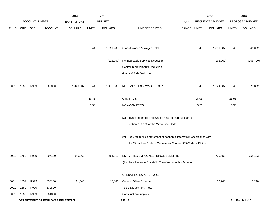|             |      |                       |                                  | 2014               |              | 2015           |                                                                           |            |              | 2016             |              | 2016            |
|-------------|------|-----------------------|----------------------------------|--------------------|--------------|----------------|---------------------------------------------------------------------------|------------|--------------|------------------|--------------|-----------------|
|             |      | <b>ACCOUNT NUMBER</b> |                                  | <b>EXPENDITURE</b> |              | <b>BUDGET</b>  |                                                                           | <b>PAY</b> |              | REQUESTED BUDGET |              | PROPOSED BUDGET |
| <b>FUND</b> | ORG  | SBCL                  | <b>ACCOUNT</b>                   | <b>DOLLARS</b>     | <b>UNITS</b> | <b>DOLLARS</b> | LINE DESCRIPTION                                                          | RANGE      | <b>UNITS</b> | <b>DOLLARS</b>   | <b>UNITS</b> | <b>DOLLARS</b>  |
|             |      |                       |                                  |                    |              |                |                                                                           |            |              |                  |              |                 |
|             |      |                       |                                  |                    |              |                |                                                                           |            |              |                  |              |                 |
|             |      |                       |                                  |                    | 44           | 1,691,285      | Gross Salaries & Wages Total                                              |            | 45           | 1,891,387        | 45           | 1,846,082       |
|             |      |                       |                                  |                    |              |                |                                                                           |            |              |                  |              |                 |
|             |      |                       |                                  |                    |              | (215,700)      | Reimbursable Services Deduction                                           |            |              | (266, 700)       |              | (266, 700)      |
|             |      |                       |                                  |                    |              |                | Capital Improvements Deduction                                            |            |              |                  |              |                 |
|             |      |                       |                                  |                    |              |                | Grants & Aids Deduction                                                   |            |              |                  |              |                 |
| 0001        | 1652 | R999                  | 006000                           | 1,446,937          | 44           | 1,475,585      | NET SALARIES & WAGES TOTAL                                                |            | 45           | 1,624,687        | 45           | 1,579,382       |
|             |      |                       |                                  |                    |              |                |                                                                           |            |              |                  |              |                 |
|             |      |                       |                                  |                    | 26.46        |                | <b>O&amp;M FTE'S</b>                                                      |            | 26.95        |                  | 25.95        |                 |
|             |      |                       |                                  |                    | 5.56         |                | NON-O&M FTE'S                                                             |            | 5.56         |                  | 5.56         |                 |
|             |      |                       |                                  |                    |              |                |                                                                           |            |              |                  |              |                 |
|             |      |                       |                                  |                    |              |                | (X) Private automobile allowance may be paid pursuant to                  |            |              |                  |              |                 |
|             |      |                       |                                  |                    |              |                | Section 350-183 of the Milwaukee Code.                                    |            |              |                  |              |                 |
|             |      |                       |                                  |                    |              |                | (Y) Required to file a statement of economic interests in accordance with |            |              |                  |              |                 |
|             |      |                       |                                  |                    |              |                | the Milwaukee Code of Ordinances Chapter 303-Code of Ethics.              |            |              |                  |              |                 |
|             |      |                       |                                  |                    |              |                |                                                                           |            |              |                  |              |                 |
| 0001        | 1652 | R999                  | 006100                           | 680,060            |              | 664,013        | ESTIMATED EMPLOYEE FRINGE BENEFITS                                        |            |              | 779,850          |              | 758,103         |
|             |      |                       |                                  |                    |              |                | (Involves Revenue Offset-No Transfers from this Account)                  |            |              |                  |              |                 |
|             |      |                       |                                  |                    |              |                | OPERATING EXPENDITURES                                                    |            |              |                  |              |                 |
|             |      |                       |                                  |                    |              |                | <b>General Office Expense</b>                                             |            |              |                  |              |                 |
| 0001        | 1652 | R999                  | 630100                           | 11,543             |              | 15,800         |                                                                           |            |              | 13,240           |              | 13,240          |
| 0001        | 1652 | R999                  | 630500                           |                    |              |                | Tools & Machinery Parts                                                   |            |              |                  |              |                 |
| 0001        | 1652 | R999                  | 631000                           |                    |              |                | <b>Construction Supplies</b>                                              |            |              |                  |              |                 |
|             |      |                       | DEPARTMENT OF EMPLOYEE RELATIONS |                    |              |                | 180.13                                                                    |            |              |                  |              | 3rd Run 9/14/15 |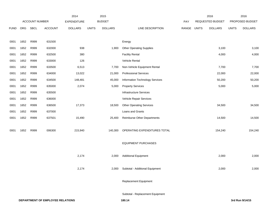|             |      |                |                                  | 2014               |              | 2015           |                                  |       |              | 2016             |              | 2016            |
|-------------|------|----------------|----------------------------------|--------------------|--------------|----------------|----------------------------------|-------|--------------|------------------|--------------|-----------------|
|             |      | ACCOUNT NUMBER |                                  | <b>EXPENDITURE</b> |              | <b>BUDGET</b>  |                                  | PAY   |              | REQUESTED BUDGET |              | PROPOSED BUDGET |
| <b>FUND</b> | ORG  | <b>SBCL</b>    | ACCOUNT                          | <b>DOLLARS</b>     | <b>UNITS</b> | <b>DOLLARS</b> | LINE DESCRIPTION                 | RANGE | <b>UNITS</b> | <b>DOLLARS</b>   | <b>UNITS</b> | <b>DOLLARS</b>  |
|             |      |                |                                  |                    |              |                |                                  |       |              |                  |              |                 |
| 0001        | 1652 | R999           | 631500                           |                    |              |                | Energy                           |       |              |                  |              |                 |
| 0001        | 1652 | R999           | 632000                           | 938                |              | 1,900          | <b>Other Operating Supplies</b>  |       |              | 3,100            |              | 3,100           |
| 0001        | 1652 | R999           | 632500                           | 380                |              |                | <b>Facility Rental</b>           |       |              | 4,000            |              | 4,000           |
| 0001        | 1652 | R999           | 633000                           | 126                |              |                | Vehicle Rental                   |       |              |                  |              |                 |
| 0001        | 1652 | R999           | 633500                           | 6,513              |              | 7,700          | Non-Vehicle Equipment Rental     |       |              | 7,700            |              | 7,700           |
| 0001        | 1652 | R999           | 634000                           | 13,022             |              | 21,000         | <b>Professional Services</b>     |       |              | 22,000           |              | 22,000          |
| 0001        | 1652 | R999           | 634500                           | 148,481            |              | 45,000         | Information Technology Services  |       |              | 50,200           |              | 50,200          |
| 0001        | 1652 | R999           | 635000                           | 2,074              |              | 5,000          | <b>Property Services</b>         |       |              | 5,000            |              | 5,000           |
| 0001        | 1652 | R999           | 635500                           |                    |              |                | <b>Infrastructure Services</b>   |       |              |                  |              |                 |
| 0001        | 1652 | R999           | 636000                           |                    |              |                | Vehicle Repair Services          |       |              |                  |              |                 |
| 0001        | 1652 | R999           | 636500                           | 17,373             |              | 18,500         | <b>Other Operating Services</b>  |       |              | 34,500           |              | 34,500          |
| 0001        | 1652 | R999           | 637000                           |                    |              |                | Loans and Grants                 |       |              |                  |              |                 |
| 0001        | 1652 | R999           | 637501                           | 15,490             |              | 25,400         | Reimburse Other Departments      |       |              | 14,500           |              | 14,500          |
|             |      |                |                                  |                    |              |                |                                  |       |              |                  |              |                 |
| 0001        | 1652 | R999           | 006300                           | 215,940            |              | 140,300        | OPERATING EXPENDITURES TOTAL     |       |              | 154,240          |              | 154,240         |
|             |      |                |                                  |                    |              |                |                                  |       |              |                  |              |                 |
|             |      |                |                                  |                    |              |                | <b>EQUIPMENT PURCHASES</b>       |       |              |                  |              |                 |
|             |      |                |                                  |                    |              |                |                                  |       |              |                  |              |                 |
|             |      |                |                                  | 2,174              |              | 2,000          | <b>Additional Equipment</b>      |       |              | 2,000            |              | 2,000           |
|             |      |                |                                  |                    |              |                |                                  |       |              |                  |              |                 |
|             |      |                |                                  | 2,174              |              | 2,000          | Subtotal - Additional Equipment  |       |              | 2,000            |              | 2,000           |
|             |      |                |                                  |                    |              |                |                                  |       |              |                  |              |                 |
|             |      |                |                                  |                    |              |                | Replacement Equipment            |       |              |                  |              |                 |
|             |      |                |                                  |                    |              |                | Subtotal - Replacement Equipment |       |              |                  |              |                 |
|             |      |                | DEPARTMENT OF EMPLOYEE RELATIONS |                    |              |                | 180.14                           |       |              |                  |              | 3rd Run 9/14/15 |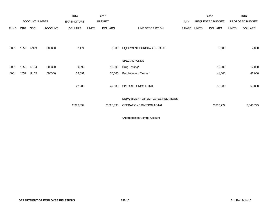|             |            |                  |                | 2014               |              | 2015           |                                                                |       |              | 2016             |              | 2016            |
|-------------|------------|------------------|----------------|--------------------|--------------|----------------|----------------------------------------------------------------|-------|--------------|------------------|--------------|-----------------|
|             |            | ACCOUNT NUMBER   |                | <b>EXPENDITURE</b> |              | <b>BUDGET</b>  |                                                                | PAY   |              | REQUESTED BUDGET |              | PROPOSED BUDGET |
| <b>FUND</b> | <b>ORG</b> | SBCL             | <b>ACCOUNT</b> | <b>DOLLARS</b>     | <b>UNITS</b> | <b>DOLLARS</b> | LINE DESCRIPTION                                               | RANGE | <b>UNITS</b> | <b>DOLLARS</b>   | <b>UNITS</b> | <b>DOLLARS</b>  |
| 0001        | 1652       | R999             | 006800         | 2,174              |              | 2,000          | <b>EQUIPMENT PURCHASES TOTAL</b>                               |       |              | 2,000            |              | 2,000           |
|             |            |                  |                |                    |              |                | SPECIAL FUNDS                                                  |       |              |                  |              |                 |
| 0001        | 1652       | R <sub>164</sub> | 006300         | 9,892              |              | 12,000         | Drug Testing*                                                  |       |              | 12,000           |              | 12,000          |
| 0001        | 1652       | R <sub>165</sub> | 006300         | 38,091             |              | 35,000         | Preplacement Exams*                                            |       |              | 41,000           |              | 41,000          |
|             |            |                  |                | 47,983             |              | 47,000         | SPECIAL FUNDS TOTAL                                            |       |              | 53,000           |              | 53,000          |
|             |            |                  |                | 2,393,094          |              | 2,328,898      | DEPARTMENT OF EMPLOYEE RELATIONS-<br>OPERATIONS DIVISION TOTAL |       |              | 2,613,777        |              | 2,546,725       |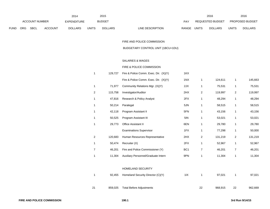|             |                       |             |                    | 2014           |               | 2015           |                                  |                  | 2016           |                        | 2016           |
|-------------|-----------------------|-------------|--------------------|----------------|---------------|----------------|----------------------------------|------------------|----------------|------------------------|----------------|
|             | <b>ACCOUNT NUMBER</b> |             | <b>EXPENDITURE</b> |                | <b>BUDGET</b> | PAY            |                                  | REQUESTED BUDGET |                | <b>PROPOSED BUDGET</b> |                |
| <b>FUND</b> | <b>ORG</b>            | <b>SBCL</b> | <b>ACCOUNT</b>     | <b>DOLLARS</b> | <b>UNITS</b>  | <b>DOLLARS</b> | LINE DESCRIPTION<br><b>RANGE</b> | <b>UNITS</b>     | <b>DOLLARS</b> | <b>UNITS</b>           | <b>DOLLARS</b> |

FIRE AND POLICE COMMISSION

BUDGETARY CONTROL UNIT (1BCU=1DU)

## SALARIES & WAGES

## FIRE & POLICE COMMISSION

| 1              | 129,727 | Fire & Police Comm. Exec. Dir. (X)(Y) | 1KX             |                |         |                |         |
|----------------|---------|---------------------------------------|-----------------|----------------|---------|----------------|---------|
|                |         | Fire & Police Comm. Exec. Dir. (X)(Y) | 1NX             | 1              | 124,611 | 1              | 145,663 |
| 1              | 71,977  | Community Relations Mgr. (X)(Y)       | 2JX             | 1              | 75,531  | 1              | 75,531  |
| $\overline{2}$ | 115,758 | Investigator/Auditor                  | 2HX             | 2              | 119,997 | $\overline{2}$ | 119,997 |
| 1              | 47,816  | Research & Policy Analyst             | 2FX             | 1              | 48,294  | 1              | 48,294  |
| 1              | 50,214  | Paralegal                             | 5JN             | 1              | 58,515  | 1              | 58,515  |
| 1              | 42,118  | Program Assistant II                  | 5FN             | 1              | 43,156  | 1              | 43,156  |
| 1              | 50,525  | Program Assistant III                 | 5IN             | 1              | 53,021  | 1              | 53,021  |
| 1              | 29,773  | <b>Office Assistant II</b>            | 6EN             | 1              | 29,780  | 1              | 29,780  |
|                |         | <b>Examinations Supervisor</b>        | 1FX             | 1              | 77,298  | 1              | 50,000  |
| $\overline{2}$ | 120,683 | Human Resources Representative        | 2HX             | $\overline{2}$ | 131,219 | 2              | 131,219 |
| 1              | 50,474  | Recruiter (X)                         | 2FX             | 1              | 52,967  | 1              | 52,967  |
| 7              | 46,201  | Fire and Police Commissioner (Y)      | BC <sub>1</sub> | $\overline{7}$ | 46,201  | 7              | 46,201  |
| 1              | 11,304  | Auxiliary Personnel/Graduate Intern   | 9PN             | 1              | 11,304  | 1              | 11,304  |
|                |         |                                       |                 |                |         |                |         |

### HOMELAND SECURITY

|    |         | 92,455 Homeland Security Director (C)(Y) | 11X |    | 97.021  |    | 97.021  |
|----|---------|------------------------------------------|-----|----|---------|----|---------|
|    |         |                                          |     |    |         |    |         |
| 21 | 859,025 | Total Before Adjustments                 |     | 22 | 968.915 | 22 | 962,669 |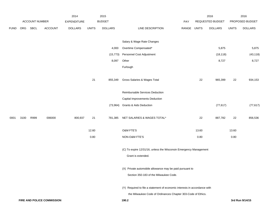|             |      |                |                            | 2014           |              | 2015           |                                                                           |             |       | 2016             |              | 2016            |
|-------------|------|----------------|----------------------------|----------------|--------------|----------------|---------------------------------------------------------------------------|-------------|-------|------------------|--------------|-----------------|
|             |      | ACCOUNT NUMBER |                            | EXPENDITURE    |              | <b>BUDGET</b>  |                                                                           | PAY         |       | REQUESTED BUDGET |              | PROPOSED BUDGET |
| <b>FUND</b> | ORG  | SBCL           | <b>ACCOUNT</b>             | <b>DOLLARS</b> | <b>UNITS</b> | <b>DOLLARS</b> | LINE DESCRIPTION                                                          | RANGE UNITS |       | <b>DOLLARS</b>   | <b>UNITS</b> | <b>DOLLARS</b>  |
|             |      |                |                            |                |              |                | Salary & Wage Rate Changes                                                |             |       |                  |              |                 |
|             |      |                |                            |                |              | 4,000          | Overtime Compensated*                                                     |             |       | 5,875            |              | 5,875           |
|             |      |                |                            |                |              | (15, 773)      | Personnel Cost Adjustment                                                 |             |       | (18, 118)        |              | (43, 118)       |
|             |      |                |                            |                |              | 8,097          | Other                                                                     |             |       | 8,727            |              | 8,727           |
|             |      |                |                            |                |              |                | Furlough                                                                  |             |       |                  |              |                 |
|             |      |                |                            |                | 21           | 855,349        | Gross Salaries & Wages Total                                              |             | 22    | 965,399          | 22           | 934,153         |
|             |      |                |                            |                |              |                |                                                                           |             |       |                  |              |                 |
|             |      |                |                            |                |              |                | Reimbursable Services Deduction                                           |             |       |                  |              |                 |
|             |      |                |                            |                |              |                | Capital Improvements Deduction                                            |             |       |                  |              |                 |
|             |      |                |                            |                |              | (73, 964)      | <b>Grants &amp; Aids Deduction</b>                                        |             |       | (77, 617)        |              | (77, 617)       |
| 0001        | 3100 | R999           | 006000                     | 800,937        | 21           | 781,385        | NET SALARIES & WAGES TOTAL*                                               |             | 22    | 887,782          | 22           | 856,536         |
|             |      |                |                            |                | 12.60        |                | O&M FTE'S                                                                 |             | 13.60 |                  | 13.60        |                 |
|             |      |                |                            |                | 0.80         |                | NON-O&M FTE'S                                                             |             | 0.80  |                  | 0.80         |                 |
|             |      |                |                            |                |              |                | (C) To expire 12/31/16, unless the Wisconsin Emergency Management         |             |       |                  |              |                 |
|             |      |                |                            |                |              |                | Grant is extended.                                                        |             |       |                  |              |                 |
|             |      |                |                            |                |              |                | (X) Private automobile allowance may be paid pursuant to                  |             |       |                  |              |                 |
|             |      |                |                            |                |              |                | Section 350-183 of the Milwaukee Code.                                    |             |       |                  |              |                 |
|             |      |                |                            |                |              |                | (Y) Required to file a statement of economic interests in accordance with |             |       |                  |              |                 |
|             |      |                |                            |                |              |                | the Milwaukee Code of Ordinances Chapter 303-Code of Ethics.              |             |       |                  |              |                 |
|             |      |                | FIRE AND POLICE COMMISSION |                |              |                | 190.2                                                                     |             |       |                  |              | 3rd Run 9/14/15 |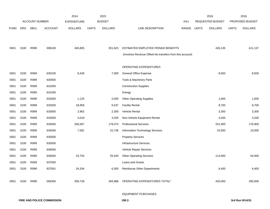|             |            |                       |                | 2014               |              | 2015           |                                                          |       |       | 2016             |              | 2016            |
|-------------|------------|-----------------------|----------------|--------------------|--------------|----------------|----------------------------------------------------------|-------|-------|------------------|--------------|-----------------|
|             |            | <b>ACCOUNT NUMBER</b> |                | <b>EXPENDITURE</b> |              | <b>BUDGET</b>  |                                                          | PAY   |       | REQUESTED BUDGET |              | PROPOSED BUDGET |
| <b>FUND</b> | <b>ORG</b> | <b>SBCL</b>           | <b>ACCOUNT</b> | <b>DOLLARS</b>     | <b>UNITS</b> | <b>DOLLARS</b> | LINE DESCRIPTION                                         | RANGE | UNITS | <b>DOLLARS</b>   | <b>UNITS</b> | <b>DOLLARS</b>  |
|             |            |                       |                |                    |              |                |                                                          |       |       |                  |              |                 |
|             |            |                       |                |                    |              |                |                                                          |       |       |                  |              |                 |
| 0001        | 3100       | R999                  | 006100         | 345,805            |              | 351,623        | ESTIMATED EMPLOYEE FRINGE BENEFITS                       |       |       | 426,135          |              | 411,137         |
|             |            |                       |                |                    |              |                | (Involves Revenue Offset-No transfers from this account) |       |       |                  |              |                 |
|             |            |                       |                |                    |              |                |                                                          |       |       |                  |              |                 |
|             |            |                       |                |                    |              |                | OPERATING EXPENDITURES                                   |       |       |                  |              |                 |
| 0001        | 3100       | R999                  | 630100         | 8,428              |              | 7,000          | <b>General Office Expense</b>                            |       |       | 8,500            |              | 8,500           |
| 0001        | 3100       | R999                  | 630500         |                    |              |                | Tools & Machinery Parts                                  |       |       |                  |              |                 |
| 0001        | 3100       | R999                  | 631000         |                    |              |                | <b>Construction Supplies</b>                             |       |       |                  |              |                 |
| 0001        | 3100       | R999                  | 631500         |                    |              |                | Energy                                                   |       |       |                  |              |                 |
| 0001        | 3100       | R999                  | 632000         | 1,125              |              | 2,000          | <b>Other Operating Supplies</b>                          |       |       | 1,000            |              | 1,000           |
| 0001        | 3100       | R999                  | 632500         | 18,958             |              | 6,537          | <b>Facility Rental</b>                                   |       |       | 8,700            |              | 8,700           |
| 0001        | 3100       | R999                  | 633000         | 2,962              |              | 2,300          | Vehicle Rental                                           |       |       | 3,300            |              | 3,300           |
| 0001        | 3100       | R999                  | 633500         | 3,019              |              | 3,200          | Non-Vehicle Equipment Rental                             |       |       | 3,200            |              | 3,200           |
| 0001        | 3100       | R999                  | 634000         | 266,567            |              | 179,473        | <b>Professional Services</b>                             |       |       | 251,900          |              | 176,900         |
| 0001        | 3100       | R999                  | 634500         | 7,581              |              | 22,736         | Information Technology Services                          |       |       | 23,000           |              | 23,000          |
| 0001        | 3100       | R999                  | 635000         |                    |              |                | <b>Property Services</b>                                 |       |       |                  |              |                 |
| 0001        | 3100       | R999                  | 635500         |                    |              |                | <b>Infrastructure Services</b>                           |       |       |                  |              |                 |
| 0001        | 3100       | R999                  | 636000         |                    |              |                | Vehicle Repair Services                                  |       |       |                  |              |                 |
| 0001        | 3100       | R999                  | 636500         | 23,754             |              | 55,440         | <b>Other Operating Services</b>                          |       |       | 114,000          |              | 64,000          |
| 0001        | 3100       | R999                  | 637000         |                    |              |                | Loans and Grants                                         |       |       |                  |              |                 |
| 0001        | 3100       | R999                  | 637501         | 24,334             |              | 6,300          | Reimburse Other Departments                              |       |       | 6,400            |              | 6,400           |
|             |            |                       |                |                    |              |                |                                                          |       |       |                  |              |                 |
| 0001        | 3100       | R999                  | 006300         | 356,728            |              | 284,986        | OPERATING EXPENDITURES TOTAL*                            |       |       | 420,000          |              | 295,000         |
|             |            |                       |                |                    |              |                |                                                          |       |       |                  |              |                 |

### EQUIPMENT PURCHASES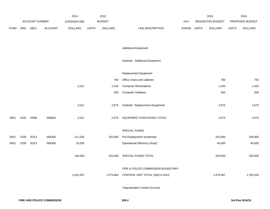|             |      |                |                | 2014               |              | 2015           |                                    |             | 2016             |              | 2016            |
|-------------|------|----------------|----------------|--------------------|--------------|----------------|------------------------------------|-------------|------------------|--------------|-----------------|
|             |      | ACCOUNT NUMBER |                | <b>EXPENDITURE</b> |              | <b>BUDGET</b>  |                                    | <b>PAY</b>  | REQUESTED BUDGET |              | PROPOSED BUDGET |
| <b>FUND</b> |      | ORG SBCL       | <b>ACCOUNT</b> | <b>DOLLARS</b>     | <b>UNITS</b> | <b>DOLLARS</b> | LINE DESCRIPTION                   | RANGE UNITS | <b>DOLLARS</b>   | <b>UNITS</b> | <b>DOLLARS</b>  |
|             |      |                |                |                    |              |                |                                    |             |                  |              |                 |
|             |      |                |                |                    |              |                |                                    |             |                  |              |                 |
|             |      |                |                |                    |              |                | <b>Additional Equipment</b>        |             |                  |              |                 |
|             |      |                |                |                    |              |                |                                    |             |                  |              |                 |
|             |      |                |                |                    |              |                | Subtotal - Additional Equipment    |             |                  |              |                 |
|             |      |                |                |                    |              |                |                                    |             |                  |              |                 |
|             |      |                |                |                    |              |                | Replacement Equipment              |             |                  |              |                 |
|             |      |                |                |                    |              | 750            | Office chairs and cabinets         |             | 750              |              | 750             |
|             |      |                |                | 2,011              |              | 1,420          | <b>Computer Workstations</b>       |             | 1,420            |              | 1,420           |
|             |      |                |                |                    |              | 500            | <b>Computer Software</b>           |             | 500              |              | 500             |
|             |      |                |                |                    |              |                |                                    |             |                  |              |                 |
|             |      |                |                | 2,011              |              | 2,670          | Subtotal - Replacement Equipment   |             | 2,670            |              | 2,670           |
|             |      | R999           |                | 2,011              |              |                | EQUIPMENT PURCHASES TOTAL*         |             | 2,670            |              | 2,670           |
| 0001        | 3100 |                | 006800         |                    |              | 2,670          |                                    |             |                  |              |                 |
|             |      |                |                |                    |              |                | SPECIAL FUNDS                      |             |                  |              |                 |
| 0001        | 3100 | R312           | 006300         | 111,026            |              | 155,000        | Pre-Employment Screening*          |             | 203,000          |              | 160,000         |
| 0001        | 3100 | R313           | 006300         | 25,000             |              |                | Operational Efficiency Study*      |             | 40,000           |              | 40,000          |
|             |      |                |                |                    |              |                |                                    |             |                  |              |                 |
|             |      |                |                | 136,026            |              | 155,000        | SPECIAL FUNDS TOTAL                |             | 243,000          |              | 200,000         |
|             |      |                |                |                    |              |                |                                    |             |                  |              |                 |
|             |      |                |                |                    |              |                | FIRE & POLICE COMMISSION BUDGETARY |             |                  |              |                 |
|             |      |                |                | 1,641,507          |              | 1,575,664      | CONTROL UNIT TOTAL (1BCU=1DU)      |             | 1,979,587        |              | 1,765,343       |
|             |      |                |                |                    |              |                |                                    |             |                  |              |                 |
|             |      |                |                |                    |              |                | *Appropriation Control Account     |             |                  |              |                 |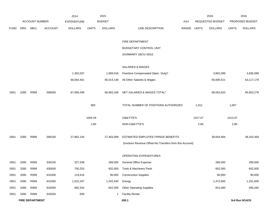|             |            |                        |                | 2014               |              | 2015           |                                                          |             |         | 2016             |              | 2016            |
|-------------|------------|------------------------|----------------|--------------------|--------------|----------------|----------------------------------------------------------|-------------|---------|------------------|--------------|-----------------|
|             |            | <b>ACCOUNT NUMBER</b>  |                | <b>EXPENDITURE</b> |              | <b>BUDGET</b>  |                                                          | PAY         |         | REQUESTED BUDGET |              | PROPOSED BUDGET |
| <b>FUND</b> | <b>ORG</b> | SBCL                   | <b>ACCOUNT</b> | <b>DOLLARS</b>     | <b>UNITS</b> | <b>DOLLARS</b> | LINE DESCRIPTION                                         | RANGE UNITS |         | <b>DOLLARS</b>   | <b>UNITS</b> | <b>DOLLARS</b>  |
|             |            |                        |                |                    |              |                | FIRE DEPARTMENT                                          |             |         |                  |              |                 |
|             |            |                        |                |                    |              |                | <b>BUDGETARY CONTROL UNIT</b>                            |             |         |                  |              |                 |
|             |            |                        |                |                    |              |                | (SUMMARY 1BCU=3DU)                                       |             |         |                  |              |                 |
|             |            |                        |                |                    |              |                | SALARIES & WAGES                                         |             |         |                  |              |                 |
|             |            |                        |                | 1,392,037          |              | 1,969,018      | Overtime Compensated (Spec. Duty)*                       |             |         | 3,862,099        |              | 3,836,099       |
|             |            |                        |                | 66,564,401         |              | 65,014,148     | All Other Salaries & Wages                               |             |         | 65,690,521       |              | 63,117,179      |
| 0001        | 3280       | R999                   | 006000         | 67,956,438         |              | 66,983,166     | NET SALARIES & WAGES TOTAL*                              |             |         | 69,552,620       |              | 66,953,278      |
|             |            |                        |                |                    | 993          |                | TOTAL NUMBER OF POSITIONS AUTHORIZED                     |             | 1,011   |                  | 1,007        |                 |
|             |            |                        |                |                    | 1004.49      |                | O&M FTE'S                                                |             | 1017.07 |                  | 1013.07      |                 |
|             |            |                        |                |                    | 2.80         |                | NON-O&M FTE'S                                            |             | 2.80    |                  | 2.80         |                 |
| 0001        | 3280       | R999                   | 006100         | 27,862,140         |              | 27,463,099     | ESTIMATED EMPLOYEE FRINGE BENEFITS                       |             |         | 39,644,994       |              | 38,163,369      |
|             |            |                        |                |                    |              |                | (Involves Revenue Offset-No Transfers from this Account) |             |         |                  |              |                 |
|             |            |                        |                |                    |              |                | OPERATING EXPENDITURES                                   |             |         |                  |              |                 |
| 0001        | 3280       | R999                   | 630100         | 327,338            |              | 289,000        | General Office Expense                                   |             |         | 289,500          |              | 289,500         |
| 0001        | 3280       | R999                   | 630500         | 700,253            |              | 602,000        | Tools & Machinery Parts                                  |             |         | 602,000          |              | 602,000         |
| 0001        | 3280       | R999                   | 631000         | 119,416            |              | 90,000         | <b>Construction Supplies</b>                             |             |         | 90,000           |              | 90,000          |
| 0001        | 3280       | R999                   | 631500         | 1,522,337          |              | 1,342,440      | Energy                                                   |             |         | 1,472,600        |              | 1,251,600       |
| 0001        | 3280       | R999                   | 632000         | 882,334            |              | 602,500        | <b>Other Operating Supplies</b>                          |             |         | 815,360          |              | 590,260         |
| 0001        | 3280       | R999                   | 632500         | 658                |              | 1              | <b>Facility Rental</b>                                   |             |         |                  |              |                 |
|             |            | <b>FIRE DEPARTMENT</b> |                |                    |              |                | 200.1                                                    |             |         |                  |              | 3rd Run 9/14/15 |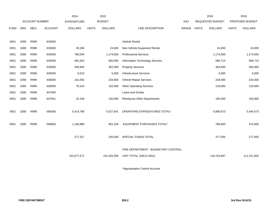|             |            |                       |                | 2014               |              | 2015           |                                     |             | 2016                    |              | 2016            |
|-------------|------------|-----------------------|----------------|--------------------|--------------|----------------|-------------------------------------|-------------|-------------------------|--------------|-----------------|
|             |            | <b>ACCOUNT NUMBER</b> |                | <b>EXPENDITURE</b> |              | <b>BUDGET</b>  |                                     | PAY         | <b>REQUESTED BUDGET</b> |              | PROPOSED BUDGET |
| <b>FUND</b> | <b>ORG</b> | <b>SBCL</b>           | <b>ACCOUNT</b> | <b>DOLLARS</b>     | <b>UNITS</b> | <b>DOLLARS</b> | LINE DESCRIPTION                    | RANGE UNITS | <b>DOLLARS</b>          | <b>UNITS</b> | <b>DOLLARS</b>  |
|             |            |                       |                |                    |              |                |                                     |             |                         |              |                 |
| 0001        | 3280       | R999                  | 633000         |                    |              |                | <b>Vehicle Rental</b>               |             |                         |              |                 |
| 0001        | 3280       | R999                  | 633500         | 26,196             |              | 24,000         | Non-Vehicle Equipment Rental        |             | 24,000                  |              | 24,000          |
| 0001        | 3280       | R999                  | 634000         | 780,044            |              | 1,174,500      | <b>Professional Services</b>        |             | 1,174,500               |              | 1,174,500       |
| 0001        | 3280       | R999                  | 634500         | 481,563            |              | 600,500        | Information Technology Services     |             | 586,713                 |              | 586,713         |
| 0001        | 3280       | R999                  | 635000         | 300,840            |              | 362,000        | <b>Property Services</b>            |             | 364,000                 |              | 364,000         |
| 0001        | 3280       | R999                  | 635500         | 8,515              |              | 5,000          | <b>Infrastructure Services</b>      |             | 5,000                   |              | 5,000           |
| 0001        | 3280       | R999                  | 636000         | 161,092            |              | 234,000        | Vehicle Repair Services             |             | 234,000                 |              | 234,000         |
| 0001        | 3280       | R999                  | 636500         | 79,104             |              | 102,000        | <b>Other Operating Services</b>     |             | 133,000                 |              | 133,000         |
| 0001        | 3280       | R999                  | 637000         |                    |              |                | Loans and Grants                    |             |                         |              |                 |
| 0001        | 3280       | R999                  | 637501         | 25,106             |              | 100,000        | <b>Reimburse Other Departments</b>  |             | 100,000                 |              | 100,000         |
|             |            |                       |                |                    |              |                |                                     |             |                         |              |                 |
| 0001        | 3280       | R999                  | 006300         | 5,414,796          |              | 5,527,941      | OPERATING EXPENDITURES TOTAL*       |             | 5,890,673               |              | 5,444,573       |
|             |            |                       |                |                    |              |                |                                     |             |                         |              |                 |
| 0001        | 3280       | R999                  | 006800         | 1,166,880          |              | 801,100        | EQUIPMENT PURCHASES TOTAL*          |             | 788,600                 |              | 473,600         |
|             |            |                       |                |                    |              |                |                                     |             |                         |              |                 |
|             |            |                       |                | 277,317            |              | 245,000        | SPECIAL FUNDS TOTAL                 |             | 277,000                 |              | 277,000         |
|             |            |                       |                |                    |              |                |                                     |             |                         |              |                 |
|             |            |                       |                |                    |              |                | FIRE DEPARTMENT - BUDGETARY CONTROL |             |                         |              |                 |
|             |            |                       |                | 102,677,571        |              | 101,020,306    | UNIT TOTAL (1BCU=3DU)               |             | 116,153,887             |              | 111,311,820     |
|             |            |                       |                |                    |              |                |                                     |             |                         |              |                 |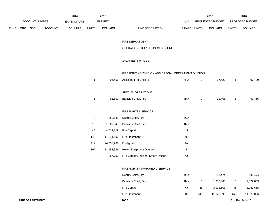|      |          |                       |                | 2014           |                           | 2015           |                                                       |             |                           | 2016             |              | 2016            |
|------|----------|-----------------------|----------------|----------------|---------------------------|----------------|-------------------------------------------------------|-------------|---------------------------|------------------|--------------|-----------------|
|      |          | <b>ACCOUNT NUMBER</b> |                | EXPENDITURE    |                           | <b>BUDGET</b>  |                                                       | <b>PAY</b>  |                           | REQUESTED BUDGET |              | PROPOSED BUDGET |
| FUND | ORG SBCL |                       | <b>ACCOUNT</b> | <b>DOLLARS</b> | <b>UNITS</b>              | <b>DOLLARS</b> | LINE DESCRIPTION                                      | RANGE UNITS |                           | <b>DOLLARS</b>   | <b>UNITS</b> | <b>DOLLARS</b>  |
|      |          |                       |                |                |                           |                | FIRE DEPARTMENT                                       |             |                           |                  |              |                 |
|      |          |                       |                |                |                           |                | OPERATIONS BUREAU DECISION UNIT                       |             |                           |                  |              |                 |
|      |          |                       |                |                |                           |                | SALARIES & WAGES                                      |             |                           |                  |              |                 |
|      |          |                       |                |                |                           |                | FIREFIGHTING DIVISION AND SPECIAL OPERATIONS DIVISION |             |                           |                  |              |                 |
|      |          |                       |                |                | $\mathbf{1}$              | 96,456         | Assistant Fire Chief (Y)                              | 4RX         | $\mathbf{1}$              | 97,420           | $\mathbf{1}$ | 97,420          |
|      |          |                       |                |                |                           |                | SPECIAL OPERATIONS                                    |             |                           |                  |              |                 |
|      |          |                       |                |                | $\mathbf{1}$              | 91,550         | Battalion Chief, Fire                                 | 4MX         | $\mathbf{1}$              | 92,466           | $\mathbf{1}$ | 92,466          |
|      |          |                       |                |                |                           |                | FIREFIGHTER SERVICE                                   |             |                           |                  |              |                 |
|      |          |                       |                |                | $\ensuremath{\mathsf{3}}$ | 288,588        | Deputy Chief, Fire                                    | 4OX         |                           |                  |              |                 |
|      |          |                       |                |                | 15                        | 1,367,840      | <b>Battalion Chief, Fire</b>                          | 4MX         |                           |                  |              |                 |
|      |          |                       |                |                | 46                        | 4,032,729      | Fire Captain                                          | 4J          |                           |                  |              |                 |
|      |          |                       |                |                | 146                       | 11,241,297     | Fire Lieutenant                                       | 4E          |                           |                  |              |                 |
|      |          |                       |                |                | 412                       | 24,938,289     | Firefighter                                           | 4A          |                           |                  |              |                 |
|      |          |                       |                |                | 162                       | 11,958,346     | Heavy Equipment Operator                              | 4D          |                           |                  |              |                 |
|      |          |                       |                |                | $\ensuremath{\mathsf{3}}$ | 257,706        | Fire Captain, Incident Safety Officer                 | $4J$        |                           |                  |              |                 |
|      |          |                       |                |                |                           |                | FIREFIGHTER/PARAMEDIC SERVICE                         |             |                           |                  |              |                 |
|      |          |                       |                |                |                           |                | Deputy Chief, Fire                                    | 4OX         | $\ensuremath{\mathsf{3}}$ | 291,474          | $\mathbf 3$  | 291,474         |
|      |          |                       |                |                |                           |                | Battalion Chief, Fire                                 | 4MX         | 15                        | 1,372,803        | 15           | 1,372,803       |
|      |          |                       |                |                |                           |                | Fire Captain                                          | 4J          | 46                        | 3,933,658        | 46           | 3,933,658       |

Fire Lieutenant 4E 146 11,028,096 146 11,028,096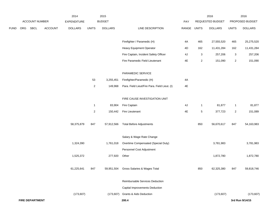|             |     |                        |                | 2014               |                  | 2015           |                                               |       |              | 2016             |                | 2016            |
|-------------|-----|------------------------|----------------|--------------------|------------------|----------------|-----------------------------------------------|-------|--------------|------------------|----------------|-----------------|
|             |     | ACCOUNT NUMBER         |                | <b>EXPENDITURE</b> |                  | <b>BUDGET</b>  |                                               | PAY   |              | REQUESTED BUDGET |                | PROPOSED BUDGET |
| <b>FUND</b> | ORG | SBCL                   | <b>ACCOUNT</b> | <b>DOLLARS</b>     | <b>UNITS</b>     | <b>DOLLARS</b> | LINE DESCRIPTION                              | RANGE | <b>UNITS</b> | <b>DOLLARS</b>   | <b>UNITS</b>   | <b>DOLLARS</b>  |
|             |     |                        |                |                    |                  |                | Firefighter / Paramedic (H)                   | 4A    | 465          | 27,555,520       | 465            | 25,275,520      |
|             |     |                        |                |                    |                  |                | Heavy Equipment Operator                      | 4D    | 162          | 11,431,284       | 162            | 11,431,284      |
|             |     |                        |                |                    |                  |                | Fire Captain, Incident Safety Officer         | 4J    | 3            | 257,206          | 3              | 257,206         |
|             |     |                        |                |                    |                  |                | Fire Paramedic Field Lieutenant               | 4E    | $\mathbf{2}$ | 151,090          | $\overline{2}$ | 151,090         |
|             |     |                        |                |                    |                  |                | PARAMEDIC SERVICE                             |       |              |                  |                |                 |
|             |     |                        |                |                    | 53               | 3,255,451      | Firefighter/Paramedic (H)                     | 4A    |              |                  |                |                 |
|             |     |                        |                |                    | $\overline{2}$   | 149,968        | Para. Field Lieut/Fire Para. Field Lieut. (I) | 4E    |              |                  |                |                 |
|             |     |                        |                |                    |                  |                | FIRE CAUSE INVESTIGATION UNIT                 |       |              |                  |                |                 |
|             |     |                        |                |                    | $\overline{1}$   | 83,904         | Fire Captain                                  | 4J    | $\mathbf{1}$ | 81,877           | $\mathbf{1}$   | 81,877          |
|             |     |                        |                |                    | $\boldsymbol{2}$ | 150,442        | Fire Lieutenant                               | 4E    | $\,$ 5 $\,$  | 377,723          | $\overline{2}$ | 151,089         |
|             |     |                        |                | 58,375,879         | 847              | 57,912,566     | <b>Total Before Adjustments</b>               |       | 850          | 56,670,617       | 847            | 54,163,983      |
|             |     |                        |                |                    |                  |                | Salary & Wage Rate Change                     |       |              |                  |                |                 |
|             |     |                        |                | 1,324,390          |                  | 1,761,018      | Overtime Compensated (Special Duty)           |       |              | 3,781,983        |                | 3,781,983       |
|             |     |                        |                |                    |                  |                | Personnel Cost Adjustment                     |       |              |                  |                |                 |
|             |     |                        |                | 1,525,372          |                  | 277,920        | Other                                         |       |              | 1,872,780        |                | 1,872,780       |
|             |     |                        |                | 61,225,641         | 847              | 59,951,504     | Gross Salaries & Wages Total                  |       | 850          | 62,325,380       | 847            | 59,818,746      |
|             |     |                        |                |                    |                  |                | Reimbursable Services Deduction               |       |              |                  |                |                 |
|             |     |                        |                |                    |                  |                | Capital Improvements Deduction                |       |              |                  |                |                 |
|             |     |                        |                | (173, 607)         |                  | (173, 607)     | <b>Grants &amp; Aids Deduction</b>            |       |              | (173, 607)       |                | (173, 607)      |
|             |     | <b>FIRE DEPARTMENT</b> |                |                    |                  |                | 200.4                                         |       |              |                  |                | 3rd Run 9/14/15 |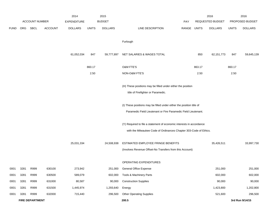|             |      |                        |                | 2014               |              | 2015           |                                                                                                                                           |             |        | 2016             |              | 2016            |
|-------------|------|------------------------|----------------|--------------------|--------------|----------------|-------------------------------------------------------------------------------------------------------------------------------------------|-------------|--------|------------------|--------------|-----------------|
|             |      | <b>ACCOUNT NUMBER</b>  |                | <b>EXPENDITURE</b> |              | <b>BUDGET</b>  |                                                                                                                                           | <b>PAY</b>  |        | REQUESTED BUDGET |              | PROPOSED BUDGET |
| <b>FUND</b> | ORG  | SBCL                   | <b>ACCOUNT</b> | <b>DOLLARS</b>     | <b>UNITS</b> | <b>DOLLARS</b> | LINE DESCRIPTION                                                                                                                          | RANGE UNITS |        | <b>DOLLARS</b>   | <b>UNITS</b> | <b>DOLLARS</b>  |
|             |      |                        |                |                    |              |                | Furlough                                                                                                                                  |             |        |                  |              |                 |
|             |      |                        |                | 61,052,034         | 847          | 59,777,897     | NET SALARIES & WAGES TOTAL                                                                                                                |             | 850    | 62, 151, 773     | 847          | 59,645,139      |
|             |      |                        |                |                    | 860.17       |                | O&M FTE'S                                                                                                                                 |             | 863.17 |                  | 860.17       |                 |
|             |      |                        |                |                    | 2.50         |                | NON-O&M FTE'S                                                                                                                             |             | 2.50   |                  | 2.50         |                 |
|             |      |                        |                |                    |              |                | (H) These positions may be filled under either the position<br>title of Firefighter or Paramedic.                                         |             |        |                  |              |                 |
|             |      |                        |                |                    |              |                | (I) These positions may be filled under either the position title of<br>Paramedic Field Lieutenant or Fire Paramedic Field Lieutenant.    |             |        |                  |              |                 |
|             |      |                        |                |                    |              |                | (Y) Required to file a statement of economic interests in accordance<br>with the Milwaukee Code of Ordinances Chapter 303-Code of Ethics. |             |        |                  |              |                 |
|             |      |                        |                | 25,031,334         |              | 24,508,938     | ESTIMATED EMPLOYEE FRINGE BENEFITS<br>(Involves Revenue Offset-No Transfers from this Account)                                            |             |        | 35,426,511       |              | 33,997,730      |
|             |      |                        |                |                    |              |                | OPERATING EXPENDITURES                                                                                                                    |             |        |                  |              |                 |
| 0001        | 3281 | R999                   | 630100         | 273,942            |              | 251,000        | <b>General Office Expense</b>                                                                                                             |             |        | 251,000          |              | 251,000         |
| 0001        | 3281 | R999                   | 630500         | 589,079            |              | 602,000        | Tools & Machinery Parts                                                                                                                   |             |        | 602,000          |              | 602,000         |
| 0001        | 3281 | R999                   | 631000         | 80,587             |              | 90,000         | <b>Construction Supplies</b>                                                                                                              |             |        | 90,000           |              | 90,000          |
| 0001        | 3281 | R999                   | 631500         | 1,445,974          |              | 1,293,640      | Energy                                                                                                                                    |             |        | 1,423,800        |              | 1,202,800       |
| 0001        | 3281 | R999                   | 632000         | 715,440            |              | 296,500        | <b>Other Operating Supplies</b>                                                                                                           |             |        | 521,600          |              | 296,500         |
|             |      | <b>FIRE DEPARTMENT</b> |                |                    |              |                | 200.5                                                                                                                                     |             |        |                  |              | 3rd Run 9/14/15 |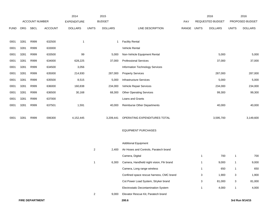|             |      |                        |                | 2014               |                | 2015           |                                           |       |              | 2016             |              | 2016            |
|-------------|------|------------------------|----------------|--------------------|----------------|----------------|-------------------------------------------|-------|--------------|------------------|--------------|-----------------|
|             |      | <b>ACCOUNT NUMBER</b>  |                | <b>EXPENDITURE</b> |                | <b>BUDGET</b>  |                                           | PAY   |              | REQUESTED BUDGET |              | PROPOSED BUDGET |
| <b>FUND</b> | ORG  | <b>SBCL</b>            | <b>ACCOUNT</b> | <b>DOLLARS</b>     | <b>UNITS</b>   | <b>DOLLARS</b> | LINE DESCRIPTION                          | RANGE | <b>UNITS</b> | <b>DOLLARS</b>   | <b>UNITS</b> | <b>DOLLARS</b>  |
|             |      |                        |                |                    |                |                |                                           |       |              |                  |              |                 |
| 0001        | 3281 | R999                   | 632500         | $\mathbf{1}$       |                | -1             | <b>Facility Rental</b>                    |       |              |                  |              |                 |
| 0001        | 3281 | R999                   | 633000         |                    |                |                | <b>Vehicle Rental</b>                     |       |              |                  |              |                 |
| 0001        | 3281 | R999                   | 633500         | 99                 |                | 5,000          | Non-Vehicle Equipment Rental              |       |              | 5,000            |              | 5,000           |
| 0001        | 3281 | R999                   | 634000         | 628,225            |                | 37,000         | <b>Professional Services</b>              |       |              | 37,000           |              | 37,000          |
| 0001        | 3281 | R999                   | 634500         | 3,056              |                |                | Information Technology Services           |       |              |                  |              |                 |
| 0001        | 3281 | R999                   | 635000         | 214,930            |                | 287,000        | <b>Property Services</b>                  |       |              | 287,000          |              | 287,000         |
| 0001        | 3281 | R999                   | 635500         | 8,515              |                | 5,000          | Infrastructure Services                   |       |              | 5,000            |              | 5,000           |
| 0001        | 3281 | R999                   | 636000         | 160,838            |                | 234,000        | Vehicle Repair Services                   |       |              | 234,000          |              | 234,000         |
| 0001        | 3281 | R999                   | 636500         | 30,168             |                | 68,300         | <b>Other Operating Services</b>           |       |              | 99,300           |              | 99,300          |
| 0001        | 3281 | R999                   | 637000         |                    |                |                | Loans and Grants                          |       |              |                  |              |                 |
| 0001        | 3281 | R999                   | 637501         | 1,591              |                | 40,000         | <b>Reimburse Other Departments</b>        |       |              | 40,000           |              | 40,000          |
|             |      |                        |                |                    |                |                |                                           |       |              |                  |              |                 |
| 0001        | 3281 | R999                   | 006300         | 4,152,445          |                | 3,209,441      | OPERATING EXPENDITURES TOTAL              |       |              | 3,595,700        |              | 3,149,600       |
|             |      |                        |                |                    |                |                |                                           |       |              |                  |              |                 |
|             |      |                        |                |                    |                |                | <b>EQUIPMENT PURCHASES</b>                |       |              |                  |              |                 |
|             |      |                        |                |                    |                |                |                                           |       |              |                  |              |                 |
|             |      |                        |                |                    |                |                | <b>Additional Equipment</b>               |       |              |                  |              |                 |
|             |      |                        |                |                    | $\overline{a}$ | 2,400          | Air Hoses and Controls, Paratech brand    |       |              |                  |              |                 |
|             |      |                        |                |                    |                |                | Camera, Digital                           |       | 1            | 700              | $\mathbf{1}$ | 700             |
|             |      |                        |                |                    | -1             | 6,300          | Camera, Handheld night vision, Flir brand |       | 1            | 9,000            | 1            | 9,000           |
|             |      |                        |                |                    |                |                | Camera, Long range wireless               |       | $\mathbf{1}$ | 650              | $\mathbf{1}$ | 650             |
|             |      |                        |                |                    |                |                | Confined space rescue harness, CMC brand  |       | 3            | 1,900            | $\mathbf{3}$ | 1,900           |
|             |      |                        |                |                    |                |                | Cot Power Load System, Stryker brand      |       | 3            | 81,000           | $\mathbf{3}$ | 81,000          |
|             |      |                        |                |                    |                |                | Electrostatic Decontamination System      |       | $\mathbf{1}$ | 4,000            | $\mathbf{1}$ | 4,000           |
|             |      |                        |                |                    | $\overline{2}$ | 9,000          | Elevator Rescue Kit, Paratech brand       |       |              |                  |              |                 |
|             |      | <b>FIRE DEPARTMENT</b> |                |                    |                |                | 200.6                                     |       |              |                  |              | 3rd Run 9/14/15 |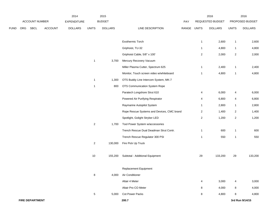|             |     |                        |                | 2014               |                 | 2015           |                                            |             |                | 2016             |                | 2016            |
|-------------|-----|------------------------|----------------|--------------------|-----------------|----------------|--------------------------------------------|-------------|----------------|------------------|----------------|-----------------|
|             |     | ACCOUNT NUMBER         |                | <b>EXPENDITURE</b> |                 | <b>BUDGET</b>  |                                            | PAY         |                | REQUESTED BUDGET |                | PROPOSED BUDGET |
| <b>FUND</b> | ORG | SBCL                   | <b>ACCOUNT</b> | <b>DOLLARS</b>     | <b>UNITS</b>    | <b>DOLLARS</b> | LINE DESCRIPTION                           | RANGE UNITS |                | <b>DOLLARS</b>   | <b>UNITS</b>   | <b>DOLLARS</b>  |
|             |     |                        |                |                    |                 |                | Exothermic Torch                           |             | $\mathbf{1}$   | 2,600            | $\mathbf{1}$   | 2,600           |
|             |     |                        |                |                    |                 |                | Griphoist, TU-32                           |             | 1              | 4,800            | $\mathbf{1}$   | 4,800           |
|             |     |                        |                |                    |                 |                | Griphoist Cable, 5/8" x 100'               |             | $\overline{a}$ | 2,000            | $\overline{a}$ | 2,000           |
|             |     |                        |                |                    | $\mathbf{1}$    | 3,700          | Mercury Recovery Vacuum                    |             |                |                  |                |                 |
|             |     |                        |                |                    |                 |                | Miller Plasma Cutter, Spectrum 625         |             | $\mathbf{1}$   | 2,400            | $\mathbf{1}$   | 2,400           |
|             |     |                        |                |                    |                 |                | Monitor, Touch screen video w/whiteboard   |             | 1              | 4,800            | $\mathbf{1}$   | 4,800           |
|             |     |                        |                |                    | $\mathbf{1}$    | 1,300          | OTS Buddy Line Intercom System, MK-7       |             |                |                  |                |                 |
|             |     |                        |                |                    | $\mathbf{1}$    | 800            | OTS Communication System Rope              |             |                |                  |                |                 |
|             |     |                        |                |                    |                 |                | Paratech Longshore Strut 610               |             | 4              | 6,000            | 4              | 6,000           |
|             |     |                        |                |                    |                 |                | Powered Air Purifying Respirator           |             | 4              | 6,800            | 4              | 6,800           |
|             |     |                        |                |                    |                 |                | Raymarine Autopilot System                 |             | 1              | 2,800            | $\mathbf{1}$   | 2,800           |
|             |     |                        |                |                    |                 |                | Rope Rescue Systems and Devices, CMC brand |             | $\overline{c}$ | 1,400            | $\overline{2}$ | 1,400           |
|             |     |                        |                |                    |                 |                | Spotlight, Golight Stryker LED             |             | $\overline{a}$ | 1,200            | $\overline{2}$ | 1,200           |
|             |     |                        |                |                    | $\overline{2}$  | 1,700          | Tool Power System w/accessories            |             |                |                  |                |                 |
|             |     |                        |                |                    |                 |                | Trench Rescue Dual Deadman Strut Contr.    |             | 1              | 600              | $\mathbf{1}$   | 600             |
|             |     |                        |                |                    |                 |                | Trench Rescue Regulator 300 PSI            |             | 1              | 550              | $\mathbf{1}$   | 550             |
|             |     |                        |                |                    | $\overline{2}$  | 130,000        | Fire Pick Up Truck                         |             |                |                  |                |                 |
|             |     |                        |                |                    | 10              | 155,200        | Subtotal - Additional Equipment            |             | 29             | 133,200          | 29             | 133,200         |
|             |     |                        |                |                    |                 |                | Replacement Equipment                      |             |                |                  |                |                 |
|             |     |                        |                |                    | 8               | 4,000          | Air Conditioner                            |             |                |                  |                |                 |
|             |     |                        |                |                    |                 |                | Altair 4 Meter                             |             | 4              | 3,000            | 4              | 3,000           |
|             |     |                        |                |                    |                 |                | Altair Pro CO Meter                        |             | 8              | 4,000            | 8              | 4,000           |
|             |     |                        |                |                    | $5\phantom{.0}$ | 5,000          | Cot Power Packs                            |             | 8              | 4,800            | 8              | 4,800           |
|             |     | <b>FIRE DEPARTMENT</b> |                |                    |                 |                | 200.7                                      |             |                |                  |                | 3rd Run 9/14/15 |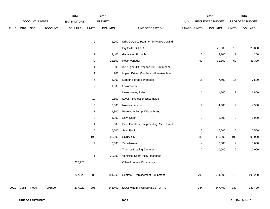|             |      |                |         | 2014               |                         | 2015           |                                          |       | 2016           |                  | 2016                    |                 |
|-------------|------|----------------|---------|--------------------|-------------------------|----------------|------------------------------------------|-------|----------------|------------------|-------------------------|-----------------|
|             |      | ACCOUNT NUMBER |         | <b>EXPENDITURE</b> |                         | <b>BUDGET</b>  |                                          | PAY   |                | REQUESTED BUDGET |                         | PROPOSED BUDGET |
| <b>FUND</b> | ORG  | SBCL           | ACCOUNT | <b>DOLLARS</b>     | <b>UNITS</b>            | <b>DOLLARS</b> | LINE DESCRIPTION                         | RANGE | <b>UNITS</b>   | <b>DOLLARS</b>   | <b>UNITS</b>            | <b>DOLLARS</b>  |
|             |      |                |         |                    |                         |                |                                          |       |                |                  |                         |                 |
|             |      |                |         |                    | $\mathbf{2}$            | 1,000          | Drill, Cordless Hammer, Milwaukee brand  |       |                |                  |                         |                 |
|             |      |                |         |                    |                         |                | Dry Suits, SCUBA                         |       | 10             | 23,000           | $10$                    | 23,000          |
|             |      |                |         |                    | $\overline{a}$          | 2,400          | Generator, Portable                      |       | $\overline{2}$ | 4,200            | $\overline{2}$          | 4,200           |
|             |      |                |         |                    | 40                      | 23,500         | Hose (various)                           |       | 50             | 31,300           | $50\,$                  | 31,300          |
|             |      |                |         |                    | $\mathbf{1}$            | 600            | Ice Auger, Jiff Propane 10" Pro4 model   |       |                |                  |                         |                 |
|             |      |                |         |                    | $\mathbf{1}$            | 700            | Impact Driver, Cordless, Milwaukee brand |       |                |                  |                         |                 |
|             |      |                |         |                    | 5                       | 4,000          | Ladder, Portable (various)               |       | 15             | 7,500            | 15                      | 7,500           |
|             |      |                |         |                    | $\overline{\mathbf{c}}$ | 1,000          | Lawnmower                                |       |                |                  |                         |                 |
|             |      |                |         |                    |                         |                | Lawnmower, Riding                        |       | $\mathbf{1}$   | 1,800            | 1                       | 1,800           |
|             |      |                |         |                    | $10$                    | 9,500          | Level A Protection Ensembles             |       |                |                  |                         |                 |
|             |      |                |         |                    | 5                       | 2,500          | Nozzles, various                         |       | 9              | 4,500            | 9                       | 4,500           |
|             |      |                |         |                    | $\mathbf{1}$            | 1,300          | Petroleum Pump, Wilden brand             |       |                |                  |                         |                 |
|             |      |                |         |                    | $\overline{a}$          | 1,000          | Saw, Chain                               |       | $\overline{2}$ | 1,000            | $\overline{c}$          | 1,000           |
|             |      |                |         |                    | 1                       | 600            | Saw, Cordless Reciprocating, Milw. brand |       |                |                  |                         |                 |
|             |      |                |         |                    | 5                       | 5,500          | Saw, Roof                                |       | $\sqrt{5}$     | 5,500            | 5                       | 5,500           |
|             |      |                |         |                    | 190                     | 95,000         | <b>SCBA ICM</b>                          |       | 585            | 410,000          | 190                     | 95,000          |
|             |      |                |         |                    | 4                       | 3,600          | Snowblowers                              |       | 4              | 3,600            | 4                       | 3,600           |
|             |      |                |         |                    |                         |                | <b>Thermal Imaging Cameras</b>           |       | $\overline{2}$ | 10,000           | $\overline{\mathbf{c}}$ | 10,000          |
|             |      |                |         |                    | $\mathbf{1}$            | 30,000         | Vehicles, Sport Utility Response         |       |                |                  |                         |                 |
|             |      |                |         | 277,920            |                         |                | Other Previous Experience                |       |                |                  |                         |                 |
|             |      |                |         |                    |                         |                |                                          |       |                |                  |                         |                 |
|             |      |                |         | 277,920            | 285                     |                | 191,200 Subtotal - Replacement Equipment |       | 705            | 514,200          | 310                     | 199,200         |
|             |      |                |         |                    |                         |                |                                          |       |                |                  |                         |                 |
| 0001        | 3281 | R999           | 006800  | 277,920            | 295                     | 346,400        | EQUIPMENT PURCHASES TOTAL                |       | 734            | 647,400          | 339                     | 332,400         |
|             |      |                |         |                    |                         |                |                                          |       |                |                  |                         |                 |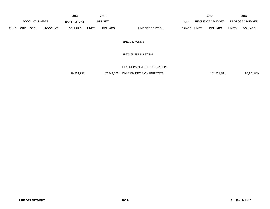|             |                       |      |                    | 2014           |               | 2015           |                           |                  | 2016           |                        | 2016           |
|-------------|-----------------------|------|--------------------|----------------|---------------|----------------|---------------------------|------------------|----------------|------------------------|----------------|
|             | <b>ACCOUNT NUMBER</b> |      | <b>EXPENDITURE</b> |                | <b>BUDGET</b> | PAY            |                           | REQUESTED BUDGET |                | <b>PROPOSED BUDGET</b> |                |
| <b>FUND</b> | ORG                   | SBCL | <b>ACCOUNT</b>     | <b>DOLLARS</b> | <b>UNITS</b>  | <b>DOLLARS</b> | LINE DESCRIPTION<br>RANGE | <b>UNITS</b>     | <b>DOLLARS</b> | <b>UNITS</b>           | <b>DOLLARS</b> |

SPECIAL FUNDS

SPECIAL FUNDS TOTAL

FIRE DEPARTMENT - OPERATIONS

90,513,733 87,842,676 DIVISION DECISION UNIT TOTAL 101,821,384 97,124,869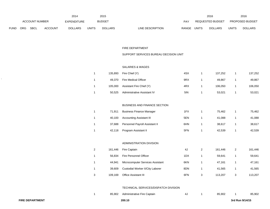|             |                       |             |                    | 2014           |               | 2015           |                                  |                         | 2016           |                        | 2016           |
|-------------|-----------------------|-------------|--------------------|----------------|---------------|----------------|----------------------------------|-------------------------|----------------|------------------------|----------------|
|             | <b>ACCOUNT NUMBER</b> |             | <b>EXPENDITURE</b> |                | <b>BUDGET</b> | PAY            |                                  | <b>REQUESTED BUDGET</b> |                | <b>PROPOSED BUDGET</b> |                |
| <b>FUND</b> | <b>ORG</b>            | <b>SBCL</b> | <b>ACCOUNT</b>     | <b>DOLLARS</b> | <b>UNITS</b>  | <b>DOLLARS</b> | <b>RANGE</b><br>LINE DESCRIPTION | UNITS                   | <b>DOLLARS</b> | <b>UNITS</b>           | <b>DOLLARS</b> |

#### FIRE DEPARTMENT

## SUPPORT SERVICES BUREAU DECISION UNIT

#### SALARIES & WAGES

|  |        | 135,893    Fire Chief (Y)        | 4SX | 137.252 | 137,252 |
|--|--------|----------------------------------|-----|---------|---------|
|  |        | 49,370 Fire Medical Officer      | 9RX | 49,867  | 49,867  |
|  |        | 105,000 Assistant Fire Chief (Y) | 4RX | 106,050 | 106,050 |
|  | 50,525 | Administrative Assistant IV      | 5IN | 53,021  | 53,021  |

### BUSINESS AND FINANCE SECTION

| 71.911 | <b>Business Finance Manager</b> | 1FX | 75.462 | 75,462 |
|--------|---------------------------------|-----|--------|--------|
| 40.100 | <b>Accounting Assistant III</b> | 5EN | 41.088 | 41,088 |
| 37.688 | Personnel Payroll Assistant II  | 6HN | 38.617 | 38,617 |
| 42,118 | Program Assistant II            | 5FN | 42.539 | 42,539 |

#### ADMINISTRATION DIVISION

| 2 | 161.446 | Fire Captain                     | 4J  | 161.446 | 2 | 161.446 |
|---|---------|----------------------------------|-----|---------|---|---------|
|   | 56.834  | Fire Personnel Officer           | 1DX | 59.641  |   | 59,641  |
|   | 44.941  | Microcomputer Services Assistant | 6KN | 47.161  |   | 47,161  |
|   | 39.609  | Custodial Worker II/City Laborer | 8DN | 41.565  |   | 41,565  |
| 3 | 109.169 | <b>Office Assistant III</b>      | 6FN | 113.207 |   | 113,207 |

### TECHNICAL SERVICES/DISPATCH DIVISION

|  | 85.902 | Administrative Fire Captain | 4. |  | 85.902 |  | 85,902 |
|--|--------|-----------------------------|----|--|--------|--|--------|
|--|--------|-----------------------------|----|--|--------|--|--------|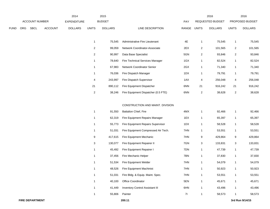|             |                       |             |                | 2014           |       | 2015           |                           |       | 2016                    |              | 2016                   |
|-------------|-----------------------|-------------|----------------|----------------|-------|----------------|---------------------------|-------|-------------------------|--------------|------------------------|
|             | <b>ACCOUNT NUMBER</b> |             |                | EXPENDITURE    |       | <b>BUDGET</b>  | PAY                       |       | <b>REQUESTED BUDGET</b> |              | <b>PROPOSED BUDGET</b> |
| <b>FUND</b> | <b>ORG</b>            | <b>SBCL</b> | <b>ACCOUNT</b> | <b>DOLLARS</b> | UNITS | <b>DOLLARS</b> | LINE DESCRIPTION<br>RANGE | UNITS | <b>DOLLARS</b>          | <b>UNITS</b> | <b>DOLLARS</b>         |

|    | 75.545  | Administrative Fire Lieutenant      | 4E  |    | 75.545  |    | 75.545  |
|----|---------|-------------------------------------|-----|----|---------|----|---------|
| 2  | 99.059  | Network Coordinator-Associate       | 2EX | 2  | 101,565 | 2  | 101,565 |
| 2  | 90.997  | Data Base Specialist                | 5GN | 2  | 93.846  | 2  | 93,846  |
|    | 78.640  | Fire Technical Services Manager     | 1GX | 1  | 82,524  |    | 82,524  |
|    | 67.983  | <b>Network Coordinator Senior</b>   | 2GX | 1  | 71.340  |    | 71,340  |
|    | 76.036  | Fire Dispatch Manager               | 1DX | 1  | 79.791  |    | 79,791  |
| 4  | 243.997 | Fire Dispatch Supervisor            | 1AX | 4  | 256.048 | 4  | 256,048 |
| 21 | 890.112 | Fire Equipment Dispatcher           | 6NN | 21 | 916.242 | 21 | 916,242 |
| 2  | 38.246  | Fire Equipment Dispatcher (0.5 FTE) | 6NN | 2  | 38,628  | 2  | 38,628  |

## CONSTRUCTION AND MAINT. DIVISION

| $\mathbf{1}$ | 91,550  | <b>Battalion Chief, Fire</b>           | 4MX |   | 92,466  |   | 92,466  |
|--------------|---------|----------------------------------------|-----|---|---------|---|---------|
| 1            | 62,319  | Fire Equipment Repairs Manager         | 1EX | 1 | 65,397  |   | 65,397  |
| 1            | 55,773  | Fire Equipment Repairs Supervisor      | 1DX | 1 | 58,528  | 1 | 58,528  |
| 1            | 51,031  | Fire Equipment Compressed Air Tech.    | 7HN | 1 | 53,551  | 1 | 53,551  |
| 9            | 417,615 | Fire Equipment Mechanic                | 7HN | 9 | 429,864 | 9 | 429,864 |
| 3            | 130,077 | Fire Equipment Repairer II             | 7GN | 3 | 133,831 | 3 | 133,831 |
| 1            | 45,492  | Fire Equipment Repairer I              | 7DN | 1 | 47,739  | 1 | 47,739  |
| 1            | 37,456  | Fire Mechanic Helper                   | 7BN | 1 | 37,830  |   | 37,830  |
| 1            | 51,534  | Fire Equipment Welder                  | 7HN | 1 | 54,079  |   | 54,079  |
| 1            | 48,526  | Fire Equipment Machinist               | 7HN | 1 | 50,923  | 1 | 50,923  |
| 1            | 51,031  | Fire Bldg. & Equip. Maint. Spec.       | 7HN | 1 | 53,551  | 1 | 53,551  |
| 1            | 40,100  | <b>Office Coordinator</b>              | 5EN | 1 | 45,671  | 1 | 45,671  |
| 1            | 41,449  | <b>Inventory Control Assistant III</b> | 6HN | 1 | 43,496  |   | 43,496  |
| 1            | 55,806  | Painter                                | 71  | 1 | 58,573  |   | 58,573  |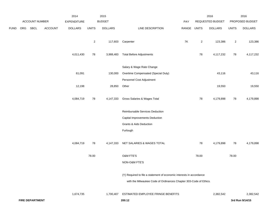|             |     |                        |         | 2014               |              | 2015           |                                                                      |             |                | 2016             |                | 2016            |
|-------------|-----|------------------------|---------|--------------------|--------------|----------------|----------------------------------------------------------------------|-------------|----------------|------------------|----------------|-----------------|
|             |     | ACCOUNT NUMBER         |         | <b>EXPENDITURE</b> |              | <b>BUDGET</b>  |                                                                      | PAY         |                | REQUESTED BUDGET |                | PROPOSED BUDGET |
| <b>FUND</b> | ORG | SBCL                   | ACCOUNT | <b>DOLLARS</b>     | <b>UNITS</b> | <b>DOLLARS</b> | LINE DESCRIPTION                                                     | RANGE UNITS |                | <b>DOLLARS</b>   | <b>UNITS</b>   | <b>DOLLARS</b>  |
|             |     |                        |         |                    | $\mathbf{2}$ |                | 117,603 Carpenter                                                    | <b>7K</b>   | $\overline{a}$ | 123,386          | $\overline{a}$ | 123,386         |
|             |     |                        |         | 4,011,430          | 78           | 3,988,483      | <b>Total Before Adjustments</b>                                      |             | 78             | 4,117,232        | 78             | 4,117,232       |
|             |     |                        |         |                    |              |                | Salary & Wage Rate Change                                            |             |                |                  |                |                 |
|             |     |                        |         | 61,091             |              | 130,000        | Overtime Compensated (Special Duty)                                  |             |                | 43,116           |                | 43,116          |
|             |     |                        |         |                    |              |                | Personnel Cost Adjustment                                            |             |                |                  |                |                 |
|             |     |                        |         | 12,198             |              | 28,850         | Other                                                                |             |                | 19,550           |                | 19,550          |
|             |     |                        |         | 4,084,719          | 78           | 4,147,333      | Gross Salaries & Wages Total                                         |             | 78             | 4,179,898        | 78             | 4,179,898       |
|             |     |                        |         |                    |              |                | Reimbursable Services Deduction                                      |             |                |                  |                |                 |
|             |     |                        |         |                    |              |                | Capital Improvements Deduction                                       |             |                |                  |                |                 |
|             |     |                        |         |                    |              |                | <b>Grants &amp; Aids Deduction</b>                                   |             |                |                  |                |                 |
|             |     |                        |         |                    |              |                | Furlough                                                             |             |                |                  |                |                 |
|             |     |                        |         | 4,084,719          | 78           | 4,147,333      | NET SALARIES & WAGES TOTAL                                           |             | 78             | 4,179,898        | 78             | 4,179,898       |
|             |     |                        |         |                    | 78.00        |                | O&M FTE'S                                                            |             | 78.00          |                  | 78.00          |                 |
|             |     |                        |         |                    |              |                | NON-O&M FTE'S                                                        |             |                |                  |                |                 |
|             |     |                        |         |                    |              |                | (Y) Required to file a statement of economic interests in accordance |             |                |                  |                |                 |
|             |     |                        |         |                    |              |                | with the Milwaukee Code of Ordinances Chapter 303-Code of Ethics.    |             |                |                  |                |                 |
|             |     |                        |         | 1,674,735          |              | 1,700,407      | ESTIMATED EMPLOYEE FRINGE BENEFITS                                   |             |                | 2,382,542        |                | 2,382,542       |
|             |     | <b>FIRE DEPARTMENT</b> |         |                    |              |                | 200.12                                                               |             |                |                  |                | 3rd Run 9/14/15 |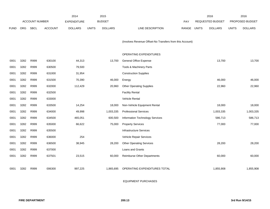|            |             |                | 2014                  |              | 2015           |                                 |              |              | 2016                                                     |                         | 2016            |
|------------|-------------|----------------|-----------------------|--------------|----------------|---------------------------------|--------------|--------------|----------------------------------------------------------|-------------------------|-----------------|
|            |             |                | <b>EXPENDITURE</b>    |              |                |                                 | <b>PAY</b>   |              |                                                          |                         | PROPOSED BUDGET |
| <b>ORG</b> | <b>SBCL</b> | <b>ACCOUNT</b> | <b>DOLLARS</b>        | <b>UNITS</b> | <b>DOLLARS</b> | <b>LINE DESCRIPTION</b>         | <b>RANGE</b> | <b>UNITS</b> | <b>DOLLARS</b>                                           | <b>UNITS</b>            | <b>DOLLARS</b>  |
|            |             |                |                       |              |                |                                 |              |              |                                                          |                         |                 |
|            |             |                |                       |              |                |                                 |              |              |                                                          |                         |                 |
|            |             |                |                       |              |                |                                 |              |              |                                                          |                         |                 |
|            |             |                |                       |              |                | OPERATING EXPENDITURES          |              |              |                                                          |                         |                 |
| 3282       | R999        | 630100         | 44,313                |              | 13,700         | General Office Expense          |              |              | 13,700                                                   |                         | 13,700          |
| 3282       | R999        | 630500         | 79,500                |              |                | Tools & Machinery Parts         |              |              |                                                          |                         |                 |
| 3282       | R999        | 631000         | 31,954                |              |                | <b>Construction Supplies</b>    |              |              |                                                          |                         |                 |
| 3282       | R999        | 631500         | 70,390                |              | 46,000         | Energy                          |              |              | 46,000                                                   |                         | 46,000          |
| 3282       | R999        | 632000         | 112,429               |              | 20,960         | <b>Other Operating Supplies</b> |              |              | 22,960                                                   |                         | 22,960          |
| 3282       | R999        | 632500         |                       |              |                | <b>Facility Rental</b>          |              |              |                                                          |                         |                 |
| 3282       | R999        | 633000         |                       |              |                | Vehicle Rental                  |              |              |                                                          |                         |                 |
| 3282       | R999        | 633500         | 14,254                |              | 18,000         | Non-Vehicle Equipment Rental    |              |              | 18,000                                                   |                         | 18,000          |
| 3282       | R999        | 634000         | 49,998                |              | 1,003,335      | <b>Professional Services</b>    |              |              | 1,003,335                                                |                         | 1,003,335       |
| 3282       | R999        | 634500         | 465,051               |              | 600,500        | Information Technology Services |              |              | 586,713                                                  |                         | 586,713         |
| 3282       | R999        | 635000         | 66,622                |              | 75,000         | <b>Property Services</b>        |              |              | 77,000                                                   |                         | 77,000          |
| 3282       | R999        | 635500         |                       |              |                | <b>Infrastructure Services</b>  |              |              |                                                          |                         |                 |
| 3282       | R999        | 636000         | 254                   |              |                | Vehicle Repair Services         |              |              |                                                          |                         |                 |
| 3282       | R999        | 636500         | 38,945                |              | 28,200         | <b>Other Operating Services</b> |              |              | 28,200                                                   |                         | 28,200          |
| 3282       | R999        | 637000         |                       |              |                | Loans and Grants                |              |              |                                                          |                         |                 |
| 3282       | R999        | 637501         | 23,515                |              | 60,000         | Reimburse Other Departments     |              |              | 60,000                                                   |                         | 60,000          |
|            |             |                |                       |              |                |                                 |              |              |                                                          |                         |                 |
| 3282       | R999        | 006300         | 997,225               |              | 1,865,695      | OPERATING EXPENDITURES TOTAL    |              |              | 1,855,908                                                |                         | 1,855,908       |
|            |             |                | <b>ACCOUNT NUMBER</b> |              |                | <b>BUDGET</b>                   |              |              | (Involves Revenue Offset-No Transfers from this Account) | <b>REQUESTED BUDGET</b> |                 |

EQUIPMENT PURCHASES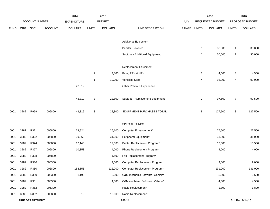|             |      |                        |                | 2014               |              | 2015           |                                  |       |                | 2016             |                           | 2016            |
|-------------|------|------------------------|----------------|--------------------|--------------|----------------|----------------------------------|-------|----------------|------------------|---------------------------|-----------------|
|             |      | <b>ACCOUNT NUMBER</b>  |                | <b>EXPENDITURE</b> |              | <b>BUDGET</b>  |                                  | PAY   |                | REQUESTED BUDGET |                           | PROPOSED BUDGET |
| <b>FUND</b> | ORG  | <b>SBCL</b>            | <b>ACCOUNT</b> | <b>DOLLARS</b>     | <b>UNITS</b> | <b>DOLLARS</b> | LINE DESCRIPTION                 | RANGE | <b>UNITS</b>   | <b>DOLLARS</b>   | <b>UNITS</b>              | <b>DOLLARS</b>  |
|             |      |                        |                |                    |              |                |                                  |       |                |                  |                           |                 |
|             |      |                        |                |                    |              |                | <b>Additional Equipment</b>      |       |                |                  |                           |                 |
|             |      |                        |                |                    |              |                | Bender, Powered                  |       | -1             | 30,000           | $\mathbf{1}$              | 30,000          |
|             |      |                        |                |                    |              |                | Subtotal - Additional Equipment  |       | -1             | 30,000           | $\mathbf{1}$              | 30,000          |
|             |      |                        |                |                    |              |                | <b>Replacement Equipment</b>     |       |                |                  |                           |                 |
|             |      |                        |                |                    | $\sqrt{2}$   | 3,800          | Fans, PPV & NPV                  |       | 3              | 4,500            | $\ensuremath{\mathsf{3}}$ | 4,500           |
|             |      |                        |                |                    | $\mathbf{1}$ | 19,000         | Vehicles, Staff                  |       | 4              | 93,000           | 4                         | 93,000          |
|             |      |                        |                | 42,319             |              |                | Other Previous Experience        |       |                |                  |                           |                 |
|             |      |                        |                |                    |              |                |                                  |       |                |                  |                           |                 |
|             |      |                        |                | 42,319             | 3            | 22,800         | Subtotal - Replacement Equipment |       | $\overline{7}$ | 97,500           | $\overline{7}$            | 97,500          |
|             |      |                        |                |                    |              |                |                                  |       |                |                  |                           |                 |
| 0001        | 3282 | R999                   | 006800         | 42,319             | 3            | 22,800         | EQUIPMENT PURCHASES TOTAL        |       | 8              | 127,500          | 8                         | 127,500         |
|             |      |                        |                |                    |              |                |                                  |       |                |                  |                           |                 |
|             |      |                        |                |                    |              |                | SPECIAL FUNDS                    |       |                |                  |                           |                 |
| 0001        | 3282 | R321                   | 006800         | 23,824             |              | 26,100         | Computer Enhancement*            |       |                | 27,500           |                           | 27,500          |
| 0001        | 3282 | R322                   | 006800         | 39,869             |              | 31,000         | Peripheral Equipment*            |       |                | 31,000           |                           | 31,000          |
| 0001        | 3282 | R324                   | 006800         | 17,140             |              | 12,000         | Printer Replacement Program*     |       |                | 13,500           |                           | 13,500          |
| 0001        | 3282 | R327                   | 006800         | 10,353             |              | 4,000          | Phone Replacement Program*       |       |                | 4,000            |                           | 4,000           |
| 0001        | 3282 | R328                   | 006800         |                    |              | 1,500          | Fax Replacement Program*         |       |                |                  |                           |                 |
| 0001        | 3282 | R330                   | 006300         |                    |              | 9,000          | Computer Replacement Program*    |       |                | 9,000            |                           | 9,000           |
| 0001        | 3282 | R330                   | 006800         | 158,853            |              | 122,000        | Computer Replacement Program*    |       |                | 131,000          |                           | 131,000         |
| 0001        | 3282 | R350                   | 006300         | 1,199              |              | 3,600          | C&M mechanic Software, Genisis*  |       |                | 3,600            |                           | 3,600           |
| 0001        | 3282 | R351                   | 006300         |                    |              | 4,500          | C&M mechanic Software, Vehicle*  |       |                | 4,500            |                           | 4,500           |
| 0001        | 3282 | R352                   | 006300         |                    |              |                | Radio Replacement*               |       |                | 1,800            |                           | 1,800           |
| 0001        | 3282 | R352                   | 006800         | 610                |              | 10,000         | Radio Replacement*               |       |                |                  |                           |                 |
|             |      | <b>FIRE DEPARTMENT</b> |                |                    |              |                | 200.14                           |       |                |                  |                           | 3rd Run 9/14/15 |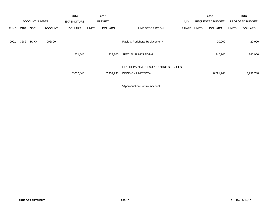|             |            |                       |                | 2014               |              | 2015           |                                                                   |       |              | 2016                    |              | 2016            |  |
|-------------|------------|-----------------------|----------------|--------------------|--------------|----------------|-------------------------------------------------------------------|-------|--------------|-------------------------|--------------|-----------------|--|
|             |            | <b>ACCOUNT NUMBER</b> |                | <b>EXPENDITURE</b> |              | <b>BUDGET</b>  |                                                                   | PAY   |              | <b>REQUESTED BUDGET</b> |              | PROPOSED BUDGET |  |
| <b>FUND</b> | <b>ORG</b> | <b>SBCL</b>           | <b>ACCOUNT</b> | <b>DOLLARS</b>     | <b>UNITS</b> | <b>DOLLARS</b> | LINE DESCRIPTION                                                  | RANGE | <b>UNITS</b> | <b>DOLLARS</b>          | <b>UNITS</b> | <b>DOLLARS</b>  |  |
| 0001        | 3282       | R3XX                  | 006800         |                    |              |                | Radio & Peripheral Replacement*                                   |       |              | 20,000                  |              | 20,000          |  |
|             |            |                       |                | 251,848            |              | 223,700        | SPECIAL FUNDS TOTAL                                               |       |              | 245,900                 |              | 245,900         |  |
|             |            |                       |                | 7,050,846          |              | 7,959,935      | FIRE DEPARTMENT-SUPPORTING SERVICES<br><b>DECISION UNIT TOTAL</b> |       |              | 8,791,748               |              | 8,791,748       |  |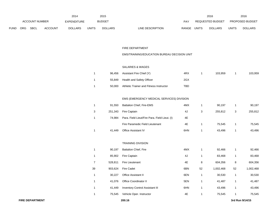|      |            |                |                | 2014           |              | 2015           |                           | 2016                    |              | 2016                   |
|------|------------|----------------|----------------|----------------|--------------|----------------|---------------------------|-------------------------|--------------|------------------------|
|      |            | ACCOUNT NUMBER |                | EXPENDITURE    |              | <b>BUDGET</b>  | PAY                       | <b>REQUESTED BUDGET</b> |              | <b>PROPOSED BUDGET</b> |
| FUND | <b>ORG</b> | SBCL           | <b>ACCOUNT</b> | <b>DOLLARS</b> | <b>UNITS</b> | <b>DOLLARS</b> | RANGE<br>LINE DESCRIPTION | UNITS<br><b>DOLLARS</b> | <b>UNITS</b> | <b>DOLLARS</b>         |

### FIRE DEPARTMENT

## EMS/TRAINING/EDUCATION BUREAU DECISION UNIT

#### SALARIES & WAGES

| 96.456 | Assistant Fire Chief (Y)                | 4RX | 103.959 | 103,959 |
|--------|-----------------------------------------|-----|---------|---------|
| 55.849 | Health and Safety Officer               | 2GX |         |         |
| 50.000 | Athletic Trainer and Fitness Instructor | TBD |         |         |

# EMS (EMERGENCY MEDICAL SERVICES) DIVISION

| 1 | 91.550  | <b>Battalion Chief, Fire-EMS</b>              | 4MX | 90.197  |   | 90,197  |
|---|---------|-----------------------------------------------|-----|---------|---|---------|
| 3 | 251.343 | Fire Captain                                  | 4J  | 255.812 | 3 | 255,812 |
|   | 74.984  | Para. Field Lieut/Fire Para. Field Lieut. (I) | 4Ε  |         |   |         |
|   |         | Fire Paramedic Field Lieutenant               | 4Ε  | 75.545  |   | 75,545  |
|   | 41.449  | <b>Office Assistant IV</b>                    | 6HN | 43.496  |   | 43,496  |

#### TRAINING DIVISION

| 1              | 90.197  | <b>Battalion Chief, Fire</b>           | 4MX |    | 92,466    |    | 92,466    |
|----------------|---------|----------------------------------------|-----|----|-----------|----|-----------|
| 1              | 85,902  | <b>Fire Captain</b>                    | 4J  | 4  | 83,468    |    | 83,468    |
| $\overline{7}$ | 528.811 | Fire Lieutenant                        | 4E  | 8  | 604,356   | 8  | 604,356   |
| 39             | 903.624 | <b>Fire Cadet</b>                      | 6BN | 52 | 1.002.468 | 52 | 1,002,468 |
| 1              | 30.227  | <b>Office Assistant II</b>             | 6EN |    | 30.530    |    | 30,530    |
| 1              | 41.076  | <b>Office Coordinator II</b>           | 5EN |    | 41.487    |    | 41,487    |
| 1              | 41.449  | <b>Inventory Control Assistant III</b> | 6HN | 4  | 43,496    |    | 43,496    |
| 1              | 75.545  | Vehicle Oper. Instructor               | 4E  |    | 75.545    |    | 75,545    |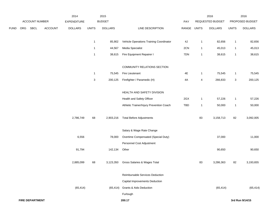|             |             | 2014 |                                                            | 2015                      |                                           |                                                        | 2016                                                                                                                                                                                                                                                                                                                                                                                                        |                         | 2016                                                  |                                                                                           |                                              |
|-------------|-------------|------|------------------------------------------------------------|---------------------------|-------------------------------------------|--------------------------------------------------------|-------------------------------------------------------------------------------------------------------------------------------------------------------------------------------------------------------------------------------------------------------------------------------------------------------------------------------------------------------------------------------------------------------------|-------------------------|-------------------------------------------------------|-------------------------------------------------------------------------------------------|----------------------------------------------|
|             |             |      | EXPENDITURE                                                |                           |                                           |                                                        | PAY                                                                                                                                                                                                                                                                                                                                                                                                         |                         |                                                       |                                                                                           | PROPOSED BUDGET                              |
| ORG         | <b>SBCL</b> |      | <b>DOLLARS</b>                                             | <b>UNITS</b>              | <b>DOLLARS</b>                            | LINE DESCRIPTION                                       |                                                                                                                                                                                                                                                                                                                                                                                                             | <b>UNITS</b>            | <b>DOLLARS</b>                                        | <b>UNITS</b>                                                                              | <b>DOLLARS</b>                               |
|             |             |      |                                                            |                           |                                           |                                                        |                                                                                                                                                                                                                                                                                                                                                                                                             |                         |                                                       |                                                                                           |                                              |
|             |             |      |                                                            |                           |                                           |                                                        |                                                                                                                                                                                                                                                                                                                                                                                                             |                         |                                                       |                                                                                           | 82,656                                       |
|             |             |      |                                                            |                           |                                           |                                                        |                                                                                                                                                                                                                                                                                                                                                                                                             |                         |                                                       |                                                                                           | 45,013                                       |
|             |             |      |                                                            | $\mathbf{1}$              | 38,615                                    |                                                        |                                                                                                                                                                                                                                                                                                                                                                                                             | $\mathbf{1}$            |                                                       | $\mathbf{1}$                                                                              | 38,615                                       |
|             |             |      |                                                            |                           |                                           | COMMUNITY RELATIONS SECTION                            |                                                                                                                                                                                                                                                                                                                                                                                                             |                         |                                                       |                                                                                           |                                              |
|             |             |      |                                                            | $\mathbf{1}$              | 75,545                                    | Fire Lieutenant                                        | 4E                                                                                                                                                                                                                                                                                                                                                                                                          | $\mathbf{1}$            | 75,545                                                | $\mathbf{1}$                                                                              | 75,545                                       |
|             |             |      |                                                            | $\ensuremath{\mathsf{3}}$ | 200,125                                   | Firefighter / Paramedic (H)                            | 4A                                                                                                                                                                                                                                                                                                                                                                                                          | $\overline{\mathbf{4}}$ | 266,833                                               | $\ensuremath{\mathsf{3}}$                                                                 | 200,125                                      |
|             |             |      |                                                            |                           |                                           |                                                        |                                                                                                                                                                                                                                                                                                                                                                                                             |                         |                                                       |                                                                                           |                                              |
|             |             |      |                                                            |                           |                                           |                                                        |                                                                                                                                                                                                                                                                                                                                                                                                             |                         |                                                       |                                                                                           | 57,226                                       |
|             |             |      |                                                            |                           |                                           | Athletic Trainer/Injury Prevention Coach               | <b>TBD</b>                                                                                                                                                                                                                                                                                                                                                                                                  | $\mathbf{1}$            | 50,000                                                | $\overline{1}$                                                                            | 50,000                                       |
|             |             |      |                                                            |                           |                                           |                                                        |                                                                                                                                                                                                                                                                                                                                                                                                             |                         |                                                       |                                                                                           |                                              |
|             |             |      | 2,786,749                                                  | 68                        | 2,903,216                                 | <b>Total Before Adjustments</b>                        |                                                                                                                                                                                                                                                                                                                                                                                                             | 83                      | 3,158,713                                             | 82                                                                                        | 3,092,005                                    |
|             |             |      |                                                            |                           |                                           |                                                        |                                                                                                                                                                                                                                                                                                                                                                                                             |                         |                                                       |                                                                                           |                                              |
|             |             |      |                                                            |                           |                                           |                                                        |                                                                                                                                                                                                                                                                                                                                                                                                             |                         |                                                       |                                                                                           | 11,000                                       |
|             |             |      |                                                            |                           |                                           |                                                        |                                                                                                                                                                                                                                                                                                                                                                                                             |                         |                                                       |                                                                                           |                                              |
|             |             |      |                                                            |                           |                                           |                                                        |                                                                                                                                                                                                                                                                                                                                                                                                             |                         |                                                       |                                                                                           | 90,650                                       |
|             |             |      |                                                            |                           |                                           |                                                        |                                                                                                                                                                                                                                                                                                                                                                                                             |                         |                                                       |                                                                                           |                                              |
|             |             |      | 2,885,099                                                  | 68                        | 3,123,350                                 | Gross Salaries & Wages Total                           |                                                                                                                                                                                                                                                                                                                                                                                                             | 83                      | 3,286,363                                             | 82                                                                                        | 3,193,655                                    |
|             |             |      |                                                            |                           |                                           |                                                        |                                                                                                                                                                                                                                                                                                                                                                                                             |                         |                                                       |                                                                                           |                                              |
|             |             |      |                                                            |                           |                                           |                                                        |                                                                                                                                                                                                                                                                                                                                                                                                             |                         |                                                       |                                                                                           |                                              |
|             |             |      |                                                            |                           |                                           |                                                        |                                                                                                                                                                                                                                                                                                                                                                                                             |                         |                                                       |                                                                                           | (65, 414)                                    |
|             |             |      |                                                            |                           |                                           |                                                        |                                                                                                                                                                                                                                                                                                                                                                                                             |                         |                                                       |                                                                                           |                                              |
|             |             |      |                                                            |                           |                                           |                                                        |                                                                                                                                                                                                                                                                                                                                                                                                             |                         |                                                       |                                                                                           | 3rd Run 9/14/15                              |
| <b>FUND</b> |             |      | ACCOUNT NUMBER<br><b>ACCOUNT</b><br><b>FIRE DEPARTMENT</b> | 6,556<br>91,794           | $\mathbf{1}$<br>$\mathbf{1}$<br>(65, 414) | <b>BUDGET</b><br>85,902<br>44,567<br>78,000<br>142,134 | Vehicle Operations Training Coordinator<br>Media Specialist<br>Fire Equipment Repairer I<br>HEALTH AND SAFETY DIVISION<br>Health and Safety Officer<br>Salary & Wage Rate Change<br>Overtime Compensated (Special Duty)<br>Personnel Cost Adjustment<br>Other<br>Reimbursable Services Deduction<br>Capital Improvements Deduction<br><b>Grants &amp; Aids Deduction</b><br>(65, 414)<br>Furlough<br>200.17 | 4J<br>2CN<br>7DN<br>2GX | RANGE<br>$\mathbf{1}$<br>$\mathbf{1}$<br>$\mathbf{1}$ | REQUESTED BUDGET<br>82,656<br>45,013<br>38,615<br>57,226<br>37,000<br>90,650<br>(65, 414) | $\mathbf{1}$<br>$\mathbf{1}$<br>$\mathbf{1}$ |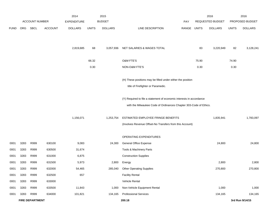|             |      |                        |                | 2014               |              | 2015           |                                                                      |       |              | 2016             |              | 2016            |
|-------------|------|------------------------|----------------|--------------------|--------------|----------------|----------------------------------------------------------------------|-------|--------------|------------------|--------------|-----------------|
|             |      | <b>ACCOUNT NUMBER</b>  |                | <b>EXPENDITURE</b> |              | <b>BUDGET</b>  |                                                                      | PAY   |              | REQUESTED BUDGET |              | PROPOSED BUDGET |
| <b>FUND</b> | ORG  | <b>SBCL</b>            | <b>ACCOUNT</b> | <b>DOLLARS</b>     | <b>UNITS</b> | <b>DOLLARS</b> | LINE DESCRIPTION                                                     | RANGE | <b>UNITS</b> | <b>DOLLARS</b>   | <b>UNITS</b> | <b>DOLLARS</b>  |
|             |      |                        |                |                    |              |                |                                                                      |       |              |                  |              |                 |
|             |      |                        |                | 2,819,685          | 68           | 3,057,936      | NET SALARIES & WAGES TOTAL                                           |       | 83           | 3,220,949        | 82           | 3,128,241       |
|             |      |                        |                |                    |              |                |                                                                      |       |              |                  |              |                 |
|             |      |                        |                |                    | 66.32        |                | <b>O&amp;M FTE'S</b>                                                 |       | 75.90        |                  | 74.90        |                 |
|             |      |                        |                |                    | 0.30         |                | NON-O&M FTE'S                                                        |       | 0.30         |                  | 0.30         |                 |
|             |      |                        |                |                    |              |                | (H) These positions may be filled under either the position          |       |              |                  |              |                 |
|             |      |                        |                |                    |              |                |                                                                      |       |              |                  |              |                 |
|             |      |                        |                |                    |              |                | title of Firefighter or Paramedic.                                   |       |              |                  |              |                 |
|             |      |                        |                |                    |              |                | (Y) Required to file a statement of economic interests in accordance |       |              |                  |              |                 |
|             |      |                        |                |                    |              |                | with the Milwaukee Code of Ordinances Chapter 303-Code of Ethics.    |       |              |                  |              |                 |
|             |      |                        |                | 1,156,071          |              | 1,253,754      | ESTIMATED EMPLOYEE FRINGE BENEFITS                                   |       |              | 1,835,941        |              | 1,783,097       |
|             |      |                        |                |                    |              |                |                                                                      |       |              |                  |              |                 |
|             |      |                        |                |                    |              |                | (Involves Revenue Offset-No Transfers from this Account)             |       |              |                  |              |                 |
|             |      |                        |                |                    |              |                | OPERATING EXPENDITURES                                               |       |              |                  |              |                 |
| 0001        | 3283 | R999                   | 630100         | 9,083              |              | 24,300         | General Office Expense                                               |       |              | 24,800           |              | 24,800          |
| 0001        | 3283 | R999                   | 630500         | 31,674             |              |                | Tools & Machinery Parts                                              |       |              |                  |              |                 |
| 0001        | 3283 | R999                   | 631000         | 6,875              |              |                | <b>Construction Supplies</b>                                         |       |              |                  |              |                 |
| 0001        | 3283 | R999                   | 631500         | 5,973              |              | 2,800          | Energy                                                               |       |              | 2,800            |              | 2,800           |
| 0001        | 3283 | R999                   | 632000         | 54,465             |              | 285,040        | <b>Other Operating Supplies</b>                                      |       |              | 270,800          |              | 270,800         |
| 0001        | 3283 | R999                   | 632500         | 657                |              |                | <b>Facility Rental</b>                                               |       |              |                  |              |                 |
| 0001        | 3283 | R999                   | 633000         |                    |              |                | Vehicle Rental                                                       |       |              |                  |              |                 |
| 0001        | 3283 | R999                   | 633500         | 11,843             |              | 1,000          | Non-Vehicle Equipment Rental                                         |       |              | 1,000            |              | 1,000           |
| 0001        | 3283 | R999                   | 634000         | 101,821            |              | 134,165        | <b>Professional Services</b>                                         |       |              | 134,165          |              | 134,165         |
|             |      | <b>FIRE DEPARTMENT</b> |                |                    |              |                | 200.18                                                               |       |              |                  |              | 3rd Run 9/14/15 |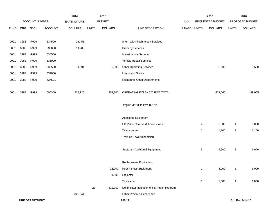|             |      |                        |                | 2014               |              | 2015           |                                            |             |              | 2016             |                | 2016            |
|-------------|------|------------------------|----------------|--------------------|--------------|----------------|--------------------------------------------|-------------|--------------|------------------|----------------|-----------------|
|             |      | ACCOUNT NUMBER         |                | <b>EXPENDITURE</b> |              | <b>BUDGET</b>  |                                            | PAY         |              | REQUESTED BUDGET |                | PROPOSED BUDGET |
| <b>FUND</b> | ORG  | SBCL                   | <b>ACCOUNT</b> | <b>DOLLARS</b>     | <b>UNITS</b> | <b>DOLLARS</b> | LINE DESCRIPTION                           | RANGE UNITS |              | <b>DOLLARS</b>   | <b>UNITS</b>   | <b>DOLLARS</b>  |
|             |      |                        |                |                    |              |                |                                            |             |              |                  |                |                 |
| 0001        | 3283 | R999                   | 634500         | 13,456             |              |                | Information Technology Services            |             |              |                  |                |                 |
| 0001        | 3283 | R999                   | 635000         | 19,288             |              |                | <b>Property Services</b>                   |             |              |                  |                |                 |
| 0001        | 3283 | R999                   | 635500         |                    |              |                | Infrastructure Services                    |             |              |                  |                |                 |
| 0001        | 3283 | R999                   | 636000         |                    |              |                | Vehicle Repair Services                    |             |              |                  |                |                 |
| 0001        | 3283 | R999                   | 636500         | 9,991              |              | 5,500          | <b>Other Operating Services</b>            |             |              | 5,500            |                | 5,500           |
| 0001        | 3283 | R999                   | 637000         |                    |              |                | Loans and Grants                           |             |              |                  |                |                 |
| 0001        | 3283 | R999                   | 637501         |                    |              |                | <b>Reimburse Other Departments</b>         |             |              |                  |                |                 |
|             |      |                        |                |                    |              |                |                                            |             |              |                  |                |                 |
| 0001        | 3283 | R999                   | 006300         | 265,126            |              | 452,805        | OPERATING EXPENDITURES TOTAL               |             |              | 439,065          |                | 439,065         |
|             |      |                        |                |                    |              |                |                                            |             |              |                  |                |                 |
|             |      |                        |                |                    |              |                | <b>EQUIPMENT PURCHASES</b>                 |             |              |                  |                |                 |
|             |      |                        |                |                    |              |                |                                            |             |              |                  |                |                 |
|             |      |                        |                |                    |              |                | <b>Additional Equipment</b>                |             |              |                  |                |                 |
|             |      |                        |                |                    |              |                | HD Video Camera & Accessories              |             | 4            | 5,800            | 4              | 5,800           |
|             |      |                        |                |                    |              |                | Teleprompter                               |             | 1            | 1,100            | $\mathbf{1}$   | 1,100           |
|             |      |                        |                |                    |              |                | <b>Training Tower Inspection</b>           |             |              |                  |                |                 |
|             |      |                        |                |                    |              |                |                                            |             |              |                  |                |                 |
|             |      |                        |                |                    |              |                | Subtotal - Additional Equipment            |             | 5            | 6,900            | $\overline{5}$ | 6,900           |
|             |      |                        |                |                    |              |                |                                            |             |              |                  |                |                 |
|             |      |                        |                |                    |              |                | Replacement Equipment                      |             |              |                  |                |                 |
|             |      |                        |                |                    |              | 18,000         | Peer Fitness Equipment                     |             | $\mathbf{1}$ | 5,000            | $\mathbf{1}$   | 5,000           |
|             |      |                        |                |                    | $\mathbf{3}$ | 1,900          | Projector                                  |             |              |                  |                |                 |
|             |      |                        |                |                    |              |                | Television                                 |             | $\mathbf{1}$ | 1,800            | $\mathbf{1}$   | 1,800           |
|             |      |                        |                |                    | 28           | 412,000        | Defibrillator Replacement & Repair Program |             |              |                  |                |                 |
|             |      |                        |                | 846,641            |              |                | Other Previous Experience                  |             |              |                  |                |                 |
|             |      | <b>FIRE DEPARTMENT</b> |                |                    |              |                | 200.19                                     |             |              |                  |                | 3rd Run 9/14/15 |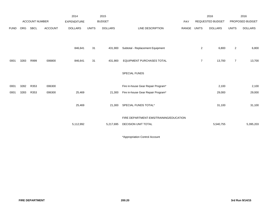|             |            |                       |                | 2014               |              | 2015           |                                        |             |                | 2016             |                | 2016            |
|-------------|------------|-----------------------|----------------|--------------------|--------------|----------------|----------------------------------------|-------------|----------------|------------------|----------------|-----------------|
|             |            | <b>ACCOUNT NUMBER</b> |                | <b>EXPENDITURE</b> |              | <b>BUDGET</b>  |                                        | PAY         |                | REQUESTED BUDGET |                | PROPOSED BUDGET |
| <b>FUND</b> | <b>ORG</b> | <b>SBCL</b>           | <b>ACCOUNT</b> | <b>DOLLARS</b>     | <b>UNITS</b> | <b>DOLLARS</b> | LINE DESCRIPTION                       | RANGE UNITS |                | <b>DOLLARS</b>   | <b>UNITS</b>   | <b>DOLLARS</b>  |
|             |            |                       |                |                    |              |                |                                        |             |                |                  |                |                 |
|             |            |                       |                | 846,641            | 31           | 431,900        | Subtotal - Replacement Equipment       |             | $\overline{2}$ | 6,800            | $\overline{2}$ | 6,800           |
| 0001        | 3283       | R999                  | 006800         | 846,641            | 31           | 431,900        | EQUIPMENT PURCHASES TOTAL              |             | $\overline{7}$ | 13,700           | $\overline{7}$ | 13,700          |
|             |            |                       |                |                    |              |                | SPECIAL FUNDS                          |             |                |                  |                |                 |
| 0001        | 3282       | R353                  | 006300         |                    |              |                | Fire in-house Gear Repair Program*     |             |                | 2,100            |                | 2,100           |
| 0001        | 3283       | R353                  | 006300         | 25,469             |              | 21,300         | Fire in-house Gear Repair Program*     |             |                | 29,000           |                | 29,000          |
|             |            |                       |                | 25,469             |              | 21,300         | SPECIAL FUNDS TOTAL*                   |             |                | 31,100           |                | 31,100          |
|             |            |                       |                |                    |              |                | FIRE DEPARTMENT-EMS/TRAINING/EDUCATION |             |                |                  |                |                 |
|             |            |                       |                | 5,112,992          |              | 5,217,695      | <b>DECISION UNIT TOTAL</b>             |             |                | 5,540,755        |                | 5,395,203       |

\*Appropriation Control Account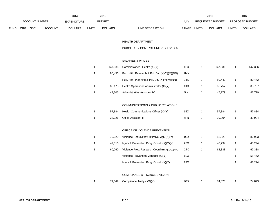|             |            |                       |                | 2014               |              | 2015           |                                  |       | 2016                    |              | 2016                   |
|-------------|------------|-----------------------|----------------|--------------------|--------------|----------------|----------------------------------|-------|-------------------------|--------------|------------------------|
|             |            | <b>ACCOUNT NUMBER</b> |                | <b>EXPENDITURE</b> |              | <b>BUDGET</b>  | PAY                              |       | <b>REQUESTED BUDGET</b> |              | <b>PROPOSED BUDGET</b> |
| <b>FUND</b> | <b>ORG</b> | <b>SBCL</b>           | <b>ACCOUNT</b> | <b>DOLLARS</b>     | <b>UNITS</b> | <b>DOLLARS</b> | <b>RANGE</b><br>LINE DESCRIPTION | UNITS | <b>DOLLARS</b>          | <b>UNITS</b> | <b>DOLLARS</b>         |

### HEALTH DEPARTMENT

## BUDGETARY CONTROL UNIT (1BCU=1DU)

### SALARIES & WAGES

| 147.336 | Commissioner - Health (X)(Y)                  | 1PX | 147.336 | 147.336 |
|---------|-----------------------------------------------|-----|---------|---------|
| 96.456  | Pub. Hith. Research & Pol. Dir. (X)(Y)(M)(NN) | 1MX |         |         |
|         | Pub. Hith. Planning & Pol. Dir. (X)(Y)(M)(NN) | 1JX | 80.442  | 80,442  |
| 85.175  | Health Operations Administrator (X)(Y)        | 1KX | 85.757  | 85,757  |
| 47.306  | Administrative Assistant IV                   | 5IN | 47.779  | 47,779  |

### COMMUNICATIONS & PUBLIC RELATIONS

|  | 57,884 Health Communications Officer (X)(Y) | 1EX | 57.884 | 57.884 |
|--|---------------------------------------------|-----|--------|--------|
|  | 38.026 Office Assistant III                 | 6FN | 39.904 | 39,904 |

### OFFICE OF VIOLENCE PREVENTION

| 79.020 | Violence Reduc/Prev Initiative Mgr. (X)(Y)   | 1GX | 82.923 | 82,923 |
|--------|----------------------------------------------|-----|--------|--------|
| 47.816 | Injury & Prevention Prog. Coord. (X)(Y)(V)   | 2FX | 48.294 | 48,294 |
| 60.060 | Violence Prev. Research Coord.(H)(X)(OO)(NN) | 2JX | 62.338 | 62,338 |
|        | Violence Prevention Manager (X)(Y)           | 1EX |        | 58.462 |
|        | Injury & Prevention Prog. Coord. (X)(Y)      | 2FX |        | 48,294 |

#### COMPLIANCE & FINANCE DIVISION

| 71.349 | Compliance Analyst (X)(Y) | 2GX | 74.873 | 74,873 |
|--------|---------------------------|-----|--------|--------|
|        |                           |     |        |        |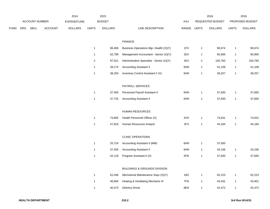|      |     |                |                | 2014               |                | 2015           |                                           |             |                         | 2016             |                | 2016            |
|------|-----|----------------|----------------|--------------------|----------------|----------------|-------------------------------------------|-------------|-------------------------|------------------|----------------|-----------------|
|      |     | ACCOUNT NUMBER |                | <b>EXPENDITURE</b> |                | <b>BUDGET</b>  |                                           | PAY         |                         | REQUESTED BUDGET |                | PROPOSED BUDGET |
| FUND | ORG | SBCL           | <b>ACCOUNT</b> | <b>DOLLARS</b>     | <b>UNITS</b>   | <b>DOLLARS</b> | LINE DESCRIPTION                          | RANGE UNITS |                         | <b>DOLLARS</b>   | <b>UNITS</b>   | <b>DOLLARS</b>  |
|      |     |                |                |                    |                |                | <b>FINANCE</b>                            |             |                         |                  |                |                 |
|      |     |                |                |                    | $\mathbf{1}$   | 86,406         | Business Operations Mgr.-Health (X)(Y)    | 1FX         | $\mathbf{1}$            | 90,674           | $\overline{1}$ | 90,674          |
|      |     |                |                |                    | $\mathbf{1}$   | 62,799         | Management Accountant - Senior (X)(Y)     | 2EX         | $\mathbf{1}$            | 65,900           | $\overline{1}$ | 65,900          |
|      |     |                |                |                    | $\overline{c}$ | 97,521         | Administrative Specialist - Senior (X)(Y) | 2EX         | $\overline{\mathbf{c}}$ | 100,783          | $\overline{2}$ | 100,783         |
|      |     |                |                |                    | $\mathbf{1}$   | 39,174         | <b>Accounting Assistant II</b>            | 6HN         | 1                       | 41,109           | $\overline{1}$ | 41,109          |
|      |     |                |                |                    | $\mathbf{1}$   | 38,293         | Inventory Control Assistant II (X)        | 6HN         | $\mathbf{1}$            | 39,257           | $\overline{1}$ | 39,257          |
|      |     |                |                |                    |                |                | PAYROLL SERVICES                          |             |                         |                  |                |                 |
|      |     |                |                |                    | $\mathbf{1}$   | 37,455         | Personnel Payroll Assistant II            | 6HN         | $\mathbf{1}$            | 37,830           | $\overline{1}$ | 37,830          |
|      |     |                |                |                    | $\mathbf{1}$   | 37,732         | <b>Accounting Assistant II</b>            | 6HN         | $\mathbf{1}$            | 37,830           | $\overline{1}$ | 37,830          |
|      |     |                |                |                    |                |                | HUMAN RESOURCES                           |             |                         |                  |                |                 |
|      |     |                |                |                    | $\mathbf{1}$   | 73,892         | Health Personnel Officer (X)              | 2HX         | $\mathbf{1}$            | 74,631           | $\overline{1}$ | 74,631          |
|      |     |                |                |                    | $\mathbf{1}$   | 47,816         | Human Resources Analyst                   | 2FX         | $\mathbf{1}$            | 44,184           | $\overline{1}$ | 44,184          |
|      |     |                |                |                    |                |                | <b>CLINIC OPERATIONS</b>                  |             |                         |                  |                |                 |
|      |     |                |                |                    | $\mathbf{1}$   | 20,724         | Accounting Assistant II (MM)              | 6HN         | $\mathbf{1}$            | 37,830           |                |                 |
|      |     |                |                |                    | $\mathbf{1}$   | 37,455         | <b>Accounting Assistant II</b>            | 6HN         | $\mathbf{1}$            | 43,156           | $\overline{1}$ | 43,156          |
|      |     |                |                |                    | $\mathbf{1}$   | 42,118         | Program Assistant II (X)                  | 5FN         | $\mathbf{1}$            | 37,830           | $\overline{1}$ | 37,830          |
|      |     |                |                |                    |                |                | BUILDINGS & GROUNDS DIVISION              |             |                         |                  |                |                 |
|      |     |                |                |                    | $\mathbf{1}$   | 61,046         | Mechanical Maintenance Supv (X)(Y)        | 1BX         | $\mathbf{1}$            | 62,223           | $\overline{1}$ | 62,223          |
|      |     |                |                |                    | $\mathbf{1}$   | 46,684         | Heating & Ventilating Mechanic III        | 7FN         | $\mathbf{1}$            | 43,401           | $\mathbf{1}$   | 43,401          |
|      |     |                |                |                    | $\mathbf{1}$   | 40,473         | <b>Delivery Driver</b>                    | 8EN         | $\mathbf{1}$            | 42,472           | $\overline{1}$ | 42,472          |
|      |     |                |                |                    |                |                |                                           |             |                         |                  |                |                 |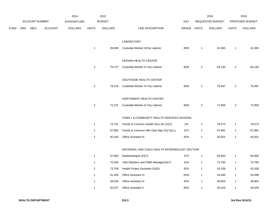|             |     |                |                | 2014               |                | 2015           |                                                |             |                | 2016             |                | 2016            |
|-------------|-----|----------------|----------------|--------------------|----------------|----------------|------------------------------------------------|-------------|----------------|------------------|----------------|-----------------|
|             |     | ACCOUNT NUMBER |                | <b>EXPENDITURE</b> |                | <b>BUDGET</b>  |                                                | PAY         |                | REQUESTED BUDGET |                | PROPOSED BUDGET |
| <b>FUND</b> | ORG | SBCL           | <b>ACCOUNT</b> | <b>DOLLARS</b>     | <b>UNITS</b>   | <b>DOLLARS</b> | LINE DESCRIPTION                               | RANGE UNITS |                | <b>DOLLARS</b>   | <b>UNITS</b>   | <b>DOLLARS</b>  |
|             |     |                |                |                    |                |                |                                                |             |                |                  |                |                 |
|             |     |                |                |                    |                |                | LABORATORY                                     |             |                |                  |                |                 |
|             |     |                |                |                    | $\mathbf{1}$   | 39,609         | Custodial Worker II/City Laborer               | 8DN         | 1              | 41,565           | $\mathbf{1}$   | 41,565          |
|             |     |                |                |                    |                |                |                                                |             |                |                  |                |                 |
|             |     |                |                |                    |                |                | KEENAN HEALTH CENTER                           |             |                |                  |                |                 |
|             |     |                |                |                    | $\mathbf{2}$   | 75,727         | Custodial Worker II/ City Laborer              | 8DN         | $\overline{2}$ | 83,130           | $\overline{a}$ | 83,130          |
|             |     |                |                |                    |                |                |                                                |             |                |                  |                |                 |
|             |     |                |                |                    |                |                | SOUTHSIDE HEALTH CENTER                        |             |                |                  |                |                 |
|             |     |                |                |                    | $\mathbf{2}$   | 79,218         | Custodial Worker II/ City Laborer              | 8DN         | $\overline{2}$ | 79,467           | $\overline{a}$ | 79,467          |
|             |     |                |                |                    |                |                | NORTHWEST HEALTH CENTER                        |             |                |                  |                |                 |
|             |     |                |                |                    | $\mathbf{2}$   | 72,237         | Custodial Worker II/ City Laborer              | 8DN         | $\overline{2}$ | 72,959           | $\overline{a}$ | 72,959          |
|             |     |                |                |                    |                |                |                                                |             |                |                  |                |                 |
|             |     |                |                |                    |                |                | FAMILY & COMMUNITY HEALTH SERVICES DIVISION    |             |                |                  |                |                 |
|             |     |                |                |                    | $\mathbf 1$    | 74,731         | Family & Commun Health Serv Dir (X)(Y)         | 11X         | $\mathbf{1}$   | 76,573           | $\mathbf{1}$   | 76,573          |
|             |     |                |                |                    | $\mathbf 1$    | 67,893         | Family & Commun Hlth Oper Mgr (X)(Y)(LL)       | 1FX         | $\mathbf{1}$   | 67,881           | $\mathbf{1}$   | 67,881          |
|             |     |                |                |                    | $\mathbf{1}$   | 40,100         | <b>Office Assistant III</b>                    | 6FN         | 1              | 40,501           | $\mathbf{1}$   | 40,501          |
|             |     |                |                |                    |                |                |                                                |             |                |                  |                |                 |
|             |     |                |                |                    |                |                | MATERNAL AND CHILD HEALTH EPIDEMIOLOGY SECTION |             |                |                  |                |                 |
|             |     |                |                |                    | $\mathbf{1}$   | 67,893         | Epidemiologist (X)(Y)                          | 1FX         | $\mathbf{1}$   | 65,650           | $\mathbf{1}$   | 65,650          |
|             |     |                |                |                    | $\mathbf{1}$   | 70,293         | Vital Statistics and FIMR Manager(X)(Y)        | 1DX         | $\mathbf{1}$   | 73,765           | $\mathbf{1}$   | 73,765          |
|             |     |                |                |                    | $\overline{c}$ | 73,706         | Health Project Assistant (X)(D)                | 5FN         | 1              | 42,539           | $\mathbf{1}$   | 42,539          |
|             |     |                |                |                    | $\mathbf{1}$   | 41,449         | Office Assistant IV                            | 6HN         | 1              | 43,496           | $\mathbf{1}$   | 43,496          |
|             |     |                |                |                    | $\mathbf{1}$   | 38,026         | <b>Office Assistant III</b>                    | 6FN         | $\mathbf{1}$   | 39,904           | $\mathbf{1}$   | 39,904          |
|             |     |                |                |                    | $\mathbf{1}$   | 30,227         | Office Assistant II                            | 6EN         | 1              | 30,529           | $\mathbf{1}$   | 30,529          |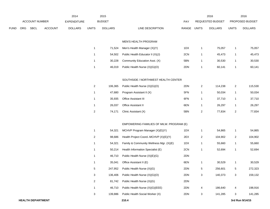|      |     |                          |                | 2014               |                         | 2015           |                                          |             |                           | 2016             |                | 2016            |
|------|-----|--------------------------|----------------|--------------------|-------------------------|----------------|------------------------------------------|-------------|---------------------------|------------------|----------------|-----------------|
|      |     | <b>ACCOUNT NUMBER</b>    |                | <b>EXPENDITURE</b> |                         | <b>BUDGET</b>  |                                          | PAY         |                           | REQUESTED BUDGET |                | PROPOSED BUDGET |
| FUND | ORG | SBCL                     | <b>ACCOUNT</b> | <b>DOLLARS</b>     | <b>UNITS</b>            | <b>DOLLARS</b> | LINE DESCRIPTION                         | RANGE UNITS |                           | <b>DOLLARS</b>   | <b>UNITS</b>   | <b>DOLLARS</b>  |
|      |     |                          |                |                    |                         |                |                                          |             |                           |                  |                |                 |
|      |     |                          |                |                    |                         |                | MEN'S HEALTH PROGRAM                     |             |                           |                  |                |                 |
|      |     |                          |                |                    | $\mathbf{1}$            | 71,524         | Men's Health Manager (X)(Y)              | 1DX         | $\mathbf{1}$              | 75,057           | $\mathbf{1}$   | 75,057          |
|      |     |                          |                |                    | $\mathbf{1}$            | 54,502         | Public Health Educator II (X)(J)         | 2CN         | 1                         | 45,473           | $\mathbf{1}$   | 45,473          |
|      |     |                          |                |                    | 1                       | 30,228         | Community Education Asst. (X)            | 5BN         | 1                         | 30,530           | $\mathbf{1}$   | 30,530          |
|      |     |                          |                |                    | $\mathbf{1}$            | 46,019         | Public Health Nurse (X)(G)(O)            | 2DN         | 1                         | 60,141           | $\mathbf{1}$   | 60,141          |
|      |     |                          |                |                    |                         |                |                                          |             |                           |                  |                |                 |
|      |     |                          |                |                    |                         |                | SOUTHSIDE / NORTHWEST HEALTH CENTER      |             |                           |                  |                |                 |
|      |     |                          |                |                    | $\overline{\mathbf{c}}$ | 106,365        | Public Health Nurse (X)(G)(O)            | 2DN         | $\overline{c}$            | 114,238          | $\sqrt{2}$     | 115,530         |
|      |     |                          |                |                    | $\mathbf{1}$            | 47,680         | Program Assistant II (X)                 | 5FN         | $\mathbf{1}$              | 50,034           | $\mathbf{1}$   | 50,034          |
|      |     |                          |                |                    | $\mathbf{1}$            | 35,935         | Office Assistant III                     | 6FN         | $\mathbf{1}$              | 37,710           | $\mathbf{1}$   | 37,710          |
|      |     |                          |                |                    | $\mathbf{1}$            | 26,037         | Office Assistant II                      | 6EN         | $\mathbf{1}$              | 26,297           | $\mathbf{1}$   | 26,297          |
|      |     |                          |                |                    | $\overline{c}$          | 74,171         | Clinic Assistant (X)                     | 5BN         | $\boldsymbol{2}$          | 77,834           | $\overline{2}$ | 77,834          |
|      |     |                          |                |                    |                         |                |                                          |             |                           |                  |                |                 |
|      |     |                          |                |                    |                         |                | EMPOWERING FAMILIES OF MILW. PROGRAM (E) |             |                           |                  |                |                 |
|      |     |                          |                |                    | $\mathbf{1}$            | 54,321         | MCHVP Program Manager (X)(E)(Y)          | 1DX         | $\mathbf{1}$              | 54,865           | $\mathbf{1}$   | 54,865          |
|      |     |                          |                |                    | $\overline{\mathbf{c}}$ | 98,686         | Health Project Coord.-MCHVP (X)(E)(Y)    | 2EX         | $\overline{c}$            | 104,902          | $\overline{2}$ | 104,902         |
|      |     |                          |                |                    | $\mathbf{1}$            | 54,321         | Family & Community Wellness Mgr. (X)(E)  | 1DX         | $\mathbf{1}$              | 55,660           | $\mathbf{1}$   | 55,660          |
|      |     |                          |                |                    | 1                       | 50,214         | Health Information Specialist (E)        | 2CN         | -1                        | 52,694           | $\mathbf{1}$   | 52,694          |
|      |     |                          |                |                    | $\mathbf{1}$            | 46,710         | Public Health Nurse (X)(E)(G)            | 2DN         |                           |                  |                |                 |
|      |     |                          |                |                    | $\mathbf{1}$            | 35,041         | Office Assistant II (E)                  | 6EN         | $\mathbf{1}$              | 30,529           | $\mathbf{1}$   | 30,529          |
|      |     |                          |                |                    | $\,$ 5 $\,$             | 247,952        | Public Health Nurse (X)(G)               | 2DN         | $\,$ 5 $\,$               | 256,601          | $\,$ 5 $\,$    | 272,323         |
|      |     |                          |                |                    | $\sqrt{3}$              | 136,406        | Public Health Nurse (X)(G)(O)            | 2DN         | $\ensuremath{\mathsf{3}}$ | 140,373          | 3              | 159,132         |
|      |     |                          |                |                    | $\overline{\mathbf{c}}$ | 81,742         | Public Health Nurse (X)(G)               | 2DN         |                           |                  |                |                 |
|      |     |                          |                |                    | $\mathbf{1}$            | 46,710         | Public Health Nurse (X)(G)(EEE)          | 2DN         | 4                         | 186,640          | 4              | 198,916         |
|      |     |                          |                |                    | 3                       | 139,886        | Public Health Social Worker (X)          | 2DN         | 3                         | 141,285          | 3              | 141,285         |
|      |     | <b>HEALTH DEPARTMENT</b> |                |                    |                         |                | 210.4                                    |             |                           |                  |                | 3rd Run 9/14/15 |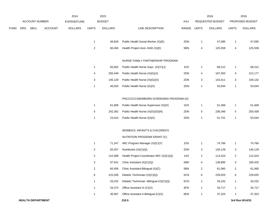|             |     |                       |                | 2014               |                | 2015           |                                          |             |              | 2016             |                  | 2016            |
|-------------|-----|-----------------------|----------------|--------------------|----------------|----------------|------------------------------------------|-------------|--------------|------------------|------------------|-----------------|
|             |     | <b>ACCOUNT NUMBER</b> |                | <b>EXPENDITURE</b> |                | <b>BUDGET</b>  |                                          | PAY         |              | REQUESTED BUDGET |                  | PROPOSED BUDGET |
| <b>FUND</b> | ORG | SBCL                  | <b>ACCOUNT</b> | <b>DOLLARS</b>     | <b>UNITS</b>   | <b>DOLLARS</b> | LINE DESCRIPTION                         | RANGE UNITS |              | <b>DOLLARS</b>   | <b>UNITS</b>     | <b>DOLLARS</b>  |
|             |     |                       |                |                    |                |                |                                          |             |              |                  |                  |                 |
|             |     |                       |                |                    | 1              | 46,629         | Public Health Social Worker (X)(E)       | 2DN         | 1            | 47,095           | $\mathbf{1}$     | 47,095          |
|             |     |                       |                |                    | $\mathbf 2$    | 60,456         | Health Project Asst.-DAD (X)(E)          | 5BN         | 4            | 125,558          | 4                | 125,558         |
|             |     |                       |                |                    |                |                |                                          |             |              |                  |                  |                 |
|             |     |                       |                |                    |                |                | NURSE FAMILY PARTNERSHIP PROGRAM         |             |              |                  |                  |                 |
|             |     |                       |                |                    | 1              | 65,002         | Public Health Nurse Supv. (X)(Y)(J)      | 1DX         | $\mathbf{1}$ | 68,212           | $\mathbf{1}$     | 68,212          |
|             |     |                       |                |                    | 4              | 200,449        | Public Health Nurse (X)(G)(J)            | 2DN         | 4            | 187,550          | 4                | 212,177         |
|             |     |                       |                |                    | 3              | 140,129        | Public Health Nurse (X)(G)(O)            | 2DN         | 3            | 143,411          | 3                | 159,132         |
|             |     |                       |                |                    | $\mathbf{1}$   | 46,020         | Public Health Nurse (G)(X)               | 2DN         | $\mathbf{1}$ | 53,044           | $\mathbf{1}$     | 53,044          |
|             |     |                       |                |                    |                |                |                                          |             |              |                  |                  |                 |
|             |     |                       |                |                    |                |                | PNCC/CCC/NEWBORN SCREENING PROGRAM (O)   |             |              |                  |                  |                 |
|             |     |                       |                |                    | $\mathbf{1}$   | 61,606         | Public Health Nurse Supervisor (X)(O)    | 1DX         | $\mathbf{1}$ | 51,469           | $\mathbf{1}$     | 51,469          |
|             |     |                       |                |                    | 5              | 242,362        | Public Health Nurse (X)(G)(O)(N)         | 2DN         | 5            | 236,346          | 5                | 250,439         |
|             |     |                       |                |                    | $\mathbf{1}$   | 23,010         | Public Health Nurse (G)(X)               | 2DN         | $\mathbf{1}$ | 51,751           | $\mathbf{1}$     | 53,044          |
|             |     |                       |                |                    |                |                |                                          |             |              |                  |                  |                 |
|             |     |                       |                |                    |                |                | WOMEN'S, INFANT'S & CHILDREN'S           |             |              |                  |                  |                 |
|             |     |                       |                |                    |                |                | NUTRITION PROGRAM GRANT (C)              |             |              |                  |                  |                 |
|             |     |                       |                |                    | $\mathbf{1}$   | 71,247         | WIC Program Manager (X)(C)(Y)            | 1DX         | $\mathbf{1}$ | 74,766           | $\mathbf{1}$     | 74,766          |
|             |     |                       |                |                    | 2              | 93,257         | Nutritionist (X)(C)(Q)                   | 2DN         | 3            | 140,129          | 3                | 140,129         |
|             |     |                       |                |                    | 2              | 110,389        | Health Project Coordinator-WIC (X)(C)(Q) | 1AX         | 2            | 113,324          | $\boldsymbol{2}$ | 113,324         |
|             |     |                       |                |                    | 3              | 97,541         | Clinic Assistant (X)(C)(Q)               | 5BN         | 4            | 138,895          | 5                | 169,425         |
|             |     |                       |                |                    | $\overline{2}$ | 60,456         | Clinic Assistant-Bilingual (X)(C)        | 5BN         | 2            | 61,060           | $\overline{2}$   | 61,060          |
|             |     |                       |                |                    | 6              | 222,045        | Dietetic Technician (X)(C)(Q)            | 5CN         | 6            | 229,025          | 6                | 229,025         |
|             |     |                       |                |                    | 1              | 33,232         | Dietetic Technician -Bilingual (X)(C)(Q) | 5CN         | $\mathbf{1}$ | 33,232           | $\mathbf{1}$     | 33,232          |
|             |     |                       |                |                    | 1              | 34,373         | Office Assistant III (C)(X)              | 6FN         | $\mathbf{1}$ | 34,717           | $\mathbf{1}$     | 34,717          |
|             |     |                       |                |                    | $\mathbf{1}$   | 35,567         | Office Assistant II-Bilingual (C)(X)     | 6EN         | 1            | 37,323           | $\mathbf{1}$     | 37,323          |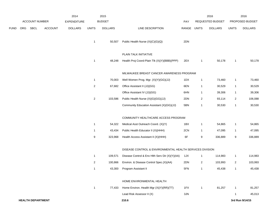|             |     |                          |                | 2014               |                | 2015           |                                                          |             |                         | 2016             |                | 2016            |
|-------------|-----|--------------------------|----------------|--------------------|----------------|----------------|----------------------------------------------------------|-------------|-------------------------|------------------|----------------|-----------------|
|             |     | <b>ACCOUNT NUMBER</b>    |                | <b>EXPENDITURE</b> |                | <b>BUDGET</b>  |                                                          | <b>PAY</b>  |                         | REQUESTED BUDGET |                | PROPOSED BUDGET |
| <b>FUND</b> | ORG | <b>SBCL</b>              | <b>ACCOUNT</b> | <b>DOLLARS</b>     | <b>UNITS</b>   | <b>DOLLARS</b> | LINE DESCRIPTION                                         | RANGE UNITS |                         | <b>DOLLARS</b>   | <b>UNITS</b>   | <b>DOLLARS</b>  |
|             |     |                          |                |                    | $\overline{1}$ | 50,507         | Public Health Nurse (X)(C)(G)(Q)                         | 2DN         |                         |                  |                |                 |
|             |     |                          |                |                    |                |                | PLAIN TALK INITIATIVE                                    |             |                         |                  |                |                 |
|             |     |                          |                |                    | $\overline{1}$ | 48,248         | Health Proj Coord-Plain Tlk (X)(Y)(BBB)(PPP)             | 2EX         | $\overline{1}$          | 50,178           | -1             | 50,178          |
|             |     |                          |                |                    |                |                | MILWAUKEE BREAST CANCER AWARENESS PROGRAM                |             |                         |                  |                |                 |
|             |     |                          |                |                    | $\overline{1}$ | 70,003         | Well Women Prog. Mgr. (X)(Y)(GG)(JJ)                     | 1DX         | $\mathbf{1}$            | 73,460           | 1              | 73,460          |
|             |     |                          |                |                    | 2              | 67,682         | Office Assistant II (JJ)(GG)                             | 6EN         | $\overline{1}$          | 30,529           | $\mathbf{1}$   | 30,529          |
|             |     |                          |                |                    |                |                | Office Assistant IV (JJ)(GG)                             | 6HN         | $\mathbf{1}$            | 39,306           | $\mathbf{1}$   | 39,306          |
|             |     |                          |                |                    | $\overline{2}$ | 103,586        | Public Health Nurse (X)(G)(GG)(JJ)                       | 2DN         | $\overline{\mathbf{c}}$ | 93,114           | $\overline{2}$ | 106,088         |
|             |     |                          |                |                    |                |                | Community Education Assistant (X)(GG)(JJ)                | 5BN         | $\mathbf{1}$            | 30,530           | $\mathbf{1}$   | 30,530          |
|             |     |                          |                |                    |                |                | COMMUNITY HEALTHCARE ACCESS PROGRAM                      |             |                         |                  |                |                 |
|             |     |                          |                |                    | $\overline{1}$ | 54,322         | Medical Asst Outreach Coord. (X)(Y)                      | 1BX         | $\mathbf{1}$            | 54,865           | $\mathbf{1}$   | 54,865          |
|             |     |                          |                |                    | $\overline{1}$ | 43,434         | Public Health Educator II (X)(HHH)                       | 2CN         | $\overline{1}$          | 47,095           | $\mathbf{1}$   | 47,095          |
|             |     |                          |                |                    | 9              | 323,968        | Health Access Assistant II (X)(HHH)                      | 6F          | 9                       | 336,889          | 9              | 336,889         |
|             |     |                          |                |                    |                |                | DISEASE CONTROL & ENVIRONMENTAL HEALTH SERVICES DIVISION |             |                         |                  |                |                 |
|             |     |                          |                |                    | $\overline{1}$ | 109,571        | Disease Control & Env Hlth Serv Dir (X)(Y)(AA)           | 1JX         | $\mathbf{1}$            | 114,983          | $\mathbf{1}$   | 114,983         |
|             |     |                          |                |                    | 2              | 100,866        | Environ. & Disease Control Spec.(X)(AA)                  | 2DN         | $\overline{2}$          | 103,993          | $\overline{a}$ | 103,993         |
|             |     |                          |                |                    | $\overline{1}$ |                | 43,300 Program Assistant II                              | 5FN         | $\mathbf{1}$            | 45,438           | $\mathbf{1}$   | 45,438          |
|             |     |                          |                |                    |                |                | HOME ENVIRONMENTAL HEALTH                                |             |                         |                  |                |                 |
|             |     |                          |                |                    | $\overline{1}$ | 77,433         | Home Environ. Health Mgr (X)(Y)(RR)(TT)                  | 1FX         | $\mathbf{1}$            | 81,257           | $\mathbf{1}$   | 81,257          |
|             |     |                          |                |                    |                |                | Lead Risk Assessor II (X)                                | 3JN         |                         |                  | -1             | 45,013          |
|             |     | <b>HEALTH DEPARTMENT</b> |                |                    |                |                | 210.6                                                    |             |                         |                  |                | 3rd Run 9/14/15 |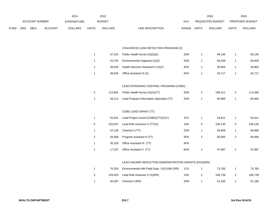|      |     |                       |                | 2014           |       | 2015           |                  |            |              | 2016             |              | 2016                   |
|------|-----|-----------------------|----------------|----------------|-------|----------------|------------------|------------|--------------|------------------|--------------|------------------------|
|      |     | <b>ACCOUNT NUMBER</b> |                | EXPENDITURE    |       | <b>BUDGET</b>  |                  | <b>PAY</b> |              | REQUESTED BUDGET |              | <b>PROPOSED BUDGET</b> |
| FUND | ORG | SBCL                  | <b>ACCOUNT</b> | <b>DOLLARS</b> | UNITS | <b>DOLLARS</b> | LINE DESCRIPTION | RANGE      | <b>UNITS</b> | <b>DOLLARS</b>   | <b>UNITS</b> | <b>DOLLARS</b>         |

# CHILDHOOD LEAD DETECTION PROGRAM (Z)

| 1              | 57,315  | Public Health Nurse (X)(G)(Z)            | 2DN | 1              | 60,146  | 1              | 60,146  |
|----------------|---------|------------------------------------------|-----|----------------|---------|----------------|---------|
| 1              | 53,754  | Environmental Hygienist (X)(Z)           | 2DN | 1              | 56,409  | 1              | 56,409  |
| 1              | 38,026  | Health Services Assistant II (X)(Z)      | 6FN | 1              | 39,904  | 1              | 39,904  |
| 1              | 38,026  | Office Assistant III (Z)                 | 6FN | 1              | 34,717  | 1              | 34,717  |
|                |         |                                          |     |                |         |                |         |
|                |         | LEAD POISONING CONTROL PROGRAM (CDBG)    |     |                |         |                |         |
| 2              | 115,801 | Public Health Nurse (X)(G)(TT)           | 2DN | $\overline{2}$ | 108,411 | $\overline{2}$ | 114,360 |
| 1              | 58,113  | Lead Program Information Specialist (TT) | 2DN | 1              | 60,983  | 1              | 60,983  |
|                |         |                                          |     |                |         |                |         |
|                |         | CDBG LEAD GRANT (TT)                     |     |                |         |                |         |
| 1              | 52,041  | Lead Project Coord (CDBG)(TT)(X)(Y)      | 2FX | 1              | 54,611  | 1              | 54,611  |
| 5              | 233,057 | Lead Risk Assessor II (TT)(X)            | 3JN | 5              | 236,130 | 5              | 236,130 |
| 1              | 57,136  | Chemist II (TT)                          | 2DN | 1              | 59,958  | 1              | 59,958  |
| $\overline{2}$ | 93,568  | Program Assistant II (TT)                | 5FN | 2              | 90,694  | $\overline{2}$ | 90,694  |
| 1              | 30,228  | Office Assistant III (TT)                | 6FN |                |         |                |         |
|                |         |                                          |     |                |         |                |         |

# LEAD HAZARD REDUCTION DEMONSTRATION GRANTS (HUD)(RR)

|   | 70.293 | Environmental Hith Field Supv. (X)(Y)(W) (RR) | 1CX | 73.765  | 73,765  |
|---|--------|-----------------------------------------------|-----|---------|---------|
| 3 |        | 143,823 Lead Risk Assessor II (X)(RR)         | 3JN | 106.728 | 106.728 |
|   | 46,287 | Chemist II (RR)                               | 2DN | 51.195  | 51,195  |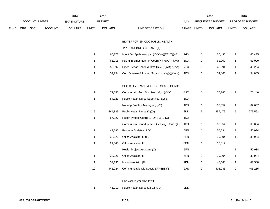|      |            |                |                | 2014               |                | 2015           |                                                                         |             |              | 2016             |              | 2016            |
|------|------------|----------------|----------------|--------------------|----------------|----------------|-------------------------------------------------------------------------|-------------|--------------|------------------|--------------|-----------------|
|      |            | ACCOUNT NUMBER |                | <b>EXPENDITURE</b> |                | <b>BUDGET</b>  |                                                                         | <b>PAY</b>  |              | REQUESTED BUDGET |              | PROPOSED BUDGET |
| FUND | <b>ORG</b> | <b>SBCL</b>    | <b>ACCOUNT</b> | <b>DOLLARS</b>     | <b>UNITS</b>   | <b>DOLLARS</b> | LINE DESCRIPTION                                                        | RANGE UNITS |              | <b>DOLLARS</b>   | <b>UNITS</b> | <b>DOLLARS</b>  |
|      |            |                |                |                    |                |                | BIOTERRORISM-CDC PUBLIC HEALTH                                          |             |              |                  |              |                 |
|      |            |                |                |                    |                |                | PREPAREDNESS GRANT (A)                                                  |             |              |                  |              |                 |
|      |            |                |                |                    | $\mathbf{1}$   | 65,777         | Infect Dis Epidemiologist (X)(Y)(A)(EE)(T)(AA)                          | 1GX         | $\mathbf{1}$ | 66,435           | 1            | 66,435          |
|      |            |                |                |                    | $\mathbf{1}$   | 61,915         | Pub Hith Emer Res Pin Coord(X)(Y)(A)(P)(AA)                             | 1DX         | $\mathbf{1}$ | 61,000           | $\mathbf 1$  | 61,000          |
|      |            |                |                |                    | $\mathbf{1}$   | 59,992         | Emer Prepar Coord-Wrkfce Dev. (X)(A)(P)(AA)                             | 2FX         | $\mathbf{1}$ | 48,294           | 1            | 48,294          |
|      |            |                |                |                    | $\mathbf{1}$   | 59,754         | Com Disease & Immun Supv (X)(Y)(A)(P)(R)(AA)                            | 1DX         | $\mathbf{1}$ | 54,865           | $\mathbf{1}$ | 54,865          |
|      |            |                |                |                    |                |                | SEXUALLY TRANSMITTED DISEASE CLINIC                                     |             |              |                  |              |                 |
|      |            |                |                |                    | $\mathbf{1}$   | 72,556         | Commun & Infect. Dis. Prog. Mgr. (X)(Y)                                 | 1FX         | $\mathbf{1}$ | 76,140           | $\mathbf{1}$ | 76,140          |
|      |            |                |                |                    | $\mathbf{1}$   | 54,321         | Public Health Nurse Supervisor (X)(Y)                                   | 1DX         |              |                  |              |                 |
|      |            |                |                |                    |                |                | Nursing Practice Manager (X)(Y)                                         | 1DX         | $\mathbf{1}$ | 62,657           | -1           | 62,657          |
|      |            |                |                |                    | $\overline{5}$ | 264,833        | Public Health Nurse (X)(G)                                              | 2DN         | 5            | 257,479          | 5            | 275,562         |
|      |            |                |                |                    | $\mathbf{1}$   | 57,227         | Health Project Coord.-STD/HIV/TB (X)                                    | 1DX         |              |                  |              |                 |
|      |            |                |                |                    |                |                | Communicable and Infect. Dis. Prog. Coord.(X)                           | 1DX         | $\mathbf{1}$ | 60,054           | -1           | 60,054          |
|      |            |                |                |                    | $\mathbf{1}$   | 47,680         | Program Assistant II (X)                                                | 5FN         | $\mathbf{1}$ | 50,034           | 1            | 50,034          |
|      |            |                |                |                    | $\mathbf{1}$   | 38,026         | Office Assistant III (F)                                                | 6FN         | $\mathbf{1}$ | 39,904           | $\mathbf{1}$ | 39,904          |
|      |            |                |                |                    | $\mathbf{1}$   | 21,340         | Office Assistant II                                                     | 6EN         | $\mathbf{1}$ | 18,317           |              |                 |
|      |            |                |                |                    |                |                | Health Project Assistant (X)                                            | 5FN         |              |                  | 1            | 50,034          |
|      |            |                |                |                    | $\mathbf{1}$   | 38,026         | Office Assistant III                                                    | 6FN         | $\mathbf{1}$ | 39,904           | $\mathbf{1}$ | 39,904          |
|      |            |                |                |                    | $\mathbf{1}$   | 57,136         | Microbiologist II (F)                                                   | 2DN         | $\mathbf{1}$ | 47,588           | $\mathbf{1}$ | 47,588          |
|      |            |                |                |                    | $10\,$         | 441,024        | Communicable Dis Spec(X)(F)(BBB)(B)                                     | 2AN         | 9            | 405,285          | 9            | 405,285         |
|      |            |                |                |                    |                |                | $\cdots$ $\cdots$ $\cdots$ $\cdots$ $\cdots$ $\cdots$ $\cdots$ $\cdots$ |             |              |                  |              |                 |

#### HIV WOMEN'S PROJECT

## 1 46,710 Public Health Nurse (X)(G)(AAA) 2DN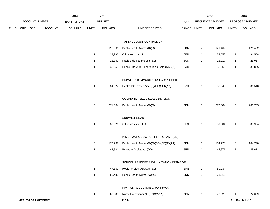|      |     |                          |                | 2014               |                | 2015           |                                             |             |                         | 2016             |                | 2016            |
|------|-----|--------------------------|----------------|--------------------|----------------|----------------|---------------------------------------------|-------------|-------------------------|------------------|----------------|-----------------|
|      |     | ACCOUNT NUMBER           |                | <b>EXPENDITURE</b> |                | <b>BUDGET</b>  |                                             | PAY         |                         | REQUESTED BUDGET |                | PROPOSED BUDGET |
| FUND | ORG | SBCL                     | <b>ACCOUNT</b> | <b>DOLLARS</b>     | <b>UNITS</b>   | <b>DOLLARS</b> | LINE DESCRIPTION                            | RANGE UNITS |                         | <b>DOLLARS</b>   | <b>UNITS</b>   | <b>DOLLARS</b>  |
|      |     |                          |                |                    |                |                | TUBERCULOSIS CONTROL UNIT                   |             |                         |                  |                |                 |
|      |     |                          |                |                    | $\overline{2}$ | 115,801        | Public Health Nurse (X)(G)                  | 2DN         | $\overline{\mathbf{c}}$ | 121,462          | $\overline{2}$ | 121,462         |
|      |     |                          |                |                    | $\mathbf{1}$   | 32,932         | Office Assistant II                         | 6EN         | $\mathbf{1}$            | 34,558           | $\mathbf{1}$   | 34,558          |
|      |     |                          |                |                    | $\mathbf{1}$   | 23,840         | Radiologic Technologist (X)                 | 3GN         | $\mathbf{1}$            | 25,017           | $\overline{1}$ | 25,017          |
|      |     |                          |                |                    | $\mathbf{1}$   | 30,559         | Public Hlth Aide Tuberculosis Cntrl (MM)(X) | 5AN         | $\mathbf{1}$            | 30,865           | $\overline{1}$ | 30,865          |
|      |     |                          |                |                    |                |                | HEPATITIS B IMMUNIZATION GRANT (HH)         |             |                         |                  |                |                 |
|      |     |                          |                |                    | $\mathbf{1}$   | 34,827         | Health Interpreter Aide (X)(HH)(DD)(AA)     | 5AX         | $\mathbf{1}$            | 36,548           | $\overline{1}$ | 36,548          |
|      |     |                          |                |                    |                |                | COMMUNICABLE DISEASE DIVISION               |             |                         |                  |                |                 |
|      |     |                          |                |                    | $\,$ 5 $\,$    | 271,504        | Public Health Nurse (X)(G)                  | 2DN         | $\mathbf 5$             | 273,304          | $\,$ 5 $\,$    | 281,765         |
|      |     |                          |                |                    |                |                | SURVNET GRANT                               |             |                         |                  |                |                 |
|      |     |                          |                |                    | $\mathbf{1}$   | 38,026         | Office Assistant III (T)                    | 6FN         | $\mathbf{1}$            | 39,904           | $\overline{1}$ | 39,904          |
|      |     |                          |                |                    |                |                | IMMUNIZATION ACTION PLAN GRANT (DD)         |             |                         |                  |                |                 |
|      |     |                          |                |                    | 3              | 176,237        | Public Health Nurse (X)(G)(DD)(EE)(P)(AA)   | 2DN         | 3                       | 184,728          | 3              | 184,728         |
|      |     |                          |                |                    | $\mathbf{1}$   | 43,521         | Program Assistant I (DD)                    | 5EN         | $\mathbf{1}$            | 45,671           | $\overline{1}$ | 45,671          |
|      |     |                          |                |                    |                |                | SCHOOL READINESS IMMUNIZATION INITIATIVE    |             |                         |                  |                |                 |
|      |     |                          |                |                    | $\mathbf{1}$   | 47,680         | Health Project Assistant (X)                | 5FN         | $\mathbf{1}$            | 50,034           |                |                 |
|      |     |                          |                |                    | $\mathbf{1}$   | 58,485         | Public Health Nurse (G)(X)                  | 2DN         | $\mathbf{1}$            | 61,316           |                |                 |
|      |     |                          |                |                    |                |                | HIV RISK REDUCTION GRANT (AAA)              |             |                         |                  |                |                 |
|      |     |                          |                |                    | $\mathbf{1}$   | 68,639         | Nurse Practitioner (X)(BBB)(AAA)            | 2GN         | $\mathbf{1}$            | 72,029           | -1             | 72,029          |
|      |     | <b>HEALTH DEPARTMENT</b> |                |                    |                |                | 210.9                                       |             |                         |                  |                | 3rd Run 9/14/15 |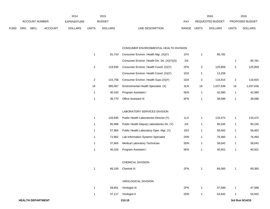|             |                |             |                | 2014               |       | 2015           |                                  |       | 2016             |              | 2016                   |
|-------------|----------------|-------------|----------------|--------------------|-------|----------------|----------------------------------|-------|------------------|--------------|------------------------|
|             | ACCOUNT NUMBER |             |                | <b>EXPENDITURE</b> |       | <b>BUDGET</b>  | PAY                              |       | REQUESTED BUDGET |              | <b>PROPOSED BUDGET</b> |
| <b>FUND</b> | <b>ORG</b>     | <b>SBCL</b> | <b>ACCOUNT</b> | <b>DOLLARS</b>     | UNITS | <b>DOLLARS</b> | <b>RANGE</b><br>LINE DESCRIPTION | UNITS | <b>DOLLARS</b>   | <b>UNITS</b> | <b>DOLLARS</b>         |

#### CONSUMER ENVIRONMENTAL HEALTH DIVISION

| 1  | 81,743  | Consumer Environ. Health Mgr. (X)(Y)         | 1FX | 1              | 85,781    |    |           |
|----|---------|----------------------------------------------|-----|----------------|-----------|----|-----------|
|    |         | Consumer Environ. Health Div. Dir. (X)(Y)(S) | 11X |                |           | 1  | 85,781    |
| 2  | 119,935 | Consumer Environ. Health Coord. (X)(Y)       | 2FN | $\mathbf{2}$   | 125,859   | 2  | 125,859   |
|    |         | Consumer Environ. Health Coord. (X)(Y)       | 1DX | 1              | 13,259    |    |           |
| 2  | 115,758 | Consumer Environ. Health Supv.(X)(Y)         | 1DX | $\overline{c}$ | 116,915   | 2  | 116,915   |
| 19 | 990,487 | Environmental Health Specialist (X)          | 3LN | 19             | 1,037,636 | 19 | 1,037,636 |
| 1  | 40,100  | Program Assistant I                          | 5EN | 1              | 42,080    | 1  | 42,080    |
| 1  | 36,770  | Office Assistant III                         | 6FN | 1              | 38,586    | 1  | 38,586    |
|    |         |                                              |     |                |           |    |           |
|    |         | LABORATORY SERVICES DIVISION                 |     |                |           |    |           |
| 1  | 126,695 | Public Health Laboratories Director (Y)      | 1LX | 1              | 133,472   | 1  | 133,472   |
| 1  | 85,998  | Public Health Deputy Laboratories Dir. (Y)   | 11X | 1              | 90,245    | 1  | 90,245    |
| 1  | 57,884  | Public Health Laboratory Oper. Mgr. (Y)      | 1EX | 1              | 58,462    | 1  | 58,462    |
| 1  | 72,862  | Lab Information Systems Specialist           | 2HN | 1              | 76,460    | 1  | 76,460    |
| 1  | 37,665  | Medical Laboratory Technician                | 3DN | 1              | 38,042    | 1  | 38,042    |
| 1  | 40,100  | Program Assistant I                          | 5EN | 1              | 40,501    | 1  | 40,501    |
|    |         |                                              |     |                |           |    |           |
|    |         | CHEMICAL DIVISION                            |     |                |           |    |           |
| 1  | 66,100  | Chemist III                                  | 2FN | 1              | 69,365    | 1  | 69,365    |
|    |         |                                              |     |                |           |    |           |
|    |         | VIROLOGICAL DIVISION                         |     |                |           |    |           |
| 1  | 59,851  | Virologist III                               | 2FN | 1              | 47,588    | 1  | 47,588    |
| 1  | 47,117  | Virologist II                                | 2DN | 1              | 54,942    | 1  | 54,942    |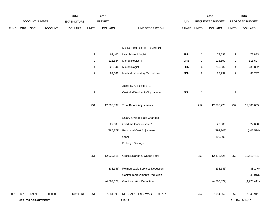|             |      |                          |                | 2014               |                | 2015           |                                          |       |                          | 2016             |                         | 2016            |
|-------------|------|--------------------------|----------------|--------------------|----------------|----------------|------------------------------------------|-------|--------------------------|------------------|-------------------------|-----------------|
|             |      | ACCOUNT NUMBER           |                | <b>EXPENDITURE</b> |                | <b>BUDGET</b>  |                                          | PAY   |                          | REQUESTED BUDGET |                         | PROPOSED BUDGET |
| <b>FUND</b> | ORG  | <b>SBCL</b>              | <b>ACCOUNT</b> | <b>DOLLARS</b>     | <b>UNITS</b>   | <b>DOLLARS</b> | LINE DESCRIPTION                         | RANGE | <b>UNITS</b>             | <b>DOLLARS</b>   | <b>UNITS</b>            | <b>DOLLARS</b>  |
|             |      |                          |                |                    |                |                | MICROBIOLOGICAL DIVISION                 |       |                          |                  |                         |                 |
|             |      |                          |                |                    | $\mathbf{1}$   | 69,405         | Lead Microbiologist                      | 2HN   | $\mathbf{1}$             | 72,833           | $\mathbf{1}$            | 72,833          |
|             |      |                          |                |                    | $\overline{a}$ | 111,534        | Microbiologist III                       | 2FN   | $\overline{c}$           | 115,697          | $\overline{a}$          | 115,697         |
|             |      |                          |                |                    | 4              | 228,544        | Microbiologist II                        | 2DN   | $\overline{\mathcal{A}}$ | 239,832          | $\overline{\mathbf{4}}$ | 239,832         |
|             |      |                          |                |                    | $\overline{c}$ | 84,561         | Medical Laboratory Technician            | 3DN   | $\sqrt{2}$               | 88,737           | $\overline{2}$          | 88,737          |
|             |      |                          |                |                    |                |                | <b>AUXILIARY POSITIONS</b>               |       |                          |                  |                         |                 |
|             |      |                          |                |                    | $\mathbf{1}$   |                | Custodial Worker II/City Laborer         | 8DN   | $\mathbf{1}$             |                  | $\mathbf{1}$            |                 |
|             |      |                          |                |                    | 251            | 12,398,397     | <b>Total Before Adjustments</b>          |       | 252                      | 12,685,228       | 252                     | 12,886,055      |
|             |      |                          |                |                    |                |                | Salary & Wage Rate Changes               |       |                          |                  |                         |                 |
|             |      |                          |                |                    |                | 27,000         | Overtime Compensated*                    |       |                          | 27,000           |                         | 27,000          |
|             |      |                          |                |                    |                | (385, 879)     | Personnel Cost Adjustment                |       |                          | (399, 703)       |                         | (402, 574)      |
|             |      |                          |                |                    |                |                | Other                                    |       |                          | 100,000          |                         |                 |
|             |      |                          |                |                    |                |                | Furlough Savings                         |       |                          |                  |                         |                 |
|             |      |                          |                |                    | 251            | 12,039,518     | Gross Salaries & Wages Total             |       | 252                      | 12,412,525       | 252                     | 12,510,481      |
|             |      |                          |                |                    |                |                | (38,146) Reimbursable Services Deduction |       |                          | (38, 146)        |                         | (38, 146)       |
|             |      |                          |                |                    |                |                | Capital Improvements Deduction           |       |                          |                  |                         | (45, 013)       |
|             |      |                          |                |                    |                | (4,669,677)    | <b>Grant and Aids Deduction</b>          |       |                          | (4,680,027)      |                         | (4,778,411)     |
| 0001        | 3810 | R999                     | 006000         | 6,859,364          | 251            | 7,331,695      | NET SALARIES & WAGES TOTAL*              |       | 252                      | 7,694,352        | 252                     | 7,648,911       |
|             |      | <b>HEALTH DEPARTMENT</b> |                |                    |                |                | 210.11                                   |       |                          |                  |                         | 3rd Run 9/14/15 |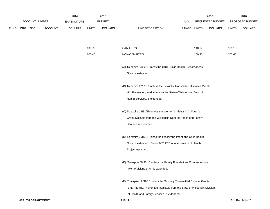|             |     |                |                | 2014               |              | 2015           |                                                                            |             |        | 2016             |              | 2016            |
|-------------|-----|----------------|----------------|--------------------|--------------|----------------|----------------------------------------------------------------------------|-------------|--------|------------------|--------------|-----------------|
|             |     | ACCOUNT NUMBER |                | <b>EXPENDITURE</b> |              | <b>BUDGET</b>  |                                                                            | PAY         |        | REQUESTED BUDGET |              | PROPOSED BUDGET |
| <b>FUND</b> | ORG | SBCL           | <b>ACCOUNT</b> | <b>DOLLARS</b>     | <b>UNITS</b> | <b>DOLLARS</b> | LINE DESCRIPTION                                                           | RANGE UNITS |        | <b>DOLLARS</b>   | <b>UNITS</b> | <b>DOLLARS</b>  |
|             |     |                |                |                    |              |                |                                                                            |             |        |                  |              |                 |
|             |     |                |                |                    |              |                |                                                                            |             |        |                  |              |                 |
|             |     |                |                |                    | 139.79       |                | <b>O&amp;M FTE'S</b>                                                       |             | 140.17 |                  | 139.18       |                 |
|             |     |                |                |                    | 100.45       |                | NON-O&M FTE'S                                                              |             | 100.45 |                  | 102.65       |                 |
|             |     |                |                |                    |              |                | (A) To expire 6/30/16 unless the CDC Public Health Preparedness            |             |        |                  |              |                 |
|             |     |                |                |                    |              |                | Grant is extended.                                                         |             |        |                  |              |                 |
|             |     |                |                |                    |              |                |                                                                            |             |        |                  |              |                 |
|             |     |                |                |                    |              |                | (B) To expire 12/31/15 unless the Sexually Transmitted Diseases Grant-     |             |        |                  |              |                 |
|             |     |                |                |                    |              |                | HIV Prevention, available from the State of Wisconsin, Dept. of            |             |        |                  |              |                 |
|             |     |                |                |                    |              |                | Health Services, is extended.                                              |             |        |                  |              |                 |
|             |     |                |                |                    |              |                | (C) To expire 12/31/15 unless the Women's Infant's & Children's            |             |        |                  |              |                 |
|             |     |                |                |                    |              |                | Grant available from the Wisconsin Dept. of Health and Family              |             |        |                  |              |                 |
|             |     |                |                |                    |              |                | Services is extended.                                                      |             |        |                  |              |                 |
|             |     |                |                |                    |              |                | (D) To expire 3/31/15 unless the Preserving Infant and Child Health        |             |        |                  |              |                 |
|             |     |                |                |                    |              |                | Grant is extended. Funds 0.75 FTE of one position of Health                |             |        |                  |              |                 |
|             |     |                |                |                    |              |                | Project Assistant.                                                         |             |        |                  |              |                 |
|             |     |                |                |                    |              |                |                                                                            |             |        |                  |              |                 |
|             |     |                |                |                    |              |                | (E) To expire 09/30/15 unless the Family Foundations Comprehensive         |             |        |                  |              |                 |
|             |     |                |                |                    |              |                | Home Visiting grant is extended.                                           |             |        |                  |              |                 |
|             |     |                |                |                    |              |                | (F) To expire 12/31/15 unless the Sexually Transmitted Disease Grant-      |             |        |                  |              |                 |
|             |     |                |                |                    |              |                | STD Infertility Prevention, available from the State of Wisconsin Division |             |        |                  |              |                 |
|             |     |                |                |                    |              |                | of Health and Family Services, is extended.                                |             |        |                  |              |                 |
|             |     |                |                |                    |              |                |                                                                            |             |        |                  |              |                 |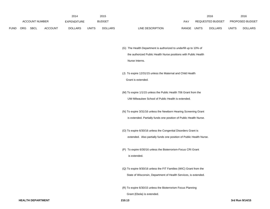|             |                       |             |                    | 2014           |               | 2015           |                           |                         | 2016           |                        | 2016           |
|-------------|-----------------------|-------------|--------------------|----------------|---------------|----------------|---------------------------|-------------------------|----------------|------------------------|----------------|
|             | <b>ACCOUNT NUMBER</b> |             | <b>EXPENDITURE</b> |                | <b>BUDGET</b> | PAY            |                           | <b>REQUESTED BUDGET</b> |                | <b>PROPOSED BUDGET</b> |                |
| <b>FUND</b> | <b>ORG</b>            | <b>SBCL</b> | <b>ACCOUNT</b>     | <b>DOLLARS</b> | <b>UNITS</b>  | <b>DOLLARS</b> | LINE DESCRIPTION<br>RANGE | UNITS                   | <b>DOLLARS</b> | UNITS                  | <b>DOLLARS</b> |

(G) The Health Department is authorized to underfill up to 10% of the authorized Public Health Nurse positions with Public Health Nurse Interns.

(J) To expire 12/31/15 unless the Maternal and Child Health Grant is extended.

(M) To expire 1/1/15 unless the Public Health 706 Grant from the UW-Milwaukee School of Public Health is extended.

(N) To expire 3/31/16 unless the Newborn Hearing Screening Grant is extended. Partially funds one position of Public Health Nurse.

(O) To expire 6/30/16 unless the Congenital Disorders Grant is extended. Also partially funds one position of Public Health Nurse.

(P) To expire 6/30/16 unless the Bioterrorism-Focus CRI Grant is extended.

(Q) To expire 9/30/16 unless the FIT Families (WIC) Grant from the State of Wisconsin, Department of Health Services, is extended.

(R) To expire 6/30/15 unless the Bioterrorism Focus Planning

Grant (Ebola) is extended.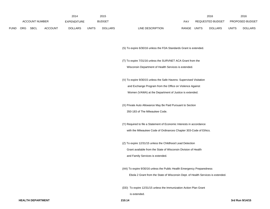|      |                |      |                | 2014           |              | 2015           |                           | 2016                           |              | 2016                   |
|------|----------------|------|----------------|----------------|--------------|----------------|---------------------------|--------------------------------|--------------|------------------------|
|      | ACCOUNT NUMBER |      |                | EXPENDITURE    |              | <b>BUDGET</b>  | PAY                       | REQUESTED BUDGET               |              | <b>PROPOSED BUDGET</b> |
| FUND | <b>ORG</b>     | SBCL | <b>ACCOUNT</b> | <b>DOLLARS</b> | <b>UNITS</b> | <b>DOLLARS</b> | RANGE<br>LINE DESCRIPTION | <b>UNITS</b><br><b>DOLLARS</b> | <b>UNITS</b> | <b>DOLLARS</b>         |

(S) To expire 6/30/16 unless the FDA Standards Grant is extended.

- (T) To expire 7/31/16 unless the SURVNET ACA Grant from the Wisconsin Department of Health Services is extended.
- (V) To expire 9/30/15 unless the Safe Havens: Supervised Visitation and Exchange Program from the Office on Violence Against Women (VAWA) at the Department of Justice is extended.
- (X) Private Auto Allowance May Be Paid Pursuant to Section 350-183 of The Milwaukee Code.
- (Y) Required to file a Statement of Economic Interests in accordance with the Milwaukee Code of Ordinances Chapter 303-Code of Ethics.
- (Z) To expire 12/31/15 unless the Childhood Lead Detection Grant available from the State of Wisconsin Division of Health and Family Services is extended.
- (AA) To expire 9/30/16 unless the Public Health Emergency Preparedness

Ebola 2 Grant from the State of Wisconsin Dept. of Health Services is extended.

(DD) To expire 12/31/15 unless the Immunization Action Plan Grant

is extended.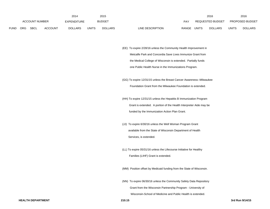|             |                       |             |                | 2014               |              | 2015           |                                  |              | 2016             |              | 2016                   |
|-------------|-----------------------|-------------|----------------|--------------------|--------------|----------------|----------------------------------|--------------|------------------|--------------|------------------------|
|             | <b>ACCOUNT NUMBER</b> |             |                | <b>EXPENDITURE</b> |              | <b>BUDGET</b>  | PAY                              |              | REQUESTED BUDGET |              | <b>PROPOSED BUDGET</b> |
| <b>FUND</b> | <b>ORG</b>            | <b>SBCL</b> | <b>ACCOUNT</b> | <b>DOLLARS</b>     | <b>UNITS</b> | <b>DOLLARS</b> | LINE DESCRIPTION<br><b>RANGE</b> | <b>UNITS</b> | <b>DOLLARS</b>   | <b>UNITS</b> | <b>DOLLARS</b>         |

(EE) To expire 2/28/16 unless the Community Health Improvement in Metcalfe Park and Concordia Save Lives Immunize Grant from the Medical College of Wisconsin is extended. Partially funds one Public Health Nurse in the Immunizations Program.

(GG) To expire 12/31/15 unless the Breast Cancer Awareness--Milwaukee Foundation Grant from the Milwaukee Foundation is extended.

(HH) To expire 12/31/15 unless the Hepatitis B Immunization Program Grant is extended. A portion of the Health Interpreter Aide may be funded by the Immunization Action Plan Grant.

- (JJ) To expire 6/30/16 unless the Well Woman Program Grant available from the State of Wisconsin Department of Health Services, is extended.
- (LL) To expire 05/31/16 unless the Lifecourse Initiative for Healthy Families (LIHF) Grant is extended.

(MM) Position offset by Medicaid funding from the State of Wisconsin.

(NN) To expire 06/30/16 unless the Community Safety Data Repository Grant from the Wisconsin Partnership Program - University of

Wisconsin-School of Medicine and Public Health is extended.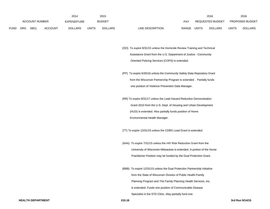|             |                       |             |                | 2014               |              | 2015           |                           |       | 2016                    |       | 2016                   |
|-------------|-----------------------|-------------|----------------|--------------------|--------------|----------------|---------------------------|-------|-------------------------|-------|------------------------|
|             | <b>ACCOUNT NUMBER</b> |             |                | <b>EXPENDITURE</b> |              | <b>BUDGET</b>  | PAY                       |       | <b>REQUESTED BUDGET</b> |       | <b>PROPOSED BUDGET</b> |
| <b>FUND</b> | <b>ORG</b>            | <b>SBCL</b> | <b>ACCOUNT</b> | <b>DOLLARS</b>     | <b>UNITS</b> | <b>DOLLARS</b> | LINE DESCRIPTION<br>RANGE | UNITS | <b>DOLLARS</b>          | UNITS | <b>DOLLARS</b>         |

(OO) To expire 8/31/15 unless the Homicide Review Training and Technical Assistance Grant from the U.S. Department of Justice - Community Oriented Policing Services (COPS) is extended.

(PP) To expire 6/30/16 unless the Community Safety Data Repository Grant from the Wisconsin Partnership Program is extended . Partially funds one position of Violence Prevention Data Manager.

(RR) To expire 8/31/17 unless the Lead Hazard Reduction Demonstration Grant 2010 from the U.S. Dept. of Housing and Urban Development (HUD) is extended. Also partially funds position of Home Environmental Health Manager.

(TT) To expire 12/31/15 unless the CDBG Lead Grant is extended.

(AAA) To expire 7/31/15 unless the HIV Risk Reduction Grant from the University of Wisconsin-Milwaukee is extended. A portion of the Nurse Practitioner Position may be funded by the Dual Protection Grant.

(BBB) To expire 12/31/15 unless the Dual Protection Partnership Initiative from the State of Wisconsin Division of Public Health-Family Planning Program and The Family Planning Health Services, Inc. is extended. Funds one position of Communicable Disease Specialist in the STD Clinic. May partially fund one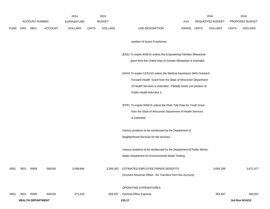|             |      |                          |                | 2014               |              | 2015           |                                                                       |             | 2016             |              | 2016            |
|-------------|------|--------------------------|----------------|--------------------|--------------|----------------|-----------------------------------------------------------------------|-------------|------------------|--------------|-----------------|
|             |      | <b>ACCOUNT NUMBER</b>    |                | <b>EXPENDITURE</b> |              | <b>BUDGET</b>  |                                                                       | PAY         | REQUESTED BUDGET |              | PROPOSED BUDGET |
| <b>FUND</b> |      | ORG SBCL                 | <b>ACCOUNT</b> | <b>DOLLARS</b>     | <b>UNITS</b> | <b>DOLLARS</b> | LINE DESCRIPTION                                                      | RANGE UNITS | <b>DOLLARS</b>   | <b>UNITS</b> | <b>DOLLARS</b>  |
|             |      |                          |                |                    |              |                | position of Nurse Practitioner.                                       |             |                  |              |                 |
|             |      |                          |                |                    |              |                |                                                                       |             |                  |              |                 |
|             |      |                          |                |                    |              |                | (EEE) To expire 9/30/15 unless the Empowering Families Milwaukee      |             |                  |              |                 |
|             |      |                          |                |                    |              |                | grant from the United Way of Greater Milwaukee is extended.           |             |                  |              |                 |
|             |      |                          |                |                    |              |                | (HHH) To expire 12/31/15 unless the Medical Assistance (MA) Outreach  |             |                  |              |                 |
|             |      |                          |                |                    |              |                | Forward Health Grant from the State of Wisconsin Department           |             |                  |              |                 |
|             |      |                          |                |                    |              |                | of Health Services is extended. Partially funds one position of       |             |                  |              |                 |
|             |      |                          |                |                    |              |                | Public Health Educator II.                                            |             |                  |              |                 |
|             |      |                          |                |                    |              |                | (PPP) To expire 9/30/15 unless the Plain Talk Prep for Youth Grant    |             |                  |              |                 |
|             |      |                          |                |                    |              |                | from the State of Wisconsin Department of Health Services             |             |                  |              |                 |
|             |      |                          |                |                    |              |                | is extended.                                                          |             |                  |              |                 |
|             |      |                          |                |                    |              |                | Various positions to be reimbursed by the Department of               |             |                  |              |                 |
|             |      |                          |                |                    |              |                | Neighborhood Services for lab services.                               |             |                  |              |                 |
|             |      |                          |                |                    |              |                | Various positions to be reimbursed by the Department of Public Works- |             |                  |              |                 |
|             |      |                          |                |                    |              |                | Water Department for Environmental Water Testing.                     |             |                  |              |                 |
| 0001        | 3810 | R999                     | 006100         | 3,098,694          |              | 3,299,263      | ESTIMATED EMPLOYEE FRINGE BENEFITS                                    |             | 3,693,289        |              | 3,671,477       |
|             |      |                          |                |                    |              |                | (Involves Revenue Offset - No Transfers from this Account)            |             |                  |              |                 |
|             |      |                          |                |                    |              |                | OPERATING EXPENDITURES                                                |             |                  |              |                 |
| 0001        | 3810 | R999                     | 630100         | 371,419            |              | 393,937        | General Office Expense                                                |             | 393,937          |              | 393,937         |
|             |      | <b>HEALTH DEPARTMENT</b> |                |                    |              |                | 210.17                                                                |             |                  |              | 3rd Run 9/14/15 |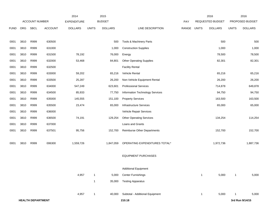|             |      |                          |                | 2014               |              | 2015           |                                 |       |              | 2016             |              | 2016            |
|-------------|------|--------------------------|----------------|--------------------|--------------|----------------|---------------------------------|-------|--------------|------------------|--------------|-----------------|
|             |      | ACCOUNT NUMBER           |                | <b>EXPENDITURE</b> |              | <b>BUDGET</b>  |                                 | PAY   |              | REQUESTED BUDGET |              | PROPOSED BUDGET |
| <b>FUND</b> | ORG  | <b>SBCL</b>              | <b>ACCOUNT</b> | <b>DOLLARS</b>     | <b>UNITS</b> | <b>DOLLARS</b> | LINE DESCRIPTION                | RANGE | <b>UNITS</b> | <b>DOLLARS</b>   | <b>UNITS</b> | <b>DOLLARS</b>  |
|             |      |                          |                |                    |              |                |                                 |       |              |                  |              |                 |
| 0001        | 3810 | R999                     | 630500         |                    |              | 500            | Tools & Machinery Parts         |       |              | 500              |              | 500             |
| 0001        | 3810 | R999                     | 631000         |                    |              | 1,000          | <b>Construction Supplies</b>    |       |              | 1,000            |              | 1,000           |
| 0001        | 3810 | R999                     | 631500         | 78,192             |              | 76,000         | Energy                          |       |              | 78,500           |              | 78,500          |
| 0001        | 3810 | R999                     | 632000         | 53,468             |              | 84,801         | <b>Other Operating Supplies</b> |       |              | 82,301           |              | 82,301          |
| 0001        | 3810 | R999                     | 632500         |                    |              |                | <b>Facility Rental</b>          |       |              |                  |              |                 |
| 0001        | 3810 | R999                     | 633000         | 59,202             |              | 65,216         | Vehicle Rental                  |       |              | 65,216           |              | 65,216          |
| 0001        | 3810 | R999                     | 633500         | 25,287             |              | 26,200         | Non-Vehicle Equipment Rental    |       |              | 26,200           |              | 26,200          |
| 0001        | 3810 | R999                     | 634000         | 547,249            |              | 623,601        | <b>Professional Services</b>    |       |              | 714,878          |              | 649,878         |
| 0001        | 3810 | R999                     | 634500         | 85,933             |              | 77,750         | Information Technology Services |       |              | 94,750           |              | 94,750          |
| 0001        | 3810 | R999                     | 635000         | 145,555            |              | 151,100        | <b>Property Services</b>        |       |              | 163,500          |              | 163,500         |
| 0001        | 3810 | R999                     | 635500         | 23,474             |              | 65,000         | <b>Infrastructure Services</b>  |       |              | 65,000           |              | 65,000          |
| 0001        | 3810 | R999                     | 636000         |                    |              |                | Vehicle Repair Services         |       |              |                  |              |                 |
| 0001        | 3810 | R999                     | 636500         | 74,191             |              | 129,254        | <b>Other Operating Services</b> |       |              | 134,254          |              | 114,254         |
| 0001        | 3810 | R999                     | 637000         |                    |              |                | Loans and Grants                |       |              |                  |              |                 |
| 0001        | 3810 | R999                     | 637501         | 95,756             |              | 152,700        | Reimburse Other Departments     |       |              | 152,700          |              | 152,700         |
|             |      |                          |                |                    |              |                |                                 |       |              |                  |              |                 |
| 0001        | 3810 | R999                     | 006300         | 1,559,726          |              | 1,847,059      | OPERATING EXPENDITURES TOTAL*   |       |              | 1,972,736        |              | 1,887,736       |
|             |      |                          |                |                    |              |                |                                 |       |              |                  |              |                 |
|             |      |                          |                |                    |              |                | <b>EQUIPMENT PURCHASES</b>      |       |              |                  |              |                 |
|             |      |                          |                |                    |              |                |                                 |       |              |                  |              |                 |
|             |      |                          |                |                    |              |                | <b>Additional Equipment</b>     |       |              |                  |              |                 |
|             |      |                          |                | 4,957              | $\mathbf{1}$ | 5,000          | <b>Center Furnishings</b>       |       | $\mathbf{1}$ | 5,000            | $\mathbf{1}$ | 5,000           |
|             |      |                          |                |                    | $\mathbf{1}$ | 35,000         | <b>Testing Apparatus</b>        |       |              |                  |              |                 |
|             |      |                          |                |                    |              |                |                                 |       |              |                  |              |                 |
|             |      |                          |                | 4,957              | $\mathbf{1}$ | 40,000         | Subtotal - Additional Equipment |       | $\mathbf{1}$ | 5,000            | -1           | 5,000           |
|             |      | <b>HEALTH DEPARTMENT</b> |                |                    |              |                | 210.18                          |       |              |                  |              | 3rd Run 9/14/15 |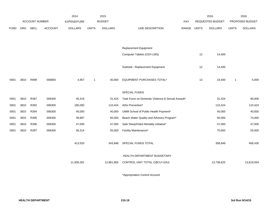|             |      |                       |                | 2014               |                | 2015           |                                                   |       |              | 2016             |              | 2016            |
|-------------|------|-----------------------|----------------|--------------------|----------------|----------------|---------------------------------------------------|-------|--------------|------------------|--------------|-----------------|
|             |      | <b>ACCOUNT NUMBER</b> |                | <b>EXPENDITURE</b> |                | <b>BUDGET</b>  |                                                   | PAY   |              | REQUESTED BUDGET |              | PROPOSED BUDGET |
| <b>FUND</b> | ORG  | SBCL                  | <b>ACCOUNT</b> | <b>DOLLARS</b>     | <b>UNITS</b>   | <b>DOLLARS</b> | LINE DESCRIPTION                                  | RANGE | <b>UNITS</b> | <b>DOLLARS</b>   | <b>UNITS</b> | <b>DOLLARS</b>  |
|             |      |                       |                |                    |                |                |                                                   |       |              |                  |              |                 |
|             |      |                       |                |                    |                |                |                                                   |       |              |                  |              |                 |
|             |      |                       |                |                    |                |                | Replacement Equipment                             |       |              |                  |              |                 |
|             |      |                       |                |                    |                |                | Computer Tablets (CEH LMS)                        |       | 12           | 14,400           |              |                 |
|             |      |                       |                |                    |                |                |                                                   |       |              |                  |              |                 |
|             |      |                       |                |                    |                |                | Subtotal - Replacement Equipment                  |       | 12           | 14,400           |              |                 |
|             |      |                       |                |                    |                |                |                                                   |       |              |                  |              |                 |
| 0001        | 3810 | R999                  | 006800         | 4,957              | $\overline{1}$ | 40,000         | EQUIPMENT PURCHASES TOTAL*                        |       | 13           | 19,400           | $\mathbf{1}$ | 5,000           |
|             |      |                       |                |                    |                |                |                                                   |       |              |                  |              |                 |
|             |      |                       |                |                    |                |                | SPECIAL FUNDS                                     |       |              |                  |              |                 |
| 0001        | 3810 | R387                  | 006300         | 45,319             |                | 31,424         | Task Force on Domestic Violence & Sexual Assault* |       |              | 31,424           |              | 80,006          |
| 0001        | 3810 | R392                  | 006300         | 185,000            |                | 110,424        | AIDs Prevention*                                  |       |              | 110,424          |              | 110,424         |
| 0001        | 3810 | R394                  | 006300         | 40,000             |                | 40,000         | UWM School of Public Health Payment*              |       |              | 40,000           |              | 40,000          |
| 0001        | 3810 | R395                  | 006300         | 39,887             |                | 60,000         | Beach Water Quality and Advisory Program*         |       |              | 60,000           |              | 74,000          |
| 0001        | 3810 | R396                  | 006300         | 47,000             |                | 47,000         | Safe Sleep/Infant Mortality Initiative*           |       |              | 47,000           |              | 47,000          |
| 0001        | 3810 | R397                  | 006300         | 56,314             |                | 55,000         | Facility Maintenance*                             |       |              | 70,000           |              | 55,000          |
|             |      |                       |                |                    |                |                |                                                   |       |              |                  |              |                 |
|             |      |                       |                | 413,520            |                | 343,848        | SPECIAL FUNDS TOTAL                               |       |              | 358,848          |              | 406,430         |
|             |      |                       |                |                    |                |                |                                                   |       |              |                  |              |                 |
|             |      |                       |                |                    |                |                | HEALTH DEPARTMENT BUDGETARY                       |       |              |                  |              |                 |
|             |      |                       |                | 11,936,261         |                | 12,861,865     | CONTROL UNIT TOTAL (1BCU=1DU)                     |       |              | 13,738,625       |              | 13,619,554      |
|             |      |                       |                |                    |                |                |                                                   |       |              |                  |              |                 |

\*Appropriation Control Account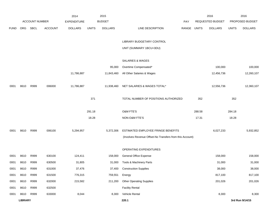|             |                |                       |                | 2014               |              | 2015           |                                                          |       |              | 2016             |              | 2016            |
|-------------|----------------|-----------------------|----------------|--------------------|--------------|----------------|----------------------------------------------------------|-------|--------------|------------------|--------------|-----------------|
|             |                | <b>ACCOUNT NUMBER</b> |                | <b>EXPENDITURE</b> |              | <b>BUDGET</b>  |                                                          | PAY   |              | REQUESTED BUDGET |              | PROPOSED BUDGET |
| <b>FUND</b> | ORG            | <b>SBCL</b>           | <b>ACCOUNT</b> | <b>DOLLARS</b>     | <b>UNITS</b> | <b>DOLLARS</b> | LINE DESCRIPTION                                         | RANGE | <b>UNITS</b> | <b>DOLLARS</b>   | <b>UNITS</b> | <b>DOLLARS</b>  |
|             |                |                       |                |                    |              |                |                                                          |       |              |                  |              |                 |
|             |                |                       |                |                    |              |                | LIBRARY BUDGETARY CONTROL                                |       |              |                  |              |                 |
|             |                |                       |                |                    |              |                | UNIT (SUMMARY 1BCU=3DU)                                  |       |              |                  |              |                 |
|             |                |                       |                |                    |              |                |                                                          |       |              |                  |              |                 |
|             |                |                       |                |                    |              |                | SALARIES & WAGES                                         |       |              |                  |              |                 |
|             |                |                       |                |                    |              | 95,000         | Overtime Compensated*                                    |       |              | 100,000          |              | 100,000         |
|             |                |                       |                | 11,786,887         |              | 11,843,460     | All Other Salaries & Wages                               |       |              | 12,456,736       |              | 12,260,107      |
|             |                |                       |                |                    |              |                |                                                          |       |              |                  |              |                 |
| 0001        | 8610           | R999                  | 006000         | 11,786,887         |              | 11,938,460     | NET SALARIES & WAGES TOTAL*                              |       |              | 12,556,736       |              | 12,360,107      |
|             |                |                       |                |                    |              |                |                                                          |       |              |                  |              |                 |
|             |                |                       |                |                    | 371          |                | TOTAL NUMBER OF POSITIONS AUTHORIZED                     |       | 352          |                  | 352          |                 |
|             |                |                       |                |                    | 291.18       |                | O&M FTE'S                                                |       | 288.58       |                  | 284.18       |                 |
|             |                |                       |                |                    | 18.28        |                | NON-O&M FTE'S                                            |       | 17.31        |                  | 18.28        |                 |
|             |                |                       |                |                    |              |                |                                                          |       |              |                  |              |                 |
| 0001        | 8610           | R999                  | 006100         | 5,294,957          |              | 5,372,306      | ESTIMATED EMPLOYEE FRINGE BENEFITS                       |       |              | 6,027,233        |              | 5,932,852       |
|             |                |                       |                |                    |              |                | (Involves Revenue Offset-No Transfers from this Account) |       |              |                  |              |                 |
|             |                |                       |                |                    |              |                |                                                          |       |              |                  |              |                 |
|             |                |                       |                |                    |              |                | OPERATING EXPENDITURES                                   |       |              |                  |              |                 |
| 0001        | 8610           | R999                  | 630100         | 124,411            |              | 158,000        | <b>General Office Expense</b>                            |       |              | 158,000          |              | 158,000         |
| 0001        | 8610           | R999                  | 630500         | 31,805             |              | 31,000         | Tools & Machinery Parts                                  |       |              | 31,000           |              | 31,000          |
| 0001        | 8610           | R999                  | 631000         | 37,476             |              | 37,400         | <b>Construction Supplies</b>                             |       |              | 38,000           |              | 38,000          |
| 0001        | 8610           | R999                  | 631500         | 776,315            |              | 759,551        | Energy                                                   |       |              | 817,100          |              | 817,100         |
| 0001        | 8610           | R999                  | 632000         | 215,582            |              | 211,200        | <b>Other Operating Supplies</b>                          |       |              | 201,026          |              | 201,026         |
| 0001        | 8610           | R999                  | 632500         |                    |              |                | <b>Facility Rental</b>                                   |       |              |                  |              |                 |
| 0001        | 8610           | R999                  | 633000         | 8,044              |              | 8,300          | Vehicle Rental                                           |       |              | 8,300            |              | 8,300           |
|             | <b>LIBRARY</b> |                       |                |                    |              |                | 220.1                                                    |       |              |                  |              | 3rd Run 9/14/15 |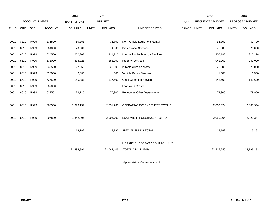|             |            |                |                | 2014               |              | 2015           |                                 |       |              | 2016                    |              | 2016            |
|-------------|------------|----------------|----------------|--------------------|--------------|----------------|---------------------------------|-------|--------------|-------------------------|--------------|-----------------|
|             |            | ACCOUNT NUMBER |                | <b>EXPENDITURE</b> |              | <b>BUDGET</b>  |                                 | PAY   |              | <b>REQUESTED BUDGET</b> |              | PROPOSED BUDGET |
| <b>FUND</b> | <b>ORG</b> | <b>SBCL</b>    | <b>ACCOUNT</b> | <b>DOLLARS</b>     | <b>UNITS</b> | <b>DOLLARS</b> | LINE DESCRIPTION                | RANGE | <b>UNITS</b> | <b>DOLLARS</b>          | <b>UNITS</b> | <b>DOLLARS</b>  |
|             |            |                |                |                    |              |                |                                 |       |              |                         |              |                 |
| 0001        | 8610       | R999           | 633500         | 30,255             |              | 32,700         | Non-Vehicle Equipment Rental    |       |              | 32,700                  |              | 32,700          |
| 0001        | 8610       | R999           | 634000         | 73,601             |              | 74,000         | <b>Professional Services</b>    |       |              | 75,000                  |              | 70,000          |
| 0001        | 8610       | R999           | 634500         | 260,302            |              | 311,710        | Information Technology Services |       |              | 305,198                 |              | 315,198         |
| 0001        | 8610       | R999           | 635000         | 883,825            |              | 886,900        | <b>Property Services</b>        |       |              | 942,000                 |              | 942,000         |
| 0001        | 8610       | R999           | 635500         | 27,256             |              | 26,000         | <b>Infrastructure Services</b>  |       |              | 28,000                  |              | 28,000          |
| 0001        | 8610       | R999           | 636000         | 2,686              |              | 500            | Vehicle Repair Services         |       |              | 1,500                   |              | 1,500           |
| 0001        | 8610       | R999           | 636500         | 150,881            |              | 117,600        | <b>Other Operating Services</b> |       |              | 142,600                 |              | 142,600         |
| 0001        | 8610       | R999           | 637000         |                    |              |                | Loans and Grants                |       |              |                         |              |                 |
| 0001        | 8610       | R999           | 637501         | 76,720             |              | 76,900         | Reimburse Other Departments     |       |              | 79,900                  |              | 79,900          |
|             |            |                |                |                    |              |                |                                 |       |              |                         |              |                 |
| 0001        | 8610       | R999           | 006300         | 2,699,159          |              | 2,731,761      | OPERATING EXPENDITURES TOTAL*   |       |              | 2,860,324               |              | 2,865,324       |
|             |            |                |                |                    |              |                |                                 |       |              |                         |              |                 |
| 0001        | 8610       | R999           | 006800         | 1,842,406          |              | 2,006,700      | EQUIPMENT PURCHASES TOTAL*      |       |              | 2,060,265               |              | 2,022,387       |
|             |            |                |                |                    |              |                |                                 |       |              |                         |              |                 |
|             |            |                |                | 13,182             |              | 13,182         | SPECIAL FUNDS TOTAL             |       |              | 13,182                  |              | 13,182          |
|             |            |                |                |                    |              |                |                                 |       |              |                         |              |                 |
|             |            |                |                |                    |              |                | LIBRARY BUDGETARY CONTROL UNIT  |       |              |                         |              |                 |
|             |            |                |                | 21,636,591         |              | 22,062,409     | TOTAL (1BCU=3DU)                |       |              | 23,517,740              |              | 23,193,852      |
|             |            |                |                |                    |              |                |                                 |       |              |                         |              |                 |

\*Appropriation Control Account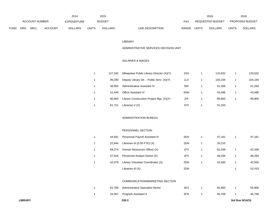|             |                |             |                | 2014               |       | 2015           |                                  | 2016                           |              | 2016                   |
|-------------|----------------|-------------|----------------|--------------------|-------|----------------|----------------------------------|--------------------------------|--------------|------------------------|
|             | ACCOUNT NUMBER |             |                | <b>EXPENDITURE</b> |       | <b>BUDGET</b>  | PAY                              | REQUESTED BUDGET               |              | <b>PROPOSED BUDGET</b> |
| <b>FUND</b> | <b>ORG</b>     | <b>SBCL</b> | <b>ACCOUNT</b> | <b>DOLLARS</b>     | UNITS | <b>DOLLARS</b> | <b>RANGE</b><br>LINE DESCRIPTION | <b>UNITS</b><br><b>DOLLARS</b> | <b>UNITS</b> | <b>DOLLARS</b>         |

#### LIBRARY

#### ADMINISTRATIVE SERVICES DECISION UNIT

### SALARIES & WAGES

| 127.342 | Milwaukee Public Library Director (X)(Y)  | 1NX | 133.632 | 133,632 |
|---------|-------------------------------------------|-----|---------|---------|
| 99.290  | Deputy Library Dir. - Public Serv. (X)(Y) | 1LX | 104.194 | 104,194 |
| 48.855  | Administrative Assistant IV               | 5IN | 51.268  | 51,268  |
| 41.449  | <b>Office Assistant IV</b>                | 6HN | 43.496  | 43,496  |
| 80.000  | Library Construction Project Mgr. (X)(Y)  | 2IX | 80.800  | 80,800  |
| 61.721  | Librarian $V(X)$                          | 1FX | 51.150  |         |

### ADMINISTRATION BUREAU

### PERSONNEL SECTION

| 1 | 44.941 | Personnel Payroll Assistant III   | 5EN | 47.161 | 47,161 |
|---|--------|-----------------------------------|-----|--------|--------|
|   | 22.944 | Librarian III $(0.50$ FTE $)(X)$  | 2DN | 26,210 |        |
|   | 69.274 | Human Resources Officer (X)       | 1FX | 62,338 | 62,338 |
|   | 47.816 | Personnel Analyst-Senior (X)      | 2FX | 48.294 | 48,294 |
|   | 42.079 | Library Volunteer Coordinator (X) | 2DN | 42.500 | 42,500 |
|   |        | Librarian III (X)                 | 2DN |        | 52,419 |

### COMMUNICATION/MARKETING SECTION

|  | 62,799 Administrative Specialist-Senior | 2EX | 65.900 | 65,900 |
|--|-----------------------------------------|-----|--------|--------|
|  | 44,567 Program Assistant II             | 5FN | 46.768 | 46,768 |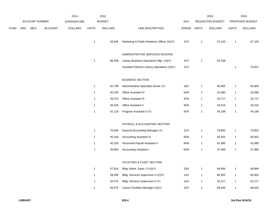|      |     |                       |                | 2014               |              | 2015           |                                              |             |              | 2016                    |              | 2016            |
|------|-----|-----------------------|----------------|--------------------|--------------|----------------|----------------------------------------------|-------------|--------------|-------------------------|--------------|-----------------|
|      |     | <b>ACCOUNT NUMBER</b> |                | <b>EXPENDITURE</b> |              | <b>BUDGET</b>  |                                              | PAY         |              | <b>REQUESTED BUDGET</b> |              | PROPOSED BUDGET |
| FUND | ORG | SBCL                  | <b>ACCOUNT</b> | <b>DOLLARS</b>     | <b>UNITS</b> | <b>DOLLARS</b> | LINE DESCRIPTION                             | RANGE UNITS |              | <b>DOLLARS</b>          | <b>UNITS</b> | <b>DOLLARS</b>  |
|      |     |                       |                |                    | $\mathbf{1}$ | 63,945         | Marketing & Public Relations Officer (X)(Y)  | 1FX         | 1            | 67,103                  | $\mathbf{1}$ | 67,103          |
|      |     |                       |                |                    |              |                | ADMINISTRATIVE SERVICES DIVISION             |             |              |                         |              |                 |
|      |     |                       |                |                    | $\mathbf{1}$ | 86,406         | Library Business Operations Mgr. (X)(Y)      | 1FX         | 1            | 62,338                  |              |                 |
|      |     |                       |                |                    |              |                | Assistant Director-Library Operations (X)(Y) | 1FX         |              |                         | $\mathbf{1}$ | 70,827          |
|      |     |                       |                |                    |              |                | <b>BUSINESS SECTION</b>                      |             |              |                         |              |                 |
|      |     |                       |                |                    | $\mathbf{1}$ | 62,799         | Administrative Specialist Senior (Y)         | 2EX         | $\mathbf{1}$ | 65,900                  | $\mathbf{1}$ | 65,900          |
|      |     |                       |                |                    | $\mathbf{1}$ | 40,100         | Office Assistant IV                          | 6HN         | $\mathbf{1}$ | 42,080                  | $\mathbf{1}$ | 42,080          |
|      |     |                       |                |                    | $\mathbf{1}$ | 34,373         | Office Assistant III                         | 6FN         | $\mathbf{1}$ | 34,717                  | $\mathbf{1}$ | 34,717          |
|      |     |                       |                |                    | $\mathbf{1}$ | 30,226         | Office Assistant II                          | 6EN         | 1            | 33,016                  | $\mathbf{1}$ | 33,016          |
|      |     |                       |                |                    | $\mathbf{1}$ | 42,118         | Program Assistant II (Y)                     | 5FN         | $\mathbf{1}$ | 44,198                  | $\mathbf{1}$ | 44,198          |
|      |     |                       |                |                    |              |                | PAYROLL & ACCOUNTING SECTION                 |             |              |                         |              |                 |
|      |     |                       |                |                    | $\mathbf{1}$ | 76,046         | General Accounting Manager (Y)               | 1DX         | 1            | 79,802                  | $\mathbf{1}$ | 79,802          |
|      |     |                       |                |                    | $\mathbf{1}$ | 40,100         | <b>Accounting Assistant III</b>              | 5EN         | 1            | 40,501                  | $\mathbf{1}$ | 40,501          |
|      |     |                       |                |                    | $\mathbf{1}$ | 40,100         | Personnel Payroll Assistant II               | 6HN         | 1            | 42,080                  | $\mathbf{1}$ | 42,080          |
|      |     |                       |                |                    | $\mathbf{1}$ | 35,893         | <b>Accounting Assistant I</b>                | 6GN         | $\mathbf{1}$ | 37,666                  | $\mathbf{1}$ | 37,666          |
|      |     |                       |                |                    |              |                | <b>FACILITIES &amp; FLEET SECTION</b>        |             |              |                         |              |                 |
|      |     |                       |                |                    | $\mathbf{1}$ | 47,816         | Bldg. Maint. Supvr. II (X)(Y)                | 1BX         | 1            | 48,994                  | $\mathbf{1}$ | 48,994          |
|      |     |                       |                |                    | $\mathbf{1}$ | 58,036         | Bldg. Services Supervisor II (X)(Y)          | 1AX         | $\mathbf{1}$ | 60,902                  | $\mathbf{1}$ | 60,902          |
|      |     |                       |                |                    | $\mathbf{1}$ | 52,475         | Bldg. Services Supervisor II (Y)             | 1AX         | $\mathbf{1}$ | 52,217                  | $\mathbf{1}$ | 52,217          |
|      |     |                       |                |                    | $\mathbf{1}$ | 65,975         | Library Facilities Manager (X)(Y)            | 1EX         | $\mathbf{1}$ | 66,635                  | $\mathbf{1}$ | 66,635          |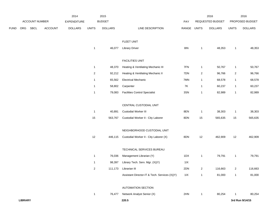|             |                |                |         | 2014           |                | 2015           |                                               |             |                | 2016             |                | 2016            |
|-------------|----------------|----------------|---------|----------------|----------------|----------------|-----------------------------------------------|-------------|----------------|------------------|----------------|-----------------|
|             |                | ACCOUNT NUMBER |         | EXPENDITURE    |                | <b>BUDGET</b>  |                                               | PAY         |                | REQUESTED BUDGET |                | PROPOSED BUDGET |
| <b>FUND</b> | ORG            | SBCL           | ACCOUNT | <b>DOLLARS</b> | <b>UNITS</b>   | <b>DOLLARS</b> | LINE DESCRIPTION                              | RANGE UNITS |                | <b>DOLLARS</b>   | <b>UNITS</b>   | <b>DOLLARS</b>  |
|             |                |                |         |                |                |                | FLEET UNIT                                    |             |                |                  |                |                 |
|             |                |                |         |                | $\mathbf{1}$   | 46,077         | <b>Library Driver</b>                         | 8I          | $\mathbf{1}$   | 48,353           | $\mathbf{1}$   | 48,353          |
|             |                |                |         |                |                |                | <b>FACILITIES UNIT</b>                        |             |                |                  |                |                 |
|             |                |                |         |                | $\mathbf{1}$   | 48,370         | Heating & Ventilating Mechanic III            | 7FN         | $\overline{1}$ | 50,767           | $\mathbf{1}$   | 50,767          |
|             |                |                |         |                | $\overline{c}$ | 92,212         | Heating & Ventilating Mechanic II             | 7DN         | $\overline{2}$ | 96,766           | $\overline{a}$ | 96,766          |
|             |                |                |         |                | $\mathbf{1}$   | 65,562         | <b>Electrical Mechanic</b>                    | 7MN         | $\mathbf{1}$   | 68,578           | $\mathbf{1}$   | 68,578          |
|             |                |                |         |                | $\mathbf{1}$   | 58,802         | Carpenter                                     | 7K          | $\overline{1}$ | 60,237           | $\mathbf{1}$   | 60,237          |
|             |                |                |         |                | $\mathbf{1}$   | 79,083         | <b>Facilities Control Specialist</b>          | 3SN         | $\mathbf{1}$   | 82,989           | $\mathbf{1}$   | 82,989          |
|             |                |                |         |                |                |                | CENTRAL CUSTODIAL UNIT                        |             |                |                  |                |                 |
|             |                |                |         |                | $\mathbf{1}$   | 40,891         | Custodial Worker III                          | 8EN         | $\mathbf{1}$   | 38,303           | $\mathbf{1}$   | 38,303          |
|             |                |                |         |                | 15             | 563,767        | Custodial Worker II - City Laborer            | 8DN         | 15             | 565,635          | 15             | 565,635         |
|             |                |                |         |                |                |                | NEIGHBORHOOD CUSTODIAL UNIT                   |             |                |                  |                |                 |
|             |                |                |         |                | 12             | 446,115        | Custodial Worker II - City Laborer (X)        | 8DN         | $12$           | 462,909          | 12             | 462,909         |
|             |                |                |         |                |                |                | TECHNICAL SERVICES BUREAU                     |             |                |                  |                |                 |
|             |                |                |         |                | $\mathbf{1}$   | 76,036         | Management Librarian (Y)                      | 1DX         | $\mathbf{1}$   | 79,791           | $\mathbf{1}$   | 79,791          |
|             |                |                |         |                | $\mathbf{1}$   | 98,397         | Library Tech. Serv. Mgr. (X)(Y)               | 11X         |                |                  |                |                 |
|             |                |                |         |                | $\overline{c}$ | 111,173        | Librarian III                                 | 2DN         | $\overline{a}$ | 116,663          | $\overline{a}$ | 116,663         |
|             |                |                |         |                |                |                | Assistant Director-IT & Tech. Services (X)(Y) | 11X         | $\mathbf{1}$   | 81,000           | $\mathbf{1}$   | 81,000          |
|             |                |                |         |                |                |                | <b>AUTOMATION SECTION</b>                     |             |                |                  |                |                 |
|             |                |                |         |                | $\mathbf{1}$   | 76,477         | Network Analyst Senior (X)                    | 2HN         | $\mathbf{1}$   | 80,254           | -1             | 80,254          |
|             | <b>LIBRARY</b> |                |         |                |                |                | 220.5                                         |             |                |                  |                | 3rd Run 9/14/15 |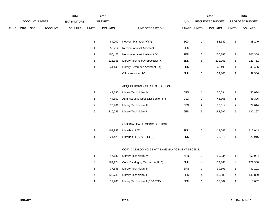|      |     |                       |                | 2014               |              | 2015           |                                               |             |                  | 2016             |                         | 2016            |
|------|-----|-----------------------|----------------|--------------------|--------------|----------------|-----------------------------------------------|-------------|------------------|------------------|-------------------------|-----------------|
|      |     | <b>ACCOUNT NUMBER</b> |                | <b>EXPENDITURE</b> |              | <b>BUDGET</b>  |                                               | PAY         |                  | REQUESTED BUDGET |                         | PROPOSED BUDGET |
| FUND | ORG | <b>SBCL</b>           | <b>ACCOUNT</b> | <b>DOLLARS</b>     | <b>UNITS</b> | <b>DOLLARS</b> | LINE DESCRIPTION                              | RANGE UNITS |                  | <b>DOLLARS</b>   | <b>UNITS</b>            | <b>DOLLARS</b>  |
|      |     |                       |                |                    | $\mathbf{1}$ | 84,000         | Network Manager (X)(Y)                        | 1GX         | $\mathbf{1}$     | 88,149           | $\mathbf{1}$            | 88,149          |
|      |     |                       |                |                    | $\mathbf{1}$ | 50,214         | Network Analyst Assistant                     | 2EN         |                  |                  |                         |                 |
|      |     |                       |                |                    | $\sqrt{2}$   | 100,428        | Network Analyst Assistant (X)                 | 2EN         |                  | 105,388          | $\overline{2}$          | 105,388         |
|      |     |                       |                |                    |              |                |                                               |             | 2                |                  |                         |                 |
|      |     |                       |                |                    | $\,6\,$      | 215,358        | Library Technology Specialist (X)             | 5DN         | 6                | 221,761          | 6                       | 221,761         |
|      |     |                       |                |                    | $\mathbf{1}$ | 41,449         | Library Reference Assistant (X)               | 5DN         | $\mathbf{1}$     | 43,496           | $\mathbf{1}$            | 43,496          |
|      |     |                       |                |                    |              |                | Office Assistant IV                           | 6HN         | $\mathbf{1}$     | 39,306           | $\mathbf{1}$            | 39,306          |
|      |     |                       |                |                    |              |                | ACQUISITIONS & SERIALS SECTION                |             |                  |                  |                         |                 |
|      |     |                       |                |                    | $\mathbf{1}$ | 47,680         | Library Technician IV                         | 5FN         | $\mathbf{1}$     | 50,034           | $\mathbf{1}$            | 50,034          |
|      |     |                       |                |                    | $\mathbf{1}$ | 44,857         | Administrative Specialist Senior (Y)          | 2EX         | $\mathbf{1}$     | 45,306           | $\mathbf{1}$            | 45,306          |
|      |     |                       |                |                    | $\sqrt{2}$   | 73,961         | Library Technician III                        | 6FN         | $\boldsymbol{2}$ | 77,614           | $\overline{\mathbf{c}}$ | 77,614          |
|      |     |                       |                |                    | 6            | 210,043        | Library Technician II                         | 6EN         | 5                | 182,297          | $\,$ 5 $\,$             | 182,297         |
|      |     |                       |                |                    |              |                |                                               |             |                  |                  |                         |                 |
|      |     |                       |                |                    |              |                | ORIGINAL CATALOGING SECTION                   |             |                  |                  |                         |                 |
|      |     |                       |                |                    | $\sqrt{2}$   | 107,948        | Librarian III (B)                             | 2DN         | $\boldsymbol{2}$ | 112,043          | $\sqrt{2}$              | 112,043         |
|      |     |                       |                |                    | $\mathbf{1}$ | 24,428         | Librarian III (0.50 FTE) (B)                  | 2DN         | $\mathbf{1}$     | 26,916           | $\mathbf{1}$            | 26,916          |
|      |     |                       |                |                    |              |                | COPY CATALOGING & DATABASE MANAGEMENT SECTION |             |                  |                  |                         |                 |
|      |     |                       |                |                    | $\mathbf{1}$ | 47,680         | Library Technician IV                         | 5FN         | $\mathbf{1}$     | 50,034           | $\mathbf{1}$            | 50,034          |
|      |     |                       |                |                    | 4            | 164,274        | Copy Cataloging Technician II (B)             | 6HN         | 4                | 172,388          | 4                       | 172,388         |
|      |     |                       |                |                    | $\mathbf{1}$ | 37,345         | Library Technician III                        | 6FN         | $\mathbf{1}$     | 39,191           | $\mathbf{1}$            | 39,191          |
|      |     |                       |                |                    | 4            | 135,733        | Library Technician II                         | 6EN         | 4                | 140,889          | 4                       | 140,889         |
|      |     |                       |                |                    | $\mathbf{1}$ | 17,783         | Library Technician II (0.50 FTE)              | 6EN         | $\mathbf{1}$     | 18,662           | $\mathbf{1}$            | 18,662          |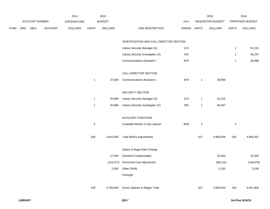|             |                |                | 2014               |                | 2015           |                                         |             |              | 2016             |                | 2016            |
|-------------|----------------|----------------|--------------------|----------------|----------------|-----------------------------------------|-------------|--------------|------------------|----------------|-----------------|
|             | ACCOUNT NUMBER |                | <b>EXPENDITURE</b> |                | <b>BUDGET</b>  |                                         | <b>PAY</b>  |              | REQUESTED BUDGET |                | PROPOSED BUDGET |
| <b>FUND</b> | ORG SBCL       | <b>ACCOUNT</b> | <b>DOLLARS</b>     | <b>UNITS</b>   | <b>DOLLARS</b> | LINE DESCRIPTION                        | RANGE UNITS |              | <b>DOLLARS</b>   | <b>UNITS</b>   | <b>DOLLARS</b>  |
|             |                |                |                    |                |                | INVESTIGATION AND CALL DIRECTOR SECTION |             |              |                  |                |                 |
|             |                |                |                    |                |                | Library Security Manager (X)            | 1CX         |              |                  | $\mathbf{1}$   | 52,215          |
|             |                |                |                    |                |                | Library Security Investigator (X)       | 5IN         |              |                  | $\mathbf{1}$   | 46,347          |
|             |                |                |                    |                |                | <b>Communications Assistant I</b>       | 6FN         |              |                  | $\mathbf{1}$   | 39,698          |
|             |                |                |                    |                |                |                                         |             |              |                  |                |                 |
|             |                |                |                    |                |                | CALL DIRECTOR SECTION                   |             |              |                  |                |                 |
|             |                |                |                    | $\mathbf{1}$   | 37,830         | <b>Communications Assistant I</b>       | 6FN         | $\mathbf{1}$ | 39,698           |                |                 |
|             |                |                |                    |                |                | SECURITY SECTION                        |             |              |                  |                |                 |
|             |                |                |                    | $\mathbf{1}$   | 50,959         | Library Security Manager (X)            | 1CX         | $\mathbf{1}$ | 52,215           |                |                 |
|             |                |                |                    | $\mathbf{1}$   | 45,888         | Library Security Investigator (X)       | 5IN         | $\mathbf{1}$ | 46,347           |                |                 |
|             |                |                |                    |                |                | <b>AUXILIARY POSITIONS</b>              |             |              |                  |                |                 |
|             |                |                |                    | $\overline{2}$ |                | Custodial Worker II-City Laborer        | 8DN         | $\sqrt{2}$   |                  | $\overline{2}$ |                 |
|             |                |                |                    |                |                |                                         |             |              |                  |                |                 |
|             |                |                |                    | 108            | 4,910,305      | <b>Total Before Adjustments</b>         |             | 107          | 4,965,839        | 106            | 4,949,387       |
|             |                |                |                    |                |                | Salary & Wage Rate Change               |             |              |                  |                |                 |
|             |                |                |                    |                |                |                                         |             |              |                  |                |                 |
|             |                |                |                    |                | 27,000         | Overtime Compensated                    |             |              | 32,000           |                | 32,000          |
|             |                |                |                    |                | (143, 972)     | Personnel Cost Adjustment               |             |              | (98, 115)        |                | (146, 679)      |
|             |                |                |                    |                | 2,500          | Other (Shift)                           |             |              | 3,100            |                | 3,100           |
|             |                |                |                    |                |                | Furlough                                |             |              |                  |                |                 |
|             |                |                |                    | 108            | 4,795,833      | Gross Salaries & Wages Total            |             | 107          | 4,902,824        | 106            | 4,837,808       |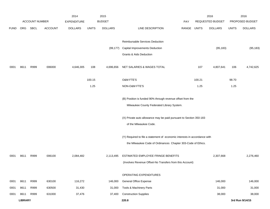|             |                |                       |                | 2014               |              | 2015           |                                                                           |            |              | 2016             |              | 2016            |
|-------------|----------------|-----------------------|----------------|--------------------|--------------|----------------|---------------------------------------------------------------------------|------------|--------------|------------------|--------------|-----------------|
|             |                | <b>ACCOUNT NUMBER</b> |                | <b>EXPENDITURE</b> |              | <b>BUDGET</b>  |                                                                           | <b>PAY</b> |              | REQUESTED BUDGET |              | PROPOSED BUDGET |
| <b>FUND</b> | <b>ORG</b>     | SBCL                  | <b>ACCOUNT</b> | <b>DOLLARS</b>     | <b>UNITS</b> | <b>DOLLARS</b> | LINE DESCRIPTION                                                          | RANGE      | <b>UNITS</b> | <b>DOLLARS</b>   | <b>UNITS</b> | <b>DOLLARS</b>  |
|             |                |                       |                |                    |              |                |                                                                           |            |              |                  |              |                 |
|             |                |                       |                |                    |              |                | Reimbursable Services Deduction                                           |            |              |                  |              |                 |
|             |                |                       |                |                    |              | (99, 177)      | Capital Improvements Deduction                                            |            |              | (95, 183)        |              | (95, 183)       |
|             |                |                       |                |                    |              |                | <b>Grants &amp; Aids Deduction</b>                                        |            |              |                  |              |                 |
|             |                |                       |                |                    |              |                |                                                                           |            |              |                  |              |                 |
| 0001        | 8611           | R999                  | 006000         | 4,646,305          | 108          | 4,696,656      | NET SALARIES & WAGES TOTAL                                                |            | 107          | 4,807,641        | 106          | 4,742,625       |
|             |                |                       |                |                    |              |                |                                                                           |            |              |                  |              |                 |
|             |                |                       |                |                    | 100.15       |                | O&M FTE'S                                                                 |            | 100.21       |                  | 98.70        |                 |
|             |                |                       |                |                    | 1.25         |                | NON-O&M FTE'S                                                             |            | 1.25         |                  | 1.25         |                 |
|             |                |                       |                |                    |              |                | (B) Position is funded 90% through revenue offset from the                |            |              |                  |              |                 |
|             |                |                       |                |                    |              |                | Milwaukee County Federated Library System.                                |            |              |                  |              |                 |
|             |                |                       |                |                    |              |                |                                                                           |            |              |                  |              |                 |
|             |                |                       |                |                    |              |                | (X) Private auto allowance may be paid pursuant to Section 350-183        |            |              |                  |              |                 |
|             |                |                       |                |                    |              |                | of the Milwaukee Code.                                                    |            |              |                  |              |                 |
|             |                |                       |                |                    |              |                |                                                                           |            |              |                  |              |                 |
|             |                |                       |                |                    |              |                | (Y) Required to file a statement of economic interests in accordance with |            |              |                  |              |                 |
|             |                |                       |                |                    |              |                | the Milwaukee Code of Ordinances Chapter 303-Code of Ethics.              |            |              |                  |              |                 |
|             |                |                       |                |                    |              |                |                                                                           |            |              |                  |              |                 |
| 0001        | 8611           | R999                  | 006100         | 2,084,482          |              | 2,113,495      | ESTIMATED EMPLOYEE FRINGE BENEFITS                                        |            |              | 2,307,668        |              | 2,276,460       |
|             |                |                       |                |                    |              |                | (Involves Revenue Offset-No Transfers from this Account)                  |            |              |                  |              |                 |
|             |                |                       |                |                    |              |                |                                                                           |            |              |                  |              |                 |
|             |                |                       |                |                    |              |                | OPERATING EXPENDITURES                                                    |            |              |                  |              |                 |
| 0001        | 8611           | R999                  | 630100         | 116,272            |              | 146,000        | <b>General Office Expense</b>                                             |            |              | 146,000          |              | 146,000         |
| 0001        | 8611           | R999                  | 630500         | 31,430             |              | 31,000         | Tools & Machinery Parts                                                   |            |              | 31,000           |              | 31,000          |
| 0001        | 8611           | R999                  | 631000         | 37,476             |              | 37,400         | <b>Construction Supplies</b>                                              |            |              | 38,000           |              | 38,000          |
|             | <b>LIBRARY</b> |                       |                |                    |              |                | 220.8                                                                     |            |              |                  |              | 3rd Run 9/14/15 |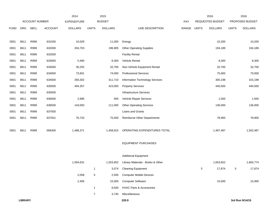|             |                |                       |                | 2014               |                | 2015           |                                     |             |   | 2016             |              | 2016            |
|-------------|----------------|-----------------------|----------------|--------------------|----------------|----------------|-------------------------------------|-------------|---|------------------|--------------|-----------------|
|             |                | <b>ACCOUNT NUMBER</b> |                | <b>EXPENDITURE</b> |                | <b>BUDGET</b>  |                                     | PAY         |   | REQUESTED BUDGET |              | PROPOSED BUDGET |
| <b>FUND</b> | ORG            | SBCL                  | <b>ACCOUNT</b> | <b>DOLLARS</b>     | <b>UNITS</b>   | <b>DOLLARS</b> | LINE DESCRIPTION                    | RANGE UNITS |   | <b>DOLLARS</b>   | <b>UNITS</b> | <b>DOLLARS</b>  |
|             |                |                       |                |                    |                |                |                                     |             |   |                  |              |                 |
| 0001        | 8611           | R999                  | 631500         | 10,029             |                | 11,000         | Energy                              |             |   | 10,200           |              | 10,200          |
| 0001        | 8611           | R999                  | 632000         | 204,703            |                | 196,905        | <b>Other Operating Supplies</b>     |             |   | 194,189          |              | 194,189         |
| 0001        | 8611           | R999                  | 632500         |                    |                |                | <b>Facility Rental</b>              |             |   |                  |              |                 |
| 0001        | 8611           | R999                  | 633000         | 5,490              |                | 8,300          | Vehicle Rental                      |             |   | 8,300            |              | 8,300           |
| 0001        | 8611           | R999                  | 633500         | 30,255             |                | 32,700         | Non-Vehicle Equipment Rental        |             |   | 32,700           |              | 32,700          |
| 0001        | 8611           | R999                  | 634000         | 73,601             |                | 74,000         | <b>Professional Services</b>        |             |   | 75,000           |              | 70,000          |
| 0001        | 8611           | R999                  | 634500         | 260,302            |                | 311,710        | Information Technology Services     |             |   | 305,198          |              | 315,198         |
| 0001        | 8611           | R999                  | 635000         | 494,357            |                | 423,000        | <b>Property Services</b>            |             |   | 440,500          |              | 440,500         |
| 0001        | 8611           | R999                  | 635500         |                    |                |                | <b>Infrastructure Services</b>      |             |   |                  |              |                 |
| 0001        | 8611           | R999                  | 636000         | 2,686              |                | 500            | Vehicle Repair Services             |             |   | 1,500            |              | 1,500           |
| 0001        | 8611           | R999                  | 636500         | 143,050            |                | 111,000        | <b>Other Operating Services</b>     |             |   | 136,000          |              | 136,000         |
| 0001        | 8611           | R999                  | 637000         |                    |                |                | Loans and Grants                    |             |   |                  |              |                 |
| 0001        | 8611           | R999                  | 637501         | 76,720             |                | 75,400         | <b>Reimburse Other Departments</b>  |             |   | 78,900           |              | 78,900          |
|             |                |                       |                |                    |                |                |                                     |             |   |                  |              |                 |
| 0001        | 8611           | R999                  | 006300         | 1,486,371          |                | 1,458,915      | OPERATING EXPENDITURES TOTAL        |             |   | 1,497,487        |              | 1,502,487       |
|             |                |                       |                |                    |                |                |                                     |             |   |                  |              |                 |
|             |                |                       |                |                    |                |                | <b>EQUIPMENT PURCHASES</b>          |             |   |                  |              |                 |
|             |                |                       |                |                    |                |                |                                     |             |   |                  |              |                 |
|             |                |                       |                |                    |                |                | <b>Additional Equipment</b>         |             |   |                  |              |                 |
|             |                |                       |                | 1,564,631          |                | 1,553,652      | Library Materials - Books & Other   |             |   | 1,653,652        |              | 1,665,774       |
|             |                |                       |                |                    | $\mathbf{1}$   | 3,074          | <b>Cleaning Equipment</b>           |             | 5 | 17,874           | $\sqrt{5}$   | 17,874          |
|             |                |                       |                | 2,058              | 5              | 2,500          | <b>Computer Mobile Devices</b>      |             |   |                  |              |                 |
|             |                |                       |                | 2,406              |                | 15,000         | <b>Computer Software</b>            |             |   | 15,000           |              | 15,000          |
|             |                |                       |                |                    | $\mathbf{1}$   | 8,500          | <b>HVAC Parts &amp; Accessories</b> |             |   |                  |              |                 |
|             |                |                       |                |                    | $\overline{7}$ | 3,745          | Miscellaneous                       |             |   |                  |              |                 |
|             | <b>LIBRARY</b> |                       |                |                    |                |                | 220.9                               |             |   |                  |              | 3rd Run 9/14/15 |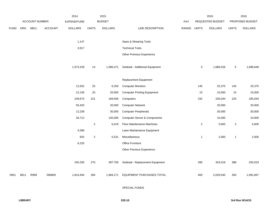|             |      |                |                | 2014               |                | 2015           |                                         |       |                  | 2016             |                | 2016            |
|-------------|------|----------------|----------------|--------------------|----------------|----------------|-----------------------------------------|-------|------------------|------------------|----------------|-----------------|
|             |      | ACCOUNT NUMBER |                | <b>EXPENDITURE</b> |                | <b>BUDGET</b>  |                                         | PAY   |                  | REQUESTED BUDGET |                | PROPOSED BUDGET |
| <b>FUND</b> | ORG  | SBCL           | <b>ACCOUNT</b> | <b>DOLLARS</b>     | <b>UNITS</b>   | <b>DOLLARS</b> | LINE DESCRIPTION                        | RANGE | <b>UNITS</b>     | <b>DOLLARS</b>   | <b>UNITS</b>   | <b>DOLLARS</b>  |
|             |      |                |                | 1,147              |                |                | Saws & Shearing Tools                   |       |                  |                  |                |                 |
|             |      |                |                | 3,917              |                |                | <b>Technical Tools</b>                  |       |                  |                  |                |                 |
|             |      |                |                |                    |                |                | Other Previous Experience               |       |                  |                  |                |                 |
|             |      |                |                | 1,574,159          | 14             | 1,586,471      | Subtotal - Additional Equipment         |       | 5                | 1,686,526        | $\,$ 5 $\,$    | 1,698,648       |
|             |      |                |                |                    |                |                | Replacement Equipment                   |       |                  |                  |                |                 |
|             |      |                |                | 12,502             | $25\,$         | 6,250          | <b>Computer Monitors</b>                |       | 145              | 25,375           | 145            | 25,375          |
|             |      |                |                | 12,136             | 20             | 20,000         | <b>Computer Printing Equipment</b>      |       | 15               | 15,000           | 15             | 15,000          |
|             |      |                |                | 109,673            | 221            | 169,500        | Computers                               |       | 232              | 235,044          | 225            | 185,044         |
|             |      |                |                | 55,420             |                | 20,000         | <b>Computer Network</b>                 |       |                  | 20,000           |                | 20,000          |
|             |      |                |                | 12,238             |                | 30,000         | <b>Computer Peripherals</b>             |       |                  | 30,000           |                | 30,000          |
|             |      |                |                | 26,712             |                | 140,000        | <b>Computer Server &amp; Components</b> |       |                  | 10,000           |                | 10,000          |
|             |      |                |                |                    | $\overline{2}$ | 6,419          | Floor Maintenance Machines              |       | $\boldsymbol{2}$ | 5,600            | $\overline{2}$ | 5,600           |
|             |      |                |                | 4,596              |                |                | Lawn Maintenance Equipment              |       |                  |                  |                |                 |
|             |      |                |                | 825                | $\overline{2}$ | 5,531          | Miscellaneous                           |       | 1                | 2,000            | $\mathbf{1}$   | 2,000           |
|             |      |                |                | 6,233              |                |                | Office Furniture                        |       |                  |                  |                |                 |
|             |      |                |                |                    |                |                | Other Previous Experience               |       |                  |                  |                |                 |
|             |      |                |                | 240,335            | 270            | 397,700        | Subtotal - Replacement Equipment        |       | 395              | 343,019          | 388            | 293,019         |
| 0001        | 8611 | R999           | 006800         | 1,814,494          | 284            | 1,984,171      | <b>EQUIPMENT PURCHASES TOTAL</b>        |       | 400              | 2,029,545        | 393            | 1,991,667       |
|             |      |                |                |                    |                |                | <b>SPECIAL FUNDS</b>                    |       |                  |                  |                |                 |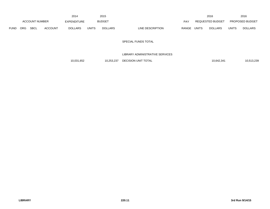|             |            |                |         | 2014           |              | 2015           |                                  |              | 2016             |              | 2016                   |
|-------------|------------|----------------|---------|----------------|--------------|----------------|----------------------------------|--------------|------------------|--------------|------------------------|
|             |            | ACCOUNT NUMBER |         | EXPENDITURE    |              | <b>BUDGET</b>  | PAY                              |              | REQUESTED BUDGET |              | <b>PROPOSED BUDGET</b> |
| <b>FUND</b> | <b>ORG</b> | <b>SBCL</b>    | ACCOUNT | <b>DOLLARS</b> | <b>UNITS</b> | <b>DOLLARS</b> | <b>RANGE</b><br>LINE DESCRIPTION | <b>UNITS</b> | <b>DOLLARS</b>   | <b>UNITS</b> | <b>DOLLARS</b>         |

### SPECIAL FUNDS TOTAL

## LIBRARY ADMINISTRATIVE SERVICES

10,031,652 10,253,237 DECISION UNIT TOTAL 10,031,652 10,642,341 10,513,239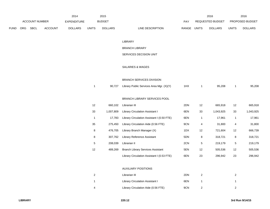|             |     |                |                | 2014           |       | 2015          |                           |       | 2016             |              | 2016                   |
|-------------|-----|----------------|----------------|----------------|-------|---------------|---------------------------|-------|------------------|--------------|------------------------|
|             |     | ACCOUNT NUMBER |                | EXPENDITURE    |       | <b>BUDGET</b> | PAY                       |       | REQUESTED BUDGET |              | <b>PROPOSED BUDGET</b> |
| <b>FUND</b> | ORG | <b>SBCL</b>    | <b>ACCOUNT</b> | <b>DOLLARS</b> | UNITS | DOLLARS       | LINE DESCRIPTION<br>RANGE | UNITS | <b>DOLLARS</b>   | <b>UNITS</b> | <b>DOLLARS</b>         |

#### LIBRARY

### BRANCH LIBRARY

# SERVICES DECISION UNIT

### SALARIES & WAGES

#### BRANCH SERVICES DIVISION

| 90.727 | Library Public Services Area Mgr. (X)(Y) | 1HX | 95.208 | 95,208 |
|--------|------------------------------------------|-----|--------|--------|
|        |                                          |     |        |        |

### BRANCH LIBRARY SERVICES POOL

| 12 | 660.102   | Librarian III                              | 2DN | 12 | 665.918   | 12 | 665,918   |
|----|-----------|--------------------------------------------|-----|----|-----------|----|-----------|
| 33 | 1.007.809 | Library Circulation Assistant I            | 6EN | 33 | 1.043.925 | 33 | 1,043,925 |
| 1  | 17.783    | Library Circulation Assistant I (0.50 FTE) | 6EN |    | 17.961    |    | 17,961    |
| 35 | 275.450   | Library Circulation Aide (0.56 FTE)        | 9CN | 4  | 31.800    | 4  | 31,800    |
| 8  | 476.705   | Library Branch Manager (X)                 | 1DX | 12 | 721.604   | 12 | 666,739   |
| 8  | 307.762   | Library Reference Assistant                | 5DN | 8  | 318,721   | 8  | 318,721   |
| 5  | 208.039   | Librarian II                               | 2CN | 5  | 219,179   | 5  | 219,179   |
| 12 | 489.269   | <b>Branch Library Services Assistant</b>   | 5EN | 12 | 505,536   | 12 | 505,536   |
|    |           | Library Circulation Assistant I (0.53 FTE) | 6EN | 23 | 296,942   | 23 | 296,942   |

### AUXILIARY POSITIONS

|   | Librarian III                       | 2DN |  |
|---|-------------------------------------|-----|--|
|   | Library Circulation Assistant I     | 6EN |  |
| 4 | Library Circulation Aide (0.56 FTE) | 9CN |  |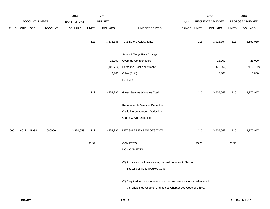|             |            |                       |                | 2014               |              | 2015           |                                                                           |            |              | 2016             |              | 2016            |
|-------------|------------|-----------------------|----------------|--------------------|--------------|----------------|---------------------------------------------------------------------------|------------|--------------|------------------|--------------|-----------------|
|             |            | <b>ACCOUNT NUMBER</b> |                | <b>EXPENDITURE</b> |              | <b>BUDGET</b>  |                                                                           | <b>PAY</b> |              | REQUESTED BUDGET |              | PROPOSED BUDGET |
| <b>FUND</b> | <b>ORG</b> | SBCL                  | <b>ACCOUNT</b> | <b>DOLLARS</b>     | <b>UNITS</b> | <b>DOLLARS</b> | LINE DESCRIPTION                                                          | RANGE      | <b>UNITS</b> | <b>DOLLARS</b>   | <b>UNITS</b> | <b>DOLLARS</b>  |
|             |            |                       |                |                    | 122          | 3,533,646      | <b>Total Before Adjustments</b>                                           |            | 116          | 3,916,794        | 116          | 3,861,929       |
|             |            |                       |                |                    |              |                | Salary & Wage Rate Change                                                 |            |              |                  |              |                 |
|             |            |                       |                |                    |              | 25,000         | Overtime Compensated                                                      |            |              | 25,000           |              | 25,000          |
|             |            |                       |                |                    |              | (105, 714)     | Personnel Cost Adjustment                                                 |            |              | (78, 952)        |              | (116, 782)      |
|             |            |                       |                |                    |              | 6,300          | Other (Shift)                                                             |            |              | 5,800            |              | 5,800           |
|             |            |                       |                |                    |              |                | Furlough                                                                  |            |              |                  |              |                 |
|             |            |                       |                |                    | 122          | 3,459,232      | Gross Salaries & Wages Total                                              |            | 116          | 3,868,642        | 116          | 3,775,947       |
|             |            |                       |                |                    |              |                | Reimbursable Services Deduction                                           |            |              |                  |              |                 |
|             |            |                       |                |                    |              |                | Capital Improvements Deduction                                            |            |              |                  |              |                 |
|             |            |                       |                |                    |              |                | Grants & Aids Deduction                                                   |            |              |                  |              |                 |
| 0001        | 8612       | R999                  | 006000         | 3,370,659          | 122          | 3,459,232      | NET SALARIES & WAGES TOTAL                                                |            | 116          | 3,868,642        | 116          | 3,775,947       |
|             |            |                       |                |                    | 95.97        |                | O&M FTE'S                                                                 |            | 95.90        |                  | 93.95        |                 |
|             |            |                       |                |                    |              |                | NON-O&M FTE'S                                                             |            |              |                  |              |                 |
|             |            |                       |                |                    |              |                | (X) Private auto allowance may be paid pursuant to Section                |            |              |                  |              |                 |
|             |            |                       |                |                    |              |                | 350-183 of the Milwaukee Code.                                            |            |              |                  |              |                 |
|             |            |                       |                |                    |              |                | (Y) Required to file a statement of economic interests in accordance with |            |              |                  |              |                 |
|             |            |                       |                |                    |              |                | the Milwaukee Code of Ordinances Chapter 303-Code of Ethics.              |            |              |                  |              |                 |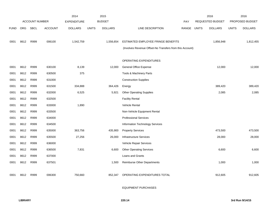|             |                       |             |                    | 2014           |               | 2015           |                                                          |                         | 2016         |                 | 2016         |                |
|-------------|-----------------------|-------------|--------------------|----------------|---------------|----------------|----------------------------------------------------------|-------------------------|--------------|-----------------|--------------|----------------|
|             | <b>ACCOUNT NUMBER</b> |             | <b>EXPENDITURE</b> |                | <b>BUDGET</b> |                | PAY                                                      | <b>REQUESTED BUDGET</b> |              | PROPOSED BUDGET |              |                |
| <b>FUND</b> | <b>ORG</b>            | <b>SBCL</b> | <b>ACCOUNT</b>     | <b>DOLLARS</b> | <b>UNITS</b>  | <b>DOLLARS</b> | LINE DESCRIPTION                                         | <b>RANGE</b>            | <b>UNITS</b> | <b>DOLLARS</b>  | <b>UNITS</b> | <b>DOLLARS</b> |
|             |                       |             |                    |                |               |                |                                                          |                         |              |                 |              |                |
| 0001        | 8612                  | R999        | 006100             | 1,542,759      |               | 1,556,654      | ESTIMATED EMPLOYEE FRINGE BENEFITS                       |                         |              | 1,856,948       |              | 1,812,455      |
|             |                       |             |                    |                |               |                | (Involves Revenue Offset-No Transfers from this Account) |                         |              |                 |              |                |
|             |                       |             |                    |                |               |                |                                                          |                         |              |                 |              |                |
|             |                       |             |                    |                |               |                | OPERATING EXPENDITURES                                   |                         |              |                 |              |                |
| 0001        | 8612                  | R999        | 630100             | 8,139          |               | 12,000         | General Office Expense                                   |                         |              | 12,000          |              | 12,000         |
| 0001        | 8612                  | R999        | 630500             | 375            |               |                | Tools & Machinery Parts                                  |                         |              |                 |              |                |
| 0001        | 8612                  | R999        | 631000             |                |               |                | <b>Construction Supplies</b>                             |                         |              |                 |              |                |
| 0001        | 8612                  | R999        | 631500             | 334,888        |               | 364,426        | Energy                                                   |                         |              | 389,420         |              | 389,420        |
| 0001        | 8612                  | R999        | 632000             | 6,525          |               | 5,921          | <b>Other Operating Supplies</b>                          |                         |              | 2,085           |              | 2,085          |
| 0001        | 8612                  | R999        | 632500             |                |               |                | <b>Facility Rental</b>                                   |                         |              |                 |              |                |
| 0001        | 8612                  | R999        | 633000             | 1,890          |               |                | Vehicle Rental                                           |                         |              |                 |              |                |
| 0001        | 8612                  | R999        | 633500             |                |               |                | Non-Vehicle Equipment Rental                             |                         |              |                 |              |                |
| 0001        | 8612                  | R999        | 634000             |                |               |                | <b>Professional Services</b>                             |                         |              |                 |              |                |
| 0001        | 8612                  | R999        | 634500             |                |               |                | Information Technology Services                          |                         |              |                 |              |                |
| 0001        | 8612                  | R999        | 635000             | 363,756        |               | 435,900        | <b>Property Services</b>                                 |                         |              | 473,500         |              | 473,500        |
| 0001        | 8612                  | R999        | 635500             | 27,256         |               | 26,000         | <b>Infrastructure Services</b>                           |                         |              | 28,000          |              | 28,000         |
| 0001        | 8612                  | R999        | 636000             |                |               |                | Vehicle Repair Services                                  |                         |              |                 |              |                |
| 0001        | 8612                  | R999        | 636500             | 7,831          |               | 6,600          | <b>Other Operating Services</b>                          |                         |              | 6,600           |              | 6,600          |
| 0001        | 8612                  | R999        | 637000             |                |               |                | Loans and Grants                                         |                         |              |                 |              |                |
| 0001        | 8612                  | R999        | 637501             |                |               | 1,500          | Reimburse Other Departments                              |                         |              | 1,000           |              | 1,000          |
|             |                       |             |                    |                |               |                |                                                          |                         |              |                 |              |                |
| 0001        | 8612                  | R999        | 006300             | 750,660        |               | 852,347        | OPERATING EXPENDITURES TOTAL                             |                         |              | 912,605         |              | 912,605        |
|             |                       |             |                    |                |               |                |                                                          |                         |              |                 |              |                |

EQUIPMENT PURCHASES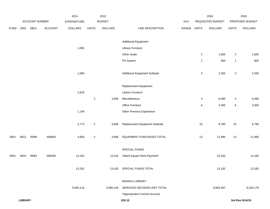|             |                |                |         | 2014           |                | 2015           |                                |             |                | 2016             |                | 2016            |
|-------------|----------------|----------------|---------|----------------|----------------|----------------|--------------------------------|-------------|----------------|------------------|----------------|-----------------|
|             |                | ACCOUNT NUMBER |         | EXPENDITURE    |                | <b>BUDGET</b>  |                                | PAY         |                | REQUESTED BUDGET |                | PROPOSED BUDGET |
| <b>FUND</b> | ORG            | <b>SBCL</b>    | ACCOUNT | <b>DOLLARS</b> | <b>UNITS</b>   | <b>DOLLARS</b> | LINE DESCRIPTION               | RANGE UNITS |                | <b>DOLLARS</b>   | <b>UNITS</b>   | <b>DOLLARS</b>  |
|             |                |                |         |                |                |                |                                |             |                |                  |                |                 |
|             |                |                |         |                |                |                | <b>Additional Equipment</b>    |             |                |                  |                |                 |
|             |                |                |         | 1,083          |                |                | <b>Library Furniture</b>       |             |                |                  |                |                 |
|             |                |                |         |                |                |                | Other Audio                    |             | $\overline{a}$ | 1,600            | $\overline{2}$ | 1,600           |
|             |                |                |         |                |                |                | PA System                      |             | $\mathbf{1}$   | 600              | $\mathbf{1}$   | 600             |
|             |                |                |         | 1,083          |                |                | Additional Equipment Subtotal  |             | 3              | 2,200            | $\mathbf 3$    | 2,200           |
|             |                |                |         |                |                |                |                                |             |                |                  |                |                 |
|             |                |                |         |                |                |                | Replacement Equipment          |             |                |                  |                |                 |
|             |                |                |         | 2,625          |                |                | <b>Library Furniture</b>       |             |                |                  |                |                 |
|             |                |                |         |                | $\overline{c}$ | 3,685          | Miscellaneous                  |             | 4              | 6,490            | 4              | 6,490           |
|             |                |                |         |                |                |                | Office Furniture               |             | 6              | 3,300            | 6              | 3,300           |
|             |                |                |         | 1,148          |                |                | Other Previous Experience      |             |                |                  |                |                 |
|             |                |                |         | 3,773          | $\overline{2}$ | 3,685          | Replacement Equipment Subtotal |             | $10$           | 9,790            | $10$           | 9,790           |
| 0001        | 8612           | R999           | 006800  | 4,856          | $\overline{c}$ | 3,685          | EQUIPMENT PURCHASES TOTAL      |             | $13$           | 11,990           | $13$           | 11,990          |
|             |                |                |         |                |                |                | SPECIAL FUNDS                  |             |                |                  |                |                 |
| 0001        | 8610           | R863           | 006300  | 13,182         |                | 13,182         | Villard Square Rent Payment*   |             |                | 13,182           |                | 13,182          |
|             |                |                |         | 13,182         |                |                | 13,182 SPECIAL FUNDS TOTAL     |             |                | 13,182           |                | 13,182          |
|             |                |                |         |                |                |                | <b>BRANCH LIBRARY</b>          |             |                |                  |                |                 |
|             |                |                |         | 5,682,116      |                | 5,885,100      | SERVICES DECISION UNIT TOTAL   |             |                | 6,663,367        |                | 6,526,179       |
|             |                |                |         |                |                |                | *Appropriation Control Account |             |                |                  |                |                 |
|             | <b>LIBRARY</b> |                |         |                |                |                | 220.15                         |             |                |                  |                | 3rd Run 9/14/15 |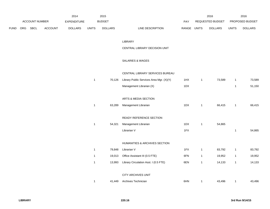|             |                |         | 2014               |              | 2015           |                                          |       |              | 2016             |              | 2016            |
|-------------|----------------|---------|--------------------|--------------|----------------|------------------------------------------|-------|--------------|------------------|--------------|-----------------|
|             | ACCOUNT NUMBER |         | <b>EXPENDITURE</b> |              | <b>BUDGET</b>  |                                          | PAY   |              | REQUESTED BUDGET |              | PROPOSED BUDGET |
| <b>FUND</b> | ORG SBCL       | ACCOUNT | <b>DOLLARS</b>     | <b>UNITS</b> | <b>DOLLARS</b> | LINE DESCRIPTION                         | RANGE | <b>UNITS</b> | <b>DOLLARS</b>   | <b>UNITS</b> | <b>DOLLARS</b>  |
|             |                |         |                    |              |                | LIBRARY                                  |       |              |                  |              |                 |
|             |                |         |                    |              |                | CENTRAL LIBRARY DECISION UNIT            |       |              |                  |              |                 |
|             |                |         |                    |              |                | SALARIES & WAGES                         |       |              |                  |              |                 |
|             |                |         |                    |              |                | CENTRAL LIBRARY SERVICES BUREAU          |       |              |                  |              |                 |
|             |                |         |                    | $\mathbf{1}$ | 70,126         | Library Public Services Area Mgr. (X)(Y) | 1HX   | $\mathbf{1}$ | 73,589           | $\mathbf{1}$ | 73,589          |
|             |                |         |                    |              |                | Management Librarian (X)                 | 1DX   |              |                  | $\mathbf{1}$ | 51,150          |
|             |                |         |                    |              |                | ARTS & MEDIA SECTION                     |       |              |                  |              |                 |
|             |                |         |                    | $\mathbf{1}$ | 63,289         | Management Librarian                     | 1DX   | $\mathbf{1}$ | 66,415           | $\mathbf{1}$ | 66,415          |
|             |                |         |                    |              |                | READY REFERENCE SECTION                  |       |              |                  |              |                 |
|             |                |         |                    | $\mathbf{1}$ | 54,321         | Management Librarian                     | 1DX   | $\mathbf{1}$ | 54,865           |              |                 |
|             |                |         |                    |              |                | Librarian V                              | 1FX   |              |                  | $\mathbf{1}$ | 54,865          |
|             |                |         |                    |              |                | HUMANITIES & ARCHIVES SECTION            |       |              |                  |              |                 |
|             |                |         |                    | $\mathbf 1$  | 79,848         | Librarian V                              | 1FX   | $\mathbf{1}$ | 83,792           | $\mathbf{1}$ | 83,792          |
|             |                |         |                    | $\mathbf 1$  | 19,013         | Office Assistant III (0.5 FTE)           | 6FN   | $\mathbf{1}$ | 19,952           | $\mathbf{1}$ | 19,952          |
|             |                |         |                    | $\mathbf 1$  | 13,993         | Library Circulation Asst. I (0.5 FTE)    | 6EN   | $\mathbf{1}$ | 14,133           | $\mathbf{1}$ | 14,133          |
|             |                |         |                    |              |                | CITY ARCHIVES UNIT                       |       |              |                  |              |                 |
|             |                |         |                    | 1            | 41,449         | Archives Technician                      | 6HN   | $\mathbf{1}$ | 43,496           | $\mathbf{1}$ | 43,496          |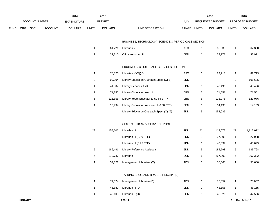|      |     |                |                | 2014               |                         | 2015           |                                                     |             |                | 2016             |                | 2016            |
|------|-----|----------------|----------------|--------------------|-------------------------|----------------|-----------------------------------------------------|-------------|----------------|------------------|----------------|-----------------|
|      |     | ACCOUNT NUMBER |                | <b>EXPENDITURE</b> |                         | <b>BUDGET</b>  |                                                     | PAY         |                | REQUESTED BUDGET |                | PROPOSED BUDGET |
| FUND | ORG | <b>SBCL</b>    | <b>ACCOUNT</b> | <b>DOLLARS</b>     | <b>UNITS</b>            | <b>DOLLARS</b> | LINE DESCRIPTION                                    | RANGE UNITS |                | <b>DOLLARS</b>   | <b>UNITS</b>   | <b>DOLLARS</b>  |
|      |     |                |                |                    |                         |                | BUSINESS, TECHNOLOGY, SCIENCE & PERIODICALS SECTION |             |                |                  |                |                 |
|      |     |                |                |                    | $\mathbf{1}$            | 61,721         | Librarian V                                         | 1FX         | $\mathbf{1}$   | 62,338           | $\mathbf{1}$   | 62,338          |
|      |     |                |                |                    | $\mathbf 1$             | 32,210         | Office Assistant II                                 | 6EN         | $\mathbf{1}$   | 32,971           | $\mathbf{1}$   | 32,971          |
|      |     |                |                |                    |                         |                | EDUCATION & OUTREACH SERVICES SECTION               |             |                |                  |                |                 |
|      |     |                |                |                    | $\mathbf{1}$            | 78,820         | Librarian $V(X)(Y)$                                 | 1FX         | $\mathbf{1}$   | 82,713           | $\mathbf{1}$   | 82,713          |
|      |     |                |                |                    | 3                       | 99,904         | Library Education Outreach Spec. (X)(Z)             | 2DN         |                |                  | 3              | 101,635         |
|      |     |                |                |                    | $\mathbf{1}$            | 41,307         | Library Services Asst.                              | 5DN         | $\mathbf{1}$   | 43,496           | $\mathbf{1}$   | 43,496          |
|      |     |                |                |                    | $\overline{\mathbf{c}}$ | 71,756         | Library Circulation Asst. II                        | 6FN         | $\overline{2}$ | 71,551           | $\overline{a}$ | 71,551          |
|      |     |                |                |                    | 6                       | 121,858        | Library Youth Educator (0.50 FTE) (X)               | 2BN         | 6              | 123,076          | 6              | 123,076         |
|      |     |                |                |                    | $\mathbf{1}$            | 13,994         | Library Circulation Assistant I (0.50 FTE)          | 6EN         | $\mathbf{1}$   | 14,133           | $\mathbf{1}$   | 14,133          |
|      |     |                |                |                    |                         |                | Library Education Outreach Spec. (X) (Z)            | 2DN         | 3              | 152,086          |                |                 |
|      |     |                |                |                    |                         |                | CENTRAL LIBRARY SERVICES POOL                       |             |                |                  |                |                 |
|      |     |                |                |                    | 23                      | 1,158,606      | Librarian III                                       | 2DN         | 21             | 1,112,072        | $21$           | 1,112,072       |
|      |     |                |                |                    |                         |                | Librarian III (0.50 FTE)                            | 2DN         | $\mathbf{1}$   | 27,098           | $\mathbf{1}$   | 27,098          |
|      |     |                |                |                    |                         |                | Librarian III (0.75 FTE)                            | 2DN         | $\mathbf{1}$   | 43,099           | $\mathbf{1}$   | 43,099          |
|      |     |                |                |                    | $\sqrt{5}$              | 186,491        | <b>Library Reference Assistant</b>                  | 5DN         | $\mathbf{5}$   | 185,798          | 5              | 185,798         |
|      |     |                |                |                    | 6                       | 270,737        | Librarian II                                        | 2CN         | 6              | 267,302          | 6              | 267,302         |
|      |     |                |                |                    | $\mathbf{1}$            | 54,321         | Management Librarian (X)                            | 1DX         | $\mathbf{1}$   | 55,660           | $\mathbf{1}$   | 55,660          |
|      |     |                |                |                    |                         |                | TALKING BOOK AND BRAILLE LIBRARY (D)                |             |                |                  |                |                 |
|      |     |                |                |                    | $\mathbf{1}$            | 71,524         | Management Librarian (D)                            | 1DX         | $\mathbf{1}$   | 75,057           | $\mathbf{1}$   | 75,057          |
|      |     |                |                |                    | $\mathbf{1}$            | 45,889         | Librarian III (D)                                   | 2DN         | $\mathbf{1}$   | 48,155           | $\mathbf{1}$   | 48,155          |
|      |     |                |                |                    | $\mathbf{1}$            | 42,105         | Librarian II (D)                                    | 2CN         | $\mathbf{1}$   | 42,526           | $\mathbf{1}$   | 42,526          |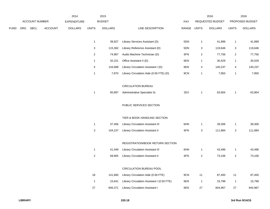|             |     |                |                | 2014               |                | 2015           |                                            |             |                | 2016             |                | 2016            |
|-------------|-----|----------------|----------------|--------------------|----------------|----------------|--------------------------------------------|-------------|----------------|------------------|----------------|-----------------|
|             |     | ACCOUNT NUMBER |                | <b>EXPENDITURE</b> |                | <b>BUDGET</b>  |                                            | PAY         |                | REQUESTED BUDGET |                | PROPOSED BUDGET |
| <b>FUND</b> | ORG | SBCL           | <b>ACCOUNT</b> | <b>DOLLARS</b>     | <b>UNITS</b>   | <b>DOLLARS</b> | LINE DESCRIPTION                           | RANGE UNITS |                | <b>DOLLARS</b>   | <b>UNITS</b>   | <b>DOLLARS</b>  |
|             |     |                |                |                    |                |                |                                            |             |                |                  |                |                 |
|             |     |                |                |                    | $\mathbf{1}$   | 39,927         | Library Services Assistant (D)             | 5DN         | $\mathbf{1}$   | 41,899           | $\mathbf{1}$   | 41,899          |
|             |     |                |                |                    | 3              | 115,362        | Library Reference Assistant (D)            | 5DN         | 3              | 119,646          | $\mathbf{3}$   | 119,646         |
|             |     |                |                |                    | $\overline{2}$ | 74,967         | Audio Machine Technician (D)               | 6FN         | 2              | 77,756           | $\overline{a}$ | 77,756          |
|             |     |                |                |                    | 1              | 32,221         | Office Assistant II (D)                    | 6EN         | 1              | 30,529           | $\mathbf{1}$   | 30,529          |
|             |     |                |                |                    | 4              | 134,688        | Library Circulation Assistant I (D)        | 6EN         | 4              | 140,237          | 4              | 140,237         |
|             |     |                |                |                    | $\mathbf{1}$   | 7,870          | Library Circulation Aide (0.56 FTE) (D)    | 9CN         | 1              | 7,950            | $\mathbf{1}$   | 7,950           |
|             |     |                |                |                    |                |                |                                            |             |                |                  |                |                 |
|             |     |                |                |                    |                |                | <b>CIRCULATION BUREAU</b>                  |             |                |                  |                |                 |
|             |     |                |                |                    | 1              | 60,897         | Administrative Specialist Sr.              | 2EX         | $\mathbf{1}$   | 63,904           | $\mathbf{1}$   | 63,904          |
|             |     |                |                |                    |                |                |                                            |             |                |                  |                |                 |
|             |     |                |                |                    |                |                | PUBLIC SERVICES SECTION                    |             |                |                  |                |                 |
|             |     |                |                |                    |                |                |                                            |             |                |                  |                |                 |
|             |     |                |                |                    |                |                | TIER & BOOK HANDLING SECTION               |             |                |                  |                |                 |
|             |     |                |                |                    | $\mathbf{1}$   | 37,456         | <b>Library Circulation Assistant III</b>   | 6HN         | 1              | 39,306           | $\mathbf{1}$   | 39,306          |
|             |     |                |                |                    | 3              | 104,237        | <b>Library Circulation Assistant II</b>    | 6FN         | 3              | 111,884          | 3              | 111,884         |
|             |     |                |                |                    |                |                |                                            |             |                |                  |                |                 |
|             |     |                |                |                    |                |                | REGISTRATION/BOOK RETURN SECTION           |             |                |                  |                |                 |
|             |     |                |                |                    | 1              | 41,449         | Library Circulation Assistant III          | 6HN         | 1              | 43,496           | $\mathbf{1}$   | 43,496          |
|             |     |                |                |                    | $\overline{a}$ | 69,665         | Library Circulation Assistant II           | 6FN         | $\overline{a}$ | 73,106           | $\overline{a}$ | 73,106          |
|             |     |                |                |                    |                |                |                                            |             |                |                  |                |                 |
|             |     |                |                |                    |                |                | CIRCULATION BUREAU POOL                    |             |                |                  |                |                 |
|             |     |                |                |                    | 18             | 141,660        | Library Circulation Aide (0.56 FTE)        | 9CN         | $11$           | 87,450           | 11             | 87,450          |
|             |     |                |                |                    | $\overline{1}$ | 15,641         | Library Circulation Assistant I (0.50 FTE) | 6EN         | $\overline{1}$ | 15,798           | $\mathbf{1}$   | 15,798          |
|             |     |                |                |                    | 27             | 846,371        | Library Circulation Assistant I            | 6EN         | 27             | 844,967          | 27             | 844,967         |
|             |     |                |                |                    |                |                |                                            |             |                |                  |                |                 |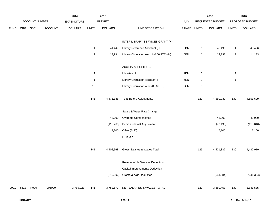|             |      |                |                | 2014               |                | 2015           |                                            |       |              | 2016             |                | 2016            |
|-------------|------|----------------|----------------|--------------------|----------------|----------------|--------------------------------------------|-------|--------------|------------------|----------------|-----------------|
|             |      | ACCOUNT NUMBER |                | <b>EXPENDITURE</b> |                | <b>BUDGET</b>  |                                            | PAY   |              | REQUESTED BUDGET |                | PROPOSED BUDGET |
| <b>FUND</b> | ORG  | SBCL           | <b>ACCOUNT</b> | <b>DOLLARS</b>     | <b>UNITS</b>   | <b>DOLLARS</b> | LINE DESCRIPTION                           | RANGE | <b>UNITS</b> | <b>DOLLARS</b>   | <b>UNITS</b>   | <b>DOLLARS</b>  |
|             |      |                |                |                    |                |                |                                            |       |              |                  |                |                 |
|             |      |                |                |                    |                |                | INTER LIBRARY SERVICES GRANT (H)           |       |              |                  |                |                 |
|             |      |                |                |                    | $\mathbf{1}$   | 41,449         | Library Reference Assistant (H)            | 5DN   | $\mathbf{1}$ | 43,496           | $\overline{1}$ | 43,496          |
|             |      |                |                |                    | $\mathbf{1}$   | 13,994         | Library Circulation Asst. I (0.50 FTE) (H) | 6EN   | $\mathbf{1}$ | 14,133           | $\overline{1}$ | 14,133          |
|             |      |                |                |                    |                |                |                                            |       |              |                  |                |                 |
|             |      |                |                |                    |                |                | <b>AUXILIARY POSITIONS</b>                 |       |              |                  |                |                 |
|             |      |                |                |                    | $\overline{1}$ |                | Librarian III                              | 2DN   | $\mathbf{1}$ |                  | $\mathbf{1}$   |                 |
|             |      |                |                |                    | $\overline{1}$ |                | <b>Library Circulation Assistant I</b>     | 6EN   | $\mathbf{1}$ |                  | $\overline{1}$ |                 |
|             |      |                |                |                    | 10             |                | Library Circulation Aide (0.56 FTE)        | 9CN   | $\,$ 5 $\,$  |                  | $\,$ 5 $\,$    |                 |
|             |      |                |                |                    |                |                |                                            |       |              |                  |                |                 |
|             |      |                |                |                    | 141            | 4,471,136      | <b>Total Before Adjustments</b>            |       | 129          | 4,550,930        | 130            | 4,551,629       |
|             |      |                |                |                    |                |                |                                            |       |              |                  |                |                 |
|             |      |                |                |                    |                |                | Salary & Wage Rate Change                  |       |              |                  |                |                 |
|             |      |                |                |                    |                | 43,000         | Overtime Compensated                       |       |              | 43,000           |                | 43,000          |
|             |      |                |                |                    |                | (118, 768)     | Personnel Cost Adjustment                  |       |              | (79, 193)        |                | (118, 810)      |
|             |      |                |                |                    |                | 7,200          | Other (Shift)                              |       |              | 7,100            |                | 7,100           |
|             |      |                |                |                    |                |                | Furlough                                   |       |              |                  |                |                 |
|             |      |                |                |                    |                |                |                                            |       |              |                  |                |                 |
|             |      |                |                |                    | 141            | 4,402,568      | Gross Salaries & Wages Total               |       | 129          | 4,521,837        | 130            | 4,482,919       |
|             |      |                |                |                    |                |                |                                            |       |              |                  |                |                 |
|             |      |                |                |                    |                |                | Reimbursable Services Deduction            |       |              |                  |                |                 |
|             |      |                |                |                    |                |                | Capital Improvements Deduction             |       |              |                  |                |                 |
|             |      |                |                |                    |                | (619,996)      | <b>Grants &amp; Aids Deduction</b>         |       |              | (641, 384)       |                | (641, 384)      |
|             |      |                |                |                    |                |                |                                            |       |              |                  |                |                 |
| 0001        | 8613 | R999           | 006000         | 3,769,923          | 141            | 3,782,572      | NET SALARIES & WAGES TOTAL                 |       | 129          | 3,880,453        | 130            | 3,841,535       |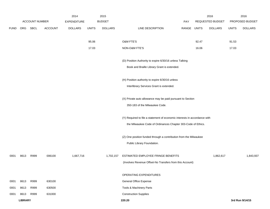|             |                |                |                | 2014               |              | 2015           |                                                                           |       |              | 2016             |              | 2016            |
|-------------|----------------|----------------|----------------|--------------------|--------------|----------------|---------------------------------------------------------------------------|-------|--------------|------------------|--------------|-----------------|
|             |                | ACCOUNT NUMBER |                | <b>EXPENDITURE</b> |              | <b>BUDGET</b>  |                                                                           | PAY   |              | REQUESTED BUDGET |              | PROPOSED BUDGET |
| <b>FUND</b> |                | ORG SBCL       | <b>ACCOUNT</b> | <b>DOLLARS</b>     | <b>UNITS</b> | <b>DOLLARS</b> | LINE DESCRIPTION                                                          | RANGE | <b>UNITS</b> | <b>DOLLARS</b>   | <b>UNITS</b> | <b>DOLLARS</b>  |
|             |                |                |                |                    |              |                |                                                                           |       |              |                  |              |                 |
|             |                |                |                |                    | 95.06        |                | O&M FTE'S                                                                 |       | 92.47        |                  | 91.53        |                 |
|             |                |                |                |                    | 17.03        |                | NON-O&M FTE'S                                                             |       | 16.06        |                  | 17.03        |                 |
|             |                |                |                |                    |              |                |                                                                           |       |              |                  |              |                 |
|             |                |                |                |                    |              |                | (D) Position Authority to expire 6/30/16 unless Talking                   |       |              |                  |              |                 |
|             |                |                |                |                    |              |                | Book and Braille Library Grant is extended.                               |       |              |                  |              |                 |
|             |                |                |                |                    |              |                |                                                                           |       |              |                  |              |                 |
|             |                |                |                |                    |              |                | (H) Position authority to expire 6/30/16 unless                           |       |              |                  |              |                 |
|             |                |                |                |                    |              |                | Interlibrary Services Grant is extended.                                  |       |              |                  |              |                 |
|             |                |                |                |                    |              |                |                                                                           |       |              |                  |              |                 |
|             |                |                |                |                    |              |                | (X) Private auto allowance may be paid pursuant to Section                |       |              |                  |              |                 |
|             |                |                |                |                    |              |                | 350-183 of the Milwaukee Code.                                            |       |              |                  |              |                 |
|             |                |                |                |                    |              |                |                                                                           |       |              |                  |              |                 |
|             |                |                |                |                    |              |                | (Y) Required to file a statement of economic interests in accordance with |       |              |                  |              |                 |
|             |                |                |                |                    |              |                | the Milwaukee Code of Ordinances Chapter 303-Code of Ethics.              |       |              |                  |              |                 |
|             |                |                |                |                    |              |                |                                                                           |       |              |                  |              |                 |
|             |                |                |                |                    |              |                | (Z) One position funded through a contribution from the Milwaukee         |       |              |                  |              |                 |
|             |                |                |                |                    |              |                | Public Library Foundation.                                                |       |              |                  |              |                 |
| 0001        | 8613           | R999           | 006100         | 1,667,716          |              | 1,702,157      | ESTIMATED EMPLOYEE FRINGE BENEFITS                                        |       |              | 1,862,617        |              | 1,843,937       |
|             |                |                |                |                    |              |                | (Involves Revenue Offset-No Transfers from this Account)                  |       |              |                  |              |                 |
|             |                |                |                |                    |              |                |                                                                           |       |              |                  |              |                 |
|             |                |                |                |                    |              |                | OPERATING EXPENDITURES                                                    |       |              |                  |              |                 |
| 0001        | 8613           | R999           | 630100         |                    |              |                | General Office Expense                                                    |       |              |                  |              |                 |
| 0001        | 8613           | R999           | 630500         |                    |              |                | Tools & Machinery Parts                                                   |       |              |                  |              |                 |
| 0001        | 8613           | R999           | 631000         |                    |              |                | <b>Construction Supplies</b>                                              |       |              |                  |              |                 |
|             | <b>LIBRARY</b> |                |                |                    |              |                | 220.20                                                                    |       |              |                  |              | 3rd Run 9/14/15 |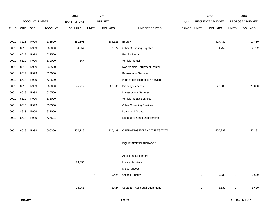|             |      |                       |                | 2014               |              | 2015           |                                    |             |              | 2016             |              | 2016            |
|-------------|------|-----------------------|----------------|--------------------|--------------|----------------|------------------------------------|-------------|--------------|------------------|--------------|-----------------|
|             |      | <b>ACCOUNT NUMBER</b> |                | <b>EXPENDITURE</b> |              | <b>BUDGET</b>  |                                    | PAY         |              | REQUESTED BUDGET |              | PROPOSED BUDGET |
| <b>FUND</b> | ORG  | SBCL                  | <b>ACCOUNT</b> | <b>DOLLARS</b>     | <b>UNITS</b> | <b>DOLLARS</b> | LINE DESCRIPTION                   | RANGE UNITS |              | <b>DOLLARS</b>   | <b>UNITS</b> | <b>DOLLARS</b>  |
|             |      |                       |                |                    |              |                |                                    |             |              |                  |              |                 |
| 0001        | 8613 | R999                  | 631500         | 431,398            |              | 384,125        | Energy                             |             |              | 417,480          |              | 417,480         |
| 0001        | 8613 | R999                  | 632000         | 4,354              |              | 8,374          | <b>Other Operating Supplies</b>    |             |              | 4,752            |              | 4,752           |
| 0001        | 8613 | R999                  | 632500         |                    |              |                | <b>Facility Rental</b>             |             |              |                  |              |                 |
| 0001        | 8613 | R999                  | 633000         | 664                |              |                | Vehicle Rental                     |             |              |                  |              |                 |
| 0001        | 8613 | R999                  | 633500         |                    |              |                | Non-Vehicle Equipment Rental       |             |              |                  |              |                 |
| 0001        | 8613 | R999                  | 634000         |                    |              |                | <b>Professional Services</b>       |             |              |                  |              |                 |
| 0001        | 8613 | R999                  | 634500         |                    |              |                | Information Technology Services    |             |              |                  |              |                 |
| 0001        | 8613 | R999                  | 635000         | 25,712             |              | 28,000         | <b>Property Services</b>           |             |              | 28,000           |              | 28,000          |
| 0001        | 8613 | R999                  | 635500         |                    |              |                | <b>Infrastructure Services</b>     |             |              |                  |              |                 |
| 0001        | 8613 | R999                  | 636000         |                    |              |                | Vehicle Repair Services            |             |              |                  |              |                 |
| 0001        | 8613 | R999                  | 636500         |                    |              |                | <b>Other Operating Services</b>    |             |              |                  |              |                 |
| 0001        | 8613 | R999                  | 637000         |                    |              |                | Loans and Grants                   |             |              |                  |              |                 |
| 0001        | 8613 | R999                  | 637501         |                    |              |                | <b>Reimburse Other Departments</b> |             |              |                  |              |                 |
|             |      |                       |                |                    |              |                |                                    |             |              |                  |              |                 |
| 0001        | 8613 | R999                  | 006300         | 462,128            |              | 420,499        | OPERATING EXPENDITURES TOTAL       |             |              | 450,232          |              | 450,232         |
|             |      |                       |                |                    |              |                |                                    |             |              |                  |              |                 |
|             |      |                       |                |                    |              |                | <b>EQUIPMENT PURCHASES</b>         |             |              |                  |              |                 |
|             |      |                       |                |                    |              |                |                                    |             |              |                  |              |                 |
|             |      |                       |                |                    |              |                | <b>Additional Equipment</b>        |             |              |                  |              |                 |
|             |      |                       |                | 23,056             |              |                | <b>Library Furniture</b>           |             |              |                  |              |                 |
|             |      |                       |                |                    |              |                | Miscellaneous                      |             |              |                  |              |                 |
|             |      |                       |                |                    | 4            |                | 6,424 Office Furniture             |             | $\mathbf{3}$ | 5,630            | $\mathbf{3}$ | 5,630           |
|             |      |                       |                |                    |              |                |                                    |             |              |                  |              |                 |
|             |      |                       |                | 23,056             | 4            | 6,424          | Subtotal - Additional Equipment    |             | $\mathbf{3}$ | 5,630            | $\mathbf{3}$ | 5,630           |
|             |      |                       |                |                    |              |                |                                    |             |              |                  |              |                 |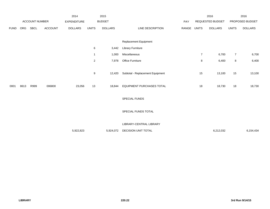|             |            |                |                | 2014               |                | 2015           |                                  |       |                | 2016             |                | 2016            |
|-------------|------------|----------------|----------------|--------------------|----------------|----------------|----------------------------------|-------|----------------|------------------|----------------|-----------------|
|             |            | ACCOUNT NUMBER |                | <b>EXPENDITURE</b> |                | <b>BUDGET</b>  |                                  | PAY   |                | REQUESTED BUDGET |                | PROPOSED BUDGET |
| <b>FUND</b> | <b>ORG</b> | SBCL           | <b>ACCOUNT</b> | <b>DOLLARS</b>     | <b>UNITS</b>   | <b>DOLLARS</b> | LINE DESCRIPTION                 | RANGE | <b>UNITS</b>   | <b>DOLLARS</b>   | <b>UNITS</b>   | <b>DOLLARS</b>  |
|             |            |                |                |                    |                |                |                                  |       |                |                  |                |                 |
|             |            |                |                |                    |                |                | Replacement Equipment            |       |                |                  |                |                 |
|             |            |                |                |                    | 6              | 3,442          | <b>Library Furniture</b>         |       |                |                  |                |                 |
|             |            |                |                |                    | $\mathbf{1}$   | 1,000          | Miscellaneous                    |       | $\overline{7}$ | 6,700            | $\overline{7}$ | 6,700           |
|             |            |                |                |                    | $\overline{2}$ | 7,978          | <b>Office Furniture</b>          |       | 8              | 6,400            | 8              | 6,400           |
|             |            |                |                |                    |                |                |                                  |       |                |                  |                |                 |
|             |            |                |                |                    | 9              | 12,420         | Subtotal - Replacement Equipment |       | 15             | 13,100           | 15             | 13,100          |
|             |            |                |                |                    |                |                |                                  |       |                |                  |                |                 |
| 0001        | 8613       | R999           | 006800         | 23,056             | 13             | 18,844         | <b>EQUIPMENT PURCHASES TOTAL</b> |       | 18             | 18,730           | 18             | 18,730          |
|             |            |                |                |                    |                |                |                                  |       |                |                  |                |                 |
|             |            |                |                |                    |                |                | SPECIAL FUNDS                    |       |                |                  |                |                 |
|             |            |                |                |                    |                |                | SPECIAL FUNDS TOTAL              |       |                |                  |                |                 |
|             |            |                |                |                    |                |                |                                  |       |                |                  |                |                 |
|             |            |                |                |                    |                |                | LIBRARY-CENTRAL LIBRARY          |       |                |                  |                |                 |
|             |            |                |                | 5,922,823          |                | 5,924,072      | DECISION UNIT TOTAL              |       |                | 6,212,032        |                | 6,154,434       |
|             |            |                |                |                    |                |                |                                  |       |                |                  |                |                 |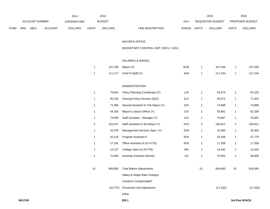|      |              | ACCOUNT NUMBER |         | 2014<br>EXPENDITURE |                | 2015<br><b>BUDGET</b> |                                     | PAY         |                | 2016<br>REQUESTED BUDGET |                | 2016<br>PROPOSED BUDGET |
|------|--------------|----------------|---------|---------------------|----------------|-----------------------|-------------------------------------|-------------|----------------|--------------------------|----------------|-------------------------|
| FUND | ORG          | <b>SBCL</b>    | ACCOUNT | <b>DOLLARS</b>      | <b>UNITS</b>   | <b>DOLLARS</b>        | LINE DESCRIPTION                    | RANGE UNITS |                | <b>DOLLARS</b>           | <b>UNITS</b>   | <b>DOLLARS</b>          |
|      |              |                |         |                     |                |                       |                                     |             |                |                          |                |                         |
|      |              |                |         |                     |                |                       | <b>MAYOR'S OFFICE</b>               |             |                |                          |                |                         |
|      |              |                |         |                     |                |                       | BUDGETARY CONTROL UNIT (1BCU = 1DU) |             |                |                          |                |                         |
|      |              |                |         |                     |                |                       |                                     |             |                |                          |                |                         |
|      |              |                |         |                     |                |                       | SALARIES & WAGES                    |             |                |                          |                |                         |
|      |              |                |         |                     | $\mathbf{1}$   | 147,336               | Mayor (Y)                           | EOE         | $\mathbf{1}$   | 147,336                  | $\mathbf{1}$   | 147,336                 |
|      |              |                |         |                     | $\mathbf{1}$   | 111,717               | Chief of Staff (Y)                  | 1MX         | $\mathbf{1}$   | 117,244                  | $\mathbf{1}$   | 117,244                 |
|      |              |                |         |                     |                |                       |                                     |             |                |                          |                |                         |
|      |              |                |         |                     |                |                       | <b>ADMINISTRATION</b>               |             |                |                          |                |                         |
|      |              |                |         |                     | $\mathbf{1}$   | 79,643                | Policy Planning Coordinator (Y)     | 1JX         | $\mathbf{1}$   | 83,579                   | $\mathbf{1}$   | 87,225                  |
|      |              |                |         |                     | $\mathbf{1}$   | 82,243                | Housing Policy Director (A)(Y)      | 2LX         | $\mathbf{1}$   | 83,072                   | $\mathbf{1}$   | 77,823                  |
|      |              |                |         |                     | $\mathbf{1}$   | 71,365                | Special Assistant to The Mayor (Y)  | 2KX         | $\mathbf{1}$   | 74,898                   | $\mathbf{1}$   | 74,898                  |
|      |              |                |         |                     | $\mathbf{1}$   | 54,330                | Mayor's Liaison Officer (Y)         | 2JX         | $\mathbf{1}$   | 55,661                   | $\mathbf{1}$   | 62,338                  |
|      |              |                |         |                     | $\mathbf{1}$   | 74,069                | Staff Assistant - Manager (Y)       | 2JX         | $\mathbf{1}$   | 75,897                   | $\mathbf{1}$   | 75,897                  |
|      |              |                |         |                     | $\overline{c}$ | 102,627               | Staff Assistant to the Mayor (Y)    | 2GX         | $\overline{c}$ | 105,811                  | $\overline{2}$ | 105,811                 |
|      |              |                |         |                     | $\mathbf{1}$   | 42,078                | Management Services Spec. (Y)       | 2DN         | $\mathbf{1}$   | 42,500                   | $\mathbf{1}$   | 45,305                  |
|      |              |                |         |                     | $\mathbf{1}$   | 42,120                | Program Assistant II                | 5FN         | $\mathbf{1}$   | 42,539                   | $\mathbf{1}$   | 47,779                  |
|      |              |                |         |                     | $\mathbf{1}$   | 17,191                | Office Assistant III (0.5 FTE)      | 6FN         | $\mathbf{1}$   | 17,358                   | $\mathbf{1}$   | 17,358                  |
|      |              |                |         |                     | $\mathbf{1}$   | 12,137                | College Intern (0.25 FTE)           | 9I          | $\overline{c}$ | 13,442                   | $\overline{2}$ | 13,442                  |
|      |              |                |         |                     | $\mathbf{1}$   | 72,000                | <b>Housing Outreach Director</b>    | 11X         | $\mathbf{1}$   | 75,556                   | $\mathbf{1}$   | 56,609                  |
|      |              |                |         |                     |                |                       |                                     |             |                |                          |                |                         |
|      |              |                |         |                     | 14             |                       | 908,856 Total Before Adjustments    |             | 15             | 934,893                  | 15             | 929,065                 |
|      |              |                |         |                     |                |                       | Salary & Wage Rate Changes          |             |                |                          |                |                         |
|      |              |                |         |                     |                |                       | Overtime Compensated*               |             |                |                          |                |                         |
|      |              |                |         |                     |                |                       | (16,737) Personnel Cost Adjustment  |             |                | (17, 332)                |                | (17, 332)               |
|      |              |                |         |                     |                |                       | Other                               |             |                |                          |                |                         |
|      | <b>MAYOR</b> |                |         |                     |                |                       | 230.1                               |             |                |                          |                | 3rd Run 9/14/15         |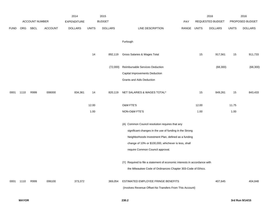|             |      |                |                | 2014               |       | 2015           |                                                                                                                                                                                                                                                               |       |              | 2016             |              | 2016            |
|-------------|------|----------------|----------------|--------------------|-------|----------------|---------------------------------------------------------------------------------------------------------------------------------------------------------------------------------------------------------------------------------------------------------------|-------|--------------|------------------|--------------|-----------------|
|             |      | ACCOUNT NUMBER |                | <b>EXPENDITURE</b> |       | <b>BUDGET</b>  |                                                                                                                                                                                                                                                               | PAY   |              | REQUESTED BUDGET |              | PROPOSED BUDGET |
| <b>FUND</b> | ORG  | SBCL           | <b>ACCOUNT</b> | <b>DOLLARS</b>     | UNITS | <b>DOLLARS</b> | LINE DESCRIPTION                                                                                                                                                                                                                                              | RANGE | <b>UNITS</b> | <b>DOLLARS</b>   | <b>UNITS</b> | <b>DOLLARS</b>  |
|             |      |                |                |                    |       |                | Furlough                                                                                                                                                                                                                                                      |       |              |                  |              |                 |
|             |      |                |                |                    | 14    | 892,119        | Gross Salaries & Wages Total                                                                                                                                                                                                                                  |       | 15           | 917,561          | 15           | 911,733         |
|             |      |                |                |                    |       | (72,000)       | Reimbursable Services Deduction                                                                                                                                                                                                                               |       |              | (68, 300)        |              | (68, 300)       |
|             |      |                |                |                    |       |                | <b>Capital Improvements Deduction</b>                                                                                                                                                                                                                         |       |              |                  |              |                 |
|             |      |                |                |                    |       |                | <b>Grants and Aids Deduction</b>                                                                                                                                                                                                                              |       |              |                  |              |                 |
| 0001        | 1110 | R999           | 006000         | 834,361            | 14    | 820,119        | NET SALARIES & WAGES TOTAL*                                                                                                                                                                                                                                   |       | 15           | 849,261          | 15           | 843,433         |
|             |      |                |                |                    | 12.00 |                | O&M FTE'S                                                                                                                                                                                                                                                     |       | 12.00        |                  | 11.75        |                 |
|             |      |                |                |                    | 1.00  |                | NON-O&M FTE'S                                                                                                                                                                                                                                                 |       | 1.00         |                  | 1.00         |                 |
|             |      |                |                |                    |       |                | (A) Common Council resolution requires that any<br>significant changes in the use of funding in the Strong<br>Neighborhoods Investment Plan, defined as a funding<br>change of 10% or \$100,000, whichever is less, shall<br>require Common Council approval. |       |              |                  |              |                 |
|             |      |                |                |                    |       |                | (Y) Required to file a statement of economic interests in accordance with<br>the Milwaukee Code of Ordinances Chapter 303-Code of Ethics.                                                                                                                     |       |              |                  |              |                 |
| 0001        | 1110 | R999           | 006100         | 373,372            |       | 369,054        | ESTIMATED EMPLOYEE FRINGE BENEFITS<br>(Involves Revenue Offset-No Transfers From This Account)                                                                                                                                                                |       |              | 407,645          |              | 404,848         |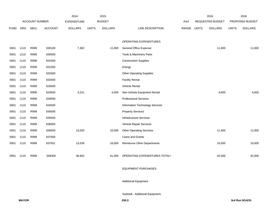|             |      |                       |                | 2014               |              | 2015           |                                    |       |              | 2016             |              | 2016            |
|-------------|------|-----------------------|----------------|--------------------|--------------|----------------|------------------------------------|-------|--------------|------------------|--------------|-----------------|
|             |      | <b>ACCOUNT NUMBER</b> |                | <b>EXPENDITURE</b> |              | <b>BUDGET</b>  |                                    | PAY   |              | REQUESTED BUDGET |              | PROPOSED BUDGET |
| <b>FUND</b> | ORG  | <b>SBCL</b>           | <b>ACCOUNT</b> | <b>DOLLARS</b>     | <b>UNITS</b> | <b>DOLLARS</b> | LINE DESCRIPTION                   | RANGE | <b>UNITS</b> | <b>DOLLARS</b>   | <b>UNITS</b> | <b>DOLLARS</b>  |
|             |      |                       |                |                    |              |                |                                    |       |              |                  |              |                 |
|             |      |                       |                |                    |              |                | OPERATING EXPENDITURES             |       |              |                  |              |                 |
| 0001        | 1110 | R999                  | 630100         | 7,362              |              | 11,000         | General Office Expense             |       |              | 11,000           |              | 11,000          |
| 0001        | 1110 | R999                  | 630500         |                    |              |                | Tools & Machinery Parts            |       |              |                  |              |                 |
| 0001        | 1110 | R999                  | 631000         |                    |              |                | <b>Construction Supplies</b>       |       |              |                  |              |                 |
| 0001        | 1110 | R999                  | 631500         |                    |              |                | Energy                             |       |              |                  |              |                 |
| 0001        | 1110 | R999                  | 632000         |                    |              |                | <b>Other Operating Supplies</b>    |       |              |                  |              |                 |
| 0001        | 1110 | R999                  | 632500         |                    |              |                | <b>Facility Rental</b>             |       |              |                  |              |                 |
| 0001        | 1110 | R999                  | 633000         |                    |              |                | Vehicle Rental                     |       |              |                  |              |                 |
| 0001        | 1110 | R999                  | 633500         | 3,241              |              | 4,000          | Non-Vehicle Equipment Rental       |       |              | 4,000            |              | 4,000           |
| 0001        | 1110 | R999                  | 634000         |                    |              |                | <b>Professional Services</b>       |       |              |                  |              |                 |
| 0001        | 1110 | R999                  | 634500         |                    |              |                | Information Technology Services    |       |              |                  |              |                 |
| 0001        | 1110 | R999                  | 635000         |                    |              |                | <b>Property Services</b>           |       |              |                  |              |                 |
| 0001        | 1110 | R999                  | 635500         |                    |              |                | <b>Infrastructure Services</b>     |       |              |                  |              |                 |
| 0001        | 1110 | R999                  | 636000         |                    |              |                | Vehicle Repair Services            |       |              |                  |              |                 |
| 0001        | 1110 | R999                  | 636500         | 13,020             |              | 10,000         | <b>Other Operating Services</b>    |       |              | 11,000           |              | 11,000          |
| 0001        | 1110 | R999                  | 637000         |                    |              |                | Loans and Grants                   |       |              |                  |              |                 |
| 0001        | 1110 | R999                  | 637501         | 13,039             |              | 16,000         | <b>Reimburse Other Departments</b> |       |              | 16,000           |              | 16,000          |
|             |      |                       |                |                    |              |                |                                    |       |              |                  |              |                 |
| 0001        | 1110 | R999                  | 006300         | 36,662             |              | 41,000         | OPERATING EXPENDITURES TOTAL*      |       |              | 42,000           |              | 42,000          |
|             |      |                       |                |                    |              |                |                                    |       |              |                  |              |                 |

# EQUIPMENT PURCHASES

## Additional Equipment

## Subtotal - Additional Equipment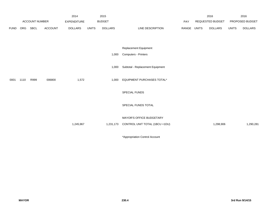|             |      |                |                | 2014               |              | 2015           |                                          |             | 2016             |              | 2016            |
|-------------|------|----------------|----------------|--------------------|--------------|----------------|------------------------------------------|-------------|------------------|--------------|-----------------|
|             |      | ACCOUNT NUMBER |                | <b>EXPENDITURE</b> |              | <b>BUDGET</b>  |                                          | PAY         | REQUESTED BUDGET |              | PROPOSED BUDGET |
| <b>FUND</b> | ORG  | SBCL           | <b>ACCOUNT</b> | <b>DOLLARS</b>     | <b>UNITS</b> | <b>DOLLARS</b> | LINE DESCRIPTION                         | RANGE UNITS | <b>DOLLARS</b>   | <b>UNITS</b> | <b>DOLLARS</b>  |
|             |      |                |                |                    |              |                |                                          |             |                  |              |                 |
|             |      |                |                |                    |              |                |                                          |             |                  |              |                 |
|             |      |                |                |                    |              |                | Replacement Equipment                    |             |                  |              |                 |
|             |      |                |                |                    |              | 1,000          | <b>Computers - Printers</b>              |             |                  |              |                 |
|             |      |                |                |                    |              |                |                                          |             |                  |              |                 |
|             |      |                |                |                    |              | 1,000          | Subtotal - Replacement Equipment         |             |                  |              |                 |
|             |      |                |                |                    |              |                |                                          |             |                  |              |                 |
| 0001        | 1110 | R999           | 006800         | 1,572              |              | 1,000          | EQUIPMENT PURCHASES TOTAL*               |             |                  |              |                 |
|             |      |                |                |                    |              |                |                                          |             |                  |              |                 |
|             |      |                |                |                    |              |                | SPECIAL FUNDS                            |             |                  |              |                 |
|             |      |                |                |                    |              |                |                                          |             |                  |              |                 |
|             |      |                |                |                    |              |                | SPECIAL FUNDS TOTAL                      |             |                  |              |                 |
|             |      |                |                |                    |              |                |                                          |             |                  |              |                 |
|             |      |                |                |                    |              |                | <b>MAYOR'S OFFICE BUDGETARY</b>          |             |                  |              |                 |
|             |      |                |                | 1,245,967          |              |                | 1,231,173 CONTROL UNIT TOTAL (1BCU =1DU) |             | 1,298,906        |              | 1,290,281       |
|             |      |                |                |                    |              |                |                                          |             |                  |              |                 |
|             |      |                |                |                    |              |                |                                          |             |                  |              |                 |

\*Appropriation Control Account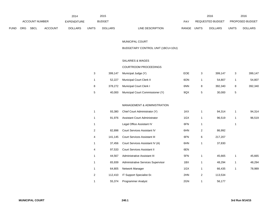|             |                       |      |                    | 2014           |               | 2015           |                           |                  | 2016           |                        | 2016           |
|-------------|-----------------------|------|--------------------|----------------|---------------|----------------|---------------------------|------------------|----------------|------------------------|----------------|
|             | <b>ACCOUNT NUMBER</b> |      | <b>EXPENDITURE</b> |                | <b>BUDGET</b> | PAY            |                           | REQUESTED BUDGET |                | <b>PROPOSED BUDGET</b> |                |
| <b>FUND</b> | ORG                   | SBCL | <b>ACCOUNT</b>     | <b>DOLLARS</b> | <b>UNITS</b>  | <b>DOLLARS</b> | LINE DESCRIPTION<br>RANGE | <b>UNITS</b>     | <b>DOLLARS</b> | <b>UNITS</b>           | <b>DOLLARS</b> |

#### MUNICIPAL COURT

## BUDGETARY CONTROL UNIT (1BCU=1DU)

### SALARIES & WAGES

#### COURTROOM PROCEEDINGS

| 3 | 399.147 | Municipal Judge (Y)              | EOE |   | 399.147 |   | 399.147 |
|---|---------|----------------------------------|-----|---|---------|---|---------|
|   | 52.227  | Municipal Court Clerk II         | 6ON |   | 54.807  |   | 54,807  |
| 8 | 378,272 | <b>Municipal Court Clerk I</b>   | 6NN | 8 | 392.340 | 8 | 392,340 |
| 5 | 40.000  | Municipal Court Commissioner (Y) | 9QX |   | 30,000  | 5 |         |

#### MANAGEMENT & ADMINISTRATION

| 1 | 93,380  | Chief Court Administrator (Y)       | 1KX |   | 94,314  |   | 94,314 |
|---|---------|-------------------------------------|-----|---|---------|---|--------|
| 1 | 91,976  | Assistant Court Administrator       | 1GX |   | 96,519  | 1 | 96,519 |
| 1 |         | Legal Office Assistant IV           | 6FN |   |         | 1 |        |
| 2 | 82,898  | Court Services Assistant IV         | 6HN | 2 | 86,992  |   |        |
| 4 | 141.145 | <b>Court Services Assistant III</b> | 6FN | 6 | 217,207 |   |        |
| 1 | 37,456  | Court Services Assistant IV (A)     | 6HN |   | 37,830  |   |        |
| 4 | 97,533  | Court Services Assistant II         | 6EN |   |         |   |        |
| 1 | 44,567  | Administrative Assistant III        | 5FN |   | 45,665  | 1 | 45,665 |
| 1 | 65,939  | Administrative Services Supervisor  | 1BX |   | 48,294  | 1 | 48,294 |
| 1 | 64,805  | Network Manager                     | 1GX | 1 | 66,435  | 1 | 78,989 |
| 2 | 112,410 | IT Support Specialist-Sr.           | 2HN | 2 | 113,534 |   |        |
|   | 55,374  | <b>Programmer Analyst</b>           | 2GN |   | 56,177  |   |        |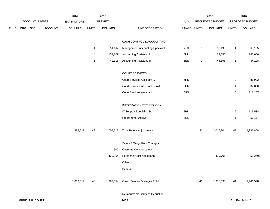|             |     |                |         | 2014           |                | 2015           |                                         |       |              | 2016             |                | 2016            |
|-------------|-----|----------------|---------|----------------|----------------|----------------|-----------------------------------------|-------|--------------|------------------|----------------|-----------------|
|             |     | ACCOUNT NUMBER |         | EXPENDITURE    |                | <b>BUDGET</b>  |                                         | PAY   |              | REQUESTED BUDGET |                | PROPOSED BUDGET |
| <b>FUND</b> | ORG | <b>SBCL</b>    | ACCOUNT | <b>DOLLARS</b> | <b>UNITS</b>   | <b>DOLLARS</b> | LINE DESCRIPTION                        | RANGE | <b>UNITS</b> | <b>DOLLARS</b>   | <b>UNITS</b>   | <b>DOLLARS</b>  |
|             |     |                |         |                |                |                | CASH CONTROL & ACCOUNTING               |       |              |                  |                |                 |
|             |     |                |         |                | $\overline{1}$ | 51,162         | <b>Management Accounting Specialist</b> | 2FX   | 1            | 69,195           | $\mathbf{1}$   | 69,195          |
|             |     |                |         |                | 4              | 157,809        | <b>Accounting Assistant II</b>          | 6HN   | 4            | 162,650          | 4              | 162,650         |
|             |     |                |         |                | $\mathbf{1}$   | 42,118         | <b>Accounting Assistant III</b>         | 5EN   | $\mathbf{1}$ | 44,198           | $\mathbf{1}$   | 44,198          |
|             |     |                |         |                |                |                | <b>COURT SERVICES</b>                   |       |              |                  |                |                 |
|             |     |                |         |                |                |                | Court Services Assistant IV             | 6HN   |              |                  | $\overline{a}$ | 86,992          |
|             |     |                |         |                |                |                | Court Services Assistant IV (A)         | 6HN   |              |                  | $\mathbf{1}$   | 37,830          |
|             |     |                |         |                |                |                | Court Services Assistant III            | 6FN   |              |                  | 6              | 217,207         |
|             |     |                |         |                |                |                | INFORMATION TECHNOLOGY                  |       |              |                  |                |                 |
|             |     |                |         |                |                |                | IT Support Specialist-Sr.               | 2HN   |              |                  | $\overline{2}$ | 113,534         |
|             |     |                |         |                |                |                | Programmer Analyst                      | 2GN   |              |                  | $\mathbf{1}$   | 56,177          |
|             |     |                |         | 1,882,019      | 43             | 2,008,218      | <b>Total Before Adjustments</b>         |       | 41           | 2,015,304        | 41             | 1,997,858       |
|             |     |                |         |                |                |                | Salary & Wage Rate Changes              |       |              |                  |                |                 |
|             |     |                |         |                |                | 500            | Overtime Compensated*                   |       |              |                  |                |                 |
|             |     |                |         |                |                | (39, 364)      | Personnel Cost Adjustment               |       |              | (39, 706)        |                | (51, 260)       |
|             |     |                |         |                |                |                | Other                                   |       |              |                  |                |                 |
|             |     |                |         |                |                |                | Furlough                                |       |              |                  |                |                 |
|             |     |                |         | 1,882,019      | 43             | 1,969,354      | Gross Salaries & Wages Total            |       | 41           | 1,975,598        | 41             | 1,946,598       |
|             |     |                |         |                |                |                | Reimbursable Services Deduction         |       |              |                  |                |                 |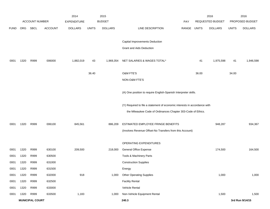|             |      |                        |                | 2014               |              | 2015           |                                                                           |             |       | 2016             |              | 2016            |
|-------------|------|------------------------|----------------|--------------------|--------------|----------------|---------------------------------------------------------------------------|-------------|-------|------------------|--------------|-----------------|
|             |      | <b>ACCOUNT NUMBER</b>  |                | <b>EXPENDITURE</b> |              | <b>BUDGET</b>  |                                                                           | <b>PAY</b>  |       | REQUESTED BUDGET |              | PROPOSED BUDGET |
| <b>FUND</b> | ORG  | SBCL                   | <b>ACCOUNT</b> | <b>DOLLARS</b>     | <b>UNITS</b> | <b>DOLLARS</b> | LINE DESCRIPTION                                                          | RANGE UNITS |       | <b>DOLLARS</b>   | <b>UNITS</b> | <b>DOLLARS</b>  |
|             |      |                        |                |                    |              |                |                                                                           |             |       |                  |              |                 |
|             |      |                        |                |                    |              |                | Capital Improvements Deduction                                            |             |       |                  |              |                 |
|             |      |                        |                |                    |              |                | Grant and Aids Deduction                                                  |             |       |                  |              |                 |
| 0001        | 1320 | R999                   | 006000         | 1,882,019          | 43           | 1,969,354      | NET SALARIES & WAGES TOTAL*                                               |             | 41    | 1,975,598        | 41           | 1,946,598       |
|             |      |                        |                |                    | 36.40        |                | O&M FTE'S                                                                 |             | 36.00 |                  | 34.00        |                 |
|             |      |                        |                |                    |              |                | NON-O&M FTE'S                                                             |             |       |                  |              |                 |
|             |      |                        |                |                    |              |                | (A) One position to require English-Spanish Interpreter skills.           |             |       |                  |              |                 |
|             |      |                        |                |                    |              |                | (Y) Required to file a statement of economic interests in accordance with |             |       |                  |              |                 |
|             |      |                        |                |                    |              |                | the Milwaukee Code of Ordinances Chapter 303-Code of Ethics.              |             |       |                  |              |                 |
| 0001        | 1320 | R999                   | 006100         | 845,561            |              | 886,209        | ESTIMATED EMPLOYEE FRINGE BENEFITS                                        |             |       | 948,287          |              | 934,367         |
|             |      |                        |                |                    |              |                | (Involves Revenue Offset-No Transfers from this Account)                  |             |       |                  |              |                 |
|             |      |                        |                |                    |              |                | OPERATING EXPENDITURES                                                    |             |       |                  |              |                 |
| 0001        | 1320 | R999                   | 630100         | 209,500            |              | 218,000        | General Office Expense                                                    |             |       | 174,500          |              | 164,500         |
| 0001        | 1320 | R999                   | 630500         |                    |              |                | Tools & Machinery Parts                                                   |             |       |                  |              |                 |
| 0001        | 1320 | R999                   | 631000         |                    |              |                | <b>Construction Supplies</b>                                              |             |       |                  |              |                 |
| 0001        | 1320 | R999                   | 631500         |                    |              |                | Energy                                                                    |             |       |                  |              |                 |
| 0001        | 1320 | R999                   | 632000         | 918                |              | 1,000          | <b>Other Operating Supplies</b>                                           |             |       | 1,000            |              | 1,000           |
| 0001        | 1320 | R999                   | 632500         |                    |              |                | <b>Facility Rental</b>                                                    |             |       |                  |              |                 |
| 0001        | 1320 | R999                   | 633000         |                    |              |                | Vehicle Rental                                                            |             |       |                  |              |                 |
| 0001        | 1320 | R999                   | 633500         | 1,183              |              | 1,000          | Non-Vehicle Equipment Rental                                              |             |       | 1,500            |              | 1,500           |
|             |      | <b>MUNICIPAL COURT</b> |                |                    |              |                | 240.3                                                                     |             |       |                  |              | 3rd Run 9/14/15 |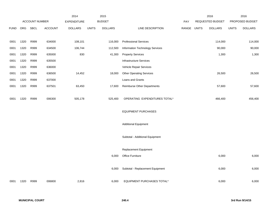|             |      |                       |                | 2014               |              | 2015           |                                  |            |              | 2016             |              | 2016            |
|-------------|------|-----------------------|----------------|--------------------|--------------|----------------|----------------------------------|------------|--------------|------------------|--------------|-----------------|
|             |      | <b>ACCOUNT NUMBER</b> |                | <b>EXPENDITURE</b> |              | <b>BUDGET</b>  |                                  | <b>PAY</b> |              | REQUESTED BUDGET |              | PROPOSED BUDGET |
| <b>FUND</b> | ORG  | <b>SBCL</b>           | <b>ACCOUNT</b> | <b>DOLLARS</b>     | <b>UNITS</b> | <b>DOLLARS</b> | LINE DESCRIPTION                 | RANGE      | <b>UNITS</b> | <b>DOLLARS</b>   | <b>UNITS</b> | <b>DOLLARS</b>  |
|             |      |                       |                |                    |              |                |                                  |            |              |                  |              |                 |
| 0001        | 1320 | R999                  | 634000         | 108,101            |              | 116,000        | <b>Professional Services</b>     |            |              | 114,000          |              | 114,000         |
| 0001        | 1320 | R999                  | 634500         | 106,744            |              | 112,500        | Information Technology Services  |            |              | 90,000           |              | 90,000          |
| 0001        | 1320 | R999                  | 635000         | 830                |              | 41,300         | <b>Property Services</b>         |            |              | 1,300            |              | 1,300           |
| 0001        | 1320 | R999                  | 635500         |                    |              |                | Infrastructure Services          |            |              |                  |              |                 |
| 0001        | 1320 | R999                  | 636000         |                    |              |                | Vehicle Repair Services          |            |              |                  |              |                 |
| 0001        | 1320 | R999                  | 636500         | 14,452             |              | 18,000         | <b>Other Operating Services</b>  |            |              | 26,500           |              | 26,500          |
| 0001        | 1320 | R999                  | 637000         |                    |              |                | Loans and Grants                 |            |              |                  |              |                 |
| 0001        | 1320 | R999                  | 637501         | 63,450             |              | 17,600         | Reimburse Other Departments      |            |              | 57,600           |              | 57,600          |
|             |      |                       |                |                    |              |                |                                  |            |              |                  |              |                 |
| 0001        | 1320 | R999                  | 006300         | 505,178            |              | 525,400        | OPERATING EXPENDITURES TOTAL*    |            |              | 466,400          |              | 456,400         |
|             |      |                       |                |                    |              |                |                                  |            |              |                  |              |                 |
|             |      |                       |                |                    |              |                | <b>EQUIPMENT PURCHASES</b>       |            |              |                  |              |                 |
|             |      |                       |                |                    |              |                |                                  |            |              |                  |              |                 |
|             |      |                       |                |                    |              |                | <b>Additional Equipment</b>      |            |              |                  |              |                 |
|             |      |                       |                |                    |              |                |                                  |            |              |                  |              |                 |
|             |      |                       |                |                    |              |                | Subtotal - Additional Equipment  |            |              |                  |              |                 |
|             |      |                       |                |                    |              |                |                                  |            |              |                  |              |                 |
|             |      |                       |                |                    |              |                | Replacement Equipment            |            |              |                  |              |                 |
|             |      |                       |                |                    |              | 6,000          | Office Furniture                 |            |              | 6,000            |              | 6,000           |
|             |      |                       |                |                    |              |                |                                  |            |              |                  |              |                 |
|             |      |                       |                |                    |              | 6,000          | Subtotal - Replacement Equipment |            |              | 6,000            |              | 6,000           |
|             |      |                       |                |                    |              |                | EQUIPMENT PURCHASES TOTAL*       |            |              |                  |              | 6,000           |
| 0001        | 1320 | R999                  | 006800         | 2,816              |              | 6,000          |                                  |            |              | 6,000            |              |                 |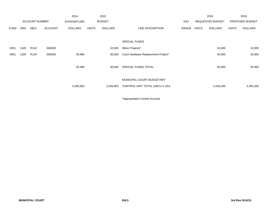|             |            |                       |                | 2014               |              | 2015           |                                     |       |       | 2016                    |              | 2016            |
|-------------|------------|-----------------------|----------------|--------------------|--------------|----------------|-------------------------------------|-------|-------|-------------------------|--------------|-----------------|
|             |            | <b>ACCOUNT NUMBER</b> |                | <b>EXPENDITURE</b> |              | <b>BUDGET</b>  |                                     | PAY   |       | <b>REQUESTED BUDGET</b> |              | PROPOSED BUDGET |
| <b>FUND</b> | <b>ORG</b> | <b>SBCL</b>           | <b>ACCOUNT</b> | <b>DOLLARS</b>     | <b>UNITS</b> | <b>DOLLARS</b> | LINE DESCRIPTION                    | RANGE | UNITS | <b>DOLLARS</b>          | <b>UNITS</b> | <b>DOLLARS</b>  |
|             |            |                       |                |                    |              |                |                                     |       |       |                         |              |                 |
|             |            |                       |                |                    |              |                | SPECIAL FUNDS                       |       |       |                         |              |                 |
| 0001        | 1320       | R <sub>132</sub>      | 006300         |                    |              | 10,000         | Minor Projects*                     |       |       | 10,000                  |              | 10,000          |
| 0001        | 1320       | R134                  | 006300         | 29,489             |              | 30,000         | Court Hardware Replacement Project* |       |       | 30,000                  |              | 30,000          |
|             |            |                       |                |                    |              |                |                                     |       |       |                         |              |                 |
|             |            |                       |                | 29,489             |              | 40,000         | SPECIAL FUNDS TOTAL                 |       |       | 40,000                  |              | 40,000          |
|             |            |                       |                |                    |              |                |                                     |       |       |                         |              |                 |
|             |            |                       |                |                    |              |                | MUNICIPAL COURT BUDGETARY           |       |       |                         |              |                 |
|             |            |                       |                | 3,265,063          |              | 3,426,963      | CONTROL UNIT TOTAL (1BCU=1 DU)      |       |       | 3,436,285               |              | 3,383,365       |
|             |            |                       |                |                    |              |                |                                     |       |       |                         |              |                 |

\*Appropriation Control Account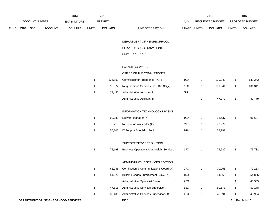|             |     | ACCOUNT NUMBER |                | 2014<br>EXPENDITURE |              | 2015<br><b>BUDGET</b> |                                                 | <b>PAY</b> |              | 2016<br>REQUESTED BUDGET |              | 2016<br>PROPOSED BUDGET |
|-------------|-----|----------------|----------------|---------------------|--------------|-----------------------|-------------------------------------------------|------------|--------------|--------------------------|--------------|-------------------------|
| <b>FUND</b> | ORG | SBCL           | <b>ACCOUNT</b> | <b>DOLLARS</b>      | <b>UNITS</b> | <b>DOLLARS</b>        | LINE DESCRIPTION                                | RANGE      | <b>UNITS</b> | <b>DOLLARS</b>           | <b>UNITS</b> | <b>DOLLARS</b>          |
|             |     |                |                |                     |              |                       | DEPARTMENT OF NEIGHBORHOOD                      |            |              |                          |              |                         |
|             |     |                |                |                     |              |                       | SERVICES BUDGETARY CONTROL                      |            |              |                          |              |                         |
|             |     |                |                |                     |              |                       | UNIT (1 BCU=1DU)                                |            |              |                          |              |                         |
|             |     |                |                |                     |              |                       | SALARIES & WAGES                                |            |              |                          |              |                         |
|             |     |                |                |                     |              |                       | OFFICE OF THE COMMISSIONER                      |            |              |                          |              |                         |
|             |     |                |                |                     | $\mathbf{1}$ | 135,893               | Commissioner - Bldg. Insp. (X)(Y)               | 10X        | $\mathbf{1}$ | 139,242                  | $\mathbf{1}$ | 139,242                 |
|             |     |                |                |                     | $\mathbf{1}$ | 96,572                | Neighborhood Services Ops. Dir. (X)(Y)          | 1LX        | $\mathbf{1}$ | 101,341                  | $\mathbf{1}$ | 101,341                 |
|             |     |                |                |                     | $\mathbf 1$  | 37,456                | Administrative Assistant II                     | 6HN        |              |                          |              |                         |
|             |     |                |                |                     |              |                       | Administrative Assistant IV                     |            | 1            | 47,779                   | $\mathbf{1}$ | 47,779                  |
|             |     |                |                |                     |              |                       | INFORMATION TECHNOLOGY DIVISION                 |            |              |                          |              |                         |
|             |     |                |                |                     | $\mathbf{1}$ | 92,089                | Network Manager (X)                             | 1GX        | $\mathbf{1}$ | 96,637                   | $\mathbf{1}$ | 96,637                  |
|             |     |                |                |                     | $\mathbf{1}$ | 76,215                | Network Administrator (X)                       | 2IX        | $\mathbf{1}$ | 79,979                   |              |                         |
|             |     |                |                |                     | $\mathbf{1}$ | 56,205                | IT Support Specialist-Senior                    | 2GN        | $\mathbf{1}$ | 58,981                   |              |                         |
|             |     |                |                |                     |              |                       | SUPPORT SERVICES DIVISION                       |            |              |                          |              |                         |
|             |     |                |                |                     | $\mathbf{1}$ | 72,168                | <b>Business Operations Mgr.-Neigh. Services</b> | 1FX        | $\mathbf{1}$ | 75,732                   | $\mathbf{1}$ | 75,732                  |
|             |     |                |                |                     |              |                       | ADMINISTRATIVE SERVICES SECTION                 |            |              |                          |              |                         |
|             |     |                |                |                     | 1            |                       | 66,946 Certification & Communications Coord.(X) | 2FX        |              | 70,253                   | $\mathbf{1}$ | 70,253                  |
|             |     |                |                |                     | $\mathbf{1}$ | 54,322                | Building Codes Enforcement Supv. (X)            | 1DX        | $\mathbf{1}$ | 54,865                   | $\mathbf{1}$ | 54,865                  |
|             |     |                |                |                     |              |                       | Administrative Specialist Senior                | 2EX        |              |                          | $\mathbf{1}$ | 45,305                  |
|             |     |                |                |                     | $\mathbf{1}$ | 47,816                | Administrative Services Supervisor              | 1BX        | $\mathbf{1}$ | 50,178                   | $\mathbf{1}$ | 50,178                  |
|             |     |                |                |                     | $\mathbf{1}$ | 39,485                | Administrative Services Supervisor (X)          | 1BX        | $\mathbf{1}$ | 48,994                   | $\mathbf{1}$ | 48,994                  |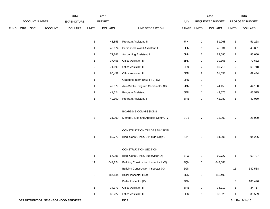|             |     |                |                | 2014                                |                         | 2015           |                                        |             |                | 2016             |                | 2016            |
|-------------|-----|----------------|----------------|-------------------------------------|-------------------------|----------------|----------------------------------------|-------------|----------------|------------------|----------------|-----------------|
|             |     | ACCOUNT NUMBER |                | EXPENDITURE                         |                         | <b>BUDGET</b>  |                                        | PAY         |                | REQUESTED BUDGET |                | PROPOSED BUDGET |
| <b>FUND</b> | ORG | <b>SBCL</b>    | <b>ACCOUNT</b> | <b>DOLLARS</b>                      | <b>UNITS</b>            | <b>DOLLARS</b> | LINE DESCRIPTION                       | RANGE UNITS |                | <b>DOLLARS</b>   | <b>UNITS</b>   | <b>DOLLARS</b>  |
|             |     |                |                |                                     | $\mathbf{1}$            | 48,855         | Program Assistant III                  | 5IN         | 1              | 51,268           | $\mathbf{1}$   | 51,268          |
|             |     |                |                |                                     | 1                       | 43,674         | Personnel Payroll Assistant II         | 6HN         | 1              | 45,831           | $\mathbf{1}$   | 45,831          |
|             |     |                |                |                                     | 2                       | 79,741         | <b>Accounting Assistant II</b>         | 6HN         | $\overline{a}$ | 83,680           | $\overline{a}$ | 83,680          |
|             |     |                |                |                                     | $\mathbf{1}$            | 37,456         | Office Assistant IV                    | 6HN         | 1              | 39,306           | $\overline{a}$ | 79,632          |
|             |     |                |                |                                     | 2                       | 74,690         | Office Assistant III                   | 6FN         | $\overline{a}$ | 69,718           | $\overline{2}$ | 69,718          |
|             |     |                |                |                                     | $\overline{\mathbf{c}}$ | 60,452         | Office Assistant II                    | 6EN         | $\overline{a}$ | 61,058           | $\overline{a}$ | 69,434          |
|             |     |                |                |                                     | $\mathbf{1}$            |                | Graduate Intern (0.58 FTE) (X)         | 9PN         | 1              |                  | $\mathbf{1}$   |                 |
|             |     |                |                |                                     | $\mathbf{1}$            | 42,079         | Anti-Graffiti Program Coordinator (X)  | 2DN         | 1              | 44,158           | $\mathbf{1}$   | 44,158          |
|             |     |                |                |                                     | 1                       | 41,524         | Program Assistant I                    | 5EN         | 1              | 43,575           | $\mathbf{1}$   | 43,575          |
|             |     |                |                |                                     | $\mathbf{1}$            | 40,100         | Program Assistant II                   | 5FN         | 1              | 42,080           | $\mathbf{1}$   | 42,080          |
|             |     |                |                |                                     |                         |                | <b>BOARDS &amp; COMMISSIONS</b>        |             |                |                  |                |                 |
|             |     |                |                |                                     | $\overline{7}$          | 21,000         | Member, Stds and Appeals Comm. (Y)     | BC1         | $\overline{7}$ | 21,000           | $\overline{7}$ | 21,000          |
|             |     |                |                |                                     |                         |                | CONSTRUCTION TRADES DIVISION           |             |                |                  |                |                 |
|             |     |                |                |                                     | $\mathbf{1}$            | 89,772         | Bldg. Constr. Insp. Div. Mgr. (X)(Y)   | 11X         | 1              | 94,206           | $\mathbf{1}$   | 94,206          |
|             |     |                |                |                                     |                         |                | <b>CONSTRUCTION SECTION</b>            |             |                |                  |                |                 |
|             |     |                |                |                                     | $\mathbf{1}$            | 67,396         | Bldg. Constr. Insp. Supervisor (X)     | 1FX         | $\mathbf{1}$   | 69,727           | $\mathbf{1}$   | 69,727          |
|             |     |                |                |                                     | 11                      | 647,124        | Building Construction Inspector II (X) | 3QN         | 11             | 642,588          |                |                 |
|             |     |                |                |                                     |                         |                | Building Construction Inspector (X)    | 2GN         |                |                  | 11             | 642,588         |
|             |     |                |                |                                     | $\mathbf{3}$            | 187,134        | Boiler Inspector II (X)                | 3QN         | $\mathbf{3}$   | 183,490          |                |                 |
|             |     |                |                |                                     |                         |                | Boiler Inspector (X)                   | 2GN         |                |                  | $\mathbf{3}$   | 183,490         |
|             |     |                |                |                                     | $\mathbf{1}$            | 34,373         | Office Assistant III                   | 6FN         | $\mathbf{1}$   | 34,717           | $\mathbf{1}$   | 34,717          |
|             |     |                |                |                                     | $\mathbf{1}$            | 30,227         | Office Assistant II                    | 6EN         | $\mathbf{1}$   | 30,529           | $\mathbf{1}$   | 30,529          |
|             |     |                |                | DEPARTMENT OF NEIGHBORHOOD SERVICES |                         |                | 250.2                                  |             |                |                  |                | 3rd Run 9/14/15 |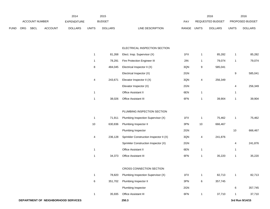|             |                |             |                    | 2014           |               | 2015           |                                  |                  | 2016           |                        | 2016           |
|-------------|----------------|-------------|--------------------|----------------|---------------|----------------|----------------------------------|------------------|----------------|------------------------|----------------|
|             | ACCOUNT NUMBER |             | <b>EXPENDITURE</b> |                | <b>BUDGET</b> | PAY            |                                  | REQUESTED BUDGET |                | <b>PROPOSED BUDGET</b> |                |
| <b>FUND</b> | <b>ORG</b>     | <b>SBCL</b> | <b>ACCOUNT</b>     | <b>DOLLARS</b> | UNITS         | <b>DOLLARS</b> | <b>RANGE</b><br>LINE DESCRIPTION | UNITS            | <b>DOLLARS</b> | <b>UNITS</b>           | <b>DOLLARS</b> |

#### ELECTRICAL INSPECTION SECTION

| 1  | 81,268  | Elect. Insp. Supervisor (X)             | 1FX | 1  | 85,282  | 1  | 85,282  |
|----|---------|-----------------------------------------|-----|----|---------|----|---------|
| 1  | 78,291  | Fire Protection Engineer III            | 2IN | 1  | 79,074  | 1  | 79,074  |
| 8  | 484,045 | Electrical Inspector II (X)             | 3QN | 9  | 585,041 |    |         |
|    |         | Electrical Inspector (X)                | 2GN |    |         | 9  | 585,041 |
| 4  | 243,671 | Elevator Inspector II (X)               | 3QN | 4  | 256,349 |    |         |
|    |         | Elevator Inspector (X)                  | 2GN |    |         | 4  | 256,349 |
| 1  |         | Office Assistant II                     | 6EN | 1  |         | 1  |         |
| 1  | 38,026  | Office Assistant III                    | 6FN | 1  | 39,904  | 1  | 39,904  |
|    |         |                                         |     |    |         |    |         |
|    |         | PLUMBING INSPECTION SECTION             |     |    |         |    |         |
| 1  | 71,911  | Plumbing Inspection Supervisor (X)      | 1FX | 1  | 75,462  | 1  | 75,462  |
| 10 | 630,836 | Plumbing Inspector II                   | 3PN | 10 | 666,467 |    |         |
|    |         | Plumbing Inspector                      | 2GN |    |         | 10 | 666,467 |
| 4  | 236,128 | Sprinkler Construction Inspector II (X) | 3QN | 4  | 241,876 |    |         |
|    |         | Sprinkler Construction Inspector (X)    | 2GN |    |         | 4  | 241,876 |
| 1  |         | Office Assistant II                     | 6EN | 1  |         | 1  |         |
| 1  | 34,373  | Office Assistant III                    | 6FN | 1  | 35,220  | 1  | 35,220  |
|    |         |                                         |     |    |         |    |         |
|    |         | CROSS CONNECTION SECTION                |     |    |         |    |         |
| 1  | 78,820  | Plumbing Inspection Supervisor (X)      | 1FX | 1  | 82,713  | 1  | 82,713  |
| 6  | 351,702 | Plumbing Inspector II                   | 3PN | 6  | 357,745 |    |         |

Plumbing Inspector **2GN** 2GN 6 357,745

1 35,935 Office Assistant III 6FN 1 37,710 1 37,710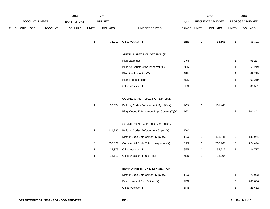|             |                |         | 2014               |                | 2015             |                                                                            |             |                | 2016             |                      | 2016              |
|-------------|----------------|---------|--------------------|----------------|------------------|----------------------------------------------------------------------------|-------------|----------------|------------------|----------------------|-------------------|
|             | ACCOUNT NUMBER |         | <b>EXPENDITURE</b> |                | <b>BUDGET</b>    |                                                                            | <b>PAY</b>  |                | REQUESTED BUDGET |                      | PROPOSED BUDGET   |
| <b>FUND</b> | ORG SBCL       | ACCOUNT | <b>DOLLARS</b>     | <b>UNITS</b>   | <b>DOLLARS</b>   | LINE DESCRIPTION                                                           | RANGE UNITS |                | <b>DOLLARS</b>   | <b>UNITS</b>         | <b>DOLLARS</b>    |
|             |                |         |                    | $\mathbf{1}$   | 32,210           | Office Assistant II                                                        | 6EN         | $\mathbf{1}$   | 33,801           | $\mathbf{1}$         | 33,801            |
|             |                |         |                    |                |                  | ARENA INSPECTION SECTION (F)                                               |             |                |                  |                      |                   |
|             |                |         |                    |                |                  | Plan Examiner III                                                          | 2JN         |                |                  | $\mathbf{1}$         | 98,284            |
|             |                |         |                    |                |                  | <b>Building Construction Inspector (X)</b>                                 | 2GN         |                |                  | $\mathbf{1}$         | 69,219            |
|             |                |         |                    |                |                  | Electrical Inspector (X)                                                   | 2GN         |                |                  | $\mathbf{1}$         | 69,219            |
|             |                |         |                    |                |                  | Plumbing Inspector                                                         | 2GN         |                |                  | $\mathbf{1}$         | 69,219            |
|             |                |         |                    |                |                  | Office Assistant III                                                       | 6FN         |                |                  | $\mathbf{1}$         | 36,561            |
|             |                |         |                    |                |                  | COMMERCIAL INSPECTION DIVISION                                             |             |                |                  |                      |                   |
|             |                |         |                    | $\mathbf{1}$   | 96,674           | Building Codes Enforcement Mgr. (X)(Y)                                     | 1GX         | $\mathbf{1}$   | 101,448          |                      |                   |
|             |                |         |                    |                |                  | Bldg. Codes Enforcement Mgr.-Comm. (X)(Y)                                  | 1GX         |                |                  | $\mathbf{1}$         | 101,448           |
|             |                |         |                    |                |                  |                                                                            |             |                |                  |                      |                   |
|             |                |         |                    |                |                  | COMMERCIAL INSPECTION SECTION                                              |             |                |                  |                      |                   |
|             |                |         |                    | $\overline{a}$ | 111,280          | Building Codes Enforcement Supv. (X)<br>District Code Enforcement Supv (X) | IDX<br>1EX  | $\overline{2}$ | 131,941          |                      | 131,941           |
|             |                |         |                    | 16             | 758,027          | Commercial Code Enforc. Inspector (X)                                      | 3JN         | 16             | 766,963          | $\overline{c}$<br>15 |                   |
|             |                |         |                    | $\mathbf{1}$   |                  | Office Assistant III                                                       | 6FN         | $\mathbf{1}$   | 34,717           |                      | 724,424<br>34,717 |
|             |                |         |                    | $\mathbf{1}$   | 34,373<br>15,113 | Office Assistant II (0.5 FTE)                                              | 6EN         | $\mathbf{1}$   | 15,265           | $\mathbf{1}$         |                   |
|             |                |         |                    |                |                  |                                                                            |             |                |                  |                      |                   |
|             |                |         |                    |                |                  | ENVIRONMENTAL HEALTH SECTION                                               |             |                |                  |                      |                   |
|             |                |         |                    |                |                  | District Code Enforcement Supv (X)                                         | 1EX         |                |                  | $\mathbf{1}$         | 73,023            |
|             |                |         |                    |                |                  | Environmental Risk Officer (X)                                             | 2FN         |                |                  | $\sqrt{5}$           | 285,866           |
|             |                |         |                    |                |                  | Office Assistant III                                                       | 6FN         |                |                  | -1                   | 25,652            |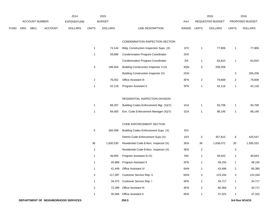|      |     |                       |                | 2014               |                         | 2015           |                                            |       |                           | 2016             |                  | 2016            |
|------|-----|-----------------------|----------------|--------------------|-------------------------|----------------|--------------------------------------------|-------|---------------------------|------------------|------------------|-----------------|
|      |     | <b>ACCOUNT NUMBER</b> |                | <b>EXPENDITURE</b> |                         | <b>BUDGET</b>  |                                            | PAY   |                           | REQUESTED BUDGET |                  | PROPOSED BUDGET |
| FUND | ORG | SBCL                  | <b>ACCOUNT</b> | <b>DOLLARS</b>     | <b>UNITS</b>            | <b>DOLLARS</b> | LINE DESCRIPTION                           | RANGE | <b>UNITS</b>              | <b>DOLLARS</b>   | <b>UNITS</b>     | <b>DOLLARS</b>  |
|      |     |                       |                |                    |                         |                | CONDEMNATION INSPECTION SECTION            |       |                           |                  |                  |                 |
|      |     |                       |                |                    | $\mathbf{1}$            | 74,144         | Bldg. Construction Inspection Supv. (X)    | 1FX   | 1                         | 77,806           | $\mathbf{1}$     | 77,806          |
|      |     |                       |                |                    | $\mathbf{1}$            | 59,688         | <b>Condemnation Program Coordinator</b>    | 2HX   |                           |                  |                  |                 |
|      |     |                       |                |                    |                         |                | <b>Condemnation Program Coordinator</b>    | 2IX   | $\mathbf{1}$              | 63,810           | $\mathbf{1}$     | 63,810          |
|      |     |                       |                |                    | $\mathbf{3}$            | 196,504        | Building Construction Inspector II (X)     | 3QN   | $\ensuremath{\mathsf{3}}$ | 206,209          |                  |                 |
|      |     |                       |                |                    |                         |                | <b>Building Construction Inspector (X)</b> | 2GN   |                           |                  | 3                | 206,209         |
|      |     |                       |                |                    | $\overline{\mathbf{c}}$ | 76,052         | Office Assistant III                       | 6FN   | $\overline{2}$            | 79,808           | $\boldsymbol{2}$ | 79,808          |
|      |     |                       |                |                    | $\mathbf{1}$            | 42,118         | Program Assistant II                       | 5FN   | 1                         | 42,118           | $\mathbf{1}$     | 42,118          |
|      |     |                       |                |                    |                         |                |                                            |       |                           |                  |                  |                 |
|      |     |                       |                |                    |                         |                | RESIDENTIAL INSPECTION DIVISION            |       |                           |                  |                  |                 |
|      |     |                       |                |                    | $\mathbf{1}$            | 89,297         | Building Codes Enforcement Mgr. (X)(Y)     | 1GX   | $\mathbf{1}$              | 93,708           | $\mathbf{1}$     | 93,708          |
|      |     |                       |                |                    | $\mathbf{1}$            | 84,000         | Env. Code Enforcement Manager (X)(Y)       | 1GX   | 1                         | 88,149           | $\mathbf{1}$     | 88,149          |
|      |     |                       |                |                    |                         |                |                                            |       |                           |                  |                  |                 |
|      |     |                       |                |                    |                         |                | CODE ENFORCEMENT SECTION                   |       |                           |                  |                  |                 |
|      |     |                       |                |                    | $\overline{5}$          | 300,499        | Building Codes Enforcement Supv. (X)       | IDX   |                           |                  |                  |                 |
|      |     |                       |                |                    |                         |                | District Code Enforcement Supv (X)         | 1EX   | $\sqrt{5}$                | 357,815          | 6                | 425,547         |
|      |     |                       |                |                    | 36                      | 1,600,530      | Residential Code Enforc. Inspector (X)     | 3EN   | 36                        | 1,638,072        | 35               | 1,595,532       |
|      |     |                       |                |                    | $\overline{c}$          |                | Residential Code Enforc. Inspector (X)     | 3EN   | $\overline{2}$            |                  | 3                |                 |
|      |     |                       |                |                    | $\mathbf{1}$            | 48,855         | Program Assistant III (X)                  | 5IN   | $\mathbf{1}$              | 49,643           | $\mathbf{1}$     | 49,643          |
|      |     |                       |                |                    | $\mathbf{1}$            | 45,888         | Program Assistant II                       | 5FN   | $\mathbf{1}$              | 48,155           | $\mathbf{1}$     | 48,155          |
|      |     |                       |                |                    | $\mathbf{1}$            |                | 41,449 Office Assistant IV                 | 6HN   | $\mathbf{1}$              | 43,496           | $\sqrt{2}$       | 85,395          |
|      |     |                       |                |                    | $\mathbf{3}$            | 117,387        | Customer Service Rep. II                   | 6GN   | $\mathbf{3}$              | 123,184          | 3                | 123,184         |
|      |     |                       |                |                    | $\mathbf{1}$            |                | 34,373 Customer Service Rep. I             | 6FN   | $\mathbf{1}$              | 34,717           | $\mathbf{1}$     | 34,717          |
|      |     |                       |                |                    | $\overline{c}$          | 72,399         | Office Assistant III                       | 6FN   | $\overline{\mathbf{c}}$   | 60,369           | $\mathbf{1}$     | 34,717          |
|      |     |                       |                |                    | 1                       |                | 35,566 Office Assistant II                 | 6EN   | $\mathbf{1}$              | 37,322           | $\mathbf{1}$     | 37,322          |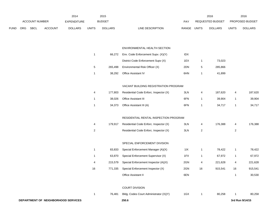|      |     |                       |                | 2014                                |                | 2015           |                                                                                |             |                         | 2016             |                | 2016            |
|------|-----|-----------------------|----------------|-------------------------------------|----------------|----------------|--------------------------------------------------------------------------------|-------------|-------------------------|------------------|----------------|-----------------|
|      |     | <b>ACCOUNT NUMBER</b> |                | <b>EXPENDITURE</b>                  |                | <b>BUDGET</b>  |                                                                                | PAY         |                         | REQUESTED BUDGET |                | PROPOSED BUDGET |
| FUND | ORG | <b>SBCL</b>           | <b>ACCOUNT</b> | <b>DOLLARS</b>                      | <b>UNITS</b>   | <b>DOLLARS</b> | LINE DESCRIPTION                                                               | RANGE UNITS |                         | <b>DOLLARS</b>   | <b>UNITS</b>   | <b>DOLLARS</b>  |
|      |     |                       |                |                                     |                |                |                                                                                |             |                         |                  |                |                 |
|      |     |                       |                |                                     |                |                | ENVIRONMENTAL HEALTH SECTION                                                   |             |                         |                  |                |                 |
|      |     |                       |                |                                     | $\mathbf{1}$   | 66,272         | Env. Code Enforcement Supv. (X)(Y)                                             | IDX         |                         |                  |                |                 |
|      |     |                       |                |                                     |                |                | District Code Enforcement Supv (X)                                             | 1EX         | 1                       | 73,023           |                |                 |
|      |     |                       |                |                                     | $\,$ 5 $\,$    | 265,498        | Environmental Risk Officer (X)                                                 | 2DN         | 5                       | 285,866          |                |                 |
|      |     |                       |                |                                     | $\mathbf{1}$   | 38,292         | Office Assistant IV                                                            | 6HN         | $\mathbf{1}$            | 41,899           |                |                 |
|      |     |                       |                |                                     |                |                |                                                                                |             |                         |                  |                |                 |
|      |     |                       |                |                                     | 4              | 177,803        | VACANT BUILDING REGISTRATION PROGRAM<br>Residential Code Enforc. Inspector (X) | 3LN         | 4                       | 187,620          | 4              | 187,620         |
|      |     |                       |                |                                     | $\mathbf{1}$   | 38,026         | Office Assistant III                                                           | 6FN         | 1                       | 39,904           | $\overline{1}$ | 39,904          |
|      |     |                       |                |                                     | $\mathbf{1}$   | 34,373         | Office Assistant III (A)                                                       | 6FN         | 1                       | 34,717           | $\overline{1}$ | 34,717          |
|      |     |                       |                |                                     |                |                |                                                                                |             |                         |                  |                |                 |
|      |     |                       |                |                                     |                |                | RESIDENTIAL RENTAL INSPECTION PROGRAM                                          |             |                         |                  |                |                 |
|      |     |                       |                |                                     | 4              | 179,917        | Residential Code Enforc. Inspector (X)                                         | 3LN         | 4                       | 176,388          | 4              | 176,388         |
|      |     |                       |                |                                     | $\overline{2}$ |                | Residential Code Enforc. Inspector (X)                                         | 3LN         | $\overline{\mathbf{c}}$ |                  | $\overline{2}$ |                 |
|      |     |                       |                |                                     |                |                | SPECIAL ENFORCEMENT DIVISION                                                   |             |                         |                  |                |                 |
|      |     |                       |                |                                     | $\mathbf{1}$   | 83,833         | Special Enforcement Manager (A)(X)                                             | 11X         | $\mathbf{1}$            | 78,422           | $\overline{1}$ | 78,422          |
|      |     |                       |                |                                     | $\mathbf{1}$   | 63,870         | Special Enforcement Supervisor (X)                                             | 1FX         | $\mathbf{1}$            | 67,972           | $\mathbf{1}$   | 67,972          |
|      |     |                       |                |                                     | 4              | 215,579        | Special Enforcement Inspector (A)(X)                                           | 2GN         | 4                       | 221,628          | 4              | 221,628         |
|      |     |                       |                |                                     | 16             | 771,335        | Special Enforcement Inspector (X)                                              | 2GN         | 16                      | 915,541          | 16             | 915,541         |
|      |     |                       |                |                                     |                |                | Office Assistant II                                                            | 6EN         |                         |                  | $\overline{1}$ | 30,530          |
|      |     |                       |                |                                     |                |                | <b>COURT DIVISION</b>                                                          |             |                         |                  |                |                 |
|      |     |                       |                |                                     | $\mathbf{1}$   | 76,481         | Bldg. Codes Court Administrator (X)(Y)                                         | 1GX         | $\mathbf{1}$            | 80,258           | -1             | 80,258          |
|      |     |                       |                | DEPARTMENT OF NEIGHBORHOOD SERVICES |                |                | 250.6                                                                          |             |                         |                  |                | 3rd Run 9/14/15 |
|      |     |                       |                |                                     |                |                |                                                                                |             |                         |                  |                |                 |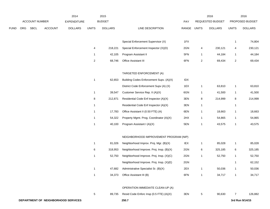|      |                                     |                       |                | 2014               |                | 2015           |                                          |             |                | 2016             |                | 2016            |
|------|-------------------------------------|-----------------------|----------------|--------------------|----------------|----------------|------------------------------------------|-------------|----------------|------------------|----------------|-----------------|
|      |                                     | <b>ACCOUNT NUMBER</b> |                | <b>EXPENDITURE</b> |                | <b>BUDGET</b>  |                                          | PAY         |                | REQUESTED BUDGET |                | PROPOSED BUDGET |
| FUND | ORG                                 | SBCL                  | <b>ACCOUNT</b> | <b>DOLLARS</b>     | <b>UNITS</b>   | <b>DOLLARS</b> | LINE DESCRIPTION                         | RANGE UNITS |                | <b>DOLLARS</b>   | <b>UNITS</b>   | <b>DOLLARS</b>  |
|      |                                     |                       |                |                    |                |                |                                          |             |                |                  |                |                 |
|      |                                     |                       |                |                    |                |                | Special Enforcement Supervisor (X)       | 1FX         |                |                  | 1              | 74,804          |
|      |                                     |                       |                |                    | 4              | 218,221        | Special Enforcement Inspector (X)(D)     | 2GN         | 4              | 230,121          | 4              | 230,121         |
|      |                                     |                       |                |                    | $\mathbf{1}$   | 42,105         | Program Assistant II                     | 5FN         | $\mathbf{1}$   | 44,184           | $\mathbf{1}$   | 44,184          |
|      |                                     |                       |                |                    | $\overline{c}$ | 68,746         | Office Assistant III                     | 6FN         | $\overline{a}$ | 69,434           | $\overline{a}$ | 69,434          |
|      |                                     |                       |                |                    |                |                | TARGETED ENFORCEMENT (A)                 |             |                |                  |                |                 |
|      |                                     |                       |                |                    | -1             | 62,653         | Building Codes Enforcement Supv. (A)(X)  | IDX         |                |                  |                |                 |
|      |                                     |                       |                |                    |                |                | District Code Enforcement Supv (A) (X)   | 1EX         |                | 63,810           |                | 63,810          |
|      |                                     |                       |                |                    |                |                |                                          |             | $\mathbf{1}$   |                  | $\mathbf{1}$   |                 |
|      |                                     |                       |                |                    | $\mathbf{1}$   | 39,547         | Customer Service Rep. II (A)(X)          | 6GN         | $\mathbf{1}$   | 41,500           | $\mathbf{1}$   | 41,500          |
|      |                                     |                       |                |                    | 8              | 212,871        | Residential Code Enf Inspector (A)(X)    | 3EN         | 8              | 214,999          | 8              | 214,999         |
|      |                                     |                       |                |                    | $\mathbf{1}$   |                | Residential Code Enf Inspector (A)(X)    | 3EN         | $\mathbf{1}$   |                  | 1              |                 |
|      |                                     |                       |                |                    | $\mathbf{1}$   | 17,783         | Office Assistant II (0.50 FTE) (A)       | 6EN         | $\mathbf{1}$   | 18,663           | $\mathbf{1}$   | 18,663          |
|      |                                     |                       |                |                    | $\mathbf{1}$   | 54,322         | Property Mgmt. Prog. Coordinator (A)(X)  | 2HX         | $\mathbf{1}$   | 54,865           | $\mathbf{1}$   | 54,865          |
|      |                                     |                       |                |                    | -1             | 40,100         | Program Assistant I (A)(X)               | 5EN         | $\overline{1}$ | 43,575           | $\mathbf{1}$   | 43,575          |
|      |                                     |                       |                |                    |                |                | NEIGHBORHOOD IMPROVEMENT PROGRAM (NIP)   |             |                |                  |                |                 |
|      |                                     |                       |                |                    | 1              | 81,026         | Neighborhood Improv. Proj. Mgr. (B)(X)   | IEX         | $\mathbf{1}$   | 85,028           | $\mathbf{1}$   | 85,028          |
|      |                                     |                       |                |                    | 6              | 318,953        | Neighborhood Improve. Proj. Insp. (B)(X) | 2GN         | 6              | 325,185          | 6              | 325,185         |
|      |                                     |                       |                |                    | $\mathbf{1}$   | 52,750         | Neighborhood Improve. Proj. Insp. (X)(C) | 2GN         | $\mathbf{1}$   | 52,750           | $\mathbf{1}$   | 52,750          |
|      |                                     |                       |                |                    |                |                | Neighborhood Improve. Proj. Insp. (X)(E) | 2GN         |                |                  | 1              | 62,152          |
|      |                                     |                       |                |                    | $\mathbf{1}$   | 47,682         | Administrative Specialist Sr. (B)(X)     | 2EX         | $\mathbf{1}$   | 50,036           | 1              | 50,036          |
|      |                                     |                       |                |                    | $\mathbf{1}$   | 34,373         | Office Assistant III (B)                 | 6FN         | $\overline{1}$ | 34,717           | $\mathbf{1}$   | 34,717          |
|      |                                     |                       |                |                    |                |                |                                          |             |                |                  |                |                 |
|      |                                     |                       |                |                    |                |                | OPERATION IMMEDIATE CLEAN-UP (A)         |             |                |                  |                |                 |
|      |                                     |                       |                |                    | 5              | 89,735         | Resid Code Enforc Insp (0.5 FTE) (A)(X)  | 3EN         | $\sqrt{5}$     | 90,630           | $\overline{7}$ | 126,882         |
|      | DEPARTMENT OF NEIGHBORHOOD SERVICES |                       |                |                    |                |                | 250.7                                    |             |                |                  |                | 3rd Run 9/14/15 |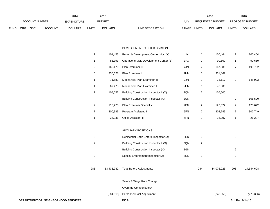|             |                |             |                | 2014           |              | 2015           |                           |       | 2016             |       | 2016                   |
|-------------|----------------|-------------|----------------|----------------|--------------|----------------|---------------------------|-------|------------------|-------|------------------------|
|             | ACCOUNT NUMBER |             |                | EXPENDITURE    |              | <b>BUDGET</b>  | PAY                       |       | REQUESTED BUDGET |       | <b>PROPOSED BUDGET</b> |
| <b>FUND</b> | ORG            | <b>SBCL</b> | <b>ACCOUNT</b> | <b>DOLLARS</b> | <b>UNITS</b> | <b>DOLLARS</b> | LINE DESCRIPTION<br>RANGE | UNITS | <b>DOLLARS</b>   | UNITS | <b>DOLLARS</b>         |

#### DEVELOPMENT CENTER DIVISION

| $\overline{1}$ | 101,453    | Permit & Development Center Mgr. (Y)       | 11X | $\mathbf{1}$   | 106,464    | $\mathbf{1}$     | 106,464    |
|----------------|------------|--------------------------------------------|-----|----------------|------------|------------------|------------|
| $\overline{1}$ | 86,393     | Operations Mgr.-Development Center (Y)     | 1FX | $\mathbf{1}$   | 90,660     | $\mathbf{1}$     | 90,660     |
| $\overline{2}$ | 166,470    | Plan Examiner III                          | 2JN | $\overline{2}$ | 167,885    | $\boldsymbol{7}$ | 499,752    |
| $\sqrt{5}$     | 335,628    | Plan Examiner II                           | 2HN | 5              | 331,867    |                  |            |
| -1             | 71,582     | Mechanical Plan Examiner III               | 2JN | $\mathbf{1}$   | 75,117     | $\boldsymbol{2}$ | 145,923    |
| $\overline{1}$ | 67,473     | Mechanical Plan Examiner II                | 2HN | $\mathbf{1}$   | 70,806     |                  |            |
| $\overline{2}$ | 108,052    | Building Construction Inspector II (X)     | 3QN | $\overline{2}$ | 105,500    |                  |            |
|                |            | <b>Building Construction Inspector (X)</b> | 2GN |                |            | $\boldsymbol{2}$ | 105,500    |
| $\overline{2}$ | 116,273    | Plan Examiner Specialist                   | 2EN | $\overline{2}$ | 123,672    | $\boldsymbol{2}$ | 123,672    |
| $\overline{7}$ | 300,385    | Program Assistant II                       | 5FN | $\overline{7}$ | 302,749    | $\boldsymbol{7}$ | 302,749    |
| $\overline{1}$ | 35,931     | Office Assistant III                       | 6FN | $\mathbf{1}$   | 26,297     | $\mathbf{1}$     | 26,297     |
|                |            |                                            |     |                |            |                  |            |
|                |            | <b>AUXILIARY POSITIONS</b>                 |     |                |            |                  |            |
| 3              |            | Residential Code Enforc. Inspector (X)     | 3EN | 3              |            | 3                |            |
| $\overline{c}$ |            | Building Construction Inspector II (X)     | 3QN | $\sqrt{2}$     |            |                  |            |
|                |            | Building Construction Inspector (X)        | 2GN |                |            | $\sqrt{2}$       |            |
| $\overline{c}$ |            | Special Enforcement Inspector (X)          | 2GN | $\sqrt{2}$     |            | $\overline{c}$   |            |
|                |            |                                            |     |                |            |                  |            |
| 283            | 13,433,982 | <b>Total Before Adjustments</b>            |     | 284            | 14,076,023 | 293              | 14,544,698 |
|                |            |                                            |     |                |            |                  |            |
|                |            | Salary & Wage Rate Change                  |     |                |            |                  |            |
|                |            | Overtime Compensated*                      |     |                |            |                  |            |
|                | (284, 918) | Personnel Cost Adjustment                  |     |                | (242, 858) |                  | (273, 396) |
|                |            |                                            |     |                |            |                  |            |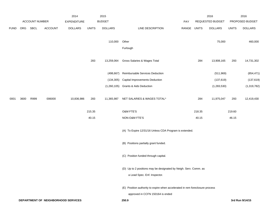|             |      |                |                | 2014                                |              | 2015           |                                                                              |             |        | 2016             |              | 2016            |
|-------------|------|----------------|----------------|-------------------------------------|--------------|----------------|------------------------------------------------------------------------------|-------------|--------|------------------|--------------|-----------------|
|             |      | ACCOUNT NUMBER |                | EXPENDITURE                         |              | <b>BUDGET</b>  |                                                                              | PAY         |        | REQUESTED BUDGET |              | PROPOSED BUDGET |
| <b>FUND</b> | ORG  | SBCL           | <b>ACCOUNT</b> | <b>DOLLARS</b>                      | <b>UNITS</b> | <b>DOLLARS</b> | LINE DESCRIPTION                                                             | RANGE UNITS |        | <b>DOLLARS</b>   | <b>UNITS</b> | <b>DOLLARS</b>  |
|             |      |                |                |                                     |              | 110,000        | Other                                                                        |             |        | 75,000           |              | 460,000         |
|             |      |                |                |                                     |              |                | Furlough                                                                     |             |        |                  |              |                 |
|             |      |                |                |                                     | 283          | 13,259,064     | Gross Salaries & Wages Total                                                 |             | 284    | 13,908,165       | 293          | 14,731,302      |
|             |      |                |                |                                     |              | (498, 667)     | Reimbursable Services Deduction                                              |             |        | (511, 969)       |              | (854, 471)      |
|             |      |                |                |                                     |              | (134, 305)     | <b>Capital Improvements Deduction</b>                                        |             |        | (137, 619)       |              | (137, 619)      |
|             |      |                |                |                                     |              | (1,260,105)    | <b>Grants &amp; Aids Deduction</b>                                           |             |        | (1, 283, 530)    |              | (1,319,782)     |
| 0001        | 3600 | R999           | 006000         | 10,836,986                          | 283          | 11,365,987     | NET SALARIES & WAGES TOTAL*                                                  |             | 284    | 11,975,047       | 293          | 12,419,430      |
|             |      |                |                |                                     | 215.35       |                | O&M FTE'S                                                                    |             | 218.35 |                  | 219.60       |                 |
|             |      |                |                |                                     | 40.15        |                | NON-O&M FTE'S                                                                |             | 40.15  |                  | 46.15        |                 |
|             |      |                |                |                                     |              |                | (A) To Expire 12/31/16 Unless CDA Program is extended.                       |             |        |                  |              |                 |
|             |      |                |                |                                     |              |                | (B) Positions partially grant funded.                                        |             |        |                  |              |                 |
|             |      |                |                |                                     |              |                | (C) Position funded through capital.                                         |             |        |                  |              |                 |
|             |      |                |                |                                     |              |                | (D) Up to 2 positions may be designated by Neigh. Serv. Comm. as             |             |        |                  |              |                 |
|             |      |                |                |                                     |              |                | a Lead Spec. Enf. Inspector.                                                 |             |        |                  |              |                 |
|             |      |                |                |                                     |              |                | (E) Position authority to expire when accelerated in rem foreclosure process |             |        |                  |              |                 |
|             |      |                |                |                                     |              |                | approved in CCFN 150164 is ended                                             |             |        |                  |              |                 |
|             |      |                |                | DEPARTMENT OF NEIGHBORHOOD SERVICES |              |                | 250.9                                                                        |             |        |                  |              | 3rd Run 9/14/15 |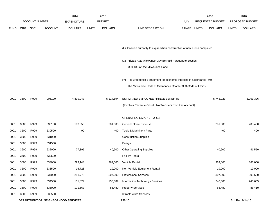|             |            |                       |                                     | 2014               |              | 2015           |                                                                           |             | 2016                    |              | 2016            |
|-------------|------------|-----------------------|-------------------------------------|--------------------|--------------|----------------|---------------------------------------------------------------------------|-------------|-------------------------|--------------|-----------------|
|             |            | <b>ACCOUNT NUMBER</b> |                                     | <b>EXPENDITURE</b> |              | <b>BUDGET</b>  |                                                                           | PAY         | <b>REQUESTED BUDGET</b> |              | PROPOSED BUDGET |
| <b>FUND</b> | <b>ORG</b> | <b>SBCL</b>           | <b>ACCOUNT</b>                      | <b>DOLLARS</b>     | <b>UNITS</b> | <b>DOLLARS</b> | LINE DESCRIPTION                                                          | RANGE UNITS | <b>DOLLARS</b>          | <b>UNITS</b> | <b>DOLLARS</b>  |
|             |            |                       |                                     |                    |              |                |                                                                           |             |                         |              |                 |
|             |            |                       |                                     |                    |              |                | (F) Position authority to expire when construction of new arena completed |             |                         |              |                 |
|             |            |                       |                                     |                    |              |                | (X) Private Auto Allowance May Be Paid Pursuant to Section                |             |                         |              |                 |
|             |            |                       |                                     |                    |              |                | 350-183 of the Milwaukee Code.                                            |             |                         |              |                 |
|             |            |                       |                                     |                    |              |                | (Y) Required to file a statement of economic interests in accordance with |             |                         |              |                 |
|             |            |                       |                                     |                    |              |                | the Milwaukee Code of Ordinances Chapter 303-Code of Ethics.              |             |                         |              |                 |
| 0001        | 3600       | R999                  | 006100                              | 4,839,047          |              | 5,114,694      | ESTIMATED EMPLOYEE FRINGE BENEFITS                                        |             | 5,748,023               |              | 5,961,326       |
|             |            |                       |                                     |                    |              |                | (Involves Revenue Offset - No Transfers from this Account)                |             |                         |              |                 |
|             |            |                       |                                     |                    |              |                | OPERATING EXPENDITURES                                                    |             |                         |              |                 |
| 0001        | 3600       | R999                  | 630100                              | 193,055            |              | 281,800        | <b>General Office Expense</b>                                             |             | 281,800                 |              | 285,400         |
| 0001        | 3600       | R999                  | 630500                              | 99                 |              | 400            | Tools & Machinery Parts                                                   |             | 400                     |              | 400             |
| 0001        | 3600       | R999                  | 631000                              |                    |              |                | <b>Construction Supplies</b>                                              |             |                         |              |                 |
| 0001        | 3600       | R999                  | 631500                              |                    |              |                | Energy                                                                    |             |                         |              |                 |
| 0001        | 3600       | R999                  | 632000                              | 77,395             |              | 40,900         | <b>Other Operating Supplies</b>                                           |             | 40,900                  |              | 41,550          |
| 0001        | 3600       | R999                  | 632500                              |                    |              |                | <b>Facility Rental</b>                                                    |             |                         |              |                 |
| 0001        | 3600       | R999                  | 633000                              | 299,143            |              | 369,000        | Vehicle Rental                                                            |             | 369,000                 |              | 363,050         |
| 0001        | 3600       | R999                  | 633500                              | 16,728             |              | 19,000         | Non-Vehicle Equipment Rental                                              |             | 19,000                  |              | 19,000          |
| 0001        | 3600       | R999                  | 634000                              | 281,775            |              | 307,000        | <b>Professional Services</b>                                              |             | 307,000                 |              | 308,500         |
| 0001        | 3600       | R999                  | 634500                              | 131,829            |              | 155,389        | Information Technology Services                                           |             | 240,605                 |              | 240,605         |
| 0001        | 3600       | R999                  | 635000                              | 101,663            |              | 86,480         | <b>Property Services</b>                                                  |             | 86,480                  |              | 88,410          |
| 0001        | 3600       | R999                  | 635500                              |                    |              |                | <b>Infrastructure Services</b>                                            |             |                         |              |                 |
|             |            |                       | DEPARTMENT OF NEIGHBORHOOD SERVICES |                    |              |                | 250.10                                                                    |             |                         |              | 3rd Run 9/14/15 |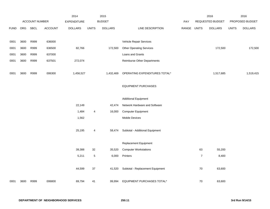|             |      |                |                | 2014                |              | 2015           |                                                                  |             |                | 2016             |              | 2016            |
|-------------|------|----------------|----------------|---------------------|--------------|----------------|------------------------------------------------------------------|-------------|----------------|------------------|--------------|-----------------|
|             |      | ACCOUNT NUMBER |                | <b>EXPENDITURE</b>  |              | <b>BUDGET</b>  |                                                                  | PAY         |                | REQUESTED BUDGET |              | PROPOSED BUDGET |
| <b>FUND</b> | ORG  | <b>SBCL</b>    | <b>ACCOUNT</b> | <b>DOLLARS</b>      | <b>UNITS</b> | <b>DOLLARS</b> | LINE DESCRIPTION                                                 | RANGE UNITS |                | <b>DOLLARS</b>   | <b>UNITS</b> | <b>DOLLARS</b>  |
|             |      |                |                |                     |              |                |                                                                  |             |                |                  |              |                 |
| 0001        | 3600 | R999           | 636000         |                     |              |                | Vehicle Repair Services                                          |             |                |                  |              |                 |
| 0001        | 3600 | R999           | 636500         | 82,766              |              | 172,500        | <b>Other Operating Services</b>                                  |             |                | 172,500          |              | 172,500         |
| 0001        | 3600 | R999           | 637000         |                     |              |                | Loans and Grants                                                 |             |                |                  |              |                 |
| 0001        | 3600 | R999           | 637501         | 272,074             |              |                | <b>Reimburse Other Departments</b>                               |             |                |                  |              |                 |
|             |      |                |                |                     |              |                |                                                                  |             |                |                  |              | 1,519,415       |
|             |      |                |                |                     |              |                |                                                                  |             |                |                  |              |                 |
|             |      |                |                |                     |              |                | <b>EQUIPMENT PURCHASES</b>                                       |             |                |                  |              |                 |
|             |      |                |                |                     |              |                |                                                                  |             |                |                  |              |                 |
|             |      |                |                |                     |              |                | <b>Additional Equipment</b>                                      |             |                |                  |              |                 |
|             |      |                |                | 22,149              |              | 42,474         | Network Hardware and Software                                    |             |                |                  |              |                 |
|             |      |                |                | 1,484               | 4            | 16,000         | <b>Computer Equipment</b>                                        |             |                |                  |              |                 |
|             |      |                |                | 1,562               |              |                | Mobile Devices                                                   |             |                |                  |              |                 |
|             |      |                |                |                     |              |                |                                                                  |             |                |                  |              |                 |
|             |      |                |                |                     | 4            | 58,474         |                                                                  |             |                |                  |              |                 |
|             |      |                |                |                     |              |                | Replacement Equipment                                            |             |                |                  |              |                 |
|             |      |                |                | 39,388              | 32           | 35,520         | <b>Computer Workstations</b>                                     |             | 63             | 55,200           |              |                 |
|             |      |                |                | 5,211               | $\,$ 5 $\,$  | 6,000          | Printers                                                         |             | $\overline{7}$ | 8,400            |              |                 |
|             |      |                |                |                     |              |                |                                                                  |             |                |                  |              |                 |
|             |      |                |                | 44,599              | 37           | 41,520         | Subtotal - Replacement Equipment                                 |             | 70             | 63,600           |              |                 |
| 0001        | 3600 | R999           | 006800         | 69,794              | 41           | 99,994         | <b>EQUIPMENT PURCHASES TOTAL*</b>                                |             | $70\,$         | 63,600           |              |                 |
| 0001        | 3600 | R999           | 006300         | 1,456,527<br>25,195 |              | 1,432,469      | OPERATING EXPENDITURES TOTAL*<br>Subtotal - Additional Equipment |             |                | 1,517,685        |              |                 |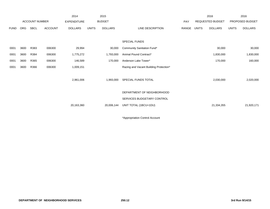|             |            |                       |                | 2014               |              | 2015           |                                        |       |              | 2016                    |              | 2016            |
|-------------|------------|-----------------------|----------------|--------------------|--------------|----------------|----------------------------------------|-------|--------------|-------------------------|--------------|-----------------|
|             |            | <b>ACCOUNT NUMBER</b> |                | <b>EXPENDITURE</b> |              | <b>BUDGET</b>  |                                        | PAY   |              | <b>REQUESTED BUDGET</b> |              | PROPOSED BUDGET |
| <b>FUND</b> | <b>ORG</b> | SBCL                  | <b>ACCOUNT</b> | <b>DOLLARS</b>     | <b>UNITS</b> | <b>DOLLARS</b> | LINE DESCRIPTION                       | RANGE | <b>UNITS</b> | <b>DOLLARS</b>          | <b>UNITS</b> | <b>DOLLARS</b>  |
|             |            |                       |                |                    |              |                |                                        |       |              |                         |              |                 |
|             |            |                       |                |                    |              |                | SPECIAL FUNDS                          |       |              |                         |              |                 |
| 0001        | 3600       | R383                  | 006300         | 29,994             |              | 30,000         | Community Sanitation Fund*             |       |              | 30,000                  |              | 30,000          |
| 0001        | 3600       | R384                  | 006300         | 1,775,272          |              | 1,793,000      | Animal Pound Contract*                 |       |              | 1,830,000               |              | 1,830,000       |
| 0001        | 3600       | R365                  | 006300         | 146,589            |              | 170,000        | Anderson Lake Tower*                   |       |              | 170,000                 |              | 160,000         |
| 0001        | 3600       | R366                  | 006300         | 1,009,151          |              |                | Razing and Vacant Building Protection* |       |              |                         |              |                 |
|             |            |                       |                |                    |              |                |                                        |       |              |                         |              |                 |
|             |            |                       |                | 2,961,006          |              | 1,993,000      | SPECIAL FUNDS TOTAL                    |       |              | 2,030,000               |              | 2,020,000       |
|             |            |                       |                |                    |              |                |                                        |       |              |                         |              |                 |
|             |            |                       |                |                    |              |                | DEPARTMENT OF NEIGHBORHOOD             |       |              |                         |              |                 |
|             |            |                       |                |                    |              |                | SERVICES BUDGETARY CONTROL             |       |              |                         |              |                 |
|             |            |                       |                | 20,163,360         |              | 20,006,144     | UNIT TOTAL (1BCU=1DU)                  |       |              | 21,334,355              |              | 21,920,171      |
|             |            |                       |                |                    |              |                |                                        |       |              |                         |              |                 |

\*Appropriation Control Account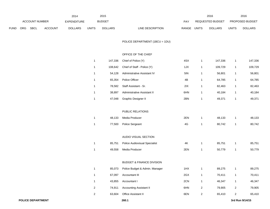|      |                |      |                | 2014           |              | 2015           |                           |       | 2016             |              | 2016                   |
|------|----------------|------|----------------|----------------|--------------|----------------|---------------------------|-------|------------------|--------------|------------------------|
|      | ACCOUNT NUMBER |      |                | EXPENDITURE    |              | <b>BUDGET</b>  | PAY                       |       | REQUESTED BUDGET |              | <b>PROPOSED BUDGET</b> |
| FUND | <b>ORG</b>     | SBCL | <b>ACCOUNT</b> | <b>DOLLARS</b> | <b>UNITS</b> | <b>DOLLARS</b> | RANGE<br>LINE DESCRIPTION | UNITS | <b>DOLLARS</b>   | <b>UNITS</b> | <b>DOLLARS</b>         |

POLICE DEPARTMENT (1BCU = 1DU)

# OFFICE OF THE CHIEF

| 1 | 147,336 | Chief of Police (Y)                  | 4SX | 1              | 147,336 | 1              | 147,336 |
|---|---------|--------------------------------------|-----|----------------|---------|----------------|---------|
| 1 | 108,642 | Chief of Staff - Police (Y)          | 1JX | 1              | 109,729 | 1              | 109,729 |
| 1 | 54,128  | Administrative Assistant IV          | 5IN | 1              | 56,801  | 1              | 56,801  |
| 1 | 65,354  | Police Officer                       | 4B  | 1              | 64,785  | 1              | 64,785  |
| 1 | 78,582  | Staff Assistant - Sr.                | 2IX | 1              | 82,463  | 1              | 82,463  |
| 1 | 38,897  | Administrative Assistant II          | 6HN | 1              | 40,184  | 1              | 40,184  |
| 1 | 47,048  | Graphic Designer II                  | 2BN | 1              | 49,371  | 1              | 49,371  |
|   |         |                                      |     |                |         |                |         |
|   |         | PUBLIC RELATIONS                     |     |                |         |                |         |
| 1 | 48,133  | Media Producer                       | 2EN | 1              | 48,133  | 1              | 48,133  |
| 1 | 77,500  | Police Sergeant                      | 4G  | 1              | 80,742  | 1              | 80,742  |
|   |         |                                      |     |                |         |                |         |
|   |         | AUDIO VISUAL SECTION                 |     |                |         |                |         |
| 1 | 85,751  | <b>Police Audiovisual Specialist</b> | 4K  | 1              | 85,751  | 1              | 85,751  |
| 1 | 49,558  | Media Producer                       | 2EN | 1              | 50,779  | 1              | 50,779  |
|   |         |                                      |     |                |         |                |         |
|   |         | <b>BUDGET &amp; FINANCE DIVISION</b> |     |                |         |                |         |
| 1 | 85,073  | Police Budget & Admin. Manager       | 1HX | 1              | 89,275  | 1              | 89,275  |
| 1 | 67,097  | Accountant III                       | 2GX | 1              | 70,411  | 1              | 70,411  |
| 1 | 43,855  | Accountant I                         | 2CN | 1              | 46,347  | 1              | 46,347  |
| 2 | 74,911  | <b>Accounting Assistant II</b>       | 6HN | 2              | 79,905  | $\overline{c}$ | 79,905  |
| 2 | 63,604  | Office Assistant II                  | 6EN | $\overline{c}$ | 65,410  | 2              | 65,410  |
|   |         |                                      |     |                |         |                |         |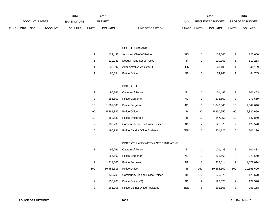|             |     |                       |                | 2014               |                | 2015           |                                         |               |                           | 2016             |                           | 2016            |
|-------------|-----|-----------------------|----------------|--------------------|----------------|----------------|-----------------------------------------|---------------|---------------------------|------------------|---------------------------|-----------------|
|             |     | <b>ACCOUNT NUMBER</b> |                | <b>EXPENDITURE</b> |                | <b>BUDGET</b>  |                                         | PAY           |                           | REQUESTED BUDGET |                           | PROPOSED BUDGET |
| <b>FUND</b> | ORG | <b>SBCL</b>           | <b>ACCOUNT</b> | <b>DOLLARS</b>     | <b>UNITS</b>   | <b>DOLLARS</b> | <b>LINE DESCRIPTION</b>                 | RANGE         | <b>UNITS</b>              | <b>DOLLARS</b>   | <b>UNITS</b>              | <b>DOLLARS</b>  |
|             |     |                       |                |                    |                |                |                                         |               |                           |                  |                           |                 |
|             |     |                       |                |                    |                |                |                                         |               |                           |                  |                           |                 |
|             |     |                       |                |                    |                |                | SOUTH COMMAND                           |               |                           |                  |                           |                 |
|             |     |                       |                |                    | $\mathbf{1}$   | 122,442        | Assistant Chief of Police               | 4RX           | $\mathbf{1}$              | 123,666          | $\mathbf{1}$              | 123,666         |
|             |     |                       |                |                    | $\mathbf{1}$   | 110,031        | Deputy Inspector of Police              | 4P            | $\mathbf{1}$              | 110,253          | $\mathbf{1}$              | 110,253         |
|             |     |                       |                |                    | $\mathbf{1}$   | 38,897         | Administrative Assistant II             | 6HN           | $\mathbf{1}$              | 41,109           | $\mathbf{1}$              | 41,109          |
|             |     |                       |                |                    | $\mathbf{1}$   | 65,354         | Police Officer                          | 4B            | $\mathbf{1}$              | 64,785           | $\mathbf{1}$              | 64,785          |
|             |     |                       |                |                    |                |                |                                         |               |                           |                  |                           |                 |
|             |     |                       |                |                    |                |                | <b>DISTRICT 1</b>                       |               |                           |                  |                           |                 |
|             |     |                       |                |                    | $\mathbf{1}$   | 96,761         | Captain of Police                       | 4N            | $\mathbf{1}$              | 101,483          | $\mathbf{1}$              | 101,483         |
|             |     |                       |                |                    | 3              | 256,500        | Police Lieutenant                       | 4L            | 3                         | 273,669          | 3                         | 273,669         |
|             |     |                       |                |                    | 13             | 1,007,500      | Police Sergeant                         | $4\mathsf{G}$ | 13                        | 1,049,646        | 13                        | 1,049,646       |
|             |     |                       |                |                    | 90             | 5,881,847      | Police Officer                          | 4B            | 90                        | 5,830,650        | 90                        | 5,830,650       |
|             |     |                       |                |                    | 10             | 653,539        | Police Officer (P)                      | 4B            | 10                        | 647,850          | 10                        | 647,850         |
|             |     |                       |                |                    | $\sqrt{2}$     | 130,708        | Community Liaison Police Officer        | 4B            | $\mathbf{2}$              | 129,570          | $\sqrt{2}$                | 129,570         |
|             |     |                       |                |                    | 6              | 195,981        | Police District Office Assistant        | 6EN           | 6                         | 201,126          | $\,6\,$                   | 201,126         |
|             |     |                       |                |                    |                |                |                                         |               |                           |                  |                           |                 |
|             |     |                       |                |                    |                |                | DISTRICT 2 AND WEED & SEED INITIATIVE   |               |                           |                  |                           |                 |
|             |     |                       |                |                    | $\mathbf{1}$   | 96,761         | Captain of Police                       | 4N            | $\mathbf{1}$              | 101,483          | $\mathbf{1}$              | 101,483         |
|             |     |                       |                |                    | 3              | 256,500        | Police Lieutenant                       | 4L            | $\ensuremath{\mathsf{3}}$ | 273,669          | $\ensuremath{\mathsf{3}}$ | 273,669         |
|             |     |                       |                |                    | 17             | 1,317,500      | Police Sergeant                         | 4G            | 17                        | 1,372,614        | 17                        | 1,372,614       |
|             |     |                       |                |                    | 160            | 10,456,616     | Police Officer                          | 4B            | 160                       | 10,365,600       | 160                       | 10,365,600      |
|             |     |                       |                |                    | $\sqrt{2}$     | 130,708        | Community Liaison Police Officer        | 4B            | $\boldsymbol{2}$          | 129,570          | $\overline{c}$            | 129,570         |
|             |     |                       |                |                    | $\overline{c}$ | 130,708        | Police Officer (S)                      | 4B            | $\mathbf{2}$              | 129,570          | $\overline{2}$            | 129,570         |
|             |     |                       |                |                    | 8              | 261,308        | <b>Police District Office Assistant</b> | 6EN           | 8                         | 268,168          | 8                         | 268,168         |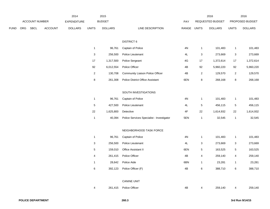|      |     |                |         | 2014               |                           | 2015           |                                           |               |              | 2016             |                           | 2016            |
|------|-----|----------------|---------|--------------------|---------------------------|----------------|-------------------------------------------|---------------|--------------|------------------|---------------------------|-----------------|
|      |     | ACCOUNT NUMBER |         | <b>EXPENDITURE</b> |                           | <b>BUDGET</b>  |                                           | PAY           |              | REQUESTED BUDGET |                           | PROPOSED BUDGET |
| FUND | ORG | SBCL           | ACCOUNT | <b>DOLLARS</b>     | <b>UNITS</b>              | <b>DOLLARS</b> | LINE DESCRIPTION                          | RANGE UNITS   |              | <b>DOLLARS</b>   | <b>UNITS</b>              | <b>DOLLARS</b>  |
|      |     |                |         |                    |                           |                |                                           |               |              |                  |                           |                 |
|      |     |                |         |                    |                           |                | <b>DISTRICT 6</b>                         |               |              |                  |                           |                 |
|      |     |                |         |                    | $\mathbf{1}$              | 96,761         | Captain of Police                         | 4N            | $\mathbf{1}$ | 101,483          | $\mathbf{1}$              | 101,483         |
|      |     |                |         |                    | $\ensuremath{\mathsf{3}}$ | 256,500        | Police Lieutenant                         | $4\mathsf{L}$ | 3            | 273,669          | $\ensuremath{\mathsf{3}}$ | 273,669         |
|      |     |                |         |                    | 17                        | 1,317,500      | Police Sergeant                           | 4G            | 17           | 1,372,614        | 17                        | 1,372,614       |
|      |     |                |         |                    | 92                        | 6,012,554      | Police Officer                            | 4B            | 92           | 5,960,220        | 92                        | 5,960,220       |
|      |     |                |         |                    | $\overline{c}$            | 130,708        | Community Liaison Police Officer          | 4B            | $\mathbf{2}$ | 129,570          | $\overline{2}$            | 129,570         |
|      |     |                |         |                    | 8                         | 261,308        | <b>Police District Office Assistant</b>   | 6EN           | 8            | 268,168          | $\bf 8$                   | 268,168         |
|      |     |                |         |                    |                           |                |                                           |               |              |                  |                           |                 |
|      |     |                |         |                    |                           |                | SOUTH INVESTIGATIONS                      |               |              |                  |                           |                 |
|      |     |                |         |                    | $\mathbf{1}$              | 96,761         | Captain of Police                         | 4N            | $\mathbf{1}$ | 101,483          | $\mathbf{1}$              | 101,483         |
|      |     |                |         |                    | $\mathbf 5$               | 427,500        | Police Lieutenant                         | 4L            | $\sqrt{5}$   | 456,115          | $\,$ 5 $\,$               | 456,115         |
|      |     |                |         |                    | 22                        | 1,625,800      | Detective                                 | 4F            | 22           | 1,614,932        | 22                        | 1,614,932       |
|      |     |                |         |                    | $\mathbf{1}$              | 40,394         | Police Services Specialist - Investigator | 5EN           | $\mathbf{1}$ | 32,545           | $\mathbf{1}$              | 32,545          |
|      |     |                |         |                    |                           |                |                                           |               |              |                  |                           |                 |
|      |     |                |         |                    |                           |                | NEIGHBORHOOD TASK FORCE                   |               |              |                  |                           |                 |
|      |     |                |         |                    | $\mathbf{1}$              | 96,761         | Captain of Police                         | 4N            | $\mathbf{1}$ | 101,483          | $\mathbf{1}$              | 101,483         |
|      |     |                |         |                    | $\ensuremath{\mathsf{3}}$ | 256,500        | Police Lieutenant                         | 4L            | 3            | 273,669          | 3                         | 273,669         |
|      |     |                |         |                    | $\mathbf 5$               | 159,010        | Office Assistant II                       | 6EN           | 5            | 163,525          | $\,$ 5 $\,$               | 163,525         |
|      |     |                |         |                    | 4                         | 261,415        | Police Officer                            | 4B            | 4            | 259,140          | 4                         | 259,140         |
|      |     |                |         |                    | $\mathbf{1}$              | 28,642         | Police Aide                               | 6BN           | $\mathbf{1}$ | 23,281           | $\mathbf{1}$              | 23,281          |
|      |     |                |         |                    | $\,6$                     | 392,123        | Police Officer (F)                        | 4B            | $\,6\,$      | 388,710          | 6                         | 388,710         |
|      |     |                |         |                    |                           |                |                                           |               |              |                  |                           |                 |
|      |     |                |         |                    |                           |                | <b>CANINE UNIT</b>                        |               |              |                  |                           |                 |
|      |     |                |         |                    | 4                         | 261,415        | Police Officer                            | 4B            | 4            | 259,140          | 4                         | 259,140         |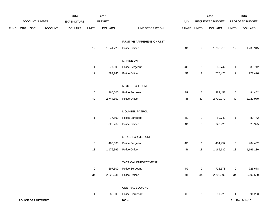|      |     |                          | 2014    |                    | 2015             |                |                            | 2016          |                | 2016             |                 |                 |
|------|-----|--------------------------|---------|--------------------|------------------|----------------|----------------------------|---------------|----------------|------------------|-----------------|-----------------|
|      |     | ACCOUNT NUMBER           |         | <b>EXPENDITURE</b> |                  | <b>BUDGET</b>  |                            | PAY           |                | REQUESTED BUDGET |                 | PROPOSED BUDGET |
| FUND | ORG | <b>SBCL</b>              | ACCOUNT | <b>DOLLARS</b>     | <b>UNITS</b>     | <b>DOLLARS</b> | LINE DESCRIPTION           | RANGE UNITS   |                | <b>DOLLARS</b>   | <b>UNITS</b>    | <b>DOLLARS</b>  |
|      |     |                          |         |                    |                  |                | FUGITIVE APPREHENSION UNIT |               |                |                  |                 |                 |
|      |     |                          |         |                    | $19$             | 1,241,723      | Police Officer             | 4B            | 19             | 1,230,915        | 19              | 1,230,915       |
|      |     |                          |         |                    |                  |                | <b>MARINE UNIT</b>         |               |                |                  |                 |                 |
|      |     |                          |         |                    | $\mathbf{1}$     | 77,500         | Police Sergeant            | 4G            | $\mathbf{1}$   | 80,742           | $\mathbf{1}$    | 80,742          |
|      |     |                          |         |                    | $12$             | 784,246        | Police Officer             | 4B            | 12             | 777,420          | 12              | 777,420         |
|      |     |                          |         |                    |                  |                | MOTORCYCLE UNIT            |               |                |                  |                 |                 |
|      |     |                          |         |                    | $\,6\,$          | 465,000        | Police Sergeant            | 4G            | $\,6\,$        | 484,452          | $6\phantom{.0}$ | 484,452         |
|      |     |                          |         |                    | 42               | 2,744,862      | Police Officer             | 4B            | 42             | 2,720,970        | 42              | 2,720,970       |
|      |     |                          |         |                    |                  |                | MOUNTED PATROL             |               |                |                  |                 |                 |
|      |     |                          |         |                    | $\mathbf{1}$     | 77,500         | Police Sergeant            | 4G            | $\mathbf{1}$   | 80,742           | $\mathbf{1}$    | 80,742          |
|      |     |                          |         |                    | $\,$ 5 $\,$      | 326,769        | Police Officer             | 4B            | $\overline{5}$ | 323,925          | $5\phantom{.0}$ | 323,925         |
|      |     |                          |         |                    |                  |                | STREET CRIMES UNIT         |               |                |                  |                 |                 |
|      |     |                          |         |                    | 6                | 465,000        | Police Sergeant            | 4G            | 6              | 484,452          | 6               | 484,452         |
|      |     |                          |         |                    | $18$             | 1,176,369      | Police Officer             | 4B            | 18             | 1,166,130        | 18              | 1,166,130       |
|      |     |                          |         |                    |                  |                | TACTICAL ENFORCEMENT       |               |                |                  |                 |                 |
|      |     |                          |         |                    | $\boldsymbol{9}$ | 697,500        | Police Sergeant            | 4G            | $9\,$          | 726,678          | 9               | 726,678         |
|      |     |                          |         |                    | 34               | 2,222,031      | Police Officer             | $4\mathsf{B}$ | 34             | 2,202,690        | 34              | 2,202,690       |
|      |     |                          |         |                    |                  |                | CENTRAL BOOKING            |               |                |                  |                 |                 |
|      |     |                          |         |                    | $\overline{1}$   | 85,500         | Police Lieutenant          | 4L            | $\mathbf{1}$   | 91,223           |                 | 91,223          |
|      |     | <b>POLICE DEPARTMENT</b> |         |                    |                  |                | 260.4                      |               |                |                  |                 | 3rd Run 9/14/15 |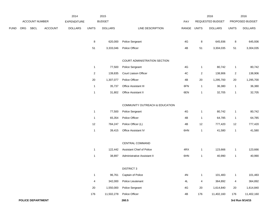|             |     |                   | 2014           |                    | 2015           |                |                                  |               | 2016           | 2016             |                |                 |
|-------------|-----|-------------------|----------------|--------------------|----------------|----------------|----------------------------------|---------------|----------------|------------------|----------------|-----------------|
|             |     | ACCOUNT NUMBER    |                | <b>EXPENDITURE</b> |                | <b>BUDGET</b>  |                                  | PAY           |                | REQUESTED BUDGET |                | PROPOSED BUDGET |
| <b>FUND</b> | ORG | <b>SBCL</b>       | <b>ACCOUNT</b> | <b>DOLLARS</b>     | <b>UNITS</b>   | <b>DOLLARS</b> | LINE DESCRIPTION                 | RANGE         | <b>UNITS</b>   | <b>DOLLARS</b>   | <b>UNITS</b>   | <b>DOLLARS</b>  |
|             |     |                   |                |                    | $\bf 8$        | 620,000        | Police Sergeant                  | 4G            | 8              | 645,936          | 8              | 645,936         |
|             |     |                   |                |                    | 51             | 3,333,046      | Police Officer                   | 4B            | 51             | 3,304,035        | 51             | 3,304,035       |
|             |     |                   |                |                    |                |                | COURT ADMINISTRATION SECTION     |               |                |                  |                |                 |
|             |     |                   |                |                    | $\mathbf{1}$   | 77,500         | Police Sergeant                  | 4G            | $\mathbf{1}$   | 80,742           | $\mathbf{1}$   | 80,742          |
|             |     |                   |                |                    | $\overline{2}$ | 139,835        | Court Liaison Officer            | 4C            | $\overline{2}$ | 138,906          | $\overline{2}$ | 138,906         |
|             |     |                   |                |                    | 20             | 1,307,077      | Police Officer                   | 4B            | 20             | 1,295,700        | 20             | 1,295,700       |
|             |     |                   |                |                    | $\mathbf{1}$   | 35,737         | Office Assistant III             | 6FN           | $\mathbf{1}$   | 36,380           | $\mathbf{1}$   | 36,380          |
|             |     |                   |                |                    | $\mathbf{1}$   | 31,802         | Office Assistant II              | 6EN           | $\overline{1}$ | 32,705           | $\mathbf{1}$   | 32,705          |
|             |     |                   |                |                    |                |                | COMMUNITY OUTREACH & EDUCATION   |               |                |                  |                |                 |
|             |     |                   |                |                    | $\mathbf{1}$   | 77,500         | Police Sergeant                  | 4G            | $\overline{1}$ | 80,742           | $\mathbf{1}$   | 80,742          |
|             |     |                   |                |                    | $\mathbf{1}$   | 65,354         | Police Officer                   | 4B            | $\overline{1}$ | 64,785           | $\mathbf{1}$   | 64,785          |
|             |     |                   |                |                    | 12             | 784,247        | Police Officer (L)               | 4B            | $12$           | 777,420          | 12             | 777,420         |
|             |     |                   |                |                    | $\mathbf{1}$   | 39,415         | Office Assistant IV              | 6HN           | $\overline{1}$ | 41,580           | $\mathbf{1}$   | 41,580          |
|             |     |                   |                |                    |                |                | CENTRAL COMMAND                  |               |                |                  |                |                 |
|             |     |                   |                |                    | $\mathbf{1}$   | 122,442        | <b>Assistant Chief of Police</b> | 4RX           | $\overline{1}$ | 123,666          | $\mathbf{1}$   | 123,666         |
|             |     |                   |                |                    | $\mathbf{1}$   | 38,897         | Administrative Assistant II      | 6HN           | $\overline{1}$ | 40,990           | $\mathbf{1}$   | 40,990          |
|             |     |                   |                |                    |                |                | <b>DISTRICT 3</b>                |               |                |                  |                |                 |
|             |     |                   |                |                    | $\mathbf{1}$   | 96,761         | Captain of Police                | $4\mathrm{N}$ | $\mathbf{1}$   | 101,483          | $\mathbf{1}$   | 101,483         |
|             |     |                   |                |                    | $\overline{4}$ | 342,000        | Police Lieutenant                | 4L            | 4              | 364,892          | 4              | 364,892         |
|             |     |                   |                |                    | 20             | 1,550,000      | Police Sergeant                  | 4G            | 20             | 1,614,840        | 20             | 1,614,840       |
|             |     |                   |                |                    | 176            | 11,502,278     | Police Officer                   | 4B            | 176            | 11,402,160       | 176            | 11,402,160      |
|             |     | POLICE DEPARTMENT |                |                    |                |                | 260.5                            |               |                |                  |                | 3rd Run 9/14/15 |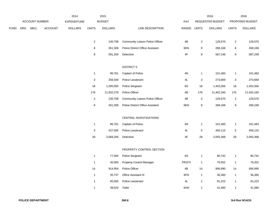|             |                       | 2014 |                    | 2015           |                           |                |                                         | 2016             |                | 2016            |                         |                |
|-------------|-----------------------|------|--------------------|----------------|---------------------------|----------------|-----------------------------------------|------------------|----------------|-----------------|-------------------------|----------------|
|             | <b>ACCOUNT NUMBER</b> |      | <b>EXPENDITURE</b> | <b>BUDGET</b>  |                           |                | PAY                                     | REQUESTED BUDGET |                | PROPOSED BUDGET |                         |                |
| <b>FUND</b> | ORG                   | SBCL | <b>ACCOUNT</b>     | <b>DOLLARS</b> | <b>UNITS</b>              | <b>DOLLARS</b> | LINE DESCRIPTION                        | RANGE UNITS      |                | <b>DOLLARS</b>  | <b>UNITS</b>            | <b>DOLLARS</b> |
|             |                       |      |                    |                | $\overline{2}$            | 130,708        | Community Liaison Police Officer        | 4B               | $\overline{2}$ | 129,570         | $\overline{2}$          | 129,570        |
|             |                       |      |                    |                | 8                         | 261,309        | <b>Police District Office Assistant</b> | 6EN              | 8              | 268,168         | 8                       | 268,168        |
|             |                       |      |                    |                | $\bf 8$                   | 591,200        | Detective                               | $4\mathsf{F}$    | 8              | 587,248         | 8                       | 587,248        |
|             |                       |      |                    |                |                           |                | <b>DISTRICT 5</b>                       |                  |                |                 |                         |                |
|             |                       |      |                    |                | $\overline{1}$            | 96,761         | Captain of Police                       | $4\mathrm{N}$    | $\mathbf{1}$   | 101,483         | $\mathbf{1}$            | 101,483        |
|             |                       |      |                    |                | $\ensuremath{\mathsf{3}}$ | 256,500        | Police Lieutenant                       | 4L               | 3              | 273,669         | 3                       | 273,669        |
|             |                       |      |                    |                | $18$                      | 1,395,000      | Police Sergeant                         | 4G               | 18             | 1,453,356       | 18                      | 1,453,356      |
|             |                       |      |                    |                | 176                       | 11,502,278     | Police Officer                          | 4B               | 176            | 11,402,160      | 176                     | 11,402,160     |
|             |                       |      |                    |                | $\overline{2}$            | 130,708        | Community Liaison Police Officer        | 4B               | $\sqrt{2}$     | 129,570         | $\overline{\mathbf{c}}$ | 129,570        |
|             |                       |      |                    |                | 8                         | 261,309        | <b>Police District Office Assistant</b> | 6EN              | 8              | 268,168         | 8                       | 268,168        |
|             |                       |      |                    |                |                           |                | CENTRAL INVESTIGATIONS                  |                  |                |                 |                         |                |
|             |                       |      |                    |                | $\overline{1}$            | 96,761         | Captain of Police                       | 4N               | $\mathbf{1}$   | 101,483         | $\mathbf{1}$            | 101,483        |
|             |                       |      |                    |                | $\,$ 5 $\,$               | 427,500        | Police Lieutenant                       | 4L               | $\sqrt{5}$     | 456,115         | 5                       | 456,115        |
|             |                       |      |                    |                | 28                        | 2,069,200      | Detective                               | 4F               | 28             | 2,055,368       | 28                      | 2,055,368      |
|             |                       |      |                    |                |                           |                | PROPERTY CONTROL SECTION                |                  |                |                 |                         |                |
|             |                       |      |                    |                | $\mathbf{1}$              | 77,500         | Police Sergeant                         | 4G               | $\mathbf{1}$   | 80,742          | $\mathbf{1}$            | 80,742         |
|             |                       |      |                    |                | $\overline{1}$            | 40,000         | <b>Property Control Manager</b>         | PR1FX            | $\mathbf{1}$   | 79,352          | $\mathbf{1}$            | 79,352         |
|             |                       |      |                    |                | 14                        | 914,954        | Police Officer                          | 4B               | 14             | 906,990         | 14                      | 906,990        |
|             |                       |      |                    |                | $\overline{1}$            | 35,737         | Office Assistant III                    | 6FN              | $\mathbf{1}$   | 36,380          | $\mathbf{1}$            | 36,380         |
|             |                       |      |                    |                | $\overline{1}$            | 85,500         | Police Lieutenant                       | 4L               | $\mathbf{1}$   | 91,223          | $\mathbf{1}$            | 91,223         |
|             |                       |      |                    |                | $\overline{1}$            | 39,623         | Teller                                  | 6HN              | $\mathbf{1}$   | 41,580          | $\mathbf{1}$            | 41,580         |
|             |                       |      |                    |                |                           |                |                                         |                  |                |                 |                         |                |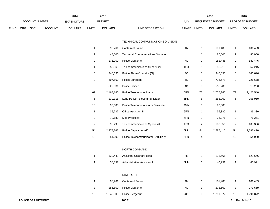|      |                |      |                    | 2014           |               | 2015           |                  |       |                  | 2016           |                        | 2016           |
|------|----------------|------|--------------------|----------------|---------------|----------------|------------------|-------|------------------|----------------|------------------------|----------------|
|      | ACCOUNT NUMBER |      | <b>EXPENDITURE</b> |                | <b>BUDGET</b> |                | PAY              |       | REQUESTED BUDGET |                | <b>PROPOSED BUDGET</b> |                |
| FUND | <b>ORG</b>     | SBCL | <b>ACCOUNT</b>     | <b>DOLLARS</b> | <b>UNITS</b>  | <b>DOLLARS</b> | LINE DESCRIPTION | RANGE | UNITS            | <b>DOLLARS</b> | <b>UNITS</b>           | <b>DOLLARS</b> |

#### TECHNICAL COMMUNICATIONS DIVISION

| 1  | 96,761    | Captain of Police                       | 4N  | $\mathbf{1}$   | 101,483   | $\mathbf{1}$ | 101,483   |
|----|-----------|-----------------------------------------|-----|----------------|-----------|--------------|-----------|
| 1  | 48,000    | <b>Technical Communications Manager</b> |     | $\mathbf{1}$   | 86,000    | 1            | 86,000    |
| 2  | 171,000   | Police Lieutenant                       | 4L  | 2              | 182,446   | 2            | 182,446   |
| 1  | 50,960    | Telecommunications Supervisor           | 1CX | $\mathbf{1}$   | 52,215    | 1            | 52,215    |
| 5  | 346,696   | Police Alarm Operator (G)               | 4C  | 5              | 346,696   | 5            | 346,696   |
| 9  | 697,500   | Police Sergeant                         | 4G  | 9              | 726,678   | 9            | 726,678   |
| 8  | 522,831   | Police Officer                          | 4B  | 8              | 518,280   | 8            | 518,280   |
| 62 | 2,168,140 | Police Telecommunicator                 | 6FN | 72             | 2,775,240 | 72           | 2,425,540 |
| 6  | 230,316   | Lead Police Telecommunicator            | 6HN | 6              | 255,960   | 6            | 255,960   |
| 10 | 90,000    | Police Telecommunicator Seasonal        | 9MN | 10             | 90,000    |              |           |
| 1  | 35,737    | Office Assistant III                    | 6FN | $\mathbf{1}$   | 36,380    | 1            | 36,380    |
| 2  | 72,680    | Mail Processor                          | 6FN | 2              | 76,271    | 2            | 76,271    |
| 2  | 98,290    | <b>Telecommunications Specialist</b>    | 1BX | $\overline{2}$ | 100,356   | 2            | 100,356   |
| 54 | 2,478,762 | Police Dispatcher (G)                   | 6NN | 54             | 2,587,410 | 54           | 2,587,410 |
| 10 | 54,000    | Police Telecommunicator - Auxiliary     | 6FN | 4              |           | 10           | 54,000    |
|    |           |                                         |     |                |           |              |           |
|    |           | NORTH COMMAND                           |     |                |           |              |           |
| 1  | 122,442   | <b>Assistant Chief of Police</b>        | 4R  | $\mathbf{1}$   | 123,666   | 1            | 123,666   |
| 1  | 38,897    | Administrative Assistant II             | 6HN | $\mathbf{1}$   | 40,991    | 1            | 40,991    |
|    |           |                                         |     |                |           |              |           |
|    |           | <b>DISTRICT 4</b>                       |     |                |           |              |           |
| 1  | 96,761    | Captain of Police                       | 4N  | $\mathbf{1}$   | 101,483   | 1            | 101,483   |
| 3  | 256,500   | Police Lieutenant                       | 4L  | 3              | 273,669   | 3            | 273,669   |
| 16 | 1,240,000 | Police Sergeant                         | 4G  | 16             | 1,291,872 | 16           | 1,291,872 |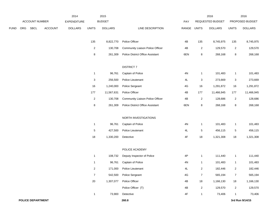|             |     |                       |                | 2014               |                         | 2015           |                                         |               |                | 2016             |                | 2016            |
|-------------|-----|-----------------------|----------------|--------------------|-------------------------|----------------|-----------------------------------------|---------------|----------------|------------------|----------------|-----------------|
|             |     | <b>ACCOUNT NUMBER</b> |                | <b>EXPENDITURE</b> |                         | <b>BUDGET</b>  |                                         | PAY           |                | REQUESTED BUDGET |                | PROPOSED BUDGET |
| <b>FUND</b> | ORG | SBCL                  | <b>ACCOUNT</b> | <b>DOLLARS</b>     | <b>UNITS</b>            | <b>DOLLARS</b> | LINE DESCRIPTION                        | RANGE         | <b>UNITS</b>   | <b>DOLLARS</b>   | <b>UNITS</b>   | <b>DOLLARS</b>  |
|             |     |                       |                |                    | 135                     | 8,822,770      | Police Officer                          | 4B            | 135            | 8,745,975        | 135            | 8,745,975       |
|             |     |                       |                |                    | $\overline{\mathbf{c}}$ | 130,708        | Community Liaison Police Officer        | 4B            | $\overline{2}$ | 129,570          | $\overline{c}$ | 129,570         |
|             |     |                       |                |                    | 8                       | 261,309        | <b>Police District Office Assistant</b> | 6EN           | 8              | 268,168          | 8              | 268,168         |
|             |     |                       |                |                    |                         |                | <b>DISTRICT 7</b>                       |               |                |                  |                |                 |
|             |     |                       |                |                    | $\mathbf{1}$            | 96,761         | Captain of Police                       | 4N            | $\mathbf{1}$   | 101,483          | $\mathbf{1}$   | 101,483         |
|             |     |                       |                |                    | 3                       | 256,500        | Police Lieutenant                       | 4L            | 3              | 273,669          | 3              | 273,669         |
|             |     |                       |                |                    | 16                      | 1,240,000      | Police Sergeant                         | 4G            | 16             | 1,291,872        | 16             | 1,291,872       |
|             |     |                       |                |                    | 177                     | 11,567,631     | Police Officer                          | 4B            | 177            | 11,466,945       | 177            | 11,466,945      |
|             |     |                       |                |                    | $\overline{2}$          | 130,708        | Community Liaison Police Officer        | 4B            | $\overline{2}$ | 128,686          | $\overline{2}$ | 128,686         |
|             |     |                       |                |                    | 8                       | 261,309        | <b>Police District Office Assistant</b> | 6EN           | 8              | 268,168          | 8              | 268,168         |
|             |     |                       |                |                    |                         |                | NORTH INVESTIGATIONS                    |               |                |                  |                |                 |
|             |     |                       |                |                    | $\mathbf{1}$            | 96,761         | Captain of Police                       | $4\mathrm{N}$ | $\mathbf{1}$   | 101,483          | $\mathbf{1}$   | 101,483         |
|             |     |                       |                |                    | 5                       | 427,500        | Police Lieutenant                       | 4L            | $\sqrt{5}$     | 456,115          | 5              | 456,115         |
|             |     |                       |                |                    | 18                      | 1,330,200      | Detective                               | 4F            | 18             | 1,321,308        | 18             | 1,321,308       |
|             |     |                       |                |                    |                         |                | POLICE ACADEMY                          |               |                |                  |                |                 |
|             |     |                       |                |                    | $\mathbf{1}$            | 108,732        | Deputy Inspector of Police              | 4P            | $\mathbf{1}$   | 111,440          | $\mathbf{1}$   | 111,440         |
|             |     |                       |                |                    | $\mathbf{1}$            | 96,761         | Captain of Police                       | 4N            | $\mathbf{1}$   | 101,483          | $\mathbf{1}$   | 101,483         |
|             |     |                       |                |                    | $\overline{2}$          | 171,000        | Police Lieutenant                       | 4L            | $\overline{c}$ | 182,446          | $\overline{c}$ | 182,446         |
|             |     |                       |                |                    | $\overline{7}$          | 542,500        | Police Sergeant                         | $4\mathsf{G}$ | $\overline{7}$ | 565,194          | $\overline{7}$ | 565,194         |
|             |     |                       |                |                    | $20\,$                  | 1,307,077      | Police Officer                          | 4B            | 18             | 1,166,130        | 18             | 1,166,130       |
|             |     |                       |                |                    |                         |                | Police Officer (T)                      | 4B            | $\overline{c}$ | 129,570          | $\overline{c}$ | 129,570         |
|             |     |                       |                |                    | $\mathbf{1}$            | 73,900         | Detective                               | 4F            | $\mathbf{1}$   | 73,406           | -1             | 73,406          |
|             |     | POLICE DEPARTMENT     |                |                    |                         |                | 260.8                                   |               |                |                  |                | 3rd Run 9/14/15 |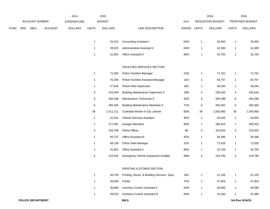|             |            |                |                | 2014               |                  | 2015           |                                             |             |                | 2016             |                | 2016            |
|-------------|------------|----------------|----------------|--------------------|------------------|----------------|---------------------------------------------|-------------|----------------|------------------|----------------|-----------------|
|             |            | ACCOUNT NUMBER |                | <b>EXPENDITURE</b> |                  | <b>BUDGET</b>  |                                             | PAY         |                | REQUESTED BUDGET |                | PROPOSED BUDGET |
| <b>FUND</b> | <b>ORG</b> | SBCL           | <b>ACCOUNT</b> | <b>DOLLARS</b>     | <b>UNITS</b>     | <b>DOLLARS</b> | LINE DESCRIPTION                            | RANGE UNITS |                | <b>DOLLARS</b>   | <b>UNITS</b>   | <b>DOLLARS</b>  |
|             |            |                |                |                    | $\mathbf{1}$     | 34,312         | <b>Accounting Assistant I</b>               | 6GN         | $\overline{1}$ | 34,655           | $\mathbf{1}$   | 34,655          |
|             |            |                |                |                    | $\mathbf{1}$     | 39,623         | Administrative Assistant II                 | 6HN         | $\mathbf{1}$   | 41,580           | $\mathbf{1}$   | 41,580          |
|             |            |                |                |                    | $\mathbf{1}$     | 31,802         | <b>Office Assistant II</b>                  | 6EN         | $\overline{1}$ | 32,705           | $\mathbf{1}$   | 32,705          |
|             |            |                |                |                    |                  |                | <b>FACILITIES SERVICES SECTION</b>          |             |                |                  |                |                 |
|             |            |                |                |                    | $\mathbf{1}$     | 71,050         | Police Facilities Manager                   | $1$ GN      | $\mathbf{1}$   | 71,761           | $\mathbf{1}$   | 71,761          |
|             |            |                |                |                    | $\mathbf{1}$     | 70,295         | Police Facilities Assistant Manager         | 1EX         | $\mathbf{1}$   | 64,757           | 1              | 64,757          |
|             |            |                |                |                    | $\mathbf{1}$     | 47,816         | <b>Police Fleet Supervisor</b>              | 1BX         | $\overline{1}$ | 48,294           | $\mathbf{1}$   | 48,294          |
|             |            |                |                |                    | 4                | 224,459        | <b>Building Maintenance Supervisor II</b>   | 1BN         | 4              | 235,544          | 4              | 235,544         |
|             |            |                |                |                    | 6                | 284,298        | Maintenance Technician II                   | 3GN         | 6              | 284,298          | 6              | 284,298         |
|             |            |                |                |                    | 6                | 265,482        | <b>Building Maintenance Mechanic II</b>     | 7CN         | 6              | 265,482          | 6              | 265,482         |
|             |            |                |                |                    | 39               | 1,511,211      | Custodial Worker II-City Laborer            | 8DN         | 39             | 1,555,983        | 39             | 1,555,983       |
|             |            |                |                |                    | $\mathbf{1}$     | 41,931         | Vehicle Services Assistant                  | 8FN         | $\mathbf{1}$   | 44,002           | $\mathbf{1}$   | 44,002          |
|             |            |                |                |                    | $\boldsymbol{7}$ | 277,081        | Garage Attendant                            | 8DN         | $\overline{7}$ | 285,915          | $\overline{7}$ | 285,915         |
|             |            |                |                |                    | 5                | 326,769        | Police Officer                              | 4B          | $\sqrt{5}$     | 323,925          | $\,$ 5 $\,$    | 323,925         |
|             |            |                |                |                    | $\mathbf{1}$     | 35,737         | Office Assistant III                        | 6FN         | $\mathbf{1}$   | 36,380           | $\mathbf{1}$   | 36,380          |
|             |            |                |                |                    | $\mathbf{1}$     | 68,159         | Police Fleet Manager                        | 1DX         | $\mathbf{1}$   | 71,525           | $\mathbf{1}$   | 71,525          |
|             |            |                |                |                    | $\mathbf{1}$     | 31,802         | <b>Office Assistant II</b>                  | 6EN         | $\overline{1}$ | 32,705           | 1              | 32,705          |
|             |            |                |                |                    | 5                | 215,025        | Emergency Vehicle Equipment Installer       | 3MN         | 5              | 218,790          | 5              | 218,790         |
|             |            |                |                |                    |                  |                | PRINTING & STORES SECTION                   |             |                |                  |                |                 |
|             |            |                |                |                    | $\mathbf{1}$     | 48,700         | Printing, Stores, & Building Services Supv. | 1BX         | $\overline{1}$ | 51,105           | $\mathbf{1}$   | 51,105          |
|             |            |                |                |                    | $\mathbf{1}$     | 45,649         | Printer                                     | 7FN         | $\mathbf{1}$   | 47,903           | $\mathbf{1}$   | 47,903          |
|             |            |                |                |                    | $\mathbf{1}$     | 38,680         | <b>Inventory Control Assistant II</b>       | 6HN         | $\mathbf{1}$   | 40,590           | $\mathbf{1}$   | 40,590          |

1 39,623 Inventory Control Assistant III 6HN 1 41,580 1 41,580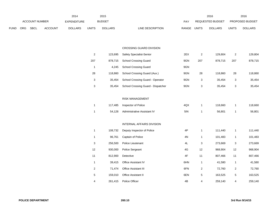|          |                |      |                | 2014               |              | 2015           |                  |            |       | 2016             |       | 2016                   |
|----------|----------------|------|----------------|--------------------|--------------|----------------|------------------|------------|-------|------------------|-------|------------------------|
|          | ACCOUNT NUMBER |      |                | <b>EXPENDITURE</b> |              | <b>BUDGET</b>  |                  | <b>PAY</b> |       | REQUESTED BUDGET |       | <b>PROPOSED BUDGET</b> |
| FUND ORG |                | SBCL | <b>ACCOUNT</b> | <b>DOLLARS</b>     | <b>UNITS</b> | <b>DOLLARS</b> | LINE DESCRIPTION | RANGE      | UNITS | <b>DOLLARS</b>   | UNITS | <b>DOLLARS</b>         |

#### CROSSING GUARD DIVISION

| 2   | 123.695 | <b>Safety Specialist-Senior</b>    | 2EX | 2   | 129.804 | 2   | 129,804 |
|-----|---------|------------------------------------|-----|-----|---------|-----|---------|
| 207 | 878.715 | <b>School Crossing Guard</b>       | 9GN | 207 | 878.715 | 207 | 878.715 |
|     | 4.245   | <b>School Crossing Guard</b>       | 9GN |     |         |     |         |
| 28  | 118.860 | School Crossing Guard (Aux.)       | 9GN | 28  | 118.860 | 28  | 118.860 |
| 3   | 35.454  | School Crossing Guard - Operator   | 9GN | 3   | 35.454  | 3   | 35,454  |
| 3   | 35.454  | School Crossing Guard - Dispatcher | 9GN | 3   | 35.454  | 3   | 35,454  |

# RISK MANAGEMENT

|  | 117,485 Inspector of Police        | 4QX | 118.660 | 118,660 |
|--|------------------------------------|-----|---------|---------|
|  | 54.128 Administrative Assistant IV | 5IN | 56.801  | 56,801  |

### INTERNAL AFFAIRS DIVISION

| 1  | 108,732 | Deputy Inspector of Police  | 4P  |    | 111,440 |    | 111,440 |
|----|---------|-----------------------------|-----|----|---------|----|---------|
| 1  | 96,761  | Captain of Police           | 4N  | 1  | 101,483 |    | 101,483 |
| 3  | 256,500 | Police Lieutenant           | 4L  | 3  | 273,669 | 3  | 273,669 |
| 12 | 930.000 | <b>Police Sergeant</b>      | 4G  | 12 | 968,904 | 12 | 968,904 |
| 11 | 812,900 | Detective                   | 4F  | 11 | 807,466 | 11 | 807,466 |
| 1  | 39,415  | <b>Office Assistant IV</b>  | 6HN | 1  | 41,580  |    | 41,580  |
| 2  | 71.474  | <b>Office Assistant III</b> | 6FN | 2  | 72,760  | 2  | 72,760  |
| 5  | 159.010 | Office Assistant II         | 6EN | 5  | 163,525 | 5  | 163,525 |
| 4  | 261,415 | Police Officer              | 4B  | 4  | 259,140 | 4  | 259,140 |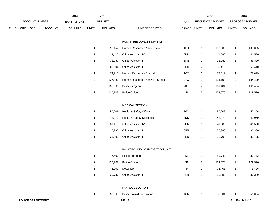|      |     | ACCOUNT NUMBER    |                | 2014<br><b>EXPENDITURE</b> |                | 2015<br><b>BUDGET</b> |                                  | PAY   |                | 2016<br>REQUESTED BUDGET |                         | 2016<br>PROPOSED BUDGET |
|------|-----|-------------------|----------------|----------------------------|----------------|-----------------------|----------------------------------|-------|----------------|--------------------------|-------------------------|-------------------------|
| FUND | ORG | <b>SBCL</b>       | <b>ACCOUNT</b> | <b>DOLLARS</b>             | <b>UNITS</b>   | <b>DOLLARS</b>        | LINE DESCRIPTION                 | RANGE | <b>UNITS</b>   | <b>DOLLARS</b>           | <b>UNITS</b>            | <b>DOLLARS</b>          |
|      |     |                   |                |                            |                |                       | HUMAN RESOURCES DIVISION         |       |                |                          |                         |                         |
|      |     |                   |                |                            | $\mathbf{1}$   | 98,157                | Human Resources Administrator    | 1HX   | $\mathbf{1}$   | 103,005                  | $\mathbf{1}$            | 103,005                 |
|      |     |                   |                |                            | $\mathbf{1}$   | 39,415                | Office Assistant IV              | 6HN   | $\mathbf{1}$   | 41,580                   | $\mathbf{1}$            | 41,580                  |
|      |     |                   |                |                            | $\mathbf{1}$   | 35,737                | Office Assistant III             | 6FN   | $\mathbf{1}$   | 36,380                   | 1                       | 36,380                  |
|      |     |                   |                |                            | $\overline{a}$ | 63,604                | Office Assistant II              | 6EN   | $\overline{2}$ | 65,410                   | $\overline{\mathbf{c}}$ | 65,410                  |
|      |     |                   |                |                            | $\mathbf{1}$   | 74,917                | Human Resources Specialist       | 1CX   | $\mathbf{1}$   | 78,619                   | $\mathbf{1}$            | 78,619                  |
|      |     |                   |                |                            | $\overline{a}$ | 127,883               | Human Resources Analyst - Senior | 2FX   | $\overline{c}$ | 134,199                  | $\boldsymbol{2}$        | 134,199                 |
|      |     |                   |                |                            | $\overline{a}$ | 155,000               | Police Sergeant                  | 4G    | $\overline{2}$ | 161,484                  | $\boldsymbol{2}$        | 161,484                 |
|      |     |                   |                |                            | $\overline{a}$ | 130,708               | Police Officer                   | 4B    | $\sqrt{2}$     | 129,570                  | $\overline{\mathbf{c}}$ | 129,570                 |
|      |     |                   |                |                            |                |                       |                                  |       |                |                          |                         |                         |
|      |     |                   |                |                            |                |                       | MEDICAL SECTION                  |       |                |                          |                         |                         |
|      |     |                   |                |                            | $\mathbf{1}$   | 50,206                | Health & Safety Officer          | 2GX   | $\mathbf{1}$   | 50,206                   | $\mathbf{1}$            | 50,206                  |
|      |     |                   |                |                            | $\mathbf{1}$   | 42,079                | Health & Safety Specialist       | 2DN   | $\mathbf{1}$   | 42,079                   | $\mathbf{1}$            | 42,079                  |
|      |     |                   |                |                            | $\mathbf{1}$   | 39,415                | Office Assistant IV              | 6HN   | $\mathbf{1}$   | 41,580                   | 1                       | 41,580                  |
|      |     |                   |                |                            | $\mathbf{1}$   | 35,737                | Office Assistant III             | 6FN   | $\mathbf{1}$   | 36,380                   | $\mathbf{1}$            | 36,380                  |
|      |     |                   |                |                            | $\mathbf{1}$   | 31,802                | Office Assistant II              | 6EN   | $\mathbf{1}$   | 32,705                   | $\mathbf{1}$            | 32,705                  |
|      |     |                   |                |                            |                |                       |                                  |       |                |                          |                         |                         |
|      |     |                   |                |                            |                |                       | BACKGROUND INVESTIGATION UNIT    |       |                |                          |                         |                         |
|      |     |                   |                |                            | $\mathbf{1}$   | 77,500                | Police Sergeant                  | 4G    | $\mathbf{1}$   | 80,742                   | $\mathbf{1}$            | 80,742                  |
|      |     |                   |                |                            | $\overline{a}$ | 130,708               | Police Officer                   | 4B    | $\sqrt{2}$     | 129,570                  | $\overline{\mathbf{c}}$ | 129,570                 |
|      |     |                   |                |                            | 1              | 73,900                | Detective                        | 4F    | $\mathbf{1}$   | 73,406                   | $\mathbf{1}$            | 73,406                  |
|      |     |                   |                |                            | $\mathbf{1}$   | 35,737                | Office Assistant III             | 6FN   | $\mathbf{1}$   | 36,380                   | $\mathbf{1}$            | 36,380                  |
|      |     |                   |                |                            |                |                       | PAYROLL SECTION                  |       |                |                          |                         |                         |
|      |     |                   |                |                            | $\mathbf{1}$   | 53,368                | Police Payroll Supervisor        | 1CN   | $\mathbf{1}$   | 56,004                   | -1                      | 56,004                  |
|      |     | POLICE DEPARTMENT |                |                            |                |                       | 260.11                           |       |                |                          |                         | 3rd Run 9/14/15         |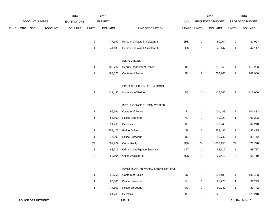|             |     |                |                | 2014               |                         | 2015           |                                   |               |                | 2016             |                | 2016            |
|-------------|-----|----------------|----------------|--------------------|-------------------------|----------------|-----------------------------------|---------------|----------------|------------------|----------------|-----------------|
|             |     | ACCOUNT NUMBER |                | <b>EXPENDITURE</b> |                         | <b>BUDGET</b>  |                                   | PAY           |                | REQUESTED BUDGET |                | PROPOSED BUDGET |
| <b>FUND</b> | ORG | SBCL           | <b>ACCOUNT</b> | <b>DOLLARS</b>     | <b>UNITS</b>            | <b>DOLLARS</b> | LINE DESCRIPTION                  | RANGE         | <b>UNITS</b>   | <b>DOLLARS</b>   | <b>UNITS</b>   | <b>DOLLARS</b>  |
|             |     |                |                |                    |                         |                |                                   |               |                |                  |                |                 |
|             |     |                |                |                    | $\mathbf{2}$            | 77,190         | Personnel Payroll Assistant II    | 6HN           | $\overline{2}$ | 80,904           | $\overline{2}$ | 80,904          |
|             |     |                |                |                    | $\mathbf{1}$            | 41,133         | Personnel Payroll Assistant III   | 5EN           | $\mathbf{1}$   | 42,147           | $\mathbf{1}$   | 42,147          |
|             |     |                |                |                    |                         |                | <b>INSPECTIONS</b>                |               |                |                  |                |                 |
|             |     |                |                |                    | $\mathbf{1}$            | 108,732        | Deputy Inspector of Police        | 4P            | $\mathbf{1}$   | 110,253          | $\mathbf{1}$   | 110,253         |
|             |     |                |                |                    | $\overline{\mathbf{c}}$ | 193,523        | Captain of Police                 | 4N            | $\overline{2}$ | 202,966          | $\overline{2}$ | 202,966         |
|             |     |                |                |                    |                         |                |                                   |               |                |                  |                |                 |
|             |     |                |                |                    |                         |                | SPECIALIZED INVESTIGATIONS        |               |                |                  |                |                 |
|             |     |                |                |                    | $\mathbf{1}$            | 117,485        | Inspector of Police               | $4{\sf Q}$    | $\mathbf{1}$   | 118,660          | $\mathbf{1}$   | 118,660         |
|             |     |                |                |                    |                         |                | INTELLIGENCE FUSION CENTER        |               |                |                  |                |                 |
|             |     |                |                |                    | $\mathbf{1}$            | 96,761         | Captain of Police                 | $4\mathrm{N}$ | $\mathbf{1}$   | 101,483          | $\mathbf{1}$   | 101,483         |
|             |     |                |                |                    | $\mathbf{1}$            | 85,500         | Police Lieutenant                 | 4L            | $\mathbf{1}$   | 91,223           | $\mathbf{1}$   | 91,223          |
|             |     |                |                |                    | 8                       | 591,200        | Detective                         | 4F            | $\,8\,$        | 587,248          | $\,8\,$        | 587,248         |
|             |     |                |                |                    | $\overline{7}$          | 457,477        | Police Officer                    | 4B            | $\overline{7}$ | 453,495          | $\overline{7}$ | 453,495         |
|             |     |                |                |                    | $\mathbf{1}$            | 77,500         | Police Sergeant                   | 4G            | $\mathbf{1}$   | 80,742           | $\overline{1}$ | 80,742          |
|             |     |                |                |                    | 24                      | 607,722        | <b>Crime Analyst</b>              | 2GN           | 24             | 1,002,153        | 24             | 871,728         |
|             |     |                |                |                    | $\mathbf{1}$            | 68,717         | Crime & Intelligence Specialist   | 1FX           | $\mathbf{1}$   | 68,717           | $\mathbf{1}$   | 68,717          |
|             |     |                |                |                    | $\overline{\mathbf{c}}$ | 63,604         | Office Assistant II               | 6EN           | $\overline{2}$ | 65,410           | $\overline{2}$ | 65,410          |
|             |     |                |                |                    |                         |                | INVESTIGATIVE MANAGEMENT DIVISION |               |                |                  |                |                 |
|             |     |                |                |                    | $\mathbf{1}$            | 96,761         | Captain of Police                 | $4\mathrm{N}$ | $\mathbf{1}$   | 101,483          | $\mathbf{1}$   | 101,483         |
|             |     |                |                |                    | $\mathbf{1}$            | 85,500         | Police Lieutenant                 | 4L            | $\mathbf{1}$   | 91,223           | $\mathbf{1}$   | 91,223          |
|             |     |                |                |                    | $\mathbf{1}$            | 77,500         | Police Sergeant                   | 4G            | $\mathbf{1}$   | 80,742           | $\mathbf{1}$   | 80,742          |
|             |     |                |                |                    | 3 <sup>1</sup>          |                | 221,700 Detective                 | 4F            | 3              | 220,218          | $\mathbf{3}$   | 220,218         |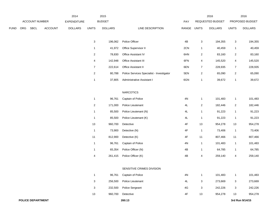|      |     |                          |                | 2014           |                           | 2015           |                                           |               |                           | 2016             |                | 2016            |
|------|-----|--------------------------|----------------|----------------|---------------------------|----------------|-------------------------------------------|---------------|---------------------------|------------------|----------------|-----------------|
|      |     | ACCOUNT NUMBER           |                | EXPENDITURE    |                           | <b>BUDGET</b>  |                                           | PAY           |                           | REQUESTED BUDGET |                | PROPOSED BUDGET |
| FUND | ORG | <b>SBCL</b>              | <b>ACCOUNT</b> | <b>DOLLARS</b> | <b>UNITS</b>              | <b>DOLLARS</b> | LINE DESCRIPTION                          | RANGE UNITS   |                           | <b>DOLLARS</b>   | <b>UNITS</b>   | <b>DOLLARS</b>  |
|      |     |                          |                |                | $\ensuremath{\mathsf{3}}$ | 196,062        | Police Officer                            | 4B            | $\ensuremath{\mathsf{3}}$ | 194,355          | $\mathbf{3}$   | 194,355         |
|      |     |                          |                |                | $\mathbf{1}$              | 41,972         | Office Supervisor II                      | 2CN           | $\mathbf{1}$              | 40,459           | $\mathbf{1}$   | 40,459          |
|      |     |                          |                |                | $\overline{c}$            | 78,830         | Office Assistant IV                       | 6HN           | $\overline{2}$            | 83,160           | $\overline{c}$ | 83,160          |
|      |     |                          |                |                | 4                         | 142,948        | Office Assistant III                      | 6FN           | 4                         | 145,520          | 4              | 145,520         |
|      |     |                          |                |                | $\overline{7}$            | 222,614        | Office Assistant II                       | 6EN           | $\overline{7}$            | 228,935          | $\overline{7}$ | 228,935         |
|      |     |                          |                |                | $\overline{2}$            | 80,788         | Police Services Specialist - Investigator | 5EN           | $\overline{2}$            | 65,090           | $\overline{a}$ | 65,090          |
|      |     |                          |                |                | 1                         | 37,805         | Administrative Assistant I                | 6GN           | $\mathbf{1}$              | 39,672           | $\mathbf{1}$   | 39,672          |
|      |     |                          |                |                |                           |                |                                           |               |                           |                  |                |                 |
|      |     |                          |                |                |                           |                | <b>NARCOTICS</b>                          |               |                           |                  |                |                 |
|      |     |                          |                |                | $\mathbf{1}$              | 96,761         | Captain of Police                         | 4N            | $\mathbf{1}$              | 101,483          | 1              | 101,483         |
|      |     |                          |                |                | $\boldsymbol{2}$          | 171,000        | Police Lieutenant                         | 4L            | $\overline{2}$            | 182,446          | $\overline{c}$ | 182,446         |
|      |     |                          |                |                | $\mathbf{1}$              | 85,500         | Police Lieutenant (N)                     | $4\mathsf{L}$ | $\mathbf{1}$              | 91,223           | $\mathbf{1}$   | 91,223          |
|      |     |                          |                |                | $\mathbf{1}$              | 85,500         | Police Lieutenant (K)                     | $4\mathsf{L}$ | $\mathbf{1}$              | 91,223           | $\mathbf{1}$   | 91,223          |
|      |     |                          |                |                | 13                        | 960,700        | Detective                                 | 4F            | 13                        | 954,278          | 13             | 954,278         |
|      |     |                          |                |                | $\overline{1}$            | 73,900         | Detective (N)                             | 4F            | $\mathbf{1}$              | 73,406           | $\mathbf{1}$   | 73,406          |
|      |     |                          |                |                | $11$                      | 812,900        | Detective (K)                             | 4F            | 11                        | 807,466          | $11$           | 807,466         |
|      |     |                          |                |                | $\overline{1}$            | 96,761         | Captain of Police                         | 4N            | $\mathbf{1}$              | 101,483          | $\mathbf{1}$   | 101,483         |
|      |     |                          |                |                | $\mathbf{1}$              | 65,354         | Police Officer (N)                        | 4B            | $\mathbf{1}$              | 64,785           | $\mathbf{1}$   | 64,785          |
|      |     |                          |                |                | 4                         | 261,415        | Police Officer (K)                        | 4B            | 4                         | 259,140          | 4              | 259,140         |
|      |     |                          |                |                |                           |                | SENSITIVE CRIMES DIVISION                 |               |                           |                  |                |                 |
|      |     |                          |                |                | $\mathbf{1}$              | 96,761         | Captain of Police                         | $4N$          | $\mathbf{1}$              | 101,483          | $\mathbf{1}$   | 101,483         |
|      |     |                          |                |                | 3                         | 256,500        | Police Lieutenant                         | 4L            | 3                         | 273,669          | $\mathbf{3}$   | 273,669         |
|      |     |                          |                |                | 3                         | 232,500        | Police Sergeant                           | 4G            | 3                         | 242,226          | $\mathbf{3}$   | 242,226         |
|      |     |                          |                |                | 13                        | 960,700        | Detective                                 | 4F            | 13                        | 954,278          | 13             | 954,278         |
|      |     | <b>POLICE DEPARTMENT</b> |                |                |                           |                | 260.13                                    |               |                           |                  |                | 3rd Run 9/14/15 |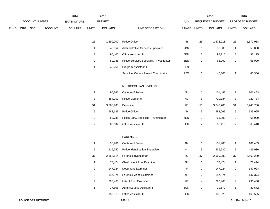|      |     |                |                | 2014               |                         | 2015           |                                           |               |                | 2016             |                         | 2016            |
|------|-----|----------------|----------------|--------------------|-------------------------|----------------|-------------------------------------------|---------------|----------------|------------------|-------------------------|-----------------|
|      |     | ACCOUNT NUMBER |                | <b>EXPENDITURE</b> |                         | <b>BUDGET</b>  |                                           | PAY           |                | REQUESTED BUDGET |                         | PROPOSED BUDGET |
| FUND | ORG | SBCL           | <b>ACCOUNT</b> | <b>DOLLARS</b>     | <b>UNITS</b>            | <b>DOLLARS</b> | LINE DESCRIPTION                          | RANGE UNITS   |                | <b>DOLLARS</b>   | <b>UNITS</b>            | <b>DOLLARS</b>  |
|      |     |                |                |                    |                         |                |                                           |               |                |                  |                         |                 |
|      |     |                |                |                    | 26                      | 1,699,200      | Police Officer                            | 4B            | 26             | 1,672,918        | 26                      | 1,672,918       |
|      |     |                |                |                    | $\mathbf{1}$            | 43,854         | Administrative Services Specialist        | 2BN           | $\mathbf{1}$   | 50,000           | $\mathbf{1}$            | 50,000          |
|      |     |                |                |                    | 3                       | 95,406         | Office Assistant II                       | 6EN           | 3              | 98,115           | 3                       | 98,115          |
|      |     |                |                |                    | $\overline{a}$          | 80,788         | Police Services Specialist - Investigator | 5EN           | $\overline{c}$ | 65,090           | $\boldsymbol{2}$        | 65,090          |
|      |     |                |                |                    | $\mathbf 1$             | 40,251         | Program Assistant II                      | 5FN           |                |                  |                         |                 |
|      |     |                |                |                    |                         |                | Sensitive Crimes Project Coordinator      | 2EX           | 1              | 45,306           | $\mathbf{1}$            | 45,306          |
|      |     |                |                |                    |                         |                |                                           |               |                |                  |                         |                 |
|      |     |                |                |                    |                         |                | METROPOLITAN DIVISION                     |               |                |                  |                         |                 |
|      |     |                |                |                    | $\mathbf{1}$            | 96,761         | Captain of Police                         | 4N            | 1              | 101,483          | $\mathbf{1}$            | 101,483         |
|      |     |                |                |                    | 8                       | 684,000        | Police Lieutenant                         | $4\mathsf{L}$ | $\bf 8$        | 729,784          | 8                       | 729,784         |
|      |     |                |                |                    | 51                      | 3,768,900      | Detective                                 | 4F            | 51             | 3,743,706        | 51                      | 3,743,706       |
|      |     |                |                |                    | 9                       | 588,185        | Police Officer                            | 4B            | 9              | 583,065          | 9                       | 583,065         |
|      |     |                |                |                    | $\overline{c}$          | 80,788         | Police Serv. Specialist - Investigator    | 5EN           | $\overline{a}$ | 65,090           | $\overline{c}$          | 65,090          |
|      |     |                |                |                    | $\boldsymbol{2}$        | 63,604         | Office Assistant II                       | 6EN           | $\overline{c}$ | 65,410           | $\overline{\mathbf{c}}$ | 65,410          |
|      |     |                |                |                    |                         |                |                                           |               |                |                  |                         |                 |
|      |     |                |                |                    |                         |                | <b>FORENSICS</b>                          |               |                |                  |                         |                 |
|      |     |                |                |                    | $\mathbf{1}$            | 96,761         | Captain of Police                         | 4N            | 1              | 101,483          | $\mathbf{1}$            | 101,483         |
|      |     |                |                |                    | 5                       | 419,750        | Police Identification Supervisor          | 41            | 5              | 439,930          | $\overline{5}$          | 439,930         |
|      |     |                |                |                    | 37                      | 2,568,614      | Forensic Investigator                     | 4C            | 37             | 2,569,280        | 37                      | 2,569,280       |
|      |     |                |                |                    | 1                       | 78,474         | <b>Chief Latent Print Examiner</b>        | 4H            | 1              | 78,474           | $\mathbf{1}$            | 78,474          |
|      |     |                |                |                    | $\overline{\mathbf{c}}$ | 147,924        | Document Examiner                         | $4\mathsf{F}$ | $\overline{c}$ | 147,924          | $\boldsymbol{2}$        | 147,924         |
|      |     |                |                |                    | $\overline{a}$          | 147,374        | Forensic Video Examiner                   | 4F            | $\overline{a}$ | 147,374          | $\overline{c}$          | 147,374         |
|      |     |                |                |                    | 4                       | 296,468        | Latent Print Examiner                     | 4F            | 4              | 296,468          | 4                       | 296,468         |
|      |     |                |                |                    | 1                       | 37,805         | Administrative Assistant I                | 6GN           | 1              | 39,672           | $\mathbf{1}$            | 39,672          |
|      |     |                |                |                    | 5                       | 159,010        | Office Assistant II                       | 6EN           | $\sqrt{5}$     | 163,525          | 5                       | 163,525         |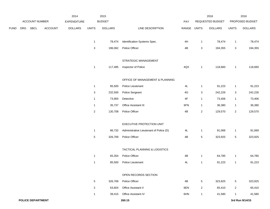|             |     |                          |         | 2014               |                           | 2015           |                                         |               |                 | 2016             |                 | 2016            |
|-------------|-----|--------------------------|---------|--------------------|---------------------------|----------------|-----------------------------------------|---------------|-----------------|------------------|-----------------|-----------------|
|             |     | ACCOUNT NUMBER           |         | <b>EXPENDITURE</b> |                           | <b>BUDGET</b>  |                                         | PAY           |                 | REQUESTED BUDGET |                 | PROPOSED BUDGET |
| <b>FUND</b> | ORG | SBCL                     | ACCOUNT | <b>DOLLARS</b>     | <b>UNITS</b>              | <b>DOLLARS</b> | LINE DESCRIPTION                        | RANGE UNITS   |                 | <b>DOLLARS</b>   | <b>UNITS</b>    | <b>DOLLARS</b>  |
|             |     |                          |         |                    | $\mathbf{1}$              | 78,474         | Identification Systems Spec.            | 4H            | $\mathbf{1}$    | 78,474           | $\mathbf{1}$    | 78,474          |
|             |     |                          |         |                    | $\ensuremath{\mathsf{3}}$ | 196,062        | Police Officer                          | 4B            | 3               | 194,355          | 3               | 194,355         |
|             |     |                          |         |                    |                           |                | STRATEGIC MANAGEMENT                    |               |                 |                  |                 |                 |
|             |     |                          |         |                    | $\mathbf{1}$              | 117,485        | Inspector of Police                     | 4QX           | $\mathbf{1}$    | 118,660          | $\mathbf{1}$    | 118,660         |
|             |     |                          |         |                    |                           |                | OFFICE OF MANAGEMENT & PLANNING         |               |                 |                  |                 |                 |
|             |     |                          |         |                    | $\mathbf{1}$              | 85,500         | Police Lieutenant                       | 4L            | $\mathbf{1}$    | 91,223           | $\mathbf{1}$    | 91,223          |
|             |     |                          |         |                    | 3                         | 232,500        | Police Sergeant                         | 4G            | 3               | 242,226          | $\mathbf{3}$    | 242,226         |
|             |     |                          |         |                    | $\mathbf{1}$              | 73,900         | Detective                               | $4\mathsf{F}$ | $\mathbf{1}$    | 73,406           | $\mathbf{1}$    | 73,406          |
|             |     |                          |         |                    | $\mathbf{1}$              | 35,737         | Office Assistant III                    | 6FN           | $\mathbf{1}$    | 36,380           | $\mathbf{1}$    | 36,380          |
|             |     |                          |         |                    | $\sqrt{2}$                | 130,708        | Police Officer                          | 4B            | $\overline{2}$  | 129,570          | $\overline{a}$  | 129,570         |
|             |     |                          |         |                    |                           |                | EXECUTIVE PROTECTION UNIT               |               |                 |                  |                 |                 |
|             |     |                          |         |                    | $\mathbf{1}$              | 86,732         | Administrative Lieutenant of Police (D) | 4L            | $\mathbf{1}$    | 91,069           | $\mathbf{1}$    | 91,069          |
|             |     |                          |         |                    | $\mathbf 5$               | 326,769        | Police Officer                          | 4B            | $\overline{5}$  | 323,925          | $5\phantom{.0}$ | 323,925         |
|             |     |                          |         |                    |                           |                | TACTICAL PLANNING & LOGISTICS           |               |                 |                  |                 |                 |
|             |     |                          |         |                    | $\mathbf{1}$              | 65,354         | Police Officer                          | 4B            | $\mathbf{1}$    | 64,785           | $\mathbf{1}$    | 64,785          |
|             |     |                          |         |                    | $\mathbf{1}$              | 85,500         | Police Lieutenant                       | 4L            | $\mathbf{1}$    | 91,223           | $\mathbf{1}$    | 91,223          |
|             |     |                          |         |                    |                           |                | OPEN RECORDS SECTION                    |               |                 |                  |                 |                 |
|             |     |                          |         |                    | $\,$ 5 $\,$               | 326,769        | Police Officer                          | 4B            | $5\phantom{.0}$ | 323,925          | $5\phantom{.0}$ | 323,925         |
|             |     |                          |         |                    | $\boldsymbol{2}$          | 63,604         | Office Assistant II                     | 6EN           | $\overline{2}$  | 65,410           | $\overline{2}$  | 65,410          |
|             |     |                          |         |                    | $\mathbf{1}$              | 39,415         | Office Assistant IV                     | 6HN           | $\mathbf{1}$    | 41,580           | $\mathbf{1}$    | 41,580          |
|             |     | <b>POLICE DEPARTMENT</b> |         |                    |                           |                | 260.15                                  |               |                 |                  |                 | 3rd Run 9/14/15 |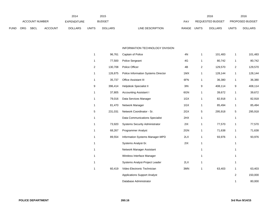|             |                |             |                    | 2014           |               | 2015           |                           | 2016                           |                        | 2016           |
|-------------|----------------|-------------|--------------------|----------------|---------------|----------------|---------------------------|--------------------------------|------------------------|----------------|
|             | ACCOUNT NUMBER |             | <b>EXPENDITURE</b> |                | <b>BUDGET</b> | PAY            | REQUESTED BUDGET          |                                | <b>PROPOSED BUDGET</b> |                |
| <b>FUND</b> | ORG            | <b>SBCL</b> | <b>ACCOUNT</b>     | <b>DOLLARS</b> | UNITS         | <b>DOLLARS</b> | LINE DESCRIPTION<br>RANGE | <b>UNITS</b><br><b>DOLLARS</b> | <b>UNITS</b>           | <b>DOLLARS</b> |

#### INFORMATION TECHNOLOGY DIVISION

| 1 | 96,761  | Captain of Police                   | 4N  | $\mathbf{1}$   | 101,483 | 1              | 101,483 |
|---|---------|-------------------------------------|-----|----------------|---------|----------------|---------|
| 1 | 77,500  | Police Sergeant                     | 4G  | 1              | 80,742  | 1              | 80,742  |
| 2 | 130,708 | Police Officer                      | 4B  | $\overline{2}$ | 129,570 | $\overline{2}$ | 129,570 |
| 1 | 126,875 | Police Information Systems Director | 1MX | 1              | 128,144 | 1              | 128,144 |
| 1 | 35,737  | Office Assistant III                | 6FN | 1              | 36,380  | 1              | 36,380  |
| 9 | 396,414 | Helpdesk Specialist II              | 3IN | 9              | 408,114 | 9              | 408,114 |
| 1 | 37,805  | <b>Accounting Assistant I</b>       | 6GN | 1              | 39,672  | 1              | 39,672  |
| 1 | 79,016  | Data Services Manager               | 1GX | 1              | 82,918  | 1              | 82,918  |
| 1 | 81,470  | Network Manager                     | 1GX | 1              | 85,494  | 1              | 85,494  |
| 5 | 231,031 | Network Coordinator - Sr.           | 2GX | 5              | 295,918 | 5              | 295,918 |
| 1 |         | Data Communications Specialist      | 2HX | 1              |         | 1              |         |
| 1 | 73,920  | Systems Security Administrator      | 2IX | 1              | 77,570  | 1              | 77,570  |
| 1 | 68,267  | <b>Programmer Analyst</b>           | 2GN | 1              | 71,638  | 1              | 71,638  |
| 1 | 89,554  | Information Systems Manager-MPD     | 2LX | 1              | 93,976  | 1              | 93,976  |
| 1 |         | Systems Analyst-Sr.                 | 2IX | 1              |         | 1              |         |
| 1 |         | Network Manager Assistant           |     | 1              |         | 1              |         |
| 1 |         | Wireless Interface Manager          |     | 1              |         | 1              |         |
| 1 |         | Systems Analyst-Project Leader      | 2LX | 1              |         | $\mathbf{1}$   |         |
| 1 | 60,419  | Video Electronic Technician         | 3MN | 1              | 63,403  | 1              | 63,403  |
|   |         | <b>Applications Support Analyst</b> |     |                |         | $\overline{2}$ | 150,000 |
|   |         | Database Administrator              |     |                |         | $\mathbf{1}$   | 80,000  |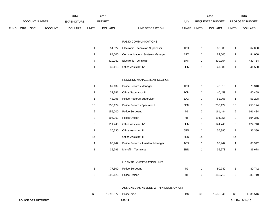|      |     |                          |                | 2014               |                | 2015           |                                         |       |                | 2016             |                         | 2016            |
|------|-----|--------------------------|----------------|--------------------|----------------|----------------|-----------------------------------------|-------|----------------|------------------|-------------------------|-----------------|
|      |     | ACCOUNT NUMBER           |                | <b>EXPENDITURE</b> |                | <b>BUDGET</b>  |                                         | PAY   |                | REQUESTED BUDGET |                         | PROPOSED BUDGET |
| FUND | ORG | <b>SBCL</b>              | <b>ACCOUNT</b> | <b>DOLLARS</b>     | <b>UNITS</b>   | <b>DOLLARS</b> | LINE DESCRIPTION                        | RANGE | <b>UNITS</b>   | <b>DOLLARS</b>   | <b>UNITS</b>            | <b>DOLLARS</b>  |
|      |     |                          |                |                    |                |                |                                         |       |                |                  |                         |                 |
|      |     |                          |                |                    |                |                | RADIO COMMUNICATIONS                    |       |                |                  |                         |                 |
|      |     |                          |                |                    | 1              | 54,322         | Electronic Technician Supervisor        | 1DX   | $\mathbf{1}$   | 62,000           | $\mathbf{1}$            | 62,000          |
|      |     |                          |                |                    | $\mathbf{1}$   | 84,000         | <b>Communications Systems Manager</b>   | 1FX   | $\mathbf{1}$   | 84,000           | $\mathbf{1}$            | 84,000          |
|      |     |                          |                |                    | $\overline{7}$ | 419,062        | Electronic Technician                   | 3MN   | $\overline{7}$ | 439,754          | $\overline{7}$          | 439,754         |
|      |     |                          |                |                    | $\mathbf{1}$   | 39,415         | Office Assistant IV                     | 6HN   | $\mathbf{1}$   | 41,580           | $\mathbf{1}$            | 41,580          |
|      |     |                          |                |                    |                |                | RECORDS MANAGEMENT SECTION              |       |                |                  |                         |                 |
|      |     |                          |                |                    | $\mathbf{1}$   | 67,139         | Police Records Manager                  | 1DX   | $\mathbf{1}$   | 70,310           | $\mathbf{1}$            | 70,310          |
|      |     |                          |                |                    | $\mathbf{1}$   | 39,881         | Office Supervisor II                    | 2CN   | $\overline{1}$ | 40,459           | $\mathbf{1}$            | 40,459          |
|      |     |                          |                |                    | $\mathbf{1}$   | 48,798         | Police Records Supervisor               | 1AX   | $\overline{1}$ | 51,208           | $\mathbf{1}$            | 51,208          |
|      |     |                          |                |                    | 18             | 758,124        | Police Records Specialist III           | 5EN   | 18             | 758,124          | 18                      | 758,124         |
|      |     |                          |                |                    | $\overline{2}$ | 155,000        | Police Sergeant                         | 4G    | $\overline{2}$ | 161,484          | $\overline{\mathbf{c}}$ | 161,484         |
|      |     |                          |                |                    | 3              | 196,062        | Police Officer                          | 4B    | 3              | 194,355          | 3                       | 194,355         |
|      |     |                          |                |                    | 3              | 111,240        | Office Assistant IV                     | 6HN   | 3              | 124,740          | 3                       | 124,740         |
|      |     |                          |                |                    | $\mathbf{1}$   | 30,530         | Office Assistant III                    | 6FN   | $\overline{1}$ | 36,380           | $\mathbf{1}$            | 36,380          |
|      |     |                          |                |                    | 14             |                | Office Assistant II                     | 6EN   | 14             |                  | 14                      |                 |
|      |     |                          |                |                    | $\mathbf{1}$   | 63,942         | Police Records Assistant Manager        | 1CX   | $\mathbf{1}$   | 63,942           | $\mathbf{1}$            | 63,942          |
|      |     |                          |                |                    | $\mathbf{1}$   | 35,796         | Microfilm Technician                    | 3BN   | $\overline{1}$ | 36,678           | $\mathbf{1}$            | 36,678          |
|      |     |                          |                |                    |                |                | LICENSE INVESTIGATION UNIT              |       |                |                  |                         |                 |
|      |     |                          |                |                    | $\mathbf{1}$   | 77,500         | Police Sergeant                         | 4G    | $\mathbf{1}$   | 80,742           | $\mathbf{1}$            | 80,742          |
|      |     |                          |                |                    | 6              | 392,123        | Police Officer                          | 4B    | 6              | 388,710          | 6                       | 388,710         |
|      |     |                          |                |                    |                |                | ASSIGNED AS NEEDED WITHIN DECISION UNIT |       |                |                  |                         |                 |
|      |     |                          |                |                    | 66             | 1,890,372      | Police Aide                             | 6BN   | 66             | 1,536,546        | 66                      | 1,536,546       |
|      |     | <b>POLICE DEPARTMENT</b> |                |                    |                |                | 260.17                                  |       |                |                  |                         | 3rd Run 9/14/15 |
|      |     |                          |                |                    |                |                |                                         |       |                |                  |                         |                 |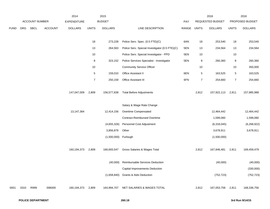|             |            |                       |                | 2014               |                | 2015           |                                                |            |                | 2016             |                | 2016            |
|-------------|------------|-----------------------|----------------|--------------------|----------------|----------------|------------------------------------------------|------------|----------------|------------------|----------------|-----------------|
|             |            | <b>ACCOUNT NUMBER</b> |                | <b>EXPENDITURE</b> |                | <b>BUDGET</b>  |                                                | <b>PAY</b> |                | REQUESTED BUDGET |                | PROPOSED BUDGET |
| <b>FUND</b> | <b>ORG</b> | SBCL                  | <b>ACCOUNT</b> | <b>DOLLARS</b>     | <b>UNITS</b>   | <b>DOLLARS</b> | LINE DESCRIPTION                               | RANGE      | <b>UNITS</b>   | <b>DOLLARS</b>   | <b>UNITS</b>   | <b>DOLLARS</b>  |
|             |            |                       |                |                    | 18             | 273,228        | Police Serv. Spec. (0.5 FTE)(C)                | 6AN        | 18             | 253,540          | 18             | 253,540         |
|             |            |                       |                |                    | 13             | 264,563        | Police Serv. Special Investigator (0.5 FTE)(C) | 5EN        | 13             | 234,564          | 13             | 234,564         |
|             |            |                       |                |                    | 10             |                | Police Serv. Special Investigator - PPD        | 5EN        | 10             |                  | 10             |                 |
|             |            |                       |                |                    | $\bf 8$        | 323,152        | Police Services Specialist - Investigator      | 5EN        | 8              | 260,360          | $\bf 8$        | 260,360         |
|             |            |                       |                |                    | $10$           |                | <b>Community Service Officer</b>               |            | 10             |                  | 10             | 350,000         |
|             |            |                       |                |                    | $\sqrt{5}$     | 159,010        | Office Assistant II                            | 6EN        | 5              | 163,525          | $\,$ 5 $\,$    | 163,525         |
|             |            |                       |                |                    | $\overline{7}$ | 250,159        | Office Assistant III                           | 6FN        | $\overline{7}$ | 254,660          | $\overline{7}$ | 254,660         |
|             |            |                       |                | 147,047,009        | 2,809          | 156,577,838    | <b>Total Before Adjustments</b>                |            | 2,812          | 157,922,113      | 2,811          | 157,985,988     |
|             |            |                       |                |                    |                |                | Salary & Wage Rate Change                      |            |                |                  |                |                 |
|             |            |                       |                | 13,147,364         |                | 12,414,156     | Overtime Compensated                           |            |                | 12,464,442       |                | 12,464,442      |
|             |            |                       |                |                    |                |                | <b>Contract-Reimbursed Overtime</b>            |            |                | 1,599,060        |                | 1,599,060       |
|             |            |                       |                |                    |                | (4,655,326)    | Personnel Cost Adjustment                      |            |                | (6,318,045)      |                | (6, 268, 922)   |
|             |            |                       |                |                    |                | 3,856,879      | Other                                          |            |                | 3,678,911        |                | 3,678,911       |
|             |            |                       |                |                    |                | (1,500,000)    | Furlough                                       |            |                | (1,500,000)      |                |                 |
|             |            |                       |                | 160,194,373        | 2,809          | 166,693,547    | Gross Salaries & Wages Total                   |            | 2,812          | 167,846,481      | 2,811          | 169,459,479     |
|             |            |                       |                |                    |                | (40,000)       | Reimbursable Services Deduction                |            |                | (40,000)         |                | (40,000)        |
|             |            |                       |                |                    |                |                | <b>Capital Improvements Deduction</b>          |            |                |                  |                | (330,000)       |
|             |            |                       |                |                    |                | (1,658,840)    | Grants & Aids Deduction                        |            |                | (752, 723)       |                | (752, 723)      |
| 0001        | 3310       | R999                  | 006000         | 160,194,373        | 2,809          | 164,994,707    | NET SALARIES & WAGES TOTAL                     |            | 2,812          | 167,053,758      | 2,811          | 168,336,756     |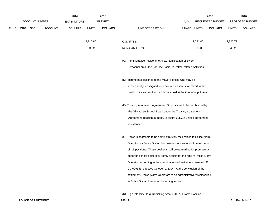|             |                       |                | 2014               |              | 2015           |                                                                            |             |          | 2016             |              | 2016            |
|-------------|-----------------------|----------------|--------------------|--------------|----------------|----------------------------------------------------------------------------|-------------|----------|------------------|--------------|-----------------|
|             | <b>ACCOUNT NUMBER</b> |                | <b>EXPENDITURE</b> |              | <b>BUDGET</b>  |                                                                            | <b>PAY</b>  |          | REQUESTED BUDGET |              | PROPOSED BUDGET |
| <b>FUND</b> | ORG SBCL              | <b>ACCOUNT</b> | <b>DOLLARS</b>     | <b>UNITS</b> | <b>DOLLARS</b> | LINE DESCRIPTION                                                           | RANGE UNITS |          | <b>DOLLARS</b>   | <b>UNITS</b> | <b>DOLLARS</b>  |
|             |                       |                |                    |              |                |                                                                            |             |          |                  |              |                 |
|             |                       |                |                    | 2,716.86     |                | O&M FTE'S                                                                  |             | 2,721.00 |                  | 2,725.71     |                 |
|             |                       |                |                    | 38.23        |                | NON-O&M FTE'S                                                              |             | 37.00    |                  | 40.23        |                 |
|             |                       |                |                    |              |                |                                                                            |             |          |                  |              |                 |
|             |                       |                |                    |              |                | (C) Administrative Positions to Allow Reallocation of Sworn                |             |          |                  |              |                 |
|             |                       |                |                    |              |                | Personnel on a One For One Basis, to Patrol Related Activities.            |             |          |                  |              |                 |
|             |                       |                |                    |              |                |                                                                            |             |          |                  |              |                 |
|             |                       |                |                    |              |                | (D) Incumbents assigned to the Mayor's office, who may be                  |             |          |                  |              |                 |
|             |                       |                |                    |              |                | subsequently reassigned for whatever reason, shall revert to the           |             |          |                  |              |                 |
|             |                       |                |                    |              |                | position title and ranking which they held at the time of appointment.     |             |          |                  |              |                 |
|             |                       |                |                    |              |                | (F) Truancy Abatement Agreement: Six positions to be reimbursed by         |             |          |                  |              |                 |
|             |                       |                |                    |              |                | the Milwaukee School Board under the Truancy Abatement                     |             |          |                  |              |                 |
|             |                       |                |                    |              |                | Agreement; position authority to expire 6/30/16 unless agreement           |             |          |                  |              |                 |
|             |                       |                |                    |              |                | is extended.                                                               |             |          |                  |              |                 |
|             |                       |                |                    |              |                |                                                                            |             |          |                  |              |                 |
|             |                       |                |                    |              |                | (G) Police Dispatchers to be administratively reclassified to Police Alarm |             |          |                  |              |                 |
|             |                       |                |                    |              |                | Operator, as Police Dispatcher positions are vacated, to a maximum         |             |          |                  |              |                 |
|             |                       |                |                    |              |                | of 15 positions. These positions will be earmarked for promotional         |             |          |                  |              |                 |
|             |                       |                |                    |              |                | opportunities for officers currently eligible for the rank of Police Alarm |             |          |                  |              |                 |
|             |                       |                |                    |              |                | Operator, according to the specifications of settlement case No. 98-       |             |          |                  |              |                 |
|             |                       |                |                    |              |                | CV-009353, effective October 1, 2004. At the conclusion of the             |             |          |                  |              |                 |
|             |                       |                |                    |              |                | settlement, Police Alarm Operators to be administratively reclassified     |             |          |                  |              |                 |
|             |                       |                |                    |              |                | to Police Dispatchers upon becoming vacant.                                |             |          |                  |              |                 |
|             |                       |                |                    |              |                |                                                                            |             |          |                  |              |                 |

(K) High Intensity Drug Trafficking Area (HIDTA) Grant: Position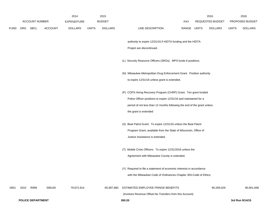|             |      |                          |                | 2014           |              | 2015           |                                                                         |             | 2016             |              | 2016            |
|-------------|------|--------------------------|----------------|----------------|--------------|----------------|-------------------------------------------------------------------------|-------------|------------------|--------------|-----------------|
|             |      | <b>ACCOUNT NUMBER</b>    |                | EXPENDITURE    |              | <b>BUDGET</b>  |                                                                         | PAY         | REQUESTED BUDGET |              | PROPOSED BUDGET |
| <b>FUND</b> |      | ORG SBCL                 | <b>ACCOUNT</b> | <b>DOLLARS</b> | <b>UNITS</b> | <b>DOLLARS</b> | LINE DESCRIPTION                                                        | RANGE UNITS | <b>DOLLARS</b>   | <b>UNITS</b> | <b>DOLLARS</b>  |
|             |      |                          |                |                |              |                | authority to expire 12/31/16 if HIDTA funding and the HIDTA             |             |                  |              |                 |
|             |      |                          |                |                |              |                | Project are discontinued.                                               |             |                  |              |                 |
|             |      |                          |                |                |              |                | (L) Security Resource Officers (SROs). MPS funds 6 positions.           |             |                  |              |                 |
|             |      |                          |                |                |              |                | (N) Milwaukee Metropolitan Drug Enforcement Grant. Position authority   |             |                  |              |                 |
|             |      |                          |                |                |              |                | to expire 12/31/16 unless grant is extended.                            |             |                  |              |                 |
|             |      |                          |                |                |              |                | (P) COPS Hiring Recovery Program (CHRP) Grant. Ten grant funded         |             |                  |              |                 |
|             |      |                          |                |                |              |                | Police Officer positions to expire 12/31/16 and maintained for a        |             |                  |              |                 |
|             |      |                          |                |                |              |                | period of not less than 12 months following the end of the grant unless |             |                  |              |                 |
|             |      |                          |                |                |              |                | the grant is extended                                                   |             |                  |              |                 |
|             |      |                          |                |                |              |                | (S) Beat Patrol Grant: To expire 12/31/16 unless the Beat Patrol        |             |                  |              |                 |
|             |      |                          |                |                |              |                | Program Grant, available from the State of Wisconsin, Office of         |             |                  |              |                 |
|             |      |                          |                |                |              |                | Justice Assistance is extended.                                         |             |                  |              |                 |
|             |      |                          |                |                |              |                | (T) Mobile Crisis Officers: To expire 12/31/2016 unless the             |             |                  |              |                 |
|             |      |                          |                |                |              |                | Agreement with Milwaukee County is extended.                            |             |                  |              |                 |
|             |      |                          |                |                |              |                | (Y) Required to file a statement of economic interests in accordance    |             |                  |              |                 |
|             |      |                          |                |                |              |                | with the Milwaukee Code of Ordinances Chapter 303-Code of Ethics.       |             |                  |              |                 |
| 0001        | 3310 | R999                     | 006100         | 79,872,914     |              | 65,997,883     | ESTIMATED EMPLOYEE FRINGE BENEFITS                                      |             | 90,209,029       |              | 90,901,848      |
|             |      |                          |                |                |              |                | (Involves Revenue Offset-No Transfers from this Account)                |             |                  |              |                 |
|             |      | <b>POLICE DEPARTMENT</b> |                |                |              |                | 260.20                                                                  |             |                  |              | 3rd Run 9/14/15 |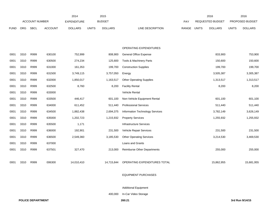|             |            |                       |                | 2014               |              | 2015           |                                    |       |              | 2016             |              | 2016            |
|-------------|------------|-----------------------|----------------|--------------------|--------------|----------------|------------------------------------|-------|--------------|------------------|--------------|-----------------|
|             |            | <b>ACCOUNT NUMBER</b> |                | <b>EXPENDITURE</b> |              | <b>BUDGET</b>  |                                    | PAY   |              | REQUESTED BUDGET |              | PROPOSED BUDGET |
| <b>FUND</b> | <b>ORG</b> | <b>SBCL</b>           | <b>ACCOUNT</b> | <b>DOLLARS</b>     | <b>UNITS</b> | <b>DOLLARS</b> | LINE DESCRIPTION                   | RANGE | <b>UNITS</b> | <b>DOLLARS</b>   | <b>UNITS</b> | <b>DOLLARS</b>  |
|             |            |                       |                |                    |              |                | OPERATING EXPENDITURES             |       |              |                  |              |                 |
| 0001        | 3310       | R999                  | 630100         | 752,999            |              | 808,900        | General Office Expense             |       |              | 833,900          |              | 753,900         |
| 0001        | 3310       | R999                  | 630500         | 274,234            |              | 125,600        | Tools & Machinery Parts            |       |              | 150,600          |              | 150,600         |
| 0001        | 3310       | R999                  | 631000         | 161,353            |              | 199,700        | <b>Construction Supplies</b>       |       |              | 199,700          |              | 199,700         |
| 0001        | 3310       | R999                  | 631500         | 3,749,115          |              | 3,757,050      | Energy                             |       |              | 3,505,387        |              | 3,305,387       |
| 0001        | 3310       | R999                  | 632000         | 1,850,017          |              | 1,163,517      | <b>Other Operating Supplies</b>    |       |              | 1,313,517        |              | 1,313,517       |
| 0001        | 3310       | R999                  | 632500         | 8,760              |              | 8,200          | <b>Facility Rental</b>             |       |              | 8,200            |              | 8,200           |
| 0001        | 3310       | R999                  | 633000         |                    |              |                | Vehicle Rental                     |       |              |                  |              |                 |
| 0001        | 3310       | R999                  | 633500         | 446,417            |              | 601,100        | Non-Vehicle Equipment Rental       |       |              | 601,100          |              | 601,100         |
| 0001        | 3310       | R999                  | 634000         | 611,452            |              | 511,440        | <b>Professional Services</b>       |       |              | 511,440          |              | 511,440         |
| 0001        | 3310       | R999                  | 634500         | 1,882,438          |              | 2,694,375      | Information Technology Services    |       |              | 3,782,149        |              | 3,626,149       |
| 0001        | 3310       | R999                  | 635000         | 1,202,723          |              | 1,215,932      | <b>Property Services</b>           |       |              | 1,255,932        |              | 1,255,932       |
| 0001        | 3310       | R999                  | 635500         | 1,171              |              |                | Infrastructure Services            |       |              |                  |              |                 |
| 0001        | 3310       | R999                  | 636000         | 192,901            |              | 231,500        | Vehicle Repair Services            |       |              | 231,500          |              | 231,500         |
| 0001        | 3310       | R999                  | 636500         | 2,549,360          |              | 3,185,530      | <b>Other Operating Services</b>    |       |              | 3,214,530        |              | 3,469,530       |
| 0001        | 3310       | R999                  | 637000         |                    |              |                | Loans and Grants                   |       |              |                  |              |                 |
| 0001        | 3310       | R999                  | 637501         | 327,470            |              | 213,000        | <b>Reimburse Other Departments</b> |       |              | 255,000          |              | 255,000         |
|             |            |                       |                |                    |              |                |                                    |       |              |                  |              |                 |
| 0001        | 3310       | R999                  | 006300         | 14,010,410         |              | 14,715,844     | OPERATING EXPENDITURES TOTAL       |       |              | 15,862,955       |              | 15,681,955      |

### EQUIPMENT PURCHASES

# Additional Equipment

400,000 In-Car Video Storage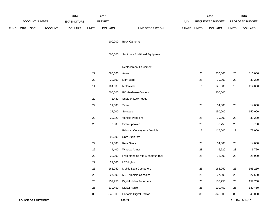|      |     |                          |                | 2014               |                           | 2015           |                                    |             |                           | 2016             |              | 2016            |
|------|-----|--------------------------|----------------|--------------------|---------------------------|----------------|------------------------------------|-------------|---------------------------|------------------|--------------|-----------------|
|      |     | ACCOUNT NUMBER           |                | <b>EXPENDITURE</b> |                           | <b>BUDGET</b>  |                                    | PAY         |                           | REQUESTED BUDGET |              | PROPOSED BUDGET |
| FUND | ORG | SBCL                     | <b>ACCOUNT</b> | <b>DOLLARS</b>     | <b>UNITS</b>              | <b>DOLLARS</b> | LINE DESCRIPTION                   | RANGE UNITS |                           | <b>DOLLARS</b>   | <b>UNITS</b> | <b>DOLLARS</b>  |
|      |     |                          |                |                    |                           |                |                                    |             |                           |                  |              |                 |
|      |     |                          |                |                    |                           | 100,000        | <b>Body Cameras</b>                |             |                           |                  |              |                 |
|      |     |                          |                |                    |                           | 500,000        | Subtotal - Additional Equipment    |             |                           |                  |              |                 |
|      |     |                          |                |                    |                           |                |                                    |             |                           |                  |              |                 |
|      |     |                          |                |                    |                           |                | Replacement Equipment              |             |                           |                  |              |                 |
|      |     |                          |                |                    | 22                        | 660,000        | Autos                              |             | 25                        | 810,000          | 25           | 810,000         |
|      |     |                          |                |                    | 22                        | 30,800         | <b>Light Bars</b>                  |             | 28                        | 39,200           | 28           | 39,200          |
|      |     |                          |                |                    | 11                        | 104,500        | Motorcycle                         |             | 11                        | 125,000          | 10           | 114,000         |
|      |     |                          |                |                    |                           | 500,000        | PC Hardware - Various              |             |                           | 1,800,000        |              |                 |
|      |     |                          |                |                    | 22                        | 1,430          | Shotgun Lock heads                 |             |                           |                  |              |                 |
|      |     |                          |                |                    | 22                        | 11,000         | Siren                              |             | 28                        | 14,000           | 28           | 14,000          |
|      |     |                          |                |                    |                           | 27,000         | Software                           |             |                           | 150,000          |              | 150,000         |
|      |     |                          |                |                    | 22                        | 29,920         | <b>Vehicle Partitions</b>          |             | 28                        | 39,200           | 28           | 39,200          |
|      |     |                          |                |                    | 25                        | 3,500          | Siren Speaker                      |             | 25                        | 3,750            | 25           | 3,750           |
|      |     |                          |                |                    |                           |                | Prisoner Conveyance Vehicle        |             | $\ensuremath{\mathsf{3}}$ | 117,000          | $\sqrt{2}$   | 78,000          |
|      |     |                          |                |                    | $\ensuremath{\mathsf{3}}$ | 90,000         | <b>SUV Explorers</b>               |             |                           |                  |              |                 |
|      |     |                          |                |                    | 22                        | 11,000         | <b>Rear Seats</b>                  |             | 28                        | 14,000           | 28           | 14,000          |
|      |     |                          |                |                    | 22                        | 4,400          | Window Armor                       |             | 28                        | 6,720            | 28           | 6,720           |
|      |     |                          |                |                    | 22                        | 22,000         | Free-standing rifle & shotgun rack |             | 28                        | 28,000           | 28           | 28,000          |
|      |     |                          |                |                    | 22                        | 22,000         | <b>LED lights</b>                  |             |                           |                  |              |                 |
|      |     |                          |                |                    | 25                        | 165,250        | Mobile Data Computers              |             | 25                        | 165,250          | 25           | 165,250         |
|      |     |                          |                |                    | 25                        | 27,500         | <b>MDC Vehicle Consoles</b>        |             | 25                        | 27,500           | 25           | 27,500          |
|      |     |                          |                |                    | 25                        | 157,750        | Digital Video Recorders            |             | 25                        | 157,750          | 25           | 157,750         |
|      |     |                          |                |                    | 25                        | 130,450        | Digital Radio                      |             | 25                        | 130,450          | 25           | 130,450         |
|      |     |                          |                |                    | 85                        | 340,000        | Portable Digital Radios            |             | 85                        | 340,000          | 85           | 340,000         |
|      |     | <b>POLICE DEPARTMENT</b> |                |                    |                           |                | 260.22                             |             |                           |                  |              | 3rd Run 9/14/15 |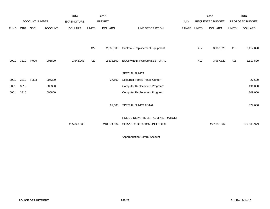|             |            |                       |                | 2014               |              | 2015           |                                   |       |              | 2016                    |              | 2016            |
|-------------|------------|-----------------------|----------------|--------------------|--------------|----------------|-----------------------------------|-------|--------------|-------------------------|--------------|-----------------|
|             |            | <b>ACCOUNT NUMBER</b> |                | <b>EXPENDITURE</b> |              | <b>BUDGET</b>  |                                   | PAY   |              | <b>REQUESTED BUDGET</b> |              | PROPOSED BUDGET |
| <b>FUND</b> | <b>ORG</b> | SBCL                  | <b>ACCOUNT</b> | <b>DOLLARS</b>     | <b>UNITS</b> | <b>DOLLARS</b> | LINE DESCRIPTION                  | RANGE | <b>UNITS</b> | <b>DOLLARS</b>          | <b>UNITS</b> | <b>DOLLARS</b>  |
|             |            |                       |                |                    |              |                |                                   |       |              |                         |              |                 |
|             |            |                       |                |                    |              |                |                                   |       |              |                         |              |                 |
|             |            |                       |                |                    | 422          | 2,338,500      | Subtotal - Replacement Equipment  |       | 417          | 3,967,820               | 415          | 2,117,820       |
|             |            |                       |                |                    |              |                |                                   |       |              |                         |              |                 |
| 0001        | 3310       | R999                  | 006800         | 1,542,963          | 422          | 2,838,500      | <b>EQUIPMENT PURCHASES TOTAL</b>  |       | 417          | 3,967,820               | 415          | 2,117,820       |
|             |            |                       |                |                    |              |                |                                   |       |              |                         |              |                 |
|             |            |                       |                |                    |              |                | <b>SPECIAL FUNDS</b>              |       |              |                         |              |                 |
| 0001        | 3310       | R333                  | 006300         |                    |              | 27,600         | Sojourner Family Peace Center*    |       |              |                         |              | 27,600          |
| 0001        | 3310       |                       | 006300         |                    |              |                | Computer Replacement Program*     |       |              |                         |              | 191,000         |
| 0001        | 3310       |                       | 006800         |                    |              |                | Computer Replacement Program*     |       |              |                         |              | 309,000         |
|             |            |                       |                |                    |              |                |                                   |       |              |                         |              |                 |
|             |            |                       |                |                    |              | 27,600         | SPECIAL FUNDS TOTAL               |       |              |                         |              | 527,600         |
|             |            |                       |                |                    |              |                |                                   |       |              |                         |              |                 |
|             |            |                       |                |                    |              |                | POLICE DEPARTMENT ADMINISTRATION/ |       |              |                         |              |                 |
|             |            |                       |                | 255,620,660        |              | 248,574,534    | SERVICES DECISION UNIT TOTAL      |       |              | 277,093,562             |              | 277,565,979     |
|             |            |                       |                |                    |              |                |                                   |       |              |                         |              |                 |

\*Appropriation Control Account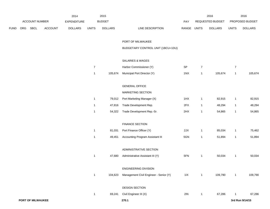|             |     |                   |         | 2014               |                | 2015           |                                        |             |                | 2016             |                | 2016            |
|-------------|-----|-------------------|---------|--------------------|----------------|----------------|----------------------------------------|-------------|----------------|------------------|----------------|-----------------|
|             |     | ACCOUNT NUMBER    |         | <b>EXPENDITURE</b> |                | <b>BUDGET</b>  |                                        | PAY         |                | REQUESTED BUDGET |                | PROPOSED BUDGET |
| <b>FUND</b> | ORG | SBCL              | ACCOUNT | <b>DOLLARS</b>     | <b>UNITS</b>   | <b>DOLLARS</b> | LINE DESCRIPTION                       | RANGE UNITS |                | <b>DOLLARS</b>   | <b>UNITS</b>   | <b>DOLLARS</b>  |
|             |     |                   |         |                    |                |                | PORT OF MILWAUKEE                      |             |                |                  |                |                 |
|             |     |                   |         |                    |                |                | BUDGETARY CONTROL UNIT (1BCU=1DU)      |             |                |                  |                |                 |
|             |     |                   |         |                    |                |                | SALARIES & WAGES                       |             |                |                  |                |                 |
|             |     |                   |         |                    | $\overline{7}$ |                | Harbor Commissioner (Y)                | SP          | $\overline{7}$ |                  | $\overline{7}$ |                 |
|             |     |                   |         |                    | $\mathbf{1}$   | 105,674        | Municipal Port Director (Y)            | 1NX         | 1              | 105,674          | $\mathbf{1}$   | 105,674         |
|             |     |                   |         |                    |                |                | <b>GENERAL OFFICE</b>                  |             |                |                  |                |                 |
|             |     |                   |         |                    |                |                | MARKETING SECTION                      |             |                |                  |                |                 |
|             |     |                   |         |                    | $\mathbf{1}$   | 79,012         | Port Marketing Manager (X)             | 1HX         | $\mathbf{1}$   | 82,915           | $\mathbf{1}$   | 82,915          |
|             |     |                   |         |                    | 1              | 47,816         | Trade Development Rep.                 | 2FX         | $\mathbf{1}$   | 48,294           | $\mathbf{1}$   | 48,294          |
|             |     |                   |         |                    | $\mathbf{1}$   | 54,322         | Trade Development Rep.-Sr.             | 2HX         | 1              | 54,865           | $\mathbf{1}$   | 54,865          |
|             |     |                   |         |                    |                |                | <b>FINANCE SECTION</b>                 |             |                |                  |                |                 |
|             |     |                   |         |                    | 1              | 81,031         | Port Finance Officer (Y)               | 2JX         | $\mathbf{1}$   | 85,034           | $\mathbf{1}$   | 75,462          |
|             |     |                   |         |                    | $\mathbf{1}$   | 49,451         | Accounting Program Assistant III       | 5GN         | $\mathbf{1}$   | 51,894           | $\mathbf{1}$   | 51,894          |
|             |     |                   |         |                    |                |                | ADMINISTRATIVE SECTION                 |             |                |                  |                |                 |
|             |     |                   |         |                    | $\mathbf{1}$   | 47,680         | Administrative Assistant III (Y)       | 5FN         | $\mathbf{1}$   | 50,034           | $\mathbf{1}$   | 50,034          |
|             |     |                   |         |                    |                |                | ENGINEERING DIVISION                   |             |                |                  |                |                 |
|             |     |                   |         |                    | $\mathbf{1}$   | 104,623        | Management Civil Engineer - Senior (Y) | 11X         | $\mathbf{1}$   | 109,790          | $\mathbf{1}$   | 109,790         |
|             |     |                   |         |                    |                |                | DESIGN SECTION                         |             |                |                  |                |                 |
|             |     |                   |         |                    | $\mathbf{1}$   | 69,241         | Civil Engineer III (X)                 | 2IN         | $\mathbf{1}$   | 67,286           | $\mathbf{1}$   | 67,286          |
|             |     | PORT OF MILWAUKEE |         |                    |                |                | 270.1                                  |             |                |                  |                | 3rd Run 9/14/15 |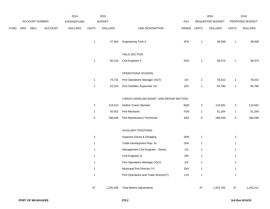|      |     |                |                | 2014               |                | 2015           |                                          |             |                         | 2016             |                | 2016            |
|------|-----|----------------|----------------|--------------------|----------------|----------------|------------------------------------------|-------------|-------------------------|------------------|----------------|-----------------|
|      |     | ACCOUNT NUMBER |                | <b>EXPENDITURE</b> |                | <b>BUDGET</b>  |                                          | PAY         |                         | REQUESTED BUDGET |                | PROPOSED BUDGET |
| FUND | ORG | <b>SBCL</b>    | <b>ACCOUNT</b> | <b>DOLLARS</b>     | <b>UNITS</b>   | <b>DOLLARS</b> | LINE DESCRIPTION                         | RANGE UNITS |                         | <b>DOLLARS</b>   | <b>UNITS</b>   | <b>DOLLARS</b>  |
|      |     |                |                |                    | $\mathbf{1}$   | 37,564         | <b>Engineering Tech II</b>               | $3FN$       | $\mathbf{1}$            | 38,508           | $\mathbf{1}$   | 38,508          |
|      |     |                |                |                    |                |                | FIELD SECTION                            |             |                         |                  |                |                 |
|      |     |                |                |                    | $\mathbf{1}$   | 60,316         | Civil Engineer II                        | 2GN         | $\mathbf{1}$            | 58,373           | $\mathbf{1}$   | 58,373          |
|      |     |                |                |                    |                |                | OPERATIONS DIVISION                      |             |                         |                  |                |                 |
|      |     |                |                |                    | $\mathbf{1}$   | 74,731         | Port Operations Manager (X)(Y)           | 11X         | $\mathbf{1}$            | 78,422           | $\mathbf{1}$   | 78,422          |
|      |     |                |                |                    | $\mathbf{1}$   | 63,222         | Port Facilities Supervisor (X)           | 1EX         | $\mathbf{1}$            | 64,780           | $\mathbf{1}$   | 64,780          |
|      |     |                |                |                    |                |                | CARGO HANDLING-MAINT. AND REPAIR SECTION |             |                         |                  |                |                 |
|      |     |                |                |                    | $\overline{c}$ | 119,512        | Harbor Crane Operator                    | 8QN         | $\overline{\mathbf{c}}$ | 119,581          | $\sqrt{2}$     | 119,581         |
|      |     |                |                |                    | $\mathbf{1}$   | 50,051         | Port Mechanic                            | 7GN         | $\mathbf{1}$            | 51,284           | $\mathbf{1}$   | 51,284          |
|      |     |                |                |                    | $\,6$          | 186,049        | Port Maintenance Technician              | 8JN         | $\,6\,$                 | 186,049          | $\,6\,$        | 186,049         |
|      |     |                |                |                    |                |                | <b>AUXILIARY POSITIONS</b>               |             |                         |                  |                |                 |
|      |     |                |                |                    | $\overline{c}$ |                | Inspector Docks & Dredging               | 3HN         | $\boldsymbol{2}$        |                  | $\overline{2}$ |                 |
|      |     |                |                |                    | $\mathbf{1}$   |                | Trade Development Rep.-Sr.               | 2HX         | $\mathbf{1}$            |                  | $\mathbf{1}$   |                 |
|      |     |                |                |                    | $\mathbf{1}$   |                | Management Civil Engineer - Senior       | 11X         | $\mathbf{1}$            |                  | $\mathbf{1}$   |                 |
|      |     |                |                |                    | $\mathbf{1}$   |                | Civil Engineer III                       | 2IN         | $\mathbf{1}$            |                  | $\mathbf{1}$   |                 |
|      |     |                |                |                    | $\mathbf{1}$   |                | Port Operations Manager (X)(Y)           | 11X         | $\mathbf{1}$            |                  | $\mathbf{1}$   |                 |
|      |     |                |                |                    | $\mathbf{1}$   |                | Municipal Port Director (Y)              | 1NX         | $\mathbf{1}$            |                  | $\mathbf{1}$   |                 |
|      |     |                |                |                    | $\mathbf{1}$   |                | Port Operations and Trade Director(Y)    | 1JX         | $\mathbf{1}$            |                  | $\mathbf{1}$   |                 |
|      |     |                |                |                    | 37             | 1,230,295      | <b>Total Before Adjustments</b>          |             | $37\,$                  | 1,252,783        | 37             | 1,243,211       |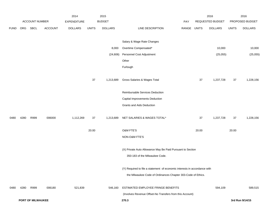|             |      |                       |                | 2014               |              | 2015           |                                                                           |       |              | 2016             |              | 2016            |
|-------------|------|-----------------------|----------------|--------------------|--------------|----------------|---------------------------------------------------------------------------|-------|--------------|------------------|--------------|-----------------|
|             |      | <b>ACCOUNT NUMBER</b> |                | <b>EXPENDITURE</b> |              | <b>BUDGET</b>  |                                                                           | PAY   |              | REQUESTED BUDGET |              | PROPOSED BUDGET |
| <b>FUND</b> | ORG  | SBCL                  | <b>ACCOUNT</b> | <b>DOLLARS</b>     | <b>UNITS</b> | <b>DOLLARS</b> | LINE DESCRIPTION                                                          | RANGE | <b>UNITS</b> | <b>DOLLARS</b>   | <b>UNITS</b> | <b>DOLLARS</b>  |
|             |      |                       |                |                    |              |                |                                                                           |       |              |                  |              |                 |
|             |      |                       |                |                    |              |                | Salary & Wage Rate Changes                                                |       |              |                  |              |                 |
|             |      |                       |                |                    |              | 8,000          | Overtime Compensated*                                                     |       |              | 10,000           |              | 10,000          |
|             |      |                       |                |                    |              | (24, 606)      | Personnel Cost Adjustment                                                 |       |              | (25, 055)        |              | (25,055)        |
|             |      |                       |                |                    |              |                | Other                                                                     |       |              |                  |              |                 |
|             |      |                       |                |                    |              |                | Furlough                                                                  |       |              |                  |              |                 |
|             |      |                       |                |                    |              |                |                                                                           |       |              |                  |              |                 |
|             |      |                       |                |                    | $37\,$       | 1,213,689      | Gross Salaries & Wages Total                                              |       | 37           | 1,237,728        | 37           | 1,228,156       |
|             |      |                       |                |                    |              |                | Reimbursable Services Deduction                                           |       |              |                  |              |                 |
|             |      |                       |                |                    |              |                | Capital Improvements Deduction                                            |       |              |                  |              |                 |
|             |      |                       |                |                    |              |                | <b>Grants and Aids Deduction</b>                                          |       |              |                  |              |                 |
|             |      |                       |                |                    |              |                |                                                                           |       |              |                  |              |                 |
| 0480        | 4280 | R999                  | 006000         | 1,112,269          | 37           | 1,213,689      | NET SALARIES & WAGES TOTAL*                                               |       | 37           | 1,237,728        | 37           | 1,228,156       |
|             |      |                       |                |                    |              |                |                                                                           |       |              |                  |              |                 |
|             |      |                       |                |                    | 20.00        |                | <b>O&amp;M FTE'S</b>                                                      |       | 20.00        |                  | 20.00        |                 |
|             |      |                       |                |                    |              |                | NON-O&M FTE'S                                                             |       |              |                  |              |                 |
|             |      |                       |                |                    |              |                |                                                                           |       |              |                  |              |                 |
|             |      |                       |                |                    |              |                | (X) Private Auto Allowance May Be Paid Pursuant to Section                |       |              |                  |              |                 |
|             |      |                       |                |                    |              |                | 350-183 of the Milwaukee Code.                                            |       |              |                  |              |                 |
|             |      |                       |                |                    |              |                | (Y) Required to file a statement of economic interests in accordance with |       |              |                  |              |                 |
|             |      |                       |                |                    |              |                | the Milwaukee Code of Ordinances Chapter 303-Code of Ethics.              |       |              |                  |              |                 |
|             |      |                       |                |                    |              |                |                                                                           |       |              |                  |              |                 |
| 0480        | 4280 | R999                  | 006180         | 521,839            |              | 546,160        | ESTIMATED EMPLOYEE FRINGE BENEFITS                                        |       |              | 594,109          |              | 589,515         |
|             |      |                       |                |                    |              |                | (Involves Revenue Offset-No Transfers from this Account)                  |       |              |                  |              |                 |
|             |      | PORT OF MILWAUKEE     |                |                    |              |                | 270.3                                                                     |       |              |                  |              | 3rd Run 9/14/15 |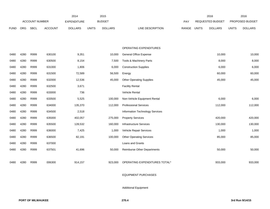|             |      |                       |                | 2014               |              | 2015           |                                    |       |              | 2016             |              | 2016            |
|-------------|------|-----------------------|----------------|--------------------|--------------|----------------|------------------------------------|-------|--------------|------------------|--------------|-----------------|
|             |      | <b>ACCOUNT NUMBER</b> |                | <b>EXPENDITURE</b> |              | <b>BUDGET</b>  |                                    | PAY   |              | REQUESTED BUDGET |              | PROPOSED BUDGET |
| <b>FUND</b> | ORG  | <b>SBCL</b>           | <b>ACCOUNT</b> | <b>DOLLARS</b>     | <b>UNITS</b> | <b>DOLLARS</b> | LINE DESCRIPTION                   | RANGE | <b>UNITS</b> | <b>DOLLARS</b>   | <b>UNITS</b> | <b>DOLLARS</b>  |
|             |      |                       |                |                    |              |                |                                    |       |              |                  |              |                 |
|             |      |                       |                |                    |              |                |                                    |       |              |                  |              |                 |
|             |      |                       |                |                    |              |                | OPERATING EXPENDITURES             |       |              |                  |              |                 |
| 0480        | 4280 | R999                  | 630100         | 9,351              |              | 10,000         | <b>General Office Expense</b>      |       |              | 10,000           |              | 10,000          |
| 0480        | 4280 | R999                  | 630500         | 8,154              |              | 7,500          | <b>Tools &amp; Machinery Parts</b> |       |              | 8,000            |              | 8,000           |
| 0480        | 4280 | R999                  | 631000         | 1,806              |              | 6,000          | <b>Construction Supplies</b>       |       |              | 6,000            |              | 6,000           |
| 0480        | 4280 | R999                  | 631500         | 72,589             |              | 56,500         | Energy                             |       |              | 60,000           |              | 60,000          |
| 0480        | 4280 | R999                  | 632000         | 12,536             |              | 45,000         | <b>Other Operating Supplies</b>    |       |              | 45,000           |              | 45,000          |
| 0480        | 4280 | R999                  | 632500         | 3,671              |              |                | <b>Facility Rental</b>             |       |              |                  |              |                 |
| 0480        | 4280 | R999                  | 633000         | 736                |              |                | Vehicle Rental                     |       |              |                  |              |                 |
| 0480        | 4280 | R999                  | 633500         | 5,525              |              | 100,000        | Non-Vehicle Equipment Rental       |       |              | 6,000            |              | 6,000           |
| 0480        | 4280 | R999                  | 634000         | 135,370            |              | 112,000        | <b>Professional Services</b>       |       |              | 112,000          |              | 112,000         |
| 0480        | 4280 | R999                  | 634500         | 2,518              |              |                | Information Technology Services    |       |              |                  |              |                 |
| 0480        | 4280 | R999                  | 635000         | 402,057            |              | 275,000        | <b>Property Services</b>           |       |              | 420,000          |              | 420,000         |
| 0480        | 4280 | R999                  | 635500         | 128,532            |              | 160,000        | <b>Infrastructure Services</b>     |       |              | 130,000          |              | 130,000         |
| 0480        | 4280 | R999                  | 636000         | 7,425              |              | 1,000          | Vehicle Repair Services            |       |              | 1,000            |              | 1,000           |
| 0480        | 4280 | R999                  | 636500         | 82,191             |              | 100,000        | <b>Other Operating Services</b>    |       |              | 85,000           |              | 85,000          |
| 0480        | 4280 | R999                  | 637000         |                    |              |                | Loans and Grants                   |       |              |                  |              |                 |
| 0480        | 4280 | R999                  | 637501         | 41,696             |              | 50,000         | <b>Reimburse Other Departments</b> |       |              | 50,000           |              | 50,000          |
|             |      |                       |                |                    |              |                |                                    |       |              |                  |              |                 |
| 0480        | 4280 | R999                  | 006300         | 914,157            |              | 923,000        | OPERATING EXPENDITURES TOTAL*      |       |              | 933,000          |              | 933,000         |

### EQUIPMENT PURCHASES

Additional Equipment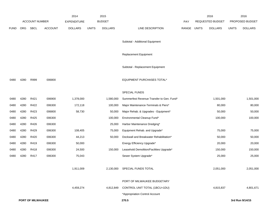|             |      |                       |                | 2014               |              | 2015           |                                           |             | 2016             |              | 2016            |
|-------------|------|-----------------------|----------------|--------------------|--------------|----------------|-------------------------------------------|-------------|------------------|--------------|-----------------|
|             |      | <b>ACCOUNT NUMBER</b> |                | <b>EXPENDITURE</b> |              | <b>BUDGET</b>  |                                           | PAY         | REQUESTED BUDGET |              | PROPOSED BUDGET |
| <b>FUND</b> | ORG  | SBCL                  | <b>ACCOUNT</b> | <b>DOLLARS</b>     | <b>UNITS</b> | <b>DOLLARS</b> | LINE DESCRIPTION                          | RANGE UNITS | <b>DOLLARS</b>   | <b>UNITS</b> | <b>DOLLARS</b>  |
|             |      |                       |                |                    |              |                |                                           |             |                  |              |                 |
|             |      |                       |                |                    |              |                | Subtotal - Additional Equipment           |             |                  |              |                 |
|             |      |                       |                |                    |              |                | <b>Replacement Equipment</b>              |             |                  |              |                 |
|             |      |                       |                |                    |              |                |                                           |             |                  |              |                 |
|             |      |                       |                |                    |              |                | Subtotal - Replacement Equipment          |             |                  |              |                 |
| 0480        | 4280 | R999                  | 006800         |                    |              |                | <b>EQUIPMENT PURCHASES TOTAL*</b>         |             |                  |              |                 |
|             |      |                       |                |                    |              |                |                                           |             |                  |              |                 |
|             |      |                       |                |                    |              |                | SPECIAL FUNDS                             |             |                  |              |                 |
| 0480        | 4280 | R421                  | 006900         | 1,378,000          |              | 1,580,000      | Summerfest Revenue Transfer to Gen. Fund* |             | 1,501,000        |              | 1,501,000       |
| 0480        | 4280 | R422                  | 006300         | 172,118            |              | 100,000        | Major Maintenance-Terminals & Piers*      |             | 80,000           |              | 80,000          |
| 0480        | 4280 | R423                  | 006800         | 58,730             |              | 50,000         | Major Rehab. & Upgrades - Equipment*      |             | 50,000           |              | 50,000          |
| 0480        | 4280 | R425                  | 006300         |                    |              | 100,000        | Environmental Cleanup Fund*               |             | 100,000          |              | 100,000         |
| 0480        | 4280 | R426                  | 006300         |                    |              | 25,000         | Harbor Maintenance Dredging*              |             |                  |              |                 |
| 0480        | 4280 | R429                  | 006300         | 108,405            |              | 75,000         | Equipment Rehab. and Upgrade*             |             | 75,000           |              | 75,000          |
| 0480        | 4280 | R420                  | 006300         | 44,213             |              | 50,000         | Dockwall and Breakwater Rehabilitation*   |             | 50,000           |              | 50,000          |
| 0480        | 4280 | R419                  | 006300         | 50,000             |              |                | Energy Efficiency Upgrade*                |             | 20,000           |              | 20,000          |
| 0480        | 4280 | R418                  | 006300         | 24,500             |              | 150,000        | Leasehold Demolition/Facilities Upgrade*  |             | 150,000          |              | 150,000         |
| 0480        | 4280 | R417                  | 006300         | 75,043             |              |                | Sewer System Upgrade*                     |             | 25,000           |              | 25,000          |
|             |      |                       |                | 1,911,009          |              |                | 2,130,000 SPECIAL FUNDS TOTAL             |             | 2,051,000        |              | 2,051,000       |
|             |      |                       |                |                    |              |                |                                           |             |                  |              |                 |
|             |      |                       |                |                    |              |                | PORT OF MILWAUKEE BUDGETARY               |             |                  |              |                 |
|             |      |                       |                | 4,459,274          |              | 4,812,849      | CONTROL UNIT TOTAL (1BCU=1DU)             |             | 4,815,837        |              | 4,801,671       |
|             |      |                       |                |                    |              |                | *Appropriation Control Account            |             |                  |              |                 |
|             |      | PORT OF MILWAUKEE     |                |                    |              |                | 270.5                                     |             |                  |              | 3rd Run 9/14/15 |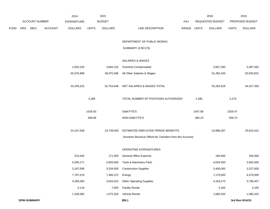|             |     |                       |                | 2014               |              | 2015           |                                                          |       |              | 2016             |              | 2016            |
|-------------|-----|-----------------------|----------------|--------------------|--------------|----------------|----------------------------------------------------------|-------|--------------|------------------|--------------|-----------------|
|             |     | <b>ACCOUNT NUMBER</b> |                | <b>EXPENDITURE</b> |              | <b>BUDGET</b>  |                                                          | PAY   |              | REQUESTED BUDGET |              | PROPOSED BUDGET |
| <b>FUND</b> | ORG | SBCL                  | <b>ACCOUNT</b> | <b>DOLLARS</b>     | <b>UNITS</b> | <b>DOLLARS</b> | LINE DESCRIPTION                                         | RANGE | <b>UNITS</b> | <b>DOLLARS</b>   | <b>UNITS</b> | <b>DOLLARS</b>  |
|             |     |                       |                |                    |              |                | DEPARTMENT OF PUBLIC WORKS                               |       |              |                  |              |                 |
|             |     |                       |                |                    |              |                | SUMMARY (3 BCU'S)                                        |       |              |                  |              |                 |
|             |     |                       |                |                    |              |                | <b>SALARIES &amp; WAGES</b>                              |       |              |                  |              |                 |
|             |     |                       |                | 2,832,234          |              | 3,684,152      | Overtime Compensated                                     |       |              | 3,807,392        |              | 3,497,392       |
|             |     |                       |                | 50,376,988         |              | 49,070,496     | All Other Salaries & Wages                               |       |              | 51,455,426       |              | 50,930,001      |
|             |     |                       |                | 53,209,222         |              | 52,754,648     | NET SALARIES & WAGES TOTAL                               |       |              | 55,262,818       |              | 54,427,393      |
|             |     |                       |                |                    | 2,285        |                | TOTAL NUMBER OF POSITIONS AUTHORIZED                     |       | 2,285        |                  | 2,276        |                 |
|             |     |                       |                |                    | 1018.50      |                | O&M FTE'S                                                |       | 1047.88      |                  | 1026.47      |                 |
|             |     |                       |                |                    | 369.88       |                | NON-O&M FTE'S                                            |       | 365.23       |                  | 359.74       |                 |
|             |     |                       |                | 24,107,038         |              | 23,739,593     | ESTIMATED EMPLOYEE FRINGE BENEFITS                       |       |              | 24,868,267       |              | 25,624,021      |
|             |     |                       |                |                    |              |                | (Involves Revenue Offset-No Transfers from this Account) |       |              |                  |              |                 |
|             |     |                       |                |                    |              |                | OPERATING EXPENDITURES                                   |       |              |                  |              |                 |
|             |     |                       |                | 224,540            |              | 171,000        | General Office Expense                                   |       |              | 184,000          |              | 184,000         |
|             |     |                       |                | 5,040,171          |              | 3,920,000      | Tools & Machinery Parts                                  |       |              | 4,034,500        |              | 3,944,500       |
|             |     |                       |                | 3,187,099          |              | 3,204,000      | <b>Construction Supplies</b>                             |       |              | 3,400,000        |              | 3,327,000       |
|             |     |                       |                | 7,797,219          |              | 7,466,372      | Energy                                                   |       |              | 7,179,000        |              | 6,379,000       |
|             |     |                       |                | 4,358,260          |              | 3,933,010      | <b>Other Operating Supplies</b>                          |       |              | 4,418,270        |              | 3,796,407       |
|             |     |                       |                | 3,118              |              | 7,000          | <b>Facility Rental</b>                                   |       |              | 3,100            |              | 3,100           |
|             |     |                       |                | 1,329,585          |              | 1,075,320      | Vehicle Rental                                           |       |              | 1,080,320        |              | 1,080,320       |
|             |     | <b>DPW-SUMMARY</b>    |                |                    |              |                | 280.1                                                    |       |              |                  |              | 3rd Run 9/14/15 |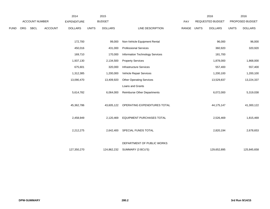|      |     |                       |                | 2014               |              | 2015           |                                 |             | 2016             |              | 2016            |
|------|-----|-----------------------|----------------|--------------------|--------------|----------------|---------------------------------|-------------|------------------|--------------|-----------------|
|      |     | <b>ACCOUNT NUMBER</b> |                | <b>EXPENDITURE</b> |              | <b>BUDGET</b>  |                                 | PAY         | REQUESTED BUDGET |              | PROPOSED BUDGET |
| FUND | ORG | SBCL                  | <b>ACCOUNT</b> | <b>DOLLARS</b>     | <b>UNITS</b> | <b>DOLLARS</b> | LINE DESCRIPTION                | RANGE UNITS | <b>DOLLARS</b>   | <b>UNITS</b> | <b>DOLLARS</b>  |
|      |     |                       |                | 172,700            |              | 99,000         | Non-Vehicle Equipment Rental    |             | 96,000           |              | 96,000          |
|      |     |                       |                | 450,016            |              | 431,000        | <b>Professional Services</b>    |             | 360,920          |              | 320,920         |
|      |     |                       |                | 169,710            |              | 170,000        | Information Technology Services |             | 181,700          |              |                 |
|      |     |                       |                | 1,937,130          |              | 2,134,500      | <b>Property Services</b>        |             | 1,878,000        |              | 1,868,000       |
|      |     |                       |                | 675,601            |              | 320,000        | Infrastructure Services         |             | 557,400          |              | 557,400         |
|      |     |                       |                | 1,312,385          |              | 1,200,000      | Vehicle Repair Services         |             | 1,200,100        |              | 1,200,100       |
|      |     |                       |                | 13,090,470         |              | 13,409,920     | <b>Other Operating Services</b> |             | 13,529,837       |              | 13,224,337      |
|      |     |                       |                |                    |              |                | Loans and Grants                |             |                  |              |                 |
|      |     |                       |                | 5,614,782          |              | 6,064,000      | Reimburse Other Departments     |             | 6,072,000        |              | 5,319,038       |
|      |     |                       |                | 45,362,786         |              | 43,605,122     | OPERATING EXPENDITURES TOTAL    |             | 44,175,147       |              | 41,300,122      |
|      |     |                       |                | 2,458,949          |              | 2,120,469      | EQUIPMENT PURCHASES TOTAL       |             | 2,526,469        |              | 1,815,469       |
|      |     |                       |                | 2,212,275          |              | 2,642,400      | SPECIAL FUNDS TOTAL             |             | 2,820,194        |              | 2,678,653       |
|      |     |                       |                |                    |              |                | DEPARTMENT OF PUBLIC WORKS      |             |                  |              |                 |
|      |     |                       |                | 127,350,270        |              | 124,862,232    | SUMMARY (3 BCU'S)               |             | 129,652,895      |              | 125,845,658     |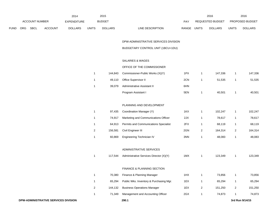|             |                       |             |                    | 2014           |               | 2015           |                                  |                  | 2016           |                        | 2016           |
|-------------|-----------------------|-------------|--------------------|----------------|---------------|----------------|----------------------------------|------------------|----------------|------------------------|----------------|
|             | <b>ACCOUNT NUMBER</b> |             | <b>EXPENDITURE</b> |                | <b>BUDGET</b> | PAY            |                                  | REQUESTED BUDGET |                | <b>PROPOSED BUDGET</b> |                |
| <b>FUND</b> | ORG                   | <b>SBCL</b> | <b>ACCOUNT</b>     | <b>DOLLARS</b> | <b>UNITS</b>  | <b>DOLLARS</b> | LINE DESCRIPTION<br><b>RANGE</b> | <b>UNITS</b>     | <b>DOLLARS</b> | <b>UNITS</b>           | <b>DOLLARS</b> |

DPW-ADMINISTRATIVE SERVICES DIVISION

BUDGETARY CONTROL UNIT (1BCU=1DU)

## SALARIES & WAGES

# OFFICE OF THE COMMISSIONER

| 144.843 | Commissioner-Public Works (X)(Y) | 1PX | 147.336 | 147,336 |
|---------|----------------------------------|-----|---------|---------|
| 49.110  | Office Supervisor II             | 2CN | 51.535  | 51,535  |
| 39.079  | Administrative Assistant II      | 6HN |         |         |
|         | Program Assistant I              | 5EN | 40.501  | 40,501  |

### PLANNING AND DEVELOPMENT

|   | 97.435  | Coordination Manager (Y)                     | 1KX | 102.247 | 102.247 |
|---|---------|----------------------------------------------|-----|---------|---------|
|   | 74.917  | Marketing and Communications Officer         | 2JX | 78.617  | 78,617  |
|   | 64.913  | <b>Permits and Communications Specialist</b> | 2FX | 68.119  | 68,119  |
| 2 | 156.581 | Civil Engineer III                           | 2GN | 164.314 | 164.314 |
|   | 60,869  | Engineering Technician IV                    | 3NN | 48.083  | 48,083  |

### ADMINISTRATIVE SERVICES

|  | 117,544 Administrative Services Director (X)(Y) | 1MX | 123.349 | 123.349 |
|--|-------------------------------------------------|-----|---------|---------|
|  |                                                 |     |         |         |

### FINANCE & PLANNING SECTION

| 70.380  | Finance & Planning Manager              | 1HX | 73.856  | 73,856  |
|---------|-----------------------------------------|-----|---------|---------|
| 65.294  | Public Wks. Inventory & Purchasing Mgr. | 1EX | 65.294  | 65,294  |
| 144.132 | <b>Business Operations Manager</b>      | 1EX | 151.250 | 151,250 |
| 71.349  | Management and Accounting Officer       | 2GX | 74.873  | 74,873  |
|         |                                         |     |         |         |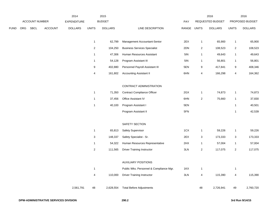|     |             |                | 2014               |              | 2015           |                                         |     |                           | 2016           |                  | 2016            |
|-----|-------------|----------------|--------------------|--------------|----------------|-----------------------------------------|-----|---------------------------|----------------|------------------|-----------------|
|     |             |                | <b>EXPENDITURE</b> |              |                |                                         | PAY |                           |                |                  | PROPOSED BUDGET |
| ORG | <b>SBCL</b> | <b>ACCOUNT</b> | <b>DOLLARS</b>     | <b>UNITS</b> | <b>DOLLARS</b> | LINE DESCRIPTION                        |     | <b>UNITS</b>              | <b>DOLLARS</b> | <b>UNITS</b>     | <b>DOLLARS</b>  |
|     |             |                |                    | $\mathbf{1}$ | 62,799         | Management Accountant-Senior            | 2EX | $\mathbf{1}$              | 65,900         | $\mathbf{1}$     | 65,900          |
|     |             |                |                    | $\sqrt{2}$   | 104,250        | <b>Business Services Specialist</b>     | 2DN | $\sqrt{2}$                | 108,523        | $\overline{2}$   | 108,523         |
|     |             |                |                    | $\mathbf{1}$ | 47,306         | Human Resources Assistant               | 5IN | $\mathbf{1}$              | 49,643         | $\mathbf{1}$     | 49,643          |
|     |             |                |                    | $\mathbf{1}$ | 54,128         | Program Assistant III                   | 5IN | $\mathbf{1}$              | 56,801         | $\mathbf{1}$     | 56,801          |
|     |             |                |                    | 9            | 402,880        | Personnel Payroll Assistant III         | 5EN | $\boldsymbol{9}$          | 417,841        | 9                | 408,346         |
|     |             |                |                    | 4            | 161,802        | <b>Accounting Assistant II</b>          | 6HN | 4                         | 166,298        | 4                | 164,362         |
|     |             |                |                    |              |                | CONTRACT ADMINISTRATION                 |     |                           |                |                  |                 |
|     |             |                |                    | $\mathbf{1}$ | 71,350         | <b>Contract Compliance Officer</b>      | 2GX | $\mathbf{1}$              | 74,873         | $\mathbf{1}$     | 74,873          |
|     |             |                |                    | $\mathbf{1}$ | 37,456         | Office Assistant IV                     | 6HN | $\overline{2}$            | 75,660         | $\mathbf{1}$     | 37,830          |
|     |             |                |                    | $\mathbf{1}$ | 40,100         | Program Assistant I                     | 5EN |                           |                | $\mathbf{1}$     | 40,501          |
|     |             |                |                    |              |                | Program Assistant II                    | 5FN |                           |                | $\mathbf{1}$     | 42,539          |
|     |             |                |                    |              |                | SAFETY SECTION                          |     |                           |                |                  |                 |
|     |             |                |                    | $\mathbf{1}$ | 65,813         | Safety Supervisor                       | 1CX | $\mathbf{1}$              | 59,226         | $\mathbf{1}$     | 59,226          |
|     |             |                |                    | 3            | 148,337        | Safety Specialist - Sr.                 | 2EX | $\ensuremath{\mathsf{3}}$ | 173,333        | 3                | 173,333         |
|     |             |                |                    | $\mathbf{1}$ | 54,322         | Human Resources Representative          | 2HX | $\mathbf{1}$              | 57,004         | 1                | 57,004          |
|     |             |                |                    | $\mathbf 2$  | 111,565        | <b>Driver Training Instructor</b>       | 3LN | $\overline{2}$            | 117,075        | $\overline{2}$   | 117,075         |
|     |             |                |                    |              |                | <b>AUXILIARY POSITIONS</b>              |     |                           |                |                  |                 |
|     |             |                |                    | $\mathbf{1}$ |                | Public Wks. Personnel & Compliance Mgr. | 1KX | $\mathbf{1}$              |                | $\mathbf{1}$     |                 |
|     |             |                |                    | 4            | 110,000        | <b>Driver Training Instructor</b>       | 3LN | 4                         | 115,390        | $\overline{4}$   | 115,390         |
|     |             |                | 2,561,791          | 48           | 2,628,554      | <b>Total Before Adjustments</b>         |     | 48                        | 2,726,941      | 49               | 2,760,720       |
|     |             |                | ACCOUNT NUMBER     |              |                | <b>BUDGET</b>                           |     |                           | RANGE          | REQUESTED BUDGET |                 |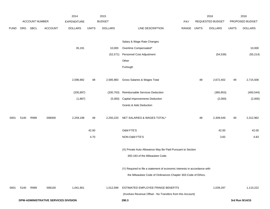|             |      |                |                                      | 2014               |              | 2015           |                                                                                              |             |    | 2016             |              | 2016            |
|-------------|------|----------------|--------------------------------------|--------------------|--------------|----------------|----------------------------------------------------------------------------------------------|-------------|----|------------------|--------------|-----------------|
|             |      | ACCOUNT NUMBER |                                      | <b>EXPENDITURE</b> |              | <b>BUDGET</b>  |                                                                                              | PAY         |    | REQUESTED BUDGET |              | PROPOSED BUDGET |
| <b>FUND</b> | ORG  | <b>SBCL</b>    | <b>ACCOUNT</b>                       | <b>DOLLARS</b>     | <b>UNITS</b> | <b>DOLLARS</b> | LINE DESCRIPTION                                                                             | RANGE UNITS |    | <b>DOLLARS</b>   | <b>UNITS</b> | <b>DOLLARS</b>  |
|             |      |                |                                      |                    |              |                | Salary & Wage Rate Changes                                                                   |             |    |                  |              |                 |
|             |      |                |                                      | 35,191             |              | 10,000         | Overtime Compensated*                                                                        |             |    |                  |              | 10,000          |
|             |      |                |                                      |                    |              | (52, 571)      | Personnel Cost Adjustment                                                                    |             |    | (54, 539)        |              | (55, 214)       |
|             |      |                |                                      |                    |              |                | Other                                                                                        |             |    |                  |              |                 |
|             |      |                |                                      |                    |              |                |                                                                                              |             |    |                  |              |                 |
|             |      |                |                                      |                    |              |                | Furlough                                                                                     |             |    |                  |              |                 |
|             |      |                |                                      | 2,596,982          | 48           | 2,585,983      | Gross Salaries & Wages Total                                                                 |             | 48 | 2,672,402        | 49           | 2,715,506       |
|             |      |                |                                      | (335, 897)         |              | (330, 763)     | Reimbursable Services Deduction                                                              |             |    | (360, 853)       |              | (400, 544)      |
|             |      |                |                                      | (1,887)            |              | (5,000)        | <b>Capital Improvements Deduction</b>                                                        |             |    | (2,000)          |              | (2,000)         |
|             |      |                |                                      |                    |              |                | <b>Grants &amp; Aids Deduction</b>                                                           |             |    |                  |              |                 |
| 0001        | 5140 | R999           | 006000                               | 2,259,198          | 48           | 2,250,220      | NET SALARIES & WAGES TOTAL*                                                                  |             | 48 | 2,309,549        | 49           | 2,312,962       |
|             |      |                |                                      |                    | 42.00        |                | O&M FTE'S                                                                                    |             |    | 42.00            |              | 42.00           |
|             |      |                |                                      |                    | 4.70         |                | NON-O&M FTE'S                                                                                |             |    | 3.83             |              | 4.83            |
|             |      |                |                                      |                    |              |                | (X) Private Auto Allowance May Be Paid Pursuant to Section<br>350-183 of the Milwaukee Code. |             |    |                  |              |                 |
|             |      |                |                                      |                    |              |                | (Y) Required to file a statement of economic interests in accordance with                    |             |    |                  |              |                 |
|             |      |                |                                      |                    |              |                | the Milwaukee Code of Ordinances Chapter 303-Code of Ethics.                                 |             |    |                  |              |                 |
| 0001        | 5140 | R999           | 006100                               | 1,041,901          |              | 1,012,599      | <b>ESTIMATED EMPLOYEE FRINGE BENEFITS</b>                                                    |             |    | 1,039,297        |              | 1,110,222       |
|             |      |                |                                      |                    |              |                | (Involves Revenue Offset - No Transfers from this Account)                                   |             |    |                  |              |                 |
|             |      |                | DPW-ADMINISTRATIVE SERVICES DIVISION |                    |              |                | 290.3                                                                                        |             |    |                  |              | 3rd Run 9/14/15 |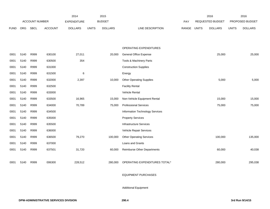|             |      |                       |                | 2014               |              | 2015           |                                    |       |              | 2016                    |              | 2016            |
|-------------|------|-----------------------|----------------|--------------------|--------------|----------------|------------------------------------|-------|--------------|-------------------------|--------------|-----------------|
|             |      | <b>ACCOUNT NUMBER</b> |                | <b>EXPENDITURE</b> |              | <b>BUDGET</b>  |                                    | PAY   |              | <b>REQUESTED BUDGET</b> |              | PROPOSED BUDGET |
| <b>FUND</b> | ORG  | <b>SBCL</b>           | <b>ACCOUNT</b> | <b>DOLLARS</b>     | <b>UNITS</b> | <b>DOLLARS</b> | LINE DESCRIPTION                   | RANGE | <b>UNITS</b> | <b>DOLLARS</b>          | <b>UNITS</b> | <b>DOLLARS</b>  |
|             |      |                       |                |                    |              |                |                                    |       |              |                         |              |                 |
|             |      |                       |                |                    |              |                |                                    |       |              |                         |              |                 |
|             |      |                       |                |                    |              |                | OPERATING EXPENDITURES             |       |              |                         |              |                 |
| 0001        | 5140 | R999                  | 630100         | 27,011             |              | 20,000         | General Office Expense             |       |              | 25,000                  |              | 25,000          |
| 0001        | 5140 | R999                  | 630500         | 354                |              |                | Tools & Machinery Parts            |       |              |                         |              |                 |
| 0001        | 5140 | R999                  | 631000         |                    |              |                | <b>Construction Supplies</b>       |       |              |                         |              |                 |
| 0001        | 5140 | R999                  | 631500         | 6                  |              |                | Energy                             |       |              |                         |              |                 |
| 0001        | 5140 | R999                  | 632000         | 2,397              |              | 10,000         | <b>Other Operating Supplies</b>    |       |              | 5,000                   |              | 5,000           |
| 0001        | 5140 | R999                  | 632500         |                    |              |                | <b>Facility Rental</b>             |       |              |                         |              |                 |
| 0001        | 5140 | R999                  | 633000         |                    |              |                | Vehicle Rental                     |       |              |                         |              |                 |
| 0001        | 5140 | R999                  | 633500         | 16,965             |              | 15,000         | Non-Vehicle Equipment Rental       |       |              | 15,000                  |              | 15,000          |
| 0001        | 5140 | R999                  | 634000         | 70,789             |              | 75,000         | <b>Professional Services</b>       |       |              | 75,000                  |              | 75,000          |
| 0001        | 5140 | R999                  | 634500         |                    |              |                | Information Technology Services    |       |              |                         |              |                 |
| 0001        | 5140 | R999                  | 635000         |                    |              |                | <b>Property Services</b>           |       |              |                         |              |                 |
| 0001        | 5140 | R999                  | 635500         |                    |              |                | <b>Infrastructure Services</b>     |       |              |                         |              |                 |
| 0001        | 5140 | R999                  | 636000         |                    |              |                | Vehicle Repair Services            |       |              |                         |              |                 |
| 0001        | 5140 | R999                  | 636500         | 79,270             |              | 100,000        | <b>Other Operating Services</b>    |       |              | 100,000                 |              | 135,000         |
| 0001        | 5140 | R999                  | 637000         |                    |              |                | Loans and Grants                   |       |              |                         |              |                 |
| 0001        | 5140 | R999                  | 637501         | 31,720             |              | 60,000         | <b>Reimburse Other Departments</b> |       |              | 60,000                  |              | 40,038          |
|             |      |                       |                |                    |              |                |                                    |       |              |                         |              |                 |
| 0001        | 5140 | R999                  | 006300         | 228,512            |              | 280,000        | OPERATING EXPENDITURES TOTAL*      |       |              | 280,000                 |              | 295,038         |
|             |      |                       |                |                    |              |                |                                    |       |              |                         |              |                 |

### EQUIPMENT PURCHASES

Additional Equipment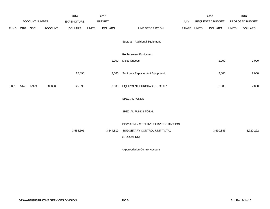|             |      |                |                | 2014               |              | 2015           |                                      |       |              | 2016             |              | 2016            |
|-------------|------|----------------|----------------|--------------------|--------------|----------------|--------------------------------------|-------|--------------|------------------|--------------|-----------------|
|             |      | ACCOUNT NUMBER |                | <b>EXPENDITURE</b> |              | <b>BUDGET</b>  |                                      | PAY   |              | REQUESTED BUDGET |              | PROPOSED BUDGET |
| <b>FUND</b> | ORG  | <b>SBCL</b>    | <b>ACCOUNT</b> | <b>DOLLARS</b>     | <b>UNITS</b> | <b>DOLLARS</b> | LINE DESCRIPTION                     | RANGE | <b>UNITS</b> | <b>DOLLARS</b>   | <b>UNITS</b> | <b>DOLLARS</b>  |
|             |      |                |                |                    |              |                | Subtotal - Additional Equipment      |       |              |                  |              |                 |
|             |      |                |                |                    |              |                | Replacement Equipment                |       |              |                  |              |                 |
|             |      |                |                |                    |              | 2,000          | Miscellaneous                        |       |              | 2,000            |              | 2,000           |
|             |      |                |                |                    |              |                |                                      |       |              |                  |              |                 |
|             |      |                |                | 25,890             |              | 2,000          | Subtotal - Replacement Equipment     |       |              | 2,000            |              | 2,000           |
|             |      |                |                |                    |              |                |                                      |       |              |                  |              |                 |
| 0001        | 5140 | R999           | 006800         | 25,890             |              | 2,000          | EQUIPMENT PURCHASES TOTAL*           |       |              | 2,000            |              | 2,000           |
|             |      |                |                |                    |              |                | SPECIAL FUNDS                        |       |              |                  |              |                 |
|             |      |                |                |                    |              |                | SPECIAL FUNDS TOTAL                  |       |              |                  |              |                 |
|             |      |                |                |                    |              |                | DPW-ADMINISTRATIVE SERVICES DIVISION |       |              |                  |              |                 |
|             |      |                |                | 3,555,501          |              | 3,544,819      | BUDGETARY CONTROL UNIT TOTAL         |       |              | 3,630,846        |              | 3,720,222       |
|             |      |                |                |                    |              |                | $(1 BCU=1 DU)$                       |       |              |                  |              |                 |
|             |      |                |                |                    |              |                |                                      |       |              |                  |              |                 |

\*Appropriation Control Account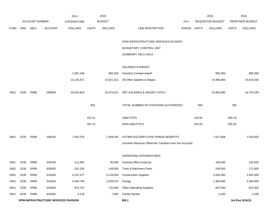|             |                                      |                       |                | 2014               |              | 2015           |                                                          |       |              | 2016             |              | 2016            |
|-------------|--------------------------------------|-----------------------|----------------|--------------------|--------------|----------------|----------------------------------------------------------|-------|--------------|------------------|--------------|-----------------|
|             |                                      | <b>ACCOUNT NUMBER</b> |                | <b>EXPENDITURE</b> |              | <b>BUDGET</b>  |                                                          | PAY   |              | REQUESTED BUDGET |              | PROPOSED BUDGET |
| <b>FUND</b> | <b>ORG</b>                           | <b>SBCL</b>           | <b>ACCOUNT</b> | <b>DOLLARS</b>     | <b>UNITS</b> | <b>DOLLARS</b> | LINE DESCRIPTION                                         | RANGE | <b>UNITS</b> | <b>DOLLARS</b>   | <b>UNITS</b> | <b>DOLLARS</b>  |
|             |                                      |                       |                |                    |              |                |                                                          |       |              |                  |              |                 |
|             |                                      |                       |                |                    |              |                | DPW-INFRASTRUCTURE SERVICES DIVISION                     |       |              |                  |              |                 |
|             |                                      |                       |                |                    |              |                | BUDGETARY CONTROL UNIT                                   |       |              |                  |              |                 |
|             |                                      |                       |                |                    |              |                | (SUMMARY 1BCU=4DU)                                       |       |              |                  |              |                 |
|             |                                      |                       |                |                    |              |                |                                                          |       |              |                  |              |                 |
|             |                                      |                       |                |                    |              |                | SALARIES & WAGES                                         |       |              |                  |              |                 |
|             |                                      |                       |                | 1,397,448          |              | 955,000        | Overtime Compensated*                                    |       |              | 955,000          |              | 885,000         |
|             |                                      |                       |                | 15,145,471         |              | 15,621,321     | All Other Salaries & Wages                               |       |              | 15,995,685       |              | 15,819,293      |
|             |                                      |                       |                |                    |              |                |                                                          |       |              |                  |              |                 |
| 0001        | 5230                                 | R999                  | 006000         | 16,542,919         |              | 16,576,321     | NET SALARIES & WAGES TOTAL*                              |       |              | 16,950,685       |              | 16,704,293      |
|             |                                      |                       |                |                    |              |                |                                                          |       |              |                  |              |                 |
|             |                                      |                       |                |                    | 801          |                | TOTAL NUMBER OF POSITIONS AUTHORIZED                     |       | 800          |                  | 790          |                 |
|             |                                      |                       |                |                    | 312.41       |                | O&M FTE'S                                                |       |              |                  |              |                 |
|             |                                      |                       |                |                    |              |                |                                                          |       | 310.91       |                  | 309.19       |                 |
|             |                                      |                       |                |                    | 307.13       |                | NON-O&M FTE'S                                            |       | 303.63       |                  | 305.35       |                 |
| 0001        | 5230                                 | R999                  | 006100         | 7,453,376          |              | 7,459,345      | ESTIMATED EMPLOYEE FRINGE BENEFITS                       |       |              | 7,627,808        |              | 7,516,932       |
|             |                                      |                       |                |                    |              |                | (Involves Revenue Offset-No Transfers from this Account) |       |              |                  |              |                 |
|             |                                      |                       |                |                    |              |                |                                                          |       |              |                  |              |                 |
|             |                                      |                       |                |                    |              |                | OPERATING EXPENDITURES                                   |       |              |                  |              |                 |
| 0001        | 5230                                 | R999                  | 630100         | 112,493            |              | 95,000         | <b>General Office Expense</b>                            |       |              | 105,000          |              | 105,000         |
| 0001        | 5230                                 | R999                  | 630500         | 242,106            |              | 149,000        | Tools & Machinery Parts                                  |       |              | 248,500          |              | 173,500         |
| 0001        | 5230                                 | R999                  | 631000         | 3,137,377          |              | 3,134,000      | <b>Construction Supplies</b>                             |       |              | 3,335,000        |              | 3,262,000       |
| 0001        | 5230                                 | R999                  | 631500         | 2,445,748          |              | 2,209,572      | Energy                                                   |       |              | 2,360,000        |              | 2,360,000       |
| 0001        | 5230                                 | R999                  | 632000         | 675,701            |              | 710,000        | <b>Other Operating Supplies</b>                          |       |              | 697,000          |              | 622,000         |
| 0001        | 5230                                 | R999                  | 632500         | 3,118              |              | 7,000          | <b>Facility Rental</b>                                   |       |              | 3,100            |              | 3,100           |
|             | DPW-INFRASTRUCTURE SERVICES DIVISION |                       |                |                    |              |                | 300.1                                                    |       |              |                  |              | 3rd Run 9/14/15 |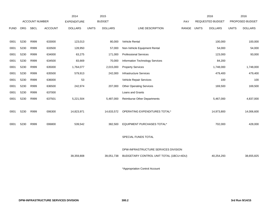|             |      |                       | 2014           | 2015               |              |                |                                         |       | 2016         | 2016                    |              |                 |
|-------------|------|-----------------------|----------------|--------------------|--------------|----------------|-----------------------------------------|-------|--------------|-------------------------|--------------|-----------------|
|             |      | <b>ACCOUNT NUMBER</b> |                | <b>EXPENDITURE</b> |              | <b>BUDGET</b>  |                                         | PAY   |              | <b>REQUESTED BUDGET</b> |              | PROPOSED BUDGET |
| <b>FUND</b> | ORG  | <b>SBCL</b>           | <b>ACCOUNT</b> | <b>DOLLARS</b>     | <b>UNITS</b> | <b>DOLLARS</b> | LINE DESCRIPTION                        | RANGE | <b>UNITS</b> | <b>DOLLARS</b>          | <b>UNITS</b> | <b>DOLLARS</b>  |
|             |      |                       |                |                    |              |                |                                         |       |              |                         |              |                 |
| 0001        | 5230 | R999                  | 633000         | 123,013            |              | 80,000         | Vehicle Rental                          |       |              | 100,000                 |              | 100,000         |
| 0001        | 5230 | R999                  | 633500         | 128,950            |              | 57,000         | Non-Vehicle Equipment Rental            |       |              | 54,000                  |              | 54,000          |
| 0001        | 5230 | R999                  | 634000         | 63,275             |              | 171,000        | <b>Professional Services</b>            |       |              | 123,000                 |              | 93,000          |
| 0001        | 5230 | R999                  | 634500         | 83,669             |              | 70,000         | Information Technology Services         |       |              | 84,200                  |              |                 |
| 0001        | 5230 | R999                  | 635000         | 1,764,077          |              | 2,015,000      | <b>Property Services</b>                |       |              | 1,748,000               |              | 1,748,000       |
| 0001        | 5230 | R999                  | 635500         | 579,913            |              | 242,000        | <b>Infrastructure Services</b>          |       |              | 479,400                 |              | 479,400         |
| 0001        | 5230 | R999                  | 636000         | 53                 |              |                | Vehicle Repair Services                 |       |              | 100                     |              | 100             |
| 0001        | 5230 | R999                  | 636500         | 242,974            |              | 207,000        | <b>Other Operating Services</b>         |       |              | 169,500                 |              | 169,500         |
| 0001        | 5230 | R999                  | 637000         |                    |              |                | Loans and Grants                        |       |              |                         |              |                 |
| 0001        | 5230 | R999                  | 637501         | 5,221,504          |              | 5,487,000      | <b>Reimburse Other Departments</b>      |       |              | 5,467,000               |              | 4,837,000       |
|             |      |                       |                |                    |              |                |                                         |       |              |                         |              |                 |
| 0001        | 5230 | R999                  | 006300         | 14,823,971         |              | 14,633,572     | OPERATING EXPENDITURES TOTAL*           |       |              | 14,973,800              |              | 14,006,600      |
|             |      |                       |                |                    |              |                |                                         |       |              |                         |              |                 |
| 0001        | 5230 | R999                  | 006800         | 539,542            |              | 382,500        | <b>EQUIPMENT PURCHASES TOTAL*</b>       |       |              | 702,000                 |              | 428,000         |
|             |      |                       |                |                    |              |                |                                         |       |              |                         |              |                 |
|             |      |                       |                |                    |              |                | SPECIAL FUNDS TOTAL                     |       |              |                         |              |                 |
|             |      |                       |                |                    |              |                |                                         |       |              |                         |              |                 |
|             |      |                       |                |                    |              |                | DPW-INFRASTRUCTURE SERVICES DIVISION    |       |              |                         |              |                 |
|             |      |                       |                | 39,359,808         |              | 39,051,738     | BUDGETARY CONTROL UNIT TOTAL (1BCU=4DU) |       |              | 40,254,293              |              | 38,655,825      |
|             |      |                       |                |                    |              |                |                                         |       |              |                         |              |                 |

\*Appropriation Control Account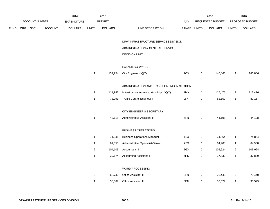|      |     |                       |                | 2014               |                |                | 2015                                      |             | 2016                    |                  | 2016                    |                 |
|------|-----|-----------------------|----------------|--------------------|----------------|----------------|-------------------------------------------|-------------|-------------------------|------------------|-------------------------|-----------------|
|      |     | <b>ACCOUNT NUMBER</b> |                | <b>EXPENDITURE</b> |                | <b>BUDGET</b>  |                                           | <b>PAY</b>  |                         | REQUESTED BUDGET |                         | PROPOSED BUDGET |
| FUND | ORG | SBCL                  | <b>ACCOUNT</b> | <b>DOLLARS</b>     | <b>UNITS</b>   | <b>DOLLARS</b> | LINE DESCRIPTION                          | RANGE UNITS |                         | <b>DOLLARS</b>   | <b>UNITS</b>            | <b>DOLLARS</b>  |
|      |     |                       |                |                    |                |                | DPW-INFRASTRUCTURE SERVICES DIVISION      |             |                         |                  |                         |                 |
|      |     |                       |                |                    |                |                | ADMINISTRATION & CENTRAL SERVICES         |             |                         |                  |                         |                 |
|      |     |                       |                |                    |                |                | <b>DECISION UNIT</b>                      |             |                         |                  |                         |                 |
|      |     |                       |                |                    |                |                | <b>SALARIES &amp; WAGES</b>               |             |                         |                  |                         |                 |
|      |     |                       |                |                    | $\mathbf{1}$   | 139,954        | City Engineer (X)(Y)                      | 1OX         | $\mathbf{1}$            | 146,866          | $\mathbf{1}$            | 146,866         |
|      |     |                       |                |                    |                |                | ADMINISTRATION AND TRANSPORTATION SECTION |             |                         |                  |                         |                 |
|      |     |                       |                |                    | $\mathbf{1}$   | 111,947        | Infrastructure Administration Mgr. (X)(Y) | 1MX         | $\mathbf{1}$            | 117,476          | $\mathbf{1}$            | 117,476         |
|      |     |                       |                |                    | $\mathbf{1}$   | 78,291         | <b>Traffic Control Engineer III</b>       | 2IN         | $\mathbf{1}$            | 82,157           | $\mathbf{1}$            | 82,157          |
|      |     |                       |                |                    |                |                | CITY ENGINEER'S SECRETARY                 |             |                         |                  |                         |                 |
|      |     |                       |                |                    | $\mathbf{1}$   | 42,118         | Administrative Assistant III              | 5FN         | $\overline{1}$          | 44,198           | $\mathbf{1}$            | 44,198          |
|      |     |                       |                |                    |                |                | <b>BUSINESS OPERATIONS</b>                |             |                         |                  |                         |                 |
|      |     |                       |                |                    | $\mathbf{1}$   | 71,341         | <b>Business Operations Manager</b>        | 1EX         | $\overline{1}$          | 74,864           | $\mathbf{1}$            | 74,864          |
|      |     |                       |                |                    | $\mathbf{1}$   | 61,853         | Administrative Specialist-Senior          | 2EX         | $\mathbf{1}$            | 64,908           | $\mathbf{1}$            | 64,908          |
|      |     |                       |                |                    | $\overline{2}$ | 104,105        | Accountant III                            | 2GX         | $\overline{2}$          | 105,924          | $\overline{2}$          | 105,924         |
|      |     |                       |                |                    | $\mathbf{1}$   | 39,174         | <b>Accounting Assistant II</b>            | 6HN         | $\overline{1}$          | 37,830           | $\mathbf{1}$            | 37,830          |
|      |     |                       |                |                    |                |                | WORD PROCESSING                           |             |                         |                  |                         |                 |
|      |     |                       |                |                    | $\overline{c}$ | 68,746         | Office Assistant III                      | 6FN         | $\overline{\mathbf{c}}$ | 70,440           | $\overline{\mathbf{c}}$ | 70,440          |
|      |     |                       |                |                    | $\mathbf{1}$   | 35,567         | <b>Office Assistant II</b>                | 6EN         | 1                       | 30,529           | $\mathbf{1}$            | 30,529          |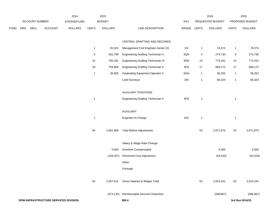|             |     |                | 2014                                 |                    | 2015           |                |                                           | 2016        |              |                  | 2016         |                 |
|-------------|-----|----------------|--------------------------------------|--------------------|----------------|----------------|-------------------------------------------|-------------|--------------|------------------|--------------|-----------------|
|             |     | ACCOUNT NUMBER |                                      | <b>EXPENDITURE</b> |                | <b>BUDGET</b>  |                                           | PAY         |              | REQUESTED BUDGET |              | PROPOSED BUDGET |
| <b>FUND</b> | ORG | SBCL           | <b>ACCOUNT</b>                       | <b>DOLLARS</b>     | <b>UNITS</b>   | <b>DOLLARS</b> | LINE DESCRIPTION                          | RANGE UNITS |              | <b>DOLLARS</b>   | <b>UNITS</b> | <b>DOLLARS</b>  |
|             |     |                |                                      |                    |                |                |                                           |             |              |                  |              |                 |
|             |     |                |                                      |                    |                |                | CENTRAL DRAFTING AND RECORDS              |             |              |                  |              |                 |
|             |     |                |                                      |                    | $\overline{1}$ | 91,022         | Management Civil Engineer-Senior (X)      | 11X         | $\mathbf{1}$ | 76,573           | $\mathbf{1}$ | 76,573          |
|             |     |                |                                      |                    | 4              | 261,799        | Engineering Drafting Technician V         | 3QN         | 4            | 274,730          | 4            | 274,730         |
|             |     |                |                                      |                    | 15             | 765,291        | Engineering Drafting Technician IV        | 3NN         | 15           | 774,431          | 15           | 774,431         |
|             |     |                |                                      |                    | 19             | 754,868        | <b>Engineering Drafting Technician II</b> | 3FN         | 17           | 668,172          | 17           | 668,172         |
|             |     |                |                                      |                    | $\overline{1}$ | 35,893         | <b>Duplicating Equipment Operator II</b>  | 6GN         | $\mathbf{1}$ | 36,252           | $\mathbf{1}$ | 36,252          |
|             |     |                |                                      |                    |                |                | Land Surveyor                             | 2IN         | $\mathbf{1}$ | 66,324           | $\mathbf{1}$ | 66,324          |
|             |     |                |                                      |                    |                |                |                                           |             |              |                  |              |                 |
|             |     |                |                                      |                    |                |                | <b>AUXILIARY POSITIONS</b>                |             |              |                  |              |                 |
|             |     |                |                                      |                    | $\overline{1}$ |                | <b>Engineering Drafting Technician II</b> | $3FN$       | $\mathbf{1}$ |                  | $\mathbf{1}$ |                 |
|             |     |                |                                      |                    |                |                | AUXILIARY                                 |             |              |                  |              |                 |
|             |     |                |                                      |                    | $\overline{1}$ |                | Engineer-In-Charge                        | 1KX         | $\mathbf{1}$ |                  | $\mathbf{1}$ |                 |
|             |     |                |                                      |                    |                |                |                                           |             |              |                  |              |                 |
|             |     |                |                                      |                    | 54             | 2,661,969      | <b>Total Before Adjustments</b>           |             | 53           | 2,671,674        | 53           | 2,671,674       |
|             |     |                |                                      |                    |                |                |                                           |             |              |                  |              |                 |
|             |     |                |                                      |                    |                |                | Salary & Wage Rate Change                 |             |              |                  |              |                 |
|             |     |                |                                      |                    |                | 5,000          | Overtime Compensated                      |             |              | 5,000            |              | 5,000           |
|             |     |                |                                      |                    |                | (109, 357)     | Personnel Cost Adjustment                 |             |              | (53, 433)        |              | (53, 433)       |
|             |     |                |                                      |                    |                |                | Other                                     |             |              |                  |              |                 |
|             |     |                |                                      |                    |                |                | Furlough                                  |             |              |                  |              |                 |
|             |     |                |                                      |                    | 54             | 2,557,612      | Gross Salaries & Wages Total              |             | 53           | 2,623,241        | 53           | 2,623,241       |
|             |     |                |                                      |                    |                |                |                                           |             |              |                  |              |                 |
|             |     |                |                                      |                    |                |                | (574,135) Reimbursable Services Deduction |             |              | (588, 867)       |              | (588, 867)      |
|             |     |                | DPW-INFRASTRUCTURE SERVICES DIVISION |                    |                |                | 300.4                                     |             |              |                  |              | 3rd Run 9/14/15 |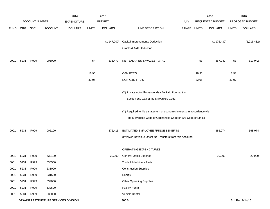|             |      |                |                                      | 2014               |              | 2015           |                                                                                              |             |       | 2016             |              | 2016            |
|-------------|------|----------------|--------------------------------------|--------------------|--------------|----------------|----------------------------------------------------------------------------------------------|-------------|-------|------------------|--------------|-----------------|
|             |      | ACCOUNT NUMBER |                                      | <b>EXPENDITURE</b> |              | <b>BUDGET</b>  |                                                                                              | <b>PAY</b>  |       | REQUESTED BUDGET |              | PROPOSED BUDGET |
| <b>FUND</b> |      | ORG SBCL       | <b>ACCOUNT</b>                       | <b>DOLLARS</b>     | <b>UNITS</b> | <b>DOLLARS</b> | LINE DESCRIPTION                                                                             | RANGE UNITS |       | <b>DOLLARS</b>   | <b>UNITS</b> | <b>DOLLARS</b>  |
|             |      |                |                                      |                    |              |                |                                                                                              |             |       |                  |              |                 |
|             |      |                |                                      |                    |              | (1, 147, 000)  | <b>Capital Improvements Deduction</b>                                                        |             |       | (1, 176, 432)    |              | (1, 216, 432)   |
|             |      |                |                                      |                    |              |                | <b>Grants &amp; Aids Deduction</b>                                                           |             |       |                  |              |                 |
| 0001        | 5231 | R999           | 006000                               |                    | 54           | 836,477        | NET SALARIES & WAGES TOTAL                                                                   |             | 53    | 857,942          | 53           | 817,942         |
|             |      |                |                                      |                    | 18.95        |                | <b>O&amp;M FTE'S</b>                                                                         |             | 18.95 |                  | 17.93        |                 |
|             |      |                |                                      |                    | 33.05        |                | NON-O&M FTE'S                                                                                |             | 32.05 |                  | 33.07        |                 |
|             |      |                |                                      |                    |              |                | (X) Private Auto Allowance May Be Paid Pursuant to<br>Section 350-183 of the Milwaukee Code. |             |       |                  |              |                 |
|             |      |                |                                      |                    |              |                | (Y) Required to file a statement of economic interests in accordance with                    |             |       |                  |              |                 |
|             |      |                |                                      |                    |              |                | the Milwaukee Code of Ordinances Chapter 303-Code of Ethics.                                 |             |       |                  |              |                 |
| 0001        | 5231 | R999           | 006100                               |                    |              | 376,415        | ESTIMATED EMPLOYEE FRINGE BENEFITS                                                           |             |       | 386,074          |              | 368,074         |
|             |      |                |                                      |                    |              |                | (Involves Revenue Offset-No Transfers from this Account)                                     |             |       |                  |              |                 |
|             |      |                |                                      |                    |              |                | OPERATING EXPENDITURES                                                                       |             |       |                  |              |                 |
| 0001        | 5231 | R999           | 630100                               |                    |              | 20,000         | General Office Expense                                                                       |             |       | 20,000           |              | 20,000          |
| 0001        | 5231 | R999           | 630500                               |                    |              |                | Tools & Machinery Parts                                                                      |             |       |                  |              |                 |
| 0001        | 5231 | R999           | 631000                               |                    |              |                | <b>Construction Supplies</b>                                                                 |             |       |                  |              |                 |
| 0001        | 5231 | R999           | 631500                               |                    |              |                | Energy                                                                                       |             |       |                  |              |                 |
| 0001        | 5231 | R999           | 632000                               |                    |              |                | <b>Other Operating Supplies</b>                                                              |             |       |                  |              |                 |
| 0001        | 5231 | R999           | 632500                               |                    |              |                | <b>Facility Rental</b>                                                                       |             |       |                  |              |                 |
| 0001        | 5231 | R999           | 633000                               |                    |              |                | Vehicle Rental                                                                               |             |       |                  |              |                 |
|             |      |                | DPW-INFRASTRUCTURE SERVICES DIVISION |                    |              |                | 300.5                                                                                        |             |       |                  |              | 3rd Run 9/14/15 |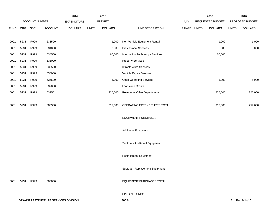|             | ACCOUNT NUMBER |      | 2014<br><b>EXPENDITURE</b>           | 2015<br><b>BUDGET</b> |              |                | PAY                                | 2016<br>REQUESTED BUDGET |  | 2016<br>PROPOSED BUDGET |              |                 |
|-------------|----------------|------|--------------------------------------|-----------------------|--------------|----------------|------------------------------------|--------------------------|--|-------------------------|--------------|-----------------|
| <b>FUND</b> | ORG            | SBCL | ACCOUNT                              | <b>DOLLARS</b>        | <b>UNITS</b> | <b>DOLLARS</b> | LINE DESCRIPTION                   | RANGE UNITS              |  | <b>DOLLARS</b>          | <b>UNITS</b> | <b>DOLLARS</b>  |
| 0001        | 5231           | R999 | 633500                               |                       |              | 1,000          | Non-Vehicle Equipment Rental       |                          |  | 1,000                   |              | 1,000           |
| 0001        | 5231           | R999 | 634000                               |                       |              | 2,000          | <b>Professional Services</b>       |                          |  | 6,000                   |              | 6,000           |
| 0001        | 5231           | R999 | 634500                               |                       |              | 60,000         | Information Technology Services    |                          |  | 60,000                  |              |                 |
| 0001        | 5231           | R999 | 635000                               |                       |              |                | <b>Property Services</b>           |                          |  |                         |              |                 |
| 0001        | 5231           | R999 | 635500                               |                       |              |                | <b>Infrastructure Services</b>     |                          |  |                         |              |                 |
| 0001        | 5231           | R999 | 636000                               |                       |              |                | Vehicle Repair Services            |                          |  |                         |              |                 |
| 0001        | 5231           | R999 | 636500                               |                       |              | 4,000          | <b>Other Operating Services</b>    |                          |  | 5,000                   |              | 5,000           |
| 0001        | 5231           | R999 | 637000                               |                       |              |                | Loans and Grants                   |                          |  |                         |              |                 |
| 0001        | 5231           | R999 | 637501                               |                       |              | 225,000        | <b>Reimburse Other Departments</b> |                          |  | 225,000                 |              | 225,000         |
| 0001        | 5231           | R999 | 006300                               |                       |              | 312,000        | OPERATING EXPENDITURES TOTAL       |                          |  | 317,000                 |              | 257,000         |
|             |                |      |                                      |                       |              |                | <b>EQUIPMENT PURCHASES</b>         |                          |  |                         |              |                 |
|             |                |      |                                      |                       |              |                | <b>Additional Equipment</b>        |                          |  |                         |              |                 |
|             |                |      |                                      |                       |              |                | Subtotal - Additional Equipment    |                          |  |                         |              |                 |
|             |                |      |                                      |                       |              |                | <b>Replacement Equipment</b>       |                          |  |                         |              |                 |
|             |                |      |                                      |                       |              |                | Subtotal - Replacement Equipment   |                          |  |                         |              |                 |
| 0001        | 5231           | R999 | 006800                               |                       |              |                | <b>EQUIPMENT PURCHASES TOTAL</b>   |                          |  |                         |              |                 |
|             |                |      |                                      |                       |              |                | SPECIAL FUNDS                      |                          |  |                         |              |                 |
|             |                |      | DPW-INFRASTRUCTURE SERVICES DIVISION |                       |              |                | 300.6                              |                          |  |                         |              | 3rd Run 9/14/15 |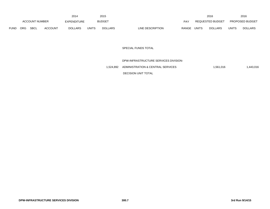|             |     |                       |                | 2014           |       | 2015           |                  |       |              | 2016             |              | 2016                   |
|-------------|-----|-----------------------|----------------|----------------|-------|----------------|------------------|-------|--------------|------------------|--------------|------------------------|
|             |     | <b>ACCOUNT NUMBER</b> |                | EXPENDITURE    |       | <b>BUDGET</b>  |                  | PAY   |              | REQUESTED BUDGET |              | <b>PROPOSED BUDGET</b> |
| <b>FUND</b> | ORG | <b>SBCL</b>           | <b>ACCOUNT</b> | <b>DOLLARS</b> | UNITS | <b>DOLLARS</b> | LINE DESCRIPTION | RANGE | <b>UNITS</b> | <b>DOLLARS</b>   | <b>UNITS</b> | <b>DOLLARS</b>         |

### SPECIAL FUNDS TOTAL

# DPW-INFRASTRUCTURE SERVICES DIVISION-

1,524,892 ADMINISTRATION & CENTRAL SERVICES 1,561,016 1,561,016

DECISION UNIT TOTAL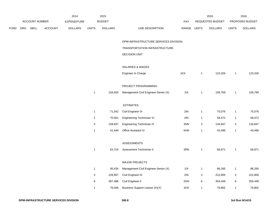|             |     |                       |         | 2014               |              | 2015           |                                       |             |                           | 2016             |                           | 2016            |
|-------------|-----|-----------------------|---------|--------------------|--------------|----------------|---------------------------------------|-------------|---------------------------|------------------|---------------------------|-----------------|
|             |     | <b>ACCOUNT NUMBER</b> |         | <b>EXPENDITURE</b> |              | <b>BUDGET</b>  |                                       | PAY         |                           | REQUESTED BUDGET |                           | PROPOSED BUDGET |
| <b>FUND</b> | ORG | <b>SBCL</b>           | ACCOUNT | <b>DOLLARS</b>     | <b>UNITS</b> | <b>DOLLARS</b> | LINE DESCRIPTION                      | RANGE UNITS |                           | <b>DOLLARS</b>   | <b>UNITS</b>              | <b>DOLLARS</b>  |
|             |     |                       |         |                    |              |                | DPW-INFRASTRUCTURE SERVICES DIVISION- |             |                           |                  |                           |                 |
|             |     |                       |         |                    |              |                | TRANSPORTATION INFRASTRUCTURE         |             |                           |                  |                           |                 |
|             |     |                       |         |                    |              |                | <b>DECISION UNIT</b>                  |             |                           |                  |                           |                 |
|             |     |                       |         |                    |              |                | SALARIES & WAGES                      |             |                           |                  |                           |                 |
|             |     |                       |         |                    |              |                | Engineer In Charge                    | 1KX         | $\mathbf{1}$              | 123,326          | $\overline{1}$            | 123,326         |
|             |     |                       |         |                    |              |                | PROJECT PROGRAMMING                   |             |                           |                  |                           |                 |
|             |     |                       |         |                    | $\mathbf{1}$ | 104,603        | Management Civil Engineer-Senior (X)  | 11X         | $\mathbf{1}$              | 109,769          | $\overline{1}$            | 109,769         |
|             |     |                       |         |                    |              |                | <b>ESTIMATES</b>                      |             |                           |                  |                           |                 |
|             |     |                       |         |                    | $\mathbf{1}$ | 71,542         | Civil Engineer III                    | 2IN         | $\mathbf{1}$              | 75,076           | $\overline{1}$            | 75,076          |
|             |     |                       |         |                    | $\mathbf{1}$ | 70,501         | <b>Engineering Technician VI</b>      | 2IN         | $\mathbf{1}$              | 58,472           | $\mathbf{1}$              | 58,472          |
|             |     |                       |         |                    | 3            | 159,837        | Engineering Technician IV             | 3NN         | $\ensuremath{\mathsf{3}}$ | 134,847          | $\ensuremath{\mathsf{3}}$ | 134,847         |
|             |     |                       |         |                    | $\mathbf{1}$ | 41,449         | Office Assistant IV                   | 6HN         | $\mathbf{1}$              | 43,496           | $\overline{1}$            | 43,496          |
|             |     |                       |         |                    |              |                | <b>ASSESSMENTS</b>                    |             |                           |                  |                           |                 |
|             |     |                       |         |                    | $\mathbf{1}$ | 63,724         | Assessment Technician II              | 3RN         | $\mathbf{1}$              | 66,871           | $\overline{1}$            | 66,871          |
|             |     |                       |         |                    |              |                | <b>MAJOR PROJECTS</b>                 |             |                           |                  |                           |                 |
|             |     |                       |         |                    | $\mathbf{1}$ | 95,434         | Management Civil Engineer-Senior (X)  | 11X         | $\mathbf{1}$              | 86,265           | $\overline{1}$            | 86,265          |
|             |     |                       |         |                    | $\mathsf 3$  | 228,957        | Civil Engineer III                    | 2IN         | 3                         | 222,805          | 3                         | 222,805         |
|             |     |                       |         |                    | $\,6$        | 367,486        | Civil Engineer II                     | 2GN         | 6                         | 354,449          | 6                         | 354,449         |
|             |     |                       |         |                    | $\mathbf{1}$ | 76,046         | Business Support Liaison (X)(Y)       | 2HX         | $\mathbf{1}$              | 79,802           | $\mathbf{1}$              | 79,802          |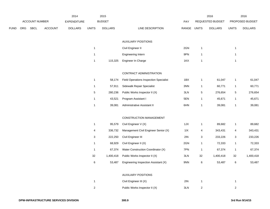|             |     |                       |                | 2014               |                           | 2015           |                                               |             |                           | 2016             |                | 2016            |
|-------------|-----|-----------------------|----------------|--------------------|---------------------------|----------------|-----------------------------------------------|-------------|---------------------------|------------------|----------------|-----------------|
|             |     | <b>ACCOUNT NUMBER</b> |                | <b>EXPENDITURE</b> |                           | <b>BUDGET</b>  |                                               | PAY         |                           | REQUESTED BUDGET |                | PROPOSED BUDGET |
| <b>FUND</b> | ORG | <b>SBCL</b>           | <b>ACCOUNT</b> | <b>DOLLARS</b>     | <b>UNITS</b>              | <b>DOLLARS</b> | LINE DESCRIPTION                              | RANGE UNITS |                           | <b>DOLLARS</b>   | <b>UNITS</b>   | <b>DOLLARS</b>  |
|             |     |                       |                |                    |                           |                |                                               |             |                           |                  |                |                 |
|             |     |                       |                |                    |                           |                | <b>AUXILIARY POSITIONS</b>                    |             |                           |                  |                |                 |
|             |     |                       |                |                    | $\mathbf{1}$              |                | Civil Engineer II                             | 2GN         | $\mathbf{1}$              |                  | $\mathbf{1}$   |                 |
|             |     |                       |                |                    | $\mathbf{1}$              |                | Engineering Intern                            | 9PN         | $\mathbf{1}$              |                  | $\mathbf{1}$   |                 |
|             |     |                       |                |                    | $\mathbf{1}$              | 115,325        | Engineer In Charge                            | 1KX         | $\mathbf{1}$              |                  | $\mathbf{1}$   |                 |
|             |     |                       |                |                    |                           |                | CONTRACT ADMINISTRATION                       |             |                           |                  |                |                 |
|             |     |                       |                |                    | $\overline{1}$            | 58,174         | <b>Field Operations Inspection Specialist</b> | 1BX         | $\overline{1}$            | 61,047           | 1              | 61,047          |
|             |     |                       |                |                    | $\mathbf{1}$              | 57,911         | Sidewalk Repair Specialist                    | 3NN         | $\mathbf{1}$              | 60,771           | $\mathbf{1}$   | 60,771          |
|             |     |                       |                |                    | $\,$ 5 $\,$               | 280,236        | Public Works Inspector II (X)                 | 3LN         | $\,$ 5 $\,$               | 276,654          | $\,$ 5 $\,$    | 276,654         |
|             |     |                       |                |                    | $\mathbf{1}$              | 43,521         | Program Assistant I                           | 5EN         | $\mathbf{1}$              | 45,671           | $\mathbf{1}$   | 45,671          |
|             |     |                       |                |                    | $\mathbf{1}$              | 39,081         | Administrative Assistant II                   | 6HN         | $\mathbf{1}$              | 39,081           | $\mathbf{1}$   | 39,081          |
|             |     |                       |                |                    |                           |                | CONSTRUCTION MANAGEMENT                       |             |                           |                  |                |                 |
|             |     |                       |                |                    | $\mathbf{1}$              | 95,579         | Civil Engineer V (X)                          | 1JX         | $\overline{1}$            | 89,682           | $\mathbf{1}$   | 89,682          |
|             |     |                       |                |                    | 4                         | 336,732        | Management Civil Engineer Senior (X)          | 11X         | 4                         | 343,431          | 4              | 343,431         |
|             |     |                       |                |                    | $\ensuremath{\mathsf{3}}$ | 222,250        | Civil Engineer III                            | 2IN         | $\ensuremath{\mathsf{3}}$ | 233,226          | $\mathbf{3}$   | 233,226         |
|             |     |                       |                |                    | $\mathbf{1}$              | 68,929         | Civil Engineer II (X)                         | 2GN         | $\mathbf{1}$              | 72,333           | $\mathbf{1}$   | 72,333          |
|             |     |                       |                |                    | $\mathbf{1}$              | 67,374         | Water Construction Coordinator (X)            | 7PN         | $\mathbf{1}$              | 67,374           | $\mathbf{1}$   | 67,374          |
|             |     |                       |                |                    | 32                        | 1,400,418      | Public Works Inspector II (X)                 | 3LN         | 32                        | 1,400,418        | 32             | 1,400,418       |
|             |     |                       |                |                    | $\,6$                     | 53,487         | Engineering Inspection Assistant (X)          | 9NN         | $\,6\,$                   | 53,487           | 6              | 53,487          |
|             |     |                       |                |                    |                           |                | <b>AUXILIARY POSITIONS</b>                    |             |                           |                  |                |                 |
|             |     |                       |                |                    | $\mathbf{1}$              |                | Civil Engineer III (X)                        | 2IN         | $\mathbf{1}$              |                  | $\mathbf{1}$   |                 |
|             |     |                       |                |                    | $\overline{2}$            |                | Public Works Inspector II (X)                 | 3LN         | $\overline{c}$            |                  | $\overline{2}$ |                 |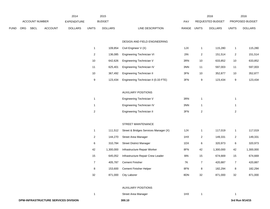|      |     |                       |                | 2014               |                         | 2015           |                                       |             |                  | 2016             |                  | 2016            |
|------|-----|-----------------------|----------------|--------------------|-------------------------|----------------|---------------------------------------|-------------|------------------|------------------|------------------|-----------------|
|      |     | <b>ACCOUNT NUMBER</b> |                | <b>EXPENDITURE</b> |                         | <b>BUDGET</b>  |                                       | PAY         |                  | REQUESTED BUDGET |                  | PROPOSED BUDGET |
| FUND | ORG | SBCL                  | <b>ACCOUNT</b> | <b>DOLLARS</b>     | <b>UNITS</b>            | <b>DOLLARS</b> | LINE DESCRIPTION                      | RANGE UNITS |                  | <b>DOLLARS</b>   | <b>UNITS</b>     | <b>DOLLARS</b>  |
|      |     |                       |                |                    |                         |                |                                       |             |                  |                  |                  |                 |
|      |     |                       |                |                    |                         |                | DESIGN AND FIELD ENGINEERING          |             |                  |                  |                  |                 |
|      |     |                       |                |                    | $\mathbf{1}$            | 109,854        | Civil Engineer V (X)                  | 1JX         | $\mathbf{1}$     | 115,280          | $\mathbf{1}$     | 115,280         |
|      |     |                       |                |                    | $\sqrt{2}$              | 136,085        | Engineering Technician VI             | 2IN         | $\overline{2}$   | 151,514          | $\overline{2}$   | 151,514         |
|      |     |                       |                |                    | 10                      | 642,626        | Engineering Technician V              | 3RN         | 10               | 633,852          | 10               | 633,852         |
|      |     |                       |                |                    | 11                      | 625,401        | Engineering Technician IV             | 3NN         | 11               | 597,003          | 11               | 597,003         |
|      |     |                       |                |                    | 10                      | 367,492        | Engineering Technician II             | 3FN         | 10               | 352,877          | 10               | 352,877         |
|      |     |                       |                |                    | $\boldsymbol{9}$        | 123,434        | Engineering Technician II (0.33 FTE)  | $3FN$       | 9                | 123,434          | $\boldsymbol{9}$ | 123,434         |
|      |     |                       |                |                    |                         |                |                                       |             |                  |                  |                  |                 |
|      |     |                       |                |                    |                         |                | <b>AUXILIARY POSITIONS</b>            |             |                  |                  |                  |                 |
|      |     |                       |                |                    | $\mathbf{1}$            |                | Engineering Technician V              | 3RN         | $\mathbf{1}$     |                  | $\mathbf{1}$     |                 |
|      |     |                       |                |                    | $\mathbf{1}$            |                | Engineering Technician IV             | 3NN         | $\mathbf{1}$     |                  | $\mathbf{1}$     |                 |
|      |     |                       |                |                    | $\overline{\mathbf{c}}$ |                | <b>Engineering Technician II</b>      | 3FN         | $\boldsymbol{2}$ |                  | $\mathbf{2}$     |                 |
|      |     |                       |                |                    |                         |                |                                       |             |                  |                  |                  |                 |
|      |     |                       |                |                    |                         |                | STREET MAINTENANCE                    |             |                  |                  |                  |                 |
|      |     |                       |                |                    | $\mathbf{1}$            | 111,512        | Street & Bridges Services Manager (X) | 1JX         | $\mathbf{1}$     | 117,019          | $\mathbf{1}$     | 117,019         |
|      |     |                       |                |                    | $\overline{c}$          | 144,270        | Street Area Manager                   | 1HX         | $\overline{c}$   | 149,331          | $\overline{2}$   | 149,331         |
|      |     |                       |                |                    | 6                       | 310,784        | <b>Street District Manager</b>        | 1DX         | 6                | 320,973          | 6                | 320,973         |
|      |     |                       |                |                    | 42                      | 1,300,000      | Infrastructure Repair Worker          | 8FN         | 42               | 1,300,000        | 42               | 1,300,000       |
|      |     |                       |                |                    | 15                      | 645,052        | Infrastructure Repair Crew Leader     | 8IN         | 15               | 674,669          | 15               | 674,669         |
|      |     |                       |                |                    | $\overline{7}$          | 405,787        | <b>Cement Finisher</b>                | 7K          | $\overline{7}$   | 420,887          | $\boldsymbol{7}$ | 420,887         |
|      |     |                       |                |                    | $\bf 8$                 | 153,600        | <b>Cement Finisher Helper</b>         | 8FN         | 8                | 182,294          | $\bf 8$          | 182,294         |
|      |     |                       |                |                    | 32                      | 871,000        | <b>City Laborer</b>                   | 8DN         | 32               | 871,000          | 32               | 871,000         |
|      |     |                       |                |                    |                         |                |                                       |             |                  |                  |                  |                 |
|      |     |                       |                |                    |                         |                | <b>AUXILIARY POSITIONS</b>            |             |                  |                  |                  |                 |
|      |     |                       |                |                    | $\mathbf{1}$            |                | Street Area Manager                   | 1HX         | $\overline{1}$   |                  | $\mathbf{1}$     |                 |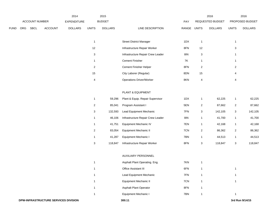|             |     |                |                | 2014               |                | 2015           |                                   |       |                           | 2016             |                           | 2016            |
|-------------|-----|----------------|----------------|--------------------|----------------|----------------|-----------------------------------|-------|---------------------------|------------------|---------------------------|-----------------|
|             |     | ACCOUNT NUMBER |                | <b>EXPENDITURE</b> |                | <b>BUDGET</b>  |                                   | PAY   |                           | REQUESTED BUDGET |                           | PROPOSED BUDGET |
| <b>FUND</b> | ORG | <b>SBCL</b>    | <b>ACCOUNT</b> | <b>DOLLARS</b>     | <b>UNITS</b>   | <b>DOLLARS</b> | LINE DESCRIPTION                  | RANGE | <b>UNITS</b>              | <b>DOLLARS</b>   | <b>UNITS</b>              | <b>DOLLARS</b>  |
|             |     |                |                |                    |                |                |                                   |       |                           |                  |                           |                 |
|             |     |                |                |                    | $\mathbf{1}$   |                | <b>Street District Manager</b>    | 1DX   | $\mathbf{1}$              |                  | $\mathbf{1}$              |                 |
|             |     |                |                |                    | 12             |                | Infrastructure Repair Worker      | 8FN   | 12                        |                  | $\ensuremath{\mathsf{3}}$ |                 |
|             |     |                |                |                    | $\mathbf{3}$   |                | Infrastructure Repair Crew Leader | 8IN   | 3                         |                  | $\mathbf{1}$              |                 |
|             |     |                |                |                    | $\mathbf{1}$   |                | <b>Cement Finisher</b>            | 7K    | $\mathbf{1}$              |                  | $\mathbf{1}$              |                 |
|             |     |                |                |                    | $\overline{c}$ |                | Cement Finisher Helper            | 8FN   | $\sqrt{2}$                |                  | $\overline{2}$            |                 |
|             |     |                |                |                    | $15\,$         |                | City Laborer (Regular)            | 8DN   | 15                        |                  | 4                         |                 |
|             |     |                |                |                    | $\overline{4}$ |                | <b>Operations Driver/Worker</b>   | 8KN   | $\overline{\mathbf{4}}$   |                  | $\overline{4}$            |                 |
|             |     |                |                |                    |                |                |                                   |       |                           |                  |                           |                 |
|             |     |                |                |                    |                |                | PLANT & EQUIPMENT                 |       |                           |                  |                           |                 |
|             |     |                |                |                    | $\mathbf{1}$   | 59,296         | Plant & Equip. Repair Supervisor  | 1DX   | $\mathbf{1}$              | 62,225           | $\mathbf{1}$              | 62,225          |
|             |     |                |                |                    | $\overline{c}$ | 85,041         | Program Assistant I               | 5EN   | $\overline{\mathbf{c}}$   | 87,662           | $\overline{a}$            | 87,662          |
|             |     |                |                |                    | $\mathbf{3}$   | 132,593        | Lead Equipment Mechanic           | 7FN   | $\ensuremath{\mathsf{3}}$ | 142,105          | $\ensuremath{\mathsf{3}}$ | 142,105         |
|             |     |                |                |                    | $\mathbf{1}$   | 46,106         | Infrastructure Repair Crew Leader | 8IN   | $\mathbf{1}$              | 41,700           | $\mathbf{1}$              | 41,700          |
|             |     |                |                |                    | $\mathbf{1}$   | 41,751         | <b>Equipment Mechanic IV</b>      | 7EN   | 1                         | 42,168           | $\mathbf{1}$              | 42,168          |
|             |     |                |                |                    | $\overline{c}$ | 83,054         | <b>Equipment Mechanic II</b>      | 7CN   | $\overline{2}$            | 86,362           | $\mathbf{2}$              | 86,362          |
|             |     |                |                |                    | $\mathbf{1}$   | 41,287         | <b>Equipment Mechanic I</b>       | 7BN   | $\mathbf{1}$              | 44,513           | $\mathbf{1}$              | 44,513          |
|             |     |                |                |                    | $\mathbf{3}$   | 118,847        | Infrastructure Repair Worker      | 8FN   | $\mathbf{3}$              | 118,847          | $\mathbf{3}$              | 118,847         |
|             |     |                |                |                    |                |                |                                   |       |                           |                  |                           |                 |
|             |     |                |                |                    |                |                | AUXILIARY PERSONNEL               |       |                           |                  |                           |                 |
|             |     |                |                |                    | $\mathbf{1}$   |                | Asphalt Plant Operating. Eng.     | 7KN   | $\mathbf{1}$              |                  |                           |                 |
|             |     |                |                |                    | $\mathbf{1}$   |                | Office Assistant III              | 6FN   | $\mathbf{1}$              |                  | $\mathbf{1}$              |                 |
|             |     |                |                |                    | $\mathbf{1}$   |                | Lead Equipment Mechanic           | 7FN   | $\mathbf{1}$              |                  | $\mathbf{1}$              |                 |
|             |     |                |                |                    | $\mathbf{1}$   |                | <b>Equipment Mechanic II</b>      | 7CN   | $\mathbf{1}$              |                  | $\mathbf{1}$              |                 |
|             |     |                |                |                    | $\mathbf{1}$   |                | <b>Asphalt Plant Operator</b>     | 8FN   | 1                         |                  |                           |                 |

Equipment Mechanic I 7BN 1 1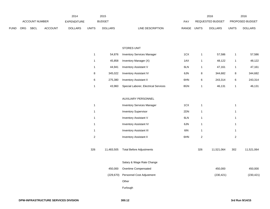|             |                                      |  |                | 2014         |                | 2015                             |              |                  | 2016  |                        | 2016 |
|-------------|--------------------------------------|--|----------------|--------------|----------------|----------------------------------|--------------|------------------|-------|------------------------|------|
|             | <b>ACCOUNT NUMBER</b>                |  | EXPENDITURE    |              | <b>BUDGET</b>  | PAY                              |              | REQUESTED BUDGET |       | <b>PROPOSED BUDGET</b> |      |
| <b>FUND</b> | <b>ORG</b><br>SBCL<br><b>ACCOUNT</b> |  | <b>DOLLARS</b> | <b>UNITS</b> | <b>DOLLARS</b> | LINE DESCRIPTION<br><b>RANGE</b> | <b>UNITS</b> | <b>DOLLARS</b>   | UNITS | <b>DOLLARS</b>         |      |

# STORES UNIT

|   | 54.876  | <b>Inventory Services Manager</b>    | 1CX |   | 57.586  |   | 57,586  |
|---|---------|--------------------------------------|-----|---|---------|---|---------|
|   | 45.858  | Inventory Manager (X)                | 1AX |   | 48.122  |   | 48,122  |
|   | 44.941  | <b>Inventory Assistant V</b>         | 6LN |   | 47.161  |   | 47,161  |
| 8 | 345.022 | <b>Inventory Assistant IV</b>        | 6JN | 8 | 344.682 | 8 | 344,682 |
| 6 | 275.380 | <b>Inventory Assistant II</b>        | 6HN | 6 | 243.314 | 6 | 243,314 |
|   | 43.960  | Special Laborer, Electrical Services | 8GN |   | 46.131  |   | 46,131  |

#### AUXILIARY PERSONNEL

| 1   |            | <b>Inventory Services Manager</b> | 1CX |     |            |     |            |
|-----|------------|-----------------------------------|-----|-----|------------|-----|------------|
| 1   |            | <b>Inventory Supervisor</b>       | 2DN | 1   |            |     |            |
|     |            | <b>Inventory Assistant V</b>      | 6LN | 1   |            |     |            |
|     |            | <b>Inventory Assistant IV</b>     | 6JN | 1   |            |     |            |
| 1   |            | <b>Inventory Assistant III</b>    | 6IN | 1   |            |     |            |
| 2   |            | <b>Inventory Assistant II</b>     | 6HN | 2   |            | 2   |            |
| 326 | 11,483,505 | <b>Total Before Adjustments</b>   |     | 326 | 11,521,064 | 302 | 11,521,064 |
|     |            | Salary & Wage Rate Change         |     |     |            |     |            |
|     | 450,000    | Overtime Compensated              |     |     | 450,000    |     | 450,000    |
|     | (229, 670) | Personnel Cost Adjustment         |     |     | (230, 421) |     | (230, 421) |
|     |            |                                   |     |     |            |     |            |

## Other

Furlough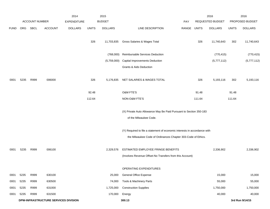|             |      |                       |                                      | 2014               |              | 2015           |                                                                                                |             |        | 2016             |              | 2016            |
|-------------|------|-----------------------|--------------------------------------|--------------------|--------------|----------------|------------------------------------------------------------------------------------------------|-------------|--------|------------------|--------------|-----------------|
|             |      | <b>ACCOUNT NUMBER</b> |                                      | <b>EXPENDITURE</b> |              | <b>BUDGET</b>  |                                                                                                | PAY         |        | REQUESTED BUDGET |              | PROPOSED BUDGET |
| <b>FUND</b> | ORG  | SBCL                  | <b>ACCOUNT</b>                       | <b>DOLLARS</b>     | <b>UNITS</b> | <b>DOLLARS</b> | LINE DESCRIPTION                                                                               | RANGE UNITS |        | <b>DOLLARS</b>   | <b>UNITS</b> | <b>DOLLARS</b>  |
|             |      |                       |                                      |                    | 326          | 11,703,835     | Gross Salaries & Wages Total                                                                   |             | 326    | 11,740,643       | 302          | 11,740,643      |
|             |      |                       |                                      |                    |              | (768,000)      | Reimbursable Services Deduction                                                                |             |        | (770, 415)       |              | (770, 415)      |
|             |      |                       |                                      |                    |              | (5,759,000)    | <b>Capital Improvements Deduction</b>                                                          |             |        | (5,777,112)      |              | (5,777,112)     |
|             |      |                       |                                      |                    |              |                | Grants & Aids Deduction                                                                        |             |        |                  |              |                 |
| 0001        | 5235 | R999                  | 006000                               |                    | 326          | 5,176,835      | NET SALARIES & WAGES TOTAL                                                                     |             | 326    | 5,193,116        | 302          | 5,193,116       |
|             |      |                       |                                      |                    | 92.48        |                | <b>O&amp;M FTE'S</b>                                                                           |             | 91.48  |                  | 91.48        |                 |
|             |      |                       |                                      |                    | 112.64       |                | NON-O&M FTE'S                                                                                  |             | 111.64 |                  | 111.64       |                 |
|             |      |                       |                                      |                    |              |                | (X) Private Auto Allowance May Be Paid Pursuant to Section 350-183<br>of the Milwaukee Code.   |             |        |                  |              |                 |
|             |      |                       |                                      |                    |              |                | (Y) Required to file a statement of economic interests in accordance with                      |             |        |                  |              |                 |
|             |      |                       |                                      |                    |              |                | the Milwaukee Code of Ordinances Chapter 303-Code of Ethics.                                   |             |        |                  |              |                 |
| 0001        | 5235 | R999                  | 006100                               |                    |              | 2,329,576      | ESTIMATED EMPLOYEE FRINGE BENEFITS<br>(Involves Revenue Offset-No Transfers from this Account) |             |        | 2,336,902        |              | 2,336,902       |
|             |      |                       |                                      |                    |              |                | OPERATING EXPENDITURES                                                                         |             |        |                  |              |                 |
| 0001        | 5235 | R999                  | 630100                               |                    |              | 25,000         | General Office Expense                                                                         |             |        | 15,000           |              | 15,000          |
| 0001        | 5235 | R999                  | 630500                               |                    |              | 74,000         | Tools & Machinery Parts                                                                        |             |        | 55,000           |              | 55,000          |
| 0001        | 5235 | R999                  | 631000                               |                    |              | 1,725,000      | <b>Construction Supplies</b>                                                                   |             |        | 1,750,000        |              | 1,750,000       |
| 0001        | 5235 | R999                  | 631500                               |                    |              | 170,000        | Energy                                                                                         |             |        | 40,000           |              | 40,000          |
|             |      |                       | DPW-INFRASTRUCTURE SERVICES DIVISION |                    |              |                | 300.13                                                                                         |             |        |                  |              | 3rd Run 9/14/15 |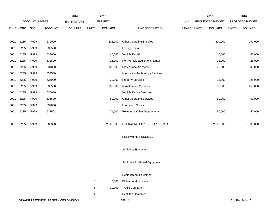|             |      |                |                                      | 2014               |              | 2015           |                                    |       |              | 2016             |              | 2016            |
|-------------|------|----------------|--------------------------------------|--------------------|--------------|----------------|------------------------------------|-------|--------------|------------------|--------------|-----------------|
|             |      | ACCOUNT NUMBER |                                      | <b>EXPENDITURE</b> |              | <b>BUDGET</b>  |                                    | PAY   |              | REQUESTED BUDGET |              | PROPOSED BUDGET |
| <b>FUND</b> | ORG  | <b>SBCL</b>    | <b>ACCOUNT</b>                       | <b>DOLLARS</b>     | <b>UNITS</b> | <b>DOLLARS</b> | LINE DESCRIPTION                   | RANGE | <b>UNITS</b> | <b>DOLLARS</b>   | <b>UNITS</b> | <b>DOLLARS</b>  |
|             |      |                |                                      |                    |              |                |                                    |       |              |                  |              |                 |
| 0001        | 5235 | R999           | 632000                               |                    |              | 325,000        | <b>Other Operating Supplies</b>    |       |              | 290,000          |              | 290,000         |
| 0001        | 5235 | R999           | 632500                               |                    |              |                | <b>Facility Rental</b>             |       |              |                  |              |                 |
| 0001        | 5235 | R999           | 633000                               |                    |              | 40,000         | Vehicle Rental                     |       |              | 40,000           |              | 40,000          |
| 0001        | 5235 | R999           | 633500                               |                    |              | 25,000         | Non-Vehicle Equipment Rental       |       |              | 25,000           |              | 25,000          |
| 0001        | 5235 | R999           | 634000                               |                    |              | 100,000        | <b>Professional Services</b>       |       |              | 75,000           |              | 45,000          |
| 0001        | 5235 | R999           | 634500                               |                    |              |                | Information Technology Services    |       |              |                  |              |                 |
| 0001        | 5235 | R999           | 635000                               |                    |              | 30,000         | <b>Property Services</b>           |       |              | 25,000           |              | 25,000          |
| 0001        | 5235 | R999           | 635500                               |                    |              | 150,000        | Infrastructure Services            |       |              | 150,000          |              | 150,000         |
| 0001        | 5235 | R999           | 636000                               |                    |              |                | Vehicle Repair Services            |       |              |                  |              |                 |
| 0001        | 5235 | R999           | 636500                               |                    |              | 50,000         | <b>Other Operating Services</b>    |       |              | 50,000           |              | 50,000          |
| 0001        | 5235 | R999           | 637000                               |                    |              |                | Loans and Grants                   |       |              |                  |              |                 |
| 0001        | 5235 | R999           | 637501                               |                    |              | 74,000         | <b>Reimburse Other Departments</b> |       |              | 50,000           |              | 50,000          |
|             |      |                |                                      |                    |              |                |                                    |       |              |                  |              |                 |
| 0001        | 5235 | R999           | 006300                               |                    |              | 2,788,000      | OPERATING EXPENDITURES TOTAL       |       |              | 2,565,000        |              | 2,535,000       |
|             |      |                |                                      |                    |              |                |                                    |       |              |                  |              |                 |
|             |      |                |                                      |                    |              |                | <b>EQUIPMENT PURCHASES</b>         |       |              |                  |              |                 |
|             |      |                |                                      |                    |              |                |                                    |       |              |                  |              |                 |
|             |      |                |                                      |                    |              |                | <b>Additional Equipment</b>        |       |              |                  |              |                 |
|             |      |                |                                      |                    |              |                |                                    |       |              |                  |              |                 |
|             |      |                |                                      |                    |              |                | Subtotal - Additional Equipment    |       |              |                  |              |                 |
|             |      |                |                                      |                    |              |                | <b>Replacement Equipment</b>       |       |              |                  |              |                 |
|             |      |                |                                      |                    | 6            | 8,000          | Plotters and monitors              |       |              |                  |              |                 |
|             |      |                |                                      |                    | 5            | 10,000         | <b>Traffic Counters</b>            |       |              |                  |              |                 |
|             |      |                |                                      |                    | 4            |                | Desk top Computer                  |       |              |                  |              |                 |
|             |      |                | DPW-INFRASTRUCTURE SERVICES DIVISION |                    |              |                | 300.14                             |       |              |                  |              | 3rd Run 9/14/15 |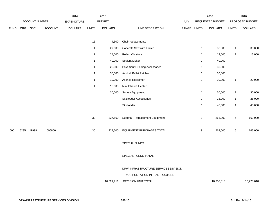|             |      |                       |         | 2014               |                | 2015           |                                       |       |              | 2016             |              | 2016            |
|-------------|------|-----------------------|---------|--------------------|----------------|----------------|---------------------------------------|-------|--------------|------------------|--------------|-----------------|
|             |      | <b>ACCOUNT NUMBER</b> |         | <b>EXPENDITURE</b> |                | <b>BUDGET</b>  |                                       | PAY   |              | REQUESTED BUDGET |              | PROPOSED BUDGET |
| <b>FUND</b> | ORG  | <b>SBCL</b>           | ACCOUNT | <b>DOLLARS</b>     | <b>UNITS</b>   | <b>DOLLARS</b> | LINE DESCRIPTION                      | RANGE | <b>UNITS</b> | <b>DOLLARS</b>   | <b>UNITS</b> | <b>DOLLARS</b>  |
|             |      |                       |         |                    |                |                |                                       |       |              |                  |              |                 |
|             |      |                       |         |                    | 15             | 4,500          | Chair replacements                    |       |              |                  |              |                 |
|             |      |                       |         |                    | $\mathbf{1}$   | 27,000         | Concrete Saw with Trailer             |       | $\mathbf{1}$ | 30,000           | $\mathbf{1}$ | 30,000          |
|             |      |                       |         |                    | $\overline{2}$ | 24,000         | Roller, Vibratory                     |       | $\mathbf{1}$ | 13,000           | $\mathbf{1}$ | 13,000          |
|             |      |                       |         |                    | $\mathbf{1}$   | 40,000         | <b>Sealant Melter</b>                 |       | $\mathbf{1}$ | 40,000           |              |                 |
|             |      |                       |         |                    | $\mathbf{1}$   | 25,000         | <b>Pavement Grinding Accessories</b>  |       | $\mathbf{1}$ | 30,000           |              |                 |
|             |      |                       |         |                    | $\mathbf{1}$   | 30,000         | Asphalt Pellet Patcher                |       | $\mathbf{1}$ | 30,000           |              |                 |
|             |      |                       |         |                    | $\mathbf{1}$   | 19,000         | Asphalt Reclaimer                     |       | $\mathbf{1}$ | 20,000           | $\mathbf{1}$ | 20,000          |
|             |      |                       |         |                    | $\mathbf{1}$   | 10,000         | Mini Infrared Heater                  |       |              |                  |              |                 |
|             |      |                       |         |                    |                | 30,000         | Survey Equipment                      |       | $\mathbf{1}$ | 30,000           | $\mathbf{1}$ | 30,000          |
|             |      |                       |         |                    |                |                | <b>Skidloader Accessories</b>         |       | $\mathbf{1}$ | 25,000           | $\mathbf{1}$ | 25,000          |
|             |      |                       |         |                    |                |                | Skidloader                            |       | $\mathbf{1}$ | 45,000           | $\mathbf{1}$ | 45,000          |
|             |      |                       |         |                    |                |                |                                       |       |              |                  |              |                 |
|             |      |                       |         |                    | $30\,$         | 227,500        | Subtotal - Replacement Equipment      |       | 9            | 263,000          | $\,6$        | 163,000         |
|             |      |                       |         |                    |                |                |                                       |       |              |                  |              |                 |
| 0001        | 5235 | R999                  | 006800  |                    | 30             | 227,500        | EQUIPMENT PURCHASES TOTAL             |       | 9            | 263,000          | $\,6\,$      | 163,000         |
|             |      |                       |         |                    |                |                |                                       |       |              |                  |              |                 |
|             |      |                       |         |                    |                |                | SPECIAL FUNDS                         |       |              |                  |              |                 |
|             |      |                       |         |                    |                |                |                                       |       |              |                  |              |                 |
|             |      |                       |         |                    |                |                | SPECIAL FUNDS TOTAL                   |       |              |                  |              |                 |
|             |      |                       |         |                    |                |                |                                       |       |              |                  |              |                 |
|             |      |                       |         |                    |                |                | DPW-INFRASTRUCTURE SERVICES DIVISION- |       |              |                  |              |                 |
|             |      |                       |         |                    |                |                | TRANSPORTATION INFRASTRUCTURE         |       |              |                  |              |                 |
|             |      |                       |         |                    |                | 10,521,911     | DECISION UNIT TOTAL                   |       |              | 10,358,018       |              | 10,228,018      |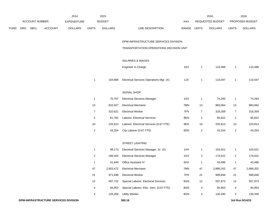|      |     |                |                | 2014               |                | 2015           |                                         |             |                | 2016             |                | 2016            |
|------|-----|----------------|----------------|--------------------|----------------|----------------|-----------------------------------------|-------------|----------------|------------------|----------------|-----------------|
|      |     | ACCOUNT NUMBER |                | <b>EXPENDITURE</b> |                | <b>BUDGET</b>  |                                         | PAY         |                | REQUESTED BUDGET |                | PROPOSED BUDGET |
| FUND | ORG | SBCL           | <b>ACCOUNT</b> | <b>DOLLARS</b>     | <b>UNITS</b>   | <b>DOLLARS</b> | LINE DESCRIPTION                        | RANGE UNITS |                | <b>DOLLARS</b>   | <b>UNITS</b>   | <b>DOLLARS</b>  |
|      |     |                |                |                    |                |                |                                         |             |                |                  |                |                 |
|      |     |                |                |                    |                |                | DPW-INFRASTRUCTURE SERVICES DIVISION-   |             |                |                  |                |                 |
|      |     |                |                |                    |                |                | TRANSPORTATION OPERATIONS DECISION UNIT |             |                |                  |                |                 |
|      |     |                |                |                    |                |                |                                         |             |                |                  |                |                 |
|      |     |                |                |                    |                |                | SALARIES & WAGES                        |             |                |                  |                |                 |
|      |     |                |                |                    |                |                | Engineer In Charge                      | 1KX         | 1              | 110,488          | $\mathbf{1}$   | 110,488         |
|      |     |                |                |                    | $\mathbf{1}$   | 104,868        | Electrical Services Operations Mgr. (X) | 1JX         | $\mathbf{1}$   | 110,047          | $\mathbf{1}$   | 110,047         |
|      |     |                |                |                    |                |                |                                         |             |                |                  |                |                 |
|      |     |                |                |                    |                |                | SIGNAL SHOP                             |             |                |                  |                |                 |
|      |     |                |                |                    | $\mathbf{1}$   | 70,797         | <b>Electrical Services Manager</b>      | 1GX         | $\mathbf{1}$   | 74,293           | $\overline{1}$ | 74,293          |
|      |     |                |                |                    | 13             | 810,927        | <b>Electrical Mechanic</b>              | 7MN         | 13             | 883,064          | 13             | 883,064         |
|      |     |                |                |                    | $\overline{7}$ | 310,621        | <b>Electrical Worker</b>                | 7FN         | $\overline{7}$ | 318,359          | $\overline{7}$ | 318,359         |
|      |     |                |                |                    | $\overline{a}$ | 81,782         | Laborer, Electrical Services            | 8EN         | $\overline{a}$ | 85,822           | $\overline{c}$ | 85,822          |
|      |     |                |                |                    | 10             | 220,813        | Laborer, Electrical Services (0.67 FTE) | 8EN         | 10             | 220,813          | 10             | 220,813         |
|      |     |                |                |                    | $\overline{2}$ | 43,254         | City Laborer (0.67 FTE)                 | 8DN         | $\overline{2}$ | 43,254           | $\overline{2}$ | 43,254          |
|      |     |                |                |                    |                |                |                                         |             |                |                  |                |                 |
|      |     |                |                |                    |                |                | STREET LIGHTING                         |             |                |                  |                |                 |
|      |     |                |                |                    | $\mathbf{1}$   | 98,173         | Electrical Services Manager, Sr. (X)    | 1HX         | $\mathbf{1}$   | 103,021          | $\mathbf{1}$   | 103,021         |
|      |     |                |                |                    | $\overline{a}$ | 166,403        | <b>Electrical Services Manager</b>      | 1GX         | $\overline{a}$ | 174,622          | $\overline{c}$ | 174,622         |
|      |     |                |                |                    | 1              | 41,449         | Office Assistant IV                     | 6HX         | 1              | 43,496           | $\mathbf{1}$   | 43,496          |
|      |     |                |                |                    | 47             | 2,903,472      | <b>Electrical Mechanic</b>              | 7MN         | 47             | 2,899,202        | 47             | 2,899,202       |
|      |     |                |                |                    | 21             | 971,698        | <b>Electrical Worker</b>                | 7FN         | 21             | 999,848          | 21             | 999,848         |
|      |     |                |                |                    | 12             | 497,722        | Special Laborer, Electrical Services    | 8GN         | 12             | 507,873          | 12             | 507,873         |
|      |     |                |                |                    | 4              | 94,953         | Special Laborer, Elec. Serv. (0.67 FTE) | 8GN         | 4              | 94,953           | 4              | 94,953          |
|      |     |                |                |                    | 3              | 128,259        | <b>Utility Worker</b>                   | 8GN         | 3              | 130,340          | 3              | 130,340         |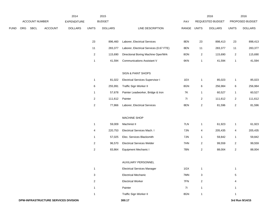|      |     |                |                                      | 2014               |                | 2015           |                                         |             |                | 2016             |                         | 2016            |
|------|-----|----------------|--------------------------------------|--------------------|----------------|----------------|-----------------------------------------|-------------|----------------|------------------|-------------------------|-----------------|
|      |     | ACCOUNT NUMBER |                                      | <b>EXPENDITURE</b> |                | <b>BUDGET</b>  |                                         | PAY         |                | REQUESTED BUDGET |                         | PROPOSED BUDGET |
| FUND | ORG | SBCL           | <b>ACCOUNT</b>                       | <b>DOLLARS</b>     | <b>UNITS</b>   | <b>DOLLARS</b> | LINE DESCRIPTION                        | RANGE UNITS |                | <b>DOLLARS</b>   | <b>UNITS</b>            | <b>DOLLARS</b>  |
|      |     |                |                                      |                    | 23             | 896,460        | Laborer, Electrical Services            | 8EN         | 23             | 898,413          | 23                      | 898,413         |
|      |     |                |                                      |                    | $11$           | 283,377        | Laborer, Electrical Services (0.67 FTE) | 8EN         | 11             | 283,377          | 11                      | 283,377         |
|      |     |                |                                      |                    | $\overline{a}$ | 115,690        | Directional Boring Machine Oper/Wrk     | 8ON         | $\sqrt{2}$     | 115,690          | $\boldsymbol{2}$        | 115,690         |
|      |     |                |                                      |                    | $\mathbf{1}$   | 41,594         | <b>Communications Assistant V</b>       | 6KN         | $\mathbf{1}$   | 41,594           | $\mathbf{1}$            | 41,594          |
|      |     |                |                                      |                    |                |                |                                         |             |                |                  |                         |                 |
|      |     |                |                                      |                    |                |                | SIGN & PAINT SHOPS                      |             |                |                  |                         |                 |
|      |     |                |                                      |                    | $\mathbf{1}$   | 81,022         | <b>Electrical Services Supervisor I</b> | 1EX         | $\mathbf{1}$   | 85,023           | $\mathbf{1}$            | 85,023          |
|      |     |                |                                      |                    | $\,6$          | 255,991        | Traffic Sign Worker II                  | 8GN         | $\,6\,$        | 256,984          | 6                       | 256,984         |
|      |     |                |                                      |                    | $\mathbf{1}$   | 57,678         | Painter Leadworker, Bridge & Iron       | <b>7K</b>   | $\mathbf{1}$   | 60,527           | $\mathbf{1}$            | 60,527          |
|      |     |                |                                      |                    | $\overline{2}$ | 111,612        | Painter                                 | 71          | $\overline{2}$ | 111,612          | $\boldsymbol{2}$        | 111,612         |
|      |     |                |                                      |                    | $\overline{c}$ | 77,866         | Laborer, Electrical Services            | 8EN         | $\sqrt{2}$     | 81,596           | $\overline{\mathbf{c}}$ | 81,596          |
|      |     |                |                                      |                    |                |                | MACHINE SHOP                            |             |                |                  |                         |                 |
|      |     |                |                                      |                    | $\mathbf{1}$   | 59,009         | Machinist II                            | 7LN         | $\mathbf{1}$   | 61,923           | $\mathbf{1}$            | 61,923          |
|      |     |                |                                      |                    | 4              | 220,753        | Electrical Services Mach. I             | 7JN         | 4              | 205,435          | 4                       | 205,435         |
|      |     |                |                                      |                    | $\mathbf{1}$   | 57,025         | Elec. Services Blacksmith               | 7JN         | $\mathbf{1}$   | 59,842           | $\mathbf{1}$            | 59,842          |
|      |     |                |                                      |                    | $\overline{2}$ | 96,570         | <b>Electrical Services Welder</b>       | 7HN         | $\overline{2}$ | 99,559           | $\boldsymbol{2}$        | 99,559          |
|      |     |                |                                      |                    | $\overline{c}$ | 83,864         | Equipment Mechanic I                    | 7BN         | $\sqrt{2}$     | 88,004           | $\sqrt{2}$              | 88,004          |
|      |     |                |                                      |                    |                |                | AUXILIARY PERSONNEL                     |             |                |                  |                         |                 |
|      |     |                |                                      |                    | $\mathbf{1}$   |                | <b>Electrical Services Manager</b>      | 1GX         | $\mathbf{1}$   |                  | $\mathbf{1}$            |                 |
|      |     |                |                                      |                    | 3              |                | <b>Electrical Mechanic</b>              | 7MN         | 3              |                  | $\mathbf 5$             |                 |
|      |     |                |                                      |                    | $\overline{2}$ |                | <b>Electrical Worker</b>                | 7FN         | $\overline{2}$ |                  | 4                       |                 |
|      |     |                |                                      |                    | $\mathbf{1}$   |                | Painter                                 | 71          | $\mathbf{1}$   |                  | $\mathbf{1}$            |                 |
|      |     |                |                                      |                    | $\mathbf{1}$   |                | Traffic Sign Worker II                  | 8GN         | $\mathbf{1}$   |                  | 1                       |                 |
|      |     |                | DPW-INFRASTRUCTURE SERVICES DIVISION |                    |                |                | 300.17                                  |             |                |                  |                         | 3rd Run 9/14/15 |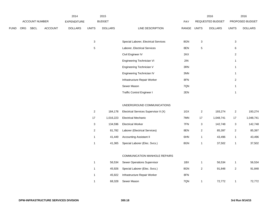|             |            |                       |         | 2014               |                           | 2015           |                                       |                |                | 2016             |                           | 2016            |
|-------------|------------|-----------------------|---------|--------------------|---------------------------|----------------|---------------------------------------|----------------|----------------|------------------|---------------------------|-----------------|
|             |            | <b>ACCOUNT NUMBER</b> |         | <b>EXPENDITURE</b> |                           | <b>BUDGET</b>  |                                       | PAY            |                | REQUESTED BUDGET |                           | PROPOSED BUDGET |
| <b>FUND</b> | <b>ORG</b> | <b>SBCL</b>           | ACCOUNT | <b>DOLLARS</b>     | <b>UNITS</b>              | <b>DOLLARS</b> | LINE DESCRIPTION                      | RANGE          | <b>UNITS</b>   | <b>DOLLARS</b>   | <b>UNITS</b>              | <b>DOLLARS</b>  |
|             |            |                       |         |                    |                           |                |                                       |                |                |                  |                           |                 |
|             |            |                       |         |                    | $\ensuremath{\mathsf{3}}$ |                | Special Laborer, Electrical Services  | 8GN            | $\mathbf{3}$   |                  | $\mathbf{3}$              |                 |
|             |            |                       |         |                    | $\mathbf 5$               |                | Laborer, Electrical Services          | 8EN            | $\,$ 5 $\,$    |                  | 6                         |                 |
|             |            |                       |         |                    |                           |                | Civil Engineer IV                     | 2KX            |                |                  | $\overline{2}$            |                 |
|             |            |                       |         |                    |                           |                | Engineering Technician VI             | 2IN            |                |                  | $\mathbf{1}$              |                 |
|             |            |                       |         |                    |                           |                | Engineering Technician V              | 3RN            |                |                  | 1                         |                 |
|             |            |                       |         |                    |                           |                | Engineering Technician IV             | $3\mathrm{NN}$ |                |                  | $\mathbf{1}$              |                 |
|             |            |                       |         |                    |                           |                | Infrastructure Repair Worker          | 8FN            |                |                  | $\overline{2}$            |                 |
|             |            |                       |         |                    |                           |                | Sewer Mason                           | 7QN            |                |                  | $\mathbf{1}$              |                 |
|             |            |                       |         |                    |                           |                | <b>Traffic Control Engineer I</b>     | 2EN            |                |                  | $\mathbf{1}$              |                 |
|             |            |                       |         |                    |                           |                |                                       |                |                |                  |                           |                 |
|             |            |                       |         |                    |                           |                | UNDERGROUND COMMUNICATIONS            |                |                |                  |                           |                 |
|             |            |                       |         |                    | $\overline{a}$            | 184,178        | Electrical Services Supervisor II (X) | 1GX            | $\overline{2}$ | 193,274          | $\sqrt{2}$                | 193,274         |
|             |            |                       |         |                    | $17$                      | 1,016,223      | <b>Electrical Mechanic</b>            | 7MN            | 17             | 1,048,741        | 17                        | 1,048,741       |
|             |            |                       |         |                    | $\mathbf{3}$              | 134,596        | <b>Electrical Worker</b>              | 7FN            | 3              | 142,748          | $\ensuremath{\mathsf{3}}$ | 142,748         |
|             |            |                       |         |                    | $\overline{2}$            | 81,782         | Laborer (Electrical Services)         | 8EN            | $\overline{2}$ | 85,397           | $\overline{2}$            | 85,397          |
|             |            |                       |         |                    | $\mathbf{1}$              | 41,449         | <b>Accounting Assistant II</b>        | 6HN            | $\mathbf{1}$   | 43,496           | $\mathbf{1}$              | 43,496          |
|             |            |                       |         |                    | $\mathbf{1}$              | 41,365         | Special Laborer (Elec. Svcs.)         | 8GN            | $\mathbf{1}$   | 37,502           | $\mathbf{1}$              | 37,502          |
|             |            |                       |         |                    |                           |                |                                       |                |                |                  |                           |                 |
|             |            |                       |         |                    |                           |                | COMMUNICATION MANHOLE REPAIRS         |                |                |                  |                           |                 |
|             |            |                       |         |                    | $\mathbf{1}$              | 56,534         | Sewer Operations Supervisor           | 1BX            | $\mathbf{1}$   | 56,534           | $\mathbf{1}$              | 56,534          |
|             |            |                       |         |                    | $\mathbf{1}$              | 45,926         | Special Laborer (Elec. Svcs.)         | 8GN            | $\overline{2}$ | 91,848           | $\overline{2}$            | 91,848          |
|             |            |                       |         |                    | $\mathbf{1}$              | 45,922         | Infrastructure Repair Worker          | 8FN            |                |                  |                           |                 |
|             |            |                       |         |                    | $\mathbf{1}$              | 68,328         | Sewer Mason                           | 7QN            | $\mathbf{1}$   | 72,772           | $\mathbf{1}$              | 72,772          |
|             |            |                       |         |                    |                           |                |                                       |                |                |                  |                           |                 |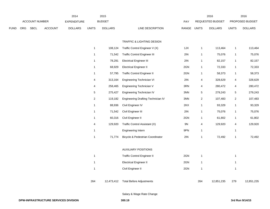|      |     |                |                | 2014               |              | 2015           |                                     |              |                | 2016             |                | 2016            |
|------|-----|----------------|----------------|--------------------|--------------|----------------|-------------------------------------|--------------|----------------|------------------|----------------|-----------------|
|      |     | ACCOUNT NUMBER |                | <b>EXPENDITURE</b> |              | <b>BUDGET</b>  |                                     | PAY          |                | REQUESTED BUDGET |                | PROPOSED BUDGET |
| FUND | ORG | <b>SBCL</b>    | <b>ACCOUNT</b> | <b>DOLLARS</b>     | <b>UNITS</b> | <b>DOLLARS</b> | LINE DESCRIPTION                    | <b>RANGE</b> | <b>UNITS</b>   | <b>DOLLARS</b>   | <b>UNITS</b>   | <b>DOLLARS</b>  |
|      |     |                |                |                    |              |                |                                     |              |                |                  |                |                 |
|      |     |                |                |                    |              |                | TRAFFIC & LIGHTING DESIGN           |              |                |                  |                |                 |
|      |     |                |                |                    | $\mathbf{1}$ | 108,124        | Traffic Control Engineer V (X)      | 1JX          | $\mathbf{1}$   | 113,464          | $\mathbf{1}$   | 113,464         |
|      |     |                |                |                    | $\mathbf{1}$ | 71,542         | <b>Traffic Control Engineer III</b> | 2IN          | $\mathbf{1}$   | 75,076           | $\mathbf{1}$   | 75,076          |
|      |     |                |                |                    | $\mathbf{1}$ | 78,291         | <b>Electrical Engineer III</b>      | 2IN          | $\mathbf{1}$   | 82,157           | $\mathbf{1}$   | 82,157          |
|      |     |                |                |                    | $\mathbf{1}$ | 68,929         | <b>Electrical Engineer II</b>       | 2GN          | $\mathbf{1}$   | 72,333           | $\mathbf{1}$   | 72,333          |
|      |     |                |                |                    | $\mathbf{1}$ | 57,795         | <b>Traffic Control Engineer II</b>  | 2GN          | $\mathbf{1}$   | 58,373           | $\mathbf{1}$   | 58,373          |
|      |     |                |                |                    | 4            | 313,164        | Engineering Technician VI           | 2IN          | 4              | 328,629          | 4              | 328,629         |
|      |     |                |                |                    | 4            | 258,465        | Engineering Technician V            | 3RN          | 4              | 280,472          | 4              | 280,472         |
|      |     |                |                |                    | $\sqrt{5}$   | 275,427        | Engineering Technician IV           | 3NN          | $\sqrt{5}$     | 279,243          | $\sqrt{5}$     | 279,243         |
|      |     |                |                |                    | 2            | 119,182        | Engineering Drafting Technician IV  | 3NN          | $\overline{2}$ | 107,483          | $\overline{2}$ | 107,483         |
|      |     |                |                |                    | $\mathbf{1}$ | 88,936         | Civil Engineer IV                   | 2KX          | $\mathbf{1}$   | 93,329           | $\mathbf{1}$   | 93,329          |
|      |     |                |                |                    | $\mathbf{1}$ | 71,542         | Civil Engineer III                  | 2IN          | $\mathbf{1}$   | 75,076           | $\mathbf{1}$   | 75,076          |
|      |     |                |                |                    | $\mathbf{1}$ | 60,316         | Civil Engineer II                   | 2GN          | 1              | 61,802           | $\mathbf{1}$   | 61,802          |
|      |     |                |                |                    | 4            | 129,920        | Traffic Control Assistant (X)       | 9N           | 4              | 129,920          | 4              | 129,920         |
|      |     |                |                |                    | $\mathbf{1}$ |                | Engineering Intern                  | 9PN          | $\mathbf{1}$   |                  | $\mathbf{1}$   |                 |
|      |     |                |                |                    | $\mathbf{1}$ | 71,774         | Bicycle & Pedestrian Coordinator    | 2IN          | $\mathbf{1}$   | 72,492           | $\mathbf{1}$   | 72,492          |
|      |     |                |                |                    |              |                |                                     |              |                |                  |                |                 |
|      |     |                |                |                    |              |                | <b>AUXILIARY POSITIONS</b>          |              |                |                  |                |                 |
|      |     |                |                |                    | $\mathbf{1}$ |                | <b>Traffic Control Engineer II</b>  | 2GN          | $\mathbf{1}$   |                  | $\mathbf{1}$   |                 |
|      |     |                |                |                    | $\mathbf{1}$ |                | <b>Electrical Engineer II</b>       | 2GN          | $\mathbf{1}$   |                  | $\mathbf{1}$   |                 |
|      |     |                |                |                    | $\mathbf{1}$ |                | Civil Engineer II                   | 2GN          | $\mathbf{1}$   |                  | $\mathbf{1}$   |                 |
|      |     |                |                |                    |              |                |                                     |              |                |                  |                |                 |
|      |     |                |                |                    | 264          | 12,473,412     | <b>Total Before Adjustments</b>     |              | 264            | 12,851,235       | 279            | 12,851,235      |
|      |     |                |                |                    |              |                |                                     |              |                |                  |                |                 |

Salary & Wage Rate Change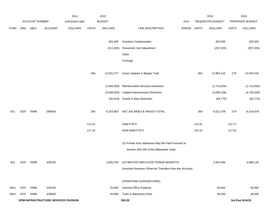|             |      |                       |                                      | 2014               |              | 2015           |                                                          |       |              | 2016             |              | 2016            |
|-------------|------|-----------------------|--------------------------------------|--------------------|--------------|----------------|----------------------------------------------------------|-------|--------------|------------------|--------------|-----------------|
|             |      | <b>ACCOUNT NUMBER</b> |                                      | <b>EXPENDITURE</b> |              | <b>BUDGET</b>  |                                                          | PAY   |              | REQUESTED BUDGET |              | PROPOSED BUDGET |
| <b>FUND</b> | ORG  | SBCL                  | <b>ACCOUNT</b>                       | <b>DOLLARS</b>     | <b>UNITS</b> | <b>DOLLARS</b> | LINE DESCRIPTION                                         | RANGE | <b>UNITS</b> | <b>DOLLARS</b>   | <b>UNITS</b> | <b>DOLLARS</b>  |
|             |      |                       |                                      |                    |              |                |                                                          |       |              |                  |              |                 |
|             |      |                       |                                      |                    |              | 400,000        | Overtime Compensated                                     |       |              | 400,000          |              | 330,000         |
|             |      |                       |                                      |                    |              | (311, 835)     | Personnel Cost Adjustment                                |       |              | (257, 025)       |              | (257, 025)      |
|             |      |                       |                                      |                    |              |                | Other                                                    |       |              |                  |              |                 |
|             |      |                       |                                      |                    |              |                | Furlough                                                 |       |              |                  |              |                 |
|             |      |                       |                                      |                    | 264          | 12,561,577     | Gross Salaries & Wages Total                             |       | 264          | 12,994,210       | 279          | 12,924,210      |
|             |      |                       |                                      |                    |              |                |                                                          |       |              |                  |              |                 |
|             |      |                       |                                      |                    |              | (1,656,000)    | Reimbursable Services Deduction                          |       |              | (1,713,034)      |              | (1,713,034)     |
|             |      |                       |                                      |                    |              | (4,539,000)    | <b>Capital Improvements Deduction</b>                    |       |              | (4,695,328)      |              | (4,728,328)     |
|             |      |                       |                                      |                    |              |                | (62,614) Grants & Aids Deduction                         |       |              | (64, 770)        |              | (64, 770)       |
|             |      |                       |                                      |                    |              |                |                                                          |       |              |                  |              |                 |
| 001         | 5237 | R999                  | 006000                               |                    | 264          | 6,303,963      | NET SALARIES & WAGES TOTAL                               |       | 264          | 6,521,078        | 279          | 6,418,078       |
|             |      |                       |                                      |                    |              |                |                                                          |       |              |                  |              |                 |
|             |      |                       |                                      |                    | 113.41       |                | O&M FTE'S                                                |       | 113.41       |                  | 112.71       |                 |
|             |      |                       |                                      |                    | 117.32       |                | NON-O&M FTE'S                                            |       | 116.32       |                  | 117.02       |                 |
|             |      |                       |                                      |                    |              |                | (X) Private Auto Allowance May Be Paid Pursuant to       |       |              |                  |              |                 |
|             |      |                       |                                      |                    |              |                | Section 350-183 of the Milwaukee Code.                   |       |              |                  |              |                 |
|             |      |                       |                                      |                    |              |                |                                                          |       |              |                  |              |                 |
| 001         | 5237 | R999                  | 006100                               |                    |              | 2,836,783      | ESTIMATED EMPLOYEE FRINGE BENEFITS                       |       |              | 2,934,485        |              | 2,888,135       |
|             |      |                       |                                      |                    |              |                | (Involves Revenue Offset-No Transfers from this Account) |       |              |                  |              |                 |
|             |      |                       |                                      |                    |              |                | OPERATING EXPENDITURES                                   |       |              |                  |              |                 |
| 0001        | 5237 | R999                  | 630100                               |                    |              | 25,000         | <b>General Office Expense</b>                            |       |              | 50,000           |              | 50,000          |
| 0001        | 5237 | R999                  | 630500                               |                    |              | 35,000         | Tools & Machinery Parts                                  |       |              | 38,500           |              | 38,500          |
|             |      |                       | DPW-INFRASTRUCTURE SERVICES DIVISION |                    |              |                | 300.20                                                   |       |              |                  |              | 3rd Run 9/14/15 |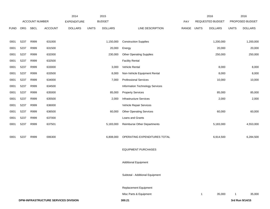|             |      |                |                                      | 2014               |              | 2015           |                                 |       |              | 2016                    |              | 2016            |
|-------------|------|----------------|--------------------------------------|--------------------|--------------|----------------|---------------------------------|-------|--------------|-------------------------|--------------|-----------------|
|             |      | ACCOUNT NUMBER |                                      | <b>EXPENDITURE</b> |              | <b>BUDGET</b>  |                                 | PAY   |              | <b>REQUESTED BUDGET</b> |              | PROPOSED BUDGET |
| <b>FUND</b> | ORG  | <b>SBCL</b>    | <b>ACCOUNT</b>                       | <b>DOLLARS</b>     | <b>UNITS</b> | <b>DOLLARS</b> | LINE DESCRIPTION                | RANGE | <b>UNITS</b> | <b>DOLLARS</b>          | <b>UNITS</b> | <b>DOLLARS</b>  |
|             |      |                |                                      |                    |              |                |                                 |       |              |                         |              |                 |
| 0001        | 5237 | R999           | 631000                               |                    |              | 1,150,000      | <b>Construction Supplies</b>    |       |              | 1,200,000               |              | 1,200,000       |
| 0001        | 5237 | R999           | 631500                               |                    |              | 20,000         | Energy                          |       |              | 20,000                  |              | 20,000          |
| 0001        | 5237 | R999           | 632000                               |                    |              | 230,000        | <b>Other Operating Supplies</b> |       |              | 250,000                 |              | 250,000         |
| 0001        | 5237 | R999           | 632500                               |                    |              |                | <b>Facility Rental</b>          |       |              |                         |              |                 |
| 0001        | 5237 | R999           | 633000                               |                    |              | 3,000          | Vehicle Rental                  |       |              | 8,000                   |              | 8,000           |
| 0001        | 5237 | R999           | 633500                               |                    |              | 8,000          | Non-Vehicle Equipment Rental    |       |              | 8,000                   |              | 8,000           |
| 0001        | 5237 | R999           | 634000                               |                    |              | 7,000          | <b>Professional Services</b>    |       |              | 10,000                  |              | 10,000          |
| 0001        | 5237 | R999           | 634500                               |                    |              |                | Information Technology Services |       |              |                         |              |                 |
| 0001        | 5237 | R999           | 635000                               |                    |              | 85,000         | <b>Property Services</b>        |       |              | 85,000                  |              | 85,000          |
| 0001        | 5237 | R999           | 635500                               |                    |              | 2,000          | Infrastructure Services         |       |              | 2,000                   |              | 2,000           |
| 0001        | 5237 | R999           | 636000                               |                    |              |                | Vehicle Repair Services         |       |              |                         |              |                 |
| 0001        | 5237 | R999           | 636500                               |                    |              | 60,000         | <b>Other Operating Services</b> |       |              | 60,000                  |              | 60,000          |
| 0001        | 5237 | R999           | 637000                               |                    |              |                | Loans and Grants                |       |              |                         |              |                 |
| 0001        | 5237 | R999           | 637501                               |                    |              | 5,183,000      | Reimburse Other Departments     |       |              | 5,183,000               |              | 4,553,000       |
|             |      |                |                                      |                    |              |                |                                 |       |              |                         |              |                 |
| 0001        | 5237 | R999           | 006300                               |                    |              | 6,808,000      | OPERATING EXPENDITURES TOTAL    |       |              | 6,914,500               |              | 6,284,500       |
|             |      |                |                                      |                    |              |                |                                 |       |              |                         |              |                 |
|             |      |                |                                      |                    |              |                | <b>EQUIPMENT PURCHASES</b>      |       |              |                         |              |                 |
|             |      |                |                                      |                    |              |                |                                 |       |              |                         |              |                 |
|             |      |                |                                      |                    |              |                | <b>Additional Equipment</b>     |       |              |                         |              |                 |
|             |      |                |                                      |                    |              |                |                                 |       |              |                         |              |                 |
|             |      |                |                                      |                    |              |                | Subtotal - Additional Equipment |       |              |                         |              |                 |
|             |      |                |                                      |                    |              |                |                                 |       |              |                         |              |                 |
|             |      |                |                                      |                    |              |                | Replacement Equipment           |       |              |                         |              |                 |
|             |      |                |                                      |                    |              |                | Misc Parts & Equipment          |       | $\mathbf{1}$ | 35,000                  |              | 35,000          |
|             |      |                | DPW-INFRASTRUCTURE SERVICES DIVISION |                    |              |                | 300.21                          |       |              |                         |              | 3rd Run 9/14/15 |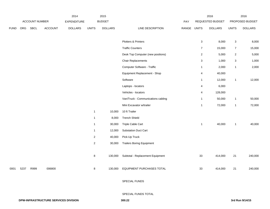|             |      |                |                | 2014               |                | 2015           |                                    |       |                         | 2016             |                | 2016            |
|-------------|------|----------------|----------------|--------------------|----------------|----------------|------------------------------------|-------|-------------------------|------------------|----------------|-----------------|
|             |      | ACCOUNT NUMBER |                | <b>EXPENDITURE</b> |                | <b>BUDGET</b>  |                                    | PAY   |                         | REQUESTED BUDGET |                | PROPOSED BUDGET |
| <b>FUND</b> |      | ORG SBCL       | <b>ACCOUNT</b> | <b>DOLLARS</b>     | <b>UNITS</b>   | <b>DOLLARS</b> | LINE DESCRIPTION                   | RANGE | <b>UNITS</b>            | <b>DOLLARS</b>   | <b>UNITS</b>   | <b>DOLLARS</b>  |
|             |      |                |                |                    |                |                |                                    |       |                         |                  |                |                 |
|             |      |                |                |                    |                |                | Plotters & Printers                |       | $\mathbf 3$             | 8,000            | $\mathbf 3$    | 8,000           |
|             |      |                |                |                    |                |                | <b>Traffic Counters</b>            |       | $\overline{7}$          | 15,000           | $\overline{7}$ | 15,000          |
|             |      |                |                |                    |                |                | Desk Top Computer (new positions)  |       | $\overline{2}$          | 5,000            | $\overline{2}$ | 5,000           |
|             |      |                |                |                    |                |                | <b>Chair Replacements</b>          |       | $\mathbf{3}$            | 1,000            | $\mathbf{3}$   | 1,000           |
|             |      |                |                |                    |                |                | Computer Software - Traffic        |       | $\mathbf{1}$            | 2,000            | $\mathbf{1}$   | 2,000           |
|             |      |                |                |                    |                |                | Equipment Replacement - Shop       |       | $\overline{\mathbf{4}}$ | 40,000           |                |                 |
|             |      |                |                |                    |                |                | Software                           |       | $\mathbf{1}$            | 12,000           | $\overline{1}$ | 12,000          |
|             |      |                |                |                    |                |                | Laptops - locators                 |       | 4                       | 6,000            |                |                 |
|             |      |                |                |                    |                |                | Vehicles - locators                |       | 4                       | 128,000          |                |                 |
|             |      |                |                |                    |                |                | Van/Truck - Communications cabling |       | $\mathbf{1}$            | 50,000           | $\mathbf{1}$   | 50,000          |
|             |      |                |                |                    |                |                | Mini Excavator w/trailer           |       | $\mathbf{1}$            | 72,000           | $\mathbf{1}$   | 72,000          |
|             |      |                |                |                    | $\mathbf{1}$   | 10,000         | 10 ft Trailer                      |       |                         |                  |                |                 |
|             |      |                |                |                    | $\mathbf{1}$   | 8,000          | <b>Trench Shield</b>               |       |                         |                  |                |                 |
|             |      |                |                |                    | $\mathbf{1}$   | 30,000         | Triple Cable Cart                  |       | $\mathbf{1}$            | 40,000           | $\mathbf{1}$   | 40,000          |
|             |      |                |                |                    | $\mathbf{1}$   | 12,000         | Substation Duct Cart               |       |                         |                  |                |                 |
|             |      |                |                |                    | $\overline{2}$ | 40,000         | Pick-Up Truck                      |       |                         |                  |                |                 |
|             |      |                |                |                    | $\overline{2}$ | 30,000         | <b>Trailers Boring Equipment</b>   |       |                         |                  |                |                 |
|             |      |                |                |                    |                |                |                                    |       |                         |                  |                |                 |
|             |      |                |                |                    | 8              | 130,000        | Subtotal - Replacement Equipment   |       | 33                      | 414,000          | 21             | 240,000         |
|             |      |                |                |                    |                |                |                                    |       |                         |                  |                |                 |
| 0001        | 5237 | R999           | 006800         |                    | 8              |                | 130,000 EQUIPMENT PURCHASES TOTAL  |       | 33                      | 414,000          | 21             | 240,000         |
|             |      |                |                |                    |                |                |                                    |       |                         |                  |                |                 |
|             |      |                |                |                    |                |                | SPECIAL FUNDS                      |       |                         |                  |                |                 |
|             |      |                |                |                    |                |                |                                    |       |                         |                  |                |                 |
|             |      |                |                |                    |                |                | SPECIAL FUNDS TOTAL                |       |                         |                  |                |                 |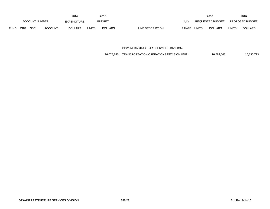|             |                       |      |                | 2014           |              | 2015           |                  |            |              | 2016             |              | 2016                   |
|-------------|-----------------------|------|----------------|----------------|--------------|----------------|------------------|------------|--------------|------------------|--------------|------------------------|
|             | <b>ACCOUNT NUMBER</b> |      |                | EXPENDITURE    |              | <b>BUDGET</b>  |                  | <b>PAY</b> |              | REQUESTED BUDGET |              | <b>PROPOSED BUDGET</b> |
| <b>FUND</b> | ORG                   | SBCL | <b>ACCOUNT</b> | <b>DOLLARS</b> | <b>UNITS</b> | <b>DOLLARS</b> | LINE DESCRIPTION | RANGE      | <b>UNITS</b> | <b>DOLLARS</b>   | <b>UNITS</b> | <b>DOLLARS</b>         |

DPW-INFRASTRUCTURE SERVICES DIVISION-

16,078,746 TRANSPORTATION OPERATIONS DECISION UNIT 16,784,063 15,830,713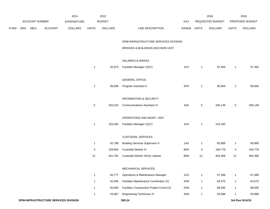|      |     |                |                                      | 2014               |                | 2015           |                                           |       |                | 2016             |                | 2016            |
|------|-----|----------------|--------------------------------------|--------------------|----------------|----------------|-------------------------------------------|-------|----------------|------------------|----------------|-----------------|
|      |     | ACCOUNT NUMBER |                                      | <b>EXPENDITURE</b> |                | <b>BUDGET</b>  |                                           | PAY   |                | REQUESTED BUDGET |                | PROPOSED BUDGET |
| FUND | ORG | <b>SBCL</b>    | <b>ACCOUNT</b>                       | <b>DOLLARS</b>     | <b>UNITS</b>   | <b>DOLLARS</b> | LINE DESCRIPTION                          | RANGE | <b>UNITS</b>   | <b>DOLLARS</b>   | <b>UNITS</b>   | <b>DOLLARS</b>  |
|      |     |                |                                      |                    |                |                | DPW-INFRASTRUCTURE SERVICES DIVISION      |       |                |                  |                |                 |
|      |     |                |                                      |                    |                |                | BRIDGES & BUILDINGS DECISION UNIT         |       |                |                  |                |                 |
|      |     |                |                                      |                    |                |                | SALARIES & WAGES                          |       |                |                  |                |                 |
|      |     |                |                                      |                    | $\mathbf{1}$   | 92,873         | Facilities Manager (X)(Y)                 | 1KX   | $\mathbf{1}$   | 97,456           | $\mathbf{1}$   | 97,456          |
|      |     |                |                                      |                    |                |                | <b>GENERAL OFFICE</b>                     |       |                |                  |                |                 |
|      |     |                |                                      |                    | $\overline{c}$ | 88,006         | Program Assistant II                      | 5FN   | $\overline{2}$ | 90,694           | $\overline{2}$ | 90,694          |
|      |     |                |                                      |                    |                |                | <b>INFORMATION &amp; SECURITY</b>         |       |                |                  |                |                 |
|      |     |                |                                      |                    | $\overline{5}$ | 203,252        | <b>Communications Assistant IV</b>        | 6JN   | $\overline{5}$ | 206,149          | 5              | 206,149         |
|      |     |                |                                      |                    |                |                | OPERATIONS AND MAINT. UNIT                |       |                |                  |                |                 |
|      |     |                |                                      |                    | $\mathbf{1}$   | 103,392        | Facilities Manager (X)(Y)                 | 1KX   | $\mathbf{1}$   | 103,392          |                |                 |
|      |     |                |                                      |                    |                |                | <b>CUSTODIAL SERVICES</b>                 |       |                |                  |                |                 |
|      |     |                |                                      |                    | $\mathbf{1}$   | 62,788         | <b>Building Services Supervisor II</b>    | 1AX   | $\mathbf{1}$   | 65,889           | $\mathbf{1}$   | 65,889          |
|      |     |                |                                      |                    | 4              | 159,804        | <b>Custodial Worker III</b>               | 8EN   | 4              | 166,778          | 4              | 166,778         |
|      |     |                |                                      |                    | 12             | 441,762        | Custodial Worker II/City Laborer          | 8DN   | 12             | 464,368          | 12             | 464,368         |
|      |     |                |                                      |                    |                |                | MECHANICAL SERVICES                       |       |                |                  |                |                 |
|      |     |                |                                      |                    | $\mathbf{1}$   | 65,777         | Operations & Maintenance Manager          | 1GX   | $\mathbf{1}$   | 67,398           | $\mathbf{1}$   | 67,398          |
|      |     |                |                                      |                    | $\mathbf{1}$   | 62,945         | Facilities Maintenance Coordinator (X)    | 2HN   | $\mathbf{1}$   | 63,575           | $\mathbf{1}$   | 63,575          |
|      |     |                |                                      |                    | $\mathbf{1}$   | 65,690         | Facilities Construction Project Coord.(X) | 2HN   | $\mathbf{1}$   | 68,935           | $\mathbf{1}$   | 68,935          |
|      |     |                |                                      |                    | $\mathbf{1}$   | 53,067         | Engineering Technician IV                 | 3NN   | $\mathbf{1}$   | 55,688           | $\mathbf{1}$   | 55,688          |
|      |     |                | DPW-INFRASTRUCTURE SERVICES DIVISION |                    |                |                | 300.24                                    |       |                |                  |                | 3rd Run 9/14/15 |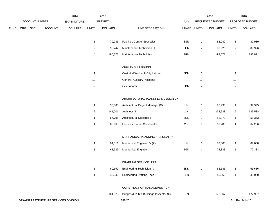|      |     |                |                                      | 2014               |                | 2015           |                                          |                |                | 2016             |                           | 2016            |
|------|-----|----------------|--------------------------------------|--------------------|----------------|----------------|------------------------------------------|----------------|----------------|------------------|---------------------------|-----------------|
|      |     | ACCOUNT NUMBER |                                      | <b>EXPENDITURE</b> |                | <b>BUDGET</b>  |                                          | PAY            |                | REQUESTED BUDGET |                           | PROPOSED BUDGET |
| FUND | ORG | SBCL           | <b>ACCOUNT</b>                       | <b>DOLLARS</b>     | <b>UNITS</b>   | <b>DOLLARS</b> | LINE DESCRIPTION                         | RANGE UNITS    |                | <b>DOLLARS</b>   | <b>UNITS</b>              | <b>DOLLARS</b>  |
|      |     |                |                                      |                    | $\mathbf{1}$   | 79,083         | <b>Facilities Control Specialist</b>     | 3SN            | $\mathbf{1}$   | 82,989           | $\mathbf{1}$              | 82,989          |
|      |     |                |                                      |                    | $\overline{2}$ | 90,742         | Maintenance Technician III               | 3HN            | $\overline{2}$ | 89,926           | $\boldsymbol{2}$          | 89,926          |
|      |     |                |                                      |                    | 4              | 185,373        | Maintenance Technician II                | 3GN            | 4              | 192,871          | 4                         | 192,871         |
|      |     |                |                                      |                    |                |                | AUXILIARY PERSONNEL                      |                |                |                  |                           |                 |
|      |     |                |                                      |                    | $\mathbf{1}$   |                | Custodial Worker II-City Laborer         | 8DN            | $\mathbf{1}$   |                  | $\mathbf{1}$              |                 |
|      |     |                |                                      |                    | $10$           |                | <b>General Auxiliary Positions</b>       |                | $10\,$         |                  | $10$                      |                 |
|      |     |                |                                      |                    | $\sqrt{2}$     |                | City Laborer                             | 8DN            | $\sqrt{2}$     |                  | $\sqrt{2}$                |                 |
|      |     |                |                                      |                    |                |                | ARCHITECTURAL PLANNING & DESIGN UNIT     |                |                |                  |                           |                 |
|      |     |                |                                      |                    | $\mathbf{1}$   | 93,383         | Architectural Project Manager (X)        | 11X            | $\mathbf{1}$   | 97,995           | $\mathbf{1}$              | 97,995          |
|      |     |                |                                      |                    | $\overline{c}$ | 141,001        | Architect III                            | 2IN            | $\sqrt{2}$     | 133,538          | $\boldsymbol{2}$          | 133,538         |
|      |     |                |                                      |                    | $\mathbf{1}$   | 57,795         | Architectural Designer II                | 2GN            | $\mathbf{1}$   | 58,373           | $\mathbf{1}$              | 58,373          |
|      |     |                |                                      |                    | $\mathbf{1}$   | 65,668         | <b>Facilities Project Coordinator</b>    | 2IN            | $\mathbf{1}$   | 67,286           | $\mathbf{1}$              | 67,286          |
|      |     |                |                                      |                    |                |                | MECHANICAL PLANNING & DESIGN UNIT        |                |                |                  |                           |                 |
|      |     |                |                                      |                    | $\mathbf{1}$   | 84,811         | Mechanical Engineer IV (X)               | 11X            | $\mathbf{1}$   | 89,000           | $\mathbf{1}$              | 89,000          |
|      |     |                |                                      |                    | $\mathbf{1}$   | 68,929         | <b>Mechanical Engineer II</b>            | 2GN            | $\mathbf{1}$   | 72,333           | $\mathbf{1}$              | 72,333          |
|      |     |                |                                      |                    |                |                | DRAFTING SERVICE UNIT                    |                |                |                  |                           |                 |
|      |     |                |                                      |                    | $\mathbf{1}$   | 60,690         | Engineering Technician IV                | $3\mathrm{NN}$ | $\mathbf{1}$   | 63,686           | $\mathbf{1}$              | 63,686          |
|      |     |                |                                      |                    | $\mathbf{1}$   | 42,940         | <b>Engineering Drafting Tech II</b>      | 3FN            | $\mathbf{1}$   | 45,060           | $\mathbf{1}$              | 45,060          |
|      |     |                |                                      |                    |                |                | CONSTRUCTION MANAGEMENT UNIT             |                |                |                  |                           |                 |
|      |     |                |                                      |                    | $\mathbf{3}$   | 164,825        | Bridges & Public Buildings Inspector (X) | 3LN            | $\mathbf{3}$   | 172,967          | $\ensuremath{\mathsf{3}}$ | 172,967         |
|      |     |                | DPW-INFRASTRUCTURE SERVICES DIVISION |                    |                |                | 300.25                                   |                |                |                  |                           | 3rd Run 9/14/15 |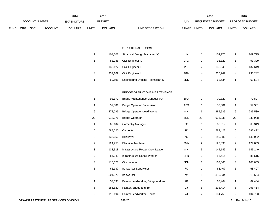|             | 2014           |             |                |                    |       | 2015          |                                  | 2016                           |              | 2016                   |
|-------------|----------------|-------------|----------------|--------------------|-------|---------------|----------------------------------|--------------------------------|--------------|------------------------|
|             | ACCOUNT NUMBER |             |                | <b>EXPENDITURE</b> |       | <b>BUDGET</b> | PAY                              | <b>REQUESTED BUDGET</b>        |              | <b>PROPOSED BUDGET</b> |
| <b>FUND</b> | <b>ORG</b>     | <b>SBCL</b> | <b>ACCOUNT</b> | <b>DOLLARS</b>     | UNITS | DOLLARS       | <b>RANGE</b><br>LINE DESCRIPTION | <b>UNITS</b><br><b>DOLLARS</b> | <b>UNITS</b> | <b>DOLLARS</b>         |

#### STRUCTURAL DESIGN

|   | 104.608 | Structural Design Manager (X)             | 11X |   | 109.775 |   | 109,775 |
|---|---------|-------------------------------------------|-----|---|---------|---|---------|
|   | 88.936  | Civil Engineer IV                         | 2KX |   | 93.329  |   | 93,329  |
| 2 | 135.127 | Civil Engineer III                        | 2IN |   | 132.649 | 2 | 132,649 |
| 4 | 237.109 | Civil Engineer II                         | 2GN | 4 | 235.242 | 4 | 235,242 |
|   | 59.591  | <b>Engineering Drafting Technician IV</b> | 3NN |   | 62.534  |   | 62,534  |

# BRIDGE OPERATIONS/MAINTENANCE

| $\mathbf{1}$   | 98,172  | Bridge Maintenance Manager (X)      | 1HX | 1  | 70,827  | 1                | 70,827  |
|----------------|---------|-------------------------------------|-----|----|---------|------------------|---------|
| 1              | 57,381  | <b>Bridge Operator Supervisor</b>   | 1BX | 1  | 57,381  | 1                | 57,381  |
| 6              | 272,099 | <b>Bridge Operator-Lead Worker</b>  | 8IN | 6  | 285,539 | 6                | 285,539 |
| 22             | 918,076 | <b>Bridge Operator</b>              | 8GN | 22 | 933,938 | 22               | 933,938 |
| 1              | 65,104  | <b>Carpentry Manager</b>            | 70  | 1  | 68,319  | 1                | 68,319  |
| 10             | 588,020 | Carpenter                           | 7K  | 10 | 582,422 | 10               | 582,422 |
| 2              | 136,656 | <b>Bricklayer</b>                   | 7Q  | 2  | 140,082 | $\sqrt{2}$       | 140,082 |
| 2              | 124,758 | <b>Electrical Mechanic</b>          | 7MN | 2  | 127,833 | $\overline{c}$   | 127,833 |
| 3              | 138,318 | Infrastructure Repair Crew Leader   | 8IN | 3  | 145,149 | 3                | 145,149 |
| 2              | 84,349  | Infrastructure Repair Worker        | 8FN | 2  | 88,515  | $\boldsymbol{2}$ | 88,515  |
| 3              | 116,578 | City Laborer                        | 8DN | 3  | 108,865 | 3                | 108,865 |
| 1              | 65,187  | Ironworker Supervisor               | 70  | 1  | 68,407  | 1                | 68,407  |
| 5              | 304,970 | Ironworker                          | 7M  | 5  | 315,534 | 5                | 315,534 |
| 1              | 59,633  | Painter Leadworker, Bridge and Iron | 7K  | 1  | 62,464  | 1                | 62,464  |
| 5              | 286,520 | Painter, Bridge and Iron            | 7J  | 5  | 298,414 | 5                | 298,414 |
| $\overline{2}$ | 113,194 | Painter Leadworker, House           | 7J  | 2  | 104,753 | $\overline{c}$   | 104,753 |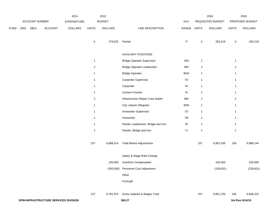|             |     |                |                                      | 2014           |                | 2015           |                                     |       |                  | 2016             |                | 2016            |
|-------------|-----|----------------|--------------------------------------|----------------|----------------|----------------|-------------------------------------|-------|------------------|------------------|----------------|-----------------|
|             |     | ACCOUNT NUMBER |                                      | EXPENDITURE    |                | <b>BUDGET</b>  |                                     | PAY   |                  | REQUESTED BUDGET |                | PROPOSED BUDGET |
| <b>FUND</b> | ORG | <b>SBCL</b>    | ACCOUNT                              | <b>DOLLARS</b> | <b>UNITS</b>   | <b>DOLLARS</b> | LINE DESCRIPTION                    | RANGE | <b>UNITS</b>     | <b>DOLLARS</b>   | <b>UNITS</b>   | <b>DOLLARS</b>  |
|             |     |                |                                      |                | $\overline{5}$ | 279,032        | Painter                             | 71    | $\mathbf 5$      | 283,219          | $\sqrt{5}$     | 283,219         |
|             |     |                |                                      |                |                |                | <b>AUXILIARY POSITIONS</b>          |       |                  |                  |                |                 |
|             |     |                |                                      |                | $\mathbf{1}$   |                | <b>Bridge Operator Supervisor</b>   | 1BX   | $\mathbf{1}$     |                  | $\overline{1}$ |                 |
|             |     |                |                                      |                | $\overline{2}$ |                | Bridge Operator-Leadworker          | 8IN   | $\sqrt{2}$       |                  | $\overline{2}$ |                 |
|             |     |                |                                      |                | $\mathbf{1}$   |                | <b>Bridge Operator</b>              | 8GN   | $\mathbf{1}$     |                  | $\mathbf{1}$   |                 |
|             |     |                |                                      |                | $\mathbf{1}$   |                | Carpenter Supervisor                | 70    | $\mathbf{1}$     |                  | $\mathbf{1}$   |                 |
|             |     |                |                                      |                | $\mathbf{1}$   |                | Carpenter                           | 7K    | $\mathbf{1}$     |                  | $\mathbf{1}$   |                 |
|             |     |                |                                      |                | $\mathbf{1}$   |                | <b>Cement Finisher</b>              | 7K    | $\mathbf{1}$     |                  | $\mathbf{1}$   |                 |
|             |     |                |                                      |                | $\overline{2}$ |                | Infrastructure Repair Crew leader   | 8IN   | $\boldsymbol{2}$ |                  | $\overline{2}$ |                 |
|             |     |                |                                      |                | $\mathbf{1}$   |                | City Laborer (Regular)              | 8DN   | $\mathbf{1}$     |                  | $\mathbf{1}$   |                 |
|             |     |                |                                      |                | $\mathbf{1}$   |                | Ironworker Supervisor               | 70    | $\mathbf{1}$     |                  | $\mathbf{1}$   |                 |
|             |     |                |                                      |                | $\mathbf{1}$   |                | Ironworker                          | 7M    | $\mathbf{1}$     |                  | $\mathbf{1}$   |                 |
|             |     |                |                                      |                | $\mathbf{1}$   |                | Painter Leadworker, Bridge and Iron | 7K    | $\mathbf{1}$     |                  | $\mathbf{1}$   |                 |
|             |     |                |                                      |                | $\mathbf{1}$   |                | Painter, Bridge and Iron            | $7J$  | $\mathbf{1}$     |                  | $\mathbf{1}$   |                 |
|             |     |                |                                      |                | 157            | 6,868,014      | <b>Total Before Adjustments</b>     |       | 157              | 6,991,536        | 156            | 6,888,144       |
|             |     |                |                                      |                |                |                | Salary & Wage Rate Change           |       |                  |                  |                |                 |
|             |     |                |                                      |                |                | 100,000        | Overtime Compensated                |       |                  | 100,000          |                | 100,000         |
|             |     |                |                                      |                |                |                | (206,040) Personnel Cost Adjustment |       |                  | (139, 831)       |                | (139, 831)      |
|             |     |                |                                      |                |                |                | Other                               |       |                  |                  |                |                 |
|             |     |                |                                      |                |                |                | Furlough                            |       |                  |                  |                |                 |
|             |     |                |                                      |                | 157            | 6,761,974      | Gross Salaries & Wages Total        |       | 157              | 6,951,705        | 156            | 6,848,313       |
|             |     |                | DPW-INFRASTRUCTURE SERVICES DIVISION |                |                |                | 300.27                              |       |                  |                  |                | 3rd Run 9/14/15 |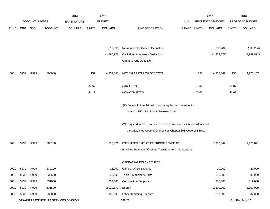|             |      |                       |                                      | 2014               |              | 2015           |                                                                           |             |       | 2016             |              | 2016            |
|-------------|------|-----------------------|--------------------------------------|--------------------|--------------|----------------|---------------------------------------------------------------------------|-------------|-------|------------------|--------------|-----------------|
|             |      | <b>ACCOUNT NUMBER</b> |                                      | <b>EXPENDITURE</b> |              | <b>BUDGET</b>  |                                                                           | <b>PAY</b>  |       | REQUESTED BUDGET |              | PROPOSED BUDGET |
| <b>FUND</b> | ORG  | SBCL                  | <b>ACCOUNT</b>                       | <b>DOLLARS</b>     | <b>UNITS</b> | <b>DOLLARS</b> | LINE DESCRIPTION                                                          | RANGE UNITS |       | <b>DOLLARS</b>   | <b>UNITS</b> | <b>DOLLARS</b>  |
|             |      |                       |                                      |                    |              |                |                                                                           |             |       |                  |              |                 |
|             |      |                       |                                      |                    |              | (616,000)      | Reimbursable Services Deduction                                           |             |       | (633, 284)       |              | (633, 284)      |
|             |      |                       |                                      |                    |              | (1,886,928)    | <b>Capital Improvements Deduction</b>                                     |             |       | (1,939,872)      |              | (1,939,872)     |
|             |      |                       |                                      |                    |              |                | Grants & Aids Deduction                                                   |             |       |                  |              |                 |
|             |      |                       |                                      |                    |              |                |                                                                           |             |       |                  |              |                 |
| 0001        | 5239 | R999                  | 006000                               |                    | 157          | 4,259,046      | NET SALARIES & WAGES TOTAL                                                |             | 157   | 4,378,549        | 156          | 4,275,157       |
|             |      |                       |                                      |                    | 87.57        |                | <b>O&amp;M FTE'S</b>                                                      |             | 87.07 |                  | 87.07        |                 |
|             |      |                       |                                      |                    | 44.12        |                | NON-O&M FTE'S                                                             |             | 43.62 |                  | 43.62        |                 |
|             |      |                       |                                      |                    |              |                |                                                                           |             |       |                  |              |                 |
|             |      |                       |                                      |                    |              |                | (X) Private Automobile allowance may be paid pursuant to                  |             |       |                  |              |                 |
|             |      |                       |                                      |                    |              |                | section 350-183 of the Milwaukee Code.                                    |             |       |                  |              |                 |
|             |      |                       |                                      |                    |              |                | (Y) Required to file a statement of economic interests in accordance with |             |       |                  |              |                 |
|             |      |                       |                                      |                    |              |                | the Milwaukee Code of Ordinances Chapter 303-Code of Ethics.              |             |       |                  |              |                 |
| 0001        | 5239 | R999                  | 006100                               |                    |              | 1,916,571      | ESTIMATED EMPLOYEE FRINGE BENEFITS                                        |             |       | 1,970,347        |              | 1,923,821       |
|             |      |                       |                                      |                    |              |                | (Involves Revenue Offset-No Transfers from this Account)                  |             |       |                  |              |                 |
|             |      |                       |                                      |                    |              |                |                                                                           |             |       |                  |              |                 |
|             |      |                       |                                      |                    |              |                | OPERATING EXPENDITURES                                                    |             |       |                  |              |                 |
| 0001        | 5239 | R999                  | 630100                               |                    |              | 25,000         | General Office Expense                                                    |             |       | 20,000           |              | 20,000          |
| 0001        | 5239 | R999                  | 630500                               |                    |              | 40,000         | Tools & Machinery Parts                                                   |             |       | 155,000          |              | 80,000          |
| 0001        | 5239 | R999                  | 631000                               |                    |              | 259,000        | <b>Construction Supplies</b>                                              |             |       | 385,000          |              | 312,000         |
| 0001        | 5239 | R999                  | 631500                               |                    |              | 2,019,572      | Energy                                                                    |             |       | 2,300,000        |              | 2,300,000       |
| 0001        | 5239 | R999                  | 632000                               |                    |              | 155,000        | <b>Other Operating Supplies</b>                                           |             |       | 157,000          |              | 82,000          |
|             |      |                       | DPW-INFRASTRUCTURE SERVICES DIVISION |                    |              |                | 300.28                                                                    |             |       |                  |              | 3rd Run 9/14/15 |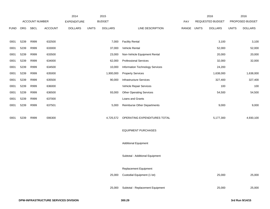|             |      |                       |                | 2014               |              | 2015           |                                    |             | 2016             |              | 2016            |
|-------------|------|-----------------------|----------------|--------------------|--------------|----------------|------------------------------------|-------------|------------------|--------------|-----------------|
|             |      | <b>ACCOUNT NUMBER</b> |                | <b>EXPENDITURE</b> |              | <b>BUDGET</b>  |                                    | PAY         | REQUESTED BUDGET |              | PROPOSED BUDGET |
| <b>FUND</b> | ORG  | <b>SBCL</b>           | <b>ACCOUNT</b> | <b>DOLLARS</b>     | <b>UNITS</b> | <b>DOLLARS</b> | LINE DESCRIPTION                   | RANGE UNITS | <b>DOLLARS</b>   | <b>UNITS</b> | <b>DOLLARS</b>  |
|             |      |                       |                |                    |              |                |                                    |             |                  |              |                 |
| 0001        | 5239 | R999                  | 632500         |                    |              | 7,000          | <b>Facility Rental</b>             |             | 3,100            |              | 3,100           |
| 0001        | 5239 | R999                  | 633000         |                    |              | 37,000         | Vehicle Rental                     |             | 52,000           |              | 52,000          |
| 0001        | 5239 | R999                  | 633500         |                    |              | 23,000         | Non-Vehicle Equipment Rental       |             | 20,000           |              | 20,000          |
| 0001        | 5239 | R999                  | 634000         |                    |              | 62,000         | <b>Professional Services</b>       |             | 32,000           |              | 32,000          |
| 0001        | 5239 | R999                  | 634500         |                    |              | 10,000         | Information Technology Services    |             | 24,200           |              |                 |
| 0001        | 5239 | R999                  | 635000         |                    |              | 1,900,000      | <b>Property Services</b>           |             | 1,638,000        |              | 1,638,000       |
| 0001        | 5239 | R999                  | 635500         |                    |              | 90,000         | Infrastructure Services            |             | 327,400          |              | 327,400         |
| 0001        | 5239 | R999                  | 636000         |                    |              |                | Vehicle Repair Services            |             | 100              |              | 100             |
| 0001        | 5239 | R999                  | 636500         |                    |              | 93,000         | <b>Other Operating Services</b>    |             | 54,500           |              | 54,500          |
| 0001        | 5239 | R999                  | 637000         |                    |              |                | Loans and Grants                   |             |                  |              |                 |
| 0001        | 5239 | R999                  | 637501         |                    |              | 5,000          | <b>Reimburse Other Departments</b> |             | 9,000            |              | 9,000           |
|             |      |                       |                |                    |              |                |                                    |             |                  |              |                 |
| 0001        | 5239 | R999                  | 006300         |                    |              | 4,725,572      | OPERATING EXPENDITURES TOTAL       |             | 5,177,300        |              | 4,930,100       |
|             |      |                       |                |                    |              |                |                                    |             |                  |              |                 |
|             |      |                       |                |                    |              |                | <b>EQUIPMENT PURCHASES</b>         |             |                  |              |                 |
|             |      |                       |                |                    |              |                |                                    |             |                  |              |                 |
|             |      |                       |                |                    |              |                | <b>Additional Equipment</b>        |             |                  |              |                 |
|             |      |                       |                |                    |              |                |                                    |             |                  |              |                 |
|             |      |                       |                |                    |              |                | Subtotal - Additional Equipment    |             |                  |              |                 |
|             |      |                       |                |                    |              |                |                                    |             |                  |              |                 |
|             |      |                       |                |                    |              |                | Replacement Equipment              |             |                  |              |                 |
|             |      |                       |                |                    |              | 25,000         | Custodial Equipment (1 lot)        |             | 25,000           |              | 25,000          |
|             |      |                       |                |                    |              |                |                                    |             |                  |              |                 |
|             |      |                       |                |                    |              | 25,000         | Subtotal - Replacement Equipment   |             | 25,000           |              | 25,000          |
|             |      |                       |                |                    |              |                |                                    |             |                  |              |                 |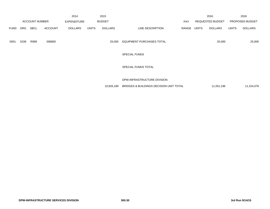|             |      |                       |                | 2014               |              | 2015           |                                  |            |       | 2016                    |              | 2016            |
|-------------|------|-----------------------|----------------|--------------------|--------------|----------------|----------------------------------|------------|-------|-------------------------|--------------|-----------------|
|             |      | <b>ACCOUNT NUMBER</b> |                | <b>EXPENDITURE</b> |              | <b>BUDGET</b>  |                                  | <b>PAY</b> |       | <b>REQUESTED BUDGET</b> |              | PROPOSED BUDGET |
| <b>FUND</b> | ORG  | <b>SBCL</b>           | <b>ACCOUNT</b> | <b>DOLLARS</b>     | <b>UNITS</b> | <b>DOLLARS</b> | LINE DESCRIPTION                 | RANGE      | UNITS | <b>DOLLARS</b>          | <b>UNITS</b> | <b>DOLLARS</b>  |
| 0001        | 5239 | R999                  | 006800         |                    |              | 25,000         | <b>EQUIPMENT PURCHASES TOTAL</b> |            |       | 25,000                  |              | 25,000          |
|             |      |                       |                |                    |              |                | <b>SPECIAL FUNDS</b>             |            |       |                         |              |                 |
|             |      |                       |                |                    |              |                | SPECIAL FUNDS TOTAL              |            |       |                         |              |                 |
|             |      |                       |                |                    |              |                | DPW-INFRASTRUCTURE DIVISION      |            |       |                         |              |                 |

| 10,926,189 BRIDGES & BUILDINGS DECISION UNIT TOTAL | 11,551,196 | 11,154,078 |
|----------------------------------------------------|------------|------------|
|                                                    |            |            |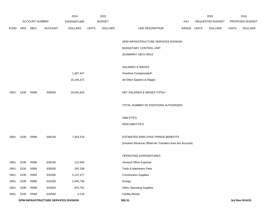|             |            |                       |                                      | 2014               |              | 2015           |                                                          |             | 2016             |              | 2016            |
|-------------|------------|-----------------------|--------------------------------------|--------------------|--------------|----------------|----------------------------------------------------------|-------------|------------------|--------------|-----------------|
|             |            | <b>ACCOUNT NUMBER</b> |                                      | <b>EXPENDITURE</b> |              | <b>BUDGET</b>  |                                                          | PAY         | REQUESTED BUDGET |              | PROPOSED BUDGET |
| <b>FUND</b> | <b>ORG</b> | <b>SBCL</b>           | <b>ACCOUNT</b>                       | <b>DOLLARS</b>     | <b>UNITS</b> | <b>DOLLARS</b> | LINE DESCRIPTION                                         | RANGE UNITS | <b>DOLLARS</b>   | <b>UNITS</b> | <b>DOLLARS</b>  |
|             |            |                       |                                      |                    |              |                | DPW-INFRASTRUCTURE SERVICES DIVISION                     |             |                  |              |                 |
|             |            |                       |                                      |                    |              |                | BUDGETARY CONTROL UNIT                                   |             |                  |              |                 |
|             |            |                       |                                      |                    |              |                | (SUMMARY 1BCU=6DU)                                       |             |                  |              |                 |
|             |            |                       |                                      |                    |              |                | SALARIES & WAGES                                         |             |                  |              |                 |
|             |            |                       |                                      | 1,397,447          |              |                | Overtime Compensated*                                    |             |                  |              |                 |
|             |            |                       |                                      | 15,145,472         |              |                | All Other Salaries & Wages                               |             |                  |              |                 |
| 0001        | 5230       | R999                  | 006000                               | 16,542,919         |              |                | NET SALARIES & WAGES TOTAL*                              |             |                  |              |                 |
|             |            |                       |                                      |                    |              |                | TOTAL NUMBER OF POSITIONS AUTHORIZED                     |             |                  |              |                 |
|             |            |                       |                                      |                    |              |                | <b>O&amp;M FTE'S</b>                                     |             |                  |              |                 |
|             |            |                       |                                      |                    |              |                | NON-O&M FTE'S                                            |             |                  |              |                 |
| 0001        | 5230       | R999                  | 006100                               | 7,453,376          |              |                | ESTIMATED EMPLOYEE FRINGE BENEFITS                       |             |                  |              |                 |
|             |            |                       |                                      |                    |              |                | (Involves Revenue Offset-No Transfers from this Account) |             |                  |              |                 |
|             |            |                       |                                      |                    |              |                | OPERATING EXPENDITURES                                   |             |                  |              |                 |
| 0001        | 5230       | R999                  | 630100                               | 112,493            |              |                | General Office Expense                                   |             |                  |              |                 |
| 0001        | 5230       | R999                  | 630500                               | 242,106            |              |                | Tools & Machinery Parts                                  |             |                  |              |                 |
| 0001        | 5230       | R999                  | 631000                               | 3,137,377          |              |                | <b>Construction Supplies</b>                             |             |                  |              |                 |
| 0001        | 5230       | R999                  | 631500                               | 2,445,748          |              |                | Energy                                                   |             |                  |              |                 |
| 0001        | 5230       | R999                  | 632000                               | 675,701            |              |                | <b>Other Operating Supplies</b>                          |             |                  |              |                 |
| 0001        | 5230       | R999                  | 632500                               | 3,118              |              |                | <b>Facility Rental</b>                                   |             |                  |              |                 |
|             |            |                       | DPW-INFRASTRUCTURE SERVICES DIVISION |                    |              |                | 300.31                                                   |             |                  |              | 3rd Run 9/14/15 |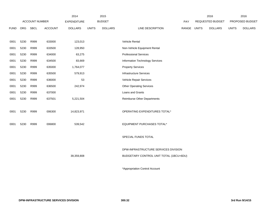|             |            |                       |                | 2014               |              | 2015           |                                         |       |              | 2016             |              | 2016            |
|-------------|------------|-----------------------|----------------|--------------------|--------------|----------------|-----------------------------------------|-------|--------------|------------------|--------------|-----------------|
|             |            | <b>ACCOUNT NUMBER</b> |                | <b>EXPENDITURE</b> |              | <b>BUDGET</b>  |                                         | PAY   |              | REQUESTED BUDGET |              | PROPOSED BUDGET |
| <b>FUND</b> | <b>ORG</b> | <b>SBCL</b>           | <b>ACCOUNT</b> | <b>DOLLARS</b>     | <b>UNITS</b> | <b>DOLLARS</b> | LINE DESCRIPTION                        | RANGE | <b>UNITS</b> | <b>DOLLARS</b>   | <b>UNITS</b> | <b>DOLLARS</b>  |
|             |            |                       |                |                    |              |                |                                         |       |              |                  |              |                 |
| 0001        | 5230       | R999                  | 633000         | 123,013            |              |                | Vehicle Rental                          |       |              |                  |              |                 |
| 0001        | 5230       | R999                  | 633500         | 128,950            |              |                | Non-Vehicle Equipment Rental            |       |              |                  |              |                 |
| 0001        | 5230       | R999                  | 634000         | 63,275             |              |                | <b>Professional Services</b>            |       |              |                  |              |                 |
| 0001        | 5230       | R999                  | 634500         | 83,669             |              |                | Information Technology Services         |       |              |                  |              |                 |
| 0001        | 5230       | R999                  | 635000         | 1,764,077          |              |                | <b>Property Services</b>                |       |              |                  |              |                 |
| 0001        | 5230       | R999                  | 635500         | 579,913            |              |                | Infrastructure Services                 |       |              |                  |              |                 |
| 0001        | 5230       | R999                  | 636000         | 53                 |              |                | Vehicle Repair Services                 |       |              |                  |              |                 |
| 0001        | 5230       | R999                  | 636500         | 242,974            |              |                | <b>Other Operating Services</b>         |       |              |                  |              |                 |
| 0001        | 5230       | R999                  | 637000         |                    |              |                | Loans and Grants                        |       |              |                  |              |                 |
| 0001        | 5230       | R999                  | 637501         | 5,221,504          |              |                | <b>Reimburse Other Departments</b>      |       |              |                  |              |                 |
|             |            |                       |                |                    |              |                |                                         |       |              |                  |              |                 |
| 0001        | 5230       | R999                  | 006300         | 14,823,971         |              |                | OPERATING EXPENDITURES TOTAL*           |       |              |                  |              |                 |
|             |            |                       |                |                    |              |                |                                         |       |              |                  |              |                 |
| 0001        | 5230       | R999                  | 006800         | 539,542            |              |                | EQUIPMENT PURCHASES TOTAL*              |       |              |                  |              |                 |
|             |            |                       |                |                    |              |                |                                         |       |              |                  |              |                 |
|             |            |                       |                |                    |              |                | SPECIAL FUNDS TOTAL                     |       |              |                  |              |                 |
|             |            |                       |                |                    |              |                |                                         |       |              |                  |              |                 |
|             |            |                       |                |                    |              |                | DPW-INFRASTRUCTURE SERVICES DIVISION    |       |              |                  |              |                 |
|             |            |                       |                | 39,359,808         |              |                | BUDGETARY CONTROL UNIT TOTAL (1BCU=6DU) |       |              |                  |              |                 |
|             |            |                       |                |                    |              |                |                                         |       |              |                  |              |                 |
|             |            |                       |                |                    |              |                | *Appropriation Control Account          |       |              |                  |              |                 |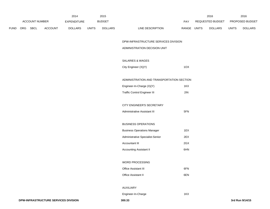|             |     | <b>ACCOUNT NUMBER</b> |         | 2014<br>EXPENDITURE |              | 2015<br><b>BUDGET</b> |                                           | PAY         | 2016<br>REQUESTED BUDGET |              | 2016<br>PROPOSED BUDGET |
|-------------|-----|-----------------------|---------|---------------------|--------------|-----------------------|-------------------------------------------|-------------|--------------------------|--------------|-------------------------|
| <b>FUND</b> | ORG | <b>SBCL</b>           | ACCOUNT | <b>DOLLARS</b>      | <b>UNITS</b> | <b>DOLLARS</b>        | LINE DESCRIPTION                          | RANGE UNITS | <b>DOLLARS</b>           | <b>UNITS</b> | <b>DOLLARS</b>          |
|             |     |                       |         |                     |              |                       | DPW-INFRASTRUCTURE SERVICES DIVISION      |             |                          |              |                         |
|             |     |                       |         |                     |              |                       | ADMINISTRATION DECISION UNIT              |             |                          |              |                         |
|             |     |                       |         |                     |              |                       | SALARIES & WAGES                          |             |                          |              |                         |
|             |     |                       |         |                     |              |                       | City Engineer (X)(Y)                      | 1OX         |                          |              |                         |
|             |     |                       |         |                     |              |                       | ADMINISTRATION AND TRANSPORTATION SECTION |             |                          |              |                         |
|             |     |                       |         |                     |              |                       | Engineer-In-Charge (X)(Y)                 | 1KX         |                          |              |                         |
|             |     |                       |         |                     |              |                       | <b>Traffic Control Engineer III</b>       | 2IN         |                          |              |                         |
|             |     |                       |         |                     |              |                       | CITY ENGINEER'S SECRETARY                 |             |                          |              |                         |
|             |     |                       |         |                     |              |                       | Administrative Assistant III              | 5FN         |                          |              |                         |
|             |     |                       |         |                     |              |                       | <b>BUSINESS OPERATIONS</b>                |             |                          |              |                         |
|             |     |                       |         |                     |              |                       | <b>Business Operations Manager</b>        | 1EX         |                          |              |                         |
|             |     |                       |         |                     |              |                       | Administrative Specialist-Senior          | 2EX         |                          |              |                         |
|             |     |                       |         |                     |              |                       | Accountant III                            | 2GX         |                          |              |                         |
|             |     |                       |         |                     |              |                       | <b>Accounting Assistant II</b>            | 6HN         |                          |              |                         |
|             |     |                       |         |                     |              |                       | WORD PROCESSING                           |             |                          |              |                         |
|             |     |                       |         |                     |              |                       | Office Assistant III                      | 6FN         |                          |              |                         |
|             |     |                       |         |                     |              |                       | Office Assistant II                       | 6EN         |                          |              |                         |
|             |     |                       |         |                     |              |                       | AUXILIARY                                 |             |                          |              |                         |
|             |     |                       |         |                     |              |                       | Engineer-In-Charge                        | 1KX         |                          |              |                         |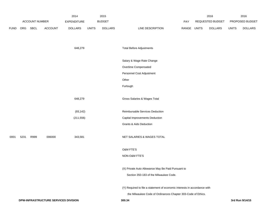|             |      |                |                                      | 2014               |              | 2015           |                                                                           |             | 2016             |              | 2016            |
|-------------|------|----------------|--------------------------------------|--------------------|--------------|----------------|---------------------------------------------------------------------------|-------------|------------------|--------------|-----------------|
|             |      | ACCOUNT NUMBER |                                      | <b>EXPENDITURE</b> |              | <b>BUDGET</b>  |                                                                           | PAY         | REQUESTED BUDGET |              | PROPOSED BUDGET |
| <b>FUND</b> | ORG  | SBCL           | ACCOUNT                              | <b>DOLLARS</b>     | <b>UNITS</b> | <b>DOLLARS</b> | LINE DESCRIPTION                                                          | RANGE UNITS | <b>DOLLARS</b>   | <b>UNITS</b> | <b>DOLLARS</b>  |
|             |      |                |                                      | 648,279            |              |                | <b>Total Before Adjustments</b>                                           |             |                  |              |                 |
|             |      |                |                                      |                    |              |                | Salary & Wage Rate Change                                                 |             |                  |              |                 |
|             |      |                |                                      |                    |              |                | Overtime Compensated                                                      |             |                  |              |                 |
|             |      |                |                                      |                    |              |                | Personnel Cost Adjustment                                                 |             |                  |              |                 |
|             |      |                |                                      |                    |              |                | Other                                                                     |             |                  |              |                 |
|             |      |                |                                      |                    |              |                | Furlough                                                                  |             |                  |              |                 |
|             |      |                |                                      | 648,279            |              |                | Gross Salaries & Wages Total                                              |             |                  |              |                 |
|             |      |                |                                      | (93, 142)          |              |                | Reimbursable Services Deduction                                           |             |                  |              |                 |
|             |      |                |                                      | (211, 556)         |              |                | Capital Improvements Deduction                                            |             |                  |              |                 |
|             |      |                |                                      |                    |              |                | <b>Grants &amp; Aids Deduction</b>                                        |             |                  |              |                 |
| 0001        | 5231 | R999           | 006000                               | 343,581            |              |                | NET SALARIES & WAGES TOTAL                                                |             |                  |              |                 |
|             |      |                |                                      |                    |              |                | <b>O&amp;M FTE'S</b>                                                      |             |                  |              |                 |
|             |      |                |                                      |                    |              |                | NON-O&M FTE'S                                                             |             |                  |              |                 |
|             |      |                |                                      |                    |              |                | (X) Private Auto Allowance May Be Paid Pursuant to                        |             |                  |              |                 |
|             |      |                |                                      |                    |              |                | Section 350-183 of the Milwaukee Code.                                    |             |                  |              |                 |
|             |      |                |                                      |                    |              |                | (Y) Required to file a statement of economic interests in accordance with |             |                  |              |                 |
|             |      |                |                                      |                    |              |                | the Milwaukee Code of Ordinances Chapter 303-Code of Ethics.              |             |                  |              |                 |
|             |      |                | DPW-INFRASTRUCTURE SERVICES DIVISION |                    |              |                | 300.34                                                                    |             |                  |              | 3rd Run 9/14/15 |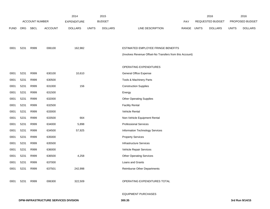|             |      |                       |                | 2014               |              | 2015           |                                                          |       |              | 2016             |              | 2016            |
|-------------|------|-----------------------|----------------|--------------------|--------------|----------------|----------------------------------------------------------|-------|--------------|------------------|--------------|-----------------|
|             |      | <b>ACCOUNT NUMBER</b> |                | <b>EXPENDITURE</b> |              | <b>BUDGET</b>  |                                                          | PAY   |              | REQUESTED BUDGET |              | PROPOSED BUDGET |
| <b>FUND</b> | ORG  | <b>SBCL</b>           | <b>ACCOUNT</b> | <b>DOLLARS</b>     | <b>UNITS</b> | <b>DOLLARS</b> | LINE DESCRIPTION                                         | RANGE | <b>UNITS</b> | <b>DOLLARS</b>   | <b>UNITS</b> | <b>DOLLARS</b>  |
|             |      |                       |                |                    |              |                |                                                          |       |              |                  |              |                 |
|             |      |                       |                |                    |              |                |                                                          |       |              |                  |              |                 |
| 0001        | 5231 | R999                  | 006100         | 162,982            |              |                | ESTIMATED EMPLOYEE FRINGE BENEFITS                       |       |              |                  |              |                 |
|             |      |                       |                |                    |              |                | (Involves Revenue Offset-No Transfers from this Account) |       |              |                  |              |                 |
|             |      |                       |                |                    |              |                |                                                          |       |              |                  |              |                 |
|             |      |                       |                |                    |              |                | OPERATING EXPENDITURES                                   |       |              |                  |              |                 |
| 0001        | 5231 | R999                  | 630100         | 10,610             |              |                | General Office Expense                                   |       |              |                  |              |                 |
| 0001        | 5231 | R999                  | 630500         |                    |              |                | Tools & Machinery Parts                                  |       |              |                  |              |                 |
| 0001        | 5231 | R999                  | 631000         | 156                |              |                | <b>Construction Supplies</b>                             |       |              |                  |              |                 |
| 0001        | 5231 | R999                  | 631500         |                    |              |                | Energy                                                   |       |              |                  |              |                 |
| 0001        | 5231 | R999                  | 632000         |                    |              |                | <b>Other Operating Supplies</b>                          |       |              |                  |              |                 |
| 0001        | 5231 | R999                  | 632500         |                    |              |                | <b>Facility Rental</b>                                   |       |              |                  |              |                 |
| 0001        | 5231 | R999                  | 633000         |                    |              |                | Vehicle Rental                                           |       |              |                  |              |                 |
| 0001        | 5231 | R999                  | 633500         | 664                |              |                | Non-Vehicle Equipment Rental                             |       |              |                  |              |                 |
| 0001        | 5231 | R999                  | 634000         | 5,898              |              |                | <b>Professional Services</b>                             |       |              |                  |              |                 |
| 0001        | 5231 | R999                  | 634500         | 57,925             |              |                | Information Technology Services                          |       |              |                  |              |                 |
| 0001        | 5231 | R999                  | 635000         |                    |              |                | <b>Property Services</b>                                 |       |              |                  |              |                 |
| 0001        | 5231 | R999                  | 635500         |                    |              |                | <b>Infrastructure Services</b>                           |       |              |                  |              |                 |
| 0001        | 5231 | R999                  | 636000         |                    |              |                | Vehicle Repair Services                                  |       |              |                  |              |                 |
| 0001        | 5231 | R999                  | 636500         | 4,258              |              |                | <b>Other Operating Services</b>                          |       |              |                  |              |                 |
| 0001        | 5231 | R999                  | 637000         |                    |              |                | Loans and Grants                                         |       |              |                  |              |                 |
| 0001        | 5231 | R999                  | 637501         | 242,998            |              |                | Reimburse Other Departments                              |       |              |                  |              |                 |
|             |      |                       |                |                    |              |                |                                                          |       |              |                  |              |                 |
| 0001        | 5231 | R999                  | 006300         | 322,509            |              |                | OPERATING EXPENDITURES TOTAL                             |       |              |                  |              |                 |
|             |      |                       |                |                    |              |                |                                                          |       |              |                  |              |                 |

EQUIPMENT PURCHASES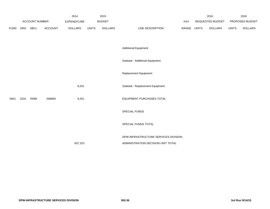|             | ACCOUNT NUMBER |      | 2015<br>2014<br><b>BUDGET</b><br><b>EXPENDITURE</b> |                |              |                | PAY                                   |       | 2016<br>REQUESTED BUDGET |                | 2016<br>PROPOSED BUDGET |                |
|-------------|----------------|------|-----------------------------------------------------|----------------|--------------|----------------|---------------------------------------|-------|--------------------------|----------------|-------------------------|----------------|
| <b>FUND</b> | ORG            | SBCL | ACCOUNT                                             | <b>DOLLARS</b> | <b>UNITS</b> | <b>DOLLARS</b> | LINE DESCRIPTION                      | RANGE | <b>UNITS</b>             | <b>DOLLARS</b> | <b>UNITS</b>            | <b>DOLLARS</b> |
|             |                |      |                                                     |                |              |                |                                       |       |                          |                |                         |                |
|             |                |      |                                                     |                |              |                | <b>Additional Equipment</b>           |       |                          |                |                         |                |
|             |                |      |                                                     |                |              |                | Subtotal - Additional Equipment       |       |                          |                |                         |                |
|             |                |      |                                                     |                |              |                | Replacement Equipment                 |       |                          |                |                         |                |
|             |                |      |                                                     | 8,251          |              |                | Subtotal - Replacement Equipment      |       |                          |                |                         |                |
| 0001        | 5231           | R999 | 006800                                              | 8,251          |              |                | EQUIPMENT PURCHASES TOTAL             |       |                          |                |                         |                |
|             |                |      |                                                     |                |              |                | SPECIAL FUNDS                         |       |                          |                |                         |                |
|             |                |      |                                                     |                |              |                | SPECIAL FUNDS TOTAL                   |       |                          |                |                         |                |
|             |                |      |                                                     |                |              |                | DPW-INFRASTRUCTURE SERVICES DIVISION- |       |                          |                |                         |                |
|             |                |      |                                                     | 837,323        |              |                | ADMINISTRATION DECISION UNIT TOTAL    |       |                          |                |                         |                |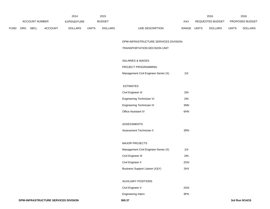|             |            |                       |                | 2014               |              | 2015           |                                  | 2016                    |              | 2016                   |
|-------------|------------|-----------------------|----------------|--------------------|--------------|----------------|----------------------------------|-------------------------|--------------|------------------------|
|             |            | <b>ACCOUNT NUMBER</b> |                | <b>EXPENDITURE</b> |              | <b>BUDGET</b>  | PAY                              | REQUESTED BUDGET        |              | <b>PROPOSED BUDGET</b> |
| <b>FUND</b> | <b>ORG</b> | <b>SBCL</b>           | <b>ACCOUNT</b> | <b>DOLLARS</b>     | <b>UNITS</b> | <b>DOLLARS</b> | LINE DESCRIPTION<br><b>RANGE</b> | UNITS<br><b>DOLLARS</b> | <b>UNITS</b> | <b>DOLLARS</b>         |

## DPW-INFRASTRUCTURE SERVICES DIVISION-

#### TRANSPORTATION DECISION UNIT

## SALARIES & WAGES

## PROJECT PROGRAMMING

|  | Management Civil Engineer-Senior (X) | 11X |
|--|--------------------------------------|-----|
|--|--------------------------------------|-----|

## ESTIMATES

| Civil Engineer III        | 2IN |
|---------------------------|-----|
| Engineering Technician VI | 2IN |
| Engineering Technician IV | 3NN |
| Office Assistant IV       | 6HN |

## ASSESSMENTS

| Assessment Technician II | 3RN |
|--------------------------|-----|
|                          |     |

#### MAJOR PROJECTS

| Management Civil Engineer-Senior (X) | 11X |
|--------------------------------------|-----|
| Civil Engineer III                   | 2IN |
| Civil Engineer II                    | 2GN |
| Business Support Liaison (X)(Y)      | 2HX |

### AUXILIARY POSITIONS

| Civil Engineer II | 2GN |
|-------------------|-----|
|                   |     |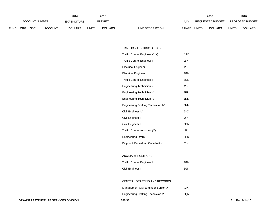|                | 2014       |             |                |                |              | 2015           |                                  |              | 2016                   |              | 2016           |
|----------------|------------|-------------|----------------|----------------|--------------|----------------|----------------------------------|--------------|------------------------|--------------|----------------|
| ACCOUNT NUMBER |            | EXPENDITURE |                | <b>BUDGET</b>  | PAY          |                | REQUESTED BUDGET                 |              | <b>PROPOSED BUDGET</b> |              |                |
| FUND           | <b>ORG</b> | SBCL        | <b>ACCOUNT</b> | <b>DOLLARS</b> | <b>UNITS</b> | <b>DOLLARS</b> | <b>RANGE</b><br>LINE DESCRIPTION | <b>UNITS</b> | <b>DOLLARS</b>         | <b>UNITS</b> | <b>DOLLARS</b> |

#### TRAFFIC & LIGHTING DESIGN

| Traffic Control Engineer V (X)              | 1JX |
|---------------------------------------------|-----|
| <b>Traffic Control Engineer III</b>         | 2IN |
| <b>Electrical Engineer III</b>              | 2IN |
| Electrical Engineer II                      | 2GN |
| <b>Traffic Control Engineer II</b>          | 2GN |
| Engineering Technician VI                   | 2IN |
| Engineering Technician V                    | 3RN |
| Engineering Technician IV                   | 3NN |
| <b>Engineering Drafting Technician IV</b>   | 3NN |
| Civil Engineer IV                           | 2KX |
| Civil Engineer III                          | 2IN |
| Civil Engineer II                           | 2GN |
| Traffic Control Assistant (X)               | 9N  |
| Engineering Intern                          | 9PN |
| <b>Bicycle &amp; Pedestrian Coordinator</b> | 2IN |
|                                             |     |

# AUXILIARY POSITIONS

| <b>Traffic Control Engineer II</b> | 2GN |
|------------------------------------|-----|
| Civil Engineer II                  | 2GN |

#### CENTRAL DRAFTING AND RECORDS

| Management Civil Engineer-Senior (X) | 1IX |
|--------------------------------------|-----|
|                                      |     |

|  |  | Engineering Drafting Technician V | 3QN |
|--|--|-----------------------------------|-----|
|--|--|-----------------------------------|-----|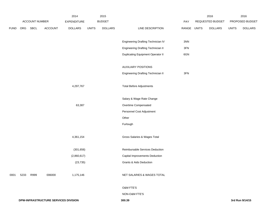|             |                                      |      |             | 2014           |               | 2015           |                                           |                  | 2016         |                | 2016            |                 |  |
|-------------|--------------------------------------|------|-------------|----------------|---------------|----------------|-------------------------------------------|------------------|--------------|----------------|-----------------|-----------------|--|
|             | ACCOUNT NUMBER                       |      | EXPENDITURE |                | <b>BUDGET</b> |                | PAY                                       | REQUESTED BUDGET |              |                | PROPOSED BUDGET |                 |  |
| <b>FUND</b> | ORG                                  | SBCL | ACCOUNT     | <b>DOLLARS</b> | <b>UNITS</b>  | <b>DOLLARS</b> | LINE DESCRIPTION                          | RANGE            | <b>UNITS</b> | <b>DOLLARS</b> | <b>UNITS</b>    | <b>DOLLARS</b>  |  |
|             |                                      |      |             |                |               |                | Engineering Drafting Technician IV        | 3NN              |              |                |                 |                 |  |
|             |                                      |      |             |                |               |                | <b>Engineering Drafting Technician II</b> | $3FN$            |              |                |                 |                 |  |
|             |                                      |      |             |                |               |                | <b>Duplicating Equipment Operator II</b>  | 6GN              |              |                |                 |                 |  |
|             |                                      |      |             |                |               |                | <b>AUXILIARY POSITIONS</b>                |                  |              |                |                 |                 |  |
|             |                                      |      |             |                |               |                | <b>Engineering Drafting Technician II</b> | $3FN$            |              |                |                 |                 |  |
|             |                                      |      |             | 4,297,767      |               |                | <b>Total Before Adjustments</b>           |                  |              |                |                 |                 |  |
|             |                                      |      |             |                |               |                | Salary & Wage Rate Change                 |                  |              |                |                 |                 |  |
|             |                                      |      |             | 63,387         |               |                | Overtime Compensated                      |                  |              |                |                 |                 |  |
|             |                                      |      |             |                |               |                | Personnel Cost Adjustment                 |                  |              |                |                 |                 |  |
|             |                                      |      |             |                |               |                | Other                                     |                  |              |                |                 |                 |  |
|             |                                      |      |             |                |               |                | Furlough                                  |                  |              |                |                 |                 |  |
|             |                                      |      |             | 4,361,154      |               |                | Gross Salaries & Wages Total              |                  |              |                |                 |                 |  |
|             |                                      |      |             | (301, 656)     |               |                | Reimbursable Services Deduction           |                  |              |                |                 |                 |  |
|             |                                      |      |             | (2,860,617)    |               |                | Capital Improvements Deduction            |                  |              |                |                 |                 |  |
|             |                                      |      |             | (23, 735)      |               |                | <b>Grants &amp; Aids Deduction</b>        |                  |              |                |                 |                 |  |
| 0001        | 5233                                 | R999 | 006000      | 1,175,146      |               |                | NET SALARIES & WAGES TOTAL                |                  |              |                |                 |                 |  |
|             |                                      |      |             |                |               |                | O&M FTE'S                                 |                  |              |                |                 |                 |  |
|             |                                      |      |             |                |               |                | NON-O&M FTE'S                             |                  |              |                |                 |                 |  |
|             | DPW-INFRASTRUCTURE SERVICES DIVISION |      |             |                |               |                | 300.39                                    |                  |              |                |                 | 3rd Run 9/14/15 |  |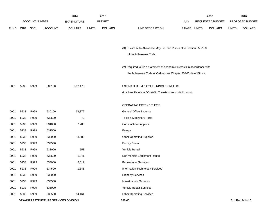|             |                                      |      |                    | 2014           |               | 2015           |                                                                           |       |                  | 2016           |                 | 2016            |
|-------------|--------------------------------------|------|--------------------|----------------|---------------|----------------|---------------------------------------------------------------------------|-------|------------------|----------------|-----------------|-----------------|
|             | <b>ACCOUNT NUMBER</b>                |      | <b>EXPENDITURE</b> |                | <b>BUDGET</b> |                |                                                                           | PAY   | REQUESTED BUDGET |                | PROPOSED BUDGET |                 |
| <b>FUND</b> | <b>ORG</b>                           | SBCL | <b>ACCOUNT</b>     | <b>DOLLARS</b> | <b>UNITS</b>  | <b>DOLLARS</b> | LINE DESCRIPTION                                                          | RANGE | UNITS            | <b>DOLLARS</b> | <b>UNITS</b>    | <b>DOLLARS</b>  |
|             |                                      |      |                    |                |               |                |                                                                           |       |                  |                |                 |                 |
|             |                                      |      |                    |                |               |                | (X) Private Auto Allowance May Be Paid Pursuant to Section 350-183        |       |                  |                |                 |                 |
|             |                                      |      |                    |                |               |                | of the Milwaukee Code.                                                    |       |                  |                |                 |                 |
|             |                                      |      |                    |                |               |                | (Y) Required to file a statement of economic interests in accordance with |       |                  |                |                 |                 |
|             |                                      |      |                    |                |               |                | the Milwaukee Code of Ordinances Chapter 303-Code of Ethics.              |       |                  |                |                 |                 |
| 0001        | 5233                                 | R999 | 006100             | 507,470        |               |                | ESTIMATED EMPLOYEE FRINGE BENEFITS                                        |       |                  |                |                 |                 |
|             |                                      |      |                    |                |               |                | (Involves Revenue Offset-No Transfers from this Account)                  |       |                  |                |                 |                 |
|             |                                      |      |                    |                |               |                | OPERATING EXPENDITURES                                                    |       |                  |                |                 |                 |
| 0001        | 5233                                 | R999 | 630100             | 38,872         |               |                | General Office Expense                                                    |       |                  |                |                 |                 |
| 0001        | 5233                                 | R999 | 630500             | 70             |               |                | Tools & Machinery Parts                                                   |       |                  |                |                 |                 |
| 0001        | 5233                                 | R999 | 631000             | 7,788          |               |                | <b>Construction Supplies</b>                                              |       |                  |                |                 |                 |
| 0001        | 5233                                 | R999 | 631500             |                |               |                | Energy                                                                    |       |                  |                |                 |                 |
| 0001        | 5233                                 | R999 | 632000             | 3,080          |               |                | <b>Other Operating Supplies</b>                                           |       |                  |                |                 |                 |
| 0001        | 5233                                 | R999 | 632500             |                |               |                | <b>Facility Rental</b>                                                    |       |                  |                |                 |                 |
| 0001        | 5233                                 | R999 | 633000             | 558            |               |                | Vehicle Rental                                                            |       |                  |                |                 |                 |
| 0001        | 5233                                 | R999 | 633500             | 1,941          |               |                | Non-Vehicle Equipment Rental                                              |       |                  |                |                 |                 |
| 0001        | 5233                                 | R999 | 634000             | 6,519          |               |                | <b>Professional Services</b>                                              |       |                  |                |                 |                 |
| 0001        | 5233                                 | R999 | 634500             | 1,548          |               |                | Information Technology Services                                           |       |                  |                |                 |                 |
| 0001        | 5233                                 | R999 | 635000             |                |               |                | <b>Property Services</b>                                                  |       |                  |                |                 |                 |
| 0001        | 5233                                 | R999 | 635500             |                |               |                | <b>Infrastructure Services</b>                                            |       |                  |                |                 |                 |
| 0001        | 5233                                 | R999 | 636000             |                |               |                | Vehicle Repair Services                                                   |       |                  |                |                 |                 |
| 0001        | 5233                                 | R999 | 636500             | 14,464         |               |                | <b>Other Operating Services</b>                                           |       |                  |                |                 |                 |
|             | DPW-INFRASTRUCTURE SERVICES DIVISION |      |                    |                |               |                | 300.40                                                                    |       |                  |                |                 | 3rd Run 9/14/15 |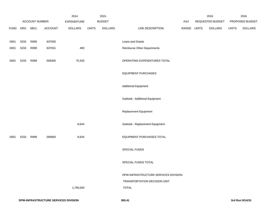|             |      |                |                | 2014               |              | 2015           |                                       |       |                  | 2016           |              | 2016            |
|-------------|------|----------------|----------------|--------------------|--------------|----------------|---------------------------------------|-------|------------------|----------------|--------------|-----------------|
|             |      | ACCOUNT NUMBER |                | <b>EXPENDITURE</b> |              | <b>BUDGET</b>  |                                       | PAY   | REQUESTED BUDGET |                |              | PROPOSED BUDGET |
| <b>FUND</b> | ORG  | SBCL           | <b>ACCOUNT</b> | <b>DOLLARS</b>     | <b>UNITS</b> | <b>DOLLARS</b> | LINE DESCRIPTION                      | RANGE | <b>UNITS</b>     | <b>DOLLARS</b> | <b>UNITS</b> | <b>DOLLARS</b>  |
| 0001        | 5233 | R999           | 637000         |                    |              |                | Loans and Grants                      |       |                  |                |              |                 |
| 0001        | 5233 | R999           | 637501         | 493                |              |                | Reimburse Other Departments           |       |                  |                |              |                 |
| 0001        | 5233 | R999           | 006300         | 75,333             |              |                | OPERATING EXPENDITURES TOTAL          |       |                  |                |              |                 |
|             |      |                |                |                    |              |                | <b>EQUIPMENT PURCHASES</b>            |       |                  |                |              |                 |
|             |      |                |                |                    |              |                | <b>Additional Equipment</b>           |       |                  |                |              |                 |
|             |      |                |                |                    |              |                | Subtotal - Additional Equipment       |       |                  |                |              |                 |
|             |      |                |                |                    |              |                | Replacement Equipment                 |       |                  |                |              |                 |
|             |      |                |                | 8,644              |              |                | Subtotal - Replacement Equipment      |       |                  |                |              |                 |
| 0001        | 5233 | R999           | 006800         | 8,644              |              |                | EQUIPMENT PURCHASES TOTAL             |       |                  |                |              |                 |
|             |      |                |                |                    |              |                | SPECIAL FUNDS                         |       |                  |                |              |                 |
|             |      |                |                |                    |              |                | SPECIAL FUNDS TOTAL                   |       |                  |                |              |                 |
|             |      |                |                |                    |              |                | DPW-INFRASTRUCTURE SERVICES DIVISION- |       |                  |                |              |                 |
|             |      |                |                |                    |              |                | TRANSPORTATION DECISION UNIT          |       |                  |                |              |                 |
|             |      |                |                | 1,766,593          |              |                | <b>TOTAL</b>                          |       |                  |                |              |                 |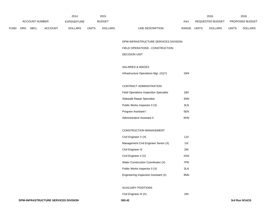|                       |     |             | 2014           |                | 2015         |                  | 2016                      |                                | 2016         |                |
|-----------------------|-----|-------------|----------------|----------------|--------------|------------------|---------------------------|--------------------------------|--------------|----------------|
| <b>ACCOUNT NUMBER</b> |     | EXPENDITURE |                | <b>BUDGET</b>  | PAY          | REQUESTED BUDGET |                           | <b>PROPOSED BUDGET</b>         |              |                |
| <b>FUND</b>           | ORG | <b>SBCL</b> | <b>ACCOUNT</b> | <b>DOLLARS</b> | <b>UNITS</b> | <b>DOLLARS</b>   | RANGE<br>LINE DESCRIPTION | <b>UNITS</b><br><b>DOLLARS</b> | <b>UNITS</b> | <b>DOLLARS</b> |

DPW-INFRASTRUCTURE SERVICES DIVISION-

#### FIELD OPERATIONS - CONSTRUCTION

# DECISION UNIT

#### SALARIES & WAGES

Infrastructure Operations Mgr. (X)(Y) 1MX

## CONTRACT ADMINISTRATION

| <b>Field Operations Inspection Specialist</b> | 1BX |
|-----------------------------------------------|-----|
| Sidewalk Repair Specialist                    | 3NN |
| Public Works Inspector II (X)                 | 3LN |
| Program Assistant I                           | 5EN |
| Administrative Assistant II                   | 6HN |

### CONSTRUCTION MANAGEMENT

| Civil Engineer V (X)                 | 1JX |
|--------------------------------------|-----|
| Management Civil Engineer Senior (X) | 11X |
| Civil Engineer III                   | 2IN |
| Civil Engineer II (X)                | 2GN |
| Water Construction Coordinator (X)   | 7PN |
| Public Works Inspector II (X)        | 3LN |
| Engineering Inspection Assistant (X) | 9NN |

# AUXILIARY POSITIONS

Civil Engineer III (X) 2IN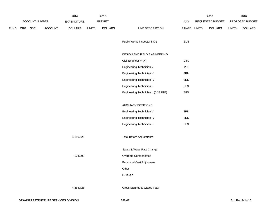|             |     |                |                | 2014               |              | 2015           |                                      |             | 2016 |                  | 2016         |                 |
|-------------|-----|----------------|----------------|--------------------|--------------|----------------|--------------------------------------|-------------|------|------------------|--------------|-----------------|
|             |     | ACCOUNT NUMBER |                | <b>EXPENDITURE</b> |              | <b>BUDGET</b>  |                                      | PAY         |      | REQUESTED BUDGET |              | PROPOSED BUDGET |
| <b>FUND</b> | ORG | SBCL           | <b>ACCOUNT</b> | <b>DOLLARS</b>     | <b>UNITS</b> | <b>DOLLARS</b> | LINE DESCRIPTION                     | RANGE UNITS |      | <b>DOLLARS</b>   | <b>UNITS</b> | <b>DOLLARS</b>  |
|             |     |                |                |                    |              |                | Public Works Inspector II (X)        | 3LN         |      |                  |              |                 |
|             |     |                |                |                    |              |                | DESIGN AND FIELD ENGINEERING         |             |      |                  |              |                 |
|             |     |                |                |                    |              |                | Civil Engineer V (X)                 | 1JX         |      |                  |              |                 |
|             |     |                |                |                    |              |                | Engineering Technician VI            | 2IN         |      |                  |              |                 |
|             |     |                |                |                    |              |                | Engineering Technician V             | 3RN         |      |                  |              |                 |
|             |     |                |                |                    |              |                | Engineering Technician IV            | 3NN         |      |                  |              |                 |
|             |     |                |                |                    |              |                | Engineering Technician II            | 3FN         |      |                  |              |                 |
|             |     |                |                |                    |              |                | Engineering Technician II (0.33 FTE) | 3FN         |      |                  |              |                 |
|             |     |                |                |                    |              |                | <b>AUXILIARY POSITIONS</b>           |             |      |                  |              |                 |
|             |     |                |                |                    |              |                | Engineering Technician V             | 3RN         |      |                  |              |                 |
|             |     |                |                |                    |              |                | Engineering Technician IV            | 3NN         |      |                  |              |                 |
|             |     |                |                |                    |              |                | Engineering Technician II            | 3FN         |      |                  |              |                 |
|             |     |                |                | 4,180,526          |              |                | <b>Total Before Adjustments</b>      |             |      |                  |              |                 |
|             |     |                |                |                    |              |                | Salary & Wage Rate Change            |             |      |                  |              |                 |
|             |     |                |                | 174,200            |              |                | Overtime Compensated                 |             |      |                  |              |                 |
|             |     |                |                |                    |              |                | Personnel Cost Adjustment            |             |      |                  |              |                 |
|             |     |                |                |                    |              |                | Other                                |             |      |                  |              |                 |
|             |     |                |                |                    |              |                | Furlough                             |             |      |                  |              |                 |
|             |     |                |                | 4,354,726          |              |                | Gross Salaries & Wages Total         |             |      |                  |              |                 |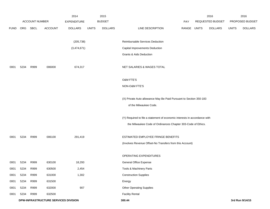|             |                                      |                |                | 2014               |              | 2015           |                                                                           |       |                  | 2016           |                 | 2016            |
|-------------|--------------------------------------|----------------|----------------|--------------------|--------------|----------------|---------------------------------------------------------------------------|-------|------------------|----------------|-----------------|-----------------|
|             |                                      | ACCOUNT NUMBER |                | <b>EXPENDITURE</b> |              | <b>BUDGET</b>  |                                                                           | PAY   | REQUESTED BUDGET |                | PROPOSED BUDGET |                 |
| <b>FUND</b> | ORG                                  | SBCL           | <b>ACCOUNT</b> | <b>DOLLARS</b>     | <b>UNITS</b> | <b>DOLLARS</b> | LINE DESCRIPTION                                                          | RANGE | UNITS            | <b>DOLLARS</b> | <b>UNITS</b>    | <b>DOLLARS</b>  |
|             |                                      |                |                |                    |              |                |                                                                           |       |                  |                |                 |                 |
|             |                                      |                |                | (205, 738)         |              |                | Reimbursable Services Deduction                                           |       |                  |                |                 |                 |
|             |                                      |                |                | (3,474,671)        |              |                | Capital Improvements Deduction                                            |       |                  |                |                 |                 |
|             |                                      |                |                |                    |              |                | Grants & Aids Deduction                                                   |       |                  |                |                 |                 |
|             |                                      |                |                |                    |              |                |                                                                           |       |                  |                |                 |                 |
| 0001        | 5234                                 | R999           | 006000         | 674,317            |              |                | NET SALARIES & WAGES TOTAL                                                |       |                  |                |                 |                 |
|             |                                      |                |                |                    |              |                |                                                                           |       |                  |                |                 |                 |
|             |                                      |                |                |                    |              |                | <b>O&amp;M FTE'S</b>                                                      |       |                  |                |                 |                 |
|             |                                      |                |                |                    |              |                | NON-O&M FTE'S                                                             |       |                  |                |                 |                 |
|             |                                      |                |                |                    |              |                |                                                                           |       |                  |                |                 |                 |
|             |                                      |                |                |                    |              |                | (X) Private Auto allowance May Be Paid Pursuant to Section 350-183        |       |                  |                |                 |                 |
|             |                                      |                |                |                    |              |                | of the Milwaukee Code.                                                    |       |                  |                |                 |                 |
|             |                                      |                |                |                    |              |                | (Y) Required to file a statement of economic interests in accordance with |       |                  |                |                 |                 |
|             |                                      |                |                |                    |              |                | the Milwaukee Code of Ordinances Chapter 303-Code of Ethics.              |       |                  |                |                 |                 |
|             |                                      |                |                |                    |              |                |                                                                           |       |                  |                |                 |                 |
| 0001        | 5234                                 | R999           | 006100         | 291,419            |              |                | ESTIMATED EMPLOYEE FRINGE BENEFITS                                        |       |                  |                |                 |                 |
|             |                                      |                |                |                    |              |                | (Involves Revenue Offset-No Transfers from this Account)                  |       |                  |                |                 |                 |
|             |                                      |                |                |                    |              |                |                                                                           |       |                  |                |                 |                 |
|             |                                      |                |                |                    |              |                | OPERATING EXPENDITURES                                                    |       |                  |                |                 |                 |
| 0001        | 5234                                 | R999           | 630100         | 18,293             |              |                | <b>General Office Expense</b>                                             |       |                  |                |                 |                 |
| 0001        | 5234                                 | R999           | 630500         | 2,454              |              |                | Tools & Machinery Parts                                                   |       |                  |                |                 |                 |
| 0001        | 5234                                 | R999           | 631000         | 1,302              |              |                | <b>Construction Supplies</b>                                              |       |                  |                |                 |                 |
| 0001        | 5234                                 | R999           | 631500         |                    |              |                | Energy                                                                    |       |                  |                |                 |                 |
| 0001        | 5234                                 | R999           | 632000         | 907                |              |                | Other Operating Supplies                                                  |       |                  |                |                 |                 |
| 0001        | 5234                                 | R999           | 632500         |                    |              |                | <b>Facility Rental</b>                                                    |       |                  |                |                 |                 |
|             | DPW-INFRASTRUCTURE SERVICES DIVISION |                |                |                    |              |                | 300.44                                                                    |       |                  |                |                 | 3rd Run 9/14/15 |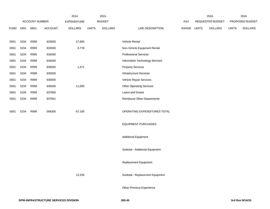|             |                |      |                | 2014               |              | 2015           |                                    |       |              | 2016             |                 | 2016           |
|-------------|----------------|------|----------------|--------------------|--------------|----------------|------------------------------------|-------|--------------|------------------|-----------------|----------------|
|             | ACCOUNT NUMBER |      |                | <b>EXPENDITURE</b> |              | <b>BUDGET</b>  |                                    | PAY   |              | REQUESTED BUDGET | PROPOSED BUDGET |                |
| <b>FUND</b> | ORG            | SBCL | <b>ACCOUNT</b> | <b>DOLLARS</b>     | <b>UNITS</b> | <b>DOLLARS</b> | LINE DESCRIPTION                   | RANGE | <b>UNITS</b> | <b>DOLLARS</b>   | <b>UNITS</b>    | <b>DOLLARS</b> |
|             |                |      |                |                    |              |                |                                    |       |              |                  |                 |                |
| 0001        | 5234           | R999 | 633000         | 27,890             |              |                | Vehicle Rental                     |       |              |                  |                 |                |
| 0001        | 5234           | R999 | 633500         | 3,778              |              |                | Non-Vehicle Equipment Rental       |       |              |                  |                 |                |
| 0001        | 5234           | R999 | 634000         |                    |              |                | <b>Professional Services</b>       |       |              |                  |                 |                |
| 0001        | 5234           | R999 | 634500         |                    |              |                | Information Technology Services    |       |              |                  |                 |                |
| 0001        | 5234           | R999 | 635000         | 1,471              |              |                | <b>Property Services</b>           |       |              |                  |                 |                |
| 0001        | 5234           | R999 | 635500         |                    |              |                | Infrastructure Services            |       |              |                  |                 |                |
| 0001        | 5234           | R999 | 636000         |                    |              |                | Vehicle Repair Services            |       |              |                  |                 |                |
| 0001        | 5234           | R999 | 636500         | 11,095             |              |                | <b>Other Operating Services</b>    |       |              |                  |                 |                |
| 0001        | 5234           | R999 | 637000         |                    |              |                | Loans and Grants                   |       |              |                  |                 |                |
| 0001        | 5234           | R999 | 637501         |                    |              |                | <b>Reimburse Other Departments</b> |       |              |                  |                 |                |
| 0001        | 5234           | R999 | 006300         | 67,190             |              |                | OPERATING EXPENDITURES TOTAL       |       |              |                  |                 |                |
|             |                |      |                |                    |              |                | <b>EQUIPMENT PURCHASES</b>         |       |              |                  |                 |                |
|             |                |      |                |                    |              |                |                                    |       |              |                  |                 |                |
|             |                |      |                |                    |              |                | <b>Additional Equipment</b>        |       |              |                  |                 |                |
|             |                |      |                |                    |              |                | Subtotal - Additional Equipment    |       |              |                  |                 |                |
|             |                |      |                |                    |              |                | Replacement Equipment              |       |              |                  |                 |                |
|             |                |      |                | 12,226             |              |                | Subtotal - Replacement Equipment   |       |              |                  |                 |                |
|             |                |      |                |                    |              |                | Other Previous Experience          |       |              |                  |                 |                |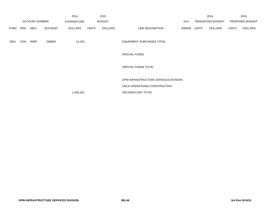|             |                       |      |                                     | 2014           |              | 2015           |                                       |                  | 2016  |                 | 2016         |                |
|-------------|-----------------------|------|-------------------------------------|----------------|--------------|----------------|---------------------------------------|------------------|-------|-----------------|--------------|----------------|
|             | <b>ACCOUNT NUMBER</b> |      | <b>BUDGET</b><br><b>EXPENDITURE</b> |                |              | PAY            |                                       | REQUESTED BUDGET |       | PROPOSED BUDGET |              |                |
| <b>FUND</b> | ORG                   | SBCL | <b>ACCOUNT</b>                      | <b>DOLLARS</b> | <b>UNITS</b> | <b>DOLLARS</b> | LINE DESCRIPTION                      | RANGE            | UNITS | DOLLARS         | <b>UNITS</b> | <b>DOLLARS</b> |
| 0001        | 5234                  | R999 | 006800                              | 12,226         |              |                | <b>EQUIPMENT PURCHASES TOTAL</b>      |                  |       |                 |              |                |
|             |                       |      |                                     |                |              |                | <b>SPECIAL FUNDS</b>                  |                  |       |                 |              |                |
|             |                       |      |                                     |                |              |                | SPECIAL FUNDS TOTAL                   |                  |       |                 |              |                |
|             |                       |      |                                     |                |              |                | DPW-INFRASTRUCTURE SERVICES DIVISION- |                  |       |                 |              |                |
|             |                       |      |                                     |                |              |                | FIELD OPERATIONS-CONSTRUCTION         |                  |       |                 |              |                |
|             |                       |      |                                     | 1,045,152      |              |                | <b>DECISION UNIT TOTAL</b>            |                  |       |                 |              |                |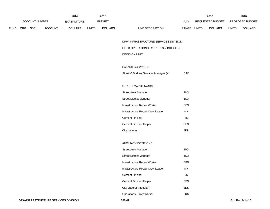|             |                |             |                    | 2014           |               | 2015           |                                  | 2016                           | 2016                   |                |
|-------------|----------------|-------------|--------------------|----------------|---------------|----------------|----------------------------------|--------------------------------|------------------------|----------------|
|             | ACCOUNT NUMBER |             | <b>EXPENDITURE</b> |                | <b>BUDGET</b> | PAY            | REQUESTED BUDGET                 |                                | <b>PROPOSED BUDGET</b> |                |
| <b>FUND</b> | <b>ORG</b>     | <b>SBCL</b> | <b>ACCOUNT</b>     | <b>DOLLARS</b> | UNITS         | <b>DOLLARS</b> | <b>RANGE</b><br>LINE DESCRIPTION | <b>UNITS</b><br><b>DOLLARS</b> | <b>UNITS</b>           | <b>DOLLARS</b> |

DPW-INFRASTRUCTURE SERVICES DIVISION-

## FIELD OPERATIONS - STREETS & BRIDGES

# DECISION UNIT

## SALARIES & WAGES

Street & Bridges Services Manager (X) 1JX

# STREET MAINTENANCE

| Street Area Manager               | 1HX |
|-----------------------------------|-----|
| Street District Manager           | 1DX |
| Infrastructure Repair Worker      | 8FN |
| Infrastructure Repair Crew Leader | 8IN |
| Cement Finisher                   | 7K  |
| Cement Finisher Helper            | 8FN |
| City Laborer                      | 8DN |

### AUXILIARY POSITIONS

| Street Area Manager               | 1HX |
|-----------------------------------|-----|
| <b>Street District Manager</b>    | 1DX |
| Infrastructure Repair Worker      | 8FN |
| Infrastructure Repair Crew Leader | 81N |
| <b>Cement Finisher</b>            | 7K  |
| <b>Cement Finisher Helper</b>     | 8FN |
| City Laborer (Regular)            | 8DN |
| <b>Operations Driver/Worker</b>   | 8KN |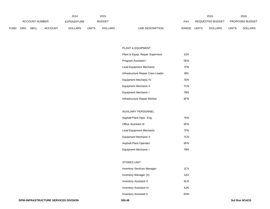|             |                |      |                              | 2014           |              | 2015           |                                  | 2016                           | 2016         |                |
|-------------|----------------|------|------------------------------|----------------|--------------|----------------|----------------------------------|--------------------------------|--------------|----------------|
|             | ACCOUNT NUMBER |      | <b>BUDGET</b><br>EXPENDITURE |                |              | PAY            | REQUESTED BUDGET                 | <b>PROPOSED BUDGET</b>         |              |                |
| <b>FUND</b> | <b>ORG</b>     | SBCL | <b>ACCOUNT</b>               | <b>DOLLARS</b> | <b>UNITS</b> | <b>DOLLARS</b> | LINE DESCRIPTION<br><b>RANGE</b> | <b>UNITS</b><br><b>DOLLARS</b> | <b>UNITS</b> | <b>DOLLARS</b> |

#### PLANT & EQUIPMENT

| Plant & Equip. Repair Supervisor  | 1DX |
|-----------------------------------|-----|
| Program Assistant I               | 5EN |
| Lead Equipment Mechanic           | 7FN |
| Infrastructure Repair Crew Leader | 8IN |
| Equipment Mechanic IV             | 7EN |
| Equipment Mechanic II             | 7CN |
| Equipment Mechanic I              | 7BN |
| Infrastructure Repair Worker      | 8FN |

# AUXILIARY PERSONNEL

| Asphalt Plant Oper. Eng.    | 7KN |
|-----------------------------|-----|
| <b>Office Assistant III</b> | 6FN |
| Lead Equipment Mechanic     | 7FN |
| Equipment Mechanic II       | 7CN |
| Asphalt Plant Operator      | 8FN |
| Equipment Mechanic I        | 7BN |

# STORES UNIT

| <b>Inventory Services Manager</b> |      |  |  |  |  |  |  |
|-----------------------------------|------|--|--|--|--|--|--|
| Inventory Manager (X)             | 1AX  |  |  |  |  |  |  |
| Inventory Assistant V             | 61 N |  |  |  |  |  |  |
| <b>Inventory Assistant IV</b>     | 6JN  |  |  |  |  |  |  |
| <b>Inventory Assistant II</b>     | 6HN  |  |  |  |  |  |  |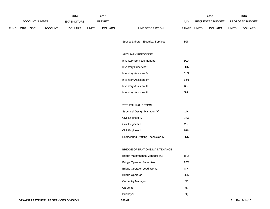|             |                       |      | 2014               |                | 2015         | 2016             |                                      |                 |  | 2016           |              |                |
|-------------|-----------------------|------|--------------------|----------------|--------------|------------------|--------------------------------------|-----------------|--|----------------|--------------|----------------|
|             | <b>ACCOUNT NUMBER</b> |      | <b>EXPENDITURE</b> |                | PAY          | REQUESTED BUDGET |                                      | PROPOSED BUDGET |  |                |              |                |
| <b>FUND</b> | ORG                   | SBCL | ACCOUNT            | <b>DOLLARS</b> | <b>UNITS</b> | <b>DOLLARS</b>   | LINE DESCRIPTION                     | RANGE UNITS     |  | <b>DOLLARS</b> | <b>UNITS</b> | <b>DOLLARS</b> |
|             |                       |      |                    |                |              |                  |                                      |                 |  |                |              |                |
|             |                       |      |                    |                |              |                  | Special Laborer, Electrical Services | 8GN             |  |                |              |                |
|             |                       |      |                    |                |              |                  | AUXILIARY PERSONNEL                  |                 |  |                |              |                |
|             |                       |      |                    |                |              |                  | <b>Inventory Services Manager</b>    | 1CX             |  |                |              |                |
|             |                       |      |                    |                |              |                  | <b>Inventory Supervisor</b>          | 2DN             |  |                |              |                |
|             |                       |      |                    |                |              |                  | Inventory Assistant V                | 6LN             |  |                |              |                |
|             |                       |      |                    |                |              |                  | Inventory Assistant IV               | 6JN             |  |                |              |                |
|             |                       |      |                    |                |              |                  | Inventory Assistant III              | 6IN             |  |                |              |                |
|             |                       |      |                    |                |              |                  | <b>Inventory Assistant II</b>        | 6HN             |  |                |              |                |
|             |                       |      |                    |                |              |                  |                                      |                 |  |                |              |                |
|             |                       |      |                    |                |              |                  | STRUCTURAL DESIGN                    |                 |  |                |              |                |
|             |                       |      |                    |                |              |                  | Structural Design Manager (X)        | 11X             |  |                |              |                |
|             |                       |      |                    |                |              |                  | Civil Engineer IV                    | 2KX             |  |                |              |                |
|             |                       |      |                    |                |              |                  | Civil Engineer III                   | 2IN             |  |                |              |                |
|             |                       |      |                    |                |              |                  | Civil Engineer II                    | 2GN             |  |                |              |                |
|             |                       |      |                    |                |              |                  | Engineering Drafting Technician IV   | 3NN             |  |                |              |                |
|             |                       |      |                    |                |              |                  |                                      |                 |  |                |              |                |
|             |                       |      |                    |                |              |                  | BRIDGE OPERATIONS/MAINTENANCE        |                 |  |                |              |                |
|             |                       |      |                    |                |              |                  | Bridge Maintenance Manager (X)       | 1HX             |  |                |              |                |
|             |                       |      |                    |                |              |                  | <b>Bridge Operator Supervisor</b>    | 1BX             |  |                |              |                |
|             |                       |      |                    |                |              |                  | <b>Bridge Operator-Lead Worker</b>   | $8\mathsf{IN}$  |  |                |              |                |
|             |                       |      |                    |                |              |                  | <b>Bridge Operator</b>               | 8GN             |  |                |              |                |
|             |                       |      |                    |                |              |                  | Carpentry Manager                    | <b>70</b>       |  |                |              |                |
|             |                       |      |                    |                |              |                  | Carpenter                            | <b>7K</b>       |  |                |              |                |
|             |                       |      |                    |                |              |                  | <b>Bricklayer</b>                    | $7Q$            |  |                |              |                |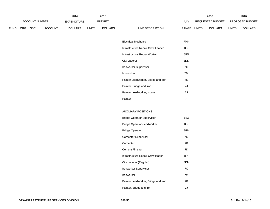|             |                       |             |                | 2014           |               | 2015           |                  | 2016  |                  |                |                        | 2016           |
|-------------|-----------------------|-------------|----------------|----------------|---------------|----------------|------------------|-------|------------------|----------------|------------------------|----------------|
|             | <b>ACCOUNT NUMBER</b> |             | EXPENDITURE    |                | <b>BUDGET</b> |                | PAY              |       | REQUESTED BUDGET |                | <b>PROPOSED BUDGET</b> |                |
| <b>FUND</b> | <b>ORG</b>            | <b>SBCL</b> | <b>ACCOUNT</b> | <b>DOLLARS</b> | <b>UNITS</b>  | <b>DOLLARS</b> | LINE DESCRIPTION | RANGE | <b>UNITS</b>     | <b>DOLLARS</b> | <b>UNITS</b>           | <b>DOLLARS</b> |

| <b>Electrical Mechanic</b>          | 7MN |
|-------------------------------------|-----|
| Infrastructure Repair Crew Leader   | 8IN |
| Infrastructure Repair Worker        | 8FN |
| City Laborer                        | 8DN |
| <b>Ironworker Supervisor</b>        | 70  |
| Ironworker                          | 7M  |
| Painter Leadworker, Bridge and Iron | 7K  |
| Painter, Bridge and Iron            | 7J  |
| Painter Leadworker, House           | 7J  |
| Painter                             | 71  |

### AUXILIARY POSITIONS

| Bridge Operator Supervisor          | 1BX |
|-------------------------------------|-----|
| Bridge Operator-Leadworker          | 8IN |
| <b>Bridge Operator</b>              | 8GN |
| Carpenter Supervisor                | 70  |
| Carpenter                           | 7K  |
| Cement Finisher                     | 7K  |
| Infrastructure Repair Crew leader   | 8IN |
| City Laborer (Regular)              | 8DN |
| Ironworker Supervisor               | 70  |
| Ironworker                          | 7M  |
| Painter Leadworker, Bridge and Iron | 7K  |
| Painter, Bridge and Iron            | 7J  |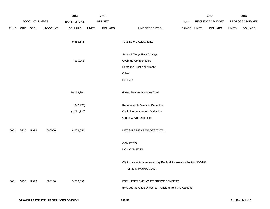|             |      |                | 2014                                 |                    | 2015         |                |                                                                    | 2016  |              | 2016             |              |                 |
|-------------|------|----------------|--------------------------------------|--------------------|--------------|----------------|--------------------------------------------------------------------|-------|--------------|------------------|--------------|-----------------|
|             |      | ACCOUNT NUMBER |                                      | <b>EXPENDITURE</b> |              | <b>BUDGET</b>  |                                                                    | PAY   |              | REQUESTED BUDGET |              | PROPOSED BUDGET |
| <b>FUND</b> | ORG  | <b>SBCL</b>    | ACCOUNT                              | <b>DOLLARS</b>     | <b>UNITS</b> | <b>DOLLARS</b> | LINE DESCRIPTION                                                   | RANGE | <b>UNITS</b> | <b>DOLLARS</b>   | <b>UNITS</b> | <b>DOLLARS</b>  |
|             |      |                |                                      |                    |              |                |                                                                    |       |              |                  |              |                 |
|             |      |                |                                      | 9,533,148          |              |                | <b>Total Before Adjustments</b>                                    |       |              |                  |              |                 |
|             |      |                |                                      |                    |              |                | Salary & Wage Rate Change                                          |       |              |                  |              |                 |
|             |      |                |                                      | 580,055            |              |                | Overtime Compensated                                               |       |              |                  |              |                 |
|             |      |                |                                      |                    |              |                | Personnel Cost Adjustment                                          |       |              |                  |              |                 |
|             |      |                |                                      |                    |              |                | Other                                                              |       |              |                  |              |                 |
|             |      |                |                                      |                    |              |                | Furlough                                                           |       |              |                  |              |                 |
|             |      |                |                                      |                    |              |                |                                                                    |       |              |                  |              |                 |
|             |      |                |                                      | 10,113,204         |              |                | Gross Salaries & Wages Total                                       |       |              |                  |              |                 |
|             |      |                |                                      |                    |              |                |                                                                    |       |              |                  |              |                 |
|             |      |                |                                      | (842, 473)         |              |                | Reimbursable Services Deduction                                    |       |              |                  |              |                 |
|             |      |                |                                      | (1,061,880)        |              |                | Capital Improvements Deduction                                     |       |              |                  |              |                 |
|             |      |                |                                      |                    |              |                | Grants & Aids Deduction                                            |       |              |                  |              |                 |
|             |      |                |                                      |                    |              |                |                                                                    |       |              |                  |              |                 |
| 0001        | 5235 | R999           | 006000                               | 8,208,851          |              |                | NET SALARIES & WAGES TOTAL                                         |       |              |                  |              |                 |
|             |      |                |                                      |                    |              |                |                                                                    |       |              |                  |              |                 |
|             |      |                |                                      |                    |              |                | O&M FTE'S                                                          |       |              |                  |              |                 |
|             |      |                |                                      |                    |              |                | NON-O&M FTE'S                                                      |       |              |                  |              |                 |
|             |      |                |                                      |                    |              |                | (X) Private Auto allowance May Be Paid Pursuant to Section 350-183 |       |              |                  |              |                 |
|             |      |                |                                      |                    |              |                | of the Milwaukee Code.                                             |       |              |                  |              |                 |
|             |      |                |                                      |                    |              |                |                                                                    |       |              |                  |              |                 |
| 0001        | 5235 | R999           | 006100                               | 3,709,391          |              |                | ESTIMATED EMPLOYEE FRINGE BENEFITS                                 |       |              |                  |              |                 |
|             |      |                |                                      |                    |              |                | (Involves Revenue Offset-No Transfers from this Account)           |       |              |                  |              |                 |
|             |      |                |                                      |                    |              |                |                                                                    |       |              |                  |              |                 |
|             |      |                | DPW-INFRASTRUCTURE SERVICES DIVISION |                    |              |                | 300.51                                                             |       |              |                  |              | 3rd Run 9/14/15 |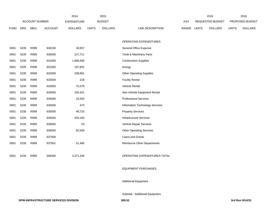|             |      |                       | 2014           | 2015               |              |                |                                    | 2016  |              | 2016             |              |                 |
|-------------|------|-----------------------|----------------|--------------------|--------------|----------------|------------------------------------|-------|--------------|------------------|--------------|-----------------|
|             |      | <b>ACCOUNT NUMBER</b> |                | <b>EXPENDITURE</b> |              | <b>BUDGET</b>  |                                    | PAY   |              | REQUESTED BUDGET |              | PROPOSED BUDGET |
| <b>FUND</b> | ORG  | <b>SBCL</b>           | <b>ACCOUNT</b> | <b>DOLLARS</b>     | <b>UNITS</b> | <b>DOLLARS</b> | LINE DESCRIPTION                   | RANGE | <b>UNITS</b> | <b>DOLLARS</b>   | <b>UNITS</b> | <b>DOLLARS</b>  |
|             |      |                       |                |                    |              |                |                                    |       |              |                  |              |                 |
|             |      |                       |                |                    |              |                | OPERATING EXPENDITURES             |       |              |                  |              |                 |
| 0001        | 5235 | R999                  | 630100         | 18,657             |              |                | <b>General Office Expense</b>      |       |              |                  |              |                 |
| 0001        | 5235 | R999                  | 630500         | 127,711            |              |                | Tools & Machinery Parts            |       |              |                  |              |                 |
| 0001        | 5235 | R999                  | 631000         | 1,866,568          |              |                | <b>Construction Supplies</b>       |       |              |                  |              |                 |
| 0001        | 5235 | R999                  | 631500         | 197,852            |              |                | Energy                             |       |              |                  |              |                 |
| 0001        | 5235 | R999                  | 632000         | 338,801            |              |                | <b>Other Operating Supplies</b>    |       |              |                  |              |                 |
| 0001        | 5235 | R999                  | 632500         | 218                |              |                | <b>Facility Rental</b>             |       |              |                  |              |                 |
| 0001        | 5235 | R999                  | 633000         | 72,079             |              |                | Vehicle Rental                     |       |              |                  |              |                 |
| 0001        | 5235 | R999                  | 633500         | 105,321            |              |                | Non-Vehicle Equipment Rental       |       |              |                  |              |                 |
| 0001        | 5235 | R999                  | 634000         | 15,525             |              |                | <b>Professional Services</b>       |       |              |                  |              |                 |
| 0001        | 5235 | R999                  | 634500         | 473                |              |                | Information Technology Services    |       |              |                  |              |                 |
| 0001        | 5235 | R999                  | 635000         | 49,733             |              |                | <b>Property Services</b>           |       |              |                  |              |                 |
| 0001        | 5235 | R999                  | 635500         | 434,193            |              |                | <b>Infrastructure Services</b>     |       |              |                  |              |                 |
| 0001        | 5235 | R999                  | 636000         | 53                 |              |                | Vehicle Repair Services            |       |              |                  |              |                 |
| 0001        | 5235 | R999                  | 636500         | 92,559             |              |                | <b>Other Operating Services</b>    |       |              |                  |              |                 |
| 0001        | 5235 | R999                  | 637000         |                    |              |                | Loans and Grants                   |       |              |                  |              |                 |
| 0001        | 5235 | R999                  | 637501         | 51,466             |              |                | <b>Reimburse Other Departments</b> |       |              |                  |              |                 |
|             |      |                       |                |                    |              |                |                                    |       |              |                  |              |                 |
| 0001        | 5235 | R999                  | 006300         | 3,371,209          |              |                | OPERATING EXPENDITURES TOTAL       |       |              |                  |              |                 |
|             |      |                       |                |                    |              |                |                                    |       |              |                  |              |                 |
|             |      |                       |                |                    |              |                | <b>EQUIPMENT PURCHASES</b>         |       |              |                  |              |                 |
|             |      |                       |                |                    |              |                |                                    |       |              |                  |              |                 |

Additional Equipment

Subtotal - Additional Equipment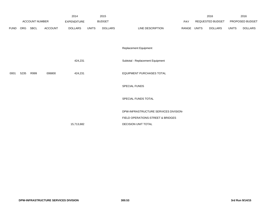|      |      | ACCOUNT NUMBER |                | 2014<br><b>EXPENDITURE</b> |              | 2015<br><b>BUDGET</b> |                                       | PAY   |              | 2016<br>REQUESTED BUDGET |              | 2016<br>PROPOSED BUDGET |
|------|------|----------------|----------------|----------------------------|--------------|-----------------------|---------------------------------------|-------|--------------|--------------------------|--------------|-------------------------|
| FUND | ORG  | SBCL           | <b>ACCOUNT</b> | <b>DOLLARS</b>             | <b>UNITS</b> | <b>DOLLARS</b>        | LINE DESCRIPTION                      | RANGE | <b>UNITS</b> | <b>DOLLARS</b>           | <b>UNITS</b> | <b>DOLLARS</b>          |
|      |      |                |                |                            |              |                       |                                       |       |              |                          |              |                         |
|      |      |                |                |                            |              |                       | Replacement Equipment                 |       |              |                          |              |                         |
|      |      |                |                | 424,231                    |              |                       | Subtotal - Replacement Equipment      |       |              |                          |              |                         |
| 0001 | 5235 | R999           | 006800         | 424,231                    |              |                       | <b>EQUIPMENT PURCHASES TOTAL</b>      |       |              |                          |              |                         |
|      |      |                |                |                            |              |                       | SPECIAL FUNDS                         |       |              |                          |              |                         |
|      |      |                |                |                            |              |                       | SPECIAL FUNDS TOTAL                   |       |              |                          |              |                         |
|      |      |                |                |                            |              |                       | DPW-INFRASTRUCTURE SERVICES DIVISION- |       |              |                          |              |                         |
|      |      |                |                |                            |              |                       | FIELD OPERATIONS-STREET & BRIDGES     |       |              |                          |              |                         |
|      |      |                |                | 15,713,682                 |              |                       | <b>DECISION UNIT TOTAL</b>            |       |              |                          |              |                         |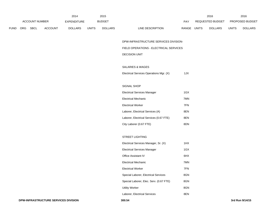|       | 2014                  |             |                    |                |               | 2015           |                         |       |                        | 2016           | 2016         |                |  |
|-------|-----------------------|-------------|--------------------|----------------|---------------|----------------|-------------------------|-------|------------------------|----------------|--------------|----------------|--|
|       | <b>ACCOUNT NUMBER</b> |             | <b>EXPENDITURE</b> |                | <b>BUDGET</b> |                | REQUESTED BUDGET<br>PAY |       | <b>PROPOSED BUDGET</b> |                |              |                |  |
| FUND- | ORG                   | <b>SBCL</b> | <b>ACCOUNT</b>     | <b>DOLLARS</b> | <b>UNITS</b>  | <b>DOLLARS</b> | LINE DESCRIPTION        | RANGE | UNITS                  | <b>DOLLARS</b> | <b>UNITS</b> | <b>DOLLARS</b> |  |

DPW-INFRASTRUCTURE SERVICES DIVISION-

## FIELD OPERATIONS - ELECTRICAL SERVICES

# DECISION UNIT

# SALARIES & WAGES

| Electrical Services Operations Mgr. (X) |  |  | 1JX |
|-----------------------------------------|--|--|-----|
|-----------------------------------------|--|--|-----|

## SIGNAL SHOP

| Electrical Services Manager             | 1GX |
|-----------------------------------------|-----|
| Electrical Mechanic                     | 7MN |
| Electrical Worker                       | 7FN |
| Laborer, Electrical Services (A)        | 8EN |
| Laborer, Electrical Services (0.67 FTE) | 8EN |
| City Laborer (0.67 FTE)                 | 8DN |

# STREET LIGHTING

| Electrical Services Manager, Sr. (X)    | 1HX |
|-----------------------------------------|-----|
| <b>Electrical Services Manager</b>      | 1GX |
| Office Assistant IV                     | 6HX |
| Electrical Mechanic                     | 7MN |
| <b>Electrical Worker</b>                | 7FN |
| Special Laborer, Electrical Services    | 8GN |
| Special Laborer, Elec. Serv. (0.67 FTE) | 8GN |
| Utility Worker                          | 8GN |
| Laborer, Electrical Services            | 8EN |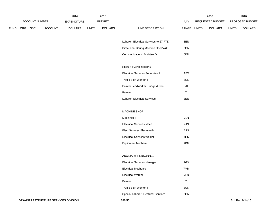|             |     |                       |         | 2014               |              | 2015           |                                         |       |              | 2016             |              | 2016            |
|-------------|-----|-----------------------|---------|--------------------|--------------|----------------|-----------------------------------------|-------|--------------|------------------|--------------|-----------------|
|             |     | <b>ACCOUNT NUMBER</b> |         | <b>EXPENDITURE</b> |              | <b>BUDGET</b>  |                                         | PAY   |              | REQUESTED BUDGET |              | PROPOSED BUDGET |
| <b>FUND</b> | ORG | <b>SBCL</b>           | ACCOUNT | <b>DOLLARS</b>     | <b>UNITS</b> | <b>DOLLARS</b> | LINE DESCRIPTION                        | RANGE | <b>UNITS</b> | <b>DOLLARS</b>   | <b>UNITS</b> | <b>DOLLARS</b>  |
|             |     |                       |         |                    |              |                |                                         |       |              |                  |              |                 |
|             |     |                       |         |                    |              |                | Laborer, Electrical Services (0.67 FTE) | 8EN   |              |                  |              |                 |
|             |     |                       |         |                    |              |                | Directional Boring Machine Oper/Wrk     | 8ON   |              |                  |              |                 |
|             |     |                       |         |                    |              |                | <b>Communications Assistant V</b>       | 6KN   |              |                  |              |                 |
|             |     |                       |         |                    |              |                | SIGN & PAINT SHOPS                      |       |              |                  |              |                 |
|             |     |                       |         |                    |              |                | <b>Electrical Services Supervisor I</b> | 1EX   |              |                  |              |                 |
|             |     |                       |         |                    |              |                | Traffic Sign Worker II                  | 8GN   |              |                  |              |                 |
|             |     |                       |         |                    |              |                | Painter Leadworker, Bridge & Iron       | 7K    |              |                  |              |                 |
|             |     |                       |         |                    |              |                | Painter                                 | 71    |              |                  |              |                 |
|             |     |                       |         |                    |              |                | Laborer, Electrical Services            | 8EN   |              |                  |              |                 |
|             |     |                       |         |                    |              |                |                                         |       |              |                  |              |                 |
|             |     |                       |         |                    |              |                | MACHINE SHOP                            |       |              |                  |              |                 |
|             |     |                       |         |                    |              |                | Machinist II                            | 7LN   |              |                  |              |                 |
|             |     |                       |         |                    |              |                | <b>Electrical Services Mach. I</b>      | 7JN   |              |                  |              |                 |
|             |     |                       |         |                    |              |                | Elec. Services Blacksmith               | 7JN   |              |                  |              |                 |
|             |     |                       |         |                    |              |                | <b>Electrical Services Welder</b>       | 7HN   |              |                  |              |                 |
|             |     |                       |         |                    |              |                | Equipment Mechanic I                    | 7BN   |              |                  |              |                 |
|             |     |                       |         |                    |              |                |                                         |       |              |                  |              |                 |
|             |     |                       |         |                    |              |                | AUXILIARY PERSONNEL                     |       |              |                  |              |                 |
|             |     |                       |         |                    |              |                | <b>Electrical Services Manager</b>      | 1GX   |              |                  |              |                 |
|             |     |                       |         |                    |              |                | <b>Electrical Mechanic</b>              | 7MM   |              |                  |              |                 |
|             |     |                       |         |                    |              |                | <b>Electrical Worker</b>                | 7FN   |              |                  |              |                 |
|             |     |                       |         |                    |              |                | Painter                                 | 71    |              |                  |              |                 |
|             |     |                       |         |                    |              |                | Traffic Sign Worker II                  | 8GN   |              |                  |              |                 |
|             |     |                       |         |                    |              |                | Special Laborer, Electrical Services    | 8GN   |              |                  |              |                 |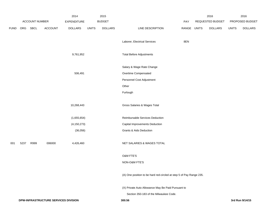|             |      |                | 2014                                 |                | 2015          |                |                                                                     | 2016        |                  | 2016         |                 |
|-------------|------|----------------|--------------------------------------|----------------|---------------|----------------|---------------------------------------------------------------------|-------------|------------------|--------------|-----------------|
|             |      | ACCOUNT NUMBER |                                      | EXPENDITURE    | <b>BUDGET</b> |                |                                                                     | PAY         | REQUESTED BUDGET |              | PROPOSED BUDGET |
| <b>FUND</b> | ORG  | SBCL           | ACCOUNT                              | <b>DOLLARS</b> | <b>UNITS</b>  | <b>DOLLARS</b> | LINE DESCRIPTION                                                    | RANGE UNITS | <b>DOLLARS</b>   | <b>UNITS</b> | <b>DOLLARS</b>  |
|             |      |                |                                      |                |               |                | Laborer, Electrical Services                                        | 8EN         |                  |              |                 |
|             |      |                |                                      | 9,761,952      |               |                | <b>Total Before Adjustments</b>                                     |             |                  |              |                 |
|             |      |                |                                      |                |               |                | Salary & Wage Rate Change                                           |             |                  |              |                 |
|             |      |                |                                      | 506,491        |               |                | Overtime Compensated                                                |             |                  |              |                 |
|             |      |                |                                      |                |               |                | Personnel Cost Adjustment                                           |             |                  |              |                 |
|             |      |                |                                      |                |               |                | Other                                                               |             |                  |              |                 |
|             |      |                |                                      |                |               |                | Furlough                                                            |             |                  |              |                 |
|             |      |                |                                      | 10,268,443     |               |                | Gross Salaries & Wages Total                                        |             |                  |              |                 |
|             |      |                |                                      | (1,655,654)    |               |                | Reimbursable Services Deduction                                     |             |                  |              |                 |
|             |      |                |                                      | (4, 150, 273)  |               |                | Capital Improvements Deduction                                      |             |                  |              |                 |
|             |      |                |                                      | (36,056)       |               |                | <b>Grants &amp; Aids Deduction</b>                                  |             |                  |              |                 |
| 001         | 5237 | R999           | 006000                               | 4,426,460      |               |                | NET SALARIES & WAGES TOTAL                                          |             |                  |              |                 |
|             |      |                |                                      |                |               |                | O&M FTE'S                                                           |             |                  |              |                 |
|             |      |                |                                      |                |               |                | NON-O&M FTE'S                                                       |             |                  |              |                 |
|             |      |                |                                      |                |               |                | (A) One position to be hard red-circled at step 5 of Pay Range 235. |             |                  |              |                 |
|             |      |                |                                      |                |               |                | (X) Private Auto Allowance May Be Paid Pursuant to                  |             |                  |              |                 |
|             |      |                |                                      |                |               |                | Section 350-183 of the Milwaukee Code.                              |             |                  |              |                 |
|             |      |                | DPW-INFRASTRUCTURE SERVICES DIVISION |                |               |                | 300.56                                                              |             |                  |              | 3rd Run 9/14/15 |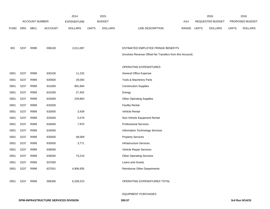|             |            |                       |                | 2014               |              | 2015           |                                                          |       |              | 2016             |              | 2016            |
|-------------|------------|-----------------------|----------------|--------------------|--------------|----------------|----------------------------------------------------------|-------|--------------|------------------|--------------|-----------------|
|             |            | <b>ACCOUNT NUMBER</b> |                | <b>EXPENDITURE</b> |              | <b>BUDGET</b>  |                                                          | PAY   |              | REQUESTED BUDGET |              | PROPOSED BUDGET |
| <b>FUND</b> | <b>ORG</b> | <b>SBCL</b>           | <b>ACCOUNT</b> | <b>DOLLARS</b>     | <b>UNITS</b> | <b>DOLLARS</b> | LINE DESCRIPTION                                         | RANGE | <b>UNITS</b> | <b>DOLLARS</b>   | <b>UNITS</b> | <b>DOLLARS</b>  |
|             |            |                       |                |                    |              |                |                                                          |       |              |                  |              |                 |
|             |            |                       |                |                    |              |                |                                                          |       |              |                  |              |                 |
| 001         | 5237       | R999                  | 006100         | 2,011,087          |              |                | ESTIMATED EMPLOYEE FRINGE BENEFITS                       |       |              |                  |              |                 |
|             |            |                       |                |                    |              |                | (Involves Revenue Offset-No Transfers from this Account) |       |              |                  |              |                 |
|             |            |                       |                |                    |              |                |                                                          |       |              |                  |              |                 |
|             |            |                       |                |                    |              |                | OPERATING EXPENDITURES                                   |       |              |                  |              |                 |
| 0001        | 5237       | R999                  | 630100         | 11,232             |              |                | <b>General Office Expense</b>                            |       |              |                  |              |                 |
| 0001        | 5237       | R999                  | 630500         | 29,000             |              |                | Tools & Machinery Parts                                  |       |              |                  |              |                 |
| 0001        | 5237       | R999                  | 631000         | 991,694            |              |                | <b>Construction Supplies</b>                             |       |              |                  |              |                 |
| 0001        | 5237       | R999                  | 631500         | 27,452             |              |                | Energy                                                   |       |              |                  |              |                 |
| 0001        | 5237       | R999                  | 632000         | 229,863            |              |                | <b>Other Operating Supplies</b>                          |       |              |                  |              |                 |
| 0001        | 5237       | R999                  | 632500         |                    |              |                | <b>Facility Rental</b>                                   |       |              |                  |              |                 |
| 0001        | 5237       | R999                  | 633000         | 3,439              |              |                | Vehicle Rental                                           |       |              |                  |              |                 |
| 0001        | 5237       | R999                  | 633500         | 5,579              |              |                | Non-Vehicle Equipment Rental                             |       |              |                  |              |                 |
| 0001        | 5237       | R999                  | 634000         | 7,970              |              |                | <b>Professional Services</b>                             |       |              |                  |              |                 |
| 0001        | 5237       | R999                  | 634500         |                    |              |                | Information Technology Services                          |       |              |                  |              |                 |
| 0001        | 5237       | R999                  | 635000         | 49,069             |              |                | <b>Property Services</b>                                 |       |              |                  |              |                 |
| 0001        | 5237       | R999                  | 635500         | 3,771              |              |                | <b>Infrastructure Services</b>                           |       |              |                  |              |                 |
| 0001        | 5237       | R999                  | 636000         |                    |              |                | Vehicle Repair Services                                  |       |              |                  |              |                 |
| 0001        | 5237       | R999                  | 636500         | 73,219             |              |                | <b>Other Operating Services</b>                          |       |              |                  |              |                 |
| 0001        | 5237       | R999                  | 637000         |                    |              |                | Loans and Grants                                         |       |              |                  |              |                 |
| 0001        | 5237       | R999                  | 637501         | 4,906,935          |              |                | <b>Reimburse Other Departments</b>                       |       |              |                  |              |                 |
|             |            |                       |                |                    |              |                |                                                          |       |              |                  |              |                 |
| 0001        | 5237       | R999                  | 006300         | 6,339,223          |              |                | OPERATING EXPENDITURES TOTAL                             |       |              |                  |              |                 |
|             |            |                       |                |                    |              |                |                                                          |       |              |                  |              |                 |

#### EQUIPMENT PURCHASES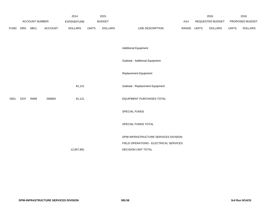|             |      |                       |                | 2014               |              | 2015           |                                        |       | 2016         |                  | 2016         |                 |
|-------------|------|-----------------------|----------------|--------------------|--------------|----------------|----------------------------------------|-------|--------------|------------------|--------------|-----------------|
|             |      | <b>ACCOUNT NUMBER</b> |                | <b>EXPENDITURE</b> |              | <b>BUDGET</b>  |                                        | PAY   |              | REQUESTED BUDGET |              | PROPOSED BUDGET |
| <b>FUND</b> |      | ORG SBCL              | <b>ACCOUNT</b> | <b>DOLLARS</b>     | <b>UNITS</b> | <b>DOLLARS</b> | LINE DESCRIPTION                       | RANGE | <b>UNITS</b> | <b>DOLLARS</b>   | <b>UNITS</b> | <b>DOLLARS</b>  |
|             |      |                       |                |                    |              |                |                                        |       |              |                  |              |                 |
|             |      |                       |                |                    |              |                | <b>Additional Equipment</b>            |       |              |                  |              |                 |
|             |      |                       |                |                    |              |                | Subtotal - Additional Equipment        |       |              |                  |              |                 |
|             |      |                       |                |                    |              |                | Replacement Equipment                  |       |              |                  |              |                 |
|             |      |                       |                | 81,121             |              |                | Subtotal - Replacement Equipment       |       |              |                  |              |                 |
| 0001        | 5237 | R999                  | 006800         | 81,121             |              |                | EQUIPMENT PURCHASES TOTAL              |       |              |                  |              |                 |
|             |      |                       |                |                    |              |                | SPECIAL FUNDS                          |       |              |                  |              |                 |
|             |      |                       |                |                    |              |                | SPECIAL FUNDS TOTAL                    |       |              |                  |              |                 |
|             |      |                       |                |                    |              |                | DPW-INFRASTRUCTURE SERVICES DIVISION-  |       |              |                  |              |                 |
|             |      |                       |                |                    |              |                | FIELD OPERATIONS - ELECTRICAL SERVICES |       |              |                  |              |                 |
|             |      |                       |                | 12,857,891         |              |                | DECISION UNIT TOTAL                    |       |              |                  |              |                 |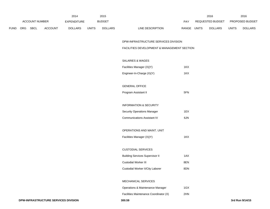|      |                |         | 2014               |              | 2015           |                                             |             | 2016             |              | 2016            |
|------|----------------|---------|--------------------|--------------|----------------|---------------------------------------------|-------------|------------------|--------------|-----------------|
|      | ACCOUNT NUMBER |         | <b>EXPENDITURE</b> |              | <b>BUDGET</b>  |                                             | PAY         | REQUESTED BUDGET |              | PROPOSED BUDGET |
| FUND | ORG SBCL       | ACCOUNT | <b>DOLLARS</b>     | <b>UNITS</b> | <b>DOLLARS</b> | LINE DESCRIPTION                            | RANGE UNITS | <b>DOLLARS</b>   | <b>UNITS</b> | <b>DOLLARS</b>  |
|      |                |         |                    |              |                | DPW-INFRASTRUCTURE SERVICES DIVISION        |             |                  |              |                 |
|      |                |         |                    |              |                | FACILITIES DEVELOPMENT & MANAGEMENT SECTION |             |                  |              |                 |
|      |                |         |                    |              |                | SALARIES & WAGES                            |             |                  |              |                 |
|      |                |         |                    |              |                | Facilities Manager (X)(Y)                   | 1KX         |                  |              |                 |
|      |                |         |                    |              |                | Engineer-In-Charge (X)(Y)                   | 1KX         |                  |              |                 |
|      |                |         |                    |              |                | <b>GENERAL OFFICE</b>                       |             |                  |              |                 |
|      |                |         |                    |              |                | Program Assistant II                        | 5FN         |                  |              |                 |
|      |                |         |                    |              |                | <b>INFORMATION &amp; SECURITY</b>           |             |                  |              |                 |
|      |                |         |                    |              |                | <b>Security Operations Manager</b>          | 1EX         |                  |              |                 |
|      |                |         |                    |              |                | <b>Communications Assistant IV</b>          | 6JN         |                  |              |                 |
|      |                |         |                    |              |                | OPERATIONS AND MAINT. UNIT                  |             |                  |              |                 |
|      |                |         |                    |              |                | Facilities Manager (X)(Y)                   | 1KX         |                  |              |                 |
|      |                |         |                    |              |                | <b>CUSTODIAL SERVICES</b>                   |             |                  |              |                 |
|      |                |         |                    |              |                | <b>Building Services Supervisor II</b>      | 1AX         |                  |              |                 |
|      |                |         |                    |              |                | <b>Custodial Worker III</b>                 | 8EN         |                  |              |                 |
|      |                |         |                    |              |                | Custodial Worker II/City Laborer            | 8DN         |                  |              |                 |
|      |                |         |                    |              |                | MECHANICAL SERVICES                         |             |                  |              |                 |
|      |                |         |                    |              |                | Operations & Maintenance Manager            | 1GX         |                  |              |                 |
|      |                |         |                    |              |                | Facilities Maintenance Coordinator (X)      | 2HN         |                  |              |                 |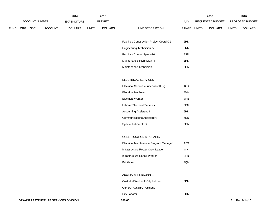|             |            |                       |                | 2014               |              | 2015           |                  |       |              | 2016             |              | 2016                   |
|-------------|------------|-----------------------|----------------|--------------------|--------------|----------------|------------------|-------|--------------|------------------|--------------|------------------------|
|             |            | <b>ACCOUNT NUMBER</b> |                | <b>EXPENDITURE</b> |              | <b>BUDGET</b>  |                  | PAY   |              | REQUESTED BUDGET |              | <b>PROPOSED BUDGET</b> |
| <b>FUND</b> | <b>ORG</b> | <b>SBCL</b>           | <b>ACCOUNT</b> | <b>DOLLARS</b>     | <b>UNITS</b> | <b>DOLLARS</b> | LINE DESCRIPTION | RANGE | <b>UNITS</b> | <b>DOLLARS</b>   | <b>UNITS</b> | <b>DOLLARS</b>         |

| Facilities Construction Project Coord. (X) | 2HN |
|--------------------------------------------|-----|
| Engineering Technician IV                  | 3NN |
| <b>Facilities Control Specialist</b>       | 3SN |
| Maintenance Technician III                 | 3HN |
| Maintenance Technician II                  | 3GN |

### ELECTRICAL SERVICES

| Electrical Services Supervisor II (X) | 1GX |
|---------------------------------------|-----|
| Electrical Mechanic                   | 7MN |
| Electrical Worker                     | 7FN |
| Laborer/Electrical Services           | 8EN |
| Accounting Assistant II               | 6HN |
| Communications Assistant V            | 6KN |
| Special Laborer E.S.                  | 8GN |

### CONSTRUCTION & REPAIRS

| Electrical Maintenance Program Manager | 1BX |
|----------------------------------------|-----|
| Infrastructure Repair Crew Leader      | 81N |
| Infrastructure Repair Worker           | 8FN |
| <b>Bricklayer</b>                      | 7ON |

#### AUXILIARY PERSONNEL

| Custodial Worker II-City Laborer   | 8DN |
|------------------------------------|-----|
| <b>General Auxiliary Positions</b> |     |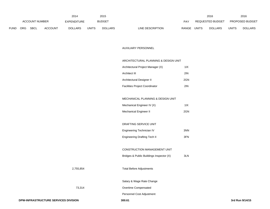|             |     |                       |                | 2014               |              | 2015           |                           |              | 2016             |              | 2016                   |
|-------------|-----|-----------------------|----------------|--------------------|--------------|----------------|---------------------------|--------------|------------------|--------------|------------------------|
|             |     | <b>ACCOUNT NUMBER</b> |                | <b>EXPENDITURE</b> |              | <b>BUDGET</b>  | PAY                       |              | REQUESTED BUDGET |              | <b>PROPOSED BUDGET</b> |
| <b>FUND</b> | ORG | <b>SBCL</b>           | <b>ACCOUNT</b> | <b>DOLLARS</b>     | <b>UNITS</b> | <b>DOLLARS</b> | RANGE<br>LINE DESCRIPTION | <b>UNITS</b> | <b>DOLLARS</b>   | <b>UNITS</b> | <b>DOLLARS</b>         |

## AUXILIARY PERSONNEL

# ARCHITECTURAL PLANNING & DESIGN UNIT

| Architectural Project Manager (X)     | 11X |
|---------------------------------------|-----|
| Architect III                         | 2IN |
| Architectural Designer II             | 2GN |
| <b>Facilities Project Coordinator</b> | 2IN |

### MECHANICAL PLANNING & DESIGN UNIT

| Mechanical Engineer IV (X) | 11X |
|----------------------------|-----|
| Mechanical Engineer II     | 2GN |

| DRAFTING SERVICE UNIT |  |
|-----------------------|--|
|                       |  |

| Engineering Technician IV           | 3NN |
|-------------------------------------|-----|
| <b>Engineering Drafting Tech II</b> | 3FN |

# CONSTRUCTION MANAGEMENT UNIT

| Bridges & Public Buildings Inspector (X) | 3LN |
|------------------------------------------|-----|
|------------------------------------------|-----|

# 2,755,854 Total Before Adjustments

Salary & Wage Rate Change

73,314 Overtime Compensated

Personnel Cost Adjustment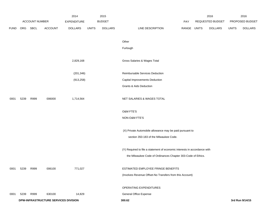|             |      |                |                                      | 2014               |              | 2015           |                                                                           |             | 2016             |              | 2016            |
|-------------|------|----------------|--------------------------------------|--------------------|--------------|----------------|---------------------------------------------------------------------------|-------------|------------------|--------------|-----------------|
|             |      | ACCOUNT NUMBER |                                      | <b>EXPENDITURE</b> |              | <b>BUDGET</b>  |                                                                           | PAY         | REQUESTED BUDGET |              | PROPOSED BUDGET |
| <b>FUND</b> | ORG  | SBCL           | ACCOUNT                              | <b>DOLLARS</b>     | <b>UNITS</b> | <b>DOLLARS</b> | LINE DESCRIPTION                                                          | RANGE UNITS | <b>DOLLARS</b>   | <b>UNITS</b> | <b>DOLLARS</b>  |
|             |      |                |                                      |                    |              |                | Other                                                                     |             |                  |              |                 |
|             |      |                |                                      |                    |              |                | Furlough                                                                  |             |                  |              |                 |
|             |      |                |                                      | 2,829,168          |              |                | Gross Salaries & Wages Total                                              |             |                  |              |                 |
|             |      |                |                                      | (201, 346)         |              |                | Reimbursable Services Deduction                                           |             |                  |              |                 |
|             |      |                |                                      | (913, 258)         |              |                | Capital Improvements Deduction                                            |             |                  |              |                 |
|             |      |                |                                      |                    |              |                | Grants & Aids Deduction                                                   |             |                  |              |                 |
| 0001        | 5239 | R999           | 006000                               | 1,714,564          |              |                | NET SALARIES & WAGES TOTAL                                                |             |                  |              |                 |
|             |      |                |                                      |                    |              |                | O&M FTE'S                                                                 |             |                  |              |                 |
|             |      |                |                                      |                    |              |                | NON-O&M FTE'S                                                             |             |                  |              |                 |
|             |      |                |                                      |                    |              |                | (X) Private Automobile allowance may be paid pursuant to                  |             |                  |              |                 |
|             |      |                |                                      |                    |              |                | section 350-183 of the Milwaukee Code.                                    |             |                  |              |                 |
|             |      |                |                                      |                    |              |                | (Y) Required to file a statement of economic interests in accordance with |             |                  |              |                 |
|             |      |                |                                      |                    |              |                | the Milwaukee Code of Ordinances Chapter 303-Code of Ethics.              |             |                  |              |                 |
| 0001        | 5239 | R999           | 006100                               | 771,027            |              |                | ESTIMATED EMPLOYEE FRINGE BENEFITS                                        |             |                  |              |                 |
|             |      |                |                                      |                    |              |                | (Involves Revenue Offset-No Transfers from this Account)                  |             |                  |              |                 |
|             |      |                |                                      |                    |              |                | OPERATING EXPENDITURES                                                    |             |                  |              |                 |
| 0001        | 5239 | R999           | 630100                               | 14,829             |              |                | <b>General Office Expense</b>                                             |             |                  |              |                 |
|             |      |                | DPW-INFRASTRUCTURE SERVICES DIVISION |                    |              |                | 300.62                                                                    |             |                  |              | 3rd Run 9/14/15 |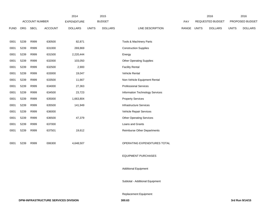|             |      |                       |                | 2014               |              | 2015           |                                    |       |              | 2016             |              | 2016            |
|-------------|------|-----------------------|----------------|--------------------|--------------|----------------|------------------------------------|-------|--------------|------------------|--------------|-----------------|
|             |      | <b>ACCOUNT NUMBER</b> |                | <b>EXPENDITURE</b> |              | <b>BUDGET</b>  |                                    | PAY   |              | REQUESTED BUDGET |              | PROPOSED BUDGET |
| <b>FUND</b> |      | ORG SBCL              | <b>ACCOUNT</b> | <b>DOLLARS</b>     | <b>UNITS</b> | <b>DOLLARS</b> | LINE DESCRIPTION                   | RANGE | <b>UNITS</b> | <b>DOLLARS</b>   | <b>UNITS</b> | <b>DOLLARS</b>  |
|             |      |                       |                |                    |              |                |                                    |       |              |                  |              |                 |
| 0001        | 5239 | R999                  | 630500         | 82,871             |              |                | Tools & Machinery Parts            |       |              |                  |              |                 |
| 0001        | 5239 | R999                  | 631000         | 269,869            |              |                | <b>Construction Supplies</b>       |       |              |                  |              |                 |
| 0001        | 5239 | R999                  | 631500         | 2,220,444          |              |                | Energy                             |       |              |                  |              |                 |
| 0001        | 5239 | R999                  | 632000         | 103,050            |              |                | <b>Other Operating Supplies</b>    |       |              |                  |              |                 |
| 0001        | 5239 | R999                  | 632500         | 2,900              |              |                | <b>Facility Rental</b>             |       |              |                  |              |                 |
| 0001        | 5239 | R999                  | 633000         | 19,047             |              |                | Vehicle Rental                     |       |              |                  |              |                 |
| 0001        | 5239 | R999                  | 633500         | 11,667             |              |                | Non-Vehicle Equipment Rental       |       |              |                  |              |                 |
| 0001        | 5239 | R999                  | 634000         | 27,363             |              |                | <b>Professional Services</b>       |       |              |                  |              |                 |
| 0001        | 5239 | R999                  | 634500         | 23,723             |              |                | Information Technology Services    |       |              |                  |              |                 |
| 0001        | 5239 | R999                  | 635000         | 1,663,804          |              |                | <b>Property Services</b>           |       |              |                  |              |                 |
| 0001        | 5239 | R999                  | 635500         | 141,949            |              |                | Infrastructure Services            |       |              |                  |              |                 |
| 0001        | 5239 | R999                  | 636000         |                    |              |                | Vehicle Repair Services            |       |              |                  |              |                 |
| 0001        | 5239 | R999                  | 636500         | 47,379             |              |                | <b>Other Operating Services</b>    |       |              |                  |              |                 |
| 0001        | 5239 | R999                  | 637000         |                    |              |                | Loans and Grants                   |       |              |                  |              |                 |
| 0001        | 5239 | R999                  | 637501         | 19,612             |              |                | <b>Reimburse Other Departments</b> |       |              |                  |              |                 |
| 0001        | 5239 | R999                  | 006300         | 4,648,507          |              |                | OPERATING EXPENDITURES TOTAL       |       |              |                  |              |                 |
|             |      |                       |                |                    |              |                | <b>EQUIPMENT PURCHASES</b>         |       |              |                  |              |                 |
|             |      |                       |                |                    |              |                | <b>Additional Equipment</b>        |       |              |                  |              |                 |
|             |      |                       |                |                    |              |                | Subtotal - Additional Equipment    |       |              |                  |              |                 |

Replacement Equipment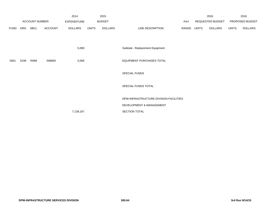|             |      |                       |                | 2014               |              | 2015           |                                        |       |       | 2016             |              | 2016            |
|-------------|------|-----------------------|----------------|--------------------|--------------|----------------|----------------------------------------|-------|-------|------------------|--------------|-----------------|
|             |      | <b>ACCOUNT NUMBER</b> |                | <b>EXPENDITURE</b> |              | <b>BUDGET</b>  |                                        | PAY   |       | REQUESTED BUDGET |              | PROPOSED BUDGET |
| <b>FUND</b> | ORG  | SBCL                  | <b>ACCOUNT</b> | <b>DOLLARS</b>     | <b>UNITS</b> | <b>DOLLARS</b> | LINE DESCRIPTION                       | RANGE | UNITS | DOLLARS          | <b>UNITS</b> | <b>DOLLARS</b>  |
|             |      |                       |                |                    |              |                |                                        |       |       |                  |              |                 |
|             |      |                       |                |                    |              |                |                                        |       |       |                  |              |                 |
|             |      |                       |                | 5,069              |              |                | Subtotal - Replacement Equipment       |       |       |                  |              |                 |
|             |      |                       |                |                    |              |                |                                        |       |       |                  |              |                 |
| 0001        | 5239 | R999                  | 006800         | 5,069              |              |                | <b>EQUIPMENT PURCHASES TOTAL</b>       |       |       |                  |              |                 |
|             |      |                       |                |                    |              |                |                                        |       |       |                  |              |                 |
|             |      |                       |                |                    |              |                | SPECIAL FUNDS                          |       |       |                  |              |                 |
|             |      |                       |                |                    |              |                |                                        |       |       |                  |              |                 |
|             |      |                       |                |                    |              |                | SPECIAL FUNDS TOTAL                    |       |       |                  |              |                 |
|             |      |                       |                |                    |              |                |                                        |       |       |                  |              |                 |
|             |      |                       |                |                    |              |                | DPW-INFRASTRUCTURE DIVISION-FACILITIES |       |       |                  |              |                 |
|             |      |                       |                |                    |              |                | DEVELOPMENT & MANAGEMENT               |       |       |                  |              |                 |
|             |      |                       |                | 7,139,167          |              |                | SECTION TOTAL                          |       |       |                  |              |                 |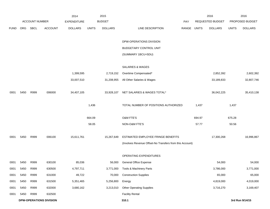|             |      |                       |                                | 2014               |              | 2015           |                                                          |       |              | 2016             |              | 2016            |
|-------------|------|-----------------------|--------------------------------|--------------------|--------------|----------------|----------------------------------------------------------|-------|--------------|------------------|--------------|-----------------|
|             |      | <b>ACCOUNT NUMBER</b> |                                | <b>EXPENDITURE</b> |              | <b>BUDGET</b>  |                                                          | PAY   |              | REQUESTED BUDGET |              | PROPOSED BUDGET |
| <b>FUND</b> | ORG  | SBCL                  | <b>ACCOUNT</b>                 | <b>DOLLARS</b>     | <b>UNITS</b> | <b>DOLLARS</b> | LINE DESCRIPTION                                         | RANGE | <b>UNITS</b> | <b>DOLLARS</b>   | <b>UNITS</b> | <b>DOLLARS</b>  |
|             |      |                       |                                |                    |              |                |                                                          |       |              |                  |              |                 |
|             |      |                       |                                |                    |              |                | DPW-OPERATIONS DIVISION                                  |       |              |                  |              |                 |
|             |      |                       |                                |                    |              |                | BUDGETARY CONTROL UNIT                                   |       |              |                  |              |                 |
|             |      |                       |                                |                    |              |                | (SUMMARY 1BCU=5DU)                                       |       |              |                  |              |                 |
|             |      |                       |                                |                    |              |                | SALARIES & WAGES                                         |       |              |                  |              |                 |
|             |      |                       |                                | 1,399,595          |              | 2,719,152      | Overtime Compensated*                                    |       |              | 2,852,392        |              | 2,602,392       |
|             |      |                       |                                | 33,007,510         |              | 31,208,955     | All Other Salaries & Wages                               |       |              | 33,189,833       |              | 32,807,746      |
|             |      |                       |                                |                    |              |                |                                                          |       |              |                  |              |                 |
| 0001        | 5450 | R999                  | 006000                         | 34,407,105         |              | 33,928,107     | NET SALARIES & WAGES TOTAL*                              |       |              | 36,042,225       |              | 35,410,138      |
|             |      |                       |                                |                    |              |                |                                                          |       |              |                  |              |                 |
|             |      |                       |                                |                    | 1,436        |                | TOTAL NUMBER OF POSITIONS AUTHORIZED                     |       | 1,437        |                  | 1,437        |                 |
|             |      |                       |                                |                    | 664.09       |                | O&M FTE'S                                                |       | 694.97       |                  | 675.28       |                 |
|             |      |                       |                                |                    | 58.05        |                | NON-O&M FTE'S                                            |       | 57.77        |                  | 50.56        |                 |
| 0001        | 5450 | R999                  | 006100                         | 15,611,761         |              | 15,267,649     | ESTIMATED EMPLOYEE FRINGE BENEFITS                       |       |              | 17,300,268       |              | 16,996,867      |
|             |      |                       |                                |                    |              |                | (Involves Revenue Offset-No Transfers from this Account) |       |              |                  |              |                 |
|             |      |                       |                                |                    |              |                |                                                          |       |              |                  |              |                 |
|             |      |                       |                                |                    |              |                | OPERATING EXPENDITURES                                   |       |              |                  |              |                 |
| 0001        | 5450 | R999                  | 630100                         | 85,036             |              | 56,000         | <b>General Office Expense</b>                            |       |              | 54,000           |              | 54,000          |
| 0001        | 5450 | R999                  | 630500                         | 4,797,711          |              | 3,771,000      | Tools & Machinery Parts                                  |       |              | 3,786,000        |              | 3,771,000       |
| 0001        | 5450 | R999                  | 631000                         | 49,722             |              | 70,000         | <b>Construction Supplies</b>                             |       |              | 65,000           |              | 65,000          |
| 0001        | 5450 | R999                  | 631500                         | 5,351,465          |              | 5,256,800      | Energy                                                   |       |              | 4,819,000        |              | 4,019,000       |
| 0001        | 5450 | R999                  | 632000                         | 3,680,162          |              | 3,213,010      | <b>Other Operating Supplies</b>                          |       |              | 3,716,270        |              | 3,169,407       |
| 0001        | 5450 | R999                  | 632500                         |                    |              |                | <b>Facility Rental</b>                                   |       |              |                  |              |                 |
|             |      |                       | <b>DPW-OPERATIONS DIVISION</b> |                    |              |                | 310.1                                                    |       |              |                  |              | 3rd Run 9/14/15 |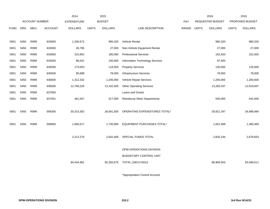|             |      |                       |                | 2014               |              | 2015           |                                 |             | 2016             |              | 2016            |
|-------------|------|-----------------------|----------------|--------------------|--------------|----------------|---------------------------------|-------------|------------------|--------------|-----------------|
|             |      | <b>ACCOUNT NUMBER</b> |                | <b>EXPENDITURE</b> |              | <b>BUDGET</b>  |                                 | PAY         | REQUESTED BUDGET |              | PROPOSED BUDGET |
| <b>FUND</b> | ORG  | <b>SBCL</b>           | <b>ACCOUNT</b> | <b>DOLLARS</b>     | <b>UNITS</b> | <b>DOLLARS</b> | LINE DESCRIPTION                | RANGE UNITS | <b>DOLLARS</b>   | <b>UNITS</b> | <b>DOLLARS</b>  |
|             |      |                       |                |                    |              |                |                                 |             |                  |              |                 |
| 0001        | 5450 | R999                  | 633000         | 1,206,572          |              | 995,320        | Vehicle Rental                  |             | 980,320          |              | 980,320         |
| 0001        | 5450 | R999                  | 633500         | 26,785             |              | 27,000         | Non-Vehicle Equipment Rental    |             | 27,000           |              | 27,000          |
| 0001        | 5450 | R999                  | 634000         | 315,952            |              | 185,000        | <b>Professional Services</b>    |             | 162,920          |              | 152,920         |
| 0001        | 5450 | R999                  | 634500         | 86,041             |              | 100,000        | Information Technology Services |             | 97,500           |              |                 |
| 0001        | 5450 | R999                  | 635000         | 173,053            |              | 119,500        | <b>Property Services</b>        |             | 130,000          |              | 120,000         |
| 0001        | 5450 | R999                  | 635500         | 95,688             |              | 78,000         | <b>Infrastructure Services</b>  |             | 78,000           |              | 78,000          |
| 0001        | 5450 | R999                  | 636000         | 1,312,332          |              | 1,200,000      | Vehicle Repair Services         |             | 1,200,000        |              | 1,200,000       |
| 0001        | 5450 | R999                  | 636500         | 12,768,226         |              | 13,102,920     | <b>Other Operating Services</b> |             | 13,260,337       |              | 12,919,837      |
| 0001        | 5450 | R999                  | 637000         |                    |              |                | Loans and Grants                |             |                  |              |                 |
| 0001        | 5450 | R999                  | 637501         | 361,557            |              | 517,000        | Reimburse Other Departments     |             | 545,000          |              | 442,000         |
|             |      |                       |                |                    |              |                |                                 |             |                  |              |                 |
| 0001        | 5450 | R999                  | 006300         | 30,310,302         |              | 28,691,550     | OPERATING EXPENDITURES TOTAL*   |             | 28,921,347       |              | 26,998,484      |
|             |      |                       |                |                    |              |                |                                 |             |                  |              |                 |
| 0001        | 5450 | R999                  | 006800         | 1,893,517          |              | 1,735,969      | EQUIPMENT PURCHASES TOTAL*      |             | 1,822,469        |              | 1,385,469       |
|             |      |                       |                |                    |              |                |                                 |             |                  |              |                 |
|             |      |                       |                | 2,212,276          |              | 2,642,400      | SPECIAL FUNDS TOTAL             |             | 2,820,194        |              | 2,678,653       |
|             |      |                       |                |                    |              |                |                                 |             |                  |              |                 |
|             |      |                       |                |                    |              |                | DPW-OPERATIONS DIVISION         |             |                  |              |                 |
|             |      |                       |                |                    |              |                | <b>BUDGETARY CONTROL UNIT</b>   |             |                  |              |                 |
|             |      |                       |                | 84,434,961         |              | 82,265,675     | TOTAL (1BCU=5DU)                |             | 86,906,503       |              | 83,469,611      |
|             |      |                       |                |                    |              |                |                                 |             |                  |              |                 |

\*Appropriation Control Account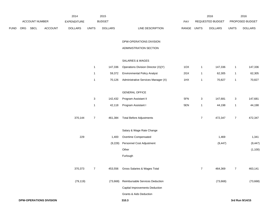|             |                |                                | 2014           |                  | 2015           |                                     |             |                           | 2016             |                | 2016            |
|-------------|----------------|--------------------------------|----------------|------------------|----------------|-------------------------------------|-------------|---------------------------|------------------|----------------|-----------------|
|             | ACCOUNT NUMBER |                                | EXPENDITURE    |                  | <b>BUDGET</b>  |                                     | PAY         |                           | REQUESTED BUDGET |                | PROPOSED BUDGET |
| <b>FUND</b> | ORG SBCL       | ACCOUNT                        | <b>DOLLARS</b> | <b>UNITS</b>     | <b>DOLLARS</b> | LINE DESCRIPTION                    | RANGE UNITS |                           | <b>DOLLARS</b>   | <b>UNITS</b>   | <b>DOLLARS</b>  |
|             |                |                                |                |                  |                | DPW-OPERATIONS DIVISION             |             |                           |                  |                |                 |
|             |                |                                |                |                  |                | ADMINISTRATION SECTION              |             |                           |                  |                |                 |
|             |                |                                |                |                  |                | SALARIES & WAGES                    |             |                           |                  |                |                 |
|             |                |                                |                | $\mathbf{1}$     | 147,336        | Operations Division Director (X)(Y) | 1OX         | $\mathbf{1}$              | 147,336          | $\mathbf{1}$   | 147,336         |
|             |                |                                |                | $\mathbf{1}$     | 59,372         | <b>Environmental Policy Analyst</b> | 2GX         | $\mathbf{1}$              | 62,305           | $\mathbf{1}$   | 62,305          |
|             |                |                                |                | $\mathbf{1}$     | 70,126         | Administrative Services Manager (X) | 1HX         | $\mathbf{1}$              | 70,827           | $\mathbf{1}$   | 70,827          |
|             |                |                                |                |                  |                | <b>GENERAL OFFICE</b>               |             |                           |                  |                |                 |
|             |                |                                |                | $\mathbf{3}$     | 142,432        | Program Assistant II                | 5FN         | $\ensuremath{\mathsf{3}}$ | 147,681          | $\sqrt{3}$     | 147,681         |
|             |                |                                |                | $\mathbf{1}$     | 42,118         | Program Assistant I                 | 5EN         | $\mathbf{1}$              | 44,198           | $\mathbf{1}$   | 44,198          |
|             |                |                                | 370,144        | $\boldsymbol{7}$ | 461,384        | <b>Total Before Adjustments</b>     |             | $\overline{7}$            | 472,347          | $\bf 7$        | 472,347         |
|             |                |                                |                |                  |                | Salary & Wage Rate Change           |             |                           |                  |                |                 |
|             |                |                                | 229            |                  | 1,400          | Overtime Compensated                |             |                           | 1,469            |                | 1,341           |
|             |                |                                |                |                  | (9,228)        | Personnel Cost Adjustment           |             |                           | (9, 447)         |                | (9, 447)        |
|             |                |                                |                |                  |                | Other                               |             |                           |                  |                | (1, 100)        |
|             |                |                                |                |                  |                | Furlough                            |             |                           |                  |                |                 |
|             |                |                                | 370,373        | $\boldsymbol{7}$ | 453,556        | Gross Salaries & Wages Total        |             | $\boldsymbol{7}$          | 464,369          | $\overline{7}$ | 463,141         |
|             |                |                                | (79, 119)      |                  | (73, 668)      | Reimbursable Services Deduction     |             |                           | (73, 668)        |                | (73, 668)       |
|             |                |                                |                |                  |                | Capital Improvements Deduction      |             |                           |                  |                |                 |
|             |                |                                |                |                  |                | <b>Grants &amp; Aids Deduction</b>  |             |                           |                  |                |                 |
|             |                | <b>DPW-OPERATIONS DIVISION</b> |                |                  |                | 310.3                               |             |                           |                  |                | 3rd Run 9/14/15 |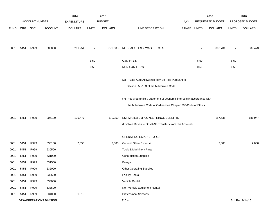|             |      |                       |                                | 2014               |                | 2015           |                                                                           |       |                | 2016             |                | 2016            |
|-------------|------|-----------------------|--------------------------------|--------------------|----------------|----------------|---------------------------------------------------------------------------|-------|----------------|------------------|----------------|-----------------|
|             |      | <b>ACCOUNT NUMBER</b> |                                | <b>EXPENDITURE</b> |                | <b>BUDGET</b>  |                                                                           | PAY   |                | REQUESTED BUDGET |                | PROPOSED BUDGET |
| <b>FUND</b> | ORG  | SBCL                  | <b>ACCOUNT</b>                 | <b>DOLLARS</b>     | <b>UNITS</b>   | <b>DOLLARS</b> | LINE DESCRIPTION                                                          | RANGE | <b>UNITS</b>   | <b>DOLLARS</b>   | <b>UNITS</b>   | <b>DOLLARS</b>  |
|             |      |                       |                                |                    |                |                |                                                                           |       |                |                  |                |                 |
| 0001        | 5451 | R999                  | 006000                         | 291,254            | $\overline{7}$ | 379,888        | NET SALARIES & WAGES TOTAL                                                |       | $\overline{7}$ | 390,701          | $\overline{7}$ | 389,473         |
|             |      |                       |                                |                    | 6.50           |                | O&M FTE'S                                                                 |       | 6.50           |                  | 6.50           |                 |
|             |      |                       |                                |                    | 0.50           |                | NON-O&M FTE'S                                                             |       | 0.50           |                  | 0.50           |                 |
|             |      |                       |                                |                    |                |                | (X) Private Auto Allowance May Be Paid Pursuant to                        |       |                |                  |                |                 |
|             |      |                       |                                |                    |                |                | Section 350-183 of the Milwaukee Code.                                    |       |                |                  |                |                 |
|             |      |                       |                                |                    |                |                | (Y) Required to file a statement of economic interests in accordance with |       |                |                  |                |                 |
|             |      |                       |                                |                    |                |                | the Milwaukee Code of Ordinances Chapter 303-Code of Ethics.              |       |                |                  |                |                 |
| 0001        | 5451 | R999                  | 006100                         | 139,477            |                | 170,950        | ESTIMATED EMPLOYEE FRINGE BENEFITS                                        |       |                | 187,536          |                | 186,947         |
|             |      |                       |                                |                    |                |                | (Involves Revenue Offset-No Transfers from this Account)                  |       |                |                  |                |                 |
|             |      |                       |                                |                    |                |                | OPERATING EXPENDITURES                                                    |       |                |                  |                |                 |
| 0001        | 5451 | R999                  | 630100                         | 2,056              |                | 2,000          | General Office Expense                                                    |       |                | 2,000            |                | 2,000           |
| 0001        | 5451 | R999                  | 630500                         |                    |                |                | Tools & Machinery Parts                                                   |       |                |                  |                |                 |
| 0001        | 5451 | R999                  | 631000                         |                    |                |                | <b>Construction Supplies</b>                                              |       |                |                  |                |                 |
| 0001        | 5451 | R999                  | 631500                         |                    |                |                | Energy                                                                    |       |                |                  |                |                 |
| 0001        | 5451 | R999                  | 632000                         |                    |                |                | <b>Other Operating Supplies</b>                                           |       |                |                  |                |                 |
| 0001        | 5451 | R999                  | 632500                         |                    |                |                | <b>Facility Rental</b>                                                    |       |                |                  |                |                 |
| 0001        | 5451 | R999                  | 633000                         |                    |                |                | Vehicle Rental                                                            |       |                |                  |                |                 |
| 0001        | 5451 | R999                  | 633500                         |                    |                |                | Non-Vehicle Equipment Rental                                              |       |                |                  |                |                 |
| 0001        | 5451 | R999                  | 634000                         | 1,010              |                |                | <b>Professional Services</b>                                              |       |                |                  |                |                 |
|             |      |                       | <b>DPW-OPERATIONS DIVISION</b> |                    |                |                | 310.4                                                                     |       |                |                  |                | 3rd Run 9/14/15 |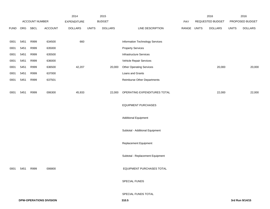|             |      |                |                                | 2014               |              | 2015           |                                    |       |              | 2016             |              | 2016            |
|-------------|------|----------------|--------------------------------|--------------------|--------------|----------------|------------------------------------|-------|--------------|------------------|--------------|-----------------|
|             |      | ACCOUNT NUMBER |                                | <b>EXPENDITURE</b> |              | <b>BUDGET</b>  |                                    | PAY   |              | REQUESTED BUDGET |              | PROPOSED BUDGET |
| <b>FUND</b> | ORG  | SBCL           | <b>ACCOUNT</b>                 | <b>DOLLARS</b>     | <b>UNITS</b> | <b>DOLLARS</b> | LINE DESCRIPTION                   | RANGE | <b>UNITS</b> | <b>DOLLARS</b>   | <b>UNITS</b> | <b>DOLLARS</b>  |
|             |      |                |                                |                    |              |                |                                    |       |              |                  |              |                 |
| 0001        | 5451 | R999           | 634500                         | 660                |              |                | Information Technology Services    |       |              |                  |              |                 |
| 0001        | 5451 | R999           | 635000                         |                    |              |                | <b>Property Services</b>           |       |              |                  |              |                 |
| 0001        | 5451 | R999           | 635500                         |                    |              |                | <b>Infrastructure Services</b>     |       |              |                  |              |                 |
| 0001        | 5451 | R999           | 636000                         |                    |              |                | Vehicle Repair Services            |       |              |                  |              |                 |
| 0001        | 5451 | R999           | 636500                         | 42,207             |              | 20,000         | <b>Other Operating Services</b>    |       |              | 20,000           |              | 20,000          |
| 0001        | 5451 | R999           | 637000                         |                    |              |                | Loans and Grants                   |       |              |                  |              |                 |
| 0001        | 5451 | R999           | 637501                         |                    |              |                | <b>Reimburse Other Departments</b> |       |              |                  |              |                 |
|             |      |                |                                |                    |              |                |                                    |       |              |                  |              |                 |
| 0001        | 5451 | R999           | 006300                         | 45,933             |              | 22,000         | OPERATING EXPENDITURES TOTAL       |       |              | 22,000           |              | 22,000          |
|             |      |                |                                |                    |              |                |                                    |       |              |                  |              |                 |
|             |      |                |                                |                    |              |                | <b>EQUIPMENT PURCHASES</b>         |       |              |                  |              |                 |
|             |      |                |                                |                    |              |                |                                    |       |              |                  |              |                 |
|             |      |                |                                |                    |              |                | <b>Additional Equipment</b>        |       |              |                  |              |                 |
|             |      |                |                                |                    |              |                |                                    |       |              |                  |              |                 |
|             |      |                |                                |                    |              |                | Subtotal - Additional Equipment    |       |              |                  |              |                 |
|             |      |                |                                |                    |              |                |                                    |       |              |                  |              |                 |
|             |      |                |                                |                    |              |                | Replacement Equipment              |       |              |                  |              |                 |
|             |      |                |                                |                    |              |                |                                    |       |              |                  |              |                 |
|             |      |                |                                |                    |              |                | Subtotal - Replacement Equipment   |       |              |                  |              |                 |
|             |      |                |                                |                    |              |                |                                    |       |              |                  |              |                 |
| 0001        | 5451 | R999           | 006800                         |                    |              |                | EQUIPMENT PURCHASES TOTAL          |       |              |                  |              |                 |
|             |      |                |                                |                    |              |                | SPECIAL FUNDS                      |       |              |                  |              |                 |
|             |      |                |                                |                    |              |                |                                    |       |              |                  |              |                 |
|             |      |                |                                |                    |              |                | SPECIAL FUNDS TOTAL                |       |              |                  |              |                 |
|             |      |                | <b>DPW-OPERATIONS DIVISION</b> |                    |              |                | 310.5                              |       |              |                  |              | 3rd Run 9/14/15 |
|             |      |                |                                |                    |              |                |                                    |       |              |                  |              |                 |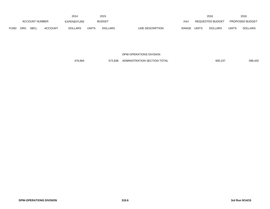|             |                       |             |                    | 2014           |               | 2015           |                  |              |                  | 2016           |                        | 2016           |
|-------------|-----------------------|-------------|--------------------|----------------|---------------|----------------|------------------|--------------|------------------|----------------|------------------------|----------------|
|             | <b>ACCOUNT NUMBER</b> |             | <b>EXPENDITURE</b> |                | <b>BUDGET</b> |                | PAY              |              | REQUESTED BUDGET |                | <b>PROPOSED BUDGET</b> |                |
| <b>FUND</b> | <b>ORG</b>            | <b>SBCL</b> | <b>ACCOUNT</b>     | <b>DOLLARS</b> | UNITS         | <b>DOLLARS</b> | LINE DESCRIPTION | <b>RANGE</b> | <b>UNITS</b>     | <b>DOLLARS</b> | <b>UNITS</b>           | <b>DOLLARS</b> |

DPW-OPERATIONS DIVISION

476,664 572,838 ADMINISTRATION SECTION TOTAL 600,237 600,237 598,420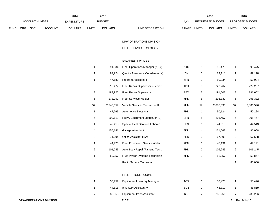|             |                       |             |             | 2014           |               | 2015           |                           |                  | 2016           |                        | 2016           |
|-------------|-----------------------|-------------|-------------|----------------|---------------|----------------|---------------------------|------------------|----------------|------------------------|----------------|
|             | <b>ACCOUNT NUMBER</b> |             | EXPENDITURE |                | <b>BUDGET</b> | PAY            |                           | REQUESTED BUDGET |                | <b>PROPOSED BUDGET</b> |                |
| <b>FUND</b> | <b>ORG</b>            | <b>SBCL</b> | ACCOUNT     | <b>DOLLARS</b> | <b>UNITS</b>  | <b>DOLLARS</b> | LINE DESCRIPTION<br>RANGE | UNITS            | <b>DOLLARS</b> | UNITS                  | <b>DOLLARS</b> |

#### DPW-OPERATIONS DIVISION

#### FLEET SERVICES SECTION

# SALARIES & WAGES

|                | 91,934    | Fleet Operations Manager (X)(Y)  | 1JX |                | 96,475    | -1                      | 96,475    |
|----------------|-----------|----------------------------------|-----|----------------|-----------|-------------------------|-----------|
|                | 84,924    | Quality Assurance Coordinator(X) | 2IX |                | 89,118    | $\overline{\mathbf{1}}$ | 89,118    |
|                | 47,680    | Program Assistant II             | 5FN |                | 50,034    | -1                      | 50,034    |
| 3              | 218,477   | Fleet Repair Supervisor - Senior | 1DX | 3              | 229,267   | 3                       | 229,267   |
| 3              | 183,925   | <b>Fleet Repair Supervisor</b>   | 1BX | 3              | 191,602   | 3                       | 191,602   |
| 6              | 278,092   | <b>Fleet Services Welder</b>     | 7HN | 6              | 296,332   | 6                       | 296,332   |
| 57             | 2,745,057 | Vehicle Services Technician II   | 7HN | 57             | 2,886,596 | 57                      | 2,886,596 |
|                | 47,765    | Automotive Electrician           | 7HN |                | 50,124    | $\overline{\mathbf{1}}$ | 50,124    |
| 5              | 200,112   | Heavy Equipment Lubricator (B)   | 8FN | $\,$ 5 $\,$    | 205,457   | 5                       | 205,457   |
|                | 42,418    | Special Fleet Services Laborer   | 8FN | $\mathbf 1$    | 44,513    | $\mathbf{1}$            | 44,513    |
| 4              | 155,141   | Garage Attendant                 | 8DN | 4              | 131,068   | 3                       | 96,068    |
| $\overline{2}$ | 71,294    | Office Assistant II (A)          | 6EN | $\overline{c}$ | 67,598    | $\overline{2}$          | 67,598    |
|                | 44,970    | Fleet Equipment Service Writer   | 7EN | 1              | 47,191    | $\overline{1}$          | 47,191    |
| $\overline{2}$ | 101,245   | Auto Body Repair/Painting Tech.  | 7HN | $\overline{2}$ | 106,245   | $\overline{2}$          | 106,245   |
| 1              | 50,257    | Fluid Power Systems Technician   | 7HN | $\mathbf 1$    | 52,857    | $\overline{\mathbf{1}}$ | 52,857    |
|                |           | Radio Service Technician         |     |                |           |                         | 85,000    |

#### FLEET STORE ROOMS

| 50.959  | <b>Equipment Inventory Manager</b> | 1CX | 53.476  | 53,476  |
|---------|------------------------------------|-----|---------|---------|
| 44.616  | Inventory Assistant V              | 6LN | 46.819  | 46,819  |
| 285,053 | <b>Equipment Parts Assistant</b>   | 6IN | 288.256 | 288,256 |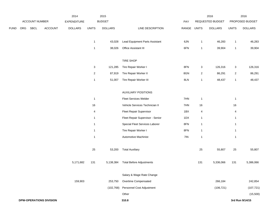|             | ACCOUNT NUMBER |             |                                | 2015<br>2014<br><b>BUDGET</b> |                |                |                                  |       | 2016                      |                  | 2016                      |                 |
|-------------|----------------|-------------|--------------------------------|-------------------------------|----------------|----------------|----------------------------------|-------|---------------------------|------------------|---------------------------|-----------------|
|             |                |             |                                | EXPENDITURE                   |                |                |                                  | PAY   |                           | REQUESTED BUDGET |                           | PROPOSED BUDGET |
| <b>FUND</b> | ORG            | <b>SBCL</b> | <b>ACCOUNT</b>                 | <b>DOLLARS</b>                | <b>UNITS</b>   | <b>DOLLARS</b> | LINE DESCRIPTION                 | RANGE | <b>UNITS</b>              | <b>DOLLARS</b>   | <b>UNITS</b>              | <b>DOLLARS</b>  |
|             |                |             |                                |                               |                |                |                                  |       |                           |                  |                           |                 |
|             |                |             |                                |                               | $\mathbf{1}$   | 43,028         | Lead Equipment Parts Assistant   | 6JN   | $\mathbf{1}$              | 46,283           | $\overline{1}$            | 46,283          |
|             |                |             |                                |                               | $\mathbf{1}$   | 38,026         | Office Assistant III             | 6FN   | $\mathbf{1}$              | 39,904           | $\overline{1}$            | 39,904          |
|             |                |             |                                |                               |                |                | <b>TIRE SHOP</b>                 |       |                           |                  |                           |                 |
|             |                |             |                                |                               | $\mathsf 3$    | 121,285        | Tire Repair Worker I             | 8FN   | $\ensuremath{\mathsf{3}}$ | 126,316          | $\ensuremath{\mathsf{3}}$ | 126,316         |
|             |                |             |                                |                               | $\sqrt{2}$     | 87,919         | Tire Repair Worker II            | 8GN   | $\boldsymbol{2}$          | 86,291           | $\sqrt{2}$                | 86,291          |
|             |                |             |                                |                               | $\mathbf{1}$   | 51,007         | Tire Repair Worker III           | 8LN   | $\mathbf{1}$              | 48,437           | $\mathbf{1}$              | 48,437          |
|             |                |             |                                |                               |                |                | <b>AUXILIARY POSITIONS</b>       |       |                           |                  |                           |                 |
|             |                |             |                                |                               | $\mathbf{1}$   |                | Fleet Services Welder            | 7HN   | $\mathbf{1}$              |                  | $\overline{1}$            |                 |
|             |                |             |                                |                               | 16             |                | Vehicle Services Technician II   | 7HN   | 16                        |                  | 16                        |                 |
|             |                |             |                                |                               | $\overline{4}$ |                | <b>Fleet Repair Supervisor</b>   | 1BX   | 4                         |                  | $\overline{4}$            |                 |
|             |                |             |                                |                               | $\mathbf{1}$   |                | Fleet Repair Supervisor - Senior | 1DX   | $\mathbf{1}$              |                  | $\mathbf{1}$              |                 |
|             |                |             |                                |                               | $\mathbf{1}$   |                | Special Fleet Services Laborer   | 8FN   | $\mathbf{1}$              |                  | $\mathbf{1}$              |                 |
|             |                |             |                                |                               | $\mathbf{1}$   |                | Tire Repair Worker I             | 8FN   | $\mathbf{1}$              |                  | $\mathbf{1}$              |                 |
|             |                |             |                                |                               | $\mathbf{1}$   |                | Automotive Machinist             | 7IN   | $\mathbf{1}$              |                  | $\mathbf{1}$              |                 |
|             |                |             |                                |                               | 25             | 53,200         | <b>Total Auxiliary</b>           |       | 25                        | 55,807           | 25                        | 55,807          |
|             |                |             |                                | 5,171,682                     | 131            | 5,138,384      | <b>Total Before Adjustments</b>  |       | 131                       | 5,336,066        | 131                       | 5,386,066       |
|             |                |             |                                |                               |                |                | Salary & Wage Rate Change        |       |                           |                  |                           |                 |
|             |                |             |                                | 159,903                       |                | 253,750        | Overtime Compensated             |       |                           | 266,184          |                           | 242,854         |
|             |                |             |                                |                               |                | (102, 768)     | Personnel Cost Adjustment        |       |                           | (106, 721)       |                           | (107, 721)      |
|             |                |             |                                |                               |                |                | Other                            |       |                           |                  |                           | (15,500)        |
|             |                |             | <b>DPW-OPERATIONS DIVISION</b> |                               |                |                | 310.8                            |       |                           |                  |                           | 3rd Run 9/14/15 |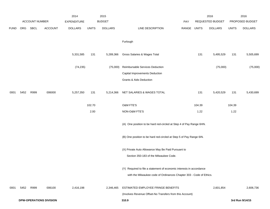|             |      |                |                                | 2014           |              | 2015           |                                                                      |       |              | 2016             |              | 2016            |
|-------------|------|----------------|--------------------------------|----------------|--------------|----------------|----------------------------------------------------------------------|-------|--------------|------------------|--------------|-----------------|
|             |      | ACCOUNT NUMBER |                                | EXPENDITURE    |              | <b>BUDGET</b>  |                                                                      | PAY   |              | REQUESTED BUDGET |              | PROPOSED BUDGET |
| <b>FUND</b> | ORG  | SBCL           | <b>ACCOUNT</b>                 | <b>DOLLARS</b> | <b>UNITS</b> | <b>DOLLARS</b> | LINE DESCRIPTION                                                     | RANGE | <b>UNITS</b> | <b>DOLLARS</b>   | <b>UNITS</b> | <b>DOLLARS</b>  |
|             |      |                |                                |                |              |                | Furlough                                                             |       |              |                  |              |                 |
|             |      |                |                                | 5,331,585      | 131          | 5,289,366      | Gross Salaries & Wages Total                                         |       | 131          | 5,495,529        | 131          | 5,505,699       |
|             |      |                |                                | (74, 235)      |              | (75,000)       | Reimbursable Services Deduction                                      |       |              | (75,000)         |              | (75,000)        |
|             |      |                |                                |                |              |                | <b>Capital Improvements Deduction</b>                                |       |              |                  |              |                 |
|             |      |                |                                |                |              |                | <b>Grants &amp; Aids Deduction</b>                                   |       |              |                  |              |                 |
| 0001        | 5452 | R999           | 006000                         | 5,257,350      | 131          | 5,214,366      | NET SALARIES & WAGES TOTAL                                           |       | 131          | 5,420,529        | 131          | 5,430,699       |
|             |      |                |                                |                | 102.70       |                | O&M FTE'S                                                            |       | 104.39       |                  | 104.39       |                 |
|             |      |                |                                |                | 2.00         |                | NON-O&M FTE'S                                                        |       | 1.22         |                  | 1.22         |                 |
|             |      |                |                                |                |              |                | (A) One position to be hard red-circled at Step 4 of Pay Range 6HN.  |       |              |                  |              |                 |
|             |      |                |                                |                |              |                | (B) One position to be hard red-circled at Step 5 of Pay Range 6IN.  |       |              |                  |              |                 |
|             |      |                |                                |                |              |                | (X) Private Auto Allowance May Be Paid Pursuant to                   |       |              |                  |              |                 |
|             |      |                |                                |                |              |                | Section 350-183 of the Milwaukee Code.                               |       |              |                  |              |                 |
|             |      |                |                                |                |              |                | (Y) Required to file a statement of economic interests in accordance |       |              |                  |              |                 |
|             |      |                |                                |                |              |                | with the Milwaukee code of Ordinances Chapter 303 - Code of Ethics.  |       |              |                  |              |                 |
| 0001        | 5452 | R999           | 006100                         | 2,416,198      |              | 2,346,465      | ESTIMATED EMPLOYEE FRINGE BENEFITS                                   |       |              | 2,601,854        |              | 2,606,736       |
|             |      |                |                                |                |              |                | (Involves Revenue Offset-No Transfers from this Account)             |       |              |                  |              |                 |
|             |      |                | <b>DPW-OPERATIONS DIVISION</b> |                |              |                | 310.9                                                                |       |              |                  |              | 3rd Run 9/14/15 |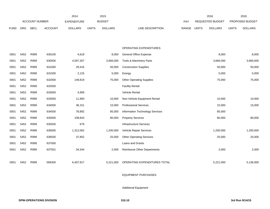|             |            |                       |                | 2014               |              | 2015           |                                    |       |              | 2016                    |              | 2016            |
|-------------|------------|-----------------------|----------------|--------------------|--------------|----------------|------------------------------------|-------|--------------|-------------------------|--------------|-----------------|
|             |            | <b>ACCOUNT NUMBER</b> |                | <b>EXPENDITURE</b> |              | <b>BUDGET</b>  |                                    | PAY   |              | <b>REQUESTED BUDGET</b> |              | PROPOSED BUDGET |
| <b>FUND</b> | <b>ORG</b> | <b>SBCL</b>           | <b>ACCOUNT</b> | <b>DOLLARS</b>     | <b>UNITS</b> | <b>DOLLARS</b> | LINE DESCRIPTION                   | RANGE | <b>UNITS</b> | <b>DOLLARS</b>          | <b>UNITS</b> | <b>DOLLARS</b>  |
|             |            |                       |                |                    |              |                |                                    |       |              |                         |              |                 |
|             |            |                       |                |                    |              |                |                                    |       |              |                         |              |                 |
|             |            |                       |                |                    |              |                | OPERATING EXPENDITURES             |       |              |                         |              |                 |
| 0001        | 5452       | R999                  | 630100         | 4,618              |              | 8,000          | General Office Expense             |       |              | 8,000                   |              | 8,000           |
| 0001        | 5452       | R999                  | 630500         | 4,597,307          |              | 3,666,000      | Tools & Machinery Parts            |       |              | 3,666,000               |              | 3,666,000       |
| 0001        | 5452       | R999                  | 631000         | 29,416             |              | 50,000         | <b>Construction Supplies</b>       |       |              | 50,000                  |              | 50,000          |
| 0001        | 5452       | R999                  | 631500         | 2,125              |              | 5,000          | Energy                             |       |              | 5,000                   |              | 5,000           |
| 0001        | 5452       | R999                  | 632000         | 148,819            |              | 75,000         | <b>Other Operating Supplies</b>    |       |              | 75,000                  |              | 75,000          |
| 0001        | 5452       | R999                  | 632500         |                    |              |                | <b>Facility Rental</b>             |       |              |                         |              |                 |
| 0001        | 5452       | R999                  | 633000         | 4,909              |              |                | Vehicle Rental                     |       |              |                         |              |                 |
| 0001        | 5452       | R999                  | 633500         | 11,900             |              | 10,000         | Non-Vehicle Equipment Rental       |       |              | 10,000                  |              | 10,000          |
| 0001        | 5452       | R999                  | 634000         | 36,151             |              | 15,000         | <b>Professional Services</b>       |       |              | 15,000                  |              | 15,000          |
| 0001        | 5452       | R999                  | 634500         | 78,892             |              | 85,000         | Information Technology Services    |       |              | 85,000                  |              |                 |
| 0001        | 5452       | R999                  | 635000         | 108,843            |              | 80,000         | <b>Property Services</b>           |       |              | 80,000                  |              | 80,000          |
| 0001        | 5452       | R999                  | 635500         | 679                |              |                | Infrastructure Services            |       |              |                         |              |                 |
| 0001        | 5452       | R999                  | 636000         | 1,312,062          |              | 1,200,000      | Vehicle Repair Services            |       |              | 1,200,000               |              | 1,200,000       |
| 0001        | 5452       | R999                  | 636500         | 37,852             |              | 25,000         | <b>Other Operating Services</b>    |       |              | 25,000                  |              | 25,000          |
| 0001        | 5452       | R999                  | 637000         |                    |              |                | Loans and Grants                   |       |              |                         |              |                 |
| 0001        | 5452       | R999                  | 637501         | 34,344             |              | 2,000          | <b>Reimburse Other Departments</b> |       |              | 2,000                   |              | 2,000           |
|             |            |                       |                |                    |              |                |                                    |       |              |                         |              |                 |
| 0001        | 5452       | R999                  | 006300         | 6,407,917          |              | 5,221,000      | OPERATING EXPENDITURES TOTAL       |       |              | 5,221,000               |              | 5,136,000       |

### EQUIPMENT PURCHASES

Additional Equipment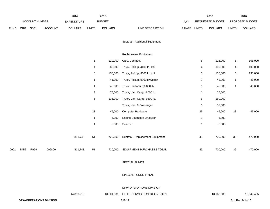|             |      |                       |         | 2014               |              | 2015           |                                  |             |              | 2016             |              | 2016            |
|-------------|------|-----------------------|---------|--------------------|--------------|----------------|----------------------------------|-------------|--------------|------------------|--------------|-----------------|
|             |      | <b>ACCOUNT NUMBER</b> |         | <b>EXPENDITURE</b> |              | <b>BUDGET</b>  |                                  | PAY         |              | REQUESTED BUDGET |              | PROPOSED BUDGET |
| <b>FUND</b> | ORG  | <b>SBCL</b>           | ACCOUNT | <b>DOLLARS</b>     | <b>UNITS</b> | <b>DOLLARS</b> | LINE DESCRIPTION                 | RANGE UNITS |              | <b>DOLLARS</b>   | <b>UNITS</b> | <b>DOLLARS</b>  |
|             |      |                       |         |                    |              |                |                                  |             |              |                  |              |                 |
|             |      |                       |         |                    |              |                | Subtotal - Additional Equipment  |             |              |                  |              |                 |
|             |      |                       |         |                    |              |                |                                  |             |              |                  |              |                 |
|             |      |                       |         |                    |              |                | <b>Replacement Equipment</b>     |             |              |                  |              |                 |
|             |      |                       |         |                    | 6            | 129,000        | Cars, Compact                    |             | 6            | 126,000          | $\,$ 5 $\,$  | 105,000         |
|             |      |                       |         |                    | 4            | 88,000         | Truck, Pickup, 4400 lb. 4x2      |             | 4            | 100,000          | 4            | 100,000         |
|             |      |                       |         |                    | 6            | 150,000        | Truck, Pickup, 8600 lb. 4x2      |             | 5            | 135,000          | 5            | 135,000         |
|             |      |                       |         |                    | $\mathbf{1}$ | 41,000         | Truck, Pickup, 9200lb w/plow     |             | $\mathbf{1}$ | 41,000           | $\mathbf{1}$ | 41,000          |
|             |      |                       |         |                    | $\mathbf{1}$ | 45,000         | Truck, Platform, 11,000 lb.      |             | $\mathbf{1}$ | 45,000           | $\mathbf{1}$ | 43,000          |
|             |      |                       |         |                    | 3            | 75,000         | Truck, Van, Cargo, 6000 lb.      |             | $\mathbf{1}$ | 25,000           |              |                 |
|             |      |                       |         |                    | $\sqrt{5}$   | 135,000        | Truck, Van, Cargo, 9500 lb.      |             | 5            | 160,000          |              |                 |
|             |      |                       |         |                    |              |                | Truck, Van, 8-Passenger          |             | $\mathbf{1}$ | 31,000           |              |                 |
|             |      |                       |         |                    | 23           | 46,000         | Computer Hardware                |             | 23           | 46,000           | 23           | 46,000          |
|             |      |                       |         |                    | $\mathbf{1}$ | 6,000          | Engine Diagnostic Analyzer       |             | $\mathbf{1}$ | 6,000            |              |                 |
|             |      |                       |         |                    | $\mathbf{1}$ | 5,000          | Scanner                          |             | 1            | 5,000            |              |                 |
|             |      |                       |         |                    |              |                |                                  |             |              |                  |              |                 |
|             |      |                       |         | 811,748            | 51           | 720,000        | Subtotal - Replacement Equipment |             | 49           | 720,000          | 39           | 470,000         |
|             |      |                       |         |                    |              |                |                                  |             |              |                  |              |                 |
| 0001        | 5452 | R999                  | 006800  | 811,748            | 51           | 720,000        | EQUIPMENT PURCHASES TOTAL        |             | 49           | 720,000          | 39           | 470,000         |
|             |      |                       |         |                    |              |                |                                  |             |              |                  |              |                 |
|             |      |                       |         |                    |              |                | SPECIAL FUNDS                    |             |              |                  |              |                 |
|             |      |                       |         |                    |              |                |                                  |             |              |                  |              |                 |

SPECIAL FUNDS TOTAL

DPW-OPERATIONS DIVISION

|                                | 4.893.213 | 13.501.831 | FLEET SERVICES SECTION TOTAL | 13.963.383 | 13,643,435      |
|--------------------------------|-----------|------------|------------------------------|------------|-----------------|
| <b>DPW-OPERATIONS DIVISION</b> |           |            | $310.1^{\circ}$              |            | 3rd Run 9/14/15 |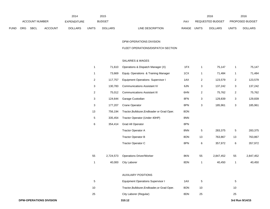|             | 2014           |             |                    |                |               | 2015           |                           | 2016                    |                        | 2016           |
|-------------|----------------|-------------|--------------------|----------------|---------------|----------------|---------------------------|-------------------------|------------------------|----------------|
|             | ACCOUNT NUMBER |             | <b>EXPENDITURE</b> |                | <b>BUDGET</b> | PAY            | REQUESTED BUDGET          |                         | <b>PROPOSED BUDGET</b> |                |
| <b>FUND</b> | <b>ORG</b>     | <b>SBCL</b> | <b>ACCOUNT</b>     | <b>DOLLARS</b> | <b>UNITS</b>  | <b>DOLLARS</b> | LINE DESCRIPTION<br>RANGE | <b>DOLLARS</b><br>UNITS | UNITS                  | <b>DOLLARS</b> |

#### DPW-OPERATIONS DIVISION

### FLEET OPERATIONS/DISPATCH SECTION

# SALARIES & WAGES

| -1             | 71,610    | Operations & Dispatch Manager (X)            | 1FX | 1                         | 75,147    | $\overline{1}$ | 75,147    |
|----------------|-----------|----------------------------------------------|-----|---------------------------|-----------|----------------|-----------|
| 1              | 73,669    | Equip. Operations & Training Manager         | 1CX | $\mathbf{1}$              | 71,484    | $\mathbf{1}$   | 71,484    |
| $\overline{2}$ | 117,757   | <b>Equipment Operations Supervisor I</b>     | 1AX | $\overline{2}$            | 123,579   | $\overline{2}$ | 123,579   |
| 3              | 130,783   | <b>Communications Assistant IV</b>           | 6JN | $\ensuremath{\mathsf{3}}$ | 137,242   | 3              | 137,242   |
| $\overline{a}$ | 75,012    | <b>Communications Assistant III</b>          | 6HN | $\overline{\mathbf{c}}$   | 75,762    | $\overline{2}$ | 75,762    |
| 3              | 124,644   | Garage Custodian                             | 8FN | 3                         | 129,839   | 3              | 129,839   |
| $\mathbf{3}$   | 177,207   | <b>Crane Operator</b>                        | 8PN | $\mathbf{3}$              | 185,961   | $\mathbf{3}$   | 185,961   |
| 13             | 756,194   | Tractor, Bulldozer, Endloader or Grad Oper.  | 8ON |                           |           |                |           |
| 5              | 335,454   | Tractor Operator (Under 40HP)                | 8NN |                           |           |                |           |
| 6              | 354,414   | <b>Grad All Operator</b>                     | 8PN |                           |           |                |           |
|                |           | <b>Tractor Operator A</b>                    | 8NN | $\,$ 5 $\,$               | 283,375   | $\,$ 5 $\,$    | 283,375   |
|                |           | <b>Tractor Operator B</b>                    | 8ON | 13                        | 763,867   | 13             | 763,867   |
|                |           | Tractor Operator C                           | 8PN | 6                         | 357,972   | $\,6$          | 357,972   |
|                |           |                                              |     |                           |           |                |           |
| 55             | 2,724,573 | <b>Operations Driver/Worker</b>              | 8KN | 55                        | 2,847,452 | 55             | 2,847,452 |
| $\mathbf{1}$   | 40,000    | <b>City Laborer</b>                          | 8DN | $\mathbf{1}$              | 40,450    | $\overline{1}$ | 40,450    |
|                |           |                                              |     |                           |           |                |           |
|                |           | <b>AUXILIARY POSITIONS</b>                   |     |                           |           |                |           |
| 5              |           | <b>Equipment Operations Supervisor I</b>     | 1AX | 5                         |           | 5              |           |
| 10             |           | Tractor, Bulldozer, Endloader, or Grad Oper. | 8ON | 10                        |           | 10             |           |
| 25             |           | City Laborer (Regular)                       | 8DN | 25                        |           | 25             |           |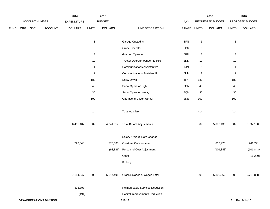|             |     |                |                                | 2014           |                           | 2015           |                                     |             |                           | 2016             |                | 2016            |
|-------------|-----|----------------|--------------------------------|----------------|---------------------------|----------------|-------------------------------------|-------------|---------------------------|------------------|----------------|-----------------|
|             |     | ACCOUNT NUMBER |                                | EXPENDITURE    |                           | <b>BUDGET</b>  |                                     | PAY         |                           | REQUESTED BUDGET |                | PROPOSED BUDGET |
| <b>FUND</b> | ORG | SBCL           | ACCOUNT                        | <b>DOLLARS</b> | <b>UNITS</b>              | <b>DOLLARS</b> | LINE DESCRIPTION                    | RANGE UNITS |                           | <b>DOLLARS</b>   | <b>UNITS</b>   | <b>DOLLARS</b>  |
|             |     |                |                                |                |                           |                |                                     |             |                           |                  |                |                 |
|             |     |                |                                |                | $\ensuremath{\mathsf{3}}$ |                | Garage Custodian                    | 8FN         | $\ensuremath{\mathsf{3}}$ |                  | $\sqrt{3}$     |                 |
|             |     |                |                                |                | 3                         |                | Crane Operator                      | 8PN         | 3                         |                  | $\sqrt{3}$     |                 |
|             |     |                |                                |                | 3                         |                | <b>Grad All Operator</b>            | 8PN         | 3                         |                  | $\sqrt{3}$     |                 |
|             |     |                |                                |                | $10$                      |                | Tractor Operator (Under 40 HP)      | 8NN         | 10                        |                  | 10             |                 |
|             |     |                |                                |                | $\mathbf{1}$              |                | <b>Communications Assistant IV</b>  | 6JN         | $\mathbf{1}$              |                  | $\mathbf{1}$   |                 |
|             |     |                |                                |                | $\overline{2}$            |                | <b>Communications Assistant III</b> | 6HN         | $\overline{2}$            |                  | $\overline{2}$ |                 |
|             |     |                |                                |                | 180                       |                | Snow Driver                         | <b>8IN</b>  | 180                       |                  | 180            |                 |
|             |     |                |                                |                | 40                        |                | Snow Operator Light                 | 8ON         | 40                        |                  | 40             |                 |
|             |     |                |                                |                | 30                        |                | Snow Operator Heavy                 | 8QN         | 30                        |                  | $30\,$         |                 |
|             |     |                |                                |                | 102                       |                | <b>Operations Driver/Worker</b>     | 8KN         | 102                       |                  | 102            |                 |
|             |     |                |                                |                | 414                       |                | <b>Total Auxiliary</b>              |             | 414                       |                  | 414            |                 |
|             |     |                |                                | 6,455,407      | 509                       | 4,941,317      | <b>Total Before Adjustments</b>     |             | 509                       | 5,092,130        | 509            | 5,092,130       |
|             |     |                |                                |                |                           |                | Salary & Wage Rate Change           |             |                           |                  |                |                 |
|             |     |                |                                | 728,640        |                           | 775,000        | Overtime Compensated                |             |                           | 812,975          |                | 741,721         |
|             |     |                |                                |                |                           | (98, 826)      | Personnel Cost Adjustment           |             |                           | (101, 843)       |                | (101, 843)      |
|             |     |                |                                |                |                           |                | Other                               |             |                           |                  |                | (16, 200)       |
|             |     |                |                                |                |                           |                | Furlough                            |             |                           |                  |                |                 |
|             |     |                |                                | 7,184,047      | 509                       | 5,617,491      | Gross Salaries & Wages Total        |             | 509                       | 5,803,262        | 509            | 5,715,808       |
|             |     |                |                                | (13, 897)      |                           |                | Reimbursable Services Deduction     |             |                           |                  |                |                 |
|             |     |                |                                | (491)          |                           |                | Capital Improvements Deduction      |             |                           |                  |                |                 |
|             |     |                | <b>DPW-OPERATIONS DIVISION</b> |                |                           |                | 310.13                              |             |                           |                  |                | 3rd Run 9/14/15 |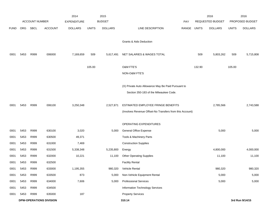|             |            |                       |                                | 2014               |              | 2015           |                                                          |       |              | 2016             |              | 2016            |
|-------------|------------|-----------------------|--------------------------------|--------------------|--------------|----------------|----------------------------------------------------------|-------|--------------|------------------|--------------|-----------------|
|             |            | <b>ACCOUNT NUMBER</b> |                                | <b>EXPENDITURE</b> |              | <b>BUDGET</b>  |                                                          | PAY   |              | REQUESTED BUDGET |              | PROPOSED BUDGET |
| <b>FUND</b> | <b>ORG</b> | SBCL                  | <b>ACCOUNT</b>                 | <b>DOLLARS</b>     | <b>UNITS</b> | <b>DOLLARS</b> | LINE DESCRIPTION                                         | RANGE | <b>UNITS</b> | <b>DOLLARS</b>   | <b>UNITS</b> | <b>DOLLARS</b>  |
|             |            |                       |                                |                    |              |                |                                                          |       |              |                  |              |                 |
|             |            |                       |                                |                    |              |                | <b>Grants &amp; Aids Deduction</b>                       |       |              |                  |              |                 |
| 0001        | 5453       | R999                  | 006000                         | 7,169,659          | 509          | 5,617,491      | NET SALARIES & WAGES TOTAL                               |       | 509          | 5,803,262        | 509          | 5,715,808       |
|             |            |                       |                                |                    |              |                |                                                          |       |              |                  |              |                 |
|             |            |                       |                                |                    | 105.00       |                | O&M FTE'S                                                |       | 132.90       |                  | 105.00       |                 |
|             |            |                       |                                |                    |              |                | NON-O&M FTE'S                                            |       |              |                  |              |                 |
|             |            |                       |                                |                    |              |                | (X) Private Auto Allowance May Be Paid Pursuant to       |       |              |                  |              |                 |
|             |            |                       |                                |                    |              |                | Section 350-183 of the Milwaukee Code.                   |       |              |                  |              |                 |
|             |            |                       |                                |                    |              |                |                                                          |       |              |                  |              |                 |
| 0001        | 5453       | R999                  | 006100                         | 3,250,348          |              | 2,527,871      | ESTIMATED EMPLOYEE FRINGE BENEFITS                       |       |              | 2,785,566        |              | 2,743,588       |
|             |            |                       |                                |                    |              |                | (Involves Revenue Offset-No Transfers from this Account) |       |              |                  |              |                 |
|             |            |                       |                                |                    |              |                | OPERATING EXPENDITURES                                   |       |              |                  |              |                 |
| 0001        | 5453       | R999                  | 630100                         | 3,020              |              | 5,000          | General Office Expense                                   |       |              | 5,000            |              | 5,000           |
| 0001        | 5453       | R999                  | 630500                         | 49,371             |              |                | Tools & Machinery Parts                                  |       |              |                  |              |                 |
| 0001        | 5453       | R999                  | 631000                         | 7,469              |              |                | <b>Construction Supplies</b>                             |       |              |                  |              |                 |
| 0001        | 5453       | R999                  | 631500                         | 5,338,348          |              | 5,235,800      | Energy                                                   |       |              | 4,800,000        |              | 4,000,000       |
| 0001        | 5453       | R999                  | 632000                         | 10,221             |              | 11,100         | <b>Other Operating Supplies</b>                          |       |              | 11,100           |              | 11,100          |
| 0001        | 5453       | R999                  | 632500                         |                    |              |                | <b>Facility Rental</b>                                   |       |              |                  |              |                 |
| 0001        | 5453       | R999                  | 633000                         | 1,195,355          |              | 980,320        | Vehicle Rental                                           |       |              | 980,320          |              | 980,320         |
| 0001        | 5453       | R999                  | 633500                         | 873                |              | 5,000          | Non-Vehicle Equipment Rental                             |       |              | 5,000            |              | 5,000           |
| 0001        | 5453       | R999                  | 634000                         | 7,606              |              | 5,000          | <b>Professional Services</b>                             |       |              | 5,000            |              | 5,000           |
| 0001        | 5453       | R999                  | 634500                         |                    |              |                | <b>Information Technology Services</b>                   |       |              |                  |              |                 |
| 0001        | 5453       | R999                  | 635000                         | 187                |              |                | <b>Property Services</b>                                 |       |              |                  |              |                 |
|             |            |                       | <b>DPW-OPERATIONS DIVISION</b> |                    |              |                | 310.14                                                   |       |              |                  |              | 3rd Run 9/14/15 |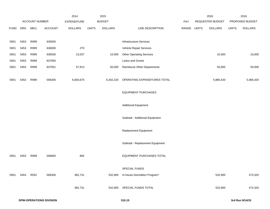|             |      |                |         | 2014           |              | 2015           |                                    |       |              | 2016             |              | 2016            |
|-------------|------|----------------|---------|----------------|--------------|----------------|------------------------------------|-------|--------------|------------------|--------------|-----------------|
|             |      | ACCOUNT NUMBER |         | EXPENDITURE    |              | <b>BUDGET</b>  |                                    | PAY   |              | REQUESTED BUDGET |              | PROPOSED BUDGET |
| <b>FUND</b> | ORG  | SBCL           | ACCOUNT | <b>DOLLARS</b> | <b>UNITS</b> | <b>DOLLARS</b> | LINE DESCRIPTION                   | RANGE | <b>UNITS</b> | <b>DOLLARS</b>   | <b>UNITS</b> | <b>DOLLARS</b>  |
|             |      |                |         |                |              |                |                                    |       |              |                  |              |                 |
| 0001        | 5453 | R999           | 635500  |                |              |                | <b>Infrastructure Services</b>     |       |              |                  |              |                 |
| 0001        | 5453 | R999           | 636000  | 270            |              |                | Vehicle Repair Services            |       |              |                  |              |                 |
| 0001        | 5453 | R999           | 636500  | 13,037         |              | 10,000         | <b>Other Operating Services</b>    |       |              | 10,000           |              | 10,000          |
| 0001        | 5453 | R999           | 637000  |                |              |                | Loans and Grants                   |       |              |                  |              |                 |
| 0001        | 5453 | R999           | 637501  | 57,913         |              | 50,000         | <b>Reimburse Other Departments</b> |       |              | 50,000           |              | 50,000          |
|             |      |                |         |                |              |                |                                    |       |              |                  |              |                 |
| 0001        | 5453 | R999           | 006300  | 6,683,670      |              | 6,302,220      | OPERATING EXPENDITURES TOTAL       |       |              | 5,866,420        |              | 5,066,420       |
|             |      |                |         |                |              |                |                                    |       |              |                  |              |                 |
|             |      |                |         |                |              |                | <b>EQUIPMENT PURCHASES</b>         |       |              |                  |              |                 |
|             |      |                |         |                |              |                |                                    |       |              |                  |              |                 |
|             |      |                |         |                |              |                | <b>Additional Equipment</b>        |       |              |                  |              |                 |
|             |      |                |         |                |              |                |                                    |       |              |                  |              |                 |
|             |      |                |         |                |              |                | Subtotal - Additional Equipment    |       |              |                  |              |                 |
|             |      |                |         |                |              |                |                                    |       |              |                  |              |                 |
|             |      |                |         |                |              |                | Replacement Equipment              |       |              |                  |              |                 |
|             |      |                |         |                |              |                | Subtotal - Replacement Equipment   |       |              |                  |              |                 |
|             |      |                |         |                |              |                |                                    |       |              |                  |              |                 |
| 0001        | 5453 | R999           | 006800  | 865            |              |                | <b>EQUIPMENT PURCHASES TOTAL</b>   |       |              |                  |              |                 |
|             |      |                |         |                |              |                |                                    |       |              |                  |              |                 |
|             |      |                |         |                |              |                | SPECIAL FUNDS                      |       |              |                  |              |                 |
| 0001        | 5453 | R552           | 006300  | 382,731        |              | 532,900        | In-house Demolition Program*       |       |              | 532,900          |              | 473,320         |
|             |      |                |         |                |              |                |                                    |       |              |                  |              |                 |
|             |      |                |         | 382,731        |              | 532,900        | SPECIAL FUNDS TOTAL                |       |              | 532,900          |              | 473,320         |
|             |      |                |         |                |              |                |                                    |       |              |                  |              |                 |
|             |      |                |         |                |              |                |                                    |       |              |                  |              |                 |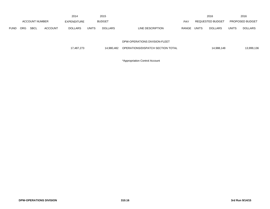|             |                       |             |                    | 2014           |              | 2015           |                                   |       |                         | 2016       |                        | 2016           |
|-------------|-----------------------|-------------|--------------------|----------------|--------------|----------------|-----------------------------------|-------|-------------------------|------------|------------------------|----------------|
|             | <b>ACCOUNT NUMBER</b> |             | <b>EXPENDITURE</b> | <b>BUDGET</b>  |              |                | <b>PAY</b>                        |       | <b>REQUESTED BUDGET</b> |            | <b>PROPOSED BUDGET</b> |                |
| <b>FUND</b> | ORG.                  | <b>SBCL</b> | <b>ACCOUNT</b>     | <b>DOLLARS</b> | <b>UNITS</b> | <b>DOLLARS</b> | LINE DESCRIPTION                  | RANGE | <b>UNITS</b>            | DOLLARS    | <b>UNITS</b>           | <b>DOLLARS</b> |
|             |                       |             |                    |                |              |                |                                   |       |                         |            |                        |                |
|             |                       |             |                    |                |              |                | DPW-OPERATIONS DIVISION-FLEET     |       |                         |            |                        |                |
|             |                       |             |                    | 17,487,273     |              | 14.980.482     | OPERATIONS/DISPATCH SECTION TOTAL |       |                         | 14,988,148 |                        | 13,999,136     |

\*Appropriation Control Account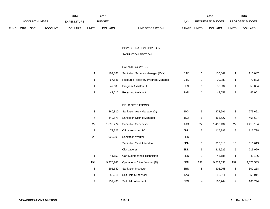|                                                     | 2014 |                    |              |                |                           | 2015                           |                         | 2016 | 2016 |  |
|-----------------------------------------------------|------|--------------------|--------------|----------------|---------------------------|--------------------------------|-------------------------|------|------|--|
| ACCOUNT NUMBER                                      |      | <b>EXPENDITURE</b> |              | <b>BUDGET</b>  | PAY                       | REQUESTED BUDGET               | <b>PROPOSED BUDGET</b>  |      |      |  |
| ORG<br><b>SBCL</b><br><b>ACCOUNT</b><br><b>FUND</b> |      | <b>DOLLARS</b>     | <b>UNITS</b> | <b>DOLLARS</b> | LINE DESCRIPTION<br>RANGE | <b>UNITS</b><br><b>DOLLARS</b> | UNITS<br><b>DOLLARS</b> |      |      |  |

# DPW-OPERATIONS DIVISION SANITATION SECTION

SALARIES & WAGES

| 104.868 | Sanitation Services Manager (X)(Y) | 1JX | 110.047 | 110.047 |
|---------|------------------------------------|-----|---------|---------|
| 67.546  | Resource Recovery Program Manager  | 2JX | 70.883  | 70,883  |
| 47.680  | Program Assistant II               | 5FN | 50.034  | 50,034  |
| 42,016  | <b>Recycling Assistant</b>         | 2AN | 43.051  | 43,051  |

## FIELD OPERATIONS

| 3   | 260,810   | Sanitation Area Manager (X)        | 1HX | 3   | 273,691   | 3   | 273,691   |
|-----|-----------|------------------------------------|-----|-----|-----------|-----|-----------|
| 6   | 449,578   | <b>Sanitation District Manager</b> | 1DX | 6   | 465,627   | 6   | 465,627   |
| 22  | 1,395,274 | <b>Sanitation Supervisor</b>       | 1AX | 22  | 1,413,134 | 22  | 1,413,134 |
| 2   | 79,327    | <b>Office Assistant IV</b>         | 6HN | 3   | 117,798   | 3   | 117,798   |
| 23  | 929,209   | <b>Sanitation Worker</b>           | 8EN |     |           |     |           |
|     |           | <b>Sanitation Yard Attendant</b>   | 8DN | 15  | 616,613   | 15  | 616,613   |
|     |           | City Laborer                       | 8DN | 5   | 215,929   | 5   | 215,929   |
|     | 41,153    | Cart Maintenance Technician        | 8EN | 1   | 43,186    | 1   | 43,186    |
| 194 | 9,376,748 | Operations Driver Worker (D)       | 8KN | 197 | 9,573,533 | 197 | 9,573,533 |
| 8   | 291,640   | Sanitation Inspector               | 3BN | 8   | 302,258   | 8   | 302,258   |
| 1   | 58,011    | Self Help Supervisor               | 1AX | 1   | 58,011    | 1   | 58,011    |
| 4   | 157,480   | Self Help Attendant                | 8FN | 4   | 160,744   | 4   | 160,744   |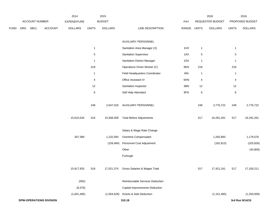|             |     |                |                                | 2014           |                | 2015           |                                         |       |              | 2016             |                | 2016            |
|-------------|-----|----------------|--------------------------------|----------------|----------------|----------------|-----------------------------------------|-------|--------------|------------------|----------------|-----------------|
|             |     | ACCOUNT NUMBER |                                | EXPENDITURE    |                | <b>BUDGET</b>  |                                         | PAY   |              | REQUESTED BUDGET |                | PROPOSED BUDGET |
| <b>FUND</b> | ORG | <b>SBCL</b>    | ACCOUNT                        | <b>DOLLARS</b> | <b>UNITS</b>   | <b>DOLLARS</b> | LINE DESCRIPTION                        | RANGE | <b>UNITS</b> | <b>DOLLARS</b>   | <b>UNITS</b>   | <b>DOLLARS</b>  |
|             |     |                |                                |                |                |                | AUXILIARY PERSONNEL                     |       |              |                  |                |                 |
|             |     |                |                                |                | $\overline{1}$ |                | Sanitation Area Manager (X)             | 1HX   | $\mathbf{1}$ |                  | $\overline{1}$ |                 |
|             |     |                |                                |                | $\,$ 5 $\,$    |                | Sanitation Supervisor                   | 1AX   | 5            |                  | $\,$ 5 $\,$    |                 |
|             |     |                |                                |                | $\mathbf{1}$   |                | <b>Sanitation District Manager</b>      | 1DX   | 1            |                  | $\mathbf{1}$   |                 |
|             |     |                |                                |                | 218            |                | Operations Driver Worker (C)            | 8KN   | 218          |                  | 218            |                 |
|             |     |                |                                |                | $\mathbf{1}$   |                | Field Headquarters Coordinator          | 6IN   | $\mathbf{1}$ |                  | $\mathbf{1}$   |                 |
|             |     |                |                                |                | $\overline{4}$ |                | Office Assistant IV                     | 6HN   | 4            |                  | 4              |                 |
|             |     |                |                                |                | 12             |                | Sanitation Inspector                    | 3BN   | 12           |                  | 12             |                 |
|             |     |                |                                |                | $\,6$          |                | Self Help Attendant                     | 8FN   | $\,6$        |                  | $\,6\,$        |                 |
|             |     |                |                                |                | 248            | 2,647,018      | AUXILIARY PERSONNEL                     |       | 248          | 2,776,722        | 248            | 2,776,722       |
|             |     |                |                                | 15,610,544     | 516            | 15,948,358     | <b>Total Before Adjustments</b>         |       | 517          | 16,291,261       | 517            | 16,291,261      |
|             |     |                |                                |                |                |                | Salary & Wage Rate Change               |       |              |                  |                |                 |
|             |     |                |                                | 307,389        |                | 1,232,500      | Overtime Compensated                    |       |              | 1,292,893        |                | 1,179,576       |
|             |     |                |                                |                |                | (159, 484)     | Personnel Cost Adjustment               |       |              | (162, 913)       |                | (325, 826)      |
|             |     |                |                                |                |                |                | Other                                   |       |              |                  |                | (44, 800)       |
|             |     |                |                                |                |                |                | Furlough                                |       |              |                  |                |                 |
|             |     |                |                                | 15,917,933     | 516            |                | 17,021,374 Gross Salaries & Wages Total |       | 517          | 17,421,241       | 517            | 17,100,211      |
|             |     |                |                                | (592)          |                |                | Reimbursable Services Deduction         |       |              |                  |                |                 |
|             |     |                |                                | (8,376)        |                |                | Capital Improvements Deduction          |       |              |                  |                |                 |
|             |     |                |                                | (1,601,485)    |                |                | (1,564,626) Grants & Aids Deduction     |       |              | (1, 151, 485)    |                | (1,250,000)     |
|             |     |                | <b>DPW-OPERATIONS DIVISION</b> |                |                |                | 310.18                                  |       |              |                  |                | 3rd Run 9/14/15 |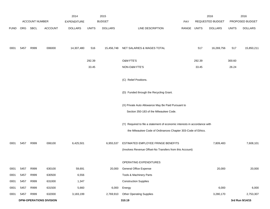|             |            |                       |                                | 2014               |              | 2015           |                                                                           |            |        | 2016             |              | 2016            |
|-------------|------------|-----------------------|--------------------------------|--------------------|--------------|----------------|---------------------------------------------------------------------------|------------|--------|------------------|--------------|-----------------|
|             |            | <b>ACCOUNT NUMBER</b> |                                | <b>EXPENDITURE</b> |              | <b>BUDGET</b>  |                                                                           | <b>PAY</b> |        | REQUESTED BUDGET |              | PROPOSED BUDGET |
| <b>FUND</b> | <b>ORG</b> | SBCL                  | <b>ACCOUNT</b>                 | <b>DOLLARS</b>     | <b>UNITS</b> | <b>DOLLARS</b> | LINE DESCRIPTION                                                          | RANGE      | UNITS  | <b>DOLLARS</b>   | <b>UNITS</b> | <b>DOLLARS</b>  |
|             |            |                       |                                |                    |              |                |                                                                           |            |        |                  |              |                 |
| 0001        | 5457       | R999                  | 006000                         | 14,307,480         | 516          | 15,456,748     | NET SALARIES & WAGES TOTAL                                                |            | 517    | 16,269,756       | 517          | 15,850,211      |
|             |            |                       |                                |                    | 292.39       |                | O&M FTE'S                                                                 |            | 292.39 |                  | 300.60       |                 |
|             |            |                       |                                |                    | 33.45        |                | NON-O&M FTE'S                                                             |            | 33.45  |                  | 26.24        |                 |
|             |            |                       |                                |                    |              |                | (C) Relief Positions.                                                     |            |        |                  |              |                 |
|             |            |                       |                                |                    |              |                | (D) Funded through the Recycling Grant.                                   |            |        |                  |              |                 |
|             |            |                       |                                |                    |              |                | (X) Private Auto Allowance May Be Paid Pursuant to                        |            |        |                  |              |                 |
|             |            |                       |                                |                    |              |                | Section 350-183 of the Milwaukee Code.                                    |            |        |                  |              |                 |
|             |            |                       |                                |                    |              |                | (Y) Required to file a statement of economic interests in accordance with |            |        |                  |              |                 |
|             |            |                       |                                |                    |              |                | the Milwaukee Code of Ordinances Chapter 303-Code of Ethics.              |            |        |                  |              |                 |
| 0001        | 5457       | R999                  | 006100                         | 6,425,501          |              | 6,955,537      | ESTIMATED EMPLOYEE FRINGE BENEFITS                                        |            |        | 7,809,483        |              | 7,608,101       |
|             |            |                       |                                |                    |              |                | (Involves Revenue Offset-No Transfers from this Account)                  |            |        |                  |              |                 |
|             |            |                       |                                |                    |              |                | OPERATING EXPENDITURES                                                    |            |        |                  |              |                 |
| 0001        | 5457       | R999                  | 630100                         | 59,691             |              | 20,000         | General Office Expense                                                    |            |        | 20,000           |              | 20,000          |
| 0001        | 5457       | R999                  | 630500                         | 6,556              |              |                | Tools & Machinery Parts                                                   |            |        |                  |              |                 |
| 0001        | 5457       | R999                  | 631000                         | 1,347              |              |                | <b>Construction Supplies</b>                                              |            |        |                  |              |                 |
| 0001        | 5457       | R999                  | 631500                         | 5,660              |              | 6,000          | Energy                                                                    |            |        | 6,000            |              | 6,000           |
| 0001        | 5457       | R999                  | 632000                         | 3,183,199          |              | 2,769,910      | <b>Other Operating Supplies</b>                                           |            |        | 3,280,170        |              | 2,753,307       |
|             |            |                       | <b>DPW-OPERATIONS DIVISION</b> |                    |              |                | 310.19                                                                    |            |        |                  |              | 3rd Run 9/14/15 |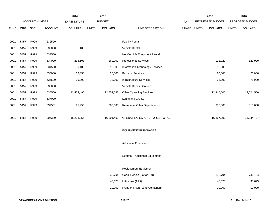|             |            |                       |                | 2014               |              | 2015           |                                    |             | 2016             |              | 2016            |
|-------------|------------|-----------------------|----------------|--------------------|--------------|----------------|------------------------------------|-------------|------------------|--------------|-----------------|
|             |            | <b>ACCOUNT NUMBER</b> |                | <b>EXPENDITURE</b> |              | <b>BUDGET</b>  |                                    | PAY         | REQUESTED BUDGET |              | PROPOSED BUDGET |
| <b>FUND</b> | <b>ORG</b> | SBCL                  | <b>ACCOUNT</b> | <b>DOLLARS</b>     | <b>UNITS</b> | <b>DOLLARS</b> | LINE DESCRIPTION                   | RANGE UNITS | <b>DOLLARS</b>   | <b>UNITS</b> | <b>DOLLARS</b>  |
|             |            |                       |                |                    |              |                |                                    |             |                  |              |                 |
| 0001        | 5457       | R999                  | 632500         |                    |              |                | <b>Facility Rental</b>             |             |                  |              |                 |
| 0001        | 5457       | R999                  | 633000         | 100                |              |                | Vehicle Rental                     |             |                  |              |                 |
| 0001        | 5457       | R999                  | 633500         |                    |              |                | Non-Vehicle Equipment Rental       |             |                  |              |                 |
| 0001        | 5457       | R999                  | 634000         | 233,103            |              | 160,000        | <b>Professional Services</b>       |             | 122,920          |              | 122,920         |
| 0001        | 5457       | R999                  | 634500         | 6,489              |              | 10,000         | Information Technology Services    |             | 10,000           |              |                 |
| 0001        | 5457       | R999                  | 635000         | 36,350             |              | 20,000         | <b>Property Services</b>           |             | 20,000           |              | 20,000          |
| 0001        | 5457       | R999                  | 635500         | 95,009             |              | 78,000         | <b>Infrastructure Services</b>     |             | 78,000           |              | 78,000          |
| 0001        | 5457       | R999                  | 636000         |                    |              |                | Vehicle Repair Services            |             |                  |              |                 |
| 0001        | 5457       | R999                  | 636500         | 12,474,496         |              | 12,752,583     | <b>Other Operating Services</b>    |             | 12,945,000       |              | 12,624,500      |
| 0001        | 5457       | R999                  | 637000         |                    |              |                | Loans and Grants                   |             |                  |              |                 |
| 0001        | 5457       | R999                  | 637501         | 191,955            |              | 385,000        | <b>Reimburse Other Departments</b> |             | 385,000          |              | 310,000         |
|             |            |                       |                |                    |              |                |                                    |             |                  |              |                 |
| 0001        | 5457       | R999                  | 006300         | 16,293,955         |              | 16,201,493     | OPERATING EXPENDITURES TOTAL       |             | 16,867,090       |              | 15,934,727      |
|             |            |                       |                |                    |              |                |                                    |             |                  |              |                 |
|             |            |                       |                |                    |              |                | <b>EQUIPMENT PURCHASES</b>         |             |                  |              |                 |
|             |            |                       |                |                    |              |                |                                    |             |                  |              |                 |
|             |            |                       |                |                    |              |                | <b>Additional Equipment</b>        |             |                  |              |                 |
|             |            |                       |                |                    |              |                | Subtotal - Additional Equipment    |             |                  |              |                 |
|             |            |                       |                |                    |              |                |                                    |             |                  |              |                 |
|             |            |                       |                |                    |              |                | Replacement Equipment              |             |                  |              |                 |
|             |            |                       |                |                    |              | 832,794        | Carts, Refuse (Lot of 100)         |             | 832,794          |              | 742,794         |
|             |            |                       |                |                    |              | 45,675         | Littercans (1 lot)                 |             | 45,675           |              | 35,675          |
|             |            |                       |                |                    |              | 10,000         | Front and Rear Load Containers     |             | 10,000           |              | 10,000          |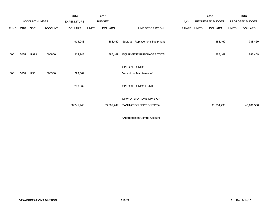|             |      |                       |                | 2014               |              | 2015           |                                  |       |              | 2016             |              | 2016            |
|-------------|------|-----------------------|----------------|--------------------|--------------|----------------|----------------------------------|-------|--------------|------------------|--------------|-----------------|
|             |      | <b>ACCOUNT NUMBER</b> |                | <b>EXPENDITURE</b> |              | <b>BUDGET</b>  |                                  | PAY   |              | REQUESTED BUDGET |              | PROPOSED BUDGET |
| <b>FUND</b> | ORG  | SBCL                  | <b>ACCOUNT</b> | <b>DOLLARS</b>     | <b>UNITS</b> | <b>DOLLARS</b> | LINE DESCRIPTION                 | RANGE | <b>UNITS</b> | <b>DOLLARS</b>   | <b>UNITS</b> | <b>DOLLARS</b>  |
|             |      |                       |                | 914,943            |              | 888,469        | Subtotal - Replacement Equipment |       |              | 888,469          |              | 788,469         |
|             |      |                       |                |                    |              |                |                                  |       |              |                  |              |                 |
| 0001        | 5457 | R999                  | 006800         | 914,943            |              | 888,469        | <b>EQUIPMENT PURCHASES TOTAL</b> |       |              | 888,469          |              | 788,469         |
|             |      |                       |                |                    |              |                |                                  |       |              |                  |              |                 |
|             |      |                       |                |                    |              |                | SPECIAL FUNDS                    |       |              |                  |              |                 |
| 0001        | 5457 | R551                  | 006300         | 299,569            |              |                | Vacant Lot Maintenance*          |       |              |                  |              |                 |
|             |      |                       |                |                    |              |                |                                  |       |              |                  |              |                 |
|             |      |                       |                | 299,569            |              |                | SPECIAL FUNDS TOTAL              |       |              |                  |              |                 |
|             |      |                       |                |                    |              |                | DPW-OPERATIONS DIVISION          |       |              |                  |              |                 |
|             |      |                       |                |                    |              |                |                                  |       |              |                  |              |                 |
|             |      |                       |                | 38,241,448         |              | 39,502,247     | SANITATION SECTION TOTAL         |       |              | 41,834,798       |              | 40,181,508      |
|             |      |                       |                |                    |              |                |                                  |       |              |                  |              |                 |

\*Appropriation Control Account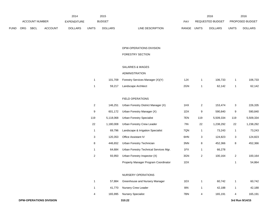|                                                     | 2014 |                    |              |                |                           | 2015                           |                         | 2016 | 2016 |  |
|-----------------------------------------------------|------|--------------------|--------------|----------------|---------------------------|--------------------------------|-------------------------|------|------|--|
| ACCOUNT NUMBER                                      |      | <b>EXPENDITURE</b> |              | <b>BUDGET</b>  | PAY                       | REQUESTED BUDGET               | <b>PROPOSED BUDGET</b>  |      |      |  |
| ORG<br><b>SBCL</b><br><b>ACCOUNT</b><br><b>FUND</b> |      | <b>DOLLARS</b>     | <b>UNITS</b> | <b>DOLLARS</b> | LINE DESCRIPTION<br>RANGE | <b>UNITS</b><br><b>DOLLARS</b> | UNITS<br><b>DOLLARS</b> |      |      |  |

# DPW-OPERATIONS DIVISION

# FORESTRY SECTION

## SALARIES & WAGES

### ADMINISTRATION

|  | 101,709 Forestry Services Manager (X)(Y) | 1JX | 106.733 | 106,733 |
|--|------------------------------------------|-----|---------|---------|
|  | 59,217 Landscape Architect               | 2GN | 62.142  | 62,142  |

### FIELD OPERATIONS

| 2   | 146.251   | Urban Forestry District Manager (X)    | 1HX | $\overline{2}$ | 153,474   | 3   | 226,335   |
|-----|-----------|----------------------------------------|-----|----------------|-----------|-----|-----------|
| 9   | 601.172   | Urban Forestry Manager (X)             | 1DX | 9              | 590.840   | 9   | 590,840   |
| 119 | 5,118,068 | Urban Forestry Specialist              | 7EN | 119            | 5,509,334 | 119 | 5,509,334 |
| 22  | 1.180.008 | Urban Forestry Crew Leader             | 7IN | 22             | 1,238,292 | 22  | 1,238,292 |
| 1   | 69.796    | Landscape & Irrigation Specialist      | 7QN | 1              | 73,243    | 1   | 73,243    |
| 3   | 120.353   | <b>Office Assistant IV</b>             | 6HN | 3              | 124,823   | 3   | 124,823   |
| 8   | 446.652   | Urban Forestry Technician              | 3NN | 8              | 452.366   | 8   | 452,366   |
|     | 64.684    | Urban Forestry Technical Services Mgr. | 1FX | 1              | 66,278    |     |           |
| 2   | 93,950    | Urban Forestry Inspector (X)           | 3GN | 2              | 100.164   | 2   | 100,164   |
|     |           | Property Manager Program Coordinator   | 1DX |                |           |     | 54.864    |

#### NURSERY OPERATIONS

|   | 57.884 | Greenhouse and Nursery Manager | 1EX | 60.742  | 60,742  |
|---|--------|--------------------------------|-----|---------|---------|
|   |        | 41,770 Nursery Crew Leader     | 8IN | 42.188  | 42,188  |
| 4 |        | 165,995 Nursery Specialist     | 7BN | 165.191 | 165,191 |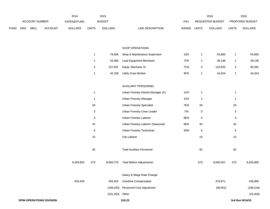|             |     |                                |         | 2014           |                           | 2015            |                                     |             |                | 2016             |                | 2016            |
|-------------|-----|--------------------------------|---------|----------------|---------------------------|-----------------|-------------------------------------|-------------|----------------|------------------|----------------|-----------------|
|             |     | ACCOUNT NUMBER                 |         | EXPENDITURE    |                           | <b>BUDGET</b>   |                                     | PAY         |                | REQUESTED BUDGET |                | PROPOSED BUDGET |
| <b>FUND</b> | ORG | <b>SBCL</b>                    | ACCOUNT | <b>DOLLARS</b> | <b>UNITS</b>              | <b>DOLLARS</b>  | LINE DESCRIPTION                    | RANGE UNITS |                | <b>DOLLARS</b>   | <b>UNITS</b>   | <b>DOLLARS</b>  |
|             |     |                                |         |                |                           |                 |                                     |             |                |                  |                |                 |
|             |     |                                |         |                |                           |                 | SHOP OPERATIONS                     |             |                |                  |                |                 |
|             |     |                                |         |                | 1                         | 79,696          | Shop & Maintenance Supervisor       | 1DX         | $\mathbf{1}$   | 54,865           | $\mathbf{1}$   | 54,865          |
|             |     |                                |         |                | $\mathbf{1}$              | 43,496          | Lead Equipment Mechanic             | 7FN         | $\mathbf{1}$   | 39,138           | $\mathbf{1}$   | 39,138          |
|             |     |                                |         |                | 3                         | 127,831         | Equip. Mechanic III                 | 7CN         | 3              | 120,920          | $\overline{2}$ | 80,281          |
|             |     |                                |         |                | 1                         | 42,238          | <b>Utility Crew Worker</b>          | 8FN         | $\mathbf{1}$   | 44,324           | $\mathbf{1}$   | 44,324          |
|             |     |                                |         |                |                           |                 | AUXILIARY PERSONNEL                 |             |                |                  |                |                 |
|             |     |                                |         |                | $\mathbf{1}$              |                 | Urban Forestry District Manager (X) | 1HX         | $\mathbf{1}$   |                  | $\mathbf{1}$   |                 |
|             |     |                                |         |                | $\mathbf{1}$              |                 | <b>Urban Forestry Manager</b>       | 1DX         | $\mathbf{1}$   |                  | $\mathbf{1}$   |                 |
|             |     |                                |         |                | 20                        |                 | <b>Urban Forestry Specialist</b>    | 7EN         | 20             |                  | $20\,$         |                 |
|             |     |                                |         |                | $\ensuremath{\mathsf{3}}$ |                 | Urban Forestry Crew Leader          | 7IN         | $\sqrt{3}$     |                  | $\sqrt{3}$     |                 |
|             |     |                                |         |                | 4                         |                 | Urban Forestry Laborer              | 8EN         | $\overline{4}$ |                  | 4              |                 |
|             |     |                                |         |                | 42                        |                 | Urban Forestry Laborer (Seasonal)   | 8EN         | 42             |                  | 42             |                 |
|             |     |                                |         |                | 6                         |                 | Urban Forestry Technician           | 3NN         | 6              |                  | 6              |                 |
|             |     |                                |         |                | 15                        |                 | City Laborer                        |             | 15             |                  | 15             |                 |
|             |     |                                |         |                |                           |                 |                                     |             |                |                  |                |                 |
|             |     |                                |         |                | 92                        |                 | <b>Total Auxiliary Personnel</b>    |             | 92             |                  | 92             |                 |
|             |     |                                |         | 8,493,953      | 273                       | 8,560,770       | <b>Total Before Adjustments</b>     |             | 273            | 9,005,057        | 273            | 9,025,865       |
|             |     |                                |         |                |                           |                 | Salary & Wage Rate Change           |             |                |                  |                |                 |
|             |     |                                |         | 203,434        |                           | 456,502         | Overtime Compensated                |             |                | 478,871          |                | 436,900         |
|             |     |                                |         |                |                           | (166, 205)      | Personnel Cost Adjustment           |             |                | (90, 051)        |                | (180, 518)      |
|             |     |                                |         |                |                           | (231,453) Other |                                     |             |                |                  |                | (22, 400)       |
|             |     | <b>DPW-OPERATIONS DIVISION</b> |         |                |                           |                 | 310.23                              |             |                |                  |                | 3rd Run 9/14/15 |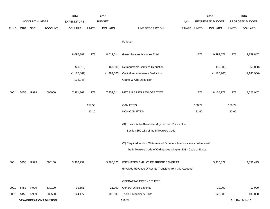|             |      |                       |                                | 2014               |              | 2015           |                                                                           |       |              | 2016             |              | 2016            |
|-------------|------|-----------------------|--------------------------------|--------------------|--------------|----------------|---------------------------------------------------------------------------|-------|--------------|------------------|--------------|-----------------|
|             |      | <b>ACCOUNT NUMBER</b> |                                | <b>EXPENDITURE</b> |              | <b>BUDGET</b>  |                                                                           | PAY   |              | REQUESTED BUDGET |              | PROPOSED BUDGET |
| <b>FUND</b> | ORG  | SBCL                  | <b>ACCOUNT</b>                 | <b>DOLLARS</b>     | <b>UNITS</b> | <b>DOLLARS</b> | LINE DESCRIPTION                                                          | RANGE | <b>UNITS</b> | <b>DOLLARS</b>   | <b>UNITS</b> | <b>DOLLARS</b>  |
|             |      |                       |                                |                    |              |                |                                                                           |       |              |                  |              |                 |
|             |      |                       |                                |                    |              |                | Furlough                                                                  |       |              |                  |              |                 |
|             |      |                       |                                |                    |              |                |                                                                           |       |              |                  |              |                 |
|             |      |                       |                                | 8,697,387          | 273          | 8,619,614      | Gross Salaries & Wages Total                                              |       | 273          | 9,393,877        | 273          | 9,259,847       |
|             |      |                       |                                |                    |              |                |                                                                           |       |              |                  |              |                 |
|             |      |                       |                                | (29, 913)          |              | (67, 500)      | Reimbursable Services Deduction                                           |       |              | (50,000)         |              | (50,000)        |
|             |      |                       |                                | (1, 177, 867)      |              | (1,292,500)    | Capital Improvements Deduction                                            |       |              | (1, 185, 900)    |              | (1, 185, 900)   |
|             |      |                       |                                | (108, 245)         |              |                | <b>Grants &amp; Aids Deduction</b>                                        |       |              |                  |              |                 |
|             |      |                       |                                |                    |              |                |                                                                           |       |              |                  |              |                 |
| 0001        | 5458 | R999                  | 006000                         | 7,381,362          | 273          | 7,259,614      | NET SALARIES & WAGES TOTAL                                                |       | 273          | 8,157,977        | 273          | 8,023,947       |
|             |      |                       |                                |                    | 157.50       |                | <b>O&amp;M FTE'S</b>                                                      |       | 158.79       |                  | 158.79       |                 |
|             |      |                       |                                |                    | 22.10        |                | NON-O&M FTE'S                                                             |       | 22.60        |                  | 22.60        |                 |
|             |      |                       |                                |                    |              |                |                                                                           |       |              |                  |              |                 |
|             |      |                       |                                |                    |              |                | (X) Private Auto Allowance May Be Paid Pursuant to                        |       |              |                  |              |                 |
|             |      |                       |                                |                    |              |                | Section 350-183 of the Milwaukee Code.                                    |       |              |                  |              |                 |
|             |      |                       |                                |                    |              |                |                                                                           |       |              |                  |              |                 |
|             |      |                       |                                |                    |              |                | (Y) Required to file a Statement of Economic Interests in accordance with |       |              |                  |              |                 |
|             |      |                       |                                |                    |              |                | the Milwaukee Code of Ordinances Chapter 303 - Code of Ethics.            |       |              |                  |              |                 |
| 0001        | 5458 | R999                  | 006100                         | 3,380,237          |              | 3,266,826      | ESTIMATED EMPLOYEE FRINGE BENEFITS                                        |       |              | 3,915,829        |              | 3,851,495       |
|             |      |                       |                                |                    |              |                | (Involves Revenue Offset-No Transfers from this Account)                  |       |              |                  |              |                 |
|             |      |                       |                                |                    |              |                |                                                                           |       |              |                  |              |                 |
|             |      |                       |                                |                    |              |                | OPERATING EXPENDITURES                                                    |       |              |                  |              |                 |
| 0001        | 5458 | R999                  | 630100                         | 15,651             |              | 21,000         | <b>General Office Expense</b>                                             |       |              | 19,000           |              | 19,000          |
| 0001        | 5458 | R999                  | 630500                         | 144,477            |              | 105,000        | Tools & Machinery Parts                                                   |       |              | 120,000          |              | 105,000         |
|             |      |                       | <b>DPW-OPERATIONS DIVISION</b> |                    |              |                | 310.24                                                                    |       |              |                  |              | 3rd Run 9/14/15 |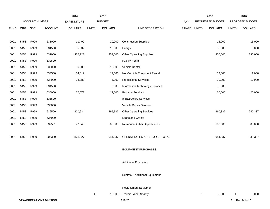|             |      |                       |                                | 2014               |              | 2015           |                                    |       |              | 2016             |              | 2016            |
|-------------|------|-----------------------|--------------------------------|--------------------|--------------|----------------|------------------------------------|-------|--------------|------------------|--------------|-----------------|
|             |      | <b>ACCOUNT NUMBER</b> |                                | <b>EXPENDITURE</b> |              | <b>BUDGET</b>  |                                    | PAY   |              | REQUESTED BUDGET |              | PROPOSED BUDGET |
| <b>FUND</b> | ORG  | SBCL                  | <b>ACCOUNT</b>                 | <b>DOLLARS</b>     | <b>UNITS</b> | <b>DOLLARS</b> | LINE DESCRIPTION                   | RANGE | <b>UNITS</b> | <b>DOLLARS</b>   | <b>UNITS</b> | <b>DOLLARS</b>  |
|             |      |                       |                                |                    |              |                |                                    |       |              |                  |              |                 |
| 0001        | 5458 | R999                  | 631000                         | 11,490             |              | 20,000         | <b>Construction Supplies</b>       |       |              | 15,000           |              | 15,000          |
| 0001        | 5458 | R999                  | 631500                         | 5,332              |              | 10,000         | Energy                             |       |              | 8,000            |              | 8,000           |
| 0001        | 5458 | R999                  | 632000                         | 337,923            |              | 357,000        | <b>Other Operating Supplies</b>    |       |              | 350,000          |              | 330,000         |
| 0001        | 5458 | R999                  | 632500                         |                    |              |                | <b>Facility Rental</b>             |       |              |                  |              |                 |
| 0001        | 5458 | R999                  | 633000                         | 6,208              |              | 15,000         | Vehicle Rental                     |       |              |                  |              |                 |
| 0001        | 5458 | R999                  | 633500                         | 14,012             |              | 12,000         | Non-Vehicle Equipment Rental       |       |              | 12,000           |              | 12,000          |
| 0001        | 5458 | R999                  | 634000                         | 38,082             |              | 5,000          | <b>Professional Services</b>       |       |              | 20,000           |              | 10,000          |
| 0001        | 5458 | R999                  | 634500                         |                    |              | 5,000          | Information Technology Services    |       |              | 2,500            |              |                 |
| 0001        | 5458 | R999                  | 635000                         | 27,673             |              | 19,500         | <b>Property Services</b>           |       |              | 30,000           |              | 20,000          |
| 0001        | 5458 | R999                  | 635500                         |                    |              |                | <b>Infrastructure Services</b>     |       |              |                  |              |                 |
| 0001        | 5458 | R999                  | 636000                         |                    |              |                | Vehicle Repair Services            |       |              |                  |              |                 |
| 0001        | 5458 | R999                  | 636500                         | 200,634            |              | 295,337        | <b>Other Operating Services</b>    |       |              | 260,337          |              | 240,337         |
| 0001        | 5458 | R999                  | 637000                         |                    |              |                | Loans and Grants                   |       |              |                  |              |                 |
| 0001        | 5458 | R999                  | 637501                         | 77,345             |              | 80,000         | <b>Reimburse Other Departments</b> |       |              | 108,000          |              | 80,000          |
|             |      |                       |                                |                    |              |                |                                    |       |              |                  |              |                 |
| 0001        | 5458 | R999                  | 006300                         | 878,827            |              | 944,837        | OPERATING EXPENDITURES TOTAL       |       |              | 944,837          |              | 839,337         |
|             |      |                       |                                |                    |              |                |                                    |       |              |                  |              |                 |
|             |      |                       |                                |                    |              |                | <b>EQUIPMENT PURCHASES</b>         |       |              |                  |              |                 |
|             |      |                       |                                |                    |              |                |                                    |       |              |                  |              |                 |
|             |      |                       |                                |                    |              |                | <b>Additional Equipment</b>        |       |              |                  |              |                 |
|             |      |                       |                                |                    |              |                |                                    |       |              |                  |              |                 |
|             |      |                       |                                |                    |              |                | Subtotal - Additional Equipment    |       |              |                  |              |                 |
|             |      |                       |                                |                    |              |                |                                    |       |              |                  |              |                 |
|             |      |                       |                                |                    |              |                | Replacement Equipment              |       |              |                  |              |                 |
|             |      |                       |                                |                    | $\mathbf{1}$ |                | 15,500 Trailers, Work Shanty       |       | 1            | 8,000            | -1           | 8,000           |
|             |      |                       | <b>DPW-OPERATIONS DIVISION</b> |                    |              |                | 310.25                             |       |              |                  |              | 3rd Run 9/14/15 |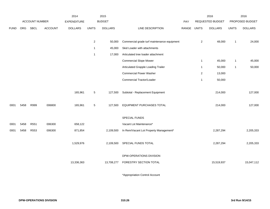|             |            |                       |                | 2014           |                | 2015           |                                             |       |                | 2016             |              | 2016            |
|-------------|------------|-----------------------|----------------|----------------|----------------|----------------|---------------------------------------------|-------|----------------|------------------|--------------|-----------------|
|             |            | <b>ACCOUNT NUMBER</b> |                | EXPENDITURE    |                | <b>BUDGET</b>  |                                             | PAY   |                | REQUESTED BUDGET |              | PROPOSED BUDGET |
| <b>FUND</b> | <b>ORG</b> | <b>SBCL</b>           | <b>ACCOUNT</b> | <b>DOLLARS</b> | <b>UNITS</b>   | <b>DOLLARS</b> | LINE DESCRIPTION                            | RANGE | <b>UNITS</b>   | <b>DOLLARS</b>   | <b>UNITS</b> | <b>DOLLARS</b>  |
|             |            |                       |                |                |                |                |                                             |       |                |                  |              |                 |
|             |            |                       |                |                | $\overline{c}$ | 50,000         | Commercial grade turf maintenance equipment |       | $\overline{2}$ | 48,000           | $\mathbf{1}$ | 24,000          |
|             |            |                       |                |                | $\mathbf 1$    | 45,000         | Skid Loader with attachments                |       |                |                  |              |                 |
|             |            |                       |                |                | $\mathbf{1}$   | 17,000         | Articulated tree loader attachment          |       |                |                  |              |                 |
|             |            |                       |                |                |                |                | <b>Commercial Slope Mower</b>               |       | $\mathbf{1}$   | 45,000           | 1            | 45,000          |
|             |            |                       |                |                |                |                | Articulated Grapple Loading Trailer         |       | $\overline{1}$ | 50,000           | 1            | 50,000          |
|             |            |                       |                |                |                |                | <b>Commercial Power Washer</b>              |       | $\overline{2}$ | 13,000           |              |                 |
|             |            |                       |                |                |                |                | Commercial Tractor/Loader                   |       | $\overline{1}$ | 50,000           |              |                 |
|             |            |                       |                |                |                |                |                                             |       |                |                  |              |                 |
|             |            |                       |                | 165,961        | $\sqrt{5}$     | 127,500        | Subtotal - Replacement Equipment            |       |                | 214,000          |              | 127,000         |
|             |            |                       |                |                |                |                |                                             |       |                |                  |              |                 |
| 0001        | 5458       | R999                  | 006800         | 165,961        | 5              | 127,500        | EQUIPMENT PURCHASES TOTAL                   |       |                | 214,000          |              | 127,000         |
|             |            |                       |                |                |                |                |                                             |       |                |                  |              |                 |
|             |            |                       |                |                |                |                | SPECIAL FUNDS                               |       |                |                  |              |                 |
| 0001        | 5458       | R551                  | 006300         | 658,122        |                |                | Vacant Lot Maintenance*                     |       |                |                  |              |                 |
| 0001        | 5458       | R553                  | 006300         | 871,854        |                | 2,109,500      | In Rem/Vacant Lot Property Management*      |       |                | 2,287,294        |              | 2,205,333       |
|             |            |                       |                |                |                |                |                                             |       |                |                  |              |                 |
|             |            |                       |                | 1,529,976      |                | 2,109,500      | SPECIAL FUNDS TOTAL                         |       |                | 2,287,294        |              | 2,205,333       |
|             |            |                       |                |                |                |                |                                             |       |                |                  |              |                 |
|             |            |                       |                |                |                |                | DPW-OPERATIONS DIVISION                     |       |                |                  |              |                 |
|             |            |                       |                | 13,336,363     |                | 13,708,277     | FORESTRY SECTION TOTAL                      |       |                | 15,519,937       |              | 15,047,112      |
|             |            |                       |                |                |                |                |                                             |       |                |                  |              |                 |

\*Appropriation Control Account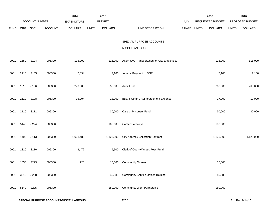|             |      |                |                | 2014               |              | 2015           |                                               |             | 2016             |              | 2016            |
|-------------|------|----------------|----------------|--------------------|--------------|----------------|-----------------------------------------------|-------------|------------------|--------------|-----------------|
|             |      | ACCOUNT NUMBER |                | <b>EXPENDITURE</b> |              | <b>BUDGET</b>  |                                               | PAY         | REQUESTED BUDGET |              | PROPOSED BUDGET |
| <b>FUND</b> | ORG  | <b>SBCL</b>    | <b>ACCOUNT</b> | <b>DOLLARS</b>     | <b>UNITS</b> | <b>DOLLARS</b> | LINE DESCRIPTION                              | RANGE UNITS | <b>DOLLARS</b>   | <b>UNITS</b> | <b>DOLLARS</b>  |
|             |      |                |                |                    |              |                | SPECIAL PURPOSE ACCOUNTS-                     |             |                  |              |                 |
|             |      |                |                |                    |              |                | MISCELLANEOUS                                 |             |                  |              |                 |
| 0001        | 1650 | S104           | 006300         | 115,000            |              | 115,000        | Alternative Transportation for City Employees |             | 115,000          |              | 115,000         |
| 0001        | 2110 | S105           | 006300         | 7,034              |              | 7,100          | Annual Payment to DNR                         |             | 7,100            |              | 7,100           |
| 0001        | 1310 | S106           | 006300         | 270,000            |              | 250,000        | <b>Audit Fund</b>                             |             | 260,000          |              | 260,000         |
| 0001        | 2110 | S108           | 006300         | 16,204             |              | 18,000         | Bds. & Comm. Reimbursement Expense            |             | 17,000           |              | 17,000          |
| 0001        | 2110 | S111           | 006300         |                    |              | 30,000         | Care of Prisoners Fund                        |             | 30,000           |              | 30,000          |
| 0001        | 5140 | S224           | 006300         |                    |              | 100,000        | Career Pathways                               |             | 100,000          |              |                 |
| 0001        | 1490 | S113           | 006300         | 1,098,482          |              | 1,125,000      | <b>City Attorney Collection Contract</b>      |             | 1,125,000        |              | 1,125,000       |
| 0001        | 1320 | S116           | 006300         | 8,472              |              | 9,500          | Clerk of Court-Witness Fees Fund              |             |                  |              |                 |
| 0001        | 1650 | S223           | 006300         | 720                |              | 15,000         | <b>Community Outreach</b>                     |             | 15,000           |              |                 |
| 0001        | 3310 | S228           | 006300         |                    |              | 40,385         | <b>Community Service Officer Training</b>     |             | 40,385           |              |                 |
| 0001        | 5140 | S225           | 006300         |                    |              | 180,000        | <b>Community Work Partnership</b>             |             | 180,000          |              |                 |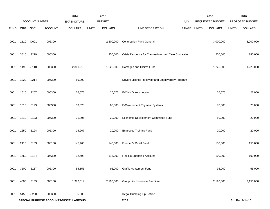|             |                                        | ACCOUNT NUMBER   |                | 2014<br><b>EXPENDITURE</b> |              | 2015<br><b>BUDGET</b> |                                                     | <b>PAY</b> |              | 2016<br>REQUESTED BUDGET |              | 2016<br>PROPOSED BUDGET |
|-------------|----------------------------------------|------------------|----------------|----------------------------|--------------|-----------------------|-----------------------------------------------------|------------|--------------|--------------------------|--------------|-------------------------|
| <b>FUND</b> | ORG                                    | SBCL             | <b>ACCOUNT</b> | <b>DOLLARS</b>             | <b>UNITS</b> | <b>DOLLARS</b>        | LINE DESCRIPTION                                    | RANGE      | <b>UNITS</b> | <b>DOLLARS</b>           | <b>UNITS</b> | <b>DOLLARS</b>          |
| 0001        | 2110                                   | D001             | 006300         |                            |              | 2,500,000             | <b>Contribution Fund General</b>                    |            |              | 3,000,000                |              | 3,000,000               |
| 0001        | 3810                                   | S229             | 006300         |                            |              | 250,000               | Crisis Response for Trauma-Informed Care Counseling |            |              | 250,000                  |              | 180,000                 |
| 0001        | 1490                                   | S118             | 006300         | 2,361,218                  |              | 1,225,000             | Damages and Claims Fund                             |            |              | 1,225,000                |              | 1,225,000               |
| 0001        | 1320                                   | S214             | 006300         | 50,000                     |              |                       | Drivers License Recovery and Employability Program  |            |              |                          |              |                         |
| 0001        | 1510                                   | S207             | 006300         | 26,675                     |              | 26,675                | E-Civis Grants Locator                              |            |              | 26,675                   |              | 27,000                  |
| 0001        | 1510                                   | S199             | 006300         | 58,628                     |              | 60,000                | E-Government Payment Systems                        |            |              | 70,000                   |              | 70,000                  |
| 0001        | 1310                                   | S <sub>123</sub> | 006300         | 21,806                     |              | 20,000                | Economic Development Committee Fund                 |            |              | 50,000                   |              | 20,000                  |
| 0001        | 1650                                   | S124             | 006300         | 14,267                     |              | 20,000                | <b>Employee Training Fund</b>                       |            |              | 20,000                   |              | 20,000                  |
| 0001        | 2110                                   | S <sub>133</sub> | 006100         | 145,466                    |              | 140,000               | Firemen's Relief Fund                               |            |              | 150,000                  |              | 150,000                 |
| 0001        | 1650                                   | S134             | 006300         | 92,598                     |              | 115,000               | <b>Flexible Spending Account</b>                    |            |              | 100,000                  |              | 100,000                 |
| 0001        | 3600                                   | S137             | 006300         | 55,156                     |              | 95,000                | Graffiti Abatement Fund                             |            |              | 95,000                   |              | 65,000                  |
| 0001        | 4500                                   | S139             | 006100         | 1,972,514                  |              | 2,190,000             | Group Life Insurance Premium                        |            |              | 2,190,000                |              | 2,150,000               |
| 0001        | 5450                                   | S220             | 006300         | 5,000                      |              |                       | <b>Illegal Dumping Tip Hotline</b>                  |            |              |                          |              |                         |
|             | SPECIAL PURPOSE ACCOUNTS-MISCELLANEOUS |                  |                |                            |              |                       | 320.2                                               |            |              |                          |              | 3rd Run 9/14/15         |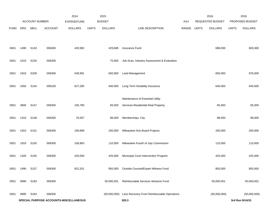|             |      | ACCOUNT NUMBER   |                | 2014<br><b>EXPENDITURE</b>             |              | 2015<br><b>BUDGET</b> |                                            | <b>PAY</b> |              | 2016<br>REQUESTED BUDGET |              | 2016<br>PROPOSED BUDGET |
|-------------|------|------------------|----------------|----------------------------------------|--------------|-----------------------|--------------------------------------------|------------|--------------|--------------------------|--------------|-------------------------|
| <b>FUND</b> | ORG  | SBCL             | <b>ACCOUNT</b> | <b>DOLLARS</b>                         | <b>UNITS</b> | <b>DOLLARS</b>        | LINE DESCRIPTION                           | RANGE      | <b>UNITS</b> | <b>DOLLARS</b>           | <b>UNITS</b> | <b>DOLLARS</b>          |
|             |      |                  |                |                                        |              |                       |                                            |            |              |                          |              |                         |
| 0001        | 1490 | S143             | 006300         | 430,982                                |              | 429,689               | Insurance Fund                             |            |              | 688,000                  |              | 600,000                 |
| 0001        | 1510 | S226             | 006300         |                                        |              | 75,000                | Job Scan, Industry Assessment & Evaluation |            |              |                          |              |                         |
| 0001        | 1910 | S209             | 006300         | 549,991                                |              | 650,000               | <b>Land Management</b>                     |            |              | 650,000                  |              | 876,000                 |
| 0001        | 1650 | S145             | 006100         | 627,285                                |              | 640,000               | Long Term Disability Insurance             |            |              | 640,000                  |              | 640,000                 |
|             |      |                  |                |                                        |              |                       | Maintenance of Essential Utility           |            |              |                          |              |                         |
| 0001        | 3600 | S147             | 006300         | 105,780                                |              | 65,000                | Services-Residential Real Property         |            |              | 65,000                   |              | 65,000                  |
| 0001        | 1310 | S148             | 006300         | 79,567                                 |              | 88,000                | Memberships, City                          |            |              | 88,000                   |              | 88,000                  |
| 0001        | 1910 | S <sub>151</sub> | 006300         | 169,899                                |              | 200,000               | Milwaukee Arts Board Projects              |            |              | 200,000                  |              | 200,000                 |
| 0001        | 1910 | S150             | 006300         | 106,863                                |              | 110,000               | Milwaukee Fourth of July Commission        |            |              | 110,000                  |              | 110,000                 |
| 0001        | 1320 | S <sub>155</sub> | 006300         | 425,000                                |              | 425,000               | Municipal Court Intervention Program       |            |              | 425,000                  |              | 425,000                 |
| 0001        | 1490 | S157             | 006300         | 822,201                                |              | 850,000               | Outside Counsel/Expert Witness Fund        |            |              | 850,000                  |              | 850,000                 |
| 0001        | 9990 | S183             | 006300         |                                        |              | 50,000,001            | Reimbursable Services Advance Fund         |            |              | 50,000,001               |              | 50,000,001              |
| 0001        | 9990 | S <sub>183</sub> | 006300         |                                        |              | (50,000,000)          | Less Recovery From Reimbursable Operations |            |              | (50,000,000)             |              | (50,000,000)            |
|             |      |                  |                | SPECIAL PURPOSE ACCOUNTS-MISCELLANEOUS |              |                       | 320.3                                      |            |              |                          |              | 3rd Run 9/14/15         |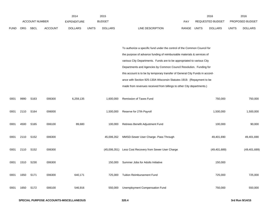|             |            | <b>ACCOUNT NUMBER</b> |                | 2014<br><b>EXPENDITURE</b> |              | 2015<br><b>BUDGET</b> |                                                                              | <b>PAY</b> |              | 2016<br>REQUESTED BUDGET |              | 2016<br>PROPOSED BUDGET |
|-------------|------------|-----------------------|----------------|----------------------------|--------------|-----------------------|------------------------------------------------------------------------------|------------|--------------|--------------------------|--------------|-------------------------|
| <b>FUND</b> | <b>ORG</b> | SBCL                  | <b>ACCOUNT</b> | <b>DOLLARS</b>             | <b>UNITS</b> | <b>DOLLARS</b>        | LINE DESCRIPTION                                                             | RANGE      | <b>UNITS</b> | <b>DOLLARS</b>           | <b>UNITS</b> | <b>DOLLARS</b>          |
|             |            |                       |                |                            |              |                       |                                                                              |            |              |                          |              |                         |
|             |            |                       |                |                            |              |                       | To authorize a specific fund under the control of the Common Council for     |            |              |                          |              |                         |
|             |            |                       |                |                            |              |                       | the purpose of advance funding of reimbursable materials & services of       |            |              |                          |              |                         |
|             |            |                       |                |                            |              |                       | various City Departments. Funds are to be appropriated to various City       |            |              |                          |              |                         |
|             |            |                       |                |                            |              |                       | Departments and Agencies by Common Council Resolution. Funding for           |            |              |                          |              |                         |
|             |            |                       |                |                            |              |                       | this account is to be by temporary transfer of General City Funds in accord- |            |              |                          |              |                         |
|             |            |                       |                |                            |              |                       | ance with Section 925-130A Wisconsin Statutes 1919. (Repayment to be         |            |              |                          |              |                         |
|             |            |                       |                |                            |              |                       | made from revenues received from billings to other City departments.)        |            |              |                          |              |                         |
| 0001        | 9990       | S163                  | 006300         | 6,259,135                  |              | 1,600,000             | Remission of Taxes Fund                                                      |            |              | 750,000                  |              | 750,000                 |
| 0001        | 2110       | S164                  | 006000         |                            |              | 1,500,000             | Reserve for 27th Payroll                                                     |            |              | 1,500,000                |              | 1,500,000               |
| 0001        | 4500       | S <sub>165</sub>      | 006100         | 89,680                     |              | 100,000               | Retirees Benefit Adjustment Fund                                             |            |              | 100,000                  |              | 90,000                  |
| 0001        | 2110       | S152                  | 006300         |                            |              | 45,006,352            | MMSD-Sewer User Charge- Pass Through                                         |            |              | 49,401,690               |              | 49,401,690              |
| 0001        | 2110       | S152                  | 006300         |                            |              |                       | (45,006,351) Less Cost Recovery from Sewer User Charge                       |            |              | (49, 401, 689)           |              | (49, 401, 689)          |
| 0001        | 1510       | S230                  | 006300         |                            |              | 150,000               | Summer Jobs for Adults Initiative                                            |            |              | 150,000                  |              |                         |
| 0001        | 1650       | S <sub>171</sub>      | 006300         | 640,171                    |              | 725,000               | <b>Tuition Reimbursement Fund</b>                                            |            |              | 725,000                  |              | 725,000                 |
| 0001        | 1650       | S172                  | 006100         | 546,916                    |              | 550,000               | Unemployment Compensation Fund                                               |            |              | 750,000                  |              | 550,000                 |
|             |            |                       |                |                            |              |                       |                                                                              |            |              |                          |              |                         |

2015

2016

2016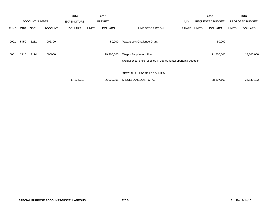|             |            |                       |                | 2014               |              | 2015           |                                                                  |            |              | 2016                    |              | 2016            |
|-------------|------------|-----------------------|----------------|--------------------|--------------|----------------|------------------------------------------------------------------|------------|--------------|-------------------------|--------------|-----------------|
|             |            | <b>ACCOUNT NUMBER</b> |                | <b>EXPENDITURE</b> |              | <b>BUDGET</b>  |                                                                  | <b>PAY</b> |              | <b>REQUESTED BUDGET</b> |              | PROPOSED BUDGET |
| <b>FUND</b> | <b>ORG</b> | <b>SBCL</b>           | <b>ACCOUNT</b> | <b>DOLLARS</b>     | <b>UNITS</b> | <b>DOLLARS</b> | LINE DESCRIPTION                                                 | RANGE      | <b>UNITS</b> | <b>DOLLARS</b>          | <b>UNITS</b> | <b>DOLLARS</b>  |
|             |            |                       |                |                    |              |                |                                                                  |            |              |                         |              |                 |
| 0001        | 5450       | S231                  | 006300         |                    |              | 50,000         | Vacant Lots Challenge Grant                                      |            |              | 50,000                  |              |                 |
|             |            |                       |                |                    |              |                |                                                                  |            |              |                         |              |                 |
| 0001        | 2110       | S174                  | 006000         |                    |              | 19,300,000     | <b>Wages Supplement Fund</b>                                     |            |              | 21,500,000              |              | 18,800,000      |
|             |            |                       |                |                    |              |                | (Actual experience reflected in departmental operating budgets.) |            |              |                         |              |                 |
|             |            |                       |                |                    |              |                |                                                                  |            |              |                         |              |                 |
|             |            |                       |                |                    |              |                | SPECIAL PURPOSE ACCOUNTS-                                        |            |              |                         |              |                 |
|             |            |                       |                | 17,172,710         |              | 36,039,351     | MISCELLANEOUS TOTAL                                              |            |              | 38,307,162              |              | 34,830,102      |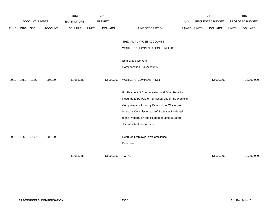|             |      |                       |                | 2014               |              | 2015             |                                                     |       |              | 2016                    |              | 2016            |
|-------------|------|-----------------------|----------------|--------------------|--------------|------------------|-----------------------------------------------------|-------|--------------|-------------------------|--------------|-----------------|
|             |      | <b>ACCOUNT NUMBER</b> |                | <b>EXPENDITURE</b> |              | <b>BUDGET</b>    |                                                     | PAY   |              | <b>REQUESTED BUDGET</b> |              | PROPOSED BUDGET |
| <b>FUND</b> | ORG  | SBCL                  | <b>ACCOUNT</b> | <b>DOLLARS</b>     | <b>UNITS</b> | <b>DOLLARS</b>   | LINE DESCRIPTION                                    | RANGE | <b>UNITS</b> | <b>DOLLARS</b>          | <b>UNITS</b> | <b>DOLLARS</b>  |
|             |      |                       |                |                    |              |                  |                                                     |       |              |                         |              |                 |
|             |      |                       |                |                    |              |                  | SPECIAL PURPOSE ACCOUNTS -                          |       |              |                         |              |                 |
|             |      |                       |                |                    |              |                  | <b>WORKERS' COMPENSATION BENEFITS</b>               |       |              |                         |              |                 |
|             |      |                       |                |                    |              |                  |                                                     |       |              |                         |              |                 |
|             |      |                       |                |                    |              |                  | Employees Workers'                                  |       |              |                         |              |                 |
|             |      |                       |                |                    |              |                  | <b>Compensation Sub Accounts</b>                    |       |              |                         |              |                 |
|             |      |                       |                |                    |              |                  |                                                     |       |              |                         |              |                 |
| 0001        | 1650 | S176                  | 006100         | 11,685,882         |              | 13,000,000       | <b>WORKERS' COMPENSATION</b>                        |       |              | 13,000,000              |              | 12,000,000      |
|             |      |                       |                |                    |              |                  |                                                     |       |              |                         |              |                 |
|             |      |                       |                |                    |              |                  | For Payment of Compensation and Other Benefits      |       |              |                         |              |                 |
|             |      |                       |                |                    |              |                  | Required to be Paid or Furnished Under the Worker's |       |              |                         |              |                 |
|             |      |                       |                |                    |              |                  | Compensation Act or by Directions of Wisconsin      |       |              |                         |              |                 |
|             |      |                       |                |                    |              |                  | Industrial Commission and of Expenses Incidental    |       |              |                         |              |                 |
|             |      |                       |                |                    |              |                  | to the Preparation and Hearing of Matters Before    |       |              |                         |              |                 |
|             |      |                       |                |                    |              |                  | the Industrial Commission.                          |       |              |                         |              |                 |
|             |      |                       |                |                    |              |                  |                                                     |       |              |                         |              |                 |
| 0001        | 1650 | S177                  | 006100         |                    |              |                  | Required Employer Law Compliance                    |       |              |                         |              |                 |
|             |      |                       |                |                    |              |                  | Expenses                                            |       |              |                         |              |                 |
|             |      |                       |                |                    |              |                  |                                                     |       |              |                         |              |                 |
|             |      |                       |                | 11,685,882         |              | 13,000,000 TOTAL |                                                     |       |              | 13,000,000              |              | 12,000,000      |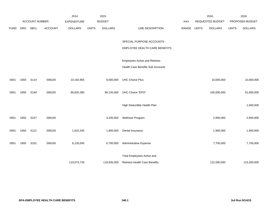|             |      |                       |                | 2014               |              | 2015           |                                      |       |              | 2016                    |              | 2016            |
|-------------|------|-----------------------|----------------|--------------------|--------------|----------------|--------------------------------------|-------|--------------|-------------------------|--------------|-----------------|
|             |      | <b>ACCOUNT NUMBER</b> |                | <b>EXPENDITURE</b> |              | <b>BUDGET</b>  |                                      | PAY   |              | <b>REQUESTED BUDGET</b> |              | PROPOSED BUDGET |
| <b>FUND</b> | ORG  | SBCL                  | <b>ACCOUNT</b> | <b>DOLLARS</b>     | <b>UNITS</b> | <b>DOLLARS</b> | LINE DESCRIPTION                     | RANGE | <b>UNITS</b> | <b>DOLLARS</b>          | <b>UNITS</b> | <b>DOLLARS</b>  |
|             |      |                       |                |                    |              |                |                                      |       |              |                         |              |                 |
|             |      |                       |                |                    |              |                | SPECIAL PURPOSE ACCOUNTS -           |       |              |                         |              |                 |
|             |      |                       |                |                    |              |                | EMPLOYEE HEALTH CARE BENEFITS        |       |              |                         |              |                 |
|             |      |                       |                |                    |              |                |                                      |       |              |                         |              |                 |
|             |      |                       |                |                    |              |                | <b>Employees Active and Retirees</b> |       |              |                         |              |                 |
|             |      |                       |                |                    |              |                | Health Care Benefits Sub Accounts    |       |              |                         |              |                 |
|             |      |                       |                |                    |              |                |                                      |       |              |                         |              |                 |
| 0001        | 1650 | S114                  | 006100         | 10,192,955         |              | 9,000,000      | <b>UHC Choice Plus</b>               |       |              | 10,000,000              |              | 10,000,000      |
|             |      |                       |                |                    |              |                |                                      |       |              |                         |              |                 |
| 0001        | 1650 | S140                  | 006100         | 89,835,390         |              | 99,135,000     | UHC Choice "EPO"                     |       |              | 100,000,000             |              | 91,800,000      |
|             |      |                       |                |                    |              |                |                                      |       |              |                         |              |                 |
|             |      |                       |                |                    |              |                | High Deductible Health Plan          |       |              |                         |              | 1,000,000       |
|             |      |                       |                |                    |              |                |                                      |       |              |                         |              |                 |
| 0001        | 1650 | S227                  | 006100         |                    |              | 3,200,000      | Wellness Program                     |       |              | 2,900,000               |              | 2,900,000       |
|             |      |                       |                |                    |              |                |                                      |       |              |                         |              |                 |
| 0001        | 1650 | S121                  | 006100         | 1,910,345          |              | 1,900,000      | Dental Insurance                     |       |              | 1,900,000               |              | 1,900,000       |
| 0001        |      |                       |                |                    |              |                |                                      |       |              |                         |              |                 |
|             | 1650 | S101                  | 006100         | 8,135,045          |              | 6,700,000      | Administrative Expense               |       |              | 7,700,000               |              | 7,700,000       |
|             |      |                       |                |                    |              |                | Total Employees Active and           |       |              |                         |              |                 |
|             |      |                       |                | 110,073,735        |              | 119,935,000    | <b>Retirees Health Care Benefits</b> |       |              | 122,500,000             |              | 115,300,000     |
|             |      |                       |                |                    |              |                |                                      |       |              |                         |              |                 |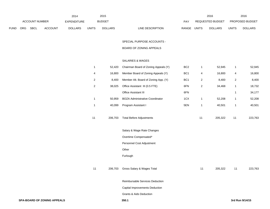|             |                       |             |                    | 2014           |               | 2015           |                                  |                         | 2016           |                        | 2016           |
|-------------|-----------------------|-------------|--------------------|----------------|---------------|----------------|----------------------------------|-------------------------|----------------|------------------------|----------------|
|             | <b>ACCOUNT NUMBER</b> |             | <b>EXPENDITURE</b> |                | <b>BUDGET</b> | PAY            |                                  | <b>REQUESTED BUDGET</b> |                | <b>PROPOSED BUDGET</b> |                |
| <b>FUND</b> | <b>ORG</b>            | <b>SBCL</b> | <b>ACCOUNT</b>     | <b>DOLLARS</b> | <b>UNITS</b>  | <b>DOLLARS</b> | <b>RANGE</b><br>LINE DESCRIPTION | UNITS                   | <b>DOLLARS</b> | <b>UNITS</b>           | <b>DOLLARS</b> |

SPECIAL PURPOSE ACCOUNTS -

#### BOARD OF ZONING APPEALS

## SALARIES & WAGES

| 1              | 52,420  | Chairman Board of Zoning Appeals (Y)   | BC <sub>2</sub> | 1  | 52,945  | 1  | 52,945  |
|----------------|---------|----------------------------------------|-----------------|----|---------|----|---------|
| 4              | 16,800  | Member Board of Zoning Appeals (Y)     | BC <sub>1</sub> | 4  | 16,800  | 4  | 16,800  |
| $\overline{c}$ | 8,400   | Member Alt. Board of Zoning App. (Y)   | BC <sub>1</sub> | 2  | 8,400   | 2  | 8,400   |
| $\sqrt{2}$     | 38,025  | Office Assistant III (0.5 FTE)         | 6FN             | 2  | 34,468  | 1  | 18,732  |
|                |         | Office Assistant III                   | 6FN             |    |         | 1  | 34,177  |
| 1              | 50,959  | <b>BOZA Administrative Coordinator</b> | 1CX             | 1  | 52,208  | 1  | 52,208  |
| $\mathbf{1}$   | 40,099  | Program Assistant I                    | 5EN             | 1  | 40,501  | 1  | 40,501  |
| 11             | 206,703 | <b>Total Before Adjustments</b>        |                 | 11 | 205,322 | 11 | 223,763 |
|                |         | Salary & Wage Rate Changes             |                 |    |         |    |         |
|                |         | Overtime Compensated*                  |                 |    |         |    |         |
|                |         | Personnel Cost Adjustment              |                 |    |         |    |         |
|                |         | Other                                  |                 |    |         |    |         |
|                |         | Furlough                               |                 |    |         |    |         |
| 11             | 206,703 | Gross Salary & Wages Total             |                 | 11 | 205,322 | 11 | 223,763 |
|                |         | Reimbursable Services Deduction        |                 |    |         |    |         |
|                |         | Capital Improvements Deduction         |                 |    |         |    |         |
|                |         | <b>Grants &amp; Aids Deduction</b>     |                 |    |         |    |         |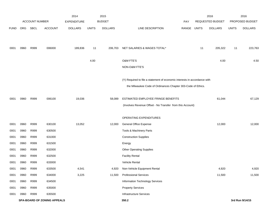|             |      |                       |                                    | 2014               |              | 2015           |                                                                           |             |    | 2016             |              | 2016            |
|-------------|------|-----------------------|------------------------------------|--------------------|--------------|----------------|---------------------------------------------------------------------------|-------------|----|------------------|--------------|-----------------|
|             |      | <b>ACCOUNT NUMBER</b> |                                    | <b>EXPENDITURE</b> |              | <b>BUDGET</b>  |                                                                           | PAY         |    | REQUESTED BUDGET |              | PROPOSED BUDGET |
| <b>FUND</b> | ORG  | <b>SBCL</b>           | <b>ACCOUNT</b>                     | <b>DOLLARS</b>     | <b>UNITS</b> | <b>DOLLARS</b> | LINE DESCRIPTION                                                          | RANGE UNITS |    | <b>DOLLARS</b>   | <b>UNITS</b> | <b>DOLLARS</b>  |
|             |      |                       |                                    |                    |              |                |                                                                           |             |    |                  |              |                 |
|             |      |                       |                                    |                    |              |                |                                                                           |             |    |                  |              |                 |
| 0001        | 0960 | R999                  | 006000                             | 189,836            | 11           | 206,703        | NET SALARIES & WAGES TOTAL*                                               |             | 11 | 205,322          | 11           | 223,763         |
|             |      |                       |                                    |                    | 4.00         |                | O&M FTE'S                                                                 |             |    | 4.00             |              | 4.50            |
|             |      |                       |                                    |                    |              |                |                                                                           |             |    |                  |              |                 |
|             |      |                       |                                    |                    |              |                | NON-O&M FTE'S                                                             |             |    |                  |              |                 |
|             |      |                       |                                    |                    |              |                | (Y) Required to file a statement of economic interests in accordance with |             |    |                  |              |                 |
|             |      |                       |                                    |                    |              |                | the Milwaukee Code of Ordinances Chapter 303-Code of Ethics.              |             |    |                  |              |                 |
|             |      |                       |                                    |                    |              |                |                                                                           |             |    |                  |              |                 |
| 0001        | 0960 | R999                  | 006100                             | 19,036             |              | 58,089         | ESTIMATED EMPLOYEE FRINGE BENEFITS                                        |             |    | 61,044           |              | 67,129          |
|             |      |                       |                                    |                    |              |                | (Involves Revenue Offset - No Transfer from this Account)                 |             |    |                  |              |                 |
|             |      |                       |                                    |                    |              |                |                                                                           |             |    |                  |              |                 |
|             |      |                       |                                    |                    |              |                | OPERATING EXPENDITURES                                                    |             |    |                  |              |                 |
| 0001        | 0960 | R999                  | 630100                             | 13,052             |              | 12,000         | <b>General Office Expense</b>                                             |             |    | 12,000           |              | 12,000          |
| 0001        | 0960 | R999                  | 630500                             |                    |              |                | Tools & Machinery Parts                                                   |             |    |                  |              |                 |
| 0001        | 0960 | R999                  | 631000                             |                    |              |                | <b>Construction Supplies</b>                                              |             |    |                  |              |                 |
| 0001        | 0960 | R999                  | 631500                             |                    |              |                | Energy                                                                    |             |    |                  |              |                 |
| 0001        | 0960 | R999                  | 632000                             |                    |              |                | <b>Other Operating Supplies</b>                                           |             |    |                  |              |                 |
| 0001        | 0960 | R999                  | 632500                             |                    |              |                | <b>Facility Rental</b>                                                    |             |    |                  |              |                 |
| 0001        | 0960 | R999                  | 633000                             |                    |              |                | Vehicle Rental                                                            |             |    |                  |              |                 |
| 0001        | 0960 | R999                  | 633500                             | 4,541              |              | 4,920          | Non-Vehicle Equipment Rental                                              |             |    | 4,920            |              | 4,920           |
| 0001        | 0960 | R999                  | 634000                             | 3,225              |              | 11,500         | <b>Professional Services</b>                                              |             |    | 11,500           |              | 11,500          |
| 0001        | 0960 | R999                  | 634500                             |                    |              |                | Information Technology Services                                           |             |    |                  |              |                 |
| 0001        | 0960 | R999                  | 635000                             |                    |              |                | <b>Property Services</b>                                                  |             |    |                  |              |                 |
| 0001        | 0960 | R999                  | 635500                             |                    |              |                | Infrastructure Services                                                   |             |    |                  |              |                 |
|             |      |                       | <b>SPA-BOARD OF ZONING APPEALS</b> |                    |              |                | 350.2                                                                     |             |    |                  |              | 3rd Run 9/14/15 |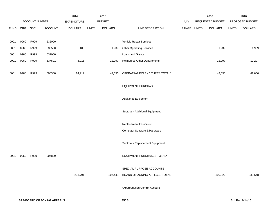|             |      |                |                | 2014               |              | 2015           |                                    |             | 2016             |              | 2016            |
|-------------|------|----------------|----------------|--------------------|--------------|----------------|------------------------------------|-------------|------------------|--------------|-----------------|
|             |      | ACCOUNT NUMBER |                | <b>EXPENDITURE</b> |              | <b>BUDGET</b>  |                                    | PAY         | REQUESTED BUDGET |              | PROPOSED BUDGET |
| <b>FUND</b> | ORG  | <b>SBCL</b>    | <b>ACCOUNT</b> | <b>DOLLARS</b>     | <b>UNITS</b> | <b>DOLLARS</b> | LINE DESCRIPTION                   | RANGE UNITS | <b>DOLLARS</b>   | <b>UNITS</b> | <b>DOLLARS</b>  |
|             |      |                |                |                    |              |                |                                    |             |                  |              |                 |
| 0001        | 0960 | R999           | 636000         |                    |              |                | Vehicle Repair Services            |             |                  |              |                 |
| 0001        | 0960 | R999           | 636500         | 185                |              | 1,939          | <b>Other Operating Services</b>    |             | 1,939            |              | 1,939           |
| 0001        | 0960 | R999           | 637000         |                    |              |                | Loans and Grants                   |             |                  |              |                 |
| 0001        | 0960 | R999           | 637501         | 3,916              |              | 12,297         | <b>Reimburse Other Departments</b> |             | 12,297           |              | 12,297          |
|             |      |                |                |                    |              |                |                                    |             |                  |              |                 |
| 0001        | 0960 | R999           | 006300         | 24,919             |              | 42,656         | OPERATING EXPENDITURES TOTAL*      |             | 42,656           |              | 42,656          |
|             |      |                |                |                    |              |                |                                    |             |                  |              |                 |
|             |      |                |                |                    |              |                | <b>EQUIPMENT PURCHASES</b>         |             |                  |              |                 |
|             |      |                |                |                    |              |                |                                    |             |                  |              |                 |
|             |      |                |                |                    |              |                | <b>Additional Equipment</b>        |             |                  |              |                 |
|             |      |                |                |                    |              |                |                                    |             |                  |              |                 |
|             |      |                |                |                    |              |                | Subtotal - Additional Equipment    |             |                  |              |                 |
|             |      |                |                |                    |              |                | Replacement Equipment              |             |                  |              |                 |
|             |      |                |                |                    |              |                | Computer Software & Hardware       |             |                  |              |                 |
|             |      |                |                |                    |              |                |                                    |             |                  |              |                 |
|             |      |                |                |                    |              |                | Subtotal - Replacement Equipment   |             |                  |              |                 |
|             |      |                |                |                    |              |                |                                    |             |                  |              |                 |
| 0001        | 0960 | R999           | 006800         |                    |              |                | EQUIPMENT PURCHASES TOTAL*         |             |                  |              |                 |
|             |      |                |                |                    |              |                |                                    |             |                  |              |                 |
|             |      |                |                |                    |              |                | SPECIAL PURPOSE ACCOUNTS -         |             |                  |              |                 |
|             |      |                |                | 233,791            |              | 307,448        | BOARD OF ZONING APPEALS TOTAL      |             | 309,022          |              | 333,548         |
|             |      |                |                |                    |              |                |                                    |             |                  |              |                 |
|             |      |                |                |                    |              |                | *Appropriation Control Account     |             |                  |              |                 |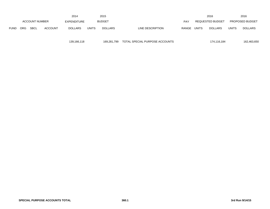|             |            |                |                | 2014        |              | 2015           |                  |       |              | 2016             |              | 2016                   |
|-------------|------------|----------------|----------------|-------------|--------------|----------------|------------------|-------|--------------|------------------|--------------|------------------------|
|             |            | ACCOUNT NUMBER |                | EXPENDITURE |              | <b>BUDGET</b>  |                  | PAY   |              | REQUESTED BUDGET |              | <b>PROPOSED BUDGET</b> |
| <b>FUND</b> | <b>ORG</b> | <b>SBCL</b>    | <b>ACCOUNT</b> | DOLLARS     | <b>UNITS</b> | <b>DOLLARS</b> | LINE DESCRIPTION | RANGE | <b>UNITS</b> | <b>DOLLARS</b>   | <b>UNITS</b> | <b>DOLLARS</b>         |

139,166,118 169,281,799 TOTAL SPECIAL PURPOSE ACCOUNTS 174,116,184 162,463,650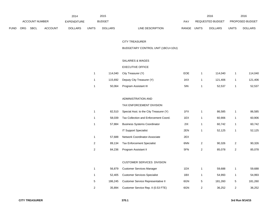|             |                       |             |                    | 2014           |               | 2015           |                           | 2016  |                |                        | 2016           |
|-------------|-----------------------|-------------|--------------------|----------------|---------------|----------------|---------------------------|-------|----------------|------------------------|----------------|
|             | <b>ACCOUNT NUMBER</b> |             | <b>EXPENDITURE</b> |                | <b>BUDGET</b> | PAY            | REQUESTED BUDGET          |       |                | <b>PROPOSED BUDGET</b> |                |
| <b>FUND</b> | ORG                   | <b>SBCL</b> | <b>ACCOUNT</b>     | <b>DOLLARS</b> | <b>UNITS</b>  | <b>DOLLARS</b> | RANGE<br>LINE DESCRIPTION | UNITS | <b>DOLLARS</b> | <b>UNITS</b>           | <b>DOLLARS</b> |

#### CITY TREASURER

# BUDGETARY CONTROL UNIT (1BCU=1DU)

# SALARIES & WAGES

#### EXECUTIVE OFFICE

|         | 114,040 City Treasurer (Y) | EOE | 114.040 | 114.040 |
|---------|----------------------------|-----|---------|---------|
| 115.692 | Deputy City Treasurer (Y)  | 1KX | 121.406 | 121,406 |
| 50.064  | Program Assistant III      | 5IN | 52.537  | 52,537  |

# ADMINISTRATION AND

#### TAX ENFORCEMENT DIVISION

|   | 82.510 | Special Asst. to the City Treasurer (Y) | 1FX |   | 86.585 |   | 86,585 |
|---|--------|-----------------------------------------|-----|---|--------|---|--------|
|   | 58.039 | Tax Collection and Enforcement Coord.   | 1EX |   | 60,906 |   | 60,906 |
|   | 57.884 | <b>Business Systems Coordinator</b>     | 2IX |   | 60,742 |   | 60,742 |
|   |        | <b>IT Support Specialist</b>            | 2EN |   | 52.125 |   | 52,125 |
|   | 57.688 | <b>Network Coordinator-Associate</b>    | 2EX |   |        |   |        |
| 2 | 89.134 | <b>Tax Enforcement Specialist</b>       | 6NN | 2 | 90.326 | 2 | 90,326 |
| 2 | 84,236 | Program Assistant II                    | 5FN | 2 | 85,078 | 2 | 85,078 |

# CUSTOMER SERVICES DIVISION

|   | 56.879  | <b>Customer Services Manager</b>    | 1DX | 59.688  |   | 59.688  |
|---|---------|-------------------------------------|-----|---------|---|---------|
|   | 52.405  | <b>Customer Services Specialist</b> | 1BX | 54.993  |   | 54,993  |
| 5 | 186.245 | Customer Service Representative II  | 6GN | 181.260 | 5 | 181,260 |
| 2 | 35.894  | Customer Service Rep. II (0.53 FTE) | 6GN | 36.252  |   | 36,252  |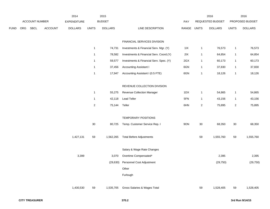|     |      |                | 2014               |              | 2015           |                                         |                                                     |              | 2016           |                  | 2016            |
|-----|------|----------------|--------------------|--------------|----------------|-----------------------------------------|-----------------------------------------------------|--------------|----------------|------------------|-----------------|
|     |      |                | <b>EXPENDITURE</b> |              |                |                                         | PAY                                                 |              |                |                  | PROPOSED BUDGET |
| ORG | SBCL | <b>ACCOUNT</b> | <b>DOLLARS</b>     | <b>UNITS</b> | <b>DOLLARS</b> | LINE DESCRIPTION                        |                                                     |              | <b>DOLLARS</b> | <b>UNITS</b>     | <b>DOLLARS</b>  |
|     |      |                |                    |              |                |                                         |                                                     |              |                |                  |                 |
|     |      |                |                    |              |                | FINANCIAL SERVICES DIVISION             |                                                     |              |                |                  |                 |
|     |      |                |                    | $\mathbf{1}$ | 74,731         | Investments & Financial Serv. Mgr. (Y)  | 11X                                                 | 1            | 76,573         | $\mathbf{1}$     | 76,573          |
|     |      |                |                    | $\mathbf{1}$ | 78,582         | Investments & Financial Serv. Coord.(Y) | 2IX                                                 | $\mathbf{1}$ | 64,854         | $\mathbf{1}$     | 64,854          |
|     |      |                |                    | $\mathbf{1}$ | 59,577         | Investments & Financial Serv. Spec. (Y) | 2GX                                                 | 1            | 60,173         | $\mathbf{1}$     | 60,173          |
|     |      |                |                    | $\mathbf{1}$ | 37,456         | <b>Accounting Assistant I</b>           | 6GN                                                 | 1            | 37,830         | $\mathbf{1}$     | 37,830          |
|     |      |                |                    | $\mathbf{1}$ | 17,947         | Accounting Assistant I (0.5 FTE)        | 6GN                                                 | 1            | 18,126         | $\mathbf{1}$     | 18,126          |
|     |      |                |                    |              |                |                                         |                                                     |              |                |                  |                 |
|     |      |                |                    |              |                | REVENUE COLLECTION DIVISION             |                                                     |              |                |                  |                 |
|     |      |                |                    | $\mathbf{1}$ | 55,275         | Revenue Collection Manager              | 1DX                                                 | 1            | 54,865         | $\mathbf{1}$     | 54,865          |
|     |      |                |                    | $\mathbf{1}$ | 42,118         | <b>Lead Teller</b>                      | 5FN                                                 | $\mathbf{1}$ | 43,156         | $\mathbf{1}$     | 43,156          |
|     |      |                |                    | $\sqrt{2}$   | 75,144         | Teller                                  | 6HN                                                 | 2            | 75,895         | $\overline{c}$   | 75,895          |
|     |      |                |                    |              |                |                                         |                                                     |              |                |                  |                 |
|     |      |                |                    |              |                | TEMPORARY POSITIONS                     |                                                     |              |                |                  |                 |
|     |      |                |                    | $30\,$       | 80,725         | Temp. Customer Service Rep. I           | 9ON                                                 | $30\,$       | 68,350         | $30\,$           | 68,350          |
|     |      |                |                    |              |                |                                         |                                                     |              |                |                  |                 |
|     |      |                | 1,427,131          | 59           | 1,562,265      | <b>Total Before Adjustments</b>         |                                                     | 59           | 1,555,760      | 59               | 1,555,760       |
|     |      |                |                    |              |                |                                         |                                                     |              |                |                  |                 |
|     |      |                |                    |              |                |                                         |                                                     |              |                |                  |                 |
|     |      |                | 3,399              |              | 3,070          |                                         |                                                     |              | 2,395          |                  | 2,395           |
|     |      |                |                    |              | (29, 630)      | Personnel Cost Adjustment               |                                                     |              | (29, 750)      |                  | (29, 750)       |
|     |      |                |                    |              |                | Other                                   |                                                     |              |                |                  |                 |
|     |      |                |                    |              |                | Furlough                                |                                                     |              |                |                  |                 |
|     |      |                |                    |              |                |                                         |                                                     |              |                |                  |                 |
|     |      |                | 1,430,530          | 59           | 1,535,705      | Gross Salaries & Wages Total            |                                                     | 59           | 1,528,405      | 59               | 1,528,405       |
|     |      |                | ACCOUNT NUMBER     |              |                | <b>BUDGET</b>                           | Salary & Wage Rate Changes<br>Overtime Compensated* |              | RANGE UNITS    | REQUESTED BUDGET |                 |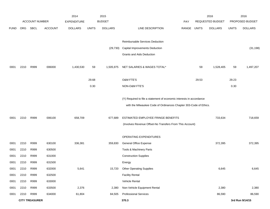|             |      |                       |                | 2014               |              | 2015           |                                                                      |             |       | 2016             |              | 2016            |
|-------------|------|-----------------------|----------------|--------------------|--------------|----------------|----------------------------------------------------------------------|-------------|-------|------------------|--------------|-----------------|
|             |      | <b>ACCOUNT NUMBER</b> |                | <b>EXPENDITURE</b> |              | <b>BUDGET</b>  |                                                                      | <b>PAY</b>  |       | REQUESTED BUDGET |              | PROPOSED BUDGET |
| <b>FUND</b> | ORG  | SBCL                  | <b>ACCOUNT</b> | <b>DOLLARS</b>     | <b>UNITS</b> | <b>DOLLARS</b> | LINE DESCRIPTION                                                     | RANGE UNITS |       | <b>DOLLARS</b>   | <b>UNITS</b> | <b>DOLLARS</b>  |
|             |      |                       |                |                    |              |                |                                                                      |             |       |                  |              |                 |
|             |      |                       |                |                    |              |                | Reimbursable Services Deduction                                      |             |       |                  |              |                 |
|             |      |                       |                |                    |              | (29, 730)      | <b>Capital Improvements Deduction</b>                                |             |       |                  |              | (31, 198)       |
|             |      |                       |                |                    |              |                | <b>Grants and Aids Deduction</b>                                     |             |       |                  |              |                 |
| 0001        | 2210 | R999                  | 006000         | 1,430,530          | 59           | 1,505,975      | NET SALARIES & WAGES TOTAL*                                          |             | 59    | 1,528,405        | 59           | 1,497,207       |
|             |      |                       |                |                    |              |                |                                                                      |             |       |                  |              |                 |
|             |      |                       |                |                    | 29.68        |                | O&M FTE'S                                                            |             | 29.53 |                  | 29.23        |                 |
|             |      |                       |                |                    | 0.30         |                | NON-O&M FTE'S                                                        |             |       |                  | 0.30         |                 |
|             |      |                       |                |                    |              |                |                                                                      |             |       |                  |              |                 |
|             |      |                       |                |                    |              |                | (Y) Required to file a statement of economic interests in accordance |             |       |                  |              |                 |
|             |      |                       |                |                    |              |                | with the Milwaukee Code of Ordinances Chapter 303-Code of Ethics.    |             |       |                  |              |                 |
|             |      |                       |                |                    |              |                |                                                                      |             |       |                  |              |                 |
| 0001        | 2210 | R999                  | 006100         | 658,709            |              | 677,689        | ESTIMATED EMPLOYEE FRINGE BENEFITS                                   |             |       | 733,634          |              | 718,659         |
|             |      |                       |                |                    |              |                | (Involves Revenue Offset-No Transfers From This Account)             |             |       |                  |              |                 |
|             |      |                       |                |                    |              |                | OPERATING EXPENDITURES                                               |             |       |                  |              |                 |
| 0001        | 2210 | R999                  | 630100         | 336,381            |              | 359,830        | General Office Expense                                               |             |       | 372,395          |              | 372,395         |
| 0001        | 2210 | R999                  | 630500         |                    |              |                | Tools & Machinery Parts                                              |             |       |                  |              |                 |
| 0001        | 2210 | R999                  | 631000         |                    |              |                | <b>Construction Supplies</b>                                         |             |       |                  |              |                 |
| 0001        | 2210 | R999                  | 631500         |                    |              |                | Energy                                                               |             |       |                  |              |                 |
| 0001        | 2210 | R999                  | 632000         | 5,641              |              | 15,720         | <b>Other Operating Supplies</b>                                      |             |       | 6,645            |              | 6,645           |
| 0001        | 2210 | R999                  | 632500         |                    |              |                | <b>Facility Rental</b>                                               |             |       |                  |              |                 |
| 0001        | 2210 | R999                  | 633000         |                    |              |                | Vehicle Rental                                                       |             |       |                  |              |                 |
| 0001        | 2210 | R999                  | 633500         | 2,376              |              | 2,380          | Non-Vehicle Equipment Rental                                         |             |       | 2,380            |              | 2,380           |
| 0001        | 2210 | R999                  | 634000         | 61,804             |              | 84,505         | <b>Professional Services</b>                                         |             |       | 86,590           |              | 86,590          |
|             |      | <b>CITY TREASURER</b> |                |                    |              |                | 370.3                                                                |             |       |                  |              | 3rd Run 9/14/15 |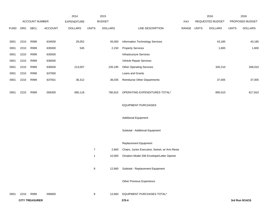|             |      |                       |                | 2014           |                | 2015           |                                                |       |              | 2016             |              | 2016            |
|-------------|------|-----------------------|----------------|----------------|----------------|----------------|------------------------------------------------|-------|--------------|------------------|--------------|-----------------|
|             |      | ACCOUNT NUMBER        |                | EXPENDITURE    |                | <b>BUDGET</b>  |                                                | PAY   |              | REQUESTED BUDGET |              | PROPOSED BUDGET |
| <b>FUND</b> | ORG  | SBCL                  | <b>ACCOUNT</b> | <b>DOLLARS</b> | <b>UNITS</b>   | <b>DOLLARS</b> | LINE DESCRIPTION                               | RANGE | <b>UNITS</b> | <b>DOLLARS</b>   | <b>UNITS</b> | <b>DOLLARS</b>  |
|             |      |                       |                |                |                |                |                                                |       |              |                  |              |                 |
| 0001        | 2210 | R999                  | 634500         | 29,052         |                | 45,000         | <b>Information Technology Services</b>         |       |              | 43,185           |              | 43,185          |
| 0001        | 2210 | R999                  | 635000         | 545            |                | 2,150          | <b>Property Services</b>                       |       |              | 1,600            |              | 1,600           |
| 0001        | 2210 | R999                  | 635500         |                |                |                | Infrastructure Services                        |       |              |                  |              |                 |
| 0001        | 2210 | R999                  | 636000         |                |                |                | Vehicle Repair Services                        |       |              |                  |              |                 |
| 0001        | 2210 | R999                  | 636500         | 213,007        |                | 235,195        | <b>Other Operating Services</b>                |       |              | 345,210          |              | 268,010         |
| 0001        | 2210 | R999                  | 637000         |                |                |                | Loans and Grants                               |       |              |                  |              |                 |
| 0001        | 2210 | R999                  | 637501         | 36,312         |                | 36,035         | <b>Reimburse Other Departments</b>             |       |              | 37,005           |              | 37,005          |
|             |      |                       |                |                |                |                |                                                |       |              |                  |              |                 |
| 0001        | 2210 | R999                  | 006300         | 685,118        |                | 780,815        | OPERATING EXPENDITURES TOTAL*                  |       |              | 895,010          |              | 817,810         |
|             |      |                       |                |                |                |                | <b>EQUIPMENT PURCHASES</b>                     |       |              |                  |              |                 |
|             |      |                       |                |                |                |                |                                                |       |              |                  |              |                 |
|             |      |                       |                |                |                |                | <b>Additional Equipment</b>                    |       |              |                  |              |                 |
|             |      |                       |                |                |                |                |                                                |       |              |                  |              |                 |
|             |      |                       |                |                |                |                | Subtotal - Additional Equipment                |       |              |                  |              |                 |
|             |      |                       |                |                |                |                |                                                |       |              |                  |              |                 |
|             |      |                       |                |                |                |                | Replacement Equipment                          |       |              |                  |              |                 |
|             |      |                       |                |                | $\overline{7}$ | 2,660          | Chairs, Junior Executive, Swivel, w/ Arm Rests |       |              |                  |              |                 |
|             |      |                       |                |                | $\mathbf{1}$   | 10,000         | Omation Model 206 Envelope/Letter Opener       |       |              |                  |              |                 |
|             |      |                       |                |                | 8              | 12,660         | Subtotal - Replacement Equipment               |       |              |                  |              |                 |
|             |      |                       |                |                |                |                |                                                |       |              |                  |              |                 |
|             |      |                       |                |                |                |                | Other Previous Experience                      |       |              |                  |              |                 |
|             |      |                       |                |                |                |                |                                                |       |              |                  |              |                 |
| 0001        | 2210 | R999                  | 006800         |                | 8              | 12,660         | EQUIPMENT PURCHASES TOTAL*                     |       |              |                  |              |                 |
|             |      | <b>CITY TREASURER</b> |                |                |                |                | 370.4                                          |       |              |                  |              | 3rd Run 9/14/15 |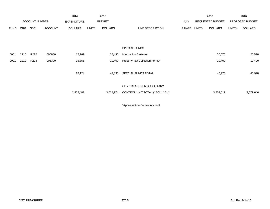|             |            |                       |                | 2014               |              | 2015           |                                |       |              | 2016             |              | 2016            |
|-------------|------------|-----------------------|----------------|--------------------|--------------|----------------|--------------------------------|-------|--------------|------------------|--------------|-----------------|
|             |            | <b>ACCOUNT NUMBER</b> |                | <b>EXPENDITURE</b> |              | <b>BUDGET</b>  |                                | PAY   |              | REQUESTED BUDGET |              | PROPOSED BUDGET |
| <b>FUND</b> | <b>ORG</b> | SBCL                  | <b>ACCOUNT</b> | <b>DOLLARS</b>     | <b>UNITS</b> | <b>DOLLARS</b> | LINE DESCRIPTION               | RANGE | <b>UNITS</b> | <b>DOLLARS</b>   | <b>UNITS</b> | <b>DOLLARS</b>  |
|             |            |                       |                |                    |              |                |                                |       |              |                  |              |                 |
|             |            |                       |                |                    |              |                |                                |       |              |                  |              |                 |
|             |            |                       |                |                    |              |                | <b>SPECIAL FUNDS</b>           |       |              |                  |              |                 |
| 0001        | 2210       | R222                  | 006800         | 12,269             |              | 28,435         | Information Systems*           |       |              | 26,570           |              | 26,570          |
| 0001        | 2210       | R223                  | 006300         | 15,855             |              | 19,400         | Property Tax Collection Forms* |       |              | 19,400           |              | 19,400          |
|             |            |                       |                |                    |              |                |                                |       |              |                  |              |                 |
|             |            |                       |                | 28,124             |              | 47,835         | SPECIAL FUNDS TOTAL            |       |              | 45,970           |              | 45,970          |
|             |            |                       |                |                    |              |                |                                |       |              |                  |              |                 |
|             |            |                       |                |                    |              |                | CITY TREASURER BUDGETARY       |       |              |                  |              |                 |
|             |            |                       |                | 2,802,481          |              | 3,024,974      | CONTROL UNIT TOTAL (1BCU=1DU)  |       |              | 3,203,019        |              | 3,079,646       |
|             |            |                       |                |                    |              |                |                                |       |              |                  |              |                 |

\*Appropriation Control Account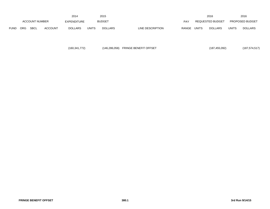|             |                       |             |                    | 2014           |               | 2015           |                  |              |                  | 2016           |                        | 2016           |
|-------------|-----------------------|-------------|--------------------|----------------|---------------|----------------|------------------|--------------|------------------|----------------|------------------------|----------------|
|             | <b>ACCOUNT NUMBER</b> |             | <b>EXPENDITURE</b> |                | <b>BUDGET</b> |                | PAY              |              | REQUESTED BUDGET |                | <b>PROPOSED BUDGET</b> |                |
| <b>FUND</b> | <b>ORG</b>            | <b>SBCL</b> | <b>ACCOUNT</b>     | <b>DOLLARS</b> | UNITS         | <b>DOLLARS</b> | LINE DESCRIPTION | <b>RANGE</b> | UNITS            | <b>DOLLARS</b> | <b>UNITS</b>           | <b>DOLLARS</b> |

| (160,341,772) | (146,286,058) FRINGE BENEFIT OFFSET | (187, 455, 092) | (187, 574, 517) |
|---------------|-------------------------------------|-----------------|-----------------|
|---------------|-------------------------------------|-----------------|-----------------|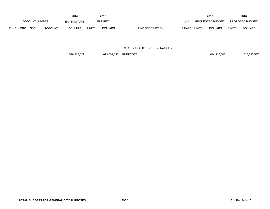|             | 2014                  |             |                    |                |               | 2015           |                  |       |                  | 2016           |                        | 2016           |
|-------------|-----------------------|-------------|--------------------|----------------|---------------|----------------|------------------|-------|------------------|----------------|------------------------|----------------|
|             | <b>ACCOUNT NUMBER</b> |             | <b>EXPENDITURE</b> |                | <b>BUDGET</b> |                | PAY              |       | REQUESTED BUDGET |                | <b>PROPOSED BUDGET</b> |                |
| <b>FUND</b> | <b>ORG</b>            | <b>SBCL</b> | <b>ACCOUNT</b>     | <b>DOLLARS</b> | UNITS         | <b>DOLLARS</b> | LINE DESCRIPTION | RANGE | <b>UNITS</b>     | <b>DOLLARS</b> | <b>UNITS</b>           | <b>DOLLARS</b> |

TOTAL BUDGETS FOR GENERAL CITY

578,916,629 613,601,536 PURPOSES 634,918,608 615,395,537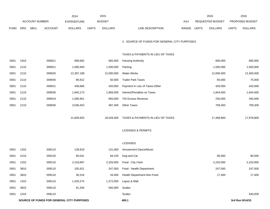|             |      |                |                | 2014                                      |              | 2015           |                                              |       |              | 2016             |              | 2016            |
|-------------|------|----------------|----------------|-------------------------------------------|--------------|----------------|----------------------------------------------|-------|--------------|------------------|--------------|-----------------|
|             |      | ACCOUNT NUMBER |                | <b>EXPENDITURE</b>                        |              | <b>BUDGET</b>  |                                              | PAY   |              | REQUESTED BUDGET |              | PROPOSED BUDGET |
| <b>FUND</b> | ORG  | <b>SBCL</b>    | <b>ACCOUNT</b> | <b>DOLLARS</b>                            | <b>UNITS</b> | <b>DOLLARS</b> | LINE DESCRIPTION                             | RANGE | <b>UNITS</b> | <b>DOLLARS</b>   | <b>UNITS</b> | <b>DOLLARS</b>  |
|             |      |                |                |                                           |              |                | 2. SOURCE OF FUNDS FOR GENERAL CITY PURPOSES |       |              |                  |              |                 |
|             |      |                |                |                                           |              |                | TAXES & PAYMENTS IN LIEU OF TAXES            |       |              |                  |              |                 |
| 0001        | 1910 |                | 009021         | 689,682                                   |              | 665,000        | <b>Housing Authority</b>                     |       |              | 690,000          |              | 690,000         |
| 0001        | 2110 |                | 009021         | 1,585,940                                 |              | 1,500,000      | Parking                                      |       |              | 1,500,000        |              | 1,500,000       |
| 0001        | 2110 |                | 009020         | 12,397,198                                |              | 12,000,000     | <b>Water Works</b>                           |       |              | 12,000,000       |              | 12,400,000      |
| 0001        | 2110 |                | 009040         | 80,912                                    |              | 50,000         | <b>Trailer Park Taxes</b>                    |       |              | 65,000           |              | 75,000          |
| 0001        | 2110 |                | 009021         | 438,666                                   |              | 420,000        | Payment in Lieu of Taxes-Other               |       |              | 420,000          |              | 420,000         |
| 0001        | 2110 |                | 009030         | 1,845,173                                 |              | 1,956,000      | Interest/Penalties on Taxes                  |       |              | 1,844,500        |              | 1,844,500       |
| 0001        | 2110 |                | 009019         | 1,585,901                                 |              | 950,000        | <b>TID Excess Revenue</b>                    |       |              | 230,000          |              | 340,000         |
| 0001        | 2110 |                | 009040         | 3,036,453                                 |              | 487,400        | <b>Other Taxes</b>                           |       |              | 709,300          |              | 709,300         |
|             |      |                |                | 21,659,925                                |              | 18,028,400     | TAXES & PAYMENTS IN LIEU OF TAXES            |       |              | 17,458,800       |              | 17,978,800      |
|             |      |                |                |                                           |              |                |                                              |       |              |                  |              |                 |
|             |      |                |                |                                           |              |                | <b>LICENSES &amp; PERMITS</b>                |       |              |                  |              |                 |
|             |      |                |                |                                           |              |                | <b>LICENSES</b>                              |       |              |                  |              |                 |
| 0001        | 1310 |                | 009110         | 139,919                                   |              | 131,000        | Amusement Dance/Music                        |       |              |                  |              |                 |
| 0001        | 2210 |                | 009120         | 80,031                                    |              | 84,100         | Dog and Cat                                  |       |              | 80,000           |              | 80,000          |
| 0001        | 1310 |                | 009110         | 2,218,897                                 |              | 2,326,000      | Food - City Clerk                            |       |              | 2,220,000        |              | 2,220,000       |
| 0001        | 3810 |                | 009110         | 155,421                                   |              | 247,000        | Food - Health Department                     |       |              | 247,000          |              | 247,000         |
| 0001        | 3810 |                | 009110         | 30,316                                    |              | 34,400         | Health Department-Non Food                   |       |              | 17,400           |              | 17,400          |
| 0001        | 1310 |                | 009110         | 1,420,275                                 |              | 1,372,000      | Liquor & Malt                                |       |              |                  |              |                 |
| 0001        | 3810 |                | 009110         | 91,294                                    |              | 500,000        | Scales                                       |       |              |                  |              |                 |
| 0001        | 1310 |                | 009110         |                                           |              |                | Scales                                       |       |              |                  |              | 540,000         |
|             |      |                |                | SOURCE OF FUNDS FOR GENERAL CITY PURPOSES |              |                | 400.1                                        |       |              |                  |              | 3rd Run 9/14/15 |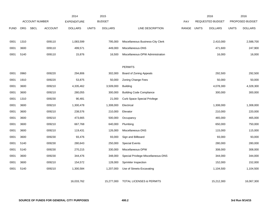|             |            |                       |                | 2014               |              | 2015           |                                     |              |              | 2016             |              | 2016            |
|-------------|------------|-----------------------|----------------|--------------------|--------------|----------------|-------------------------------------|--------------|--------------|------------------|--------------|-----------------|
|             |            | <b>ACCOUNT NUMBER</b> |                | <b>EXPENDITURE</b> |              | <b>BUDGET</b>  |                                     | PAY          |              | REQUESTED BUDGET |              | PROPOSED BUDGET |
| <b>FUND</b> | <b>ORG</b> | <b>SBCL</b>           | <b>ACCOUNT</b> | <b>DOLLARS</b>     | <b>UNITS</b> | <b>DOLLARS</b> | LINE DESCRIPTION                    | <b>RANGE</b> | <b>UNITS</b> | <b>DOLLARS</b>   | <b>UNITS</b> | <b>DOLLARS</b>  |
|             |            |                       |                |                    |              |                |                                     |              |              |                  |              |                 |
| 0001        | 1310       |                       | 009110         | 1,083,599          |              | 795,000        | Miscellaneous Business-City Clerk   |              |              | 2,410,000        |              | 2,588,700       |
| 0001        | 3600       |                       | 009110         | 499,571            |              | 449,000        | Miscellaneous-DNS                   |              |              | 471,600          |              | 247,900         |
| 0001        | 5140       |                       | 009110         | 15,876             |              | 16,500         | Miscellaneous-DPW Administration    |              |              | 16,000           |              | 16,000          |
|             |            |                       |                |                    |              |                |                                     |              |              |                  |              |                 |
|             |            |                       |                |                    |              |                | <b>PERMITS</b>                      |              |              |                  |              |                 |
| 0001        | 0960       |                       | 009220         | 294,806            |              | 302,000        | Board of Zoning Appeals             |              |              | 292,500          |              | 292,500         |
| 0001        | 1910       |                       | 009220         | 53,875             |              | 50,000         | <b>Zoning Change Fees</b>           |              |              | 50,000           |              | 50,000          |
| 0001        | 3600       |                       | 009210         | 4,335,462          |              | 3,509,000      | <b>Building</b>                     |              |              | 4,078,300        |              | 4,328,300       |
| 0001        | 3600       |                       | 009210         | 280,055            |              | 300,000        | <b>Building Code Compliance</b>     |              |              | 300,000          |              | 300,000         |
| 0001        | 1310       |                       | 009230         | 90,481             |              | 21,000         | <b>Curb Space Special Privilege</b> |              |              |                  |              |                 |
| 0001        | 3600       |                       | 009210         | 1,300,478          |              | 1,308,000      | Electrical                          |              |              | 1,308,000        |              | 1,308,000       |
| 0001        | 3600       |                       | 009210         | 238,576            |              | 210,000        | Elevator                            |              |              | 210,000          |              | 220,000         |
| 0001        | 3600       |                       | 009210         | 473,665            |              | 500,000        | Occupancy                           |              |              | 465,000          |              | 465,000         |
| 0001        | 3600       |                       | 009210         | 667,768            |              | 640,000        | Plumbing                            |              |              | 650,000          |              | 750,000         |
| 0001        | 3600       |                       | 009210         | 119,431            |              | 126,000        | Miscellaneous-DNS                   |              |              | 115,000          |              | 115,000         |
| 0001        | 3600       |                       | 009230         | 93,476             |              | 93,000         | Sign and Billboard                  |              |              | 93,000           |              | 93,000          |
| 0001        | 5140       |                       | 009230         | 280,643            |              | 250,000        | <b>Special Events</b>               |              |              | 280,000          |              | 280,000         |
| 0001        | 5140       |                       | 009230         | 270,215            |              | 330,000        | Miscellaneous-DPW                   |              |              | 308,000          |              | 308,000         |
| 0001        | 3600       |                       | 009230         | 344,476            |              | 348,000        | Special Privilege-Miscellaneous-DNS |              |              | 344,000          |              | 344,000         |
| 0001        | 3600       |                       | 009210         | 154,572            |              | 128,000        | Sprinkler Inspection                |              |              | 152,000          |              | 152,000         |
| 0001        | 5140       |                       | 009210         | 1,300,584          |              | 1,207,000      | Use of Streets-Excavating           |              |              | 1,104,500        |              | 1,104,500       |
|             |            |                       |                |                    |              |                |                                     |              |              |                  |              |                 |
|             |            |                       |                | 16,033,762         |              | 15,277,000     | <b>TOTAL LICENSES &amp; PERMITS</b> |              |              | 15,212,300       |              | 16,067,300      |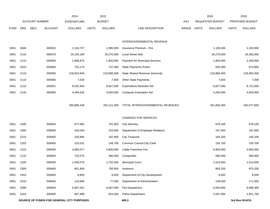|             |            |                        | 2014                                      | 2015                           |                                       |       |              | 2016             |              | 2016            |
|-------------|------------|------------------------|-------------------------------------------|--------------------------------|---------------------------------------|-------|--------------|------------------|--------------|-----------------|
|             |            | <b>ACCOUNT NUMBER</b>  | <b>EXPENDITURE</b>                        | <b>BUDGET</b>                  |                                       | PAY   |              | REQUESTED BUDGET |              | PROPOSED BUDGET |
| <b>FUND</b> | <b>ORG</b> | SBCL<br><b>ACCOUNT</b> | <b>DOLLARS</b>                            | <b>DOLLARS</b><br><b>UNITS</b> | LINE DESCRIPTION                      | RANGE | <b>UNITS</b> | <b>DOLLARS</b>   | <b>UNITS</b> | <b>DOLLARS</b>  |
|             |            |                        |                                           |                                |                                       |       |              |                  |              |                 |
|             |            |                        |                                           |                                | INTERGOVERNMENTAL REVENUE             |       |              |                  |              |                 |
| 0001        | 3600       | 009352                 | 1,163,727                                 | 1,080,000                      | Insurance Premium - Fire              |       |              | 1,100,000        |              | 1,100,000       |
| 0001        | 2110       | 009370                 | 25,105,194                                | 26,270,000                     | <b>Local Street Aids</b>              |       |              | 26,270,000       |              | 26,383,000      |
| 0001        | 2110       | 009365                 | 1,896,874                                 | 1,900,000                      | <b>Payment for Municipal Services</b> |       |              | 1,900,000        |              | 2,200,000       |
| 0001        | 3310       | 009360                 | 752,179                                   | 747,000                        | State Payments-Police                 |       |              | 656,300          |              | 673,600         |
| 0001        | 2110       | 009350                 | 218,923,945                               | 218,880,000                    | State Shared Revenue (General)        |       |              | 218,880,000      |              | 218,992,000     |
| 0001        | 2110       | 009360                 | 7,034                                     | 7,000                          | Other State Payments                  |       |              | 7,000            |              | 7,000           |
| 0001        | 2110       | 009351                 | 8,552,945                                 | 8,827,000                      | <b>Expenditure Restraint Aid</b>      |       |              | 8,827,000        |              | 8,722,000       |
| 0001        | 2110       | 009360                 | 4,484,530                                 | 4,500,000                      | <b>Computer Exemption Aid</b>         |       |              | 4,200,000        |              | 4,500,000       |
|             |            |                        |                                           |                                |                                       |       |              |                  |              |                 |
|             |            |                        | 260,886,428                               | 262,211,000                    | TOTAL INTERGOVERNMENTAL REVENUES      |       |              | 261,840,300      |              | 262,577,600     |
|             |            |                        |                                           |                                |                                       |       |              |                  |              |                 |
|             |            |                        |                                           |                                | <b>CHARGES FOR SERVICES</b>           |       |              |                  |              |                 |
| 0001        | 1490       | 009400                 | 877,665                                   | 761,000                        | <b>City Attorney</b>                  |       |              | 878,100          |              | 878,100         |
| 0001        | 1650       | 009400                 | 163,034                                   | 163,000                        | Department of Employee Relations      |       |              | 167,000          |              | 167,000         |
| 0001        | 2210       | 009400                 | 165,884                                   | 162,900                        | <b>City Treasurer</b>                 |       |              | 165,200          |              | 165,200         |
| 0001        | 1310       | 009400                 | 153,531                                   | 149,700                        | Common Council-City Clerk             |       |              | 150,700          |              | 150,700         |
| 0001        | 1310       | 009400                 | 4,983,077                                 | 4,800,000                      | Cable Franchise Fee                   |       |              | 4,900,000        |              | 4,900,000       |
| 0001        | 2110       | 009400                 | 720,275                                   | 480,000                        | Comptroller                           |       |              | 580,000          |              | 580,000         |
| 0001        | 1320       | 009400                 | 1,458,570                                 | 1,752,000                      | <b>Municipal Court</b>                |       |              | 1,514,000        |              | 1,514,000       |
| 0001        | 2300       | 009400                 | 801,959                                   | 700,500                        | Assessor                              |       |              | 805,200          |              | 875,200         |
| 0001        | 1910       | 009400                 | 8,993                                     | 8,000                          | Department of City Development        |       |              | 8,000            |              | 8,000           |
| 0001        | 1510       | 009400                 | 143,906                                   | 77,000                         | Department of Administration          |       |              | 148,500          |              | 171,500         |
| 0001        | 3280       | 009400                 | 5,857,281                                 | 6,687,000                      | Fire Department                       |       |              | 6,650,800        |              | 6,688,300       |
| 0001        | 3310       | 009400                 | 607,999                                   | 624,000                        | <b>Police Department</b>              |       |              | 2,557,000        |              | 2,921,700       |
|             |            |                        | SOURCE OF FUNDS FOR GENERAL CITY PURPOSES |                                | 400.3                                 |       |              |                  |              | 3rd Run 9/14/15 |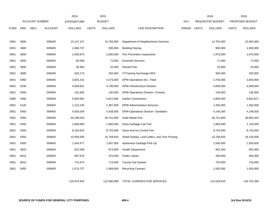|             |            |                       |                | 2014               |              | 2015           |                                              |       |              | 2016                    |              | 2016            |
|-------------|------------|-----------------------|----------------|--------------------|--------------|----------------|----------------------------------------------|-------|--------------|-------------------------|--------------|-----------------|
|             |            | <b>ACCOUNT NUMBER</b> |                | <b>EXPENDITURE</b> |              | <b>BUDGET</b>  |                                              | PAY   |              | <b>REQUESTED BUDGET</b> |              | PROPOSED BUDGET |
| <b>FUND</b> | <b>ORG</b> | <b>SBCL</b>           | <b>ACCOUNT</b> | <b>DOLLARS</b>     | <b>UNITS</b> | <b>DOLLARS</b> | LINE DESCRIPTION                             | RANGE | <b>UNITS</b> | <b>DOLLARS</b>          | <b>UNITS</b> | <b>DOLLARS</b>  |
|             |            |                       |                |                    |              |                |                                              |       |              |                         |              |                 |
| 0001        | 3600       |                       | 009400         | 15, 147, 127       |              | 14,783,000     | Department of Neighborhood Services          |       |              | 14,702,000              |              | 15,063,000      |
| 0001        | 3600       |                       | 009400         | 1,066,737          |              | 900,000        | <b>Building Razing</b>                       |       |              | 900,000                 |              | 1,000,000       |
| 0001        | 3600       |                       | 009400         | 1,945,875          |              | 2,000,000      | Fire Prevention Inspections                  |       |              | 1,975,000               |              | 1,975,000       |
| 0001        | 3600       |                       | 009400         | 65,948             |              | 72,000         | <b>Essential Services</b>                    |       |              | 71,000                  |              | 71,000          |
| 0001        | 3600       |                       | 009400         | 30,950             |              | 22,000         | Placard Fee                                  |       |              | 25,000                  |              | 25,000          |
| 0001        | 3600       |                       | 009400         | 343,173            |              | 250,000        | IT/Training Surcharge-DNS                    |       |              | 300,000                 |              | 350,000         |
| 0001        | 5450       |                       | 009400         | 3,825,152          |              | 4,273,000      | DPW-Operations Div.- Fleet                   |       |              | 3,750,000               |              | 3,650,000       |
| 0001        | 5230       |                       | 009400         | 4,928,931          |              | 4,738,000      | DPW-Infrastructure Division                  |       |              | 4,609,000               |              | 4,609,000       |
| 0001        | 5450       |                       | 009400         | 161,605            |              | 130,000        | DPW-Operations Division- Forestry            |       |              | 146,000                 |              | 146,000         |
| 0480        | 4280       |                       | 009400         | 5,905,581          |              | 4,812,849      | <b>Harbor Commission</b>                     |       |              | 4,900,000               |              | 4,801,671       |
| 0001        | 5140       |                       | 009400         | 1,215,235          |              | 1,397,000      | <b>DPW-Administrative Services</b>           |       |              | 1,350,000               |              | 1,350,000       |
| 0001        | 5450       |                       | 009400         | 4,929,264          |              | 4,438,500      | DPW-Operations Division-Sanitation           |       |              | 4,148,300               |              | 4,148,300       |
| 0001        | 5450       |                       | 009400         | 35,199,543         |              | 36,741,600     | Solid Waste Fee                              |       |              | 36,741,600              |              | 36,863,424      |
| 0001        | 5450       |                       | 009400         | 1,890,000          |              | 1,860,000      | Extra Garbage Cart Fee                       |       |              | 1,860,000               |              | 1,740,000       |
| 0001        | 5450       |                       | 009400         | 8,163,624          |              | 8,743,000      | Snow and Ice Control Fee                     |       |              | 8,743,000               |              | 8,743,000       |
| 0001        | 5450       |                       | 009400         | 15,059,000         |              | 15,758,820     | Street Sweep, Leaf Collect. and Tree Pruning |       |              | 15,758,820              |              | 18,126,000      |
| 0001        | 5450       |                       | 009400         | 1,544,477          |              | 1,667,000      | Apartment Garbage Pick-Up                    |       |              | 1,500,000               |              | 1,500,000       |
| 0001        | 3810       |                       | 009400         | 922,568            |              | 873,000        | <b>Health Department</b>                     |       |              | 902,300                 |              | 902,300         |
| 0001        | 8610       |                       | 009400         | 397,676            |              | 475,000        | <b>Public Library</b>                        |       |              | 400,000                 |              | 400,000         |
| 0001        | 8610       |                       | 009400         | 715,475            |              | 713,000        | County Fed System                            |       |              | 720,000                 |              | 720,000         |
| 0001        | 5450       |                       | 009400         | 1,574,727          |              | 1,568,000      | <b>Recycling Contract</b>                    |       |              | 1,500,000               |              | 1,500,000       |
|             |            |                       |                |                    |              |                |                                              |       |              |                         |              |                 |
|             |            |                       |                | 120,974,842        |              | 122,580,869    | <b>TOTAL CHARGES FOR SERVICES</b>            |       |              | 123,526,520             |              | 126,703,395     |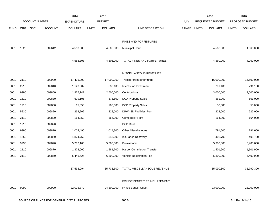|            |             | 2014                                                                                                                                                                                          |                         | 2015           |                                          |                                                                                      |              | 2016           |                                             | 2016            |
|------------|-------------|-----------------------------------------------------------------------------------------------------------------------------------------------------------------------------------------------|-------------------------|----------------|------------------------------------------|--------------------------------------------------------------------------------------|--------------|----------------|---------------------------------------------|-----------------|
|            |             | <b>EXPENDITURE</b>                                                                                                                                                                            |                         |                |                                          | PAY                                                                                  |              |                |                                             | PROPOSED BUDGET |
| <b>ORG</b> | <b>SBCL</b> | <b>DOLLARS</b>                                                                                                                                                                                | <b>UNITS</b>            | <b>DOLLARS</b> | LINE DESCRIPTION                         | RANGE                                                                                | <b>UNITS</b> | <b>DOLLARS</b> | <b>UNITS</b>                                | <b>DOLLARS</b>  |
|            |             |                                                                                                                                                                                               |                         |                |                                          |                                                                                      |              |                |                                             |                 |
|            |             |                                                                                                                                                                                               |                         |                | FINES AND FORFEITURES                    |                                                                                      |              |                |                                             |                 |
| 1320       |             | 4,558,308                                                                                                                                                                                     |                         | 4,506,000      | <b>Municipal Court</b>                   |                                                                                      |              | 4,560,000      |                                             | 4,060,000       |
|            |             |                                                                                                                                                                                               |                         |                |                                          |                                                                                      |              |                |                                             |                 |
|            |             |                                                                                                                                                                                               |                         |                |                                          |                                                                                      |              |                |                                             | 4,060,000       |
|            |             |                                                                                                                                                                                               |                         |                | MISCELLANEOUS REVENUES                   |                                                                                      |              |                |                                             |                 |
| 2110       |             | 17,425,000                                                                                                                                                                                    |                         | 17,000,000     | Transfer from other funds                |                                                                                      |              | 16,000,000     |                                             | 16,500,000      |
| 2210       |             | 1,123,002                                                                                                                                                                                     |                         | 630,100        | Interest on Investment                   |                                                                                      |              | 791,100        |                                             | 791,100         |
| 9990       |             | 1,975,141                                                                                                                                                                                     |                         | 2,500,000      | Contributions                            |                                                                                      |              | 3,000,000      |                                             | 3,000,000       |
| 1510       |             | 609,105                                                                                                                                                                                       |                         | 575,500        | <b>DOA Property Sales</b>                |                                                                                      |              | 561,000        |                                             | 561,000         |
| 1910       |             | 15,853                                                                                                                                                                                        |                         | 100,000        | <b>DCD Property Sales</b>                |                                                                                      |              | 50,000         |                                             | 50,000          |
| 5230       |             | 234,202                                                                                                                                                                                       |                         | 222,000        | DPW-ISD Facilities-Rent                  |                                                                                      |              | 222,000        |                                             | 222,000         |
| 2110       |             | 164,859                                                                                                                                                                                       |                         | 164,000        | Comptroller-Rent                         |                                                                                      |              | 164,000        |                                             | 164,000         |
| 1910       |             |                                                                                                                                                                                               |                         |                | DCD Rent                                 |                                                                                      |              |                |                                             |                 |
| 9990       |             | 1,004,490                                                                                                                                                                                     |                         | 1,014,300      | Other Miscellaneous                      |                                                                                      |              | 791,600        |                                             | 791,600         |
| 1650       |             | 1,874,752                                                                                                                                                                                     |                         | 346,000        | Insurance Recovery                       |                                                                                      |              | 408,700        |                                             | 408,700         |
| 9990       |             | 5,282,165                                                                                                                                                                                     |                         | 5,300,000      | Potawatomi                               |                                                                                      |              | 5,300,000      |                                             | 5,400,000       |
| 2110       |             | 1,378,000                                                                                                                                                                                     |                         | 1,581,700      | Harbor Commission Transfer               |                                                                                      |              | 1,501,900      |                                             | 1,501,900       |
| 2110       |             | 6,446,525                                                                                                                                                                                     |                         | 6,300,000      | Vehicle Registration Fee                 |                                                                                      |              | 6,300,000      |                                             | 6,400,000       |
|            |             |                                                                                                                                                                                               |                         |                |                                          |                                                                                      |              |                |                                             |                 |
|            |             | 37,533,094                                                                                                                                                                                    |                         | 35,733,600     | TOTAL MISCELLANEOUS REVENUE              |                                                                                      |              | 35,090,300     |                                             | 35,790,300      |
|            |             |                                                                                                                                                                                               |                         |                |                                          |                                                                                      |              |                |                                             |                 |
|            |             |                                                                                                                                                                                               |                         |                |                                          |                                                                                      |              |                |                                             | 23,000,000      |
|            |             |                                                                                                                                                                                               |                         |                |                                          |                                                                                      |              |                |                                             |                 |
|            | 9990        | <b>ACCOUNT NUMBER</b><br><b>ACCOUNT</b><br>009612<br>009930<br>009810<br>009850<br>009830<br>009830<br>009820<br>009820<br>009820<br>009870<br>009860<br>009870<br>009870<br>009870<br>009990 | 4,558,308<br>22,025,870 |                | <b>BUDGET</b><br>4,506,000<br>24,300,000 | TOTAL FINES AND FORFEITURES<br>FRINGE BENEFIT REIMBURSEMENT<br>Fringe Benefit Offset |              |                | REQUESTED BUDGET<br>4,560,000<br>23,000,000 |                 |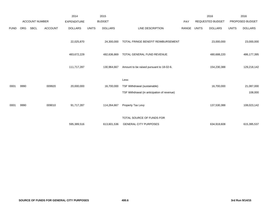|             | <b>ACCOUNT NUMBER</b> |             | 2014           | 2015               |              |                |                                             | 2016<br><b>REQUESTED BUDGET</b> |              | 2016           |              |                 |
|-------------|-----------------------|-------------|----------------|--------------------|--------------|----------------|---------------------------------------------|---------------------------------|--------------|----------------|--------------|-----------------|
|             |                       |             |                | <b>EXPENDITURE</b> |              | <b>BUDGET</b>  |                                             | PAY                             |              |                |              | PROPOSED BUDGET |
| <b>FUND</b> | <b>ORG</b>            | <b>SBCL</b> | <b>ACCOUNT</b> | <b>DOLLARS</b>     | <b>UNITS</b> | <b>DOLLARS</b> | LINE DESCRIPTION                            | RANGE                           | <b>UNITS</b> | <b>DOLLARS</b> | <b>UNITS</b> | <b>DOLLARS</b>  |
|             |                       |             |                | 22,025,870         |              | 24,300,000     | TOTAL FRINGE BENEFIT REIMBURSEMENT          |                                 |              | 23,000,000     |              | 23,000,000      |
|             |                       |             |                | 483,672,229        |              | 482,636,869    | TOTAL GENERAL FUND REVENUE                  |                                 |              | 480,688,220    |              | 486,177,395     |
|             |                       |             |                | 111,717,287        |              | 130,964,667    | Amount to be raised pursuant to 18-02-6.    |                                 |              | 154,230,388    |              | 129,218,142     |
|             |                       |             |                |                    |              |                | Less:                                       |                                 |              |                |              |                 |
| 0001        | 9990                  |             | 009920         | 20,000,000         |              | 16,700,000     | TSF Withdrawal (sustainable)                |                                 |              | 16,700,000     |              | 21,087,000      |
|             |                       |             |                |                    |              |                | TSF Withdrawal (in anticipation of revenue) |                                 |              |                |              | 108,000         |
| 0001        | 9990                  |             | 009010         | 91,717,287         |              | 114,264,667    | Property Tax Levy                           |                                 |              | 137,530,388    |              | 108,023,142     |
|             |                       |             |                |                    |              |                | TOTAL SOURCE OF FUNDS FOR                   |                                 |              |                |              |                 |
|             |                       |             |                | 595,389,516        |              | 613,601,536    | <b>GENERAL CITY PURPOSES</b>                |                                 |              | 634,918,608    |              | 615,395,537     |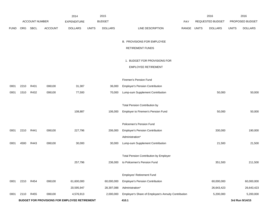|             |      |                       |                | 2014                                          |              | 2015           |                                                     |             | 2016             |              | 2016            |
|-------------|------|-----------------------|----------------|-----------------------------------------------|--------------|----------------|-----------------------------------------------------|-------------|------------------|--------------|-----------------|
|             |      | <b>ACCOUNT NUMBER</b> |                | <b>EXPENDITURE</b>                            |              | <b>BUDGET</b>  |                                                     | PAY         | REQUESTED BUDGET |              | PROPOSED BUDGET |
| <b>FUND</b> | ORG  | SBCL                  | <b>ACCOUNT</b> | <b>DOLLARS</b>                                | <b>UNITS</b> | <b>DOLLARS</b> | LINE DESCRIPTION                                    | RANGE UNITS | <b>DOLLARS</b>   | <b>UNITS</b> | <b>DOLLARS</b>  |
|             |      |                       |                |                                               |              |                |                                                     |             |                  |              |                 |
|             |      |                       |                |                                               |              |                | <b>B. PROVISIONS FOR EMPLOYEE</b>                   |             |                  |              |                 |
|             |      |                       |                |                                               |              |                | <b>RETIREMENT FUNDS</b>                             |             |                  |              |                 |
|             |      |                       |                |                                               |              |                |                                                     |             |                  |              |                 |
|             |      |                       |                |                                               |              |                | 1. BUDGET FOR PROVISIONS FOR                        |             |                  |              |                 |
|             |      |                       |                |                                               |              |                | <b>EMPLOYEE RETIREMENT</b>                          |             |                  |              |                 |
|             |      |                       |                |                                               |              |                | Firemen's Pension Fund                              |             |                  |              |                 |
|             |      |                       |                |                                               |              |                |                                                     |             |                  |              |                 |
| 0001        | 2210 | R431                  | 006100         | 31,387                                        |              | 36,000         | <b>Employer's Pension Contribution</b>              |             |                  |              |                 |
| 0001        | 1510 | R432                  | 006100         | 77,500                                        |              | 70,000         | Lump-sum Supplement Contribution                    |             | 50,000           |              | 50,000          |
|             |      |                       |                |                                               |              |                | <b>Total Pension Contribution by</b>                |             |                  |              |                 |
|             |      |                       |                | 108,887                                       |              | 106,000        | Employer to Firemen's Pension Fund                  |             | 50,000           |              | 50,000          |
|             |      |                       |                |                                               |              |                |                                                     |             |                  |              |                 |
|             |      |                       |                |                                               |              |                | Policemen's Pension Fund                            |             |                  |              |                 |
| 0001        | 2210 | R441                  | 006100         | 227,796                                       |              | 206,000        | <b>Employer's Pension Contribution</b>              |             | 330,000          |              | 190,000         |
|             |      |                       |                |                                               |              |                | Administration*                                     |             |                  |              |                 |
| 0001        | 4500 | R443                  | 006100         | 30,000                                        |              | 30,000         | Lump-sum Supplement Contribution                    |             | 21,500           |              | 21,500          |
|             |      |                       |                |                                               |              |                |                                                     |             |                  |              |                 |
|             |      |                       |                |                                               |              |                | Total Pension Contribution by Employer              |             |                  |              |                 |
|             |      |                       |                | 257,796                                       |              | 236,000        | to Policemen's Pension Fund                         |             | 351,500          |              | 211,500         |
|             |      |                       |                |                                               |              |                |                                                     |             |                  |              |                 |
|             |      |                       |                |                                               |              |                | Employes' Retirement Fund                           |             |                  |              |                 |
| 0001        | 2210 | R454                  | 006100         | 61,600,000                                    |              | 60,000,000     | <b>Employer's Pension Contribution</b>              |             | 60,000,000       |              | 60,000,000      |
|             |      |                       |                | 20,595,947                                    |              | 28,397,088     | Administration*                                     |             | 26,643,423       |              | 26,643,423      |
| 0001        | 2110 | R455                  | 006100         | 4,576,913                                     |              | 2,000,000      | Employer's Share of Employee's Annuity Contribution |             | 5,200,000        |              | 5,200,000       |
|             |      |                       |                | BUDGET FOR PROVISIONS FOR EMPLOYEE RETIREMENT |              |                | 410.1                                               |             |                  |              | 3rd Run 9/14/15 |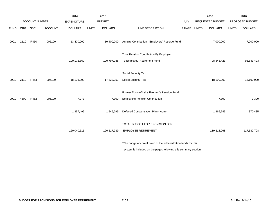|             |      |                       |                | 2014               |              | 2015           |                                                                 |       |              | 2016                    |              | 2016            |
|-------------|------|-----------------------|----------------|--------------------|--------------|----------------|-----------------------------------------------------------------|-------|--------------|-------------------------|--------------|-----------------|
|             |      | <b>ACCOUNT NUMBER</b> |                | <b>EXPENDITURE</b> |              | <b>BUDGET</b>  |                                                                 | PAY   |              | <b>REQUESTED BUDGET</b> |              | PROPOSED BUDGET |
| <b>FUND</b> | ORG  | SBCL                  | <b>ACCOUNT</b> | <b>DOLLARS</b>     | <b>UNITS</b> | <b>DOLLARS</b> | LINE DESCRIPTION                                                | RANGE | <b>UNITS</b> | <b>DOLLARS</b>          | <b>UNITS</b> | <b>DOLLARS</b>  |
| 0001        | 2110 | R460                  | 006100         | 13,400,000         |              | 10,400,000     | Annuity Contribution - Employers' Reserve Fund                  |       |              | 7,000,000               |              | 7,000,000       |
|             |      |                       |                |                    |              |                | <b>Total Pension Contribution By Employer</b>                   |       |              |                         |              |                 |
|             |      |                       |                | 100,172,860        |              | 100,797,088    | To Employes' Retirement Fund                                    |       |              | 98,843,423              |              | 98,843,423      |
|             |      |                       |                |                    |              |                |                                                                 |       |              |                         |              |                 |
|             |      |                       |                |                    |              |                | Social Security Tax                                             |       |              |                         |              |                 |
| 0001        | 2110 | R453                  | 006100         | 18,136,303         |              | 17,822,252     | Social Security Tax                                             |       |              | 18,100,000              |              | 18,100,000      |
|             |      |                       |                |                    |              |                |                                                                 |       |              |                         |              |                 |
|             |      |                       |                |                    |              |                | Former Town of Lake Firemen's Pension Fund                      |       |              |                         |              |                 |
| 0001        | 4500 | R452                  | 006100         | 7,273              |              | 7,300          | <b>Employer's Pension Contribution</b>                          |       |              | 7,300                   |              | 7,300           |
|             |      |                       |                | 1,357,496          |              | 1,549,299      | Deferred Compensation Plan - Adm.*                              |       |              | 1,866,745               |              | 370,485         |
|             |      |                       |                |                    |              |                | TOTAL BUDGET FOR PROVISION FOR                                  |       |              |                         |              |                 |
|             |      |                       |                | 120,040,615        |              | 120,517,939    | <b>EMPLOYEE RETIREMENT</b>                                      |       |              | 119,218,968             |              | 117,582,708     |
|             |      |                       |                |                    |              |                | *The budgetary breakdown of the administration funds for this   |       |              |                         |              |                 |
|             |      |                       |                |                    |              |                | system is included on the pages following this summary section. |       |              |                         |              |                 |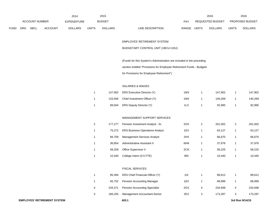|             |                       |             |                | 2014               |              | 2015           |                                  |              | 2016             |              | 2016                   |
|-------------|-----------------------|-------------|----------------|--------------------|--------------|----------------|----------------------------------|--------------|------------------|--------------|------------------------|
|             | <b>ACCOUNT NUMBER</b> |             |                | <b>EXPENDITURE</b> |              | <b>BUDGET</b>  | PAY                              |              | REQUESTED BUDGET |              | <b>PROPOSED BUDGET</b> |
| <b>FUND</b> | <b>ORG</b>            | <b>SBCL</b> | <b>ACCOUNT</b> | <b>DOLLARS</b>     | <b>UNITS</b> | <b>DOLLARS</b> | LINE DESCRIPTION<br><b>RANGE</b> | <b>UNITS</b> | <b>DOLLARS</b>   | <b>UNITS</b> | <b>DOLLARS</b>         |

# EMPLOYES' RETIREMENT SYSTEM

# BUDGETARY CONTROL UNIT (1BCU=1DU)

(Funds for this System's Administration are included in the preceding

section entitled "Provisions for Employee Retirement Funds - Budgets

for Provisions for Employee Retirement")

# SALARIES & WAGES

|        | 147,902 ERS Executive Director (Y)   | 1MX | 147.902 | 147,902 |
|--------|--------------------------------------|-----|---------|---------|
|        | 133,556 Chief Investment Officer (Y) | 1MX | 140.269 | 140,269 |
| 89.504 | ERS Deputy Director (Y)              | 1LX | 92.995  | 92,995  |
|        |                                      |     |         |         |

#### MANAGEMENT SUPPORT SERVICES

| 2 | 177.277 | Pension Investment Analyst - Sr.       | 2OX | 2 | 201.002 | 2 | 201,002 |
|---|---------|----------------------------------------|-----|---|---------|---|---------|
|   | 75.272  | <b>ERS Business Operations Analyst</b> | 1EX |   | 63.127  |   | 63,127  |
|   | 66.709  | <b>Management Services Analyst</b>     | 2HX |   | 66.670  |   | 66,670  |
|   | 36.854  | Administrative Assistant II            | 6HN |   | 37.976  |   | 37,976  |
|   | 58.259  | Office Supervisor II                   | 2CN |   | 58.225  |   | 58,225  |
|   | 10.440  | College Intern (0.5 FTE)               | 9IN |   | 10.440  |   | 10,440  |

#### FISCAL SERVICES

|   | 85.394  | ERS Chief Financial Officer (Y)      | 11X |   | 89.612  |   | 89.612  |
|---|---------|--------------------------------------|-----|---|---------|---|---------|
|   | 65.752  | <b>Pension Accounting Manager</b>    | 1EX |   | 68.999  |   | 68,999  |
| 4 | 234.371 | <b>Pension Accounting Specialist</b> | 2GX | 4 | 234.948 | 4 | 234.948 |
| 3 | 166.255 | Management Accountant-Senior         | 2EX |   | 173.287 |   | 173,287 |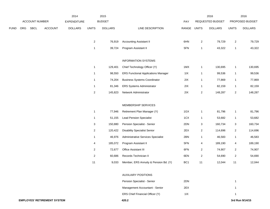|             | <b>ACCOUNT NUMBER</b> |             | 2014           |                    | 2015                      |                |                                            |                 | 2016                    |                  | 2016                    |                 |
|-------------|-----------------------|-------------|----------------|--------------------|---------------------------|----------------|--------------------------------------------|-----------------|-------------------------|------------------|-------------------------|-----------------|
|             |                       |             |                | <b>EXPENDITURE</b> |                           | <b>BUDGET</b>  |                                            | PAY             |                         | REQUESTED BUDGET |                         | PROPOSED BUDGET |
| <b>FUND</b> | ORG                   | <b>SBCL</b> | <b>ACCOUNT</b> | <b>DOLLARS</b>     | <b>UNITS</b>              | <b>DOLLARS</b> | LINE DESCRIPTION                           | RANGE           | <b>UNITS</b>            | <b>DOLLARS</b>   | <b>UNITS</b>            | <b>DOLLARS</b>  |
|             |                       |             |                |                    |                           |                |                                            |                 |                         |                  |                         |                 |
|             |                       |             |                |                    | $\mathbf{2}$              | 76,919         | <b>Accounting Assistant II</b>             | 6HN             | $\overline{\mathbf{c}}$ | 79,729           | $\mathbf{2}$            | 79,729          |
|             |                       |             |                |                    | $\mathbf{1}$              | 39,724         | Program Assistant II                       | 5FN             | $\mathbf{1}$            | 43,322           | $\mathbf{1}$            | 43,322          |
|             |                       |             |                |                    |                           |                | <b>INFORMATION SYSTEMS</b>                 |                 |                         |                  |                         |                 |
|             |                       |             |                |                    | $\mathbf{1}$              | 129,401        | Chief Technology Officer (Y)               | 1MX             | 1                       | 130,695          | $\mathbf{1}$            | 130,695         |
|             |                       |             |                |                    | $\mathbf{1}$              | 98,550         | <b>ERS Functional Applications Manager</b> | 11X             | 1                       | 99,536           | $\mathbf{1}$            | 99,536          |
|             |                       |             |                |                    | $\mathbf{1}$              | 74,204         | <b>Business Systems Coordinator</b>        | 2IX             | 1                       | 77,869           | $\mathbf{1}$            | 77,869          |
|             |                       |             |                |                    | $\mathbf{1}$              | 81,346         | <b>ERS Systems Administrator</b>           | 2IX             | 1                       | 82,159           | $\mathbf{1}$            | 82,159          |
|             |                       |             |                |                    | $\mathbf{2}$              | 145,823        | Network Administrator                      | 2IX             | $\overline{\mathbf{c}}$ | 148,287          | $\mathbf{2}$            | 148,287         |
|             |                       |             |                |                    |                           |                |                                            |                 |                         |                  |                         |                 |
|             |                       |             |                |                    |                           |                | MEMBERSHIP SERVICES                        |                 |                         |                  |                         |                 |
|             |                       |             |                |                    | $\mathbf{1}$              | 77,946         | Retirement Plan Manager (Y)                | 1GX             | 1                       | 81,796           | 1                       | 81,796          |
|             |                       |             |                |                    | $\mathbf{1}$              | 51,155         | <b>Lead Pension Specialist</b>             | 1CX             | 1                       | 53,682           | $\mathbf{1}$            | 53,682          |
|             |                       |             |                |                    | $\ensuremath{\mathsf{3}}$ | 150,880        | Pension Specialist - Senior                | 2DN             | 3                       | 160,734          | 3                       | 160,734         |
|             |                       |             |                |                    | $\overline{2}$            | 120,422        | <b>Disability Specialist Senior</b>        | 2EX             | $\overline{c}$          | 114,696          | $\mathbf{2}$            | 114,696         |
|             |                       |             |                |                    | $\mathbf{1}$              | 46,976         | Administrative Services Specialist         | 2BN             | 1                       | 46,583           | $\mathbf{1}$            | 46,583          |
|             |                       |             |                |                    | 4                         | 185,072        | Program Assistant II                       | 5FN             | 4                       | 189,190          | 4                       | 189,190         |
|             |                       |             |                |                    | $\overline{2}$            | 72,677         | Office Assistant III                       | 6FN             | $\overline{c}$          | 74,907           | $\overline{\mathbf{c}}$ | 74,907          |
|             |                       |             |                |                    | $\overline{2}$            | 60,686         | Records Technician II                      | 6EN             | $\overline{c}$          | 54,690           | $\overline{2}$          | 54,690          |
|             |                       |             |                |                    | $11$                      | 9,033          | Member, ERS Annuity & Pension Bd. (Y)      | BC <sub>1</sub> | 11                      | 12,044           | 11                      | 12,044          |
|             |                       |             |                |                    |                           |                | <b>AUXILIARY POSITIONS</b>                 |                 |                         |                  |                         |                 |
|             |                       |             |                |                    |                           |                | Pension Specialist - Senior                | 2DN             |                         |                  | $\mathbf{1}$            |                 |

Management Accountant - Senior 2EX 2EX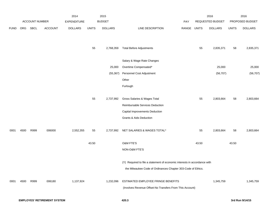|             |      |                |                                    | 2014               |              | 2015           |                                                                           |             |       | 2016             |              | 2016            |
|-------------|------|----------------|------------------------------------|--------------------|--------------|----------------|---------------------------------------------------------------------------|-------------|-------|------------------|--------------|-----------------|
|             |      | ACCOUNT NUMBER |                                    | <b>EXPENDITURE</b> |              | <b>BUDGET</b>  |                                                                           | PAY         |       | REQUESTED BUDGET |              | PROPOSED BUDGET |
| <b>FUND</b> | ORG  | SBCL           | <b>ACCOUNT</b>                     | <b>DOLLARS</b>     | <b>UNITS</b> | <b>DOLLARS</b> | LINE DESCRIPTION                                                          | RANGE UNITS |       | <b>DOLLARS</b>   | <b>UNITS</b> | <b>DOLLARS</b>  |
|             |      |                |                                    |                    |              |                |                                                                           |             |       |                  |              |                 |
|             |      |                |                                    |                    | 55           | 2,768,359      | <b>Total Before Adjustments</b>                                           |             | 55    | 2,835,371        | 58           | 2,835,371       |
|             |      |                |                                    |                    |              |                |                                                                           |             |       |                  |              |                 |
|             |      |                |                                    |                    |              |                | Salary & Wage Rate Changes                                                |             |       |                  |              |                 |
|             |      |                |                                    |                    |              | 25,000         | Overtime Compensated*                                                     |             |       | 25,000           |              | 25,000          |
|             |      |                |                                    |                    |              | (55, 367)      | Personnel Cost Adjustment                                                 |             |       | (56, 707)        |              | (56, 707)       |
|             |      |                |                                    |                    |              |                | Other                                                                     |             |       |                  |              |                 |
|             |      |                |                                    |                    |              |                | Furlough                                                                  |             |       |                  |              |                 |
|             |      |                |                                    |                    |              |                |                                                                           |             |       |                  |              |                 |
|             |      |                |                                    |                    | 55           | 2,737,992      | Gross Salaries & Wages Total                                              |             | 55    | 2,803,664        | 58           | 2,803,664       |
|             |      |                |                                    |                    |              |                | Reimbursable Services Deduction                                           |             |       |                  |              |                 |
|             |      |                |                                    |                    |              |                | Capital Improvements Deduction                                            |             |       |                  |              |                 |
|             |      |                |                                    |                    |              |                | Grants & Aids Deduction                                                   |             |       |                  |              |                 |
| 0001        | 4500 | R999           | 006000                             | 2,552,355          |              |                | NET SALARIES & WAGES TOTAL*                                               |             | 55    | 2,803,664        | 58           | 2,803,664       |
|             |      |                |                                    |                    | 55           | 2,737,992      |                                                                           |             |       |                  |              |                 |
|             |      |                |                                    |                    | 43.50        |                | O&M FTE'S                                                                 |             | 43.50 |                  | 43.50        |                 |
|             |      |                |                                    |                    |              |                | NON-O&M FTE'S                                                             |             |       |                  |              |                 |
|             |      |                |                                    |                    |              |                | (Y) Required to file a statement of economic interests in accordance with |             |       |                  |              |                 |
|             |      |                |                                    |                    |              |                | the Milwaukee Code of Ordinances Chapter 303-Code of Ethics.              |             |       |                  |              |                 |
|             |      |                |                                    |                    |              |                |                                                                           |             |       |                  |              |                 |
| 0001        | 4500 | R999           | 006180                             | 1,137,924          |              | 1,232,096      | ESTIMATED EMPLOYEE FRINGE BENEFITS                                        |             |       | 1,345,759        |              | 1,345,759       |
|             |      |                |                                    |                    |              |                | (Involves Revenue Offset-No Transfers From This Account)                  |             |       |                  |              |                 |
|             |      |                | <b>EMPLOYES' RETIREMENT SYSTEM</b> |                    |              |                | 420.3                                                                     |             |       |                  |              | 3rd Run 9/14/15 |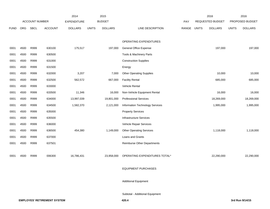|             |            |                       |                | 2014               |              | 2015           |                                    |             | 2016                    |              | 2016            |
|-------------|------------|-----------------------|----------------|--------------------|--------------|----------------|------------------------------------|-------------|-------------------------|--------------|-----------------|
|             |            | <b>ACCOUNT NUMBER</b> |                | <b>EXPENDITURE</b> |              | <b>BUDGET</b>  |                                    | PAY         | <b>REQUESTED BUDGET</b> |              | PROPOSED BUDGET |
| <b>FUND</b> | <b>ORG</b> | SBCL                  | <b>ACCOUNT</b> | <b>DOLLARS</b>     | <b>UNITS</b> | <b>DOLLARS</b> | LINE DESCRIPTION                   | RANGE UNITS | <b>DOLLARS</b>          | <b>UNITS</b> | <b>DOLLARS</b>  |
|             |            |                       |                |                    |              |                |                                    |             |                         |              |                 |
|             |            |                       |                |                    |              |                | OPERATING EXPENDITURES             |             |                         |              |                 |
| 0001        | 4500       | R999                  | 630100         | 175,517            |              | 197,000        | <b>General Office Expense</b>      |             | 197,000                 |              | 197,000         |
| 0001        | 4500       | R999                  | 630500         |                    |              |                | Tools & Machinery Parts            |             |                         |              |                 |
| 0001        | 4500       | R999                  | 631000         |                    |              |                | <b>Construction Supplies</b>       |             |                         |              |                 |
| 0001        | 4500       | R999                  | 631500         |                    |              |                | Energy                             |             |                         |              |                 |
| 0001        | 4500       | R999                  | 632000         | 3,207              |              | 7,000          | <b>Other Operating Supplies</b>    |             | 10,000                  |              | 10,000          |
| 0001        | 4500       | R999                  | 632500         | 562,572            |              | 667,000        | <b>Facility Rental</b>             |             | 685,000                 |              | 685,000         |
| 0001        | 4500       | R999                  | 633000         |                    |              |                | Vehicle Rental                     |             |                         |              |                 |
| 0001        | 4500       | R999                  | 633500         | 11,346             |              | 16,000         | Non-Vehicle Equipment Rental       |             | 16,000                  |              | 16,000          |
| 0001        | 4500       | R999                  | 634000         | 13,997,039         |              | 19,801,000     | <b>Professional Services</b>       |             | 18,269,000              |              | 18,269,000      |
| 0001        | 4500       | R999                  | 634500         | 1,582,370          |              | 2,121,000      | Information Technology Services    |             | 1,995,000               |              | 1,995,000       |
| 0001        | 4500       | R999                  | 635000         |                    |              |                | <b>Property Services</b>           |             |                         |              |                 |
| 0001        | 4500       | R999                  | 635500         |                    |              |                | <b>Infrastructure Services</b>     |             |                         |              |                 |
| 0001        | 4500       | R999                  | 636000         |                    |              |                | Vehicle Repair Services            |             |                         |              |                 |
| 0001        | 4500       | R999                  | 636500         | 454,380            |              | 1,149,000      | <b>Other Operating Services</b>    |             | 1,118,000               |              | 1,118,000       |
| 0001        | 4500       | R999                  | 637000         |                    |              |                | Loans and Grants                   |             |                         |              |                 |
| 0001        | 4500       | R999                  | 637501         |                    |              |                | <b>Reimburse Other Departments</b> |             |                         |              |                 |
|             |            |                       |                |                    |              |                |                                    |             |                         |              |                 |
| 0001        | 4500       | R999                  | 006300         | 16,786,431         |              | 23,958,000     | OPERATING EXPENDITURES TOTAL*      |             | 22,290,000              |              | 22,290,000      |
|             |            |                       |                |                    |              |                |                                    |             |                         |              |                 |
|             |            |                       |                |                    |              |                | <b>EQUIPMENT PURCHASES</b>         |             |                         |              |                 |
|             |            |                       |                |                    |              |                |                                    |             |                         |              |                 |
|             |            |                       |                |                    |              |                | <b>Additional Equipment</b>        |             |                         |              |                 |
|             |            |                       |                |                    |              |                |                                    |             |                         |              |                 |

Subtotal - Additional Equipment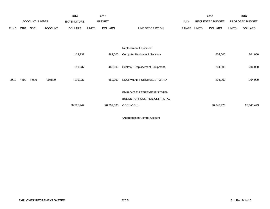|             |            |                       |                | 2014               |              | 2015           |                                    |       |       | 2016             |              | 2016            |
|-------------|------------|-----------------------|----------------|--------------------|--------------|----------------|------------------------------------|-------|-------|------------------|--------------|-----------------|
|             |            | <b>ACCOUNT NUMBER</b> |                | <b>EXPENDITURE</b> |              | <b>BUDGET</b>  |                                    | PAY   |       | REQUESTED BUDGET |              | PROPOSED BUDGET |
| <b>FUND</b> | <b>ORG</b> | SBCL                  | <b>ACCOUNT</b> | <b>DOLLARS</b>     | <b>UNITS</b> | <b>DOLLARS</b> | LINE DESCRIPTION                   | RANGE | UNITS | <b>DOLLARS</b>   | <b>UNITS</b> | <b>DOLLARS</b>  |
|             |            |                       |                |                    |              |                |                                    |       |       |                  |              |                 |
|             |            |                       |                |                    |              |                |                                    |       |       |                  |              |                 |
|             |            |                       |                |                    |              |                | <b>Replacement Equipment</b>       |       |       |                  |              |                 |
|             |            |                       |                | 119,237            |              | 469,000        | Computer Hardware & Software       |       |       | 204,000          |              | 204,000         |
|             |            |                       |                |                    |              |                |                                    |       |       |                  |              |                 |
|             |            |                       |                | 119,237            |              | 469,000        | Subtotal - Replacement Equipment   |       |       | 204,000          |              | 204,000         |
|             |            |                       |                |                    |              |                |                                    |       |       |                  |              |                 |
| 0001        | 4500       | R999                  | 006800         | 119,237            |              | 469,000        | EQUIPMENT PURCHASES TOTAL*         |       |       | 204,000          |              | 204,000         |
|             |            |                       |                |                    |              |                |                                    |       |       |                  |              |                 |
|             |            |                       |                |                    |              |                | <b>EMPLOYES' RETIREMENT SYSTEM</b> |       |       |                  |              |                 |
|             |            |                       |                |                    |              |                | BUDGETARY CONTROL UNIT TOTAL       |       |       |                  |              |                 |
|             |            |                       |                | 20,595,947         |              | 28,397,088     | $(1BCU=1DU)$                       |       |       | 26,643,423       |              | 26,643,423      |
|             |            |                       |                |                    |              |                |                                    |       |       |                  |              |                 |

\*Appropriation Control Account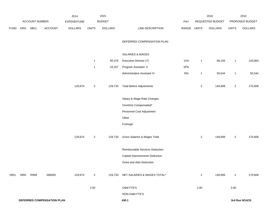|             |      |                |                                   | 2014               |                | 2015           |                                     |             |                | 2016             |                | 2016            |
|-------------|------|----------------|-----------------------------------|--------------------|----------------|----------------|-------------------------------------|-------------|----------------|------------------|----------------|-----------------|
|             |      | ACCOUNT NUMBER |                                   | <b>EXPENDITURE</b> |                | <b>BUDGET</b>  |                                     | PAY         |                | REQUESTED BUDGET |                | PROPOSED BUDGET |
| <b>FUND</b> | ORG  | SBCL           | <b>ACCOUNT</b>                    | <b>DOLLARS</b>     | UNITS          | <b>DOLLARS</b> | LINE DESCRIPTION                    | RANGE UNITS |                | <b>DOLLARS</b>   | <b>UNITS</b>   | <b>DOLLARS</b>  |
|             |      |                |                                   |                    |                |                | DEFERRED COMPENSATION PLAN          |             |                |                  |                |                 |
|             |      |                |                                   |                    |                |                | SALARIES & WAGES                    |             |                |                  |                |                 |
|             |      |                |                                   |                    | $\mathbf{1}$   | 85,476         | Executive Director (Y)              | 1HX         | $\mathbf{1}$   | 99,155           | $\overline{1}$ | 120,064         |
|             |      |                |                                   |                    | $\mathbf{1}$   | 44,257         | Program Assistant II                | 5FN         |                |                  |                |                 |
|             |      |                |                                   |                    |                |                | Administrative Assistant IV         | 5IN         | $\mathbf{1}$   | 50,544           | $\overline{1}$ | 50,544          |
|             |      |                |                                   | 129,674            | $\overline{a}$ | 129,733        | <b>Total Before Adjustments</b>     |             | $\overline{a}$ | 149,699          | $\overline{a}$ | 170,608         |
|             |      |                |                                   |                    |                |                | Salary & Wage Rate Changes          |             |                |                  |                |                 |
|             |      |                |                                   |                    |                |                | Overtime Compensated*               |             |                |                  |                |                 |
|             |      |                |                                   |                    |                |                | Personnel Cost Adjustment           |             |                |                  |                |                 |
|             |      |                |                                   |                    |                |                | Other                               |             |                |                  |                |                 |
|             |      |                |                                   |                    |                |                | Furlough                            |             |                |                  |                |                 |
|             |      |                |                                   | 129,674            | $\overline{a}$ | 129,733        | Gross Salaries & Wages Total        |             | $\overline{a}$ | 149,699          | $\overline{2}$ | 170,608         |
|             |      |                |                                   |                    |                |                | Reimbursable Services Deduction     |             |                |                  |                |                 |
|             |      |                |                                   |                    |                |                | Capital Improvements Deduction      |             |                |                  |                |                 |
|             |      |                |                                   |                    |                |                | <b>Grant and Aids Deduction</b>     |             |                |                  |                |                 |
| 0001        | 0950 | R999           | 006000                            | 129,674            | $\overline{2}$ |                | 129,733 NET SALARIES & WAGES TOTAL* |             | $\overline{2}$ | 149,699          | $\overline{2}$ | 170,608         |
|             |      |                |                                   |                    | 2.00           |                | O&M FTE'S                           |             | 2.00           |                  | 2.00           |                 |
|             |      |                |                                   |                    |                |                | NON-O&M FTE'S                       |             |                |                  |                |                 |
|             |      |                | <b>DEFERRED COMPENSATION PLAN</b> |                    |                |                | 430.1                               |             |                |                  |                | 3rd Run 9/14/15 |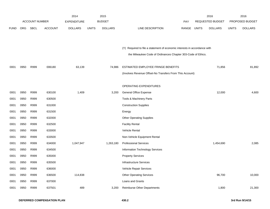|             |            |                       |                | 2014               |              | 2015           |                                                                           |       |              | 2016             |              | 2016            |
|-------------|------------|-----------------------|----------------|--------------------|--------------|----------------|---------------------------------------------------------------------------|-------|--------------|------------------|--------------|-----------------|
|             |            | <b>ACCOUNT NUMBER</b> |                | <b>EXPENDITURE</b> |              | <b>BUDGET</b>  |                                                                           | PAY   |              | REQUESTED BUDGET |              | PROPOSED BUDGET |
| <b>FUND</b> | <b>ORG</b> | <b>SBCL</b>           | <b>ACCOUNT</b> | <b>DOLLARS</b>     | <b>UNITS</b> | <b>DOLLARS</b> | LINE DESCRIPTION                                                          | RANGE | <b>UNITS</b> | <b>DOLLARS</b>   | <b>UNITS</b> | <b>DOLLARS</b>  |
|             |            |                       |                |                    |              |                |                                                                           |       |              |                  |              |                 |
|             |            |                       |                |                    |              |                |                                                                           |       |              |                  |              |                 |
|             |            |                       |                |                    |              |                | (Y) Required to file a statement of economic interests in accordance with |       |              |                  |              |                 |
|             |            |                       |                |                    |              |                | the Milwaukee Code of Ordinances Chapter 303-Code of Ethics.              |       |              |                  |              |                 |
|             |            |                       |                |                    |              |                |                                                                           |       |              |                  |              |                 |
| 0001        | 0950       | R999                  | 006180         | 63,139             |              | 74,986         | ESTIMATED EMPLOYEE FRINGE BENEFITS                                        |       |              | 71,856           |              | 81,892          |
|             |            |                       |                |                    |              |                | (Involves Revenue Offset-No Transfers From This Account)                  |       |              |                  |              |                 |
|             |            |                       |                |                    |              |                |                                                                           |       |              |                  |              |                 |
|             |            |                       |                |                    |              |                | OPERATING EXPENDITURES                                                    |       |              |                  |              |                 |
| 0001        | 0950       | R999                  | 630100         | 1,409              |              | 3,200          | General Office Expense                                                    |       |              | 12,000           |              | 4,600           |
| 0001        | 0950       | R999                  | 630500         |                    |              |                | Tools & Machinery Parts                                                   |       |              |                  |              |                 |
| 0001        | 0950       | R999                  | 631000         |                    |              |                | <b>Construction Supplies</b>                                              |       |              |                  |              |                 |
| 0001        | 0950       | R999                  | 631500         |                    |              |                | Energy                                                                    |       |              |                  |              |                 |
| 0001        | 0950       | R999                  | 632000         |                    |              |                | <b>Other Operating Supplies</b>                                           |       |              |                  |              |                 |
| 0001        | 0950       | R999                  | 632500         |                    |              |                | <b>Facility Rental</b>                                                    |       |              |                  |              |                 |
| 0001        | 0950       | R999                  | 633000         |                    |              |                | Vehicle Rental                                                            |       |              |                  |              |                 |
| 0001        | 0950       | R999                  | 633500         |                    |              |                | Non-Vehicle Equipment Rental                                              |       |              |                  |              |                 |
| 0001        | 0950       | R999                  | 634000         | 1,047,947          |              | 1,263,180      | <b>Professional Services</b>                                              |       |              | 1,454,690        |              | 2,085           |
| 0001        | 0950       | R999                  | 634500         |                    |              |                | Information Technology Services                                           |       |              |                  |              |                 |
| 0001        | 0950       | R999                  | 635000         |                    |              |                | <b>Property Services</b>                                                  |       |              |                  |              |                 |
| 0001        | 0950       | R999                  | 635500         |                    |              |                | <b>Infrastructure Services</b>                                            |       |              |                  |              |                 |
| 0001        | 0950       | R999                  | 636000         |                    |              |                | Vehicle Repair Services                                                   |       |              |                  |              |                 |
| 0001        | 0950       | R999                  | 636500         | 114,838            |              |                | <b>Other Operating Services</b>                                           |       |              | 96,700           |              | 10,000          |
| 0001        | 0950       | R999                  | 637000         |                    |              |                | Loans and Grants                                                          |       |              |                  |              |                 |
| 0001        | 0950       | R999                  | 637501         | 489                |              | 3,200          | <b>Reimburse Other Departments</b>                                        |       |              | 1,800            |              | 21,300          |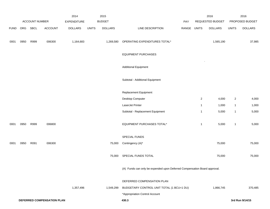|             |      | ACCOUNT NUMBER |                                   | 2014                          |              | 2015<br><b>BUDGET</b> |                                                                           |              |                | 2016<br>REQUESTED BUDGET |                | 2016<br>PROPOSED BUDGET |
|-------------|------|----------------|-----------------------------------|-------------------------------|--------------|-----------------------|---------------------------------------------------------------------------|--------------|----------------|--------------------------|----------------|-------------------------|
| <b>FUND</b> | ORG  | SBCL           | <b>ACCOUNT</b>                    | EXPENDITURE<br><b>DOLLARS</b> | <b>UNITS</b> | <b>DOLLARS</b>        | LINE DESCRIPTION                                                          | PAY<br>RANGE | <b>UNITS</b>   | <b>DOLLARS</b>           | <b>UNITS</b>   | <b>DOLLARS</b>          |
| 0001        | 0950 | R999           | 006300                            | 1,164,683                     |              | 1,269,580             | OPERATING EXPENDITURES TOTAL*                                             |              |                | 1,565,190                |                | 37,985                  |
|             |      |                |                                   |                               |              |                       | <b>EQUIPMENT PURCHASES</b>                                                |              |                |                          |                |                         |
|             |      |                |                                   |                               |              |                       | <b>Additional Equipment</b>                                               |              |                |                          |                |                         |
|             |      |                |                                   |                               |              |                       | Subtotal - Additional Equipment                                           |              |                |                          |                |                         |
|             |      |                |                                   |                               |              |                       | Replacement Equipment                                                     |              |                |                          |                |                         |
|             |      |                |                                   |                               |              |                       | Desktop Computer                                                          |              | $\overline{2}$ | 4,000                    | $\overline{2}$ | 4,000                   |
|             |      |                |                                   |                               |              |                       | LaserJet Printer                                                          |              | $\mathbf{1}$   | 1,000                    | $\mathbf{1}$   | 1,000                   |
|             |      |                |                                   |                               |              |                       | Subtotal - Replacement Equipment                                          |              | $\mathbf{1}$   | 5,000                    | $\mathbf{1}$   | 5,000                   |
| 0001        | 0950 | R999           | 006800                            |                               |              |                       | EQUIPMENT PURCHASES TOTAL*                                                |              | $\mathbf{1}$   | 5,000                    | $\mathbf{1}$   | 5,000                   |
|             |      |                |                                   |                               |              |                       | SPECIAL FUNDS                                                             |              |                |                          |                |                         |
| 0001        | 0950 | R091           | 006300                            |                               |              | 75,000                | Contingency (A)*                                                          |              |                | 75,000                   |                | 75,000                  |
|             |      |                |                                   |                               |              | 75,000                | SPECIAL FUNDS TOTAL                                                       |              |                | 75,000                   |                | 75,000                  |
|             |      |                |                                   |                               |              |                       | (A) Funds can only be expended upon Deferred Compensation Board approval. |              |                |                          |                |                         |
|             |      |                |                                   |                               |              |                       | DEFERRED COMPENSATION PLAN                                                |              |                |                          |                |                         |
|             |      |                |                                   | 1,357,496                     |              | 1,549,299             | BUDGETARY CONTROL UNIT TOTAL (1 BCU=1 DU)                                 |              |                | 1,866,745                |                | 370,485                 |
|             |      |                |                                   |                               |              |                       | *Appropriation Control Account                                            |              |                |                          |                |                         |
|             |      |                | <b>DEFERRED COMPENSATION PLAN</b> |                               |              |                       | 430.3                                                                     |              |                |                          |                | 3rd Run 9/14/15         |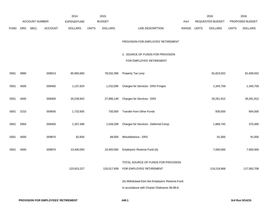|             |      |                |                | 2014               |              | 2015           |                                                                                                  |       | 2016                           |        | 2016                           |
|-------------|------|----------------|----------------|--------------------|--------------|----------------|--------------------------------------------------------------------------------------------------|-------|--------------------------------|--------|--------------------------------|
|             |      | ACCOUNT NUMBER |                | <b>EXPENDITURE</b> |              | <b>BUDGET</b>  |                                                                                                  | PAY   | REQUESTED BUDGET               |        | PROPOSED BUDGET                |
| <b>FUND</b> | ORG  | <b>SBCL</b>    | <b>ACCOUNT</b> | <b>DOLLARS</b>     | <b>UNITS</b> | <b>DOLLARS</b> | LINE DESCRIPTION                                                                                 | RANGE | <b>UNITS</b><br><b>DOLLARS</b> |        | <b>UNITS</b><br><b>DOLLARS</b> |
|             |      |                |                |                    |              |                | PROVISION FOR EMPLOYES' RETIREMENT                                                               |       |                                |        |                                |
|             |      |                |                |                    |              |                | 2. SOURCE OF FUNDS FOR PROVISION<br>FOR EMPLOYES' RETIREMENT                                     |       |                                |        |                                |
| 0001        | 9990 |                | 009013         | 85,965,660         |              | 78,532,396     | Property Tax Levy                                                                                |       | 81,823,552                     |        | 81,609,552                     |
| 0001        | 4500 |                | 009400         | 1,137,924          |              | 1,232,096      | Charges for Services - ERS Fringes                                                               |       | 1,345,759                      |        | 1,345,759                      |
| 0001        | 4500 |                | 009400         | 20,238,942         |              | 27,986,148     | Charges for Services - ERS                                                                       |       | 26,261,912                     |        | 26,261,912                     |
| 0001        | 2210 |                | 009930         | 1,732,605          |              | 730,000        | Transfer from Other Funds                                                                        |       | 830,000                        |        | 904,000                        |
| 0001        | 0950 |                | 009400         | 1,357,496          |              | 1,549,299      | Charges for Services - Deferred Comp.                                                            |       | 1,866,745                      |        | 370,485                        |
| 0001        | 4500 |                | 009870         | 82,600             |              | 88,000         | Miscellaneous - ERS                                                                              |       |                                | 91,000 | 91,000                         |
| 0001        | 4500 |                | 009870         | 13,400,000         |              | 10,400,000     | Employers' Reserve Fund (A)                                                                      |       | 7,000,000                      |        | 7,000,000                      |
|             |      |                |                | 123,915,227        |              |                | TOTAL SOURCE OF FUNDS FOR PROVISION<br>120,517,939 FOR EMPLOYES' RETIREMENT                      |       | 119,218,968                    |        | 117,582,708                    |
|             |      |                |                |                    |              |                | (A) Withdrawal from the Employers' Reserve Fund<br>in accordance with Charter Ordinance 36-08-8. |       |                                |        |                                |
|             |      |                |                |                    |              |                |                                                                                                  |       |                                |        |                                |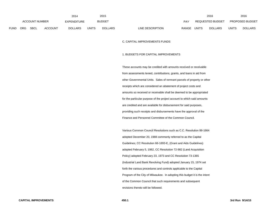|             |                                      |  |                    | 2014         |                | 2015                             |                                | 2016         |                        | 2016 |
|-------------|--------------------------------------|--|--------------------|--------------|----------------|----------------------------------|--------------------------------|--------------|------------------------|------|
|             | ACCOUNT NUMBER                       |  | <b>EXPENDITURE</b> |              | <b>BUDGET</b>  | PAY                              | REQUESTED BUDGET               |              | <b>PROPOSED BUDGET</b> |      |
| <b>FUND</b> | <b>SBCL</b><br>ORG<br><b>ACCOUNT</b> |  | <b>DOLLARS</b>     | <b>UNITS</b> | <b>DOLLARS</b> | LINE DESCRIPTION<br><b>RANGE</b> | <b>UNITS</b><br><b>DOLLARS</b> | <b>UNITS</b> | <b>DOLLARS</b>         |      |

### C. CAPITAL IMPROVEMENTS FUNDS

#### 1. BUDGETS FOR CAPITAL IMPROVEMENTS

These accounts may be credited with amounts received or receivable from assessments levied, contributions, grants, and loans in aid from other Governmental Units. Sales of remnant parcels of property or other receipts which are considered an abatement of project costs and amounts so received or receivable shall be deemed to be appropriated for the particular purpose of the project account to which said amounts are credited and are available for disbursement for said purposes, providing such receipts and disbursements have the approval of the Finance and Personnel Committee of the Common Council.

Various Common Council Resolutions such as C.C. Resolution 88-1664 adopted December 20, 1988 commonly referred to as the Capital Guidelines; CC Resolution 66-1893-E, (Grant and Aids Guidelines) adopted February 5, 1982, CC Resolution 72-982 (Land Acquisition Policy) adopted February 23, 1973 and CC Resolution 73-1365 (Industrial Land Bank Revolving Fund) adopted January 15, 1974 set forth the various procedures and controls applicable to the Capital Program of the City of Milwaukee. In adopting this budget it is the intent of the Common Council that such requirements and subsequent revisions thereto will be followed.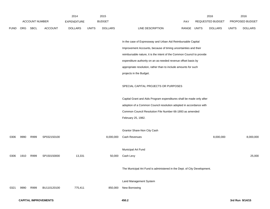|             |      |                       |                             | 2014               |              | 2015           |                                                                          |             | 2016             |              | 2016            |
|-------------|------|-----------------------|-----------------------------|--------------------|--------------|----------------|--------------------------------------------------------------------------|-------------|------------------|--------------|-----------------|
|             |      | <b>ACCOUNT NUMBER</b> |                             | <b>EXPENDITURE</b> |              | <b>BUDGET</b>  |                                                                          | <b>PAY</b>  | REQUESTED BUDGET |              | PROPOSED BUDGET |
| <b>FUND</b> | ORG  | SBCL                  | <b>ACCOUNT</b>              | <b>DOLLARS</b>     | <b>UNITS</b> | <b>DOLLARS</b> | LINE DESCRIPTION                                                         | RANGE UNITS | DOLLARS          | <b>UNITS</b> | <b>DOLLARS</b>  |
|             |      |                       |                             |                    |              |                |                                                                          |             |                  |              |                 |
|             |      |                       |                             |                    |              |                | In the case of Expressway and Urban Aid Reimbursable Capital             |             |                  |              |                 |
|             |      |                       |                             |                    |              |                | Improvement Accounts, because of timing uncertainties and their          |             |                  |              |                 |
|             |      |                       |                             |                    |              |                | reimbursable nature, it is the intent of the Common Council to provide   |             |                  |              |                 |
|             |      |                       |                             |                    |              |                | expenditure authority on an as-needed revenue offset basis by            |             |                  |              |                 |
|             |      |                       |                             |                    |              |                | appropriate resolution, rather than to include amounts for such          |             |                  |              |                 |
|             |      |                       |                             |                    |              |                | projects in the Budget.                                                  |             |                  |              |                 |
|             |      |                       |                             |                    |              |                | SPECIAL CAPITAL PROJECTS OR PURPOSES                                     |             |                  |              |                 |
|             |      |                       |                             |                    |              |                | Capital Grant and Aids Program expenditures shall be made only after     |             |                  |              |                 |
|             |      |                       |                             |                    |              |                | adoption of a Common Council resolution adopted in accordance with       |             |                  |              |                 |
|             |      |                       |                             |                    |              |                | Common Council Resolution File Number 66-1893 as amended                 |             |                  |              |                 |
|             |      |                       |                             |                    |              |                | February 25, 1982.                                                       |             |                  |              |                 |
|             |      |                       |                             |                    |              |                |                                                                          |             |                  |              |                 |
|             |      |                       |                             |                    |              |                | Grantor Share-Non City Cash                                              |             |                  |              |                 |
| 0306        | 9990 | R999                  | SP032150100                 |                    |              | 8,000,000      | Cash Revenues                                                            |             | 8,000,000        |              | 8,000,000       |
|             |      |                       |                             |                    |              |                |                                                                          |             |                  |              |                 |
|             |      |                       |                             |                    |              |                | Municipal Art Fund                                                       |             |                  |              |                 |
| 0306        | 1910 | R999                  | SP150150000                 | 13,331             |              | 50,000         | Cash Levy                                                                |             |                  |              | 25,000          |
|             |      |                       |                             |                    |              |                | The Municipal Art Fund is administered in the Dept. of City Development. |             |                  |              |                 |
|             |      |                       |                             |                    |              |                | Land Management System                                                   |             |                  |              |                 |
| 0321        | 9990 | R999                  | BU110120100                 | 775,411            |              | 850,000        | New Borrowing                                                            |             |                  |              |                 |
|             |      |                       |                             |                    |              |                |                                                                          |             |                  |              |                 |
|             |      |                       | <b>CAPITAL IMPROVEMENTS</b> |                    |              |                | 450.2                                                                    |             |                  |              | 3rd Run 9/14/15 |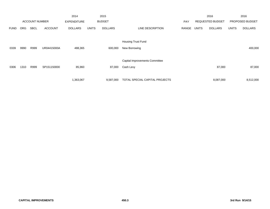|             |            |                       |                | 2014               |              | 2015           |                                |            |              | 2016                    |              | 2016            |
|-------------|------------|-----------------------|----------------|--------------------|--------------|----------------|--------------------------------|------------|--------------|-------------------------|--------------|-----------------|
|             |            | <b>ACCOUNT NUMBER</b> |                | <b>EXPENDITURE</b> |              | <b>BUDGET</b>  |                                | <b>PAY</b> |              | <b>REQUESTED BUDGET</b> |              | PROPOSED BUDGET |
| <b>FUND</b> | <b>ORG</b> | <b>SBCL</b>           | <b>ACCOUNT</b> | <b>DOLLARS</b>     | <b>UNITS</b> | <b>DOLLARS</b> | LINE DESCRIPTION               | RANGE      | <b>UNITS</b> | <b>DOLLARS</b>          | <b>UNITS</b> | <b>DOLLARS</b>  |
|             |            |                       |                |                    |              |                |                                |            |              |                         |              |                 |
|             |            |                       |                |                    |              |                | <b>Housing Trust Fund</b>      |            |              |                         |              |                 |
| 0339        | 9990       | R999                  | UR04415000A    | 488,365            |              | 600,000        | New Borrowing                  |            |              |                         |              | 400,000         |
|             |            |                       |                |                    |              |                |                                |            |              |                         |              |                 |
|             |            |                       |                |                    |              |                | Capital Improvements Committee |            |              |                         |              |                 |
| 0306        | 1310       | R999                  | SP151150000    | 85,960             |              | 87,000         | Cash Levy                      |            |              | 87,000                  |              | 87,000          |
|             |            |                       |                |                    |              |                |                                |            |              |                         |              |                 |
|             |            |                       |                | 1,363,067          |              | 9,587,000      | TOTAL SPECIAL CAPITAL PROJECTS |            |              | 8,087,000               |              | 8,512,000       |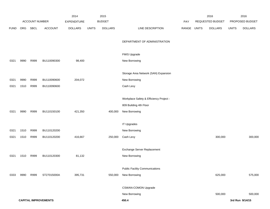|             |      |                       |                             | 2014               |              | 2015           |                                         |             | 2016             |              | 2016            |
|-------------|------|-----------------------|-----------------------------|--------------------|--------------|----------------|-----------------------------------------|-------------|------------------|--------------|-----------------|
|             |      | <b>ACCOUNT NUMBER</b> |                             | <b>EXPENDITURE</b> |              | <b>BUDGET</b>  |                                         | PAY         | REQUESTED BUDGET |              | PROPOSED BUDGET |
| <b>FUND</b> | ORG  | SBCL                  | <b>ACCOUNT</b>              | <b>DOLLARS</b>     | <b>UNITS</b> | <b>DOLLARS</b> | LINE DESCRIPTION                        | RANGE UNITS | <b>DOLLARS</b>   | <b>UNITS</b> | <b>DOLLARS</b>  |
|             |      |                       |                             |                    |              |                |                                         |             |                  |              |                 |
|             |      |                       |                             |                    |              |                | DEPARTMENT OF ADMINISTRATION            |             |                  |              |                 |
|             |      |                       |                             |                    |              |                |                                         |             |                  |              |                 |
|             |      |                       |                             |                    |              |                | FMIS Upgrade                            |             |                  |              |                 |
| 0321        | 9990 | R999                  | BU110090300                 | 98,400             |              |                | New Borrowing                           |             |                  |              |                 |
|             |      |                       |                             |                    |              |                |                                         |             |                  |              |                 |
|             |      |                       |                             |                    |              |                | Storage Area Network (SAN) Expansion    |             |                  |              |                 |
| 0321        | 9990 | R999                  | BU110090600                 | 204,072            |              |                | New Borrowing                           |             |                  |              |                 |
| 0321        | 1510 | R999                  | BU110090600                 |                    |              |                | Cash Levy                               |             |                  |              |                 |
|             |      |                       |                             |                    |              |                |                                         |             |                  |              |                 |
|             |      |                       |                             |                    |              |                | Workplace Safety & Efficiency Project - |             |                  |              |                 |
|             |      |                       |                             |                    |              |                | 809 Building 4th Floor                  |             |                  |              |                 |
| 0321        | 9990 | R999                  | BU110150100                 | 421,350            |              | 400,000        | New Borrowing                           |             |                  |              |                 |
|             |      |                       |                             |                    |              |                |                                         |             |                  |              |                 |
|             |      |                       |                             |                    |              |                | <b>IT Upgrades</b>                      |             |                  |              |                 |
| 0321        | 1510 | R999                  | BU110120200                 |                    |              |                | New Borrowing                           |             |                  |              |                 |
| 0321        | 1510 | R999                  | BU110120200                 | 416,667            |              | 250,000        | Cash Levy                               |             | 300,000          |              | 300,000         |
|             |      |                       |                             |                    |              |                |                                         |             |                  |              |                 |
|             |      |                       |                             |                    |              |                | Exchange Server Replacement             |             |                  |              |                 |
| 0321        | 1510 | R999                  | BU110120300                 | 81,132             |              |                | New Borrowing                           |             |                  |              |                 |
|             |      |                       |                             |                    |              |                |                                         |             |                  |              |                 |
|             |      |                       |                             |                    |              |                | <b>Public Facility Communications</b>   |             |                  |              |                 |
| 0333        | 9990 | R999                  | ST27015000A                 | 395,731            |              | 550,000        | New Borrowing                           |             | 625,000          |              | 575,000         |
|             |      |                       |                             |                    |              |                | CSWAN-COMON Upgrade                     |             |                  |              |                 |
|             |      |                       |                             |                    |              |                |                                         |             |                  |              |                 |
|             |      |                       |                             |                    |              |                | New Borrowing                           |             | 500,000          |              | 500,000         |
|             |      |                       | <b>CAPITAL IMPROVEMENTS</b> |                    |              |                | 450.4                                   |             |                  |              | 3rd Run 9/14/15 |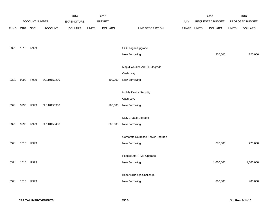|             |      |                |                | 2014           |              | 2015           |                                   |       |              | 2016             |              | 2016            |
|-------------|------|----------------|----------------|----------------|--------------|----------------|-----------------------------------|-------|--------------|------------------|--------------|-----------------|
|             |      | ACCOUNT NUMBER |                | EXPENDITURE    |              | <b>BUDGET</b>  |                                   | PAY   |              | REQUESTED BUDGET |              | PROPOSED BUDGET |
| <b>FUND</b> | ORG  | SBCL           | <b>ACCOUNT</b> | <b>DOLLARS</b> | <b>UNITS</b> | <b>DOLLARS</b> | LINE DESCRIPTION                  | RANGE | <b>UNITS</b> | <b>DOLLARS</b>   | <b>UNITS</b> | <b>DOLLARS</b>  |
|             |      |                |                |                |              |                |                                   |       |              |                  |              |                 |
|             |      |                |                |                |              |                |                                   |       |              |                  |              |                 |
| 0321        | 1510 | R999           |                |                |              |                | UCC Lagan Upgrade                 |       |              |                  |              |                 |
|             |      |                |                |                |              |                | New Borrowing                     |       |              | 220,000          |              | 220,000         |
|             |      |                |                |                |              |                |                                   |       |              |                  |              |                 |
|             |      |                |                |                |              |                | MapMilwaukee ArcGIS Upgrade       |       |              |                  |              |                 |
|             |      |                |                |                |              |                | Cash Levy                         |       |              |                  |              |                 |
| 0321        | 9990 | R999           | BU110150200    |                |              | 400,000        | New Borrowing                     |       |              |                  |              |                 |
|             |      |                |                |                |              |                |                                   |       |              |                  |              |                 |
|             |      |                |                |                |              |                | Mobile Device Security            |       |              |                  |              |                 |
|             |      |                |                |                |              |                | Cash Levy                         |       |              |                  |              |                 |
| 0321        | 9990 | R999           | BU110150300    |                |              | 160,000        | New Borrowing                     |       |              |                  |              |                 |
|             |      |                |                |                |              |                |                                   |       |              |                  |              |                 |
|             |      |                |                |                |              |                | DSS E-Vault Upgrade               |       |              |                  |              |                 |
| 0321        | 9990 | R999           | BU110150400    |                |              | 300,000        | New Borrowing                     |       |              |                  |              |                 |
|             |      |                |                |                |              |                |                                   |       |              |                  |              |                 |
|             |      |                |                |                |              |                | Corporate Database Server Upgrade |       |              |                  |              |                 |
| 0321        | 1510 | R999           |                |                |              |                | New Borrowing                     |       |              | 270,000          |              | 270,000         |
|             |      |                |                |                |              |                |                                   |       |              |                  |              |                 |
|             |      |                |                |                |              |                | PeopleSoft HRMS Upgrade           |       |              |                  |              |                 |
| 0321        | 1510 | R999           |                |                |              |                | New Borrowing                     |       |              | 1,000,000        |              | 1,000,000       |
|             |      |                |                |                |              |                |                                   |       |              |                  |              |                 |
|             |      |                |                |                |              |                | <b>Better Buildings Challenge</b> |       |              |                  |              |                 |
| 0321        | 1510 | R999           |                |                |              |                | New Borrowing                     |       |              | 600,000          |              | 400,000         |
|             |      |                |                |                |              |                |                                   |       |              |                  |              |                 |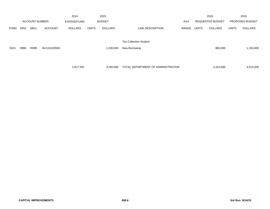|             |            |                       |                | 2014               |              | 2015           |                                    |            |              | 2016                    |              | 2016            |
|-------------|------------|-----------------------|----------------|--------------------|--------------|----------------|------------------------------------|------------|--------------|-------------------------|--------------|-----------------|
|             |            | <b>ACCOUNT NUMBER</b> |                | <b>EXPENDITURE</b> |              | <b>BUDGET</b>  |                                    | <b>PAY</b> |              | <b>REQUESTED BUDGET</b> |              | PROPOSED BUDGET |
| <b>FUND</b> | <b>ORG</b> | <b>SBCL</b>           | <b>ACCOUNT</b> | <b>DOLLARS</b>     | <b>UNITS</b> | <b>DOLLARS</b> | LINE DESCRIPTION                   | RANGE      | <b>UNITS</b> | <b>DOLLARS</b>          | <b>UNITS</b> | <b>DOLLARS</b>  |
|             |            |                       |                |                    |              |                |                                    |            |              |                         |              |                 |
|             |            |                       |                |                    |              |                | <b>Tax Collection System</b>       |            |              |                         |              |                 |
| 0321        | 9990       | R999                  | BU110150500    |                    |              | 1,200,000      | New Borrowing                      |            |              | 800,000                 |              | 1,150,000       |
|             |            |                       |                |                    |              |                |                                    |            |              |                         |              |                 |
|             |            |                       |                |                    |              |                |                                    |            |              |                         |              |                 |
|             |            |                       |                | 1,617,352          |              | 3,260,000      | TOTAL DEPARTMENT OF ADMINISTRATION |            |              | 4,315,000               |              | 4,415,000       |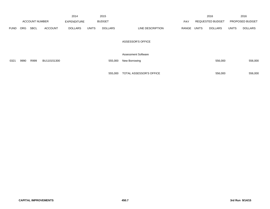|             |            |                       |                | 2014               |              | 2015           |                            |            |       | 2016                    |              | 2016            |
|-------------|------------|-----------------------|----------------|--------------------|--------------|----------------|----------------------------|------------|-------|-------------------------|--------------|-----------------|
|             |            | <b>ACCOUNT NUMBER</b> |                | <b>EXPENDITURE</b> |              | <b>BUDGET</b>  |                            | <b>PAY</b> |       | <b>REQUESTED BUDGET</b> |              | PROPOSED BUDGET |
| <b>FUND</b> | <b>ORG</b> | <b>SBCL</b>           | <b>ACCOUNT</b> | <b>DOLLARS</b>     | <b>UNITS</b> | <b>DOLLARS</b> | LINE DESCRIPTION           | RANGE      | UNITS | <b>DOLLARS</b>          | <b>UNITS</b> | <b>DOLLARS</b>  |
|             |            |                       |                |                    |              |                | <b>ASSESSOR'S OFFICE</b>   |            |       |                         |              |                 |
|             |            |                       |                |                    |              |                | <b>Assessment Software</b> |            |       |                         |              |                 |
| 0321        | 9990       | R999                  | BU110151300    |                    |              | 555,000        | New Borrowing              |            |       | 556,000                 |              | 556,000         |
|             |            |                       |                |                    |              |                |                            |            |       |                         |              |                 |
|             |            |                       |                |                    |              | 555,000        | TOTAL ASSESSOR'S OFFICE    |            |       | 556,000                 |              | 556,000         |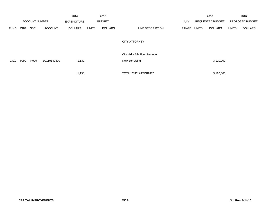|             |            |                       |                | 2014               |              | 2015           |                               |       |              | 2016                    |              | 2016            |
|-------------|------------|-----------------------|----------------|--------------------|--------------|----------------|-------------------------------|-------|--------------|-------------------------|--------------|-----------------|
|             |            | <b>ACCOUNT NUMBER</b> |                | <b>EXPENDITURE</b> |              | <b>BUDGET</b>  |                               | PAY   |              | <b>REQUESTED BUDGET</b> |              | PROPOSED BUDGET |
| <b>FUND</b> | <b>ORG</b> | <b>SBCL</b>           | <b>ACCOUNT</b> | <b>DOLLARS</b>     | <b>UNITS</b> | <b>DOLLARS</b> | LINE DESCRIPTION              | RANGE | <b>UNITS</b> | <b>DOLLARS</b>          | <b>UNITS</b> | <b>DOLLARS</b>  |
|             |            |                       |                |                    |              |                |                               |       |              |                         |              |                 |
|             |            |                       |                |                    |              |                | <b>CITY ATTORNEY</b>          |       |              |                         |              |                 |
|             |            |                       |                |                    |              |                |                               |       |              |                         |              |                 |
|             |            |                       |                |                    |              |                | City Hall - 8th Floor Remodel |       |              |                         |              |                 |
| 0321        | 9990       | R999                  | BU110140300    | 1,130              |              |                | New Borrowing                 |       |              | 3,120,000               |              |                 |
|             |            |                       |                |                    |              |                |                               |       |              |                         |              |                 |
|             |            |                       |                | 1,130              |              |                | TOTAL CITY ATTORNEY           |       |              | 3,120,000               |              |                 |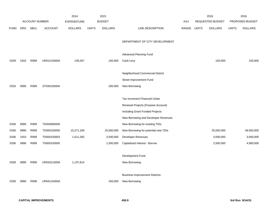|             |            |                       |                | 2014               |              | 2015           |                                       |            |              | 2016                    |              | 2016            |
|-------------|------------|-----------------------|----------------|--------------------|--------------|----------------|---------------------------------------|------------|--------------|-------------------------|--------------|-----------------|
|             |            | <b>ACCOUNT NUMBER</b> |                | <b>EXPENDITURE</b> |              | <b>BUDGET</b>  |                                       | <b>PAY</b> |              | <b>REQUESTED BUDGET</b> |              | PROPOSED BUDGET |
| <b>FUND</b> | <b>ORG</b> | SBCL                  | <b>ACCOUNT</b> | <b>DOLLARS</b>     | <b>UNITS</b> | <b>DOLLARS</b> | LINE DESCRIPTION                      | RANGE      | <b>UNITS</b> | <b>DOLLARS</b>          | <b>UNITS</b> | <b>DOLLARS</b>  |
|             |            |                       |                |                    |              |                |                                       |            |              |                         |              |                 |
|             |            |                       |                |                    |              |                | DEPARTMENT OF CITY DEVELOPMENT        |            |              |                         |              |                 |
|             |            |                       |                |                    |              |                |                                       |            |              |                         |              |                 |
|             |            |                       |                |                    |              |                | Advanced Planning Fund                |            |              |                         |              |                 |
| 0339        | 1910       | R999                  | UR01215000A    | 139,267            |              | 100,000        | Cash Levy                             |            |              | 150,000                 |              | 150,000         |
|             |            |                       |                |                    |              |                |                                       |            |              |                         |              |                 |
|             |            |                       |                |                    |              |                | Neighborhood Commercial District      |            |              |                         |              |                 |
|             |            |                       |                |                    |              |                | Street Improvement Fund               |            |              |                         |              |                 |
| 0333        | 9990       | R999                  | ST04015000A    |                    |              | 200,000        | New Borrowing                         |            |              |                         |              |                 |
|             |            |                       |                |                    |              |                |                                       |            |              |                         |              |                 |
|             |            |                       |                |                    |              |                | Tax Increment Financed Urban          |            |              |                         |              |                 |
|             |            |                       |                |                    |              |                | Renewal Projects (Purpose Account)    |            |              |                         |              |                 |
|             |            |                       |                |                    |              |                | Including Grant Funded Projects       |            |              |                         |              |                 |
|             |            |                       |                |                    |              |                | New Borrowing and Developer Revenues  |            |              |                         |              |                 |
| 0336        | 9990       | R999                  | TD000080000    |                    |              |                | New Borrowing for existing TIDs       |            |              |                         |              |                 |
| 0336        | 9990       | R999                  | TD000150000    | 15,271,109         |              | 15,000,000     | New Borrowing for potential new TIDs  |            |              | 25,000,000              |              | 49,000,000      |
| 0336        | 1910       | R999                  | TD000150003    | 1,511,265          |              | 3,500,000      | Developer Revenues                    |            |              | 3,000,000               |              | 3,000,000       |
| 0336        | 9990       | R999                  | TD000150000    |                    |              | 1,500,000      | Capitalized Interest - Borrow         |            |              | 2,500,000               |              | 4,900,000       |
|             |            |                       |                |                    |              |                |                                       |            |              |                         |              |                 |
|             |            |                       |                |                    |              |                | Development Fund                      |            |              |                         |              |                 |
| 0339        | 9990       | R999                  | UR03311000A    | 1,137,814          |              |                | New Borrowing                         |            |              |                         |              |                 |
|             |            |                       |                |                    |              |                |                                       |            |              |                         |              |                 |
|             |            |                       |                |                    |              |                | <b>Business Improvement Districts</b> |            |              |                         |              |                 |
| 0339        | 9990       | R999                  | UR04115000A    |                    |              | 250,000        | New Borrowing                         |            |              |                         |              |                 |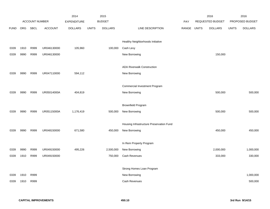|             |            |                |                | 2014               |              | 2015           |                                          |            |              | 2016             |              | 2016            |
|-------------|------------|----------------|----------------|--------------------|--------------|----------------|------------------------------------------|------------|--------------|------------------|--------------|-----------------|
|             |            | ACCOUNT NUMBER |                | <b>EXPENDITURE</b> |              | <b>BUDGET</b>  |                                          | <b>PAY</b> |              | REQUESTED BUDGET |              | PROPOSED BUDGET |
| <b>FUND</b> | <b>ORG</b> | <b>SBCL</b>    | <b>ACCOUNT</b> | <b>DOLLARS</b>     | <b>UNITS</b> | <b>DOLLARS</b> | LINE DESCRIPTION                         | RANGE      | <b>UNITS</b> | <b>DOLLARS</b>   | <b>UNITS</b> | <b>DOLLARS</b>  |
|             |            |                |                |                    |              |                |                                          |            |              |                  |              |                 |
|             |            |                |                |                    |              |                | Healthy Neighborhoods Initiative         |            |              |                  |              |                 |
| 0339        | 1910       | R999           | UR046130000    | 105,960            |              | 100,000        | Cash Levy                                |            |              |                  |              |                 |
| 0339        | 9990       | R999           | UR046130000    |                    |              |                | New Borrowing                            |            |              | 150,000          |              |                 |
|             |            |                |                |                    |              |                |                                          |            |              |                  |              |                 |
|             |            |                |                |                    |              |                | <b>ADA Riverwalk Construction</b>        |            |              |                  |              |                 |
| 0339        | 9990       | R999           | UR047110000    | 594,112            |              |                | New Borrowing                            |            |              |                  |              |                 |
|             |            |                |                |                    |              |                |                                          |            |              |                  |              |                 |
|             |            |                |                |                    |              |                | <b>Commercial Investment Program</b>     |            |              |                  |              |                 |
| 0339        | 9990       | R999           | UR05014000A    | 404,819            |              |                | New Borrowing                            |            |              | 500,000          |              | 500,000         |
|             |            |                |                |                    |              |                |                                          |            |              |                  |              |                 |
|             |            |                |                |                    |              |                | <b>Brownfield Program</b>                |            |              |                  |              |                 |
| 0339        | 9990       | R999           | UR05115000A    | 1,176,419          |              | 500,000        | New Borrowing                            |            |              | 500,000          |              | 500,000         |
|             |            |                |                |                    |              |                |                                          |            |              |                  |              |                 |
|             |            |                |                |                    |              |                | Housing Infrastructure Preservation Fund |            |              |                  |              |                 |
| 0339        | 9990       | R999           | UR048150000    | 671,580            |              | 450,000        | New Borrowing                            |            |              | 450,000          |              | 450,000         |
|             |            |                |                |                    |              |                |                                          |            |              |                  |              |                 |
|             |            |                |                |                    |              |                | In Rem Property Program                  |            |              |                  |              |                 |
| 0339        | 9990       | R999           | UR049150000    | 495,226            |              | 2,500,000      | New Borrowing                            |            |              | 2,000,000        |              | 1,000,000       |
| 0339        | 1910       | R999           | UR049150000    |                    |              | 750,000        | Cash Revenues                            |            |              | 333,000          |              | 330,000         |
|             |            |                |                |                    |              |                |                                          |            |              |                  |              |                 |
|             |            |                |                |                    |              |                | Strong Homes Loan Program                |            |              |                  |              |                 |
| 0339        | 1910       | R999           |                |                    |              |                | New Borrowing                            |            |              |                  |              | 1,000,000       |
| 0339        | 1910       | R999           |                |                    |              |                | <b>Cash Revenues</b>                     |            |              |                  |              | 500,000         |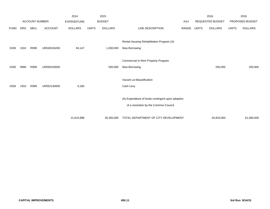|             |            |                       |                | 2014               |              | 2015           |                                                   |       |              | 2016                    |              | 2016            |
|-------------|------------|-----------------------|----------------|--------------------|--------------|----------------|---------------------------------------------------|-------|--------------|-------------------------|--------------|-----------------|
|             |            | <b>ACCOUNT NUMBER</b> |                | <b>EXPENDITURE</b> |              | <b>BUDGET</b>  |                                                   | PAY   |              | <b>REQUESTED BUDGET</b> |              | PROPOSED BUDGET |
| <b>FUND</b> | <b>ORG</b> | <b>SBCL</b>           | <b>ACCOUNT</b> | <b>DOLLARS</b>     | <b>UNITS</b> | <b>DOLLARS</b> | LINE DESCRIPTION                                  | RANGE | <b>UNITS</b> | <b>DOLLARS</b>          | <b>UNITS</b> | <b>DOLLARS</b>  |
|             |            |                       |                |                    |              |                |                                                   |       |              |                         |              |                 |
|             |            |                       |                |                    |              |                | Rental Housing Rehabilitation Program (A)         |       |              |                         |              |                 |
| 0339        | 1910       | R999                  | UR049150200    | 94,147             |              | 1,000,000      | New Borrowing                                     |       |              |                         |              |                 |
|             |            |                       |                |                    |              |                |                                                   |       |              |                         |              |                 |
|             |            |                       |                |                    |              |                | Commercial In Rem Property Program                |       |              |                         |              |                 |
| 0339        | 9990       | R999                  | UR056150000    |                    |              | 500,000        | New Borrowing                                     |       |              | 250,000                 |              | 250,000         |
|             |            |                       |                |                    |              |                |                                                   |       |              |                         |              |                 |
|             |            |                       |                |                    |              |                | Vacant Lot Beautification                         |       |              |                         |              |                 |
| 0339        | 1910       | R999                  | UR052140000    | 9,180              |              |                | Cash Levy                                         |       |              |                         |              |                 |
|             |            |                       |                |                    |              |                |                                                   |       |              |                         |              |                 |
|             |            |                       |                |                    |              |                | (A) Expenditure of funds contingent upon adoption |       |              |                         |              |                 |
|             |            |                       |                |                    |              |                | of a resolution by the Common Council             |       |              |                         |              |                 |
|             |            |                       |                |                    |              |                |                                                   |       |              |                         |              |                 |
|             |            |                       |                | 21,610,898         |              | 26,350,000     | TOTAL DEPARTMENT OF CITY DEVELOPMENT              |       |              | 34,833,000              |              | 61,580,000      |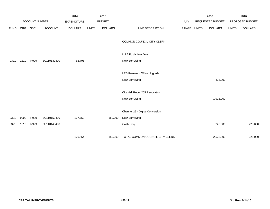|             |      |                       |                | 2014               |              | 2015           |                                 |       |              | 2016             |              | 2016            |
|-------------|------|-----------------------|----------------|--------------------|--------------|----------------|---------------------------------|-------|--------------|------------------|--------------|-----------------|
|             |      | <b>ACCOUNT NUMBER</b> |                | <b>EXPENDITURE</b> |              | <b>BUDGET</b>  |                                 | PAY   |              | REQUESTED BUDGET |              | PROPOSED BUDGET |
| <b>FUND</b> | ORG  | <b>SBCL</b>           | <b>ACCOUNT</b> | <b>DOLLARS</b>     | <b>UNITS</b> | <b>DOLLARS</b> | LINE DESCRIPTION                | RANGE | <b>UNITS</b> | <b>DOLLARS</b>   | <b>UNITS</b> | <b>DOLLARS</b>  |
|             |      |                       |                |                    |              |                | COMMON COUNCIL-CITY CLERK       |       |              |                  |              |                 |
|             |      |                       |                |                    |              |                | LIRA Public Interface           |       |              |                  |              |                 |
| 0321        | 1310 | R999                  | BU110130300    | 62,795             |              |                | New Borrowing                   |       |              |                  |              |                 |
|             |      |                       |                |                    |              |                | LRB Research Office Upgrade     |       |              |                  |              |                 |
|             |      |                       |                |                    |              |                | New Borrowing                   |       |              | 438,000          |              |                 |
|             |      |                       |                |                    |              |                | City Hall Room 205 Renovation   |       |              |                  |              |                 |
|             |      |                       |                |                    |              |                | New Borrowing                   |       |              | 1,915,000        |              |                 |
|             |      |                       |                |                    |              |                | Channel 25 - Digital Conversion |       |              |                  |              |                 |
| 0321        | 9990 | R999                  | BU110150400    | 107,759            |              | 150,000        | New Borrowing                   |       |              |                  |              |                 |
| 0321        | 1310 | R999                  | BU110140400    |                    |              |                | Cash Levy                       |       |              | 225,000          |              | 225,000         |
|             |      |                       |                | 170,554            |              | 150,000        | TOTAL COMMON COUNCIL-CITY CLERK |       |              | 2,578,000        |              | 225,000         |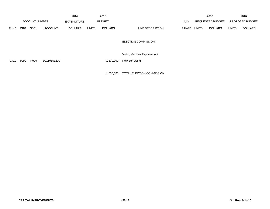|             |      |                       |                | 2014               |              | 2015           |                            |            |                                | 2016                    |              | 2016            |
|-------------|------|-----------------------|----------------|--------------------|--------------|----------------|----------------------------|------------|--------------------------------|-------------------------|--------------|-----------------|
|             |      | <b>ACCOUNT NUMBER</b> |                | <b>EXPENDITURE</b> |              | <b>BUDGET</b>  |                            | <b>PAY</b> |                                | <b>REQUESTED BUDGET</b> |              | PROPOSED BUDGET |
| <b>FUND</b> | ORG. | <b>SBCL</b>           | <b>ACCOUNT</b> | <b>DOLLARS</b>     | <b>UNITS</b> | <b>DOLLARS</b> | LINE DESCRIPTION           | RANGE      | <b>UNITS</b><br><b>DOLLARS</b> |                         | <b>UNITS</b> | <b>DOLLARS</b>  |
|             |      |                       |                |                    |              |                | <b>ELECTION COMMISSION</b> |            |                                |                         |              |                 |
|             |      |                       |                |                    |              |                | Voting Machine Replacement |            |                                |                         |              |                 |

0321 9990 R999 BU110151200 1,530,000 New Borrowing

1,530,000 TOTAL ELECTION COMMISSION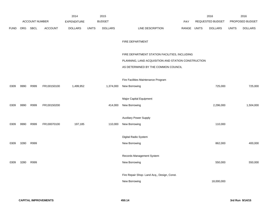|             |            |                |                | 2014               |              | 2015           |                                                     |            |              | 2016             |              | 2016            |
|-------------|------------|----------------|----------------|--------------------|--------------|----------------|-----------------------------------------------------|------------|--------------|------------------|--------------|-----------------|
|             |            | ACCOUNT NUMBER |                | <b>EXPENDITURE</b> |              | <b>BUDGET</b>  |                                                     | <b>PAY</b> |              | REQUESTED BUDGET |              | PROPOSED BUDGET |
| <b>FUND</b> | <b>ORG</b> | <b>SBCL</b>    | <b>ACCOUNT</b> | <b>DOLLARS</b>     | <b>UNITS</b> | <b>DOLLARS</b> | LINE DESCRIPTION                                    | RANGE      | <b>UNITS</b> | <b>DOLLARS</b>   | <b>UNITS</b> | <b>DOLLARS</b>  |
|             |            |                |                |                    |              |                |                                                     |            |              |                  |              |                 |
|             |            |                |                |                    |              |                | FIRE DEPARTMENT                                     |            |              |                  |              |                 |
|             |            |                |                |                    |              |                |                                                     |            |              |                  |              |                 |
|             |            |                |                |                    |              |                | FIRE DEPARTMENT STATION FACILITIES, INCLUDING       |            |              |                  |              |                 |
|             |            |                |                |                    |              |                | PLANNING, LAND ACQUISITION AND STATION CONSTRUCTION |            |              |                  |              |                 |
|             |            |                |                |                    |              |                | AS DETERMINED BY THE COMMON COUNCIL                 |            |              |                  |              |                 |
|             |            |                |                |                    |              |                |                                                     |            |              |                  |              |                 |
|             |            |                |                |                    |              |                | Fire Facilities Maintenance Program                 |            |              |                  |              |                 |
| 0309        | 9990       | R999           | FR130150100    | 1,499,952          |              | 1,374,000      | New Borrowing                                       |            |              | 725,000          |              | 725,000         |
|             |            |                |                |                    |              |                |                                                     |            |              |                  |              |                 |
|             |            |                |                |                    |              |                | Major Capital Equipment                             |            |              |                  |              |                 |
| 0309        | 9990       | R999           | FR130150200    |                    |              | 414,000        | New Borrowing                                       |            |              | 2,296,000        |              | 1,504,000       |
|             |            |                |                |                    |              |                |                                                     |            |              |                  |              |                 |
|             |            |                |                |                    |              |                | <b>Auxiliary Power Supply</b>                       |            |              |                  |              |                 |
| 0309        | 9990       | R999           | FR130070100    | 197,185            |              | 110,000        | New Borrowing                                       |            |              | 110,000          |              |                 |
|             |            |                |                |                    |              |                |                                                     |            |              |                  |              |                 |
|             |            |                |                |                    |              |                | Digital Radio System                                |            |              |                  |              |                 |
| 0309        | 3280       | R999           |                |                    |              |                | New Borrowing                                       |            |              | 862,000          |              | 400,000         |
|             |            |                |                |                    |              |                |                                                     |            |              |                  |              |                 |
|             |            |                |                |                    |              |                | Records Management System                           |            |              |                  |              |                 |
| 0309        | 3280       | R999           |                |                    |              |                | New Borrowing                                       |            |              | 550,000          |              | 550,000         |
|             |            |                |                |                    |              |                |                                                     |            |              |                  |              |                 |
|             |            |                |                |                    |              |                | Fire Repair Shop- Land Acq., Design, Const.         |            |              |                  |              |                 |
|             |            |                |                |                    |              |                | New Borrowing                                       |            |              | 18,000,000       |              |                 |
|             |            |                |                |                    |              |                |                                                     |            |              |                  |              |                 |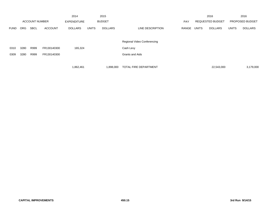|             |      |                       |                | 2014               |              | 2015           |                             |            |              | 2016                    |              | 2016                   |
|-------------|------|-----------------------|----------------|--------------------|--------------|----------------|-----------------------------|------------|--------------|-------------------------|--------------|------------------------|
|             |      | <b>ACCOUNT NUMBER</b> |                | <b>EXPENDITURE</b> |              | <b>BUDGET</b>  |                             | <b>PAY</b> |              | <b>REQUESTED BUDGET</b> |              | <b>PROPOSED BUDGET</b> |
| <b>FUND</b> | ORG  | <b>SBCL</b>           | <b>ACCOUNT</b> | <b>DOLLARS</b>     | <b>UNITS</b> | <b>DOLLARS</b> | LINE DESCRIPTION            | RANGE      | <b>UNITS</b> | <b>DOLLARS</b>          | <b>UNITS</b> | <b>DOLLARS</b>         |
|             |      |                       |                |                    |              |                |                             |            |              |                         |              |                        |
|             |      |                       |                |                    |              |                | Regional Video Conferencing |            |              |                         |              |                        |
| 0310        | 3280 | R999                  | FR130140300    | 165,324            |              |                | Cash Levy                   |            |              |                         |              |                        |
| 0309        | 3280 | R999                  | FR130140300    |                    |              |                | <b>Grants and Aids</b>      |            |              |                         |              |                        |
|             |      |                       |                |                    |              |                |                             |            |              |                         |              |                        |
|             |      |                       |                | 1,862,461          |              | 1,898,000      | TOTAL FIRE DEPARTMENT       |            |              | 22,543,000              |              | 3,179,000              |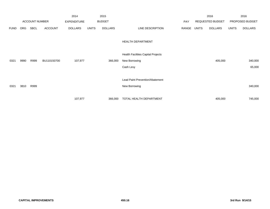|             |            |                       |                | 2014               |              | 2015           |                                           |       |              | 2016             |              | 2016            |
|-------------|------------|-----------------------|----------------|--------------------|--------------|----------------|-------------------------------------------|-------|--------------|------------------|--------------|-----------------|
|             |            | <b>ACCOUNT NUMBER</b> |                | <b>EXPENDITURE</b> |              | <b>BUDGET</b>  |                                           | PAY   |              | REQUESTED BUDGET |              | PROPOSED BUDGET |
| <b>FUND</b> | <b>ORG</b> | <b>SBCL</b>           | <b>ACCOUNT</b> | <b>DOLLARS</b>     | <b>UNITS</b> | <b>DOLLARS</b> | LINE DESCRIPTION                          | RANGE | <b>UNITS</b> | <b>DOLLARS</b>   | <b>UNITS</b> | <b>DOLLARS</b>  |
|             |            |                       |                |                    |              |                |                                           |       |              |                  |              |                 |
|             |            |                       |                |                    |              |                | <b>HEALTH DEPARTMENT</b>                  |       |              |                  |              |                 |
|             |            |                       |                |                    |              |                |                                           |       |              |                  |              |                 |
|             |            |                       |                |                    |              |                | <b>Health Facilities Capital Projects</b> |       |              |                  |              |                 |
| 0321        | 9990       | R999                  | BU110150700    | 107,977            |              | 366,000        | New Borrowing                             |       |              | 405,000          |              | 340,000         |
|             |            |                       |                |                    |              |                | Cash Levy                                 |       |              |                  |              | 65,000          |
|             |            |                       |                |                    |              |                |                                           |       |              |                  |              |                 |
|             |            |                       |                |                    |              |                | Lead Paint Prevention/Abatement           |       |              |                  |              |                 |
| 0321        | 3810       | R999                  |                |                    |              |                | New Borrowing                             |       |              |                  |              | 340,000         |
|             |            |                       |                |                    |              |                |                                           |       |              |                  |              |                 |
|             |            |                       |                | 107,977            |              | 366,000        | TOTAL HEALTH DEPARTMENT                   |       |              | 405,000          |              | 745,000         |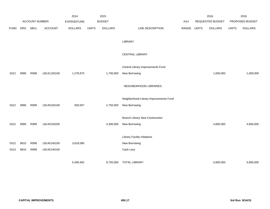|             |      |                |                | 2014               |              | 2015           |                                        |             | 2016             |              | 2016            |
|-------------|------|----------------|----------------|--------------------|--------------|----------------|----------------------------------------|-------------|------------------|--------------|-----------------|
|             |      | ACCOUNT NUMBER |                | <b>EXPENDITURE</b> |              | <b>BUDGET</b>  |                                        | PAY         | REQUESTED BUDGET |              | PROPOSED BUDGET |
| <b>FUND</b> | ORG  | SBCL           | <b>ACCOUNT</b> | <b>DOLLARS</b>     | <b>UNITS</b> | <b>DOLLARS</b> | LINE DESCRIPTION                       | RANGE UNITS | <b>DOLLARS</b>   | <b>UNITS</b> | <b>DOLLARS</b>  |
|             |      |                |                |                    |              |                |                                        |             |                  |              |                 |
|             |      |                |                |                    |              |                | LIBRARY                                |             |                  |              |                 |
|             |      |                |                |                    |              |                |                                        |             |                  |              |                 |
|             |      |                |                |                    |              |                | <b>CENTRAL LIBRARY</b>                 |             |                  |              |                 |
|             |      |                |                |                    |              |                | Central Library Improvements Fund      |             |                  |              |                 |
| 0312        | 9990 | R999           | LB141150100    | 1,278,875          |              | 1,700,000      | New Borrowing                          |             | 1,000,000        |              | 1,000,000       |
|             |      |                |                |                    |              |                |                                        |             |                  |              |                 |
|             |      |                |                |                    |              |                | NEIGHBORHOOD LIBRARIES                 |             |                  |              |                 |
|             |      |                |                |                    |              |                |                                        |             |                  |              |                 |
|             |      |                |                |                    |              |                | Neighborhood Library Improvements Fund |             |                  |              |                 |
| 0312        | 9990 | R999           | LB145150100    | 593,507            |              | 2,750,000      | New Borrowing                          |             |                  |              |                 |
|             |      |                |                |                    |              |                |                                        |             |                  |              |                 |
|             |      |                |                |                    |              |                | <b>Branch Library New Construction</b> |             |                  |              |                 |
| 0312        | 9990 | R999           | LB145150200    |                    |              | 4,300,000      | New Borrowing                          |             | 4,800,000        |              | 4,800,000       |
|             |      |                |                |                    |              |                |                                        |             |                  |              |                 |
|             |      |                |                |                    |              |                | <b>Library Facility Initiatives</b>    |             |                  |              |                 |
| 0312        | 8610 | R999           | LB145140100    | 3,618,080          |              |                | New Borrowing                          |             |                  |              |                 |
| 0313        | 8610 | R999           | LB145140100    |                    |              |                | Cash Levy                              |             |                  |              |                 |
|             |      |                |                |                    |              |                |                                        |             |                  |              |                 |
|             |      |                |                | 5,490,462          |              | 8,750,000      | <b>TOTAL LIBRARY</b>                   |             | 5,800,000        |              | 5,800,000       |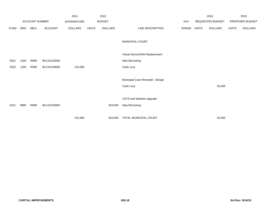|             |            |                       |                | 2014               |              | 2015           |                                  |       |              | 2016             |              | 2016            |
|-------------|------------|-----------------------|----------------|--------------------|--------------|----------------|----------------------------------|-------|--------------|------------------|--------------|-----------------|
|             |            | <b>ACCOUNT NUMBER</b> |                | <b>EXPENDITURE</b> |              | <b>BUDGET</b>  |                                  | PAY   |              | REQUESTED BUDGET |              | PROPOSED BUDGET |
| <b>FUND</b> | <b>ORG</b> | SBCL                  | <b>ACCOUNT</b> | <b>DOLLARS</b>     | <b>UNITS</b> | <b>DOLLARS</b> | LINE DESCRIPTION                 | RANGE | <b>UNITS</b> | DOLLARS          | <b>UNITS</b> | <b>DOLLARS</b>  |
|             |            |                       |                |                    |              |                |                                  |       |              |                  |              |                 |
|             |            |                       |                |                    |              |                | MUNICIPAL COURT                  |       |              |                  |              |                 |
|             |            |                       |                |                    |              |                |                                  |       |              |                  |              |                 |
|             |            |                       |                |                    |              |                | Virtual Server/SAN Replacement   |       |              |                  |              |                 |
| 0321        | 1320       | R999                  | BU110120000    |                    |              |                | New Borrowing                    |       |              |                  |              |                 |
| 0322        | 1320       | R999                  | BU110140600    | 132,066            |              |                | Cash Levy                        |       |              |                  |              |                 |
|             |            |                       |                |                    |              |                |                                  |       |              |                  |              |                 |
|             |            |                       |                |                    |              |                | Municipal Court Remodel - Design |       |              |                  |              |                 |
|             |            |                       |                |                    |              |                | Cash Levy                        |       |              | 55,000           |              |                 |
|             |            |                       |                |                    |              |                |                                  |       |              |                  |              |                 |
|             |            |                       |                |                    |              |                | CATS and Website Upgrade         |       |              |                  |              |                 |
| 0321        | 9990       | R999                  | BU110150800    |                    |              | 504,000        | New Borrowing                    |       |              |                  |              |                 |
|             |            |                       |                | 132,066            |              | 504,000        | TOTAL MUNICIPAL COURT            |       |              | 55,000           |              |                 |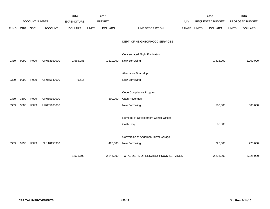|             |      | ACCOUNT NUMBER |                | 2014               |              | 2015<br><b>BUDGET</b> |                                       |       |              | 2016<br>REQUESTED BUDGET |              | 2016<br>PROPOSED BUDGET |
|-------------|------|----------------|----------------|--------------------|--------------|-----------------------|---------------------------------------|-------|--------------|--------------------------|--------------|-------------------------|
|             |      |                |                | <b>EXPENDITURE</b> |              |                       |                                       | PAY   |              |                          |              |                         |
| <b>FUND</b> | ORG  | SBCL           | <b>ACCOUNT</b> | <b>DOLLARS</b>     | <b>UNITS</b> | <b>DOLLARS</b>        | LINE DESCRIPTION                      | RANGE | <b>UNITS</b> | <b>DOLLARS</b>           | <b>UNITS</b> | <b>DOLLARS</b>          |
|             |      |                |                |                    |              |                       | DEPT. OF NEIGHBORHOOD SERVICES        |       |              |                          |              |                         |
|             |      |                |                |                    |              |                       | Concentrated Blight Elimination       |       |              |                          |              |                         |
| 0339        | 9990 | R999           | UR053150000    | 1,565,085          |              | 1,319,000             | New Borrowing                         |       |              | 1,415,000                |              | 2,200,000               |
|             |      |                |                |                    |              |                       |                                       |       |              |                          |              |                         |
|             |      |                |                |                    |              |                       | Alternative Board-Up                  |       |              |                          |              |                         |
| 0339        | 9990 | R999           | UR055140000    | 6,615              |              |                       | New Borrowing                         |       |              |                          |              |                         |
|             |      |                |                |                    |              |                       |                                       |       |              |                          |              |                         |
|             |      |                |                |                    |              |                       | Code Compliance Program               |       |              |                          |              |                         |
| 0339        | 3600 | R999           | UR055150000    |                    |              | 500,000               | <b>Cash Revenues</b>                  |       |              |                          |              |                         |
| 0339        | 3600 | R999           | UR055160000    |                    |              |                       | New Borrowing                         |       |              | 500,000                  |              | 500,000                 |
|             |      |                |                |                    |              |                       |                                       |       |              |                          |              |                         |
|             |      |                |                |                    |              |                       | Remodel of Development Center Offices |       |              |                          |              |                         |
|             |      |                |                |                    |              |                       | Cash Levy                             |       |              | 86,000                   |              |                         |
|             |      |                |                |                    |              |                       |                                       |       |              |                          |              |                         |
|             |      |                |                |                    |              |                       | Conversion of Anderson Tower Garage   |       |              |                          |              |                         |
| 0339        | 9990 | R999           | BU110150900    |                    |              | 425,000               | New Borrowing                         |       |              | 225,000                  |              | 225,000                 |
|             |      |                |                |                    |              |                       |                                       |       |              |                          |              |                         |
|             |      |                |                | 1,571,700          |              | 2,244,000             | TOTAL DEPT. OF NEIGHBORHOOD SERVICES  |       |              | 2,226,000                |              | 2,925,000               |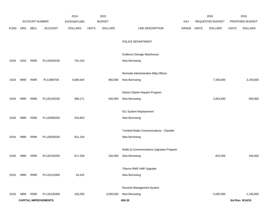|             |      |                |                             | 2014               |              | 2015           |                                         |       |              | 2016             |              | 2016            |
|-------------|------|----------------|-----------------------------|--------------------|--------------|----------------|-----------------------------------------|-------|--------------|------------------|--------------|-----------------|
|             |      | ACCOUNT NUMBER |                             | <b>EXPENDITURE</b> |              | <b>BUDGET</b>  |                                         | PAY   |              | REQUESTED BUDGET |              | PROPOSED BUDGET |
| <b>FUND</b> | ORG  | SBCL           | <b>ACCOUNT</b>              | <b>DOLLARS</b>     | <b>UNITS</b> | <b>DOLLARS</b> | LINE DESCRIPTION                        | RANGE | <b>UNITS</b> | <b>DOLLARS</b>   | <b>UNITS</b> | <b>DOLLARS</b>  |
|             |      |                |                             |                    |              |                | POLICE DEPARTMENT                       |       |              |                  |              |                 |
|             |      |                |                             |                    |              |                | Evidence Storage Warehouse              |       |              |                  |              |                 |
| 0318        | 3310 | R999           | PL120040100                 | 751,153            |              |                | New Borrowing                           |       |              |                  |              |                 |
|             |      |                |                             |                    |              |                | Remodel Administration Bldg Offices     |       |              |                  |              |                 |
| 0318        | 9990 | R999           | PL12080700                  | 5,684,644          |              | 860,000        | New Borrowing                           |       |              | 7,340,000        |              | 2,100,000       |
|             |      |                |                             |                    |              |                | <b>District Station Repairs Program</b> |       |              |                  |              |                 |
| 0318        | 9990 | R999           | PL120130100                 | 586,171            |              | 540,000        | New Borrowing                           |       |              | 2,054,000        |              | 500,000         |
|             |      |                |                             |                    |              |                | 911 System Replacement                  |       |              |                  |              |                 |
| 0318        | 9990 | R999           | PL120090200                 | 253,803            |              |                | New Borrowing                           |       |              |                  |              |                 |
|             |      |                |                             |                    |              |                | Trunked Radio Communications - Citywide |       |              |                  |              |                 |
| 0318        | 9990 | R999           | PL120030100                 | 821,104            |              |                | New Borrowing                           |       |              |                  |              |                 |
|             |      |                |                             |                    |              |                |                                         |       |              |                  |              |                 |
|             |      |                |                             |                    |              |                | Radio & Communications Upgrades Program |       |              |                  |              |                 |
| 0318        | 9990 | R999           | PL120130200                 | 617,209            |              | 200,000        | New Borrowing                           |       |              | 815,000          |              | 440,000         |
|             |      |                |                             |                    |              |                | Tiburon RMS VMP Upgrade                 |       |              |                  |              |                 |
| 0318        | 9990 | R999           | PL120110300                 | 54,432             |              |                | New Borrowing                           |       |              |                  |              |                 |
|             |      |                |                             |                    |              |                | Records Management System               |       |              |                  |              |                 |
| 0318        | 9990 | R999           | PL120130300                 | 236,205            |              | 2,000,000      | New Borrowing                           |       |              | 5,000,000        |              | 1,100,000       |
|             |      |                | <b>CAPITAL IMPROVEMENTS</b> |                    |              |                | 450.20                                  |       |              |                  |              | 3rd Run 9/14/15 |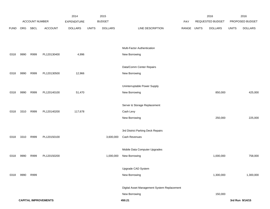|             |      |                |                             | 2014               |              | 2015           |                                             |       |              | 2016             |              | 2016            |
|-------------|------|----------------|-----------------------------|--------------------|--------------|----------------|---------------------------------------------|-------|--------------|------------------|--------------|-----------------|
|             |      | ACCOUNT NUMBER |                             | <b>EXPENDITURE</b> |              | <b>BUDGET</b>  |                                             | PAY   |              | REQUESTED BUDGET |              | PROPOSED BUDGET |
| <b>FUND</b> | ORG  | SBCL           | ACCOUNT                     | <b>DOLLARS</b>     | <b>UNITS</b> | <b>DOLLARS</b> | LINE DESCRIPTION                            | RANGE | <b>UNITS</b> | <b>DOLLARS</b>   | <b>UNITS</b> | <b>DOLLARS</b>  |
|             |      |                |                             |                    |              |                |                                             |       |              |                  |              |                 |
|             |      |                |                             |                    |              |                |                                             |       |              |                  |              |                 |
|             |      |                |                             |                    |              |                | Multi-Factor Authentication                 |       |              |                  |              |                 |
| 0318        | 9990 | R999           | PL120130400                 | 4,996              |              |                | New Borrowing                               |       |              |                  |              |                 |
|             |      |                |                             |                    |              |                | Data/Comm Center Repairs                    |       |              |                  |              |                 |
|             |      |                |                             |                    |              |                |                                             |       |              |                  |              |                 |
| 0318        | 9990 | R999           | PL120130500                 | 12,966             |              |                | New Borrowing                               |       |              |                  |              |                 |
|             |      |                |                             |                    |              |                | Uninterruptable Power Supply                |       |              |                  |              |                 |
| 0318        | 9990 | R999           | PL120140100                 | 51,470             |              |                | New Borrowing                               |       |              | 850,000          |              | 425,000         |
|             |      |                |                             |                    |              |                |                                             |       |              |                  |              |                 |
|             |      |                |                             |                    |              |                | Server & Storage Replacement                |       |              |                  |              |                 |
| 0318        | 3310 | R999           | PL120140200                 | 117,678            |              |                | Cash Levy                                   |       |              |                  |              |                 |
|             |      |                |                             |                    |              |                | New Borrowing                               |       |              | 250,000          |              | 225,000         |
|             |      |                |                             |                    |              |                |                                             |       |              |                  |              |                 |
|             |      |                |                             |                    |              |                | 3rd District Parking Deck Repairs           |       |              |                  |              |                 |
| 0318        | 3310 | R999           | PL120150100                 |                    |              | 3,600,000      | Cash Revenues                               |       |              |                  |              |                 |
|             |      |                |                             |                    |              |                |                                             |       |              |                  |              |                 |
|             |      |                |                             |                    |              |                | Mobile Data Computer Upgrades               |       |              |                  |              |                 |
| 0318        | 9990 | R999           | PL120150200                 |                    |              | 1,000,000      | New Borrowing                               |       |              | 1,000,000        |              | 758,000         |
|             |      |                |                             |                    |              |                | Upgrade CAD System                          |       |              |                  |              |                 |
|             |      | R999           |                             |                    |              |                | New Borrowing                               |       |              |                  |              | 1,300,000       |
| 0318        | 9990 |                |                             |                    |              |                |                                             |       |              | 1,300,000        |              |                 |
|             |      |                |                             |                    |              |                | Digital Asset Management System Replacement |       |              |                  |              |                 |
|             |      |                |                             |                    |              |                | New Borrowing                               |       |              | 150,000          |              |                 |
|             |      |                | <b>CAPITAL IMPROVEMENTS</b> |                    |              |                | 450.21                                      |       |              |                  |              | 3rd Run 9/14/15 |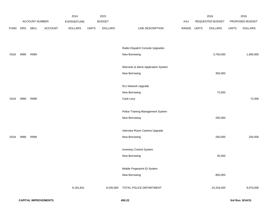|             |      |                |                | 2014               |              | 2015           |                                      |             | 2016             |              | 2016            |
|-------------|------|----------------|----------------|--------------------|--------------|----------------|--------------------------------------|-------------|------------------|--------------|-----------------|
|             |      | ACCOUNT NUMBER |                | <b>EXPENDITURE</b> |              | <b>BUDGET</b>  |                                      | PAY         | REQUESTED BUDGET |              | PROPOSED BUDGET |
| <b>FUND</b> | ORG  | SBCL           | <b>ACCOUNT</b> | <b>DOLLARS</b>     | <b>UNITS</b> | <b>DOLLARS</b> | LINE DESCRIPTION                     | RANGE UNITS | <b>DOLLARS</b>   | <b>UNITS</b> | <b>DOLLARS</b>  |
|             |      |                |                |                    |              |                |                                      |             |                  |              |                 |
|             |      |                |                |                    |              |                |                                      |             |                  |              |                 |
|             |      |                |                |                    |              |                | Radio Dispatch Console Upgrades      |             |                  |              |                 |
| 0318        | 9990 | R999           |                |                    |              |                | New Borrowing                        |             | 3,750,000        |              | 1,900,000       |
|             |      |                |                |                    |              |                |                                      |             |                  |              |                 |
|             |      |                |                |                    |              |                | Warrants & Alerts Application System |             |                  |              |                 |
|             |      |                |                |                    |              |                | New Borrowing                        |             | 350,000          |              |                 |
|             |      |                |                |                    |              |                |                                      |             |                  |              |                 |
|             |      |                |                |                    |              |                | 911 Network Upgrade                  |             |                  |              |                 |
|             |      |                |                |                    |              |                | New Borrowing                        |             | 72,000           |              |                 |
| 0318        | 9990 | R999           |                |                    |              |                | Cash Levy                            |             |                  |              | 72,000          |
|             |      |                |                |                    |              |                |                                      |             |                  |              |                 |
|             |      |                |                |                    |              |                | Police Training Management System    |             |                  |              |                 |
|             |      |                |                |                    |              |                | New Borrowing                        |             | 250,000          |              |                 |
|             |      |                |                |                    |              |                |                                      |             |                  |              |                 |
|             |      |                |                |                    |              |                | Interview Room Camera Upgrade        |             |                  |              |                 |
| 0318        | 9990 | R999           |                |                    |              |                | New Borrowing                        |             | 250,000          |              | 250,000         |
|             |      |                |                |                    |              |                | <b>Inventory Control System</b>      |             |                  |              |                 |
|             |      |                |                |                    |              |                | New Borrowing                        |             | 35,000           |              |                 |
|             |      |                |                |                    |              |                |                                      |             |                  |              |                 |
|             |      |                |                |                    |              |                | Mobile Fingerprint ID System         |             |                  |              |                 |
|             |      |                |                |                    |              |                | New Borrowing                        |             | 850,000          |              |                 |
|             |      |                |                |                    |              |                |                                      |             |                  |              |                 |
|             |      |                |                | 9,191,831          |              | 8,200,000      | TOTAL POLICE DEPARTMENT              |             | 24,316,000       |              | 9,070,000       |
|             |      |                |                |                    |              |                |                                      |             |                  |              |                 |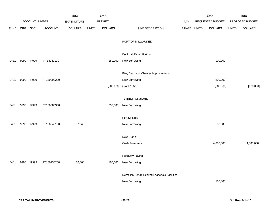|             |      |                       |                | 2014               |              | 2015           |                                             |            |              | 2016                    |              | 2016            |
|-------------|------|-----------------------|----------------|--------------------|--------------|----------------|---------------------------------------------|------------|--------------|-------------------------|--------------|-----------------|
|             |      | <b>ACCOUNT NUMBER</b> |                | <b>EXPENDITURE</b> |              | <b>BUDGET</b>  |                                             | <b>PAY</b> |              | <b>REQUESTED BUDGET</b> |              | PROPOSED BUDGET |
| <b>FUND</b> | ORG  | SBCL                  | <b>ACCOUNT</b> | <b>DOLLARS</b>     | <b>UNITS</b> | <b>DOLLARS</b> | LINE DESCRIPTION                            | RANGE      | <b>UNITS</b> | <b>DOLLARS</b>          | <b>UNITS</b> | <b>DOLLARS</b>  |
|             |      |                       |                |                    |              |                | PORT OF MILWAUKEE                           |            |              |                         |              |                 |
|             |      |                       |                |                    |              |                | Dockwall Rehabilitation                     |            |              |                         |              |                 |
| 0481        | 9990 | R999                  | PT18080110     |                    |              | 150,000        | New Borrowing                               |            |              | 100,000                 |              |                 |
|             |      |                       |                |                    |              |                | Pier, Berth and Channel Improvements        |            |              |                         |              |                 |
| 0481        | 9990 | R999                  | PT180000200    |                    |              |                | New Borrowing                               |            |              | 200,000                 |              |                 |
|             |      |                       |                |                    |              |                | [800,000] Grant & Aid                       |            |              | [800,000]               |              | [800,000]       |
|             |      |                       |                |                    |              |                | <b>Terminal Resurfacing</b>                 |            |              |                         |              |                 |
| 0481        | 9990 | R999                  | PT180080300    |                    |              | 250,000        | New Borrowing                               |            |              |                         |              |                 |
|             |      |                       |                |                    |              |                | Port Security                               |            |              |                         |              |                 |
| 0481        | 9990 | R999                  | PT180040100    | 7,346              |              |                | New Borrowing                               |            |              | 50,000                  |              |                 |
|             |      |                       |                |                    |              |                | New Crane                                   |            |              |                         |              |                 |
|             |      |                       |                |                    |              |                | Cash Revenues                               |            |              | 4,000,000               |              | 4,000,000       |
|             |      |                       |                |                    |              |                | Roadway Paving                              |            |              |                         |              |                 |
| 0481        | 9990 | R999                  | PT180130200    | 10,008             |              | 100,000        | New Borrowing                               |            |              |                         |              |                 |
|             |      |                       |                |                    |              |                | Demolish/Rehab Expired Leasehold Facilities |            |              |                         |              |                 |
|             |      |                       |                |                    |              |                | New Borrowing                               |            |              | 100,000                 |              |                 |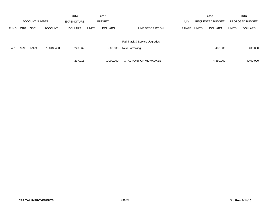|             |            |                       |                | 2014               |              | 2015           |                               |            |              | 2016                    |              | 2016                   |
|-------------|------------|-----------------------|----------------|--------------------|--------------|----------------|-------------------------------|------------|--------------|-------------------------|--------------|------------------------|
|             |            | <b>ACCOUNT NUMBER</b> |                | <b>EXPENDITURE</b> |              | <b>BUDGET</b>  |                               | <b>PAY</b> |              | <b>REQUESTED BUDGET</b> |              | <b>PROPOSED BUDGET</b> |
| <b>FUND</b> | <b>ORG</b> | <b>SBCL</b>           | <b>ACCOUNT</b> | <b>DOLLARS</b>     | <b>UNITS</b> | <b>DOLLARS</b> | LINE DESCRIPTION              | RANGE      | <b>UNITS</b> | <b>DOLLARS</b>          | <b>UNITS</b> | <b>DOLLARS</b>         |
|             |            |                       |                |                    |              |                | Rail Track & Service Upgrades |            |              |                         |              |                        |
| 0481        | 9990       | R999                  | PT180130400    | 220,562            |              | 500,000        | New Borrowing                 |            |              | 400,000                 |              | 400,000                |
|             |            |                       |                | 237,916            |              | 1,000,000      | TOTAL PORT OF MILWAUKEE       |            |              | 4,850,000               |              | 4,400,000              |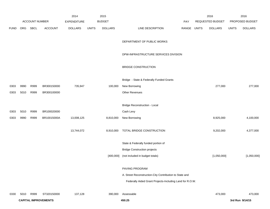|             |                       |             |                             | 2014           |               | 2015           |                                                          |       | 2016             |                | 2016            |                 |
|-------------|-----------------------|-------------|-----------------------------|----------------|---------------|----------------|----------------------------------------------------------|-------|------------------|----------------|-----------------|-----------------|
|             | <b>ACCOUNT NUMBER</b> |             | <b>EXPENDITURE</b>          |                | <b>BUDGET</b> |                | PAY                                                      |       | REQUESTED BUDGET |                | PROPOSED BUDGET |                 |
| <b>FUND</b> | ORG                   | <b>SBCL</b> | <b>ACCOUNT</b>              | <b>DOLLARS</b> | <b>UNITS</b>  | <b>DOLLARS</b> | LINE DESCRIPTION                                         | RANGE | <b>UNITS</b>     | <b>DOLLARS</b> | <b>UNITS</b>    | <b>DOLLARS</b>  |
|             |                       |             |                             |                |               |                | DEPARTMENT OF PUBLIC WORKS                               |       |                  |                |                 |                 |
|             |                       |             |                             |                |               |                | DPW-INFRASTRUCTURE SERVICES DIVISION                     |       |                  |                |                 |                 |
|             |                       |             |                             |                |               |                | <b>BRIDGE CONSTRUCTION</b>                               |       |                  |                |                 |                 |
|             |                       |             |                             |                |               |                | Bridge - State & Federally Funded Grants                 |       |                  |                |                 |                 |
| 0303        | 9990                  | R999        | BR300150000                 | 735,947        |               | 100,000        | New Borrowing                                            |       |                  | 277,000        |                 | 277,000         |
| 0303        | 5010                  | R999        | BR300100000                 |                |               |                | Other Revenues                                           |       |                  |                |                 |                 |
|             |                       |             |                             |                |               |                | <b>Bridge Reconstruction - Local</b>                     |       |                  |                |                 |                 |
| 0303        | 5010                  | R999        | BR100020000                 |                |               |                | Cash Levy                                                |       |                  |                |                 |                 |
| 0303        | 9990                  | R999        | BR10015000A                 | 13,008,125     |               | 8,810,000      | New Borrowing                                            |       |                  | 8,925,000      |                 | 4,100,000       |
|             |                       |             |                             | 13,744,072     |               | 8,910,000      | TOTAL BRIDGE CONSTRUCTION                                |       |                  | 9,202,000      |                 | 4,377,000       |
|             |                       |             |                             |                |               |                | State & Federally funded portion of                      |       |                  |                |                 |                 |
|             |                       |             |                             |                |               |                | <b>Bridge Construction projects</b>                      |       |                  |                |                 |                 |
|             |                       |             |                             |                |               | [400,000]      | (not included in budget totals)                          |       |                  | [1,050,000]    |                 | [1,050,000]     |
|             |                       |             |                             |                |               |                | PAVING PROGRAM                                           |       |                  |                |                 |                 |
|             |                       |             |                             |                |               |                | A. Street Reconstruction-City Contribution to State and  |       |                  |                |                 |                 |
|             |                       |             |                             |                |               |                | Federally Aided Grant Projects-Including Land for R.O.W. |       |                  |                |                 |                 |
| 0330        | 5010                  | R999        | ST320150000                 | 137,128        |               | 390,000        | Assessable                                               |       |                  | 473,000        |                 | 473,000         |
|             |                       |             | <b>CAPITAL IMPROVEMENTS</b> |                |               |                | 450.25                                                   |       |                  |                |                 | 3rd Run 9/14/15 |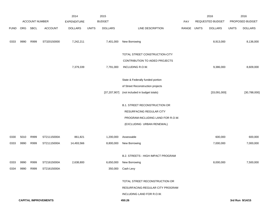|                             |                |             | 2014               |                | 2015          |                |                                           | 2016<br>REQUESTED BUDGET |              | 2016<br>PROPOSED BUDGET |              |                 |
|-----------------------------|----------------|-------------|--------------------|----------------|---------------|----------------|-------------------------------------------|--------------------------|--------------|-------------------------|--------------|-----------------|
|                             | ACCOUNT NUMBER |             | <b>EXPENDITURE</b> |                | <b>BUDGET</b> |                | <b>PAY</b>                                |                          |              |                         |              |                 |
| <b>FUND</b>                 | ORG            | <b>SBCL</b> | <b>ACCOUNT</b>     | <b>DOLLARS</b> | <b>UNITS</b>  | <b>DOLLARS</b> | LINE DESCRIPTION                          | RANGE                    | <b>UNITS</b> | <b>DOLLARS</b>          | <b>UNITS</b> | <b>DOLLARS</b>  |
| 0333                        | 9990           | R999        | ST320150000        | 7,242,211      |               | 7,401,000      | New Borrowing                             |                          |              | 8,913,000               |              | 8,136,000       |
|                             |                |             |                    |                |               |                | TOTAL STREET CONSTRUCTION-CITY            |                          |              |                         |              |                 |
|                             |                |             |                    |                |               |                | <b>CONTRIBUTION TO AIDED PROJECTS</b>     |                          |              |                         |              |                 |
|                             |                |             |                    | 7,379,339      |               | 7,791,000      | INCLUDING R.O.W.                          |                          |              | 9,386,000               |              | 8,609,000       |
|                             |                |             |                    |                |               |                | State & Federally funded portion          |                          |              |                         |              |                 |
|                             |                |             |                    |                |               |                | of Street Reconstruction projects         |                          |              |                         |              |                 |
|                             |                |             |                    |                |               | [37, 207, 907] | (not included in budget totals)           |                          |              | [33,091,000]            |              | [30,788,000]    |
|                             |                |             |                    |                |               |                | <b>B.1. STREET RECONSTRUCTION OR</b>      |                          |              |                         |              |                 |
|                             |                |             |                    |                |               |                | RESURFACING REGULAR CITY                  |                          |              |                         |              |                 |
|                             |                |             |                    |                |               |                | PROGRAM-INCLUDING LAND FOR R.O.W.         |                          |              |                         |              |                 |
|                             |                |             |                    |                |               |                | (EXCLUDING URBAN RENEWAL)                 |                          |              |                         |              |                 |
| 0330                        | 5010           | R999        | ST21115000A        | 861,821        |               | 1,200,000      | Assessable                                |                          |              | 600,000                 |              | 600,000         |
| 0333                        | 9990           | R999        | ST21115000A        | 14,493,566     |               | 8,800,000      | New Borrowing                             |                          |              | 7,000,000               |              | 7,000,000       |
|                             |                |             |                    |                |               |                | <b>B.2. STREETS - HIGH IMPACT PROGRAM</b> |                          |              |                         |              |                 |
| 0333                        | 9990           | R999        | ST21615000A        | 2,638,800      |               | 6,650,000      | New Borrowing                             |                          |              | 8,000,000               |              | 7,500,000       |
| 0334                        | 9990           | R999        | ST21615000A        |                |               | 350,000        | Cash Levy                                 |                          |              |                         |              |                 |
|                             |                |             |                    |                |               |                | TOTAL STREET RECONSTRUCTION OR            |                          |              |                         |              |                 |
|                             |                |             |                    |                |               |                | RESURFACING-REGULAR CITY PROGRAM          |                          |              |                         |              |                 |
|                             |                |             |                    |                |               |                | INCLUDING LAND FOR R.O.W.                 |                          |              |                         |              |                 |
| <b>CAPITAL IMPROVEMENTS</b> |                |             |                    |                |               |                | 450.26                                    |                          |              |                         |              | 3rd Run 9/14/15 |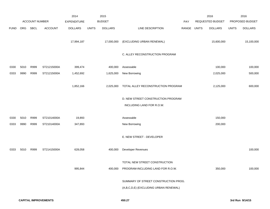|             |                       |      |                    | 2014           |               | 2015           |                                                                               |       |                  | 2016           |                 | 2016           |
|-------------|-----------------------|------|--------------------|----------------|---------------|----------------|-------------------------------------------------------------------------------|-------|------------------|----------------|-----------------|----------------|
|             | <b>ACCOUNT NUMBER</b> |      | <b>EXPENDITURE</b> |                | <b>BUDGET</b> |                | PAY                                                                           |       | REQUESTED BUDGET |                | PROPOSED BUDGET |                |
| <b>FUND</b> | ORG                   | SBCL | <b>ACCOUNT</b>     | <b>DOLLARS</b> | <b>UNITS</b>  | <b>DOLLARS</b> | LINE DESCRIPTION                                                              | RANGE | <b>UNITS</b>     | <b>DOLLARS</b> | <b>UNITS</b>    | <b>DOLLARS</b> |
|             |                       |      |                    | 17,994,187     |               | 17,000,000     | (EXCLUDING URBAN RENEWAL)                                                     |       |                  | 15,600,000     |                 | 15,100,000     |
|             |                       |      |                    |                |               |                | C. ALLEY RECONSTRUCTION PROGRAM                                               |       |                  |                |                 |                |
| 0330        | 5010                  | R999 | ST21215000A        | 399,474        |               | 400,000        | Assessable                                                                    |       |                  | 100,000        |                 | 100,000        |
| 0333        | 9990                  | R999 | ST21215000A        | 1,452,692      |               | 1,625,000      | New Borrowing                                                                 |       |                  | 2,025,000      |                 | 500,000        |
|             |                       |      |                    | 1,852,166      |               | 2,025,000      | TOTAL ALLEY RECONSTRUCTION PROGRAM                                            |       |                  | 2,125,000      |                 | 600,000        |
|             |                       |      |                    |                |               |                | D. NEW STREET CONSTRUCTION PROGRAM                                            |       |                  |                |                 |                |
|             |                       |      |                    |                |               |                | INCLUDING LAND FOR R.O.W.                                                     |       |                  |                |                 |                |
|             |                       |      |                    |                |               |                |                                                                               |       |                  |                |                 |                |
| 0330        | 5010                  | R999 | ST21014000A        | 19,893         |               |                | Assessable                                                                    |       |                  | 150,000        |                 |                |
| 0333        | 9990                  | R999 | ST21014000A        | 347,893        |               |                | New Borrowing                                                                 |       |                  | 200,000        |                 |                |
|             |                       |      |                    |                |               |                | E. NEW STREET - DEVELOPER                                                     |       |                  |                |                 |                |
| 0333        | 5010                  | R999 | ST21415000A        | 628,058        |               | 400,000        | Developer Revenues                                                            |       |                  |                |                 | 100,000        |
|             |                       |      |                    |                |               |                | TOTAL NEW STREET CONSTRUCTION                                                 |       |                  |                |                 |                |
|             |                       |      |                    | 995,844        |               | 400,000        | PROGRAM-INCLUDING LAND FOR R.O.W.                                             |       |                  | 350,000        |                 | 100,000        |
|             |                       |      |                    |                |               |                | SUMMARY OF STREET CONSTRUCTION PROG.<br>(A,B,C,D,E) (EXCLUDING URBAN RENEWAL) |       |                  |                |                 |                |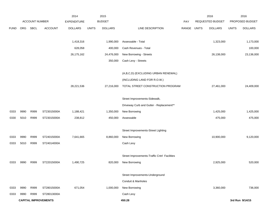|             |      |                       |                             | 2014               |              | 2015           |                                              |       |              | 2016                    |              | 2016            |
|-------------|------|-----------------------|-----------------------------|--------------------|--------------|----------------|----------------------------------------------|-------|--------------|-------------------------|--------------|-----------------|
|             |      | <b>ACCOUNT NUMBER</b> |                             | <b>EXPENDITURE</b> |              | <b>BUDGET</b>  |                                              | PAY   |              | <b>REQUESTED BUDGET</b> |              | PROPOSED BUDGET |
| <b>FUND</b> | ORG  | <b>SBCL</b>           | <b>ACCOUNT</b>              | <b>DOLLARS</b>     | <b>UNITS</b> | <b>DOLLARS</b> | LINE DESCRIPTION                             | RANGE | <b>UNITS</b> | <b>DOLLARS</b>          | <b>UNITS</b> | <b>DOLLARS</b>  |
|             |      |                       |                             |                    |              |                |                                              |       |              |                         |              |                 |
|             |      |                       |                             | 1,418,316          |              | 1,990,000      | Assessable - Total                           |       |              | 1,323,000               |              | 1,173,000       |
|             |      |                       |                             | 628,058            |              | 400,000        | Cash Revenues - Total                        |       |              |                         |              | 100,000         |
|             |      |                       |                             | 26, 175, 162       |              | 24,476,000     | New Borrowing - Streets                      |       |              | 26,138,000              |              | 23,136,000      |
|             |      |                       |                             |                    |              | 350,000        | Cash Levy - Streets                          |       |              |                         |              |                 |
|             |      |                       |                             |                    |              |                |                                              |       |              |                         |              |                 |
|             |      |                       |                             |                    |              |                | (A,B,C,D) (EXCLUDING URBAN RENEWAL)          |       |              |                         |              |                 |
|             |      |                       |                             |                    |              |                | (INCLUDING LAND FOR R.O.W.)                  |       |              |                         |              |                 |
|             |      |                       |                             | 28,221,536         |              | 27,216,000     | TOTAL STREET CONSTRUCTION PROGRAM            |       |              | 27,461,000              |              | 24,409,000      |
|             |      |                       |                             |                    |              |                |                                              |       |              |                         |              |                 |
|             |      |                       |                             |                    |              |                | Street Improvements-Sidewalk,                |       |              |                         |              |                 |
|             |      |                       |                             |                    |              |                | Driveway Curb and Gutter - Replacement**     |       |              |                         |              |                 |
| 0333        | 9990 | R999                  | ST23015000A                 | 1,188,421          |              | 1,350,000      | New Borrowing                                |       |              | 1,425,000               |              | 1,425,000       |
| 0330        | 5010 | R999                  | ST23015000A                 | 238,812            |              | 450,000        | Assessable                                   |       |              | 475,000                 |              | 475,000         |
|             |      |                       |                             |                    |              |                |                                              |       |              |                         |              |                 |
|             |      |                       |                             |                    |              |                | Street Improvements-Street Lighting          |       |              |                         |              |                 |
| 0333        | 9990 | R999                  | ST24015000A                 | 7,641,665          |              | 8,860,000      | New Borrowing                                |       |              | 10,900,000              |              | 9,120,000       |
| 0333        | 5010 | R999                  | ST24014000A                 |                    |              |                | Cash Levy                                    |       |              |                         |              |                 |
|             |      |                       |                             |                    |              |                |                                              |       |              |                         |              |                 |
|             |      |                       |                             |                    |              |                | Street Improvements-Traffic Cntrl Facilities |       |              |                         |              |                 |
| 0333        | 9990 | R999                  | ST22015000A                 | 1,490,725          |              | 820,000        | New Borrowing                                |       |              | 2,925,000               |              | 520,000         |
|             |      |                       |                             |                    |              |                | Street Improvements-Underground              |       |              |                         |              |                 |
|             |      |                       |                             |                    |              |                | Conduit & Manholes                           |       |              |                         |              |                 |
| 0333        | 9990 | R999                  | ST28015000A                 | 671,054            |              | 1,000,000      | New Borrowing                                |       |              | 3,360,000               |              | 736,000         |
| 0333        | 9990 | R999                  | ST28013000A                 |                    |              |                | Cash Levy                                    |       |              |                         |              |                 |
|             |      |                       | <b>CAPITAL IMPROVEMENTS</b> |                    |              |                | 450.28                                       |       |              |                         |              | 3rd Run 9/14/15 |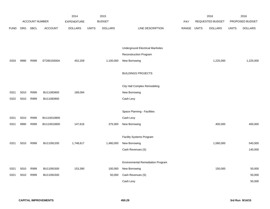|             |      |                |                | 2014           |              | 2015           |                                          |       |              | 2016             |              | 2016            |
|-------------|------|----------------|----------------|----------------|--------------|----------------|------------------------------------------|-------|--------------|------------------|--------------|-----------------|
|             |      | ACCOUNT NUMBER |                | EXPENDITURE    |              | <b>BUDGET</b>  |                                          | PAY   |              | REQUESTED BUDGET |              | PROPOSED BUDGET |
| <b>FUND</b> | ORG  | <b>SBCL</b>    | <b>ACCOUNT</b> | <b>DOLLARS</b> | <b>UNITS</b> | <b>DOLLARS</b> | LINE DESCRIPTION                         | RANGE | <b>UNITS</b> | <b>DOLLARS</b>   | <b>UNITS</b> | <b>DOLLARS</b>  |
|             |      |                |                |                |              |                |                                          |       |              |                  |              |                 |
|             |      |                |                |                |              |                |                                          |       |              |                  |              |                 |
|             |      |                |                |                |              |                | <b>Underground Electrical Manholes</b>   |       |              |                  |              |                 |
|             |      |                |                |                |              |                | <b>Reconstruction Program</b>            |       |              |                  |              |                 |
| 0333        | 9990 | R999           | ST28515000A    | 452,209        |              | 1,100,000      | New Borrowing                            |       |              | 1,225,000        |              | 1,225,000       |
|             |      |                |                |                |              |                |                                          |       |              |                  |              |                 |
|             |      |                |                |                |              |                | <b>BUILDINGS PROJECTS</b>                |       |              |                  |              |                 |
|             |      |                |                |                |              |                | City Hall Complex Remodeling             |       |              |                  |              |                 |
| 0321        | 5010 | R999           | BU11083900     | 189,094        |              |                | New Borrowing                            |       |              |                  |              |                 |
| 0322        | 5010 | R999           | BU11083900     |                |              |                | Cash Levy                                |       |              |                  |              |                 |
|             |      |                |                |                |              |                |                                          |       |              |                  |              |                 |
|             |      |                |                |                |              |                | Space Planning - Facilities              |       |              |                  |              |                 |
| 0321        | 5010 | R999           | BU110010800    |                |              |                | Cash Levy                                |       |              |                  |              |                 |
| 0321        | 9990 | R999           | BU110010800    | 147,616        |              | 375,000        | New Borrowing                            |       |              | 400,000          |              | 400,000         |
|             |      |                |                |                |              |                |                                          |       |              |                  |              |                 |
|             |      |                |                |                |              |                | Facility Systems Program                 |       |              |                  |              |                 |
| 0321        | 5010 | R999           | BU11091200     | 1,748,617      |              | 1,480,000      | New Borrowing                            |       |              | 1,580,000        |              | 540,000         |
|             |      |                |                |                |              |                | Cash Revenues (S)                        |       |              |                  |              | 140,000         |
|             |      |                |                |                |              |                |                                          |       |              |                  |              |                 |
|             |      |                |                |                |              |                | <b>Environmental Remediation Program</b> |       |              |                  |              |                 |
| 0321        | 5010 | R999           | BU11091500     | 153,390        |              | 100,000        | New Borrowing                            |       |              | 150,000          |              | 50,000          |
| 0321        | 5010 | R999           | BU11091500     |                |              | 50,000         | Cash Revenues (S)                        |       |              |                  |              | 50,000          |
|             |      |                |                |                |              |                | Cash Levy                                |       |              |                  |              | 50,000          |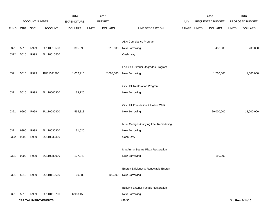|             |      |                |                             | 2014               |              | 2015           |                                             |       |              | 2016             |              | 2016            |
|-------------|------|----------------|-----------------------------|--------------------|--------------|----------------|---------------------------------------------|-------|--------------|------------------|--------------|-----------------|
|             |      | ACCOUNT NUMBER |                             | <b>EXPENDITURE</b> |              | <b>BUDGET</b>  |                                             | PAY   |              | REQUESTED BUDGET |              | PROPOSED BUDGET |
| <b>FUND</b> | ORG  | <b>SBCL</b>    | <b>ACCOUNT</b>              | <b>DOLLARS</b>     | <b>UNITS</b> | <b>DOLLARS</b> | LINE DESCRIPTION                            | RANGE | <b>UNITS</b> | <b>DOLLARS</b>   | <b>UNITS</b> | <b>DOLLARS</b>  |
|             |      |                |                             |                    |              |                |                                             |       |              |                  |              |                 |
|             |      |                |                             |                    |              |                | ADA Compliance Program                      |       |              |                  |              |                 |
| 0321        | 5010 | R999           | BU110010500                 | 305,696            |              | 215,000        | New Borrowing                               |       |              | 450,000          |              | 200,000         |
| 0322        | 5010 | R999           | BU110010500                 |                    |              |                | Cash Levy                                   |       |              |                  |              |                 |
|             |      |                |                             |                    |              |                |                                             |       |              |                  |              |                 |
|             |      |                |                             |                    |              |                | Facilities Exterior Upgrades Program        |       |              |                  |              |                 |
| 0321        | 5010 | R999           | BU11091300                  | 1,052,916          |              | 2,008,000      | New Borrowing                               |       |              | 1,700,000        |              | 1,000,000       |
|             |      |                |                             |                    |              |                |                                             |       |              |                  |              |                 |
|             |      |                |                             |                    |              |                | City Hall Restoration Program               |       |              |                  |              |                 |
| 0321        | 5010 | R999           | BU110000300                 | 83,720             |              |                | New Borrowing                               |       |              |                  |              |                 |
|             |      |                |                             |                    |              |                |                                             |       |              |                  |              |                 |
|             |      |                |                             |                    |              |                | City Hall Foundation & Hollow Walk          |       |              |                  |              |                 |
| 0321        | 9990 | R999           | BU110080800                 | 595,818            |              |                | New Borrowing                               |       |              | 20,000,000       |              | 13,000,000      |
|             |      |                |                             |                    |              |                |                                             |       |              |                  |              |                 |
|             |      |                |                             |                    |              |                | Muni Garages/Outlying Fac. Remodeling       |       |              |                  |              |                 |
| 0321        | 9990 | R999           | BU110030300                 | 81,020             |              |                | New Borrowing                               |       |              |                  |              |                 |
| 0322        | 9990 | R999           | BU110030300                 |                    |              |                | Cash Levy                                   |       |              |                  |              |                 |
|             |      |                |                             |                    |              |                |                                             |       |              |                  |              |                 |
|             |      |                |                             |                    |              |                | MacArthur Square Plaza Restoration          |       |              |                  |              |                 |
| 0321        | 9990 | R999           | BU110080900                 | 137,040            |              |                | New Borrowing                               |       |              | 150,000          |              |                 |
|             |      |                |                             |                    |              |                |                                             |       |              |                  |              |                 |
|             |      |                |                             |                    |              |                | Energy Efficiency & Renewable Energy        |       |              |                  |              |                 |
| 0321        | 5010 | R999           | BU110110600                 | 60,383             |              | 100,000        | New Borrowing                               |       |              |                  |              |                 |
|             |      |                |                             |                    |              |                | <b>Building Exterior Façade Restoration</b> |       |              |                  |              |                 |
| 0321        | 5010 | R999           | BU110110700                 | 6,983,453          |              |                | New Borrowing                               |       |              |                  |              |                 |
|             |      |                | <b>CAPITAL IMPROVEMENTS</b> |                    |              |                | 450.30                                      |       |              |                  |              | 3rd Run 9/14/15 |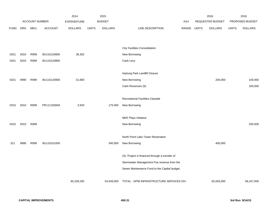|             |      |                |                | 2014               |              | 2015           |                                               |            |              | 2016             |              | 2016            |
|-------------|------|----------------|----------------|--------------------|--------------|----------------|-----------------------------------------------|------------|--------------|------------------|--------------|-----------------|
|             |      | ACCOUNT NUMBER |                | <b>EXPENDITURE</b> |              | <b>BUDGET</b>  |                                               | <b>PAY</b> |              | REQUESTED BUDGET |              | PROPOSED BUDGET |
| <b>FUND</b> | ORG  | <b>SBCL</b>    | <b>ACCOUNT</b> | <b>DOLLARS</b>     | <b>UNITS</b> | <b>DOLLARS</b> | LINE DESCRIPTION                              | RANGE      | <b>UNITS</b> | <b>DOLLARS</b>   | <b>UNITS</b> | <b>DOLLARS</b>  |
|             |      |                |                |                    |              |                |                                               |            |              |                  |              |                 |
|             |      |                |                |                    |              |                |                                               |            |              |                  |              |                 |
|             |      |                |                |                    |              |                | <b>City Facilities Consolidation</b>          |            |              |                  |              |                 |
| 0321        | 5010 | R999           | BU110120800    | 36,302             |              |                | New Borrowing                                 |            |              |                  |              |                 |
| 0321        | 5010 | R999           | BU110120800    |                    |              |                | Cash Levy                                     |            |              |                  |              |                 |
|             |      |                |                |                    |              |                |                                               |            |              |                  |              |                 |
|             |      |                |                |                    |              |                | Hartung Park Landfill Closure                 |            |              |                  |              |                 |
| 0321        | 9990 | R999           | BU110120900    | 31,800             |              |                | New Borrowing                                 |            |              | 200,000          |              | 100,000         |
|             |      |                |                |                    |              |                | Cash Revenues (S)                             |            |              |                  |              | 100,000         |
|             |      |                |                |                    |              |                |                                               |            |              |                  |              |                 |
|             |      |                |                |                    |              |                | Recreational Facilities Citywide              |            |              |                  |              |                 |
| 0315        | 5010 | R999           | PR11115000A    | 3,933              |              | 175,000        | New Borrowing                                 |            |              |                  |              |                 |
|             |      |                |                |                    |              |                |                                               |            |              |                  |              |                 |
|             |      |                |                |                    |              |                | MKE Plays Initiative                          |            |              |                  |              |                 |
| 0315        | 5010 | R999           |                |                    |              |                | New Borrowing                                 |            |              |                  |              | 250,000         |
|             |      |                |                |                    |              |                |                                               |            |              |                  |              |                 |
|             |      |                |                |                    |              |                | North Point Lake Tower Restoration            |            |              |                  |              |                 |
| 321         | 9990 | R999           | BU110151000    |                    |              | 340,000        | New Borrowing                                 |            |              | 400,000          |              |                 |
|             |      |                |                |                    |              |                |                                               |            |              |                  |              |                 |
|             |      |                |                |                    |              |                | (S) Project is financed through a transfer of |            |              |                  |              |                 |
|             |      |                |                |                    |              |                | Stormwater Management Fee revenue from the    |            |              |                  |              |                 |
|             |      |                |                |                    |              |                | Sewer Maintenance Fund to the Capital budget. |            |              |                  |              |                 |
|             |      |                |                |                    |              |                |                                               |            |              |                  |              |                 |
|             |      |                |                | 65,259,292         |              | 54,549,000     | TOTAL - DPW-INFRASTRUCTURE SERVICES DIV.      |            |              | 82,003,000       |              | 58,167,000      |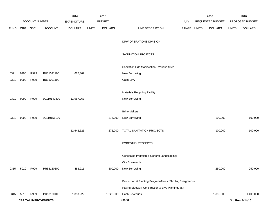|             |      |                |                             | 2014           |              | 2015           |                                                           |            |              | 2016             |              | 2016            |
|-------------|------|----------------|-----------------------------|----------------|--------------|----------------|-----------------------------------------------------------|------------|--------------|------------------|--------------|-----------------|
|             |      | ACCOUNT NUMBER |                             | EXPENDITURE    |              | <b>BUDGET</b>  |                                                           | <b>PAY</b> |              | REQUESTED BUDGET |              | PROPOSED BUDGET |
| <b>FUND</b> | ORG  | SBCL           | <b>ACCOUNT</b>              | <b>DOLLARS</b> | <b>UNITS</b> | <b>DOLLARS</b> | LINE DESCRIPTION                                          | RANGE      | <b>UNITS</b> | <b>DOLLARS</b>   | <b>UNITS</b> | <b>DOLLARS</b>  |
|             |      |                |                             |                |              |                |                                                           |            |              |                  |              |                 |
|             |      |                |                             |                |              |                | DPW-OPERATIONS DIVISION                                   |            |              |                  |              |                 |
|             |      |                |                             |                |              |                |                                                           |            |              |                  |              |                 |
|             |      |                |                             |                |              |                | SANITATION PROJECTS                                       |            |              |                  |              |                 |
|             |      |                |                             |                |              |                |                                                           |            |              |                  |              |                 |
|             |      |                |                             |                |              |                | Sanitation Hdq Modification - Various Sites               |            |              |                  |              |                 |
| 0321        | 9990 | R999           | BU11091100                  | 685,362        |              |                | New Borrowing                                             |            |              |                  |              |                 |
| 0321        | 9990 | R999           | BU11091100                  |                |              |                | Cash Levy                                                 |            |              |                  |              |                 |
|             |      |                |                             |                |              |                |                                                           |            |              |                  |              |                 |
|             |      |                |                             |                |              |                | <b>Materials Recycling Facility</b>                       |            |              |                  |              |                 |
| 0321        | 9990 | R999           | BU110140800                 | 11,957,263     |              |                | New Borrowing                                             |            |              |                  |              |                 |
|             |      |                |                             |                |              |                |                                                           |            |              |                  |              |                 |
|             |      |                |                             |                |              |                | <b>Brine Makers</b>                                       |            |              |                  |              |                 |
| 0321        | 9990 | R999           | BU110151100                 |                |              | 275,000        | New Borrowing                                             |            |              | 100,000          |              | 100,000         |
|             |      |                |                             | 12,642,625     |              | 275,000        | TOTAL-SANITATION PROJECTS                                 |            |              | 100,000          |              | 100,000         |
|             |      |                |                             |                |              |                |                                                           |            |              |                  |              |                 |
|             |      |                |                             |                |              |                | FORESTRY PROJECTS                                         |            |              |                  |              |                 |
|             |      |                |                             |                |              |                |                                                           |            |              |                  |              |                 |
|             |      |                |                             |                |              |                | Concealed Irrigation & General Landscaping/               |            |              |                  |              |                 |
|             |      |                |                             |                |              |                | <b>City Boulevards</b>                                    |            |              |                  |              |                 |
| 0315        | 5010 | R999           | PR58180300                  | 483,211        |              | 500,000        | New Borrowing                                             |            |              | 250,000          |              | 250,000         |
|             |      |                |                             |                |              |                |                                                           |            |              |                  |              |                 |
|             |      |                |                             |                |              |                | Production & Planting Program-Trees, Shrubs, Evergreens - |            |              |                  |              |                 |
|             |      |                |                             |                |              |                | Paving/Sidewalk Construction & Blvd Plantings (S)         |            |              |                  |              |                 |
| 0315        | 5010 | R999           | PR58180100                  | 1,353,222      |              | 1,220,000      | Cash Revenues                                             |            |              | 1,895,000        |              | 1,400,000       |
|             |      |                | <b>CAPITAL IMPROVEMENTS</b> |                |              |                | 450.32                                                    |            |              |                  |              | 3rd Run 9/14/15 |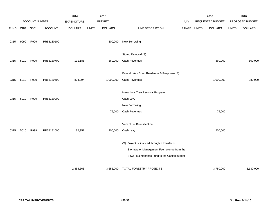|             |      |                |                | 2014               |              | 2015           |                                               |            |              | 2016             |              | 2016            |
|-------------|------|----------------|----------------|--------------------|--------------|----------------|-----------------------------------------------|------------|--------------|------------------|--------------|-----------------|
|             |      | ACCOUNT NUMBER |                | <b>EXPENDITURE</b> |              | <b>BUDGET</b>  |                                               | <b>PAY</b> |              | REQUESTED BUDGET |              | PROPOSED BUDGET |
| <b>FUND</b> | ORG  | SBCL           | <b>ACCOUNT</b> | <b>DOLLARS</b>     | <b>UNITS</b> | <b>DOLLARS</b> | LINE DESCRIPTION                              | RANGE      | <b>UNITS</b> | <b>DOLLARS</b>   | <b>UNITS</b> | <b>DOLLARS</b>  |
|             |      |                |                |                    |              |                |                                               |            |              |                  |              |                 |
| 0315        | 9990 | R999           | PR58180100     |                    |              | 300,000        | New Borrowing                                 |            |              |                  |              |                 |
|             |      |                |                |                    |              |                |                                               |            |              |                  |              |                 |
|             |      |                |                |                    |              |                | Stump Removal (S)                             |            |              |                  |              |                 |
| 0315        | 5010 | R999           | PR58180700     | 111,185            |              | 360,000        | Cash Revenues                                 |            |              | 360,000          |              | 500,000         |
|             |      |                |                |                    |              |                |                                               |            |              |                  |              |                 |
|             |      |                |                |                    |              |                | Emerald Ash Borer Readiness & Response (S)    |            |              |                  |              |                 |
| 0315        | 5010 | R999           | PR58180600     | 824,094            |              | 1,000,000      | Cash Revenues                                 |            |              | 1,000,000        |              | 980,000         |
|             |      |                |                |                    |              |                |                                               |            |              |                  |              |                 |
|             |      |                |                |                    |              |                | Hazardous Tree Removal Program                |            |              |                  |              |                 |
| 0315        | 5010 | R999           | PR58180900     |                    |              |                | Cash Levy                                     |            |              |                  |              |                 |
|             |      |                |                |                    |              |                | New Borrowing                                 |            |              |                  |              |                 |
|             |      |                |                |                    |              | 75,000         | Cash Revenues                                 |            |              | 75,000           |              |                 |
|             |      |                |                |                    |              |                |                                               |            |              |                  |              |                 |
|             |      |                |                |                    |              |                | Vacant Lot Beautification                     |            |              |                  |              |                 |
| 0315        | 5010 | R999           | PR58181000     | 82,951             |              | 200,000        | Cash Levy                                     |            |              | 200,000          |              |                 |
|             |      |                |                |                    |              |                |                                               |            |              |                  |              |                 |
|             |      |                |                |                    |              |                | (S) Project is financed through a transfer of |            |              |                  |              |                 |
|             |      |                |                |                    |              |                | Stormwater Management Fee revenue from the    |            |              |                  |              |                 |
|             |      |                |                |                    |              |                | Sewer Maintenance Fund to the Capital budget. |            |              |                  |              |                 |
|             |      |                |                | 2,854,663          |              | 3,655,000      | TOTAL-FORESTRY PROJECTS                       |            |              | 3,780,000        |              | 3,130,000       |
|             |      |                |                |                    |              |                |                                               |            |              |                  |              |                 |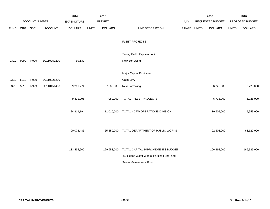|             |      |                |                | 2014               |              | 2015           |                                           |             | 2016             |              | 2016            |
|-------------|------|----------------|----------------|--------------------|--------------|----------------|-------------------------------------------|-------------|------------------|--------------|-----------------|
|             |      | ACCOUNT NUMBER |                | <b>EXPENDITURE</b> |              | <b>BUDGET</b>  |                                           | PAY         | REQUESTED BUDGET |              | PROPOSED BUDGET |
| <b>FUND</b> | ORG  | SBCL           | <b>ACCOUNT</b> | <b>DOLLARS</b>     | <b>UNITS</b> | <b>DOLLARS</b> | LINE DESCRIPTION                          | RANGE UNITS | <b>DOLLARS</b>   | <b>UNITS</b> | <b>DOLLARS</b>  |
|             |      |                |                |                    |              |                |                                           |             |                  |              |                 |
|             |      |                |                |                    |              |                | <b>FLEET PROJECTS</b>                     |             |                  |              |                 |
|             |      |                |                |                    |              |                |                                           |             |                  |              |                 |
|             |      |                |                |                    |              |                | 2-Way Radio Replacement                   |             |                  |              |                 |
| 0321        | 9990 | R999           | BU110050200    | 60,132             |              |                | New Borrowing                             |             |                  |              |                 |
|             |      |                |                |                    |              |                |                                           |             |                  |              |                 |
|             |      |                |                |                    |              |                | Major Capital Equipment                   |             |                  |              |                 |
| 0321        | 5010 | R999           | BU110021200    |                    |              |                | Cash Levy                                 |             |                  |              |                 |
| 0321        | 5010 | R999           | BU110151400    | 9,261,774          |              | 7,080,000      | New Borrowing                             |             | 6,725,000        |              | 6,725,000       |
|             |      |                |                |                    |              |                |                                           |             |                  |              |                 |
|             |      |                |                | 9,321,906          |              | 7,080,000      | TOTAL - FLEET PROJECTS                    |             | 6,725,000        |              | 6,725,000       |
|             |      |                |                |                    |              |                |                                           |             |                  |              |                 |
|             |      |                |                | 24,819,194         |              | 11,010,000     | TOTAL - DPW OPERATIONS DIVISION           |             | 10,605,000       |              | 9,955,000       |
|             |      |                |                |                    |              |                |                                           |             |                  |              |                 |
|             |      |                |                |                    |              |                |                                           |             |                  |              |                 |
|             |      |                |                | 90,078,486         |              | 65,559,000     | TOTAL DEPARTMENT OF PUBLIC WORKS          |             | 92,608,000       |              | 68,122,000      |
|             |      |                |                |                    |              |                |                                           |             |                  |              |                 |
|             |      |                |                | 133,435,900        |              | 129,953,000    | TOTAL CAPITAL IMPROVEMENTS BUDGET         |             | 206,292,000      |              | 169,529,000     |
|             |      |                |                |                    |              |                | (Excludes Water Works, Parking Fund, and) |             |                  |              |                 |
|             |      |                |                |                    |              |                | Sewer Maintenance Fund)                   |             |                  |              |                 |
|             |      |                |                |                    |              |                |                                           |             |                  |              |                 |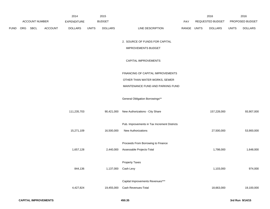|      |          |                       |                | 2014               |              | 2015           |                                              |             | 2016             |              | 2016            |
|------|----------|-----------------------|----------------|--------------------|--------------|----------------|----------------------------------------------|-------------|------------------|--------------|-----------------|
|      |          | <b>ACCOUNT NUMBER</b> |                | <b>EXPENDITURE</b> |              | <b>BUDGET</b>  |                                              | <b>PAY</b>  | REQUESTED BUDGET |              | PROPOSED BUDGET |
| FUND | ORG SBCL |                       | <b>ACCOUNT</b> | <b>DOLLARS</b>     | <b>UNITS</b> | <b>DOLLARS</b> | LINE DESCRIPTION                             | RANGE UNITS | <b>DOLLARS</b>   | <b>UNITS</b> | <b>DOLLARS</b>  |
|      |          |                       |                |                    |              |                |                                              |             |                  |              |                 |
|      |          |                       |                |                    |              |                | 2. SOURCE OF FUNDS FOR CAPITAL               |             |                  |              |                 |
|      |          |                       |                |                    |              |                | <b>IMPROVEMENTS BUDGET</b>                   |             |                  |              |                 |
|      |          |                       |                |                    |              |                | CAPITAL IMPROVEMENTS                         |             |                  |              |                 |
|      |          |                       |                |                    |              |                | FINANCING OF CAPITAL IMPROVEMENTS            |             |                  |              |                 |
|      |          |                       |                |                    |              |                | OTHER THAN WATER WORKS, SEWER                |             |                  |              |                 |
|      |          |                       |                |                    |              |                | MAINTENANCE FUND AND PARKING FUND            |             |                  |              |                 |
|      |          |                       |                |                    |              |                | General Obligation Borrowings**              |             |                  |              |                 |
|      |          |                       |                | 111,235,703        |              | 90,421,000     | New Authorizations - City Share              |             | 157,228,000      |              | 93,907,000      |
|      |          |                       |                |                    |              |                | Pub. Improvements in Tax Increment Districts |             |                  |              |                 |
|      |          |                       |                | 15,271,109         |              | 16,500,000     | <b>New Authorizations</b>                    |             | 27,500,000       |              | 53,900,000      |
|      |          |                       |                |                    |              |                | Proceeds From Borrowing to Finance           |             |                  |              |                 |
|      |          |                       |                | 1,657,128          |              | 2,440,000      | Assessable Projects-Total                    |             | 1,798,000        |              | 1,648,000       |
|      |          |                       |                |                    |              |                |                                              |             |                  |              |                 |
|      |          |                       |                |                    |              |                | <b>Property Taxes</b>                        |             |                  |              |                 |
|      |          |                       |                | 844,136            |              | 1,137,000      | Cash Levy                                    |             | 1,103,000        |              | 974,000         |
|      |          |                       |                |                    |              |                |                                              |             |                  |              |                 |
|      |          |                       |                |                    |              |                | Capital Improvements Revenues***             |             |                  |              |                 |
|      |          |                       |                | 4,427,824          |              | 19,455,000     | Cash Revenues-Total                          |             | 18,663,000       |              | 19,100,000      |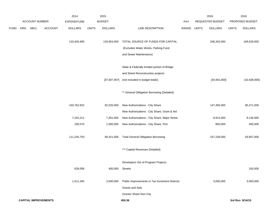|      |     |                             |                | 2014               |              | 2015            |                                                |             | 2016             |              | 2016            |
|------|-----|-----------------------------|----------------|--------------------|--------------|-----------------|------------------------------------------------|-------------|------------------|--------------|-----------------|
|      |     | <b>ACCOUNT NUMBER</b>       |                | <b>EXPENDITURE</b> |              | <b>BUDGET</b>   |                                                | PAY         | REQUESTED BUDGET |              | PROPOSED BUDGET |
| FUND | ORG | <b>SBCL</b>                 | <b>ACCOUNT</b> | <b>DOLLARS</b>     | <b>UNITS</b> | <b>DOLLARS</b>  | LINE DESCRIPTION                               | RANGE UNITS | <b>DOLLARS</b>   | <b>UNITS</b> | <b>DOLLARS</b>  |
|      |     |                             |                |                    |              |                 |                                                |             |                  |              |                 |
|      |     |                             |                | 133,435,900        |              | 129,953,000     | TOTAL SOURCE OF FUNDS FOR CAPITAL              |             | 206,292,000      |              | 169,529,000     |
|      |     |                             |                |                    |              |                 | (Excludes Water Works, Parking Fund            |             |                  |              |                 |
|      |     |                             |                |                    |              |                 | and Sewer Maintenance)                         |             |                  |              |                 |
|      |     |                             |                |                    |              |                 | State & Federally funded portion of Bridge     |             |                  |              |                 |
|      |     |                             |                |                    |              |                 | and Street Reconstruction projects             |             |                  |              |                 |
|      |     |                             |                |                    |              | [37,607,907]    | (not included in budget totals)                |             | [34,941,000]     |              | [32, 638, 000]  |
|      |     |                             |                |                    |              |                 | ** General Obligation Borrowing (Detailed)     |             |                  |              |                 |
|      |     |                             |                | 103,762,922        |              | 82,020,000      | New Authorizations - City Share                |             | 147,465,000      |              | 85,371,000      |
|      |     |                             |                |                    |              |                 | New Authorizations - City Share, Grant & Aid   |             |                  |              |                 |
|      |     |                             |                | 7,242,211          |              | 7,401,000       | New Authorizations - City Share, Major Street  |             | 8,913,000        |              | 8,136,000       |
|      |     |                             |                | 230,570            |              | 1,000,000       | New Authorizations - City Share, Port          |             | 850,000          |              | 400,000         |
|      |     |                             |                | 111,235,703        |              | 90,421,000      | <b>Total General Obligation Borrowing</b>      |             | 157,228,000      |              | 93,907,000      |
|      |     |                             |                |                    |              |                 | *** Capital Revenues (Detailed)                |             |                  |              |                 |
|      |     |                             |                |                    |              |                 | Developers Out of Program Projects             |             |                  |              |                 |
|      |     |                             |                | 628,058            |              | 400,000 Streets |                                                |             |                  |              | 100,000         |
|      |     |                             |                | 1,511,265          |              | 3,500,000       | Public Improvements in Tax Increment Districts |             | 3,000,000        |              | 3,000,000       |
|      |     |                             |                |                    |              |                 | <b>Grants and Aids</b>                         |             |                  |              |                 |
|      |     |                             |                |                    |              |                 | Grantor Share-Non City                         |             |                  |              |                 |
|      |     | <b>CAPITAL IMPROVEMENTS</b> |                |                    |              |                 | 450.36                                         |             |                  |              | 3rd Run 9/14/15 |
|      |     |                             |                |                    |              |                 |                                                |             |                  |              |                 |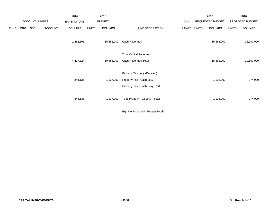|             |     |                       |                | 2014               |              | 2015           |                                                                                            |       |       | 2016             |              | 2016            |
|-------------|-----|-----------------------|----------------|--------------------|--------------|----------------|--------------------------------------------------------------------------------------------|-------|-------|------------------|--------------|-----------------|
|             |     | <b>ACCOUNT NUMBER</b> |                | <b>EXPENDITURE</b> |              | <b>BUDGET</b>  |                                                                                            | PAY   |       | REQUESTED BUDGET |              | PROPOSED BUDGET |
| <b>FUND</b> | ORG | SBCL                  | <b>ACCOUNT</b> | <b>DOLLARS</b>     | <b>UNITS</b> | <b>DOLLARS</b> | LINE DESCRIPTION                                                                           | RANGE | UNITS | <b>DOLLARS</b>   | <b>UNITS</b> | <b>DOLLARS</b>  |
|             |     |                       |                | 2,288,501          |              | 15,555,000     | Cash Revenues                                                                              |       |       | 15,663,000       |              | 16,000,000      |
|             |     |                       |                | 4,427,824          |              | 19,455,000     | <b>Total Capital Revenues</b><br>Cash Revenues-Total                                       |       |       | 18,663,000       |              | 19,100,000      |
|             |     |                       |                | 844,136            |              | 1,137,000      | Property Tax Levy (Detailed)<br>Property Tax - Cash Levy<br>Property Tax - Cash Levy, Port |       |       | 1,103,000        |              | 974,000         |
|             |     |                       |                | 844,136            |              | 1,137,000      | Total Property Tax Levy - Total                                                            |       |       | 1,103,000        |              | 974,000         |

(B) Not Included in Budget Totals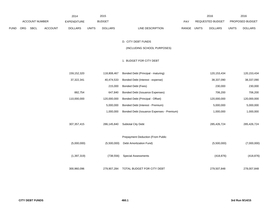|     |             |                |                    |              |                       |                                           |                                            |                |                                           | 2016                      |
|-----|-------------|----------------|--------------------|--------------|-----------------------|-------------------------------------------|--------------------------------------------|----------------|-------------------------------------------|---------------------------|
|     |             |                | <b>EXPENDITURE</b> |              | <b>BUDGET</b>         |                                           | PAY                                        |                |                                           | PROPOSED BUDGET           |
| ORG | <b>SBCL</b> | <b>ACCOUNT</b> | <b>DOLLARS</b>     | <b>UNITS</b> | <b>DOLLARS</b>        | LINE DESCRIPTION                          |                                            | <b>DOLLARS</b> | <b>UNITS</b>                              | <b>DOLLARS</b>            |
|     |             |                |                    |              |                       |                                           |                                            |                |                                           |                           |
|     |             |                |                    |              |                       | D. CITY DEBT FUNDS                        |                                            |                |                                           |                           |
|     |             |                |                    |              |                       | (INCLUDING SCHOOL PURPOSES)               |                                            |                |                                           |                           |
|     |             |                |                    |              |                       |                                           |                                            |                |                                           |                           |
|     |             |                |                    |              |                       | 1. BUDGET FOR CITY DEBT                   |                                            |                |                                           |                           |
|     |             |                |                    |              |                       |                                           |                                            |                |                                           |                           |
|     |             |                |                    |              |                       |                                           |                                            |                |                                           | 120, 153, 434             |
|     |             |                | 37,322,341         |              | 40,474,533            | Bonded Debt (Interest - expense)          |                                            | 38,337,090     |                                           | 38,337,090                |
|     |             |                |                    |              | 215,000               | Bonded Debt (Fees)                        |                                            | 230,000        |                                           | 230,000                   |
|     |             |                | 882,754            |              | 647,840               | Bonded Debt (Issuance Expenses)           |                                            | 706,200        |                                           | 706,200                   |
|     |             |                | 110,000,000        |              | 120,000,000           | Bonded Debt (Principal - Offset)          |                                            | 120,000,000    |                                           | 120,000,000               |
|     |             |                |                    |              | 5,000,000             | Bonded Debt (Interest - Premium)          |                                            | 5,000,000      |                                           | 5,000,000                 |
|     |             |                |                    |              | 1,000,000             | Bonded Debt (Issuance Expenses - Premium) |                                            | 1,000,000      |                                           | 1,000,000                 |
|     |             |                |                    |              |                       |                                           |                                            |                |                                           |                           |
|     |             |                | 307, 357, 415      |              | 286,145,840           | Subtotal City Debt                        |                                            | 285,426,724    |                                           | 285,426,724               |
|     |             |                |                    |              |                       |                                           |                                            |                |                                           |                           |
|     |             |                |                    |              |                       | Prepayment Deduction (From Public         |                                            |                |                                           |                           |
|     |             |                | (5,000,000)        |              | (5,500,000)           | Debt Amortization Fund)                   |                                            |                |                                           | (7,000,000)               |
|     |             |                |                    |              |                       |                                           |                                            |                |                                           |                           |
|     |             |                |                    |              | (738, 556)            | <b>Special Assessments</b>                |                                            |                |                                           | (418, 876)                |
|     |             |                |                    |              |                       |                                           |                                            |                |                                           |                           |
|     |             |                | 300,960,096        |              | 279,907,284           | TOTAL BUDGET FOR CITY DEBT                |                                            | 279,507,848    |                                           | 278,007,848               |
|     |             |                | ACCOUNT NUMBER     | 159,152,320  | 2014<br>(1, 397, 319) | 118,808,467                               | 2015<br>Bonded Debt (Principal - maturing) | RANGE UNITS    | 2016<br>REQUESTED BUDGET<br>120, 153, 434 | (5,500,000)<br>(418, 876) |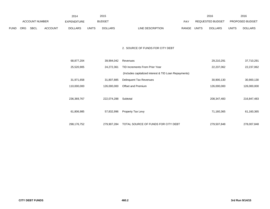|      |                |      |             | 2014           |               | 2015           |                           | 2016                           |                        | 2016           |
|------|----------------|------|-------------|----------------|---------------|----------------|---------------------------|--------------------------------|------------------------|----------------|
|      | ACCOUNT NUMBER |      | EXPENDITURE |                | <b>BUDGET</b> | PAY            | REQUESTED BUDGET          |                                | <b>PROPOSED BUDGET</b> |                |
| FUND | <b>ORG</b>     | SBCL | ACCOUNT     | <b>DOLLARS</b> | UNITS         | <b>DOLLARS</b> | LINE DESCRIPTION<br>RANGE | <b>UNITS</b><br><b>DOLLARS</b> | <b>UNITS</b>           | <b>DOLLARS</b> |

### 2. SOURCE OF FUNDS FOR CITY DEBT

| 68,877,204  | 39,994,042  | Revenues                                              | 29,210,291    | 37,710,291  |
|-------------|-------------|-------------------------------------------------------|---------------|-------------|
| 25,520,905  | 24,272,361  | TID Increments From Prior Year                        | 22,237,062    | 22,237,062  |
|             |             | (Includes capitalized interest & TID Loan Repayments) |               |             |
| 31,971,658  | 31,807,885  | Delinquent Tax Revenues                               | 30,900,130    | 30,900,130  |
| 110,000,000 | 126,000,000 | Offset and Premium                                    | 126,000,000   | 126,000,000 |
|             |             |                                                       |               |             |
| 236,369,767 | 222,074,288 | Subtotal                                              | 208, 347, 483 | 216,847,483 |
|             |             |                                                       |               |             |
| 61,806,985  | 57,832,996  | Property Tax Levy                                     | 71,160,365    | 61,160,365  |
|             |             |                                                       |               |             |
| 298,176,752 | 279,907,284 | TOTAL SOURCE OF FUNDS FOR CITY DEBT                   | 279,507,848   | 278,007,848 |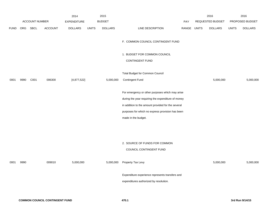|             |      |                |                | 2014               |              | 2015           |                                                                                                                                                                                                                                        |             | 2016             |              | 2016            |
|-------------|------|----------------|----------------|--------------------|--------------|----------------|----------------------------------------------------------------------------------------------------------------------------------------------------------------------------------------------------------------------------------------|-------------|------------------|--------------|-----------------|
|             |      | ACCOUNT NUMBER |                | <b>EXPENDITURE</b> |              | <b>BUDGET</b>  |                                                                                                                                                                                                                                        | PAY         | REQUESTED BUDGET |              | PROPOSED BUDGET |
| <b>FUND</b> | ORG  | <b>SBCL</b>    | <b>ACCOUNT</b> | <b>DOLLARS</b>     | <b>UNITS</b> | <b>DOLLARS</b> | LINE DESCRIPTION                                                                                                                                                                                                                       | RANGE UNITS | <b>DOLLARS</b>   | <b>UNITS</b> | <b>DOLLARS</b>  |
|             |      |                |                |                    |              |                | F. COMMON COUNCIL CONTINGENT FUND                                                                                                                                                                                                      |             |                  |              |                 |
|             |      |                |                |                    |              |                | 1. BUDGET FOR COMMON COUNCIL<br>CONTINGENT FUND                                                                                                                                                                                        |             |                  |              |                 |
| 0001        | 9990 | C001           | 006300         | [4,877,522]        |              | 5,000,000      | Total Budget for Common Council<br><b>Contingent Fund</b>                                                                                                                                                                              |             | 5,000,000        |              | 5,000,000       |
|             |      |                |                |                    |              |                | For emergency or other purposes which may arise<br>during the year requiring the expenditure of money<br>in addition to the amount provided for the several<br>purposes for which no express provision has been<br>made in the budget. |             |                  |              |                 |
| 0001        | 9990 |                | 009010         | 5,000,000          |              | 5,000,000      | 2. SOURCE OF FUNDS FOR COMMON<br>COUNCIL CONTINGENT FUND<br>Property Tax Levy<br>Expenditure experience represents transfers and                                                                                                       |             | 5,000,000        |              | 5,000,000       |
|             |      |                |                |                    |              |                | expenditures authorized by resolution.                                                                                                                                                                                                 |             |                  |              |                 |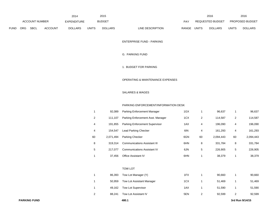|             |                |             |                    | 2014           |               | 2015           |                                  |                         | 2016           |                        | 2016           |
|-------------|----------------|-------------|--------------------|----------------|---------------|----------------|----------------------------------|-------------------------|----------------|------------------------|----------------|
|             | ACCOUNT NUMBER |             | <b>EXPENDITURE</b> |                | <b>BUDGET</b> | <b>PAY</b>     |                                  | <b>REQUESTED BUDGET</b> |                | <b>PROPOSED BUDGET</b> |                |
| <b>FUND</b> | <b>ORG</b>     | <b>SBCL</b> | <b>ACCOUNT</b>     | <b>DOLLARS</b> | <b>UNITS</b>  | <b>DOLLARS</b> | <b>RANGE</b><br>LINE DESCRIPTION | UNITS                   | <b>DOLLARS</b> | <b>UNITS</b>           | <b>DOLLARS</b> |

ENTERPRISE FUND - PARKING

## G. PARKING FUND

1. BUDGET FOR PARKING

### OPERATING & MAINTENANCE EXPENSES

## SALARIES & WAGES

### PARKING ENFORCEMENT/INFORMATION DESK

| 1  | 92.089    | Parking Enforcement Manager         | 1GX |    | 96.637    |    | 96,637    |
|----|-----------|-------------------------------------|-----|----|-----------|----|-----------|
| 2  | 111.107   | Parking Enforcement Asst. Manager   | 1CX | 2  | 114.587   | 2  | 114,587   |
| 4  | 191.855   | Parking Enforcement Supervisor      | 1AX | 4  | 196.090   | 4  | 196,090   |
| 4  | 154.547   | Lead Parking Checker                | 6IN | 4  | 161.293   | 4  | 161,293   |
| 60 | 2.071.494 | Parking Checker                     | 6GN | 60 | 2.094.443 | 60 | 2,094,443 |
| 8  | 319.314   | <b>Communications Assistant III</b> | 6HN | 8  | 331,784   | 8  | 331,784   |
| 5  | 217.077   | <b>Communications Assistant IV</b>  | 6JN | 5  | 226.905   | 5  | 226,905   |
| 1  | 37.456    | <b>Office Assistant IV</b>          | 6HN |    | 38.379    |    | 38.379    |

### TOW LOT

|   | 86,393 | Tow Lot Manager (Y)       | 1FX | 90.660 | 90,660 |
|---|--------|---------------------------|-----|--------|--------|
|   | 50.959 | Tow Lot Assistant Manager | 1CX | 51.469 | 51,469 |
|   | 49.162 | <b>Tow Lot Supervisor</b> | 1AX | 51.590 | 51,590 |
| 2 | 88.241 | Tow Lot Assistant IV      | 5EN | 92.599 | 92,599 |
|   |        |                           |     |        |        |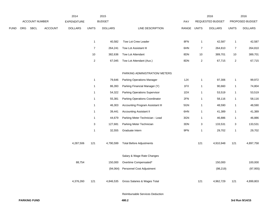|             |     |                |                | 2014               |                           | 2015           |                                      |            |                | 2016             |                           | 2016            |
|-------------|-----|----------------|----------------|--------------------|---------------------------|----------------|--------------------------------------|------------|----------------|------------------|---------------------------|-----------------|
|             |     | ACCOUNT NUMBER |                | <b>EXPENDITURE</b> |                           | <b>BUDGET</b>  |                                      | <b>PAY</b> |                | REQUESTED BUDGET |                           | PROPOSED BUDGET |
| <b>FUND</b> | ORG | <b>SBCL</b>    | <b>ACCOUNT</b> | <b>DOLLARS</b>     | <b>UNITS</b>              | <b>DOLLARS</b> | LINE DESCRIPTION                     | RANGE      | <b>UNITS</b>   | <b>DOLLARS</b>   | <b>UNITS</b>              | <b>DOLLARS</b>  |
|             |     |                |                |                    |                           |                |                                      |            |                |                  |                           |                 |
|             |     |                |                |                    | $\overline{1}$            | 40,582         | Tow Lot Crew Leader                  | 8FN        | $\mathbf{1}$   | 42,587           | $\mathbf{1}$              | 42,587          |
|             |     |                |                |                    | $\overline{7}$            | 264,241        | Tow Lot Assistant III                | 6HN        | $\overline{7}$ | 264,810          | $\overline{7}$            | 264,810         |
|             |     |                |                |                    | $10$                      | 382,636        | Tow Lot Attendant                    | 8DN        | $10$           | 389,701          | 10                        | 389,701         |
|             |     |                |                |                    | $\sqrt{2}$                | 67,045         | Tow Lot Attendant (Aux.)             | 8DN        | $\sqrt{2}$     | 67,715           | $\overline{2}$            | 67,715          |
|             |     |                |                |                    |                           |                |                                      |            |                |                  |                           |                 |
|             |     |                |                |                    |                           |                | PARKING ADMINISTRATION/ METERS       |            |                |                  |                           |                 |
|             |     |                |                |                    | $\mathbf{1}$              | 79,646         | <b>Parking Operations Manager</b>    | 1JX        | $\mathbf{1}$   | 97,306           | $\mathbf{1}$              | 99,972          |
|             |     |                |                |                    | $\mathbf{1}$              | 86,393         | Parking Financial Manager (Y)        | 1FX        | $\mathbf{1}$   | 90,660           | $\mathbf{1}$              | 74,804          |
|             |     |                |                |                    | $\mathbf{1}$              | 54,322         | <b>Parking Operations Supervisor</b> | 1DX        | $\mathbf{1}$   | 53,519           | $\mathbf{1}$              | 53,519          |
|             |     |                |                |                    | $\mathbf{1}$              | 55,381         | Parking Operations Coordinator       | 2FN        | $\mathbf{1}$   | 58,116           | $\mathbf{1}$              | 58,116          |
|             |     |                |                |                    | $\mathbf{1}$              | 46,303         | Accounting Program Assistant III     | 5GN        | $\mathbf{1}$   | 48,590           | $\mathbf{1}$              | 48,590          |
|             |     |                |                |                    | $\mathbf{1}$              | 39,441         | <b>Accounting Assistant II</b>       | 6HN        | $\mathbf{1}$   | 41,389           | $\mathbf{1}$              | 41,389          |
|             |     |                |                |                    | $\mathbf{1}$              | 44,679         | Parking Meter Technician - Lead      | 3GN        | $\mathbf{1}$   | 46,886           | $\mathbf{1}$              | 46,886          |
|             |     |                |                |                    | $\ensuremath{\mathsf{3}}$ | 127,681        | Parking Meter Technician             | 3DN        | 3              | 133,531          | $\ensuremath{\mathsf{3}}$ | 133,531         |
|             |     |                |                |                    | 1                         | 32,555         | Graduate Intern                      | 9PN        | $\mathbf{1}$   | 29,702           | $\mathbf{1}$              | 29,702          |
|             |     |                |                | 4,287,506          | 121                       | 4,790,599      | <b>Total Before Adjustments</b>      |            | 121            | 4,910,948        | 121                       | 4,897,758       |
|             |     |                |                |                    |                           |                | Salary & Wage Rate Changes           |            |                |                  |                           |                 |
|             |     |                |                | 88,754             |                           | 150,000        | Overtime Compensated*                |            |                | 150,000          |                           | 100,000         |
|             |     |                |                |                    |                           | (94, 064)      | Personnel Cost Adjustment            |            |                | (98, 219)        |                           | (97, 955)       |
|             |     |                |                | 4,376,260          | 121                       | 4,846,535      | Gross Salaries & Wages Total         |            | 121            | 4,962,729        | 121                       | 4,899,803       |

Reimbursable Services Deduction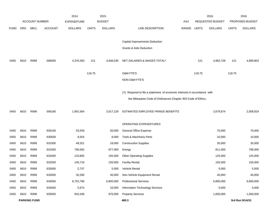|             |      |                       |                | 2014               |              | 2015           |                                                                           |             |        | 2016             |              | 2016            |
|-------------|------|-----------------------|----------------|--------------------|--------------|----------------|---------------------------------------------------------------------------|-------------|--------|------------------|--------------|-----------------|
|             |      | <b>ACCOUNT NUMBER</b> |                | <b>EXPENDITURE</b> |              | <b>BUDGET</b>  |                                                                           | PAY         |        | REQUESTED BUDGET |              | PROPOSED BUDGET |
| <b>FUND</b> | ORG  | SBCL                  | <b>ACCOUNT</b> | <b>DOLLARS</b>     | <b>UNITS</b> | <b>DOLLARS</b> | LINE DESCRIPTION                                                          | RANGE UNITS |        | <b>DOLLARS</b>   | <b>UNITS</b> | <b>DOLLARS</b>  |
|             |      |                       |                |                    |              |                |                                                                           |             |        |                  |              |                 |
|             |      |                       |                |                    |              |                | Capital Improvements Deduction                                            |             |        |                  |              |                 |
|             |      |                       |                |                    |              |                | Grants & Aids Deduction                                                   |             |        |                  |              |                 |
| 0450        | 6610 | R999                  | 006000         | 4,376,260          | 121          | 4,846,535      | NET SALARIES & WAGES TOTAL*                                               |             | 121    | 4,962,729        | 121          | 4,899,803       |
|             |      |                       |                |                    | 118.75       |                | O&M FTE'S                                                                 |             | 118.75 |                  | 118.75       |                 |
|             |      |                       |                |                    |              |                | NON-O&M FTE'S                                                             |             |        |                  |              |                 |
|             |      |                       |                |                    |              |                |                                                                           |             |        |                  |              |                 |
|             |      |                       |                |                    |              |                | (Y) Required to file a statement of economic interests in accordance with |             |        |                  |              |                 |
|             |      |                       |                |                    |              |                | the Milwaukee Code of Ordinances Chapter 303-Code of Ethics.              |             |        |                  |              |                 |
| 0450        | 6610 | R999                  | 006180         | 1,991,564          |              | 2,617,129      | ESTIMATED EMPLOYEE FRINGE BENEFITS                                        |             |        | 2,679,874        |              | 2,008,919       |
|             |      |                       |                |                    |              |                | OPERATING EXPENDITURES                                                    |             |        |                  |              |                 |
| 0450        | 6610 | R999                  | 630100         | 53,559             |              | 50,000         | <b>General Office Expense</b>                                             |             |        | 70,000           |              | 70,000          |
| 0450        | 6610 | R999                  | 630500         | 9,554              |              | 8,000          | Tools & Machinery Parts                                                   |             |        | 10,000           |              | 10,000          |
| 0450        | 6610 | R999                  | 631000         | 49,321             |              | 18,000         | <b>Construction Supplies</b>                                              |             |        | 35,000           |              | 35,000          |
| 0450        | 6610 | R999                  | 631500         | 796,582            |              | 877,000        | Energy                                                                    |             |        | 811,000          |              | 786,000         |
| 0450        | 6610 | R999                  | 632000         | 123,805            |              | 105,000        | <b>Other Operating Supplies</b>                                           |             |        | 125,000          |              | 125,000         |
| 0450        | 6610 | R999                  | 632500         | 145,716            |              | 150,000        | <b>Facility Rental</b>                                                    |             |        | 155,000          |              | 155,000         |
| 0450        | 6610 | R999                  | 633000         | 2,737              |              | 5,000          | Vehicle Rental                                                            |             |        | 5,000            |              | 5,000           |
| 0450        | 6610 | R999                  | 633500         | 32,290             |              | 40,000         | Non-Vehicle Equipment Rental                                              |             |        | 40,000           |              | 40,000          |
| 0450        | 6610 | R999                  | 634000         | 6,752,796          |              | 6,800,000      | <b>Professional Services</b>                                              |             |        | 6,800,000        |              | 6,800,000       |
| 0450        | 6610 | R999                  | 634500         | 5,674              |              | 10,000         | Information Technology Services                                           |             |        | 5,000            |              | 5,000           |
| 0450        | 6610 | R999                  | 635000         | 943,436            |              | 975,000        | <b>Property Services</b>                                                  |             |        | 1,000,000        |              | 1,000,000       |
|             |      | <b>PARKING FUND</b>   |                |                    |              |                | 480.3                                                                     |             |        |                  |              | 3rd Run 9/14/15 |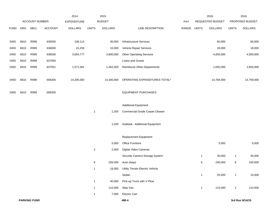|             |      |                |         | 2014               |                | 2015           |                                         |             |              | 2016             |              | 2016            |
|-------------|------|----------------|---------|--------------------|----------------|----------------|-----------------------------------------|-------------|--------------|------------------|--------------|-----------------|
|             |      | ACCOUNT NUMBER |         | <b>EXPENDITURE</b> |                | <b>BUDGET</b>  |                                         | PAY         |              | REQUESTED BUDGET |              | PROPOSED BUDGET |
| <b>FUND</b> | ORG  | SBCL           | ACCOUNT | <b>DOLLARS</b>     | <b>UNITS</b>   | <b>DOLLARS</b> | LINE DESCRIPTION                        | RANGE UNITS |              | <b>DOLLARS</b>   | <b>UNITS</b> | <b>DOLLARS</b>  |
|             |      |                |         |                    |                |                |                                         |             |              |                  |              |                 |
| 0450        | 6610 | R999           | 635500  | 108,114            |                | 30,000         | Infrastructure Services                 |             |              | 60,000           |              | 60,000          |
| 0450        | 6610 | R999           | 636000  | 15,258             |                | 10,000         | Vehicle Repair Services                 |             |              | 18,000           |              | 18,000          |
| 0450        | 6610 | R999           | 636500  | 3,694,777          |                | 3,800,000      | <b>Other Operating Services</b>         |             |              | 4,000,000        |              | 4,000,000       |
| 0450        | 6610 | R999           | 637000  |                    |                |                | Loans and Grants                        |             |              |                  |              |                 |
| 0450        | 6610 | R999           | 637501  | 1,571,381          |                | 1,462,000      | <b>Reimburse Other Departments</b>      |             |              | 1,650,000        |              | 1,650,000       |
|             |      |                |         |                    |                |                |                                         |             |              |                  |              |                 |
| 0450        | 6610 | R999           | 006300  | 14,305,000         |                | 14,340,000     | OPERATING EXPENDITURES TOTAL*           |             |              | 14,784,000       |              | 14,759,000      |
|             |      |                |         |                    |                |                |                                         |             |              |                  |              |                 |
| 0450        | 6610 | R999           | 006300  |                    |                |                | <b>EQUIPMENT PURCHASES</b>              |             |              |                  |              |                 |
|             |      |                |         |                    |                |                |                                         |             |              |                  |              |                 |
|             |      |                |         |                    |                |                | <b>Additional Equipment</b>             |             |              |                  |              |                 |
|             |      |                |         |                    | $\mathbf{1}$   | 1,200          | <b>Commercial Grade Carpet Cleaner</b>  |             |              |                  |              |                 |
|             |      |                |         |                    |                |                |                                         |             |              |                  |              |                 |
|             |      |                |         |                    |                | 1,200          | Subtotal - Additional Equipment         |             |              |                  |              |                 |
|             |      |                |         |                    |                |                |                                         |             |              |                  |              |                 |
|             |      |                |         |                    |                |                | <b>Replacement Equipment</b>            |             |              |                  |              |                 |
|             |      |                |         |                    |                | 5,000          | <b>Office Furniture</b>                 |             |              | 5,000            |              | 5,000           |
|             |      |                |         |                    | $\overline{2}$ | 2,000          | Digital Video Cameras                   |             |              |                  |              |                 |
|             |      |                |         |                    |                |                | Security Camera Storage System          |             | $\mathbf{1}$ | 30,000           | 1            | 30,000          |
|             |      |                |         |                    | 6              | 256,000        | Auto-Jeeps                              |             | 6            | 240,000          | 6            | 240,000         |
|             |      |                |         |                    | $\mathbf{1}$   |                | 18,000 Utility Terrain Electric Vehicle |             |              |                  |              |                 |
|             |      |                |         |                    |                |                | Sedan                                   |             | $\mathbf{1}$ | 25,000           | $\mathbf{1}$ | 15,000          |
|             |      |                |         |                    | $\mathbf{1}$   | 40,000         | Pick-up Truck with V Plow               |             |              |                  |              |                 |
|             |      |                |         |                    | $\mathbf{1}$   | 110,000        | Step Van                                |             | $\mathbf{1}$ | 110,000          | $\mathbf{1}$ | 110,000         |
|             |      |                |         |                    | $\mathbf{1}$   | 7,000          | <b>Electric Cart</b>                    |             |              |                  |              |                 |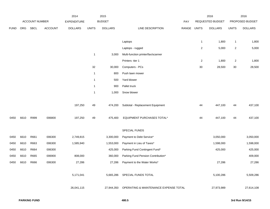|             |      |                |                | 2014               |              | 2015           |                                                  |       |                | 2016             |                | 2016            |
|-------------|------|----------------|----------------|--------------------|--------------|----------------|--------------------------------------------------|-------|----------------|------------------|----------------|-----------------|
|             |      | ACCOUNT NUMBER |                | <b>EXPENDITURE</b> |              | <b>BUDGET</b>  |                                                  | PAY   |                | REQUESTED BUDGET |                | PROPOSED BUDGET |
| <b>FUND</b> | ORG  | SBCL           | <b>ACCOUNT</b> | <b>DOLLARS</b>     | <b>UNITS</b> | <b>DOLLARS</b> | LINE DESCRIPTION                                 | RANGE | <b>UNITS</b>   | <b>DOLLARS</b>   | <b>UNITS</b>   | <b>DOLLARS</b>  |
|             |      |                |                |                    |              |                |                                                  |       |                |                  |                |                 |
|             |      |                |                |                    |              |                | Laptops                                          |       | $\mathbf{1}$   | 1,800            | $\mathbf{1}$   | 1,800           |
|             |      |                |                |                    |              |                | Laptops - rugged                                 |       | $\overline{c}$ | 5,000            | $\overline{a}$ | 5,000           |
|             |      |                |                |                    | $\mathbf{1}$ | 3,000          | Multi-function printer/fax/scanner               |       |                |                  |                |                 |
|             |      |                |                |                    |              |                | Printers -tier 1                                 |       | $\overline{2}$ | 1,800            | $\overline{a}$ | 1,800           |
|             |      |                |                |                    | 32           | 30,000         | Computers - PCs                                  |       | $30\,$         | 28,500           | 30             | 28,500          |
|             |      |                |                |                    | $\mathbf{1}$ | 800            | Push lawn mower                                  |       |                |                  |                |                 |
|             |      |                |                |                    | $\mathbf{1}$ | 500            | Yard blower                                      |       |                |                  |                |                 |
|             |      |                |                |                    | $\mathbf{1}$ | 900            | Pallet truck                                     |       |                |                  |                |                 |
|             |      |                |                |                    | $\mathbf{1}$ | 1,000          | Snow blower                                      |       |                |                  |                |                 |
|             |      |                |                |                    |              |                |                                                  |       |                |                  |                |                 |
|             |      |                |                | 197,250            | 49           | 474,200        | Subtotal - Replacement Equipment                 |       | 44             | 447,100          | 44             | 437,100         |
|             |      |                |                |                    |              |                |                                                  |       |                |                  |                |                 |
| 0450        | 6610 | R999           | 006800         | 197,250            | 49           | 475,400        | EQUIPMENT PURCHASES TOTAL*                       |       | 44             | 447,100          | 44             | 437,100         |
|             |      |                |                |                    |              |                |                                                  |       |                |                  |                |                 |
|             |      |                |                |                    |              |                | SPECIAL FUNDS                                    |       |                |                  |                |                 |
| 0450        | 6610 | R661           | 006300         | 2,749,815          |              | 3,300,000      | Payment to Debt Service*                         |       |                | 3,050,000        |                | 3,050,000       |
| 0450        | 6610 | R663           | 006300         | 1,585,940          |              | 1,553,000      | Payment in Lieu of Taxes*                        |       |                | 1,598,000        |                | 1,598,000       |
| 0450        | 6610 | R664           | 006300         |                    |              | 425,000        | Parking Fund Contingent Fund*                    |       |                | 425,000          |                | 425,000         |
| 0450        | 6610 | R665           | 006900         | 808,000            |              | 360,000        | Parking Fund Pension Contribution*               |       |                |                  |                | 409,000         |
| 0450        | 6610 | R666           | 006300         | 27,286             |              | 27,286         | Payment to the Water Works*                      |       |                | 27,286           |                | 27,286          |
|             |      |                |                |                    |              |                |                                                  |       |                |                  |                |                 |
|             |      |                |                | 5,171,041          |              |                | 5,665,286 SPECIAL FUNDS TOTAL                    |       |                | 5,100,286        |                | 5,509,286       |
|             |      |                |                |                    |              |                |                                                  |       |                |                  |                |                 |
|             |      |                |                | 26,041,115         |              |                | 27,944,350 OPERATING & MAINTENANCE EXPENSE TOTAL |       |                | 27,973,989       |                | 27,614,108      |
|             |      |                |                |                    |              |                |                                                  |       |                |                  |                |                 |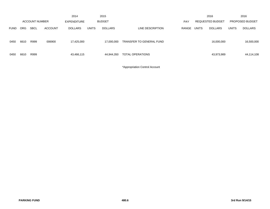|             |            |                       |                | 2014           |              | 2015           |                          |       |              | 2016                    |              | 2016            |
|-------------|------------|-----------------------|----------------|----------------|--------------|----------------|--------------------------|-------|--------------|-------------------------|--------------|-----------------|
|             |            | <b>ACCOUNT NUMBER</b> |                | EXPENDITURE    |              | <b>BUDGET</b>  |                          | PAY   |              | <b>REQUESTED BUDGET</b> |              | PROPOSED BUDGET |
| <b>FUND</b> | <b>ORG</b> | <b>SBCL</b>           | <b>ACCOUNT</b> | <b>DOLLARS</b> | <b>UNITS</b> | <b>DOLLARS</b> | LINE DESCRIPTION         | RANGE | <b>UNITS</b> | <b>DOLLARS</b>          | <b>UNITS</b> | <b>DOLLARS</b>  |
| 0450        | 6610       | R999                  | 006900         | 17,425,000     |              | 17,000,000     | TRANSFER TO GENERAL FUND |       |              | 16,000,000              |              | 16,500,000      |
| 0450        | 6610       | R999                  |                | 43,466,115     |              | 44,944,350     | TOTAL OPERATIONS         |       |              | 43,973,989              |              | 44,114,108      |

\*Appropriation Control Account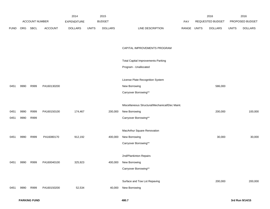|             |      |                |                | 2014           |              | 2015           |                                                 |             | 2016             |              | 2016            |
|-------------|------|----------------|----------------|----------------|--------------|----------------|-------------------------------------------------|-------------|------------------|--------------|-----------------|
|             |      | ACCOUNT NUMBER |                | EXPENDITURE    |              | <b>BUDGET</b>  |                                                 | PAY         | REQUESTED BUDGET |              | PROPOSED BUDGET |
| <b>FUND</b> | ORG  | SBCL           | <b>ACCOUNT</b> | <b>DOLLARS</b> | <b>UNITS</b> | <b>DOLLARS</b> | LINE DESCRIPTION                                | RANGE UNITS | <b>DOLLARS</b>   | <b>UNITS</b> | <b>DOLLARS</b>  |
|             |      |                |                |                |              |                |                                                 |             |                  |              |                 |
|             |      |                |                |                |              |                |                                                 |             |                  |              |                 |
|             |      |                |                |                |              |                | CAPITAL IMPROVEMENTS PROGRAM                    |             |                  |              |                 |
|             |      |                |                |                |              |                |                                                 |             |                  |              |                 |
|             |      |                |                |                |              |                | <b>Total Capital Improvements-Parking</b>       |             |                  |              |                 |
|             |      |                |                |                |              |                | Program - Unallocated                           |             |                  |              |                 |
|             |      |                |                |                |              |                |                                                 |             |                  |              |                 |
|             |      |                |                |                |              |                | License Plate Recognition System                |             |                  |              |                 |
| 0451        | 9990 | R999           | PA160130200    |                |              |                | New Borrowing                                   |             | 586,000          |              |                 |
|             |      |                |                |                |              |                | Carryover Borrowing**                           |             |                  |              |                 |
|             |      |                |                |                |              |                |                                                 |             |                  |              |                 |
|             |      |                |                |                |              |                | Miscellaneous Structural/Mechanical/Elec Maint. |             |                  |              |                 |
| 0451        | 9990 | R999           | PA160150100    | 174,467        |              | 200,000        | New Borrowing                                   |             | 200,000          |              | 100,000         |
| 0451        | 9990 | R999           |                |                |              |                | Carryover Borrowing**                           |             |                  |              |                 |
|             |      |                |                |                |              |                |                                                 |             |                  |              |                 |
|             |      |                |                |                |              |                | MacArthur Square Renovation                     |             |                  |              |                 |
| 0451        | 9990 | R999           | PA16080170     | 912,192        |              | 400,000        | New Borrowing                                   |             | 30,000           |              | 30,000          |
|             |      |                |                |                |              |                | Carryover Borrowing**                           |             |                  |              |                 |
|             |      |                |                |                |              |                |                                                 |             |                  |              |                 |
|             |      |                |                |                |              |                | 2nd/Plankinton Repairs                          |             |                  |              |                 |
| 0451        | 9990 | R999           | PA160040100    | 325,923        |              | 400,000        | New Borrowing                                   |             |                  |              |                 |
|             |      |                |                |                |              |                | Carryover Borrowing**                           |             |                  |              |                 |
|             |      |                |                |                |              |                |                                                 |             |                  |              |                 |
|             |      |                |                |                |              |                | Surface and Tow Lot Repaving                    |             | 200,000          |              | 200,000         |
| 0451        | 9990 | R999           | PA160150200    | 52,534         |              | 40,000         | New Borrowing                                   |             |                  |              |                 |
|             |      |                |                |                |              |                |                                                 |             |                  |              |                 |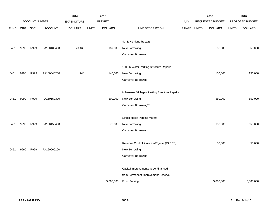|             |            |                |                | 2014               |              | 2015           |                                              |            |              | 2016             |              | 2016            |
|-------------|------------|----------------|----------------|--------------------|--------------|----------------|----------------------------------------------|------------|--------------|------------------|--------------|-----------------|
|             |            | ACCOUNT NUMBER |                | <b>EXPENDITURE</b> |              | <b>BUDGET</b>  |                                              | <b>PAY</b> |              | REQUESTED BUDGET |              | PROPOSED BUDGET |
| <b>FUND</b> | <b>ORG</b> | <b>SBCL</b>    | <b>ACCOUNT</b> | <b>DOLLARS</b>     | <b>UNITS</b> | <b>DOLLARS</b> | LINE DESCRIPTION                             | RANGE      | <b>UNITS</b> | <b>DOLLARS</b>   | <b>UNITS</b> | <b>DOLLARS</b>  |
|             |            |                |                |                    |              |                |                                              |            |              |                  |              |                 |
|             |            |                |                |                    |              |                | 4th & Highland Repairs                       |            |              |                  |              |                 |
| 0451        | 9990       | R999           | PA160100400    | 20,466             |              | 137,000        | New Borrowing                                |            |              | 50,000           |              | 50,000          |
|             |            |                |                |                    |              |                | Carryover Borrowing                          |            |              |                  |              |                 |
|             |            |                |                |                    |              |                |                                              |            |              |                  |              |                 |
|             |            |                |                |                    |              |                | 1000 N Water Parking Structure Repairs       |            |              |                  |              |                 |
| 0451        | 9990       | R999           | PA160040200    | 748                |              | 140,000        | New Borrowing                                |            |              | 150,000          |              | 150,000         |
|             |            |                |                |                    |              |                | Carryover Borrowing**                        |            |              |                  |              |                 |
|             |            |                |                |                    |              |                | Milwaukee Michigan Parking Structure Repairs |            |              |                  |              |                 |
| 0451        | 9990       | R999           | PA160150300    |                    |              | 300,000        | New Borrowing                                |            |              | 550,000          |              | 550,000         |
|             |            |                |                |                    |              |                | Carryover Borrowing**                        |            |              |                  |              |                 |
|             |            |                |                |                    |              |                |                                              |            |              |                  |              |                 |
|             |            |                |                |                    |              |                | Single-space Parking Meters                  |            |              |                  |              |                 |
| 0451        | 9990       | R999           | PA160150400    |                    |              | 675,000        | New Borrowing                                |            |              | 650,000          |              | 650,000         |
|             |            |                |                |                    |              |                | Carryover Borrowing**                        |            |              |                  |              |                 |
|             |            |                |                |                    |              |                |                                              |            |              |                  |              |                 |
|             |            |                |                |                    |              |                | Revenue Control & Access/Egress (PARCS)      |            |              | 50,000           |              | 50,000          |
| 0451        | 9990       | R999           | PA160060100    |                    |              |                | New Borrowing                                |            |              |                  |              |                 |
|             |            |                |                |                    |              |                | Carryover Borrowing**                        |            |              |                  |              |                 |
|             |            |                |                |                    |              |                |                                              |            |              |                  |              |                 |
|             |            |                |                |                    |              |                | Capital Improvements to be Financed          |            |              |                  |              |                 |
|             |            |                |                |                    |              |                | from Permanent Improvement Reserve           |            |              |                  |              |                 |
|             |            |                |                |                    |              | 5,000,000      | Fund-Parking                                 |            |              | 5,000,000        |              | 5,000,000       |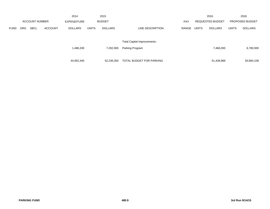|             |            |                       |                | 2014               |                              | 2015           |                          |            |              | 2016                    |              | 2016                   |
|-------------|------------|-----------------------|----------------|--------------------|------------------------------|----------------|--------------------------|------------|--------------|-------------------------|--------------|------------------------|
|             |            | <b>ACCOUNT NUMBER</b> |                | <b>EXPENDITURE</b> |                              | <b>BUDGET</b>  |                          | <b>PAY</b> |              | <b>REQUESTED BUDGET</b> |              | <b>PROPOSED BUDGET</b> |
| <b>FUND</b> | <b>ORG</b> | <b>SBCL</b>           | <b>ACCOUNT</b> | <b>DOLLARS</b>     | <b>UNITS</b>                 | <b>DOLLARS</b> | LINE DESCRIPTION         | RANGE      | <b>UNITS</b> | <b>DOLLARS</b>          | <b>UNITS</b> | <b>DOLLARS</b>         |
|             |            |                       |                |                    |                              |                |                          |            |              |                         |              |                        |
|             |            |                       |                |                    | Total Capital Improvements - |                |                          |            |              |                         |              |                        |
|             |            |                       |                | 1,486,330          |                              | 7,292,000      | Parking Program          |            |              | 7,466,000               |              | 6,780,000              |
|             |            |                       |                |                    |                              |                |                          |            |              |                         |              |                        |
|             |            |                       |                | 44,952,445         |                              | 52,236,350     | TOTAL BUDGET FOR PARKING |            |              | 51,439,989              |              | 50,894,108             |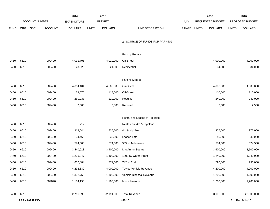|             |      |                       |                | 2014               |              | 2015           |                                 |       |              | 2016             |              | 2016            |
|-------------|------|-----------------------|----------------|--------------------|--------------|----------------|---------------------------------|-------|--------------|------------------|--------------|-----------------|
|             |      | <b>ACCOUNT NUMBER</b> |                | <b>EXPENDITURE</b> |              | <b>BUDGET</b>  |                                 | PAY   |              | REQUESTED BUDGET |              | PROPOSED BUDGET |
| <b>FUND</b> | ORG  | SBCL                  | <b>ACCOUNT</b> | <b>DOLLARS</b>     | <b>UNITS</b> | <b>DOLLARS</b> | LINE DESCRIPTION                | RANGE | <b>UNITS</b> | <b>DOLLARS</b>   | <b>UNITS</b> | <b>DOLLARS</b>  |
|             |      |                       |                |                    |              |                |                                 |       |              |                  |              |                 |
|             |      |                       |                |                    |              |                | 2. SOURCE OF FUNDS FOR PARKING  |       |              |                  |              |                 |
|             |      |                       |                |                    |              |                |                                 |       |              |                  |              |                 |
|             |      |                       |                |                    |              |                | <b>Parking Permits</b>          |       |              |                  |              |                 |
| 0450        | 6610 |                       | 009400         | 4,031,705          |              | 4,010,000      | On-Street                       |       |              | 4,000,000        |              | 4,000,000       |
| 0450        | 6610 |                       | 009400         | 23,626             |              | 21,300         | Residential                     |       |              | 34,000           |              | 34,000          |
|             |      |                       |                |                    |              |                |                                 |       |              |                  |              |                 |
|             |      |                       |                |                    |              |                | <b>Parking Meters</b>           |       |              |                  |              |                 |
| 0450        | 6610 |                       | 009400         | 4,654,404          |              | 4,600,000      | On-Street                       |       |              | 4,800,000        |              | 4,800,000       |
| 0450        | 6610 |                       | 009400         | 79,670             |              | 118,000        | Off-Street                      |       |              | 110,000          |              | 110,000         |
| 0450        | 6610 |                       | 009400         | 260,238            |              | 229,000        | Hooding                         |       |              | 240,000          |              | 240,000         |
| 0450        | 6610 |                       | 009400         | 2,506              |              | 3,000          | Removal                         |       |              | 2,500            |              | 2,500           |
|             |      |                       |                |                    |              |                |                                 |       |              |                  |              |                 |
|             |      |                       |                |                    |              |                | Rental and Leases of Facilities |       |              |                  |              |                 |
| 0450        | 6610 |                       | 009400         | 712                |              |                | Restaurant 4th & Highland       |       |              |                  |              |                 |
| 0450        | 6610 |                       | 009400         | 919,044            |              | 835,500        | 4th & Highland                  |       |              | 975,000          |              | 975,000         |
| 0450        | 6610 |                       | 009400         | 34,465             |              | 32,000         | Leased Lots                     |       |              | 40,000           |              | 40,000          |
| 0450        | 6610 |                       | 009400         | 574,500            |              | 574,500        | 535 N. Milwaukee                |       |              | 574,500          |              | 574,500         |
| 0450        | 6610 |                       | 009400         | 3,440,013          |              | 3,400,000      | MacArthur Square                |       |              | 3,600,000        |              | 3,600,000       |
| 0450        | 6610 |                       | 009400         | 1,235,947          |              | 1,400,000      | 1000 N. Water Street            |       |              | 1,240,000        |              | 1,240,000       |
| 0450        | 6610 |                       | 009400         | 650,884            |              | 771,000        | 742 N. 2nd                      |       |              | 790,000          |              | 790,000         |
| 0450        | 6610 |                       | 009400         | 4,292,339          |              | 4,000,000      | <b>Towed Vehicle Revenue</b>    |       |              | 4,200,000        |              | 4,200,000       |
| 0450        | 6610 |                       | 009400         | 1,332,753          |              | 1,100,000      | Vehicle Disposal Revenue        |       |              | 1,200,000        |              | 1,200,000       |
| 0450        | 6610 |                       | 009870         | 1,184,190          |              | 1,100,000      | Miscellaneous                   |       |              | 1,200,000        |              | 1,200,000       |
|             |      |                       |                |                    |              |                |                                 |       |              |                  |              |                 |
| 0450        | 6610 |                       |                | 22,716,996         |              | 22,194,300     | <b>Total Revenue</b>            |       |              | 23,006,000       |              | 23,006,000      |
|             |      | <b>PARKING FUND</b>   |                |                    |              |                | 480.10                          |       |              |                  |              | 3rd Run 9/14/15 |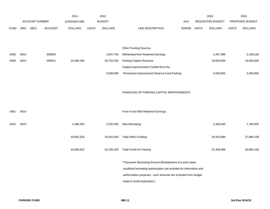|             |            |                |                | 2014               |              | 2015           |                                                                     |       |              | 2016             |              | 2016            |
|-------------|------------|----------------|----------------|--------------------|--------------|----------------|---------------------------------------------------------------------|-------|--------------|------------------|--------------|-----------------|
|             |            | ACCOUNT NUMBER |                | <b>EXPENDITURE</b> |              | <b>BUDGET</b>  |                                                                     | PAY   |              | REQUESTED BUDGET |              | PROPOSED BUDGET |
| <b>FUND</b> | <b>ORG</b> | SBCL           | <b>ACCOUNT</b> | <b>DOLLARS</b>     | <b>UNITS</b> | <b>DOLLARS</b> | LINE DESCRIPTION                                                    | RANGE | <b>UNITS</b> | <b>DOLLARS</b>   | <b>UNITS</b> | <b>DOLLARS</b>  |
|             |            |                |                |                    |              |                |                                                                     |       |              |                  |              |                 |
|             |            |                |                |                    |              |                |                                                                     |       |              |                  |              |                 |
|             |            |                |                |                    |              |                | <b>Other Funding Sources</b>                                        |       |              |                  |              |                 |
| 0450        | 6610       |                | 009920         |                    |              | 2,047,750      | Withdrawal from Retained Earnings                                   |       |              | 2,467,989        |              | 2,108,108       |
| 0450        | 6610       |                | 009611         | 19,466,196         |              | 20,702,300     | <b>Parking Citation Revenue</b>                                     |       |              | 18,500,000       |              | 19,000,000      |
|             |            |                |                |                    |              |                | Capital Improvements Funded from the                                |       |              |                  |              |                 |
|             |            |                |                |                    |              | 5,000,000      | Permanent Improvement Reserve Fund-Parking                          |       |              | 5,000,000        |              | 5,000,000       |
|             |            |                |                |                    |              |                |                                                                     |       |              |                  |              |                 |
|             |            |                |                |                    |              |                |                                                                     |       |              |                  |              |                 |
|             |            |                |                |                    |              |                | FINANCING OF PARKING CAPITAL IMPROVEMENTS                           |       |              |                  |              |                 |
|             |            |                |                |                    |              |                |                                                                     |       |              |                  |              |                 |
|             |            |                |                |                    |              |                |                                                                     |       |              |                  |              |                 |
| 0451        | 6610       |                |                |                    |              |                | From Fund 0450 Retained Earnings                                    |       |              |                  |              |                 |
|             |            |                |                |                    |              |                |                                                                     |       |              |                  |              |                 |
| 0451        | 6610       |                |                | 1,486,330          |              | 2,292,000      | New Borrowing                                                       |       |              | 2,466,000        |              | 1,780,000       |
|             |            |                |                |                    |              |                |                                                                     |       |              |                  |              |                 |
|             |            |                |                | 20,952,526         |              | 30,042,050     | <b>Total Other Funding</b>                                          |       |              | 28,433,989       |              | 27,888,108      |
|             |            |                |                |                    |              |                |                                                                     |       |              |                  |              |                 |
|             |            |                |                | 43,669,522         |              | 52,236,350     | <b>Total Funds for Parking</b>                                      |       |              | 51,439,989       |              | 50,894,108      |
|             |            |                |                |                    |              |                |                                                                     |       |              |                  |              |                 |
|             |            |                |                |                    |              |                | ** Carryover Borrowing Amount (Restatement of a prior years         |       |              |                  |              |                 |
|             |            |                |                |                    |              |                | unutilized borrowing authorization are included for information and |       |              |                  |              |                 |
|             |            |                |                |                    |              |                | authorization purposes - such amounts are excluded from budget      |       |              |                  |              |                 |
|             |            |                |                |                    |              |                | totals to avoid duplication.)                                       |       |              |                  |              |                 |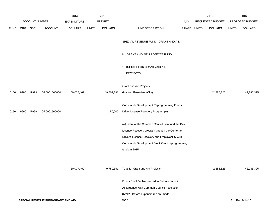|             |                                    |                |                | 2014               |              | 2015           |                                                        |             | 2016             |              | 2016            |
|-------------|------------------------------------|----------------|----------------|--------------------|--------------|----------------|--------------------------------------------------------|-------------|------------------|--------------|-----------------|
|             |                                    | ACCOUNT NUMBER |                | <b>EXPENDITURE</b> |              | <b>BUDGET</b>  |                                                        | PAY         | REQUESTED BUDGET |              | PROPOSED BUDGET |
| <b>FUND</b> | ORG                                | SBCL           | <b>ACCOUNT</b> | <b>DOLLARS</b>     | <b>UNITS</b> | <b>DOLLARS</b> | LINE DESCRIPTION                                       | RANGE UNITS | <b>DOLLARS</b>   | <b>UNITS</b> | <b>DOLLARS</b>  |
|             |                                    |                |                |                    |              |                | SPECIAL REVENUE FUND - GRANT AND AID                   |             |                  |              |                 |
|             |                                    |                |                |                    |              |                | H. GRANT AND AID PROJECTS FUND                         |             |                  |              |                 |
|             |                                    |                |                |                    |              |                | 1. BUDGET FOR GRANT AND AID                            |             |                  |              |                 |
|             |                                    |                |                |                    |              |                | <b>PROJECTS</b>                                        |             |                  |              |                 |
|             |                                    |                |                |                    |              |                |                                                        |             |                  |              |                 |
|             |                                    |                |                |                    |              |                | <b>Grant and Aid Projects</b>                          |             |                  |              |                 |
| 0150        | 9990                               | R999           | GR0001500000   | 50,007,469         |              | 49,709,391     | Grantor Share (Non-City)                               |             | 42,285,325       |              | 42,285,325      |
|             |                                    |                |                |                    |              |                | Community Development Reprogramming Funds              |             |                  |              |                 |
| 0150        | 9990                               | R999           | GR0001500000   |                    |              | 50,000         | Driver License Recovery Program (A)                    |             |                  |              |                 |
|             |                                    |                |                |                    |              |                |                                                        |             |                  |              |                 |
|             |                                    |                |                |                    |              |                | (A) Intent of the Common Council is to fund the Driver |             |                  |              |                 |
|             |                                    |                |                |                    |              |                | License Recovery program through the Center for        |             |                  |              |                 |
|             |                                    |                |                |                    |              |                | Driver's License Recovery and Employability with       |             |                  |              |                 |
|             |                                    |                |                |                    |              |                | Community Development Block Grant reprogramming        |             |                  |              |                 |
|             |                                    |                |                |                    |              |                | funds in 2015.                                         |             |                  |              |                 |
|             |                                    |                |                |                    |              |                |                                                        |             |                  |              |                 |
|             |                                    |                |                | 50,007,469         |              | 49,759,391     | <b>Total for Grant and Aid Projects</b>                |             | 42,285,325       |              | 42,285,325      |
|             |                                    |                |                |                    |              |                | Funds Shall Be Transferred to Sub Accounts in          |             |                  |              |                 |
|             |                                    |                |                |                    |              |                | Accordance With Common Council Resolution              |             |                  |              |                 |
|             |                                    |                |                |                    |              |                | 872120 Before Expenditures are made.                   |             |                  |              |                 |
|             | SPECIAL REVENUE FUND-GRANT AND AID |                |                |                    |              |                | 490.1                                                  |             |                  |              | 3rd Run 9/14/15 |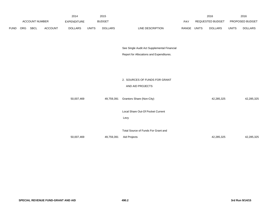|             |     |                       |                | 2014               |              | 2015           |                                             |             | 2016             |              | 2016            |  |
|-------------|-----|-----------------------|----------------|--------------------|--------------|----------------|---------------------------------------------|-------------|------------------|--------------|-----------------|--|
|             |     | <b>ACCOUNT NUMBER</b> |                | <b>EXPENDITURE</b> |              | <b>BUDGET</b>  |                                             | PAY         | REQUESTED BUDGET |              | PROPOSED BUDGET |  |
| <b>FUND</b> | ORG | SBCL                  | <b>ACCOUNT</b> | <b>DOLLARS</b>     | <b>UNITS</b> | <b>DOLLARS</b> | LINE DESCRIPTION                            | RANGE UNITS | <b>DOLLARS</b>   | <b>UNITS</b> | <b>DOLLARS</b>  |  |
|             |     |                       |                |                    |              |                |                                             |             |                  |              |                 |  |
|             |     |                       |                |                    |              |                |                                             |             |                  |              |                 |  |
|             |     |                       |                |                    |              |                | See Single Audit Act Supplemental Financial |             |                  |              |                 |  |
|             |     |                       |                |                    |              |                | Report for Allocations and Expenditures.    |             |                  |              |                 |  |
|             |     |                       |                |                    |              |                |                                             |             |                  |              |                 |  |
|             |     |                       |                |                    |              |                |                                             |             |                  |              |                 |  |
|             |     |                       |                |                    |              |                |                                             |             |                  |              |                 |  |
|             |     |                       |                |                    |              |                | 2. SOURCES OF FUNDS FOR GRANT               |             |                  |              |                 |  |
|             |     |                       |                |                    |              |                | AND AID PROJECTS                            |             |                  |              |                 |  |
|             |     |                       |                |                    |              |                |                                             |             |                  |              |                 |  |
|             |     |                       |                | 50,007,469         |              | 49,759,391     | Grantors Share (Non-City)                   |             | 42,285,325       |              | 42,285,325      |  |
|             |     |                       |                |                    |              |                |                                             |             |                  |              |                 |  |
|             |     |                       |                |                    |              |                | Local Share Out-Of Pocket Current           |             |                  |              |                 |  |
|             |     |                       |                |                    |              |                | Levy                                        |             |                  |              |                 |  |
|             |     |                       |                |                    |              |                |                                             |             |                  |              |                 |  |
|             |     |                       |                |                    |              |                | Total Source of Funds For Grant and         |             |                  |              |                 |  |
|             |     |                       |                | 50,007,469         |              | 49,759,391     | Aid Projects                                |             | 42,285,325       |              | 42,285,325      |  |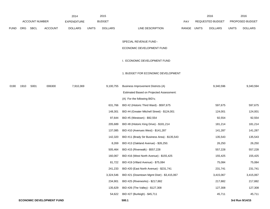|             |      |                       |                                  | 2014               |              | 2015           |                                               |             | 2016             |              | 2016            |
|-------------|------|-----------------------|----------------------------------|--------------------|--------------|----------------|-----------------------------------------------|-------------|------------------|--------------|-----------------|
|             |      | <b>ACCOUNT NUMBER</b> |                                  | <b>EXPENDITURE</b> |              | <b>BUDGET</b>  |                                               | PAY         | REQUESTED BUDGET |              | PROPOSED BUDGET |
| <b>FUND</b> | ORG  | SBCL                  | <b>ACCOUNT</b>                   | <b>DOLLARS</b>     | <b>UNITS</b> | <b>DOLLARS</b> | LINE DESCRIPTION                              | RANGE UNITS | <b>DOLLARS</b>   | <b>UNITS</b> | <b>DOLLARS</b>  |
|             |      |                       |                                  |                    |              |                |                                               |             |                  |              |                 |
|             |      |                       |                                  |                    |              |                | SPECIAL REVENUE FUND -                        |             |                  |              |                 |
|             |      |                       |                                  |                    |              |                | ECONOMIC DEVELOPMENT FUND                     |             |                  |              |                 |
|             |      |                       |                                  |                    |              |                | I. ECONOMIC DEVELOPMENT FUND                  |             |                  |              |                 |
|             |      |                       |                                  |                    |              |                | 1. BUDGET FOR ECONOMIC DEVELOPMENT            |             |                  |              |                 |
| 0190        | 1910 | S001                  | 006300                           | 7,910,369          |              | 9,100,755      | Business Improvement Districts (A)            |             | 9,340,596        |              | 9,340,594       |
|             |      |                       |                                  |                    |              |                | Estimated Based on Projected Assessment:      |             |                  |              |                 |
|             |      |                       |                                  |                    |              |                | (A) For the following BID's;                  |             |                  |              |                 |
|             |      |                       |                                  |                    |              | 631,766        | BID #2 (Historic Third Ward) - \$597,675      |             | 597,675          |              | 597,675         |
|             |      |                       |                                  |                    |              | 148,301        | BID #4 (Greater Mitchell Street) - \$124,001  |             | 124,001          |              | 124,001         |
|             |      |                       |                                  |                    |              | 97,644         | BID #5 (Westown) - \$92,554                   |             | 92,554           |              | 92,554          |
|             |      |                       |                                  |                    |              | 205,689        | BID #8 (Historic King Drive) - \$181,214      |             | 181,214          |              | 181,214         |
|             |      |                       |                                  |                    |              | 137,085        | BID #10 (Avenues West) - \$141,287            |             | 141,287          |              | 141,287         |
|             |      |                       |                                  |                    |              | 142,320        | BID #11 (Brady Str Business Area) - \$135,543 |             | 135,543          |              | 135,543         |
|             |      |                       |                                  |                    |              | 8,269          | BID #13 (Oakland Avenue) - \$26,250.          |             | 26,250           |              | 26,250          |
|             |      |                       |                                  |                    |              | 505,464        | BID #15 (Riverwalk) - \$557,228               |             | 557,228          |              | 557,228         |
|             |      |                       |                                  |                    |              | 160,067        | BID #16 (West North Avenue) - \$155,425       |             | 155,425          |              | 155,425         |
|             |      |                       |                                  |                    |              | 81,722         | BID #19 (Villard Avenue) - \$75,084           |             | 75,084           |              | 75,084          |
|             |      |                       |                                  |                    |              | 241,233        | BID #20 (East North Avenue) - \$231,741       |             | 231,741          |              | 231,741         |
|             |      |                       |                                  |                    |              | 3,324,546      | BID #21 (Downtown Mgmt Distr) - \$3,415,067   |             | 3,415,067        |              | 3,415,067       |
|             |      |                       |                                  |                    |              | 234,901        | BID #25 (Riverworks) - \$217,882              |             | 217,882          |              | 217,882         |
|             |      |                       |                                  |                    |              | 135,629        | BID #26 (The Valley) - \$127,308              |             | 127,308          |              | 127,308         |
|             |      |                       |                                  |                    |              | 54,622         | BID #27 (Burleigh) - \$45,711                 |             | 45,711           |              | 45,711          |
|             |      |                       | <b>ECONOMIC DEVELOPMENT FUND</b> |                    |              |                | 500.1                                         |             |                  |              | 3rd Run 9/14/15 |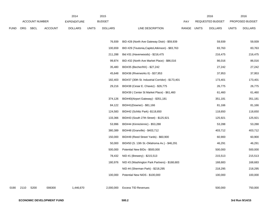|             |      |                       |                | 2014               |              | 2015           |                                                   |            |              | 2016             |              | 2016            |
|-------------|------|-----------------------|----------------|--------------------|--------------|----------------|---------------------------------------------------|------------|--------------|------------------|--------------|-----------------|
|             |      | <b>ACCOUNT NUMBER</b> |                | <b>EXPENDITURE</b> |              | <b>BUDGET</b>  |                                                   | <b>PAY</b> |              | REQUESTED BUDGET |              | PROPOSED BUDGET |
| <b>FUND</b> | ORG  | SBCL                  | <b>ACCOUNT</b> | <b>DOLLARS</b>     | <b>UNITS</b> | <b>DOLLARS</b> | LINE DESCRIPTION                                  | RANGE      | <b>UNITS</b> | <b>DOLLARS</b>   | <b>UNITS</b> | <b>DOLLARS</b>  |
|             |      |                       |                |                    |              |                |                                                   |            |              |                  |              |                 |
|             |      |                       |                |                    |              | 76,939         | BID #28 (North Ave Gateway Distr) - \$59,939      |            |              | 59,939           |              | 59,939          |
|             |      |                       |                |                    |              | 100,659        | BID #29 (Teutonia, Capitol, Atkinson) - \$83,763  |            |              | 83,763           |              | 83,763          |
|             |      |                       |                |                    |              | 211,288        | Bid #31 (Havenwoods) - \$216,475                  |            |              | 216,475          |              | 216,475         |
|             |      |                       |                |                    |              | 99,874         | BID #32 (North Ave Market Place) - \$86,016       |            |              | 86,016           |              | 86,016          |
|             |      |                       |                |                    |              | 35,480         | BID#35 (Becher/KK) - \$27,242                     |            |              | 27,242           |              | 27,242          |
|             |      |                       |                |                    |              | 45,648         | BID#36 (Riverworks II) - \$37,953                 |            |              | 37,953           |              | 37,953          |
|             |      |                       |                |                    |              | 182,403        | BID#37 (30th St. Industrial Corridor) - \$173,401 |            |              | 173,401          |              | 173,401         |
|             |      |                       |                |                    |              | 29,216         | BID#38 (Cesar E. Chavez) - \$26,775               |            |              | 26,775           |              | 26,775          |
|             |      |                       |                |                    |              |                | BID#39 (Center St Market Place) - \$61,460        |            |              | 61,460           |              | 61,460          |
|             |      |                       |                |                    |              | 374,126        | BID#40(Airport Gateway) - \$351,181               |            |              | 351,181          |              | 351,181         |
|             |      |                       |                |                    |              | 84,122         | BID#41(Downer) - \$81,166                         |            |              | 81,166           |              | 81,166          |
|             |      |                       |                |                    |              | 124,583        | BID#42 (Schlitz Park) -\$118,650                  |            |              | 118,650          |              | 118,650         |
|             |      |                       |                |                    |              | 133,366        | BID#43 (South 27th Street) - \$125,921            |            |              | 125,921          |              | 125,921         |
|             |      |                       |                |                    |              | 53,996         | BID#44 (Kinnickinnic) - \$53,288                  |            |              | 53,288           |              | 53,288          |
|             |      |                       |                |                    |              | 380,389        | BID#48 (Granville) - \$403,712                    |            |              | 403,712          |              | 403,712         |
|             |      |                       |                |                    |              | 150,000        | BID#49 (Reed Street Yards) - \$60,900             |            |              | 60,900           |              | 60,900          |
|             |      |                       |                |                    |              | 50,000         | BID#50 (S. 13th St.-Oklahoma Av.) - \$46,291      |            |              | 46,291           |              | 46,291          |
|             |      |                       |                |                    |              | 500,000        | Potential New BIDs - \$500,000                    |            |              | 500,000          |              | 500,000         |
|             |      |                       |                |                    |              | 78,432         | NID #1 (Brewery) - \$215,513                      |            |              | 215,513          |              | 215,513         |
|             |      |                       |                |                    |              | 180,976        | NID #3 (Washington Park Partners) - \$168,683     |            |              | 168,683          |              | 168,683         |
|             |      |                       |                |                    |              |                | NID #4 (Sherman Park) - \$218,295                 |            |              | 218,295          |              | 218,295         |
|             |      |                       |                |                    |              | 100,000        | Potential New NIDS - \$100,000                    |            |              | 100,000          |              | 100,000         |
|             |      |                       |                |                    |              |                |                                                   |            |              |                  |              |                 |
| 0190        | 2110 | S200                  | 006300         | 1,446,670          |              | 2,000,000      | <b>Excess TID Revenues</b>                        |            |              | 500,000          |              | 750,000         |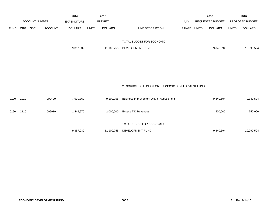|             |            |                       |                | 2014               |              | 2015           |                                                  |       |              | 2016                    |              | 2016            |
|-------------|------------|-----------------------|----------------|--------------------|--------------|----------------|--------------------------------------------------|-------|--------------|-------------------------|--------------|-----------------|
|             |            | <b>ACCOUNT NUMBER</b> |                | <b>EXPENDITURE</b> |              | <b>BUDGET</b>  |                                                  | PAY   |              | <b>REQUESTED BUDGET</b> |              | PROPOSED BUDGET |
| <b>FUND</b> | <b>ORG</b> | SBCL                  | <b>ACCOUNT</b> | <b>DOLLARS</b>     | <b>UNITS</b> | <b>DOLLARS</b> | LINE DESCRIPTION                                 | RANGE | <b>UNITS</b> | <b>DOLLARS</b>          | <b>UNITS</b> | <b>DOLLARS</b>  |
|             |            |                       |                |                    |              |                |                                                  |       |              |                         |              |                 |
|             |            |                       |                |                    |              |                | TOTAL BUDGET FOR ECONOMIC                        |       |              |                         |              |                 |
|             |            |                       |                | 9,357,039          |              | 11,100,755     | DEVELOPMENT FUND                                 |       |              | 9,840,594               |              | 10,090,594      |
|             |            |                       |                |                    |              |                |                                                  |       |              |                         |              |                 |
|             |            |                       |                |                    |              |                |                                                  |       |              |                         |              |                 |
|             |            |                       |                |                    |              |                |                                                  |       |              |                         |              |                 |
|             |            |                       |                |                    |              |                |                                                  |       |              |                         |              |                 |
|             |            |                       |                |                    |              |                |                                                  |       |              |                         |              |                 |
|             |            |                       |                |                    |              |                | 2. SOURCE OF FUNDS FOR ECONOMIC DEVELOPMENT FUND |       |              |                         |              |                 |
|             |            |                       |                |                    |              |                |                                                  |       |              |                         |              |                 |
| 0190        | 1910       |                       | 009400         | 7,910,369          |              | 9,100,755      | <b>Business Improvement District Assessment</b>  |       |              | 9,340,594               |              | 9,340,594       |
| 0190        | 2110       |                       | 009019         | 1,446,670          |              | 2,000,000      | <b>Excess TID Revenues</b>                       |       |              | 500,000                 |              | 750,000         |
|             |            |                       |                |                    |              |                |                                                  |       |              |                         |              |                 |
|             |            |                       |                |                    |              |                | TOTAL FUNDS FOR ECONOMIC                         |       |              |                         |              |                 |
|             |            |                       |                | 9,357,039          |              | 11,100,755     | DEVELOPMENT FUND                                 |       |              | 9,840,594               |              | 10,090,594      |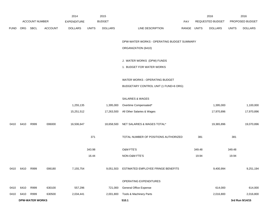|             |                        | <b>ACCOUNT NUMBER</b> |                | 2014<br><b>EXPENDITURE</b> |              | 2015<br><b>BUDGET</b> |                                              | PAY         |        | 2016<br>REQUESTED BUDGET |              | 2016<br>PROPOSED BUDGET |
|-------------|------------------------|-----------------------|----------------|----------------------------|--------------|-----------------------|----------------------------------------------|-------------|--------|--------------------------|--------------|-------------------------|
| <b>FUND</b> | ORG SBCL               |                       | <b>ACCOUNT</b> | <b>DOLLARS</b>             | <b>UNITS</b> | <b>DOLLARS</b>        | LINE DESCRIPTION                             | RANGE UNITS |        | <b>DOLLARS</b>           | <b>UNITS</b> | <b>DOLLARS</b>          |
|             |                        |                       |                |                            |              |                       |                                              |             |        |                          |              |                         |
|             |                        |                       |                |                            |              |                       | DPW-WATER WORKS - OPERATING BUDGET SUMMARY   |             |        |                          |              |                         |
|             |                        |                       |                |                            |              |                       | ORGANIZATION (6410)                          |             |        |                          |              |                         |
|             |                        |                       |                |                            |              |                       |                                              |             |        |                          |              |                         |
|             |                        |                       |                |                            |              |                       | J. WATER WORKS (DPW) FUNDS                   |             |        |                          |              |                         |
|             |                        |                       |                |                            |              |                       | 1. BUDGET FOR WATER WORKS                    |             |        |                          |              |                         |
|             |                        |                       |                |                            |              |                       | WATER WORKS - OPERATING BUDGET               |             |        |                          |              |                         |
|             |                        |                       |                |                            |              |                       | BUDGETARY CONTROL UNIT (1 FUND=6 ORG)        |             |        |                          |              |                         |
|             |                        |                       |                |                            |              |                       |                                              |             |        |                          |              |                         |
|             |                        |                       |                |                            |              |                       | SALARIES & WAGES                             |             |        |                          |              |                         |
|             |                        |                       |                | 1,255,135                  |              | 1,395,000             | Overtime Compensated*                        |             |        | 1,395,000                |              | 1,100,000               |
|             |                        |                       |                | 15,251,512                 |              | 17,263,500            | All Other Salaries & Wages                   |             |        | 17,970,896               |              | 17,970,896              |
| 0410        | 6410                   | R999                  | 006000         | 16,506,647                 |              | 18,658,500            | NET SALARIES & WAGES TOTAL*                  |             |        | 19,365,896               |              | 19,070,896              |
|             |                        |                       |                |                            | 371          |                       | TOTAL NUMBER OF POSITIONS AUTHORIZED         |             | 381    |                          | 381          |                         |
|             |                        |                       |                |                            |              |                       |                                              |             |        |                          |              |                         |
|             |                        |                       |                |                            | 343.98       |                       | O&M FTE'S                                    |             | 349.48 |                          | 349.48       |                         |
|             |                        |                       |                |                            | 16.44        |                       | NON-O&M FTE'S                                |             | 19.94  |                          | 19.94        |                         |
|             | 0410 6410 R999         |                       | 006180         | 7,155,754                  |              |                       | 9,051,503 ESTIMATED EMPLOYEE FRINGE BENEFITS |             |        | 9,400,994                |              | 9,251,194               |
|             |                        |                       |                |                            |              |                       | OPERATING EXPENDITURES                       |             |        |                          |              |                         |
| 0410        | 6410                   | R999                  | 630100         | 557,296                    |              | 721,000               | General Office Expense                       |             |        | 614,000                  |              | 614,000                 |
| 0410        | 6410                   | R999                  | 630500         | 2,034,441                  |              | 2,001,800             | Tools & Machinery Parts                      |             |        | 2,016,800                |              | 2,016,800               |
|             | <b>DPW-WATER WORKS</b> |                       |                |                            |              |                       | 510.1                                        |             |        |                          |              | 3rd Run 9/14/15         |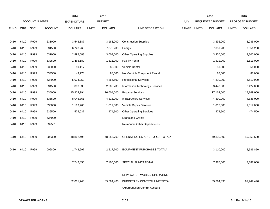|             |      |                       |                | 2014               |              | 2015           |                                 |       |              | 2016             |              | 2016            |
|-------------|------|-----------------------|----------------|--------------------|--------------|----------------|---------------------------------|-------|--------------|------------------|--------------|-----------------|
|             |      | <b>ACCOUNT NUMBER</b> |                | <b>EXPENDITURE</b> |              | <b>BUDGET</b>  |                                 | PAY   |              | REQUESTED BUDGET |              | PROPOSED BUDGET |
| <b>FUND</b> | ORG  | <b>SBCL</b>           | <b>ACCOUNT</b> | <b>DOLLARS</b>     | <b>UNITS</b> | <b>DOLLARS</b> | LINE DESCRIPTION                | RANGE | <b>UNITS</b> | <b>DOLLARS</b>   | <b>UNITS</b> | <b>DOLLARS</b>  |
|             |      |                       |                |                    |              |                |                                 |       |              |                  |              |                 |
| 0410        | 6410 | R999                  | 631000         | 3,543,387          |              | 3,183,000      | <b>Construction Supplies</b>    |       |              | 3,336,000        |              | 3,286,000       |
| 0410        | 6410 | R999                  | 631500         | 6,728,263          |              | 7,075,200      | Energy                          |       |              | 7,051,200        |              | 7,051,200       |
| 0410        | 6410 | R999                  | 632000         | 2,898,583          |              | 3,607,000      | <b>Other Operating Supplies</b> |       |              | 3,355,000        |              | 3,305,000       |
| 0410        | 6410 | R999                  | 632500         | 1,466,189          |              | 1,511,000      | <b>Facility Rental</b>          |       |              | 1,511,000        |              | 1,511,000       |
| 0410        | 6410 | R999                  | 633000         | 10,117             |              | 86,000         | Vehicle Rental                  |       |              | 51,000           |              | 51,000          |
| 0410        | 6410 | R999                  | 633500         | 49,778             |              | 88,000         | Non-Vehicle Equipment Rental    |       |              | 88,000           |              | 88,000          |
| 0410        | 6410 | R999                  | 634000         | 5,074,253          |              | 4,866,500      | <b>Professional Services</b>    |       |              | 4,810,000        |              | 4,510,000       |
| 0410        | 6410 | R999                  | 634500         | 803,530            |              | 2,206,700      | Information Technology Services |       |              | 3,447,000        |              | 3,422,000       |
| 0410        | 6410 | R999                  | 635000         | 15,904,994         |              | 16,604,000     | <b>Property Services</b>        |       |              | 17,169,000       |              | 17,169,000      |
| 0410        | 6410 | R999                  | 635500         | 8,046,861          |              | 4,815,000      | <b>Infrastructure Services</b>  |       |              | 4,890,000        |              | 4,838,000       |
| 0410        | 6410 | R999                  | 636000         | 1,169,766          |              | 1,017,000      | Vehicle Repair Services         |       |              | 1,017,000        |              | 1,017,000       |
| 0410        | 6410 | R999                  | 636500         | 575,037            |              | 474,500        | <b>Other Operating Services</b> |       |              | 474,500          |              | 474,500         |
| 0410        | 6410 | R999                  | 637000         |                    |              |                | Loans and Grants                |       |              |                  |              |                 |
| 0410        | 6410 | R999                  | 637501         |                    |              |                | Reimburse Other Departments     |       |              |                  |              |                 |
|             |      |                       |                |                    |              |                |                                 |       |              |                  |              |                 |
| 0410        | 6410 | R999                  | 006300         | 48,862,495         |              | 48,256,700     | OPERATING EXPENDITURES TOTAL*   |       |              | 49,830,500       |              | 49,353,500      |
|             |      |                       |                |                    |              |                |                                 |       |              |                  |              |                 |
| 0410        | 6410 | R999                  | 006800         | 1,743,997          |              | 2,517,700      | EQUIPMENT PURCHASES TOTAL*      |       |              | 3,110,000        |              | 2,686,850       |
|             |      |                       |                |                    |              |                |                                 |       |              |                  |              |                 |
|             |      |                       |                | 7,742,850          |              | 7.100.000      | SPECIAL FUNDS TOTAL             |       |              | 7,387,000        |              | 7,387,000       |
|             |      |                       |                |                    |              |                |                                 |       |              |                  |              |                 |
|             |      |                       |                |                    |              |                | DPW-WATER WORKS OPERATING       |       |              |                  |              |                 |
|             |      |                       |                | 82,011,743         |              | 85,584,403     | BUDGETARY CONTROL UNIT TOTAL    |       |              | 89,094,390       |              | 87,749,440      |
|             |      |                       |                |                    |              |                | *Appropriation Control Account  |       |              |                  |              |                 |
|             |      |                       |                |                    |              |                |                                 |       |              |                  |              |                 |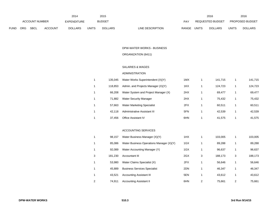|             |                |             |                    | 2014           |               | 2015           |                                  | 2016                           |                        | 2016           |
|-------------|----------------|-------------|--------------------|----------------|---------------|----------------|----------------------------------|--------------------------------|------------------------|----------------|
|             | ACCOUNT NUMBER |             | <b>EXPENDITURE</b> |                | <b>BUDGET</b> | PAY            | REQUESTED BUDGET                 |                                | <b>PROPOSED BUDGET</b> |                |
| <b>FUND</b> | ORG            | <b>SBCL</b> | <b>ACCOUNT</b>     | <b>DOLLARS</b> | UNITS         | <b>DOLLARS</b> | <b>RANGE</b><br>LINE DESCRIPTION | <b>UNITS</b><br><b>DOLLARS</b> | <b>UNITS</b>           | <b>DOLLARS</b> |

### DPW-WATER WORKS - BUSINESS

# ORGANIZATION (6411)

### SALARIES & WAGES

### ADMINISTRATION

| 1 | 135.045 | Water Works Superintendent (X)(Y)    | 1MX | 141.715 | 141,715 |
|---|---------|--------------------------------------|-----|---------|---------|
| 1 | 118.853 | Admin. and Projects Manager (X)(Y)   | 1KX | 124.723 | 124,723 |
| 1 | 66.208  | Water System and Project Manager (X) | 2HX | 69.477  | 69,477  |
| 1 | 71.882  | <b>Water Security Manager</b>        | 2HX | 75.432  | 75,432  |
| 1 | 57.663  | <b>Water Marketing Specialist</b>    | 2FX | 60.511  | 60,511  |
| 1 | 42.118  | Administrative Assistant III         | 5FN | 42.539  | 42,539  |
| 1 | 37.456  | <b>Office Assistant IV</b>           | 6HN | 41,575  | 41,575  |

#### ACCOUNTING SERVICES

|   | 98.157  | Water Business Manager (X)(Y)            | 1HX |   | 103.005 |   | 103,005 |
|---|---------|------------------------------------------|-----|---|---------|---|---------|
|   | 85.086  | Water Business Operations Manager (X)(Y) | 1GX |   | 89,288  |   | 89,288  |
|   | 92.089  | Water Accounting Manager (Y)             | 1GX |   | 96,637  | 1 | 96,637  |
| 3 | 181.230 | Accountant III                           | 2GX | 3 | 188.173 | 3 | 188,173 |
|   | 53.980  | Water Claims Specialist (X)              | 2FX |   | 56.646  |   | 56,646  |
| 1 | 45.889  | <b>Business Services Specialist</b>      | 2DN |   | 46.347  |   | 46,347  |
| 1 | 43.521  | <b>Accounting Assistant III</b>          | 5EN |   | 43.612  |   | 43,612  |
| 2 | 74.911  | <b>Accounting Assistant II</b>           | 6HN | 2 | 75,661  | 2 | 75,661  |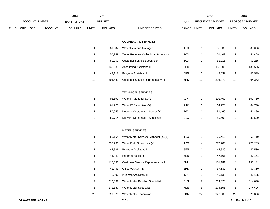|             |            |                       |                | 2014               |              | 2015           |                                      |                 |              | 2016                    |              | 2016            |
|-------------|------------|-----------------------|----------------|--------------------|--------------|----------------|--------------------------------------|-----------------|--------------|-------------------------|--------------|-----------------|
|             |            | <b>ACCOUNT NUMBER</b> |                | <b>EXPENDITURE</b> |              | <b>BUDGET</b>  |                                      | PAY             |              | <b>REQUESTED BUDGET</b> |              | PROPOSED BUDGET |
| <b>FUND</b> | <b>ORG</b> | <b>SBCL</b>           | <b>ACCOUNT</b> | <b>DOLLARS</b>     | <b>UNITS</b> | <b>DOLLARS</b> | LINE DESCRIPTION                     | <b>RANGE</b>    | <b>UNITS</b> | <b>DOLLARS</b>          | <b>UNITS</b> | <b>DOLLARS</b>  |
|             |            |                       |                |                    |              |                |                                      |                 |              |                         |              |                 |
|             |            |                       |                |                    |              |                | <b>COMMERCIAL SERVICES</b>           |                 |              |                         |              |                 |
|             |            |                       |                |                    |              | 81,034         | Water Revenue Manager                | 1EX             |              | 85,036                  |              | 85,036          |
|             |            |                       |                |                    |              | 50,959         | Water Revenue Collections Supervisor | 1CX             |              | 51,469                  |              | 51,469          |
|             |            |                       |                |                    |              | 50.959         | Customer Service Supervisor          | 1C <sub>X</sub> |              | 52 215                  |              | 52,215          |

|    | 81.034  | Water Revenue Manager                      | 1EX |    | 85.036  |    | 85,036  |
|----|---------|--------------------------------------------|-----|----|---------|----|---------|
|    | 50.959  | Water Revenue Collections Supervisor       | 1CX |    | 51.469  |    | 51,469  |
|    | 50.959  | <b>Customer Service Supervisor</b>         | 1CX |    | 52.215  |    | 52,215  |
| 3  | 130.089 | <b>Accounting Assistant III</b>            | 5EN | 3  | 130.506 | 3  | 130,506 |
|    | 42.118  | Program Assistant II                       | 5FN |    | 42.539  |    | 42,539  |
| 10 | 394.431 | <b>Customer Service Representative III</b> | 6HN | 10 | 394.372 | 10 | 394.372 |

### TECHNICAL SERVICES

|   | 96.693 | Water IT Manager (X)(Y)              | 1 I X | 101.469 | 101,469 |
|---|--------|--------------------------------------|-------|---------|---------|
|   | 61.721 | Water IT Supervisor (X)              | 2JX   | 64.770  | 64,770  |
|   | 50.959 | Network Coordinator- Senior (X)      | 2GX   | 51.469  | 51,469  |
| 2 | 89.714 | <b>Network Coordinator-Associate</b> | 2EX   | 89.500  | 89,500  |

### METER SERVICES

| 1              | 66.164  | Water Meter Services Manager (X)(Y) | 1EX |    | 69,410  |    | 69,410  |
|----------------|---------|-------------------------------------|-----|----|---------|----|---------|
| 5              | 295.780 | Water Field Supervisor (X)          | 1BX | 4  | 273,283 | 4  | 273,283 |
| 1              | 42,526  | Program Assistant II                | 5FN | 1  | 42,539  | 1  | 42,539  |
| 1              | 44.941  | Program Assistant I                 | 5EN | 1  | 47,161  | 1  | 47,161  |
| 3              | 116.592 | Customer Service Representative III | 6HN | 4  | 151,181 | 4  | 151,181 |
| 1              | 41.449  | <b>Office Assistant IV</b>          | 6HN | 1  | 37,830  | 1  | 37,830  |
| 1              | 42.906  | <b>Inventory Assistant III</b>      | 6IN | 1  | 40,135  | 1  | 40,135  |
| $\overline{7}$ | 312.339 | Water Meter Reading Specialist      | 6LN | 7  | 314,828 | 7  | 314,828 |
| 6              | 271.187 | <b>Water Meter Specialist</b>       | 7EN | 6  | 274,696 | 6  | 274,696 |
| 22             | 899,620 | Water Meter Technician              | 7DN | 22 | 920,306 | 22 | 920,306 |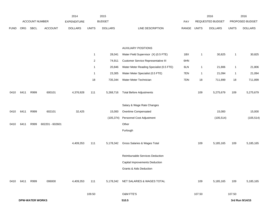|             |                        |                | 2015<br>2014    |                    |                |                | 2016                                     |       | 2016         |                  |                |                 |
|-------------|------------------------|----------------|-----------------|--------------------|----------------|----------------|------------------------------------------|-------|--------------|------------------|----------------|-----------------|
|             |                        | ACCOUNT NUMBER |                 | <b>EXPENDITURE</b> |                | <b>BUDGET</b>  |                                          | PAY   |              | REQUESTED BUDGET |                | PROPOSED BUDGET |
| <b>FUND</b> | ORG                    | SBCL           | <b>ACCOUNT</b>  | <b>DOLLARS</b>     | <b>UNITS</b>   | <b>DOLLARS</b> | LINE DESCRIPTION                         | RANGE | <b>UNITS</b> | <b>DOLLARS</b>   | <b>UNITS</b>   | <b>DOLLARS</b>  |
|             |                        |                |                 |                    |                |                |                                          |       |              |                  |                |                 |
|             |                        |                |                 |                    |                |                | <b>AUXILIARY POSITIONS</b>               |       |              |                  |                |                 |
|             |                        |                |                 |                    | $\mathbf{1}$   |                |                                          | 1BX   |              |                  |                |                 |
|             |                        |                |                 |                    |                | 28,041         | Water Field Supervisor (X) (0.5 FTE)     |       | $\mathbf{1}$ | 30,825           | $\overline{1}$ | 30,825          |
|             |                        |                |                 |                    | $\overline{2}$ | 74,911         | Customer Service Representative III      | 6HN   |              |                  |                |                 |
|             |                        |                |                 |                    | $\mathbf{1}$   | 20,846         | Water Meter Reading Specialist (0.5 FTE) | 6LN   | $\mathbf{1}$ | 21,806           | $\overline{1}$ | 21,806          |
|             |                        |                |                 |                    | $\mathbf{1}$   | 23,305         | Water Meter Specialist (0.5 FTE)         | 7EN   | $\mathbf{1}$ | 21,094           | $\mathbf{1}$   | 21,094          |
|             |                        |                |                 |                    | 18             | 735,344        | Water Meter Technician                   | 7DN   | 18           | 711,899          | 18             | 711,899         |
| 0410        | 6411                   | R999           | 600101          | 4,376,928          | 111            | 5,268,716      | <b>Total Before Adjustments</b>          |       | 109          | 5,275,679        | 109            | 5,275,679       |
|             |                        |                |                 |                    |                |                |                                          |       |              |                  |                |                 |
|             |                        |                |                 |                    |                |                | Salary & Wage Rate Changes               |       |              |                  |                |                 |
| 0410        | 6411                   | R999           | 602101          | 32,425             |                | 15,000         | Overtime Compensated                     |       |              | 15,000           |                | 15,000          |
|             |                        |                |                 |                    |                | (105, 374)     | Personnel Cost Adjustment                |       |              | (105, 514)       |                | (105, 514)      |
| 0410        | 6411                   | R999           | 602201 - 602601 |                    |                |                | Other                                    |       |              |                  |                |                 |
|             |                        |                |                 |                    |                |                | Furlough                                 |       |              |                  |                |                 |
|             |                        |                |                 | 4,409,353          | 111            | 5,178,342      | Gross Salaries & Wages Total             |       | 109          | 5,185,165        | 109            | 5,185,165       |
|             |                        |                |                 |                    |                |                |                                          |       |              |                  |                |                 |
|             |                        |                |                 |                    |                |                | Reimbursable Services Deduction          |       |              |                  |                |                 |
|             |                        |                |                 |                    |                |                | Capital Improvements Deduction           |       |              |                  |                |                 |
|             |                        |                |                 |                    |                |                | Grants & Aids Deduction                  |       |              |                  |                |                 |
| 0410        | 6411                   | R999           | 006000          | 4,409,353          | 111            | 5,178,342      | NET SALARIES & WAGES TOTAL               |       | 109          | 5,185,165        | 109            | 5,185,165       |
|             |                        |                |                 |                    |                |                |                                          |       |              |                  |                |                 |
|             |                        |                |                 |                    | 109.50         |                | O&M FTE'S                                |       | 107.50       |                  | 107.50         |                 |
|             | <b>DPW-WATER WORKS</b> |                |                 |                    |                |                | 510.5                                    |       |              |                  |                | 3rd Run 9/14/15 |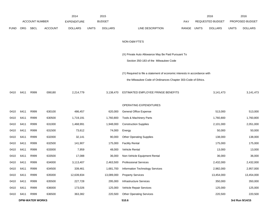|             |      |                        |                | 2014               |              | 2015           |                                                                           |             | 2016             |              | 2016            |
|-------------|------|------------------------|----------------|--------------------|--------------|----------------|---------------------------------------------------------------------------|-------------|------------------|--------------|-----------------|
|             |      | <b>ACCOUNT NUMBER</b>  |                | <b>EXPENDITURE</b> |              | <b>BUDGET</b>  |                                                                           | PAY         | REQUESTED BUDGET |              | PROPOSED BUDGET |
| <b>FUND</b> | ORG  | SBCL                   | <b>ACCOUNT</b> | <b>DOLLARS</b>     | <b>UNITS</b> | <b>DOLLARS</b> | LINE DESCRIPTION                                                          | RANGE UNITS | <b>DOLLARS</b>   | <b>UNITS</b> | <b>DOLLARS</b>  |
|             |      |                        |                |                    |              |                |                                                                           |             |                  |              |                 |
|             |      |                        |                |                    |              |                | NON-O&M FTE'S                                                             |             |                  |              |                 |
|             |      |                        |                |                    |              |                |                                                                           |             |                  |              |                 |
|             |      |                        |                |                    |              |                | (X) Private Auto Allowance May Be Paid Pursuant To                        |             |                  |              |                 |
|             |      |                        |                |                    |              |                | Section 350-183 of the Milwaukee Code                                     |             |                  |              |                 |
|             |      |                        |                |                    |              |                | (Y) Required to file a statement of economic interests in accordance with |             |                  |              |                 |
|             |      |                        |                |                    |              |                | the Milwaukee Code of Ordinances Chapter 303-Code of Ethics.              |             |                  |              |                 |
|             |      |                        |                |                    |              |                |                                                                           |             |                  |              |                 |
| 0410        | 6411 | R999                   | 006180         | 2,214,779          |              | 3,138,470      | ESTIMATED EMPLOYEE FRINGE BENEFITS                                        |             | 3,141,473        |              | 3,141,473       |
|             |      |                        |                |                    |              |                |                                                                           |             |                  |              |                 |
|             |      |                        |                |                    |              |                | OPERATING EXPENDITURES                                                    |             |                  |              |                 |
| 0410        | 6411 | R999                   | 630100         | 486,457            |              | 620,000        | General Office Expense                                                    |             | 513,000          |              | 513,000         |
| 0410        | 6411 | R999                   | 630500         | 1,719,191          |              | 1,760,800      | Tools & Machinery Parts                                                   |             | 1,760,800        |              | 1,760,800       |
| 0410        | 6411 | R999                   | 631000         | 1,468,991          |              | 1,948,000      | <b>Construction Supplies</b>                                              |             | 2,101,000        |              | 2,051,000       |
| 0410        | 6411 | R999                   | 631500         | 73,612             |              | 74,000         | Energy                                                                    |             | 50,000           |              | 50,000          |
| 0410        | 6411 | R999                   | 632000         | 32,141             |              | 90,000         | <b>Other Operating Supplies</b>                                           |             | 138,000          |              | 138,000         |
| 0410        | 6411 | R999                   | 632500         | 141,907            |              | 175,000        | <b>Facility Rental</b>                                                    |             | 175,000          |              | 175,000         |
| 0410        | 6411 | R999                   | 633000         | 7,959              |              | 48,000         | <b>Vehicle Rental</b>                                                     |             | 13,000           |              | 13,000          |
| 0410        | 6411 | R999                   | 633500         | 17,088             |              | 36,000         | Non-Vehicle Equipment Rental                                              |             | 36,000           |              | 36,000          |
| 0410        | 6411 | R999                   | 634000         | 3,113,407          |              | 2,463,500      | <b>Professional Services</b>                                              |             | 2,432,000        |              | 2,432,000       |
| 0410        | 6411 | R999                   | 634500         | 339,461            |              | 1,681,700      | Information Technology Services                                           |             | 2,982,000        |              | 2,957,000       |
| 0410        | 6411 | R999                   | 635000         | 12,639,834         |              | 13,089,000     | <b>Property Services</b>                                                  |             | 13,454,000       |              | 13,454,000      |
| 0410        | 6411 | R999                   | 635500         | 227,728            |              | 295,000        | Infrastructure Services                                                   |             | 350,000          |              | 350,000         |
| 0410        | 6411 | R999                   | 636000         | 173,026            |              | 125,000        | Vehicle Repair Services                                                   |             | 125,000          |              | 125,000         |
| 0410        | 6411 | R999                   | 636500         | 363,382            |              | 220,500        | <b>Other Operating Services</b>                                           |             | 220,500          |              | 220,500         |
|             |      | <b>DPW-WATER WORKS</b> |                |                    |              |                | 510.6                                                                     |             |                  |              | 3rd Run 9/14/15 |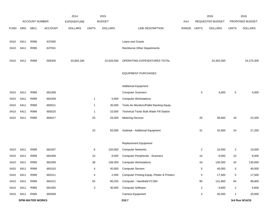|             |                        |                       |                | 2014               |              | 2015           |                                             |       |                | 2016             |                 | 2016            |
|-------------|------------------------|-----------------------|----------------|--------------------|--------------|----------------|---------------------------------------------|-------|----------------|------------------|-----------------|-----------------|
|             |                        | <b>ACCOUNT NUMBER</b> |                | <b>EXPENDITURE</b> |              | <b>BUDGET</b>  |                                             | PAY   |                | REQUESTED BUDGET | PROPOSED BUDGET |                 |
| <b>FUND</b> | <b>ORG</b>             | <b>SBCL</b>           | <b>ACCOUNT</b> | <b>DOLLARS</b>     | <b>UNITS</b> | <b>DOLLARS</b> | LINE DESCRIPTION                            | RANGE | <b>UNITS</b>   | <b>DOLLARS</b>   | <b>UNITS</b>    | <b>DOLLARS</b>  |
|             |                        |                       |                |                    |              |                |                                             |       |                |                  |                 |                 |
| 0410        | 6411                   | R999                  | 637000         |                    |              |                | Loans and Grants                            |       |                |                  |                 |                 |
| 0410        | 6411                   | R999                  | 637501         |                    |              |                | <b>Reimburse Other Departments</b>          |       |                |                  |                 |                 |
|             |                        |                       |                |                    |              |                |                                             |       |                |                  |                 |                 |
| 0410        | 6411                   | R999                  | 006300         | 20,804,184         |              | 22,626,500     | OPERATING EXPENDITURES TOTAL                |       |                | 24,350,300       |                 | 24,275,300      |
|             |                        |                       |                |                    |              |                | <b>EQUIPMENT PURCHASES</b>                  |       |                |                  |                 |                 |
|             |                        |                       |                |                    |              |                |                                             |       |                |                  |                 |                 |
|             |                        |                       |                |                    |              |                | <b>Additional Equipment</b>                 |       |                |                  |                 |                 |
| 0410        | 6411                   | R999                  | 681008         |                    |              |                | <b>Computer Scanners</b>                    |       | 5              | 4,000            | 5               | 4,000           |
| 0410        | 6411                   | R999                  | 681009         |                    | $\mathbf{1}$ | 5,000          | <b>Computer Workstations</b>                |       |                |                  |                 |                 |
| 0410        | 6411                   | R999                  | 683521         |                    | $\mathbf{1}$ | 35,000         | Tools-Air Monitors/Pallet Racking Equip.    |       |                |                  |                 |                 |
| 0410        | 6411                   | R999                  | 683525         |                    | $\mathbf{1}$ | 10,000         | Technical Tools/ Bulk Water Fill Station    |       |                |                  |                 |                 |
| 0410        | 6411                   | R999                  | 684017         |                    | 20           | 33,000         | <b>Metering Devices</b>                     |       | 26             | 38,600           | 19              | 23,200          |
|             |                        |                       |                |                    |              |                |                                             |       |                |                  |                 |                 |
|             |                        |                       |                |                    | 23           | 83,000         | Subtotal - Additional Equipment             |       | 31             | 42,600           | 24              | 27,200          |
|             |                        |                       |                |                    |              |                | Replacement Equipment                       |       |                |                  |                 |                 |
| 0410        | 6411                   | R999                  | 681007         |                    | 6            | 220,000        | <b>Computer Networks</b>                    |       | $\overline{2}$ | 10,000           | $\overline{2}$  | 10,000          |
| 0410        | 6411                   | R999                  | 681008         |                    | 10           | 8,000          | <b>Computer Peripherals - Scanners</b>      |       | 10             | 8,000            | 10              | 8,000           |
| 0410        | 6411                   | R999                  | 681009         |                    | 38           | 106,000        | <b>Computer Workstations</b>                |       | 43             | 130,000          | 43              | 130,000         |
| 0410        | 6411                   | R999                  | 681010         |                    | 4            | 40,000         | <b>Computer Servers</b>                     |       | 5              | 40,000           | 5               | 40,000          |
| 0410        | 6411                   | R999                  | 681011         |                    | 4            | 2,000          | Computer Printing Equip.-Plotter & Printers |       | 5              | 17,500           | 5               | 17,500          |
| 0410        | 6411                   | R999                  | 681012         |                    | 55           | 90,250         | Computer - Handheld FC300                   |       | 95             | 131,800          | 84              | 99,800          |
| 0410        | 6411                   | R999                  | 681050         |                    | 3            | 30,600         | <b>Computer Software</b>                    |       | $\overline{a}$ | 9,600            | $\overline{a}$  | 9,600           |
| 0410        | 6411                   | R999                  | 682008         |                    |              |                | Camera Equipment                            |       | 4              | 40,000           | $\overline{2}$  | 20,000          |
|             | <b>DPW-WATER WORKS</b> |                       |                |                    |              |                | 510.7                                       |       |                |                  |                 | 3rd Run 9/14/15 |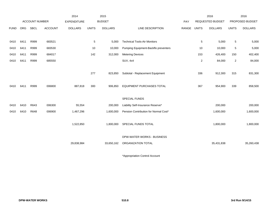|             |      |                       |                | 2014               |              | 2015           |                                       |       |              | 2016                    |              | 2016            |
|-------------|------|-----------------------|----------------|--------------------|--------------|----------------|---------------------------------------|-------|--------------|-------------------------|--------------|-----------------|
|             |      | <b>ACCOUNT NUMBER</b> |                | <b>EXPENDITURE</b> |              | <b>BUDGET</b>  |                                       | PAY   |              | <b>REQUESTED BUDGET</b> |              | PROPOSED BUDGET |
| <b>FUND</b> | ORG  | <b>SBCL</b>           | <b>ACCOUNT</b> | <b>DOLLARS</b>     | <b>UNITS</b> | <b>DOLLARS</b> | LINE DESCRIPTION                      | RANGE | <b>UNITS</b> | <b>DOLLARS</b>          | <b>UNITS</b> | <b>DOLLARS</b>  |
|             |      |                       |                |                    |              |                |                                       |       |              |                         |              |                 |
| 0410        | 6411 | R999                  | 683521         |                    | 5            | 5,000          | <b>Technical Tools-Air Monitors</b>   |       | 5            | 5,000                   | 5            | 5,000           |
| 0410        | 6411 | R999                  | 683530         |                    | 10           | 10,000         | Pumping Equipment-Backflo preventers  |       | 10           | 10,000                  | 5            | 5,000           |
| 0410        | 6411 | R999                  | 684017         |                    | 142          | 312,000        | <b>Metering Devices</b>               |       | 153          | 426,400                 | 150          | 402,400         |
| 0410        | 6411 | R999                  | 685550         |                    |              |                | <b>SUV, 4x4</b>                       |       | $\mathbf{2}$ | 84,000                  | $\mathbf{2}$ | 84,000          |
|             |      |                       |                |                    |              |                |                                       |       |              |                         |              |                 |
|             |      |                       |                |                    | 277          | 823,850        | Subtotal - Replacement Equipment      |       | 336          | 912,300                 | 315          | 831,300         |
|             |      |                       |                |                    |              |                |                                       |       |              |                         |              |                 |
| 0410        | 6411 | R999                  | 006800         | 887,818            | 300          | 906,850        | EQUIPMENT PURCHASES TOTAL             |       | 367          | 954,900                 | 339          | 858,500         |
|             |      |                       |                |                    |              |                |                                       |       |              |                         |              |                 |
|             |      |                       |                |                    |              |                | <b>SPECIAL FUNDS</b>                  |       |              |                         |              |                 |
| 0410        | 6410 | R643                  | 006300         | 55,554             |              | 200,000        | Liability Self-Insurance Reserve*     |       |              | 200,000                 |              | 200,000         |
| 0410        | 6410 | R648                  | 006900         | 1,467,296          |              | 1,600,000      | Pension Contribution for Normal Cost* |       |              | 1,600,000               |              | 1,600,000       |
|             |      |                       |                |                    |              |                |                                       |       |              |                         |              |                 |
|             |      |                       |                | 1,522,850          |              | 1,800,000      | SPECIAL FUNDS TOTAL                   |       |              | 1,800,000               |              | 1,800,000       |
|             |      |                       |                |                    |              |                |                                       |       |              |                         |              |                 |
|             |      |                       |                |                    |              |                | DPW-WATER WORKS - BUSINESS            |       |              |                         |              |                 |
|             |      |                       |                | 29,838,984         |              | 33,650,162     | ORGANIZATION TOTAL                    |       |              | 35,431,838              |              | 35,260,438      |
|             |      |                       |                |                    |              |                |                                       |       |              |                         |              |                 |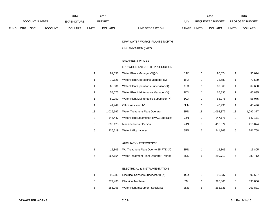|             |                |             |                    | 2014           |               | 2015           |                           |                         | 2016           |                        | 2016           |
|-------------|----------------|-------------|--------------------|----------------|---------------|----------------|---------------------------|-------------------------|----------------|------------------------|----------------|
|             | ACCOUNT NUMBER |             | <b>EXPENDITURE</b> |                | <b>BUDGET</b> | <b>PAY</b>     |                           | <b>REQUESTED BUDGET</b> |                | <b>PROPOSED BUDGET</b> |                |
| <b>FUND</b> | <b>ORG</b>     | <b>SBCL</b> | <b>ACCOUNT</b>     | <b>DOLLARS</b> | <b>UNITS</b>  | <b>DOLLARS</b> | RANGE<br>LINE DESCRIPTION | UNITS                   | <b>DOLLARS</b> | <b>UNITS</b>           | <b>DOLLARS</b> |

DPW-WATER WORKS-PLANTS-NORTH

ORGANIZATION (6412)

## SALARIES & WAGES

## LINNWOOD and NORTH PRODUCTION

| 1  | 91,553    | Water Plants Manager (X)(Y)              | 1JX |    | 96.074    |    | 96,074    |
|----|-----------|------------------------------------------|-----|----|-----------|----|-----------|
| 1  | 70.126    | Water Plant Operations Manager (X)       | 1HX |    | 73,589    |    | 73,589    |
| 1  | 66.381    | Water Plant Operations Supervisor (X)    | 1FX | 1  | 69,660    |    | 69,660    |
| 1  | 58.075    | Water Plant Maintenance Manager (X)      | 1DX | 1  | 65,835    |    | 65,835    |
| 1  | 50.959    | Water Plant Maintenance Supervisor (X)   | 1CX | 1  | 58,075    | 1  | 58,075    |
| 1  | 41.449    | <b>Office Assistant IV</b>               | 6HN | 1  | 43,496    | 1  | 43,496    |
| 18 | 1.029.667 | Water Treatment Plant Operator           | 3PN | 18 | 1,092,377 | 18 | 1,092,377 |
| 3  | 146.447   | Water Plant Steamfitter/ HVAC Specialist | 7JN | 3  | 147,171   | 3  | 147,171   |
| 8  | 395.128   | Machine Repair Person                    | 7JN | 8  | 416,074   | 8  | 416,074   |
| 6  | 236.519   | <b>Water Utility Laborer</b>             | 8FN | 6  | 241,768   | 6  | 241,768   |

#### AUXILIARY - EMERGENCY

|  | 15,805 Wtr. Treatment Plant Oper (0.25 FTE)(A) | 3PN | 15.805  | 15,805  |
|--|------------------------------------------------|-----|---------|---------|
|  | 267,154 Water Treatment Plant Operator Trainee | 3GN | 289.712 | 289,712 |

### ELECTRICAL & INSTRUMENTATION

|   | 92.089  | Electrical Services Supervisor II (X) | 1GX | 96.637  |   | 96.637  |
|---|---------|---------------------------------------|-----|---------|---|---------|
| 6 | 377.483 | Electrical Mechanic                   | 7M  | 395.866 | ี | 395.866 |
| 5 | 256,298 | Water Plant Instrument Specialist     | 3KN | 263.831 |   | 263,831 |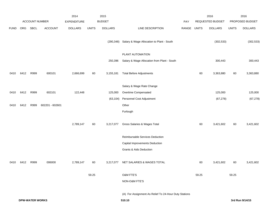|             |            |                        |                 | 2014               |              | 2015           |                                                       |             |       | 2016             |              | 2016            |
|-------------|------------|------------------------|-----------------|--------------------|--------------|----------------|-------------------------------------------------------|-------------|-------|------------------|--------------|-----------------|
|             |            | ACCOUNT NUMBER         |                 | <b>EXPENDITURE</b> |              | <b>BUDGET</b>  |                                                       | PAY         |       | REQUESTED BUDGET |              | PROPOSED BUDGET |
| <b>FUND</b> | <b>ORG</b> | SBCL                   | <b>ACCOUNT</b>  | <b>DOLLARS</b>     | <b>UNITS</b> | <b>DOLLARS</b> | LINE DESCRIPTION                                      | RANGE UNITS |       | <b>DOLLARS</b>   | <b>UNITS</b> | <b>DOLLARS</b>  |
|             |            |                        |                 |                    |              |                |                                                       |             |       |                  |              |                 |
|             |            |                        |                 |                    |              | (290, 348)     | Salary & Wage Allocation to Plant - South             |             |       | (302, 533)       |              | (302, 533)      |
|             |            |                        |                 |                    |              |                |                                                       |             |       |                  |              |                 |
|             |            |                        |                 |                    |              |                | PLANT AUTOMATION                                      |             |       |                  |              |                 |
|             |            |                        |                 |                    |              | 250,396        | Salary & Wage Allocation from Plant - South           |             |       | 300,443          |              | 300,443         |
| 0410        | 6412       | R999                   | 600101          | 2,666,699          | 60           | 3,155,181      | <b>Total Before Adjustments</b>                       |             | 60    | 3,363,880        | 60           | 3,363,880       |
|             |            |                        |                 |                    |              |                |                                                       |             |       |                  |              |                 |
|             |            |                        |                 |                    |              |                | Salary & Wage Rate Change                             |             |       |                  |              |                 |
| 0410        | 6412       | R999                   | 602101          | 122,448            |              | 125,000        | Overtime Compensated                                  |             |       | 125,000          |              | 125,000         |
|             |            |                        |                 |                    |              | (63, 104)      | Personnel Cost Adjustment                             |             |       | (67, 278)        |              | (67, 278)       |
| 0410        | 6412       | R999                   | 602201 - 602601 |                    |              |                | Other                                                 |             |       |                  |              |                 |
|             |            |                        |                 |                    |              |                | Furlough                                              |             |       |                  |              |                 |
|             |            |                        |                 |                    |              |                |                                                       |             |       |                  |              |                 |
|             |            |                        |                 | 2,789,147          | 60           | 3,217,077      | Gross Salaries & Wages Total                          |             | 60    | 3,421,602        | 60           | 3,421,602       |
|             |            |                        |                 |                    |              |                | Reimbursable Services Deduction                       |             |       |                  |              |                 |
|             |            |                        |                 |                    |              |                | Capital Improvements Deduction                        |             |       |                  |              |                 |
|             |            |                        |                 |                    |              |                | <b>Grants &amp; Aids Deduction</b>                    |             |       |                  |              |                 |
|             |            |                        |                 |                    |              |                |                                                       |             |       |                  |              |                 |
| 0410        | 6412       | R999                   | 006000          | 2,789,147          | 60           | 3,217,077      | NET SALARIES & WAGES TOTAL                            |             | 60    | 3,421,602        | 60           | 3,421,602       |
|             |            |                        |                 |                    |              |                |                                                       |             |       |                  |              |                 |
|             |            |                        |                 |                    | 59.25        |                | O&M FTE'S                                             |             | 59.25 |                  | 59.25        |                 |
|             |            |                        |                 |                    |              |                | NON-O&M FTE'S                                         |             |       |                  |              |                 |
|             |            |                        |                 |                    |              |                | (A) For Assignment As Relief To 24-Hour Duty Stations |             |       |                  |              |                 |
|             |            | <b>DPW-WATER WORKS</b> |                 |                    |              |                | 510.10                                                |             |       |                  |              | 3rd Run 9/14/15 |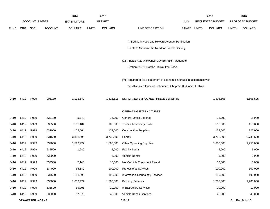|             |      |                        |                | 2014               |              | 2015           |                                                                           |             | 2016             |              | 2016            |
|-------------|------|------------------------|----------------|--------------------|--------------|----------------|---------------------------------------------------------------------------|-------------|------------------|--------------|-----------------|
|             |      | <b>ACCOUNT NUMBER</b>  |                | <b>EXPENDITURE</b> |              | <b>BUDGET</b>  |                                                                           | <b>PAY</b>  | REQUESTED BUDGET |              | PROPOSED BUDGET |
| <b>FUND</b> | ORG  | <b>SBCL</b>            | <b>ACCOUNT</b> | <b>DOLLARS</b>     | <b>UNITS</b> | <b>DOLLARS</b> | LINE DESCRIPTION                                                          | RANGE UNITS | <b>DOLLARS</b>   | <b>UNITS</b> | <b>DOLLARS</b>  |
|             |      |                        |                |                    |              |                |                                                                           |             |                  |              |                 |
|             |      |                        |                |                    |              |                | At Both Linnwood and Howard Avenue Purification                           |             |                  |              |                 |
|             |      |                        |                |                    |              |                | Plants to Minimize the Need for Double Shifting.                          |             |                  |              |                 |
|             |      |                        |                |                    |              |                | (X) Private Auto Allowance May Be Paid Pursuant to                        |             |                  |              |                 |
|             |      |                        |                |                    |              |                | Section 350-183 of the Milwaukee Code.                                    |             |                  |              |                 |
|             |      |                        |                |                    |              |                |                                                                           |             |                  |              |                 |
|             |      |                        |                |                    |              |                | (Y) Required to file a statement of economic interests in accordance with |             |                  |              |                 |
|             |      |                        |                |                    |              |                | the Milwaukee Code of Ordinances Chapter 303-Code of Ethics.              |             |                  |              |                 |
| 0410        | 6412 | R999                   | 006180         | 1,122,540          |              | 1,415,515      | ESTIMATED EMPLOYEE FRINGE BENEFITS                                        |             | 1,505,505        |              | 1,505,505       |
|             |      |                        |                |                    |              |                | OPERATING EXPENDITURES                                                    |             |                  |              |                 |
| 0410        | 6412 | R999                   | 630100         | 9,749              |              | 15,000         | General Office Expense                                                    |             | 15,000           |              | 15,000          |
| 0410        | 6412 | R999                   | 630500         | 135,184            |              | 100,000        | Tools & Machinery Parts                                                   |             | 115,000          |              | 115,000         |
| 0410        | 6412 | R999                   | 631000         | 102,564            |              | 122,000        | <b>Construction Supplies</b>                                              |             | 122,000          |              | 122,000         |
| 0410        | 6412 | R999                   | 631500         | 3,888,696          |              | 3,738,500      | Energy                                                                    |             | 3,738,500        |              | 3,738,500       |
| 0410        | 6412 | R999                   | 632000         | 1,599,922          |              | 1,800,000      | <b>Other Operating Supplies</b>                                           |             | 1,800,000        |              | 1,750,000       |
| 0410        | 6412 | R999                   | 632500         | 1,980              |              | 5,000          | <b>Facility Rental</b>                                                    |             | 5,000            |              | 5,000           |
| 0410        | 6412 | R999                   | 633000         |                    |              | 3,000          | Vehicle Rental                                                            |             | 3,000            |              | 3,000           |
| 0410        | 6412 | R999                   | 633500         | 7,140              |              | 10,000         | Non-Vehicle Equipment Rental                                              |             | 10,000           |              | 10,000          |
| 0410        | 6412 | R999                   | 634000         | 65,840             |              | 100,000        | <b>Professional Services</b>                                              |             | 100,000          |              | 100,000         |
| 0410        | 6412 | R999                   | 634500         | 181,893            |              | 190,000        | Information Technology Services                                           |             | 190,000          |              | 190,000         |
| 0410        | 6412 | R999                   | 635000         | 1,653,427          |              | 1,700,000      | <b>Property Services</b>                                                  |             | 1,700,000        |              | 1,700,000       |
| 0410        | 6412 | R999                   | 635500         | 59,301             |              | 10,000         | <b>Infrastructure Services</b>                                            |             | 10,000           |              | 10,000          |
| 0410        | 6412 | R999                   | 636000         | 57,676             |              | 45,000         | Vehicle Repair Services                                                   |             | 45,000           |              | 45,000          |
|             |      | <b>DPW-WATER WORKS</b> |                |                    |              |                | 510.11                                                                    |             |                  |              | 3rd Run 9/14/15 |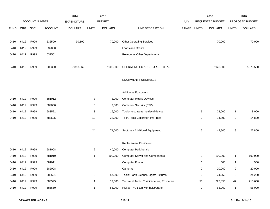|             |            |                       |                | 2014               |                | 2015           |                                            |       |                | 2016                    |                | 2016            |
|-------------|------------|-----------------------|----------------|--------------------|----------------|----------------|--------------------------------------------|-------|----------------|-------------------------|----------------|-----------------|
|             |            | <b>ACCOUNT NUMBER</b> |                | <b>EXPENDITURE</b> |                | <b>BUDGET</b>  |                                            | PAY   |                | <b>REQUESTED BUDGET</b> |                | PROPOSED BUDGET |
| <b>FUND</b> | <b>ORG</b> | SBCL                  | <b>ACCOUNT</b> | <b>DOLLARS</b>     | <b>UNITS</b>   | <b>DOLLARS</b> | LINE DESCRIPTION                           | RANGE | <b>UNITS</b>   | <b>DOLLARS</b>          | <b>UNITS</b>   | <b>DOLLARS</b>  |
|             |            |                       |                |                    |                |                |                                            |       |                |                         |                |                 |
| 0410        | 6412       | R999                  | 636500         | 90,190             |                | 70,000         | <b>Other Operating Services</b>            |       |                | 70,000                  |                | 70,000          |
| 0410        | 6412       | R999                  | 637000         |                    |                |                | Loans and Grants                           |       |                |                         |                |                 |
| 0410        | 6412       | R999                  | 637501         |                    |                |                | <b>Reimburse Other Departments</b>         |       |                |                         |                |                 |
|             |            |                       |                |                    |                |                |                                            |       |                |                         |                |                 |
| 0410        | 6412       | R999                  | 006300         | 7,853,562          |                | 7,908,500      | OPERATING EXPENDITURES TOTAL               |       |                | 7,923,500               |                | 7,873,500       |
|             |            |                       |                |                    |                |                | <b>EQUIPMENT PURCHASES</b>                 |       |                |                         |                |                 |
|             |            |                       |                |                    |                |                |                                            |       |                |                         |                |                 |
|             |            |                       |                |                    |                |                | <b>Additional Equipment</b>                |       |                |                         |                |                 |
| 0410        | 6412       | R999                  | 681012         |                    | 8              | 8,000          | <b>Computer Mobile Devices</b>             |       |                |                         |                |                 |
| 0410        | 6412       | R999                  | 682050         |                    | 3              | 9,000          | Cameras- Security (PTZ)                    |       |                |                         |                |                 |
| 0410        | 6412       | R999                  | 683521         |                    | 3              | 16,000         | Tools-hoist frame, retrieval device        |       | 3              | 28,000                  | $\mathbf{1}$   | 8,000           |
| 0410        | 6412       | R999                  | 683525         |                    | 10             | 38,000         | Tech.Tools-Calibrator, ProPress            |       | $\overline{2}$ | 14,800                  | $\overline{2}$ | 14,800          |
|             |            |                       |                |                    |                |                |                                            |       |                |                         |                |                 |
|             |            |                       |                |                    | 24             | 71,000         | Subtotal - Additional Equipment            |       | 5              | 42,800                  | 3              | 22,800          |
|             |            |                       |                |                    |                |                |                                            |       |                |                         |                |                 |
|             |            |                       |                |                    |                |                | Replacement Equipment                      |       |                |                         |                |                 |
| 0410        | 6412       | R999                  | 681008         |                    | $\overline{c}$ | 40,000         | <b>Computer Peripherals</b>                |       |                |                         |                |                 |
| 0410        | 6412       | R999                  | 681010         |                    | $\mathbf{1}$   | 100,000        | <b>Computer Server and Components</b>      |       | $\mathbf{1}$   | 100,000                 | $\mathbf{1}$   | 100,000         |
| 0410        | 6412       | R999                  | 681011         |                    |                |                | <b>Computer Printer</b>                    |       | 1              | 500                     | $\mathbf{1}$   | 500             |
| 0410        | 6412       | R999                  | 682008         |                    |                |                | Cameras                                    |       | $\overline{2}$ | 20,000                  | $\overline{2}$ | 20,000          |
| 0410        | 6412       | R999                  | 683521         |                    | 3              | 57,000         | Tools: Parts Cleaner, Lights Fixtures      |       | 3              | 24,250                  | 3              | 24,250          |
| 0410        | 6412       | R999                  | 683525         |                    | $\mathbf{1}$   | 19,000         | Technical Tools: Turibidimeters, Ph meters |       | 50             | 227,850                 | 47             | 215,600         |
| 0410        | 6412       | R999                  | 685550         |                    | $\mathbf{1}$   | 55,000         | Pickup Trk, 1 ton with hoist/crane         |       | $\mathbf{1}$   | 55,000                  | $\mathbf{1}$   | 55,000          |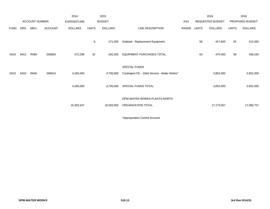|             |      |                       |                | 2014               |              | 2015           |                                                               |       |              | 2016             |              | 2016            |
|-------------|------|-----------------------|----------------|--------------------|--------------|----------------|---------------------------------------------------------------|-------|--------------|------------------|--------------|-----------------|
|             |      | <b>ACCOUNT NUMBER</b> |                | <b>EXPENDITURE</b> |              | <b>BUDGET</b>  |                                                               | PAY   |              | REQUESTED BUDGET |              | PROPOSED BUDGET |
| <b>FUND</b> | ORG  | SBCL                  | <b>ACCOUNT</b> | <b>DOLLARS</b>     | <b>UNITS</b> | <b>DOLLARS</b> | LINE DESCRIPTION                                              | RANGE | <b>UNITS</b> | <b>DOLLARS</b>   | <b>UNITS</b> | <b>DOLLARS</b>  |
|             |      |                       |                |                    | 8            | 271,000        | Subtotal - Replacement Equipment                              |       | 58           | 427,600          | 55           | 415,350         |
| 0410        | 6412 | R999                  | 006800         | 272,298            | 32           | 342,000        | <b>EQUIPMENT PURCHASES TOTAL</b>                              |       | 63           | 470,400          | 58           | 438,150         |
| 0410        | 6410 | R646                  | 006610         | 4,265,000          |              | 3,700,000      | SPECIAL FUNDS<br>Contingent FD. - Debt Service - Water Works* |       |              | 3,852,000        |              | 3,852,000       |
|             |      |                       |                |                    |              |                |                                                               |       |              |                  |              |                 |
|             |      |                       |                | 4,265,000          |              | 3,700,000      | SPECIAL FUNDS TOTAL                                           |       |              | 3,852,000        |              | 3,852,000       |
|             |      |                       |                |                    |              |                | DPW-WATER WORKS-PLANTS-NORTH                                  |       |              |                  |              |                 |
|             |      |                       |                | 16,302,547         |              | 16,583,092     | ORGANIZATION TOTAL                                            |       |              | 17,173,007       |              | 17,090,757      |
|             |      |                       |                |                    |              |                |                                                               |       |              |                  |              |                 |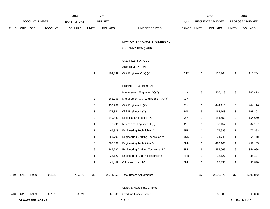|             |      |                        | 2014           | 2015               |              |                |                                          |       | 2016                    |                  | 2016           |                 |
|-------------|------|------------------------|----------------|--------------------|--------------|----------------|------------------------------------------|-------|-------------------------|------------------|----------------|-----------------|
|             |      | ACCOUNT NUMBER         |                | <b>EXPENDITURE</b> |              | <b>BUDGET</b>  |                                          | PAY   |                         | REQUESTED BUDGET |                | PROPOSED BUDGET |
| <b>FUND</b> | ORG  | SBCL                   | <b>ACCOUNT</b> | <b>DOLLARS</b>     | <b>UNITS</b> | <b>DOLLARS</b> | LINE DESCRIPTION                         | RANGE | <b>UNITS</b>            | <b>DOLLARS</b>   | <b>UNITS</b>   | <b>DOLLARS</b>  |
|             |      |                        |                |                    |              |                | DPW-WATER WORKS-ENGINEERING              |       |                         |                  |                |                 |
|             |      |                        |                |                    |              |                | ORGANIZATION (6413)                      |       |                         |                  |                |                 |
|             |      |                        |                |                    |              |                | <b>SALARIES &amp; WAGES</b>              |       |                         |                  |                |                 |
|             |      |                        |                |                    |              |                | ADMINISTRATION                           |       |                         |                  |                |                 |
|             |      |                        |                |                    | $\mathbf{1}$ | 109,839        | Civil Engineer V (X) (Y)                 | 1JX   | $\mathbf{1}$            | 115,264          | $\mathbf{1}$   | 115,264         |
|             |      |                        |                |                    |              |                | <b>ENGINEERING DESIGN</b>                |       |                         |                  |                |                 |
|             |      |                        |                |                    |              |                | Management Engineer (X)(Y)               | 11X   | 3                       | 267,413          | $\mathbf{3}$   | 267,413         |
|             |      |                        |                |                    | 3            | 265,266        | Management Civil Engineer Sr. (X)(Y)     | 11X   |                         |                  |                |                 |
|             |      |                        |                |                    | 6            | 432,709        | Civil Engineer III (X)                   | 2IN   | 6                       | 444,116          | 6              | 444,116         |
|             |      |                        |                |                    | 3            | 172,341        | Civil Engineer II (X)                    | 2GN   | 3                       | 168,103          | 3              | 168,103         |
|             |      |                        |                |                    | 2            | 149,833        | Electrical Engineer III (X)              | 2IN   | $\overline{\mathbf{c}}$ | 154,650          | $\overline{2}$ | 154,650         |
|             |      |                        |                |                    | $\mathbf{1}$ | 78,291         | Mechanical Engineer III (X)              | 2IN   | 1                       | 82,157           | $\mathbf{1}$   | 82,157          |
|             |      |                        |                |                    | $\mathbf{1}$ | 68,929         | Engineering Technician V                 | 3RN   | $\mathbf{1}$            | 72,333           | $\mathbf{1}$   | 72,333          |
|             |      |                        |                |                    | $\mathbf{1}$ | 61,701         | <b>Engineering Drafting Technician V</b> | 3QN   | -1                      | 64,748           | $\mathbf{1}$   | 64,748          |
|             |      |                        |                |                    | 6            | 308,069        | Engineering Technician IV                | 3NN   | 11                      | 499,165          | 11             | 499,165         |
|             |      |                        |                |                    | 6            | 347,797        | Engineering Drafting Technician IV       | 3NN   | 6                       | 354,966          | 6              | 354,966         |
|             |      |                        |                |                    | $\mathbf{1}$ | 38,127         | Engineering Drafting Technician II       | 3FN   | $\mathbf{1}$            | 38,127           | $\mathbf{1}$   | 38,127          |
|             |      |                        |                |                    | $\mathbf{1}$ | 41,449         | Office Assistant IV                      | 6HN   | $\mathbf{1}$            | 37,830           | $\mathbf{1}$   | 37,830          |
| 0410        | 6413 | R999                   | 600101         | 795,676            | 32           | 2,074,351      | <b>Total Before Adjustments</b>          |       | 37                      | 2,298,872        | 37             | 2,298,872       |
|             |      |                        |                |                    |              |                | Salary & Wage Rate Change                |       |                         |                  |                |                 |
| 0410        | 6413 | R999                   | 602101         | 53,221             |              | 65,000         | Overtime Compensated                     |       |                         | 65,000           |                | 65,000          |
|             |      | <b>DPW-WATER WORKS</b> |                |                    |              |                | 510.14                                   |       |                         |                  |                | 3rd Run 9/14/15 |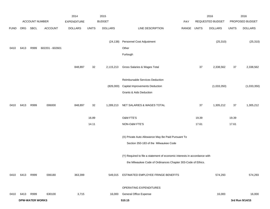|             |      |                        |                 | 2014               |              | 2015           |                                                                           |             |       | 2016             |              | 2016            |
|-------------|------|------------------------|-----------------|--------------------|--------------|----------------|---------------------------------------------------------------------------|-------------|-------|------------------|--------------|-----------------|
|             |      | ACCOUNT NUMBER         |                 | <b>EXPENDITURE</b> |              | <b>BUDGET</b>  |                                                                           | <b>PAY</b>  |       | REQUESTED BUDGET |              | PROPOSED BUDGET |
| <b>FUND</b> | ORG  | SBCL                   | <b>ACCOUNT</b>  | <b>DOLLARS</b>     | <b>UNITS</b> | <b>DOLLARS</b> | LINE DESCRIPTION                                                          | RANGE UNITS |       | <b>DOLLARS</b>   | <b>UNITS</b> | <b>DOLLARS</b>  |
|             |      |                        |                 |                    |              |                |                                                                           |             |       |                  |              |                 |
|             |      |                        |                 |                    |              | (24, 138)      | Personnel Cost Adjustment                                                 |             |       | (25, 310)        |              | (25, 310)       |
| 0410        | 6413 | R999                   | 602201 - 602601 |                    |              |                | Other                                                                     |             |       |                  |              |                 |
|             |      |                        |                 |                    |              |                | Furlough                                                                  |             |       |                  |              |                 |
|             |      |                        |                 |                    |              |                |                                                                           |             |       |                  |              |                 |
|             |      |                        |                 | 848,897            | 32           | 2,115,213      | Gross Salaries & Wages Total                                              |             | 37    | 2,338,562        | 37           | 2,338,562       |
|             |      |                        |                 |                    |              |                |                                                                           |             |       |                  |              |                 |
|             |      |                        |                 |                    |              |                | Reimbursable Services Deduction                                           |             |       |                  |              |                 |
|             |      |                        |                 |                    |              | (826,000)      | Capital Improvements Deduction                                            |             |       | (1,033,350)      |              | (1,033,350)     |
|             |      |                        |                 |                    |              |                | <b>Grants &amp; Aids Deduction</b>                                        |             |       |                  |              |                 |
|             |      |                        |                 |                    |              |                |                                                                           |             |       |                  |              |                 |
| 0410        | 6413 | R999                   | 006000          | 848,897            | 32           | 1,289,213      | NET SALARIES & WAGES TOTAL                                                |             | 37    | 1,305,212        | 37           | 1,305,212       |
|             |      |                        |                 |                    |              |                |                                                                           |             |       |                  |              |                 |
|             |      |                        |                 |                    | 16.89        |                | <b>O&amp;M FTE'S</b>                                                      |             | 19.39 |                  | 19.39        |                 |
|             |      |                        |                 |                    | 14.11        |                | NON-O&M FTE'S                                                             |             | 17.61 |                  | 17.61        |                 |
|             |      |                        |                 |                    |              |                |                                                                           |             |       |                  |              |                 |
|             |      |                        |                 |                    |              |                | (X) Private Auto Allowance May Be Paid Pursuant To                        |             |       |                  |              |                 |
|             |      |                        |                 |                    |              |                | Section 350-183 of the Milwaukee Code                                     |             |       |                  |              |                 |
|             |      |                        |                 |                    |              |                |                                                                           |             |       |                  |              |                 |
|             |      |                        |                 |                    |              |                | (Y) Required to file a statement of economic interests in accordance with |             |       |                  |              |                 |
|             |      |                        |                 |                    |              |                | the Milwaukee Code of Ordinances Chapter 303-Code of Ethics.              |             |       |                  |              |                 |
|             |      |                        |                 |                    |              |                |                                                                           |             |       |                  |              |                 |
| 0410        | 6413 | R999                   | 006180          | 363,399            |              | 549,015        | ESTIMATED EMPLOYEE FRINGE BENEFITS                                        |             |       | 574,293          |              | 574,293         |
|             |      |                        |                 |                    |              |                | OPERATING EXPENDITURES                                                    |             |       |                  |              |                 |
| 0410        | 6413 | R999                   | 630100          | 3,715              |              | 16,000         | General Office Expense                                                    |             |       | 16,000           |              | 16,000          |
|             |      | <b>DPW-WATER WORKS</b> |                 |                    |              |                | 510.15                                                                    |             |       |                  |              | 3rd Run 9/14/15 |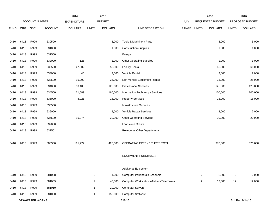|             |      |                        |                | 2014               |                | 2015           |                                                 |       |                | 2016             |                | 2016            |
|-------------|------|------------------------|----------------|--------------------|----------------|----------------|-------------------------------------------------|-------|----------------|------------------|----------------|-----------------|
|             |      | <b>ACCOUNT NUMBER</b>  |                | <b>EXPENDITURE</b> |                | <b>BUDGET</b>  |                                                 | PAY   |                | REQUESTED BUDGET |                | PROPOSED BUDGET |
| <b>FUND</b> | ORG  | SBCL                   | <b>ACCOUNT</b> | <b>DOLLARS</b>     | <b>UNITS</b>   | <b>DOLLARS</b> | LINE DESCRIPTION                                | RANGE | <b>UNITS</b>   | <b>DOLLARS</b>   | <b>UNITS</b>   | <b>DOLLARS</b>  |
|             |      |                        |                |                    |                |                |                                                 |       |                |                  |                |                 |
| 0410        | 6413 | R999                   | 630500         |                    |                | 3,000          | Tools & Machinery Parts                         |       |                | 3,000            |                | 3,000           |
| 0410        | 6413 | R999                   | 631000         |                    |                | 1,000          | <b>Construction Supplies</b>                    |       |                | 1,000            |                | 1,000           |
| 0410        | 6413 | R999                   | 631500         |                    |                |                | Energy                                          |       |                |                  |                |                 |
| 0410        | 6413 | R999                   | 632000         | 126                |                | 1,000          | <b>Other Operating Supplies</b>                 |       |                | 1,000            |                | 1,000           |
| 0410        | 6413 | R999                   | 632500         | 47,302             |                | 56,000         | <b>Facility Rental</b>                          |       |                | 66,000           |                | 66,000          |
| 0410        | 6413 | R999                   | 633000         | 45                 |                | 2,000          | Vehicle Rental                                  |       |                | 2,000            |                | 2,000           |
| 0410        | 6413 | R999                   | 633500         | 15,202             |                | 25,000         | Non-Vehicle Equipment Rental                    |       |                | 25,000           |                | 25,000          |
| 0410        | 6413 | R999                   | 634000         | 50,403             |                | 125,000        | <b>Professional Services</b>                    |       |                | 125,000          |                | 125,000         |
| 0410        | 6413 | R999                   | 634500         | 21,689             |                | 160,000        | Information Technology Services                 |       |                | 100,000          |                | 100,000         |
| 0410        | 6413 | R999                   | 635000         | 8,021              |                | 15,000         | <b>Property Services</b>                        |       |                | 15,000           |                | 15,000          |
| 0410        | 6413 | R999                   | 635500         |                    |                |                | <b>Infrastructure Services</b>                  |       |                |                  |                |                 |
| 0410        | 6413 | R999                   | 636000         |                    |                | 2,000          | Vehicle Repair Services                         |       |                | 2,000            |                | 2,000           |
| 0410        | 6413 | R999                   | 636500         | 15,274             |                | 20,000         | <b>Other Operating Services</b>                 |       |                | 20,000           |                | 20,000          |
| 0410        | 6413 | R999                   | 637000         |                    |                |                | Loans and Grants                                |       |                |                  |                |                 |
| 0410        | 6413 | R999                   | 637501         |                    |                |                | <b>Reimburse Other Departments</b>              |       |                |                  |                |                 |
|             |      |                        |                |                    |                |                |                                                 |       |                |                  |                |                 |
| 0410        | 6413 | R999                   | 006300         | 161,777            |                | 426,000        | OPERATING EXPENDITURES TOTAL                    |       |                | 376,000          |                | 376,000         |
|             |      |                        |                |                    |                |                |                                                 |       |                |                  |                |                 |
|             |      |                        |                |                    |                |                | <b>EQUIPMENT PURCHASES</b>                      |       |                |                  |                |                 |
|             |      |                        |                |                    |                |                |                                                 |       |                |                  |                |                 |
|             |      |                        |                |                    |                |                | <b>Additional Equipment</b>                     |       |                |                  |                |                 |
| 0410        | 6413 | R999                   | 681008         |                    | $\overline{a}$ | 1,200          | <b>Computer Peripherals-Scanners</b>            |       | $\overline{2}$ | 2,000            | $\overline{a}$ | 2,000           |
| 0410        | 6413 | R999                   | 681009         |                    | 9              | 45,000         | <b>Computer Workstations-Tablets/Otterboxes</b> |       | 12             | 12,000           | 12             | 12,000          |
| 0410        | 6413 | R999                   | 681010         |                    | $\mathbf{1}$   | 20,000         | <b>Computer Servers</b>                         |       |                |                  |                |                 |
| 0410        | 6413 | R999                   | 681050         |                    | 1              | 155,000        | <b>Computer Software</b>                        |       |                |                  |                |                 |
|             |      | <b>DPW-WATER WORKS</b> |                |                    |                |                | 510.16                                          |       |                |                  |                | 3rd Run 9/14/15 |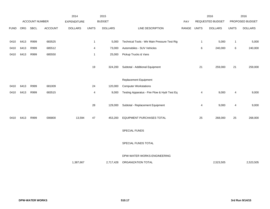|             |      |                |                | 2014               |              | 2015           |                                              |       |              | 2016             |              | 2016            |
|-------------|------|----------------|----------------|--------------------|--------------|----------------|----------------------------------------------|-------|--------------|------------------|--------------|-----------------|
|             |      | ACCOUNT NUMBER |                | <b>EXPENDITURE</b> |              | <b>BUDGET</b>  |                                              | PAY   |              | REQUESTED BUDGET |              | PROPOSED BUDGET |
| <b>FUND</b> | ORG  | SBCL           | <b>ACCOUNT</b> | <b>DOLLARS</b>     | <b>UNITS</b> | <b>DOLLARS</b> | LINE DESCRIPTION                             | RANGE | <b>UNITS</b> | <b>DOLLARS</b>   | <b>UNITS</b> | <b>DOLLARS</b>  |
| 0410        | 6413 | R999           | 683525         |                    | $\mathbf{1}$ | 5,000          | Technical Tools - Wtr Main Pressure Test Rig |       | $\mathbf{1}$ | 5,000            | $\mathbf{1}$ | 5,000           |
| 0410        | 6413 | R999           | 685512         |                    | 4            | 73,000         | Automobiles - SUV Vehicles                   |       | $\,6$        | 240,000          | $\,6\,$      | 240,000         |
| 0410        | 6413 | R999           | 685550         |                    | $\mathbf{1}$ | 25,000         | Pickup Trucks & Vans                         |       |              |                  |              |                 |
|             |      |                |                |                    | 19           | 324,200        | Subtotal - Additional Equipment              |       | 21           | 259,000          | 21           | 259,000         |
|             |      |                |                |                    |              |                | Replacement Equipment                        |       |              |                  |              |                 |
| 0410        | 6413 | R999           | 681009         |                    | 24           | 120,000        | <b>Computer Workstations</b>                 |       |              |                  |              |                 |
| 0410        | 6413 | R999           | 683515         |                    | 4            | 9,000          | Testing Apparatus - Fire Flow & Hydr Test Eq |       | 4            | 9,000            | 4            | 9,000           |
|             |      |                |                |                    | 28           | 129,000        | Subtotal - Replacement Equipment             |       | 4            | 9,000            | 4            | 9,000           |
| 0410        | 6413 | R999           | 006800         | 13,594             | 47           | 453,200        | EQUIPMENT PURCHASES TOTAL                    |       | 25           | 268,000          | 25           | 268,000         |
|             |      |                |                |                    |              |                | SPECIAL FUNDS                                |       |              |                  |              |                 |
|             |      |                |                |                    |              |                | SPECIAL FUNDS TOTAL                          |       |              |                  |              |                 |
|             |      |                |                |                    |              |                | DPW-WATER WORKS-ENGINEERING                  |       |              |                  |              |                 |
|             |      |                |                | 1,387,667          |              | 2,717,428      | ORGANIZATION TOTAL                           |       |              | 2,523,505        |              | 2,523,505       |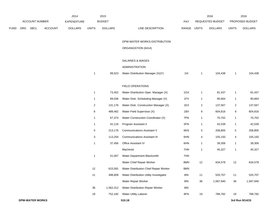|      |     |                        |                | 2014               |                | 2015           |                                         |             |                | 2016             |                | 2016            |
|------|-----|------------------------|----------------|--------------------|----------------|----------------|-----------------------------------------|-------------|----------------|------------------|----------------|-----------------|
|      |     | ACCOUNT NUMBER         |                | <b>EXPENDITURE</b> |                | <b>BUDGET</b>  |                                         | PAY         |                | REQUESTED BUDGET |                | PROPOSED BUDGET |
| FUND | ORG | SBCL                   | <b>ACCOUNT</b> | <b>DOLLARS</b>     | <b>UNITS</b>   | <b>DOLLARS</b> | LINE DESCRIPTION                        | RANGE UNITS |                | <b>DOLLARS</b>   | <b>UNITS</b>   | <b>DOLLARS</b>  |
|      |     |                        |                |                    |                |                |                                         |             |                |                  |                |                 |
|      |     |                        |                |                    |                |                | DPW-WATER WORKS-DISTRIBUTION            |             |                |                  |                |                 |
|      |     |                        |                |                    |                |                | ORGANIZATION (6414)                     |             |                |                  |                |                 |
|      |     |                        |                |                    |                |                | SALARIES & WAGES                        |             |                |                  |                |                 |
|      |     |                        |                |                    |                |                | <b>ADMINISTRATION</b>                   |             |                |                  |                |                 |
|      |     |                        |                |                    | $\mathbf 1$    | 99,523         | Water Distribution Manager (X)(Y)       | 11X         | $\mathbf{1}$   | 104,438          | $\mathbf{1}$   | 104,438         |
|      |     |                        |                |                    |                |                |                                         |             |                |                  |                |                 |
|      |     |                        |                |                    |                |                | FIELD OPERATIONS                        |             |                |                  |                |                 |
|      |     |                        |                |                    | $\mathbf{1}$   | 73,452         | Water Distribution Oper. Manager (X)    | 1GX         | 1              | 81,437           | $\mathbf{1}$   | 81,437          |
|      |     |                        |                |                    | $\mathbf{1}$   | 89,036         | Water Distr. Scheduling Manager (X)     | 1FX         | 1              | 90,664           | $\overline{1}$ | 90,664          |
|      |     |                        |                |                    | $\overline{a}$ | 131,176        | Water Distr. Construction Manager (X)   | 1EX         | $\overline{a}$ | 137,567          | $\overline{c}$ | 137,567         |
|      |     |                        |                |                    | $\bf8$         | 489,462        | Water Field Supervisor (X)              | 1BX         | 9              | 604,816          | 9              | 604,816         |
|      |     |                        |                |                    | $\mathbf{1}$   | 67,374         | Water Construction Coordinator (X)      | 7PN         | 1              | 70,702           | $\overline{1}$ | 70,702          |
|      |     |                        |                |                    | 1              | 42,118         | Program Assistant II                    | 5FN         | 1              | 42,539           | $\overline{1}$ | 42,539          |
|      |     |                        |                |                    | 5              | 213,176        | <b>Communications Assistant V</b>       | 6KN         | 5              | 208,805          | 5              | 208,805         |
|      |     |                        |                |                    | 3              | 113,204        | <b>Communications Assistant III</b>     | 6HN         | 4              | 155,150          | 4              | 155,150         |
|      |     |                        |                |                    | 1              | 37,456         | Office Assistant IV                     | 6HN         | 1              | 39,306           | $\overline{1}$ | 39,306          |
|      |     |                        |                |                    |                |                | Machinist                               | 7HN         | $\mathbf{1}$   | 45,327           | $\mathbf{1}$   | 45,327          |
|      |     |                        |                |                    | 1              | 51,007         | Water Department Blacksmith             | 7HN         |                |                  |                |                 |
|      |     |                        |                |                    |                |                | Water Chief Repair Worker               | 8MN         | 12             | 634,578          | 12             | 634,578         |
|      |     |                        |                |                    | 12             | 615,091        | Water Distribution Chief Repair Worker  | 8MN         |                |                  |                |                 |
|      |     |                        |                |                    | 11             | 498,809        | Water Distribution Utility Investigator | 8I          | 11             | 520,707          | 11             | 520,707         |
|      |     |                        |                |                    |                |                | Water Repair Worker                     | 8IN         | 36             | 1,587,940        | 36             | 1,587,940       |
|      |     |                        |                |                    | 36             | 1,562,312      | Water Distribution Repair Worker        | 8IN         |                |                  |                |                 |
|      |     |                        |                |                    | 19             | 752,182        | Water Utility Laborer                   | 8FN         | 19             | 788,782          | 19             | 788,782         |
|      |     | <b>DPW-WATER WORKS</b> |                |                    |                |                | 510.18                                  |             |                |                  |                | 3rd Run 9/14/15 |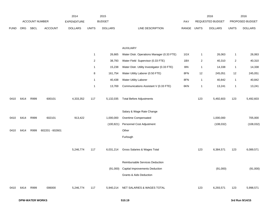|             |      |                       |                 | 2014               |                         | 2015           |                                              |            |              | 2016             |                         | 2016            |
|-------------|------|-----------------------|-----------------|--------------------|-------------------------|----------------|----------------------------------------------|------------|--------------|------------------|-------------------------|-----------------|
|             |      | <b>ACCOUNT NUMBER</b> |                 | <b>EXPENDITURE</b> |                         | <b>BUDGET</b>  |                                              | <b>PAY</b> |              | REQUESTED BUDGET |                         | PROPOSED BUDGET |
| <b>FUND</b> | ORG  | SBCL                  | ACCOUNT         | <b>DOLLARS</b>     | <b>UNITS</b>            | <b>DOLLARS</b> | LINE DESCRIPTION                             | RANGE      | <b>UNITS</b> | <b>DOLLARS</b>   | <b>UNITS</b>            | <b>DOLLARS</b>  |
|             |      |                       |                 |                    |                         |                |                                              |            |              |                  |                         |                 |
|             |      |                       |                 |                    |                         |                |                                              |            |              |                  |                         |                 |
|             |      |                       |                 |                    |                         |                | <b>AUXILIARY</b>                             |            |              |                  |                         |                 |
|             |      |                       |                 |                    | $\mathbf{1}$            | 26,665         | Water Distr. Operations Manager (0.33 FTE)   | 1GX        | 1            | 26,063           | $\mathbf{1}$            | 26,063          |
|             |      |                       |                 |                    | $\overline{\mathbf{c}}$ | 38,793         | Water Field Supervisor (0.33 FTE)            | 1BX        | 2            | 40,310           | $\overline{\mathbf{c}}$ | 40,310          |
|             |      |                       |                 |                    | 1                       | 15,238         | Water Distr. Utility Investigator (0.33 FTE) | <b>8IN</b> | 1            | 14,338           | $\mathbf{1}$            | 14,338          |
|             |      |                       |                 |                    | 8                       | 161,754        | Water Utility Laborer (0.50 FTE)             | 8FN        | 12           | 245,051          | 12                      | 245,051         |
|             |      |                       |                 |                    | $\mathbf{1}$            | 40,438         | Water Utility Laborer                        | 8FN        | 1            | 40,842           | $\mathbf{1}$            | 40,842          |
|             |      |                       |                 |                    | $\mathbf{1}$            | 13,769         | Communications Assistant V (0.33 FTE)        | 6KN        | 1            | 13,241           | 1                       | 13,241          |
|             |      |                       |                 |                    |                         |                |                                              |            |              |                  |                         |                 |
| 0410        | 6414 | R999                  | 600101          | 4,333,352          | 117                     | 5,132,035      | <b>Total Before Adjustments</b>              |            | 123          | 5,492,603        | 123                     | 5,492,603       |
|             |      |                       |                 |                    |                         |                | Salary & Wage Rate Change                    |            |              |                  |                         |                 |
| 0410        | 6414 | R999                  | 602101          | 913,422            |                         | 1,000,000      | Overtime Compensated                         |            |              | 1,000,000        |                         | 705,000         |
|             |      |                       |                 |                    |                         | (100, 821)     | Personnel Cost Adjustment                    |            |              | (108, 032)       |                         | (108, 032)      |
| 0410        | 6414 | R999                  | 602201 - 602601 |                    |                         |                | Other                                        |            |              |                  |                         |                 |
|             |      |                       |                 |                    |                         |                | Furlough                                     |            |              |                  |                         |                 |
|             |      |                       |                 |                    |                         |                |                                              |            |              |                  |                         |                 |
|             |      |                       |                 | 5,246,774          | 117                     | 6,031,214      | Gross Salaries & Wages Total                 |            | 123          | 6,384,571        | 123                     | 6,089,571       |
|             |      |                       |                 |                    |                         |                |                                              |            |              |                  |                         |                 |
|             |      |                       |                 |                    |                         |                | Reimbursable Services Deduction              |            |              |                  |                         |                 |
|             |      |                       |                 |                    |                         |                | (91,000) Capital Improvements Deduction      |            |              | (91,000)         |                         | (91,000)        |
|             |      |                       |                 |                    |                         |                | Grants & Aids Deduction                      |            |              |                  |                         |                 |
|             |      |                       |                 |                    |                         |                |                                              |            |              |                  |                         |                 |
| 0410        | 6414 | R999                  | 006000          | 5,246,774          | 117                     | 5,940,214      | NET SALARIES & WAGES TOTAL                   |            | 123          | 6,293,571        | 123                     | 5,998,571       |
|             |      |                       |                 |                    |                         |                |                                              |            |              |                  |                         |                 |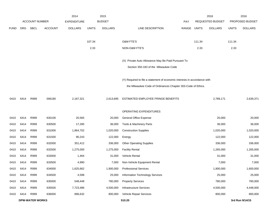|             |            |                        |                | 2014               |              | 2015           |                                                                           |             |        | 2016             |              | 2016            |
|-------------|------------|------------------------|----------------|--------------------|--------------|----------------|---------------------------------------------------------------------------|-------------|--------|------------------|--------------|-----------------|
|             |            | <b>ACCOUNT NUMBER</b>  |                | <b>EXPENDITURE</b> |              | <b>BUDGET</b>  |                                                                           | PAY         |        | REQUESTED BUDGET |              | PROPOSED BUDGET |
| <b>FUND</b> | <b>ORG</b> | SBCL                   | <b>ACCOUNT</b> | <b>DOLLARS</b>     | <b>UNITS</b> | <b>DOLLARS</b> | LINE DESCRIPTION                                                          | RANGE UNITS |        | <b>DOLLARS</b>   | <b>UNITS</b> | <b>DOLLARS</b>  |
|             |            |                        |                |                    |              |                |                                                                           |             |        |                  |              |                 |
|             |            |                        |                |                    | 107.34       |                | O&M FTE'S                                                                 |             | 111.34 |                  | 111.34       |                 |
|             |            |                        |                |                    | 2.33         |                | NON-O&M FTE'S                                                             |             | 2.33   |                  | 2.33         |                 |
|             |            |                        |                |                    |              |                | (X) Private Auto Allowance May Be Paid Pursuant To                        |             |        |                  |              |                 |
|             |            |                        |                |                    |              |                | Section 350-183 of the Milwaukee Code                                     |             |        |                  |              |                 |
|             |            |                        |                |                    |              |                |                                                                           |             |        |                  |              |                 |
|             |            |                        |                |                    |              |                | (Y) Required to file a statement of economic interests in accordance with |             |        |                  |              |                 |
|             |            |                        |                |                    |              |                | the Milwaukee Code of Ordinances Chapter 303-Code of Ethics.              |             |        |                  |              |                 |
| 0410        | 6414       | R999                   | 006180         | 2,167,321          |              | 2,613,695      | ESTIMATED EMPLOYEE FRINGE BENEFITS                                        |             |        | 2,789,171        |              | 2,639,371       |
|             |            |                        |                |                    |              |                | OPERATING EXPENDITURES                                                    |             |        |                  |              |                 |
| 0410        | 6414       | R999                   | 630100         | 20,565             |              | 20,000         | <b>General Office Expense</b>                                             |             |        | 20,000           |              | 20,000          |
| 0410        | 6414       | R999                   | 630500         | 17,285             |              | 36,000         | Tools & Machinery Parts                                                   |             |        | 36,000           |              | 36,000          |
| 0410        | 6414       | R999                   | 631000         | 1,864,702          |              | 1,020,000      | <b>Construction Supplies</b>                                              |             |        | 1,020,000        |              | 1,020,000       |
| 0410        | 6414       | R999                   | 631500         | 90,243             |              | 122,000        | Energy                                                                    |             |        | 122,000          |              | 122,000         |
| 0410        | 6414       | R999                   | 632000         | 351,412            |              | 336,000        | <b>Other Operating Supplies</b>                                           |             |        | 336,000          |              | 336,000         |
| 0410        | 6414       | R999                   | 632500         | 1,275,000          |              | 1,275,000      | <b>Facility Rental</b>                                                    |             |        | 1,265,000        |              | 1,265,000       |
| 0410        | 6414       | R999                   | 633000         | 1,464              |              | 31,000         | Vehicle Rental                                                            |             |        | 31,000           |              | 31,000          |
| 0410        | 6414       | R999                   | 633500         | 4,990              |              | 7,000          | Non-Vehicle Equipment Rental                                              |             |        | 7,000            |              | 7,000           |
| 0410        | 6414       | R999                   | 634000         | 1,625,662          |              | 1,900,000      | <b>Professional Services</b>                                              |             |        | 1,900,000        |              | 1,600,000       |
| 0410        | 6414       | R999                   | 634500         | 4,598              |              | 25,000         | Information Technology Services                                           |             |        | 25,000           |              | 25,000          |
| 0410        | 6414       | R999                   | 635000         | 548,448            |              | 780,000        | <b>Property Services</b>                                                  |             |        | 780,000          |              | 780,000         |
| 0410        | 6414       | R999                   | 635500         | 7,723,486          |              | 4,500,000      | Infrastructure Services                                                   |             |        | 4,500,000        |              | 4,448,000       |
| 0410        | 6414       | R999                   | 636000         | 896,632            |              | 800,000        | Vehicle Repair Services                                                   |             |        | 800,000          |              | 800,000         |
|             |            | <b>DPW-WATER WORKS</b> |                |                    |              |                | 510.20                                                                    |             |        |                  |              | 3rd Run 9/14/15 |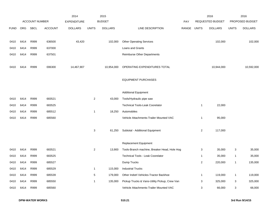|             |            |                       |                | 2014               |                | 2015           |                                               |       |                | 2016                    |              | 2016            |
|-------------|------------|-----------------------|----------------|--------------------|----------------|----------------|-----------------------------------------------|-------|----------------|-------------------------|--------------|-----------------|
|             |            | <b>ACCOUNT NUMBER</b> |                | <b>EXPENDITURE</b> |                | <b>BUDGET</b>  |                                               | PAY   |                | <b>REQUESTED BUDGET</b> |              | PROPOSED BUDGET |
| <b>FUND</b> | <b>ORG</b> | SBCL                  | <b>ACCOUNT</b> | <b>DOLLARS</b>     | <b>UNITS</b>   | <b>DOLLARS</b> | LINE DESCRIPTION                              | RANGE | <b>UNITS</b>   | <b>DOLLARS</b>          | <b>UNITS</b> | <b>DOLLARS</b>  |
|             |            |                       |                |                    |                |                |                                               |       |                |                         |              |                 |
| 0410        | 6414       | R999                  | 636500         | 43,420             |                | 102,000        | <b>Other Operating Services</b>               |       |                | 102,000                 |              | 102,000         |
| 0410        | 6414       | R999                  | 637000         |                    |                |                | Loans and Grants                              |       |                |                         |              |                 |
| 0410        | 6414       | R999                  | 637501         |                    |                |                | <b>Reimburse Other Departments</b>            |       |                |                         |              |                 |
|             | 6414       | R999                  |                |                    |                |                | OPERATING EXPENDITURES TOTAL                  |       |                | 10,944,000              |              | 10,592,000      |
| 0410        |            |                       | 006300         | 14,467,907         |                | 10,954,000     |                                               |       |                |                         |              |                 |
|             |            |                       |                |                    |                |                | <b>EQUIPMENT PURCHASES</b>                    |       |                |                         |              |                 |
|             |            |                       |                |                    |                |                |                                               |       |                |                         |              |                 |
|             |            |                       |                |                    |                |                | <b>Additional Equipment</b>                   |       |                |                         |              |                 |
| 0410        | 6414       | R999                  | 683521         |                    | $\overline{c}$ | 43,000         | Tools/Hydraulic pipe saw                      |       |                |                         |              |                 |
| 0410        | 6414       | R999                  | 683525         |                    |                |                | Technical Tools-Leak Coorelator               |       | $\mathbf{1}$   | 22,000                  |              |                 |
| 0410        | 6414       | R999                  | 685512         |                    | $\mathbf{1}$   | 18,250         | Automobiles                                   |       |                |                         |              |                 |
| 0410        | 6414       | R999                  | 685560         |                    |                |                | Vehicle Attachments-Trailer Mounted VAC       |       | $\mathbf{1}$   | 95,000                  |              |                 |
|             |            |                       |                |                    | 3              | 61,250         | Subtotal - Additional Equipment               |       | $\overline{2}$ | 117,000                 |              |                 |
|             |            |                       |                |                    |                |                |                                               |       |                |                         |              |                 |
|             |            |                       |                |                    |                |                | Replacement Equipment                         |       |                |                         |              |                 |
| 0410        | 6414       | R999                  | 683521         |                    | $\overline{2}$ | 13,900         | Tools-Branch machine, Breaker Head, Hole Hog  |       | 3              | 35,000                  | 3            | 35,000          |
| 0410        | 6414       | R999                  | 683525         |                    |                |                | <b>Technical Tools - Leak Coorelator</b>      |       | $\mathbf{1}$   | 35,000                  | $\mathbf{1}$ | 35,000          |
| 0410        | 6414       | R999                  | 685527         |                    |                |                | Dump Trucks                                   |       | $\overline{2}$ | 220,000                 | $\mathbf{1}$ | 135,000         |
| 0410        | 6414       | R999                  | 685529         |                    | $\mathbf{1}$   | 115,000        | <b>Industrial Trucks</b>                      |       |                |                         |              |                 |
| 0410        | 6414       | R999                  | 685539         |                    | $\,$ 5 $\,$    | 179,000        | Other Indstrl Vehicles-Tractor Backhoe        |       | $\mathbf{1}$   | 119,000                 | $\mathbf{1}$ | 119,000         |
| 0410        | 6414       | R999                  | 685550         |                    | $\mathbf{1}$   | 135,000        | Pickup Trucks & Vans-Utility Pickup, Crew Van |       | 3              | 325,000                 | 3            | 325,000         |
| 0410        | 6414       | R999                  | 685560         |                    |                |                | Vehicle Attachments-Trailer Mounted VAC       |       | 3              | 66,000                  | 3            | 66,000          |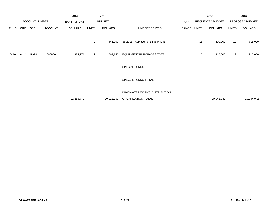|             |      |                       |                | 2014               |              | 2015           |                                  |       |       | 2016             |              | 2016            |
|-------------|------|-----------------------|----------------|--------------------|--------------|----------------|----------------------------------|-------|-------|------------------|--------------|-----------------|
|             |      | <b>ACCOUNT NUMBER</b> |                | <b>EXPENDITURE</b> |              | <b>BUDGET</b>  |                                  | PAY   |       | REQUESTED BUDGET |              | PROPOSED BUDGET |
| <b>FUND</b> | ORG  | <b>SBCL</b>           | <b>ACCOUNT</b> | <b>DOLLARS</b>     | <b>UNITS</b> | <b>DOLLARS</b> | LINE DESCRIPTION                 | RANGE | UNITS | <b>DOLLARS</b>   | <b>UNITS</b> | <b>DOLLARS</b>  |
|             |      |                       |                |                    | 9            | 442,900        | Subtotal - Replacement Equipment |       | 13    | 800,000          | 12           | 715,000         |
| 0410        | 6414 | R999                  | 006800         | 374,771            | 12           | 504,150        | EQUIPMENT PURCHASES TOTAL        |       | 15    | 917,000          | 12           | 715,000         |
|             |      |                       |                |                    |              |                | <b>SPECIAL FUNDS</b>             |       |       |                  |              |                 |
|             |      |                       |                |                    |              |                | SPECIAL FUNDS TOTAL              |       |       |                  |              |                 |
|             |      |                       |                |                    |              |                | DPW-WATER WORKS-DISTRIBUTION     |       |       |                  |              |                 |
|             |      |                       |                | 22,256,773         |              | 20,012,059     | ORGANIZATION TOTAL               |       |       | 20,943,742       |              | 19,944,942      |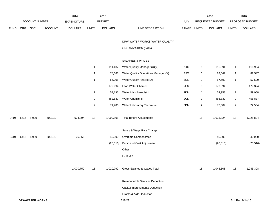|             |                        | ACCOUNT NUMBER |         | 2014<br>EXPENDITURE |                         | 2015<br><b>BUDGET</b> |                                        | PAY   |                | 2016<br>REQUESTED BUDGET |                | 2016<br>PROPOSED BUDGET |
|-------------|------------------------|----------------|---------|---------------------|-------------------------|-----------------------|----------------------------------------|-------|----------------|--------------------------|----------------|-------------------------|
| <b>FUND</b> | ORG                    | <b>SBCL</b>    | ACCOUNT | <b>DOLLARS</b>      | <b>UNITS</b>            | <b>DOLLARS</b>        | LINE DESCRIPTION                       | RANGE | <b>UNITS</b>   | <b>DOLLARS</b>           | <b>UNITS</b>   | <b>DOLLARS</b>          |
|             |                        |                |         |                     |                         |                       | DPW-WATER WORKS-WATER QUALITY          |       |                |                          |                |                         |
|             |                        |                |         |                     |                         |                       | ORGANIZATION (6415)                    |       |                |                          |                |                         |
|             |                        |                |         |                     |                         |                       | <b>SALARIES &amp; WAGES</b>            |       |                |                          |                |                         |
|             |                        |                |         |                     | $\mathbf{1}$            | 111,487               | Water Quality Manager (X)(Y)           | 1JX   | $\mathbf{1}$   | 116,994                  | $\mathbf{1}$   | 116,994                 |
|             |                        |                |         |                     | $\mathbf 1$             | 78,663                | Water Quality Operations Manager (X)   | 1FX   | $\mathbf{1}$   | 82,547                   | $\mathbf{1}$   | 82,547                  |
|             |                        |                |         |                     | $\mathbf{1}$            | 56,205                | Water Quality Analyst (X)              | 2GN   | $\mathbf{1}$   | 57,590                   | $\mathbf{1}$   | 57,590                  |
|             |                        |                |         |                     | 3                       | 172,994               | Lead Water Chemist                     | 2EN   | $\mathbf{3}$   | 179,394                  | $\sqrt{3}$     | 179,394                 |
|             |                        |                |         |                     | $\mathbf{1}$            | 57,136                | Water Microbiologist II                | 2DN   | $\mathbf{1}$   | 59,958                   | $\mathbf{1}$   | 59,958                  |
|             |                        |                |         |                     | 9                       | 452,537               | Water Chemist II                       | 2CN   | 9              | 456,837                  | 9              | 456,837                 |
|             |                        |                |         |                     | $\overline{\mathbf{c}}$ | 71,786                | Water Laboratory Technician            | 5DN   | $\overline{2}$ | 72,504                   | $\overline{2}$ | 72,504                  |
| 0410        | 6415                   | R999           | 600101  | 974,894             | 18                      | 1,000,808             | <b>Total Before Adjustments</b>        |       | 18             | 1,025,824                | 18             | 1,025,824               |
|             |                        |                |         |                     |                         |                       | Salary & Wage Rate Change              |       |                |                          |                |                         |
| 0410        | 6415                   | R999           | 602101  | 25,856              |                         | 40,000                | Overtime Compensated                   |       |                | 40,000                   |                | 40,000                  |
|             |                        |                |         |                     |                         | (20, 016)             | Personnel Cost Adjustment              |       |                | (20, 516)                |                | (20, 516)               |
|             |                        |                |         |                     |                         |                       | Other                                  |       |                |                          |                |                         |
|             |                        |                |         |                     |                         |                       | Furlough                               |       |                |                          |                |                         |
|             |                        |                |         | 1,000,750           | 18                      |                       | 1,020,792 Gross Salaries & Wages Total |       | 18             | 1,045,308                | 18             | 1,045,308               |
|             |                        |                |         |                     |                         |                       | Reimbursable Services Deduction        |       |                |                          |                |                         |
|             |                        |                |         |                     |                         |                       | Capital Improvements Deduction         |       |                |                          |                |                         |
|             |                        |                |         |                     |                         |                       | <b>Grants &amp; Aids Deduction</b>     |       |                |                          |                |                         |
|             | <b>DPW-WATER WORKS</b> |                |         |                     |                         |                       | 510.23                                 |       |                |                          |                | 3rd Run 9/14/15         |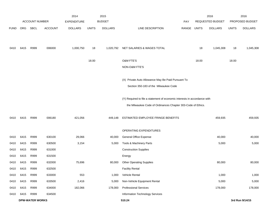|             |      |                        |                | 2014               |              | 2015           |                                                                           |             |       | 2016             |              | 2016            |
|-------------|------|------------------------|----------------|--------------------|--------------|----------------|---------------------------------------------------------------------------|-------------|-------|------------------|--------------|-----------------|
|             |      | <b>ACCOUNT NUMBER</b>  |                | <b>EXPENDITURE</b> |              | <b>BUDGET</b>  |                                                                           | <b>PAY</b>  |       | REQUESTED BUDGET |              | PROPOSED BUDGET |
| <b>FUND</b> | ORG  | SBCL                   | <b>ACCOUNT</b> | <b>DOLLARS</b>     | <b>UNITS</b> | <b>DOLLARS</b> | LINE DESCRIPTION                                                          | RANGE UNITS |       | <b>DOLLARS</b>   | <b>UNITS</b> | <b>DOLLARS</b>  |
|             |      |                        |                |                    |              |                |                                                                           |             |       |                  |              |                 |
| 0410        | 6415 | R999                   | 006000         | 1,000,750          | 18           | 1,020,792      | NET SALARIES & WAGES TOTAL                                                |             | 18    | 1,045,308        | 18           | 1,045,308       |
|             |      |                        |                |                    | 18.00        |                | O&M FTE'S                                                                 |             | 18.00 |                  | 18.00        |                 |
|             |      |                        |                |                    |              |                | NON-O&M FTE'S                                                             |             |       |                  |              |                 |
|             |      |                        |                |                    |              |                | (X) Private Auto Allowance May Be Paid Pursuant To                        |             |       |                  |              |                 |
|             |      |                        |                |                    |              |                | Section 350-183 of the Milwaukee Code                                     |             |       |                  |              |                 |
|             |      |                        |                |                    |              |                | (Y) Required to file a statement of economic interests in accordance with |             |       |                  |              |                 |
|             |      |                        |                |                    |              |                | the Milwaukee Code of Ordinances Chapter 303-Code of Ethics.              |             |       |                  |              |                 |
|             |      |                        |                |                    |              |                |                                                                           |             |       |                  |              |                 |
| 0410        | 6415 | R999                   | 006180         | 421,056            |              | 449,148        | ESTIMATED EMPLOYEE FRINGE BENEFITS                                        |             |       | 459,935          |              | 459,935         |
|             |      |                        |                |                    |              |                | OPERATING EXPENDITURES                                                    |             |       |                  |              |                 |
| 0410        | 6415 | R999                   | 630100         | 29,066             |              | 40,000         | General Office Expense                                                    |             |       | 40,000           |              | 40,000          |
| 0410        | 6415 | R999                   | 630500         | 3,154              |              | 5,000          | Tools & Machinery Parts                                                   |             |       | 5,000            |              | 5,000           |
| 0410        | 6415 | R999                   | 631000         |                    |              |                | <b>Construction Supplies</b>                                              |             |       |                  |              |                 |
| 0410        | 6415 | R999                   | 631500         |                    |              |                | Energy                                                                    |             |       |                  |              |                 |
| 0410        | 6415 | R999                   | 632000         | 75,696             |              | 80,000         | <b>Other Operating Supplies</b>                                           |             |       | 80,000           |              | 80,000          |
| 0410        | 6415 | R999                   | 632500         |                    |              |                | <b>Facility Rental</b>                                                    |             |       |                  |              |                 |
| 0410        | 6415 | R999                   | 633000         | 553                |              | 1,000          | Vehicle Rental                                                            |             |       | 1,000            |              | 1,000           |
| 0410        | 6415 | R999                   | 633500         | 2,416              |              | 5,000          | Non-Vehicle Equipment Rental                                              |             |       | 5,000            |              | 5,000           |
| 0410        | 6415 | R999                   | 634000         | 182,066            |              | 178,000        | <b>Professional Services</b>                                              |             |       | 178,000          |              | 178,000         |
| 0410        | 6415 | R999                   | 634500         |                    |              |                | Information Technology Services                                           |             |       |                  |              |                 |
|             |      | <b>DPW-WATER WORKS</b> |                |                    |              |                | 510.24                                                                    |             |       |                  |              | 3rd Run 9/14/15 |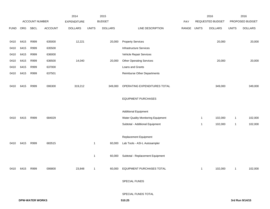|             |      |                        |                | 2014               |              | 2015           |                                    |             |              | 2016             |              | 2016            |
|-------------|------|------------------------|----------------|--------------------|--------------|----------------|------------------------------------|-------------|--------------|------------------|--------------|-----------------|
|             |      | ACCOUNT NUMBER         |                | <b>EXPENDITURE</b> |              | <b>BUDGET</b>  |                                    | PAY         |              | REQUESTED BUDGET |              | PROPOSED BUDGET |
| <b>FUND</b> | ORG  | <b>SBCL</b>            | <b>ACCOUNT</b> | <b>DOLLARS</b>     | <b>UNITS</b> | <b>DOLLARS</b> | LINE DESCRIPTION                   | RANGE UNITS |              | <b>DOLLARS</b>   | <b>UNITS</b> | <b>DOLLARS</b>  |
|             |      |                        |                |                    |              |                |                                    |             |              |                  |              |                 |
| 0410        | 6415 | R999                   | 635000         | 12,221             |              | 20,000         | <b>Property Services</b>           |             |              | 20,000           |              | 20,000          |
| 0410        | 6415 | R999                   | 635500         |                    |              |                | Infrastructure Services            |             |              |                  |              |                 |
| 0410        | 6415 | R999                   | 636000         |                    |              |                | Vehicle Repair Services            |             |              |                  |              |                 |
| 0410        | 6415 | R999                   | 636500         | 14,040             |              | 20,000         | <b>Other Operating Services</b>    |             |              | 20,000           |              | 20,000          |
| 0410        | 6415 | R999                   | 637000         |                    |              |                | Loans and Grants                   |             |              |                  |              |                 |
| 0410        | 6415 | R999                   | 637501         |                    |              |                | <b>Reimburse Other Departments</b> |             |              |                  |              |                 |
|             |      |                        |                |                    |              |                |                                    |             |              |                  |              |                 |
| 0410        | 6415 | R999                   | 006300         | 319,212            |              | 349,000        | OPERATING EXPENDITURES TOTAL       |             |              | 349,000          |              | 349,000         |
|             |      |                        |                |                    |              |                |                                    |             |              |                  |              |                 |
|             |      |                        |                |                    |              |                | <b>EQUIPMENT PURCHASES</b>         |             |              |                  |              |                 |
|             |      |                        |                |                    |              |                |                                    |             |              |                  |              |                 |
|             |      |                        |                |                    |              |                | <b>Additional Equipment</b>        |             |              |                  |              |                 |
| 0410        | 6415 | R999                   | 684029         |                    |              |                | Water Quality Monitoring Equipment |             | $\mathbf{1}$ | 102,000          | $\mathbf{1}$ | 102,000         |
|             |      |                        |                |                    |              |                | Subtotal - Additional Equipment    |             | $\mathbf{1}$ | 102,000          | $\mathbf{1}$ | 102,000         |
|             |      |                        |                |                    |              |                |                                    |             |              |                  |              |                 |
|             |      |                        |                |                    |              |                | Replacement Equipment              |             |              |                  |              |                 |
| 0410        | 6415 | R999                   | 683515         |                    | $\mathbf{1}$ | 60,000         | Lab Tools - ASI-L Autosampler      |             |              |                  |              |                 |
|             |      |                        |                |                    |              |                |                                    |             |              |                  |              |                 |
|             |      |                        |                |                    | $\mathbf{1}$ | 60,000         | Subtotal - Replacement Equipment   |             |              |                  |              |                 |
|             |      |                        |                |                    |              |                |                                    |             |              |                  |              |                 |
| 0410        | 6415 | R999                   | 006800         | 23,848             | $\mathbf{1}$ |                | 60,000 EQUIPMENT PURCHASES TOTAL   |             | $\mathbf{1}$ | 102,000          | $\mathbf{1}$ | 102,000         |
|             |      |                        |                |                    |              |                |                                    |             |              |                  |              |                 |
|             |      |                        |                |                    |              |                | SPECIAL FUNDS                      |             |              |                  |              |                 |
|             |      |                        |                |                    |              |                |                                    |             |              |                  |              |                 |
|             |      |                        |                |                    |              |                | SPECIAL FUNDS TOTAL                |             |              |                  |              |                 |
|             |      | <b>DPW-WATER WORKS</b> |                |                    |              |                | 510.25                             |             |              |                  |              | 3rd Run 9/14/15 |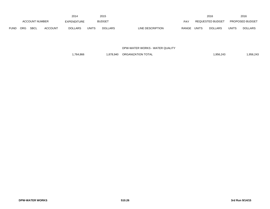|             |                       |      |                    | 2014           |               | 2015           |                                  |                  | 2016           |                        | 2016           |
|-------------|-----------------------|------|--------------------|----------------|---------------|----------------|----------------------------------|------------------|----------------|------------------------|----------------|
|             | <b>ACCOUNT NUMBER</b> |      | <b>EXPENDITURE</b> |                | <b>BUDGET</b> | PAY            |                                  | REQUESTED BUDGET |                | <b>PROPOSED BUDGET</b> |                |
| <b>FUND</b> | <b>ORG</b>            | SBCL | <b>ACCOUNT</b>     | <b>DOLLARS</b> | <b>UNITS</b>  | <b>DOLLARS</b> | LINE DESCRIPTION<br><b>RANGE</b> | <b>UNITS</b>     | <b>DOLLARS</b> | <b>UNITS</b>           | <b>DOLLARS</b> |

DPW-WATER WORKS - WATER QUALITY

1,764,866 1,878,940 ORGANIZATION TOTAL 1,956,243 1,956,243 1,956,243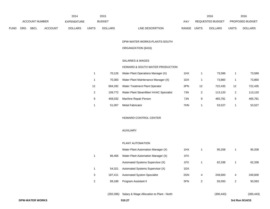|             |                       |             |                | 2014           |               | 2015           |                                  | 2016                    |                        | 2016           |
|-------------|-----------------------|-------------|----------------|----------------|---------------|----------------|----------------------------------|-------------------------|------------------------|----------------|
|             | <b>ACCOUNT NUMBER</b> |             | EXPENDITURE    |                | <b>BUDGET</b> | PAY            | <b>REQUESTED BUDGET</b>          |                         | <b>PROPOSED BUDGET</b> |                |
| <b>FUND</b> | ORG                   | <b>SBCL</b> | <b>ACCOUNT</b> | <b>DOLLARS</b> | <b>UNITS</b>  | <b>DOLLARS</b> | <b>RANGE</b><br>LINE DESCRIPTION | UNITS<br><b>DOLLARS</b> | <b>UNITS</b>           | <b>DOLLARS</b> |

### DPW-WATER WORKS-PLANTS-SOUTH

# ORGANIZATION (6416)

## SALARIES & WAGES

## HOWARD & SOUTH WATER PRODUCTION

|    | 70.126  | Water Plant Operations Manager (X)       | 1HX |    | 73.589  |    | 73,589  |
|----|---------|------------------------------------------|-----|----|---------|----|---------|
|    | 70.383  | Water Plant Maintenance Manager (X)      | 1DX |    | 73.860  |    | 73,860  |
| 12 | 684.282 | Water Treatment Plant Operator           | 3PN | 12 | 722.435 | 12 | 722.435 |
| 2  | 109.772 | Water Plant Steamfitter/ HVAC Specialist | 7JN | 2  | 113.120 | 2  | 113.120 |
| 9  | 458.032 | Machine Repair Person                    | 7JN | 9  | 465.781 | 9  | 465,781 |
|    | 51.007  | <b>Metal Fabricator</b>                  | 7HN |    | 53.527  |    | 53.527  |

## HOWARD CONTROL CENTER

### AUXILIARY

#### PLANT AUTOMATION

|   |         | Water Plant Automation Manager (X) | 1HX |   | 95.208  |   | 95,208  |
|---|---------|------------------------------------|-----|---|---------|---|---------|
|   | 86.406  | Water Plant Automation Manager (X) | 1FX |   |         |   |         |
|   |         | Automated Systems Supervisor (X)   | 1FX |   | 62,338  |   | 62,338  |
|   | 54.321  | Automated Systems Supervisor (X)   | 1DX |   |         |   |         |
| 3 | 187.411 | <b>Automated System Specialist</b> | 2GN | 4 | 249.600 | 4 | 249,600 |
| 2 | 89,188  | Program Assistant II               | 5FN | 2 | 93,593  | 2 | 93,593  |
|   |         |                                    |     |   |         |   |         |

| (250.396)<br>Salary & Wage Allocation to Plant - North | (300.443) | (300.443) |
|--------------------------------------------------------|-----------|-----------|
|--------------------------------------------------------|-----------|-----------|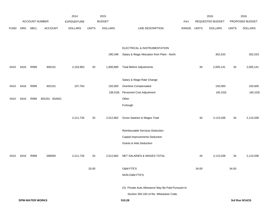|             |      |                        |                 | 2014               |              | 2015           |                                                    |       |              | 2016             |              | 2016            |
|-------------|------|------------------------|-----------------|--------------------|--------------|----------------|----------------------------------------------------|-------|--------------|------------------|--------------|-----------------|
|             |      | <b>ACCOUNT NUMBER</b>  |                 | <b>EXPENDITURE</b> |              | <b>BUDGET</b>  |                                                    | PAY   |              | REQUESTED BUDGET |              | PROPOSED BUDGET |
| <b>FUND</b> | ORG  | SBCL                   | <b>ACCOUNT</b>  | <b>DOLLARS</b>     | <b>UNITS</b> | <b>DOLLARS</b> | LINE DESCRIPTION                                   | RANGE | <b>UNITS</b> | <b>DOLLARS</b>   | <b>UNITS</b> | <b>DOLLARS</b>  |
|             |      |                        |                 |                    |              |                |                                                    |       |              |                  |              |                 |
|             |      |                        |                 |                    |              |                | ELECTRICAL & INSTRUMENTATION                       |       |              |                  |              |                 |
|             |      |                        |                 |                    |              | 290,348        | Salary & Wage Allocation from Plant - North        |       |              | 302,533          |              | 302,533         |
|             |      |                        |                 |                    |              |                |                                                    |       |              |                  |              |                 |
| 0410        | 6416 | R999                   | 600101          | 2,103,963          | 33           | 1,900,880      | <b>Total Before Adjustments</b>                    |       | 34           | 2,005,141        | 34           | 2,005,141       |
|             |      |                        |                 |                    |              |                |                                                    |       |              |                  |              |                 |
|             |      |                        |                 |                    |              |                | Salary & Wage Rate Change                          |       |              |                  |              |                 |
| 0410        | 6416 | R999                   | 602101          | 107,763            |              | 150,000        | Overtime Compensated                               |       |              | 150,000          |              | 150,000         |
|             |      |                        |                 |                    |              | (38,018)       | Personnel Cost Adjustment                          |       |              | (40, 103)        |              | (40, 103)       |
| 0410        | 6416 | R999                   | 602201 - 602601 |                    |              |                | Other                                              |       |              |                  |              |                 |
|             |      |                        |                 |                    |              |                | Furlough                                           |       |              |                  |              |                 |
|             |      |                        |                 |                    |              |                |                                                    |       |              |                  |              |                 |
|             |      |                        |                 | 2,211,726          | 33           | 2,012,862      | Gross Salaries & Wages Total                       |       | 34           | 2,115,038        | 34           | 2,115,038       |
|             |      |                        |                 |                    |              |                | Reimbursable Services Deduction                    |       |              |                  |              |                 |
|             |      |                        |                 |                    |              |                | Capital Improvements Deduction                     |       |              |                  |              |                 |
|             |      |                        |                 |                    |              |                | Grants & Aids Deduction                            |       |              |                  |              |                 |
|             |      |                        |                 |                    |              |                |                                                    |       |              |                  |              |                 |
| 0410        | 6416 | R999                   | 006000          | 2,211,726          | 33           | 2,012,862      | NET SALARIES & WAGES TOTAL                         |       | 34           | 2,115,038        | 34           | 2,115,038       |
|             |      |                        |                 |                    |              |                |                                                    |       |              |                  |              |                 |
|             |      |                        |                 |                    | 33.00        |                | O&M FTE'S                                          |       | 34.00        |                  | 34.00        |                 |
|             |      |                        |                 |                    |              |                | NON-O&M FTE'S                                      |       |              |                  |              |                 |
|             |      |                        |                 |                    |              |                | (X) Private Auto Allowance May Be Paid Pursuant to |       |              |                  |              |                 |
|             |      |                        |                 |                    |              |                | Section 350-183 of the Milwaukee Code.             |       |              |                  |              |                 |
|             |      | <b>DPW-WATER WORKS</b> |                 |                    |              |                | 510.28                                             |       |              |                  |              | 3rd Run 9/14/15 |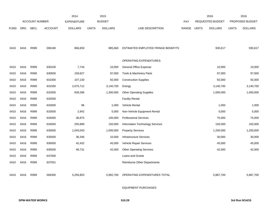|             |            |                       |                | 2014               |              | 2015           |                                        |       |       | 2016             |              | 2016            |
|-------------|------------|-----------------------|----------------|--------------------|--------------|----------------|----------------------------------------|-------|-------|------------------|--------------|-----------------|
|             |            | <b>ACCOUNT NUMBER</b> |                | <b>EXPENDITURE</b> |              | <b>BUDGET</b>  |                                        | PAY   |       | REQUESTED BUDGET |              | PROPOSED BUDGET |
| <b>FUND</b> | <b>ORG</b> | <b>SBCL</b>           | <b>ACCOUNT</b> | <b>DOLLARS</b>     | <b>UNITS</b> | <b>DOLLARS</b> | LINE DESCRIPTION                       | RANGE | UNITS | <b>DOLLARS</b>   | <b>UNITS</b> | <b>DOLLARS</b>  |
|             |            |                       |                |                    |              |                |                                        |       |       |                  |              |                 |
| 0410        | 6416       | R999                  | 006180         | 866,659            |              | 885,660        | ESTIMATED EMPLOYEE FRINGE BENEFITS     |       |       | 930,617          |              | 930,617         |
|             |            |                       |                |                    |              |                | OPERATING EXPENDITURES                 |       |       |                  |              |                 |
| 0410        | 6416       | R999                  | 630100         | 7,744              |              | 10,000         | General Office Expense                 |       |       | 10,000           |              | 10,000          |
| 0410        | 6416       | R999                  | 630500         | 159,627            |              | 97,000         | Tools & Machinery Parts                |       |       | 97,000           |              | 97,000          |
| 0410        | 6416       | R999                  | 631000         | 107,130            |              | 92,000         | <b>Construction Supplies</b>           |       |       | 92,000           |              | 92,000          |
| 0410        | 6416       | R999                  | 631500         | 2,675,712          |              | 3,140,700      | Energy                                 |       |       | 3,140,700        |              | 3,140,700       |
| 0410        | 6416       | R999                  | 632000         | 839,286            |              | 1,300,000      | <b>Other Operating Supplies</b>        |       |       | 1,000,000        |              | 1,000,000       |
| 0410        | 6416       | R999                  | 632500         |                    |              |                | <b>Facility Rental</b>                 |       |       |                  |              |                 |
| 0410        | 6416       | R999                  | 633000         | 96                 |              | 1,000          | Vehicle Rental                         |       |       | 1,000            |              | 1,000           |
| 0410        | 6416       | R999                  | 633500         | 2,942              |              | 5,000          | Non-Vehicle Equipment Rental           |       |       | 5,000            |              | 5,000           |
| 0410        | 6416       | R999                  | 634000         | 36,875             |              | 100,000        | <b>Professional Services</b>           |       |       | 75,000           |              | 75,000          |
| 0410        | 6416       | R999                  | 634500         | 255,889            |              | 150,000        | <b>Information Technology Services</b> |       |       | 150,000          |              | 150,000         |
| 0410        | 6416       | R999                  | 635000         | 1,043,043          |              | 1,000,000      | <b>Property Services</b>               |       |       | 1,200,000        |              | 1,200,000       |
| 0410        | 6416       | R999                  | 635500         | 36,346             |              | 10,000         | Infrastructure Services                |       |       | 30,000           |              | 30,000          |
| 0410        | 6416       | R999                  | 636000         | 42,432             |              | 45,000         | Vehicle Repair Services                |       |       | 45,000           |              | 45,000          |
| 0410        | 6416       | R999                  | 636500         | 48,731             |              | 42,000         | <b>Other Operating Services</b>        |       |       | 42,000           |              | 42,000          |
| 0410        | 6416       | R999                  | 637000         |                    |              |                | Loans and Grants                       |       |       |                  |              |                 |
| 0410        | 6416       | R999                  | 637501         |                    |              |                | Reimburse Other Departments            |       |       |                  |              |                 |
| 0410        | 6416       | R999                  | 006300         | 5,255,853          |              | 5,992,700      | OPERATING EXPENDITURES TOTAL           |       |       | 5,887,700        |              | 5,887,700       |
|             |            |                       |                |                    |              |                |                                        |       |       |                  |              |                 |

EQUIPMENT PURCHASES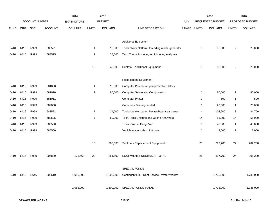|             |      |                       |                | 2014               |                | 2015           |                                                 |       |                | 2016             |                | 2016            |
|-------------|------|-----------------------|----------------|--------------------|----------------|----------------|-------------------------------------------------|-------|----------------|------------------|----------------|-----------------|
|             |      | <b>ACCOUNT NUMBER</b> |                | <b>EXPENDITURE</b> |                | <b>BUDGET</b>  |                                                 | PAY   |                | REQUESTED BUDGET |                | PROPOSED BUDGET |
| <b>FUND</b> | ORG  | <b>SBCL</b>           | <b>ACCOUNT</b> | <b>DOLLARS</b>     | <b>UNITS</b>   | <b>DOLLARS</b> | LINE DESCRIPTION                                | RANGE | <b>UNITS</b>   | <b>DOLLARS</b>   | <b>UNITS</b>   | <b>DOLLARS</b>  |
|             |      |                       |                |                    |                |                |                                                 |       |                |                  |                |                 |
|             |      |                       |                |                    |                |                | <b>Additional Equipment</b>                     |       |                |                  |                |                 |
| 0410        | 6416 | R999                  | 683521         |                    | 4              | 10,000         | Tools: Work platform, threading mach, generator |       | 3              | 98,000           | $\overline{2}$ | 23,000          |
| 0410        | 6416 | R999                  | 683525         |                    | 9              | 38,500         | Tech. Tools-pH meter, turbidimeter, analyzers   |       |                |                  |                |                 |
|             |      |                       |                |                    |                |                |                                                 |       |                |                  |                |                 |
|             |      |                       |                |                    | 13             | 48,500         | Subtotal - Additional Equipment                 |       | 3              | 98,000           | $\overline{2}$ | 23,000          |
|             |      |                       |                |                    |                |                |                                                 |       |                |                  |                |                 |
|             |      |                       |                |                    |                |                | Replacement Equipment                           |       |                |                  |                |                 |
| 0410        | 6416 | R999                  | 681008         |                    | $\mathbf{1}$   | 10,000         | Computer Peripheral: peri.protection, Istars    |       |                |                  |                |                 |
| 0410        | 6416 | R999                  | 681010         |                    | $\mathbf{1}$   | 80,000         | <b>Computer Server and Components</b>           |       | $\mathbf{1}$   | 80,000           | 1              | 80,000          |
| 0410        | 6416 | R999                  | 681011         |                    |                |                | <b>Computer Printer</b>                         |       | $\mathbf{1}$   | 500              | 1              | 500             |
| 0410        | 6416 | R999                  | 682008         |                    |                |                | Cameras - Security related                      |       | $\overline{1}$ | 20,000           | $\mathbf{1}$   | 20,000          |
| 0410        | 6416 | R999                  | 683521         |                    | $\overline{7}$ | 24,000         | Tools: breaker panel, Texas&Pipe area cranes    |       | 4              | 102,200          | 3              | 84,700          |
| 0410        | 6416 | R999                  | 683525         |                    | $\overline{7}$ | 89,000         | Tech. Tools: Chlorine and Ozone Analyzers       |       | 14             | 55,000           | 14             | 55,000          |
| 0410        | 6416 | R999                  | 685550         |                    |                |                | Trucks-Vans - Cargo Van                         |       | $\overline{1}$ | 40,000           | $\mathbf{1}$   | 40,000          |
| 0410        | 6416 | R999                  | 685560         |                    |                |                | Vehicle Accessories - Lift gate                 |       | $\overline{1}$ | 2,000            | $\mathbf{1}$   | 2,000           |
|             |      |                       |                |                    |                |                |                                                 |       |                |                  |                |                 |
|             |      |                       |                |                    | 16             | 203,000        | Subtotal - Replacement Equipment                |       | 23             | 299,700          | 22             | 282,200         |
|             |      |                       |                |                    |                |                |                                                 |       |                |                  |                |                 |
| 0410        | 6416 | R999                  | 006800         | 171,668            | 29             | 251,500        | EQUIPMENT PURCHASES TOTAL                       |       | 26             | 397,700          | 24             | 305,200         |
|             |      |                       |                |                    |                |                |                                                 |       |                |                  |                |                 |
|             |      |                       |                |                    |                |                | SPECIAL FUNDS                                   |       |                |                  |                |                 |
| 0410        | 6410 | R646                  | 006610         | 1,955,000          |                | 1,600,000      | Contingent FD. - Debt Service - Water Works*    |       |                | 1,735,000        |                | 1,735,000       |
|             |      |                       |                |                    |                |                |                                                 |       |                |                  |                |                 |
|             |      |                       |                | 1,955,000          |                | 1,600,000      | SPECIAL FUNDS TOTAL                             |       |                | 1,735,000        |                | 1,735,000       |
|             |      |                       |                |                    |                |                |                                                 |       |                |                  |                |                 |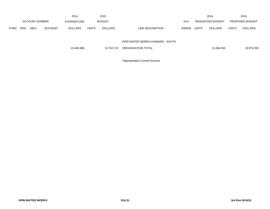|             |     |                       |                | 2014           |              | 2015           |                                |            |              | 2016             |              | 2016                   |
|-------------|-----|-----------------------|----------------|----------------|--------------|----------------|--------------------------------|------------|--------------|------------------|--------------|------------------------|
|             |     | <b>ACCOUNT NUMBER</b> |                | EXPENDITURE    |              | <b>BUDGET</b>  |                                | <b>PAY</b> |              | REQUESTED BUDGET |              | <b>PROPOSED BUDGET</b> |
| <b>FUND</b> | ORG | <b>SBCL</b>           | <b>ACCOUNT</b> | <b>DOLLARS</b> | <b>UNITS</b> | <b>DOLLARS</b> | LINE DESCRIPTION               | RANGE      | <b>UNITS</b> | <b>DOLLARS</b>   | <b>UNITS</b> | <b>DOLLARS</b>         |
|             |     |                       |                |                |              |                |                                |            |              |                  |              |                        |
|             |     |                       |                |                |              |                | DPW-WATER WORKS-HOWARD - SOUTH |            |              |                  |              |                        |
|             |     |                       |                | 10,460,906     |              | 10,742,722     | ORGANIZATION TOTAL             |            |              | 11,066,055       |              | 10,973,555             |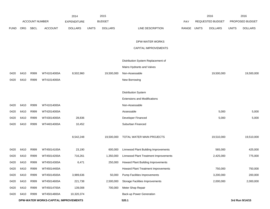|             |      |                       |                                      | 2014               |              | 2015           |                                        |       |              | 2016             |              | 2016            |
|-------------|------|-----------------------|--------------------------------------|--------------------|--------------|----------------|----------------------------------------|-------|--------------|------------------|--------------|-----------------|
|             |      | <b>ACCOUNT NUMBER</b> |                                      | <b>EXPENDITURE</b> |              | <b>BUDGET</b>  |                                        | PAY   |              | REQUESTED BUDGET |              | PROPOSED BUDGET |
| <b>FUND</b> | ORG  | <b>SBCL</b>           | <b>ACCOUNT</b>                       | <b>DOLLARS</b>     | <b>UNITS</b> | <b>DOLLARS</b> | LINE DESCRIPTION                       | RANGE | <b>UNITS</b> | <b>DOLLARS</b>   | <b>UNITS</b> | <b>DOLLARS</b>  |
|             |      |                       |                                      |                    |              |                |                                        |       |              |                  |              |                 |
|             |      |                       |                                      |                    |              |                | DPW-WATER WORKS                        |       |              |                  |              |                 |
|             |      |                       |                                      |                    |              |                | CAPITAL IMPROVEMENTS                   |       |              |                  |              |                 |
|             |      |                       |                                      |                    |              |                | Distribution System Replacement of     |       |              |                  |              |                 |
|             |      |                       |                                      |                    |              |                | Mains Hydrants and Valves              |       |              |                  |              |                 |
| 0420        | 6410 | R999                  | WT41014000A                          | 8,502,960          |              | 19,500,000     | Non-Assessable                         |       |              | 19,500,000       |              | 19,500,000      |
| 0420        | 6410 | R999                  | WT41014000A                          |                    |              |                | New Borrowing                          |       |              |                  |              |                 |
|             |      |                       |                                      |                    |              |                |                                        |       |              |                  |              |                 |
|             |      |                       |                                      |                    |              |                | <b>Distribution System</b>             |       |              |                  |              |                 |
|             |      |                       |                                      |                    |              |                | <b>Extensions and Modifications</b>    |       |              |                  |              |                 |
| 0420        | 6410 | R999                  | WT41014000A                          |                    |              |                | Non-Assessable                         |       |              |                  |              |                 |
| 0420        | 6410 | R999                  | WT42014000A                          |                    |              |                | Assessable                             |       |              | 5,000            |              | 5,000           |
| 0420        | 6410 | R999                  | WT43014000A                          | 28,836             |              |                | Developer Financed                     |       |              | 5,000            |              | 5,000           |
| 0420        | 6410 | R999                  | WT44014000A                          | 10,452             |              |                | Suburban Financed                      |       |              |                  |              |                 |
|             |      |                       |                                      |                    |              |                |                                        |       |              |                  |              |                 |
|             |      |                       |                                      | 8,542,248          |              | 19,500,000     | TOTAL WATER MAIN PROJECTS              |       |              | 19,510,000       |              | 19,510,000      |
|             |      |                       |                                      |                    |              |                |                                        |       |              |                  |              |                 |
| 0420        | 6410 | R999                  | WT45014100A                          | 23,190             |              | 600,000        | Linnwood Plant Building Improvements   |       |              | 565,000          |              | 425,000         |
| 0420        | 6410 | R999                  | WT45014200A                          | 716,261            |              | 1,350,000      | Linnwood Plant Treatment Improvements  |       |              | 2,425,000        |              | 775,000         |
| 0420        | 6410 | R999                  | WT45014300A                          | 6,471              |              | 250,000        | Howard Plant Building Improvements     |       |              |                  |              |                 |
| 0420        | 6410 | R999                  | WT45014400A                          |                    |              |                | Howard Plant Treatment Improvements    |       |              | 750,000          |              | 750,000         |
| 0420        | 6410 | R999                  | WT45014500A                          | 3,989,636          |              | 50,000         | <b>Pump Facilities Improvements</b>    |       |              | 3,200,000        |              | 200,000         |
| 0420        | 6410 | R999                  | WT45014600A                          | 221,738            |              | 2,500,000      | <b>Storage Facilities Improvements</b> |       |              | 2,000,000        |              | 2,000,000       |
| 0420        | 6410 | R999                  | WT45014700A                          | 139,008            |              | 700,000        | Meter Shop Repair                      |       |              |                  |              |                 |
| 0420        | 6410 | R999                  | WT45014800A                          | 10,320,374         |              |                | Back-up Power Generation               |       |              |                  |              |                 |
|             |      |                       | DPW-WATER WORKS-CAPITAL IMPROVEMENTS |                    |              |                | 520.1                                  |       |              |                  |              | 3rd Run 9/14/15 |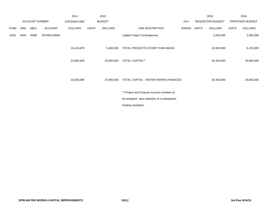|             |            |                       |                | 2014               |              | 2015           |                                           |       |              | 2016             |              | 2016            |
|-------------|------------|-----------------------|----------------|--------------------|--------------|----------------|-------------------------------------------|-------|--------------|------------------|--------------|-----------------|
|             |            | <b>ACCOUNT NUMBER</b> |                | <b>EXPENDITURE</b> |              | <b>BUDGET</b>  |                                           | PAY   |              | REQUESTED BUDGET |              | PROPOSED BUDGET |
| <b>FUND</b> | <b>ORG</b> | SBCL                  | <b>ACCOUNT</b> | <b>DOLLARS</b>     | <b>UNITS</b> | <b>DOLLARS</b> | LINE DESCRIPTION                          | RANGE | <b>UNITS</b> | <b>DOLLARS</b>   | <b>UNITS</b> | <b>DOLLARS</b>  |
| 0420        | 6410       | R999                  | WT45014900A    |                    |              |                | <b>Capital Project Contingencies</b>      |       |              | 2,000,000        |              | 2,000,000       |
|             |            |                       |                | 15,416,678         |              | 5,450,000      | TOTAL PROJECTS OTHER THAN MAINS           |       |              | 10,940,000       |              | 6,150,000       |
|             |            |                       |                | 23,958,926         |              | 24,950,000     | <b>TOTAL CAPITAL**</b>                    |       |              | 30,450,000       |              | 25,660,000      |
|             |            |                       |                | 23,930,090         |              | 24,950,000     | TOTAL CAPITAL - WATER WORKS FINANCED      |       |              | 30,440,000       |              | 25,650,000      |
|             |            |                       |                |                    |              |                | ** Project and Purpose account numbers to |       |              |                  |              |                 |
|             |            |                       |                |                    |              |                | be assigned upon adoption of a subsequent |       |              |                  |              |                 |
|             |            |                       |                |                    |              |                | funding resolution.                       |       |              |                  |              |                 |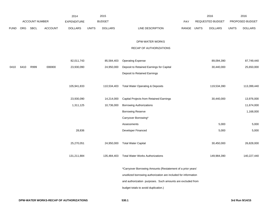|             |      |                       |                | 2014               |              | 2015           |                                                                                                                                                                                                                                      |             | 2016             |              | 2016            |
|-------------|------|-----------------------|----------------|--------------------|--------------|----------------|--------------------------------------------------------------------------------------------------------------------------------------------------------------------------------------------------------------------------------------|-------------|------------------|--------------|-----------------|
|             |      | <b>ACCOUNT NUMBER</b> |                | <b>EXPENDITURE</b> |              | <b>BUDGET</b>  |                                                                                                                                                                                                                                      | PAY         | REQUESTED BUDGET |              | PROPOSED BUDGET |
| <b>FUND</b> | ORG  | SBCL                  | <b>ACCOUNT</b> | <b>DOLLARS</b>     | <b>UNITS</b> | <b>DOLLARS</b> | LINE DESCRIPTION                                                                                                                                                                                                                     | RANGE UNITS | <b>DOLLARS</b>   | <b>UNITS</b> | <b>DOLLARS</b>  |
|             |      |                       |                |                    |              |                | DPW-WATER WORKS                                                                                                                                                                                                                      |             |                  |              |                 |
|             |      |                       |                |                    |              |                | RECAP OF AUTHORIZATIONS                                                                                                                                                                                                              |             |                  |              |                 |
|             |      |                       |                | 82,011,743         |              | 85,584,403     | <b>Operating Expense</b>                                                                                                                                                                                                             |             | 89,094,390       |              | 87,749,440      |
| 0410        | 6410 | R999                  | 006900         | 23,930,090         |              | 24,950,000     | Deposit to Retained Earnings for Capital                                                                                                                                                                                             |             | 30,440,000       |              | 25,650,000      |
|             |      |                       |                |                    |              |                | Deposit to Retained Earnings                                                                                                                                                                                                         |             |                  |              |                 |
|             |      |                       |                | 105,941,833        |              | 110,534,403    | <b>Total Water Operating &amp; Deposits</b>                                                                                                                                                                                          |             | 119,534,390      |              | 113,399,440     |
|             |      |                       |                | 23,930,090         |              | 14,214,000     | Capital Projects from Retained Earnings                                                                                                                                                                                              |             | 30,440,000       |              | 13,976,000      |
|             |      |                       |                | 1,311,125          |              | 10,736,000     | <b>Borrowing Authorizations</b>                                                                                                                                                                                                      |             |                  |              | 11,674,000      |
|             |      |                       |                |                    |              |                | <b>Borrowing Reserve</b>                                                                                                                                                                                                             |             |                  |              | 1,168,000       |
|             |      |                       |                |                    |              |                | Carryover Borrowing*                                                                                                                                                                                                                 |             |                  |              |                 |
|             |      |                       |                |                    |              |                | Assessments                                                                                                                                                                                                                          |             | 5,000            |              | 5,000           |
|             |      |                       |                | 28,836             |              |                | Developer Financed                                                                                                                                                                                                                   |             | 5,000            |              | 5,000           |
|             |      |                       |                | 25,270,051         |              | 24,950,000     | <b>Total Water Capital</b>                                                                                                                                                                                                           |             | 30,450,000       |              | 26,828,000      |
|             |      |                       |                | 131,211,884        |              | 135,484,403    | <b>Total Water Works Authorizations</b>                                                                                                                                                                                              |             | 149,984,390      |              | 140,227,440     |
|             |      |                       |                |                    |              |                | *Carryover Borrowing Amounts (Restatement of a prior years'<br>unutilized borrowing authorization are included for information<br>and authorization purposes. Such amounts are excluded from<br>budget totals to avoid duplication.) |             |                  |              |                 |
|             |      |                       |                |                    |              |                |                                                                                                                                                                                                                                      |             |                  |              |                 |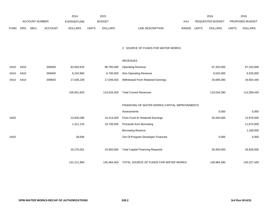|             |                |             |                | 2014           |               | 2015           |                                  |                  | 2016           |                        | 2016           |
|-------------|----------------|-------------|----------------|----------------|---------------|----------------|----------------------------------|------------------|----------------|------------------------|----------------|
|             | ACCOUNT NUMBER |             | EXPENDITURE    |                | <b>BUDGET</b> | PAY            |                                  | REQUESTED BUDGET |                | <b>PROPOSED BUDGET</b> |                |
| <b>FUND</b> | ORG            | <b>SBCL</b> | <b>ACCOUNT</b> | <b>DOLLARS</b> | <b>UNITS</b>  | <b>DOLLARS</b> | LINE DESCRIPTION<br><b>RANGE</b> | <b>UNITS</b>     | <b>DOLLARS</b> | <b>UNITS</b>           | <b>DOLLARS</b> |

2. SOURCE OF FUNDS FOR WATER WORKS

|      |      |                      |             | <b>REVENUES</b>                               |             |             |
|------|------|----------------------|-------------|-----------------------------------------------|-------------|-------------|
| 0410 | 6410 | 82,663,634<br>009400 | 86,785,000  | <b>Operating Revenue</b>                      | 87,320,000  | 87,320,000  |
| 0410 | 6410 | 009400<br>6,242,960  | 6,700,000   | Non-Operating Revenue                         | 6,525,000   | 6,525,000   |
| 0410 | 6410 | 009920<br>17,035,239 | 17,049,403  | Withdrawal From Retained Earnings             | 25,689,390  | 19,554,440  |
|      |      |                      |             |                                               |             |             |
|      |      | 105,941,833          | 110,534,403 | <b>Total Current Revenues</b>                 | 119,534,390 | 113,399,440 |
|      |      |                      |             |                                               |             |             |
|      |      |                      |             | FINANCING OF WATER WORKS CAPITAL IMPROVEMENTS |             |             |
|      |      |                      |             | Assessments                                   | 5,000       | 5,000       |
| 0420 |      | 23,930,090           | 14,214,000  | From Fund 41 Retained Earnings                | 30,440,000  | 13,976,000  |
|      |      | 1,311,125            | 10,736,000  | Proceeds from Borrowing                       |             | 11,674,000  |
|      |      |                      |             | <b>Borrowing Reserve</b>                      |             | 1,168,000   |
| 0420 |      | 28,836               |             | Out Of Program-Developer Financed             | 5,000       | 5,000       |
|      |      |                      |             |                                               |             |             |
|      |      | 25,270,051           | 24,950,000  | <b>Total Capital Financing Required</b>       | 30,450,000  | 26,828,000  |
|      |      |                      |             |                                               |             |             |
|      |      | 131,211,884          | 135,484,403 | TOTAL SOURCE OF FUNDS FOR WATER WORKS         | 149,984,390 | 140,227,440 |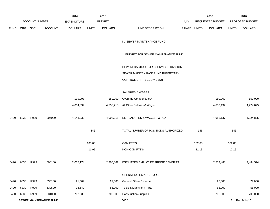|             |     |                       |                | 2014               |              | 2015           |                                        |            |              | 2016                    |              | 2016            |
|-------------|-----|-----------------------|----------------|--------------------|--------------|----------------|----------------------------------------|------------|--------------|-------------------------|--------------|-----------------|
|             |     | <b>ACCOUNT NUMBER</b> |                | <b>EXPENDITURE</b> |              | <b>BUDGET</b>  |                                        | <b>PAY</b> |              | <b>REQUESTED BUDGET</b> |              | PROPOSED BUDGET |
| <b>FUND</b> | ORG | <b>SBCL</b>           | <b>ACCOUNT</b> | <b>DOLLARS</b>     | <b>UNITS</b> | <b>DOLLARS</b> | LINE DESCRIPTION                       | RANGE      | <b>UNITS</b> | <b>DOLLARS</b>          | <b>UNITS</b> | <b>DOLLARS</b>  |
|             |     |                       |                |                    |              |                | K. SEWER MAINTENANCE FUND              |            |              |                         |              |                 |
|             |     |                       |                |                    |              |                | 1. BUDGET FOR SEWER MAINTENANCE FUND   |            |              |                         |              |                 |
|             |     |                       |                |                    |              |                | DPW-INFRASTRUCTURE SERVICES DIVISION - |            |              |                         |              |                 |
|             |     |                       |                |                    |              |                | SEWER MAINTENANCE FUND BUDGETARY       |            |              |                         |              |                 |
|             |     |                       |                |                    |              |                | CONTROL UNIT $(1 BCU = 2 DU)$          |            |              |                         |              |                 |
|             |     |                       |                |                    |              |                |                                        |            |              |                         |              |                 |
|             |     |                       |                |                    |              |                | <b>SALARIES &amp; WAGES</b>            |            |              |                         |              |                 |

|      |                               |      |        | 139,098   | 150,000   |  | Overtime Compensated*                |        | 150,000   |                 | 150,000   |
|------|-------------------------------|------|--------|-----------|-----------|--|--------------------------------------|--------|-----------|-----------------|-----------|
|      |                               |      |        | 4,004,834 | 4,758,218 |  | All Other Salaries & Wages           |        | 4,832,137 |                 | 4,774,825 |
|      |                               |      |        |           |           |  |                                      |        |           |                 |           |
| 0490 | 6830                          | R999 | 006000 | 4,143,932 | 4,908,218 |  | NET SALARIES & WAGES TOTAL*          |        | 4,982,137 |                 | 4,924,825 |
|      |                               |      |        |           |           |  |                                      |        |           |                 |           |
|      |                               |      |        |           | 146       |  | TOTAL NUMBER OF POSITIONS AUTHORIZED | 146    |           | 146             |           |
|      |                               |      |        |           |           |  |                                      |        |           |                 |           |
|      |                               |      |        |           | 103.05    |  | <b>O&amp;M FTE'S</b>                 | 102.85 |           | 102.85          |           |
|      |                               |      |        |           | 11.95     |  | NON-O&M FTE'S                        | 12.15  |           | 12.15           |           |
| 0490 | 6830                          | R999 | 006180 | 2,037,174 | 2,306,862 |  | ESTIMATED EMPLOYEE FRINGE BENEFITS   |        | 2,513,488 |                 | 2,484,574 |
|      |                               |      |        |           |           |  | OPERATING EXPENDITURES               |        |           |                 |           |
| 0490 | 6830                          | R999 | 630100 | 21,509    | 27,000    |  | General Office Expense               |        | 27,000    |                 | 27,000    |
| 0490 | 6830                          | R999 | 630500 | 18,640    | 55,000    |  | Tools & Machinery Parts              |        | 55,000    |                 | 55,000    |
| 0490 | 6830                          | R999 | 631000 | 702,635   | 700,000   |  | <b>Construction Supplies</b>         |        | 700,000   |                 | 700,000   |
|      | <b>SEWER MAINTENANCE FUND</b> |      |        |           |           |  | 540.1                                |        |           | 3rd Run 9/14/15 |           |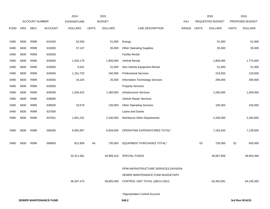|             |      |                       |                | 2014               |              | 2015           |                                       |       |              | 2016             |              | 2016            |
|-------------|------|-----------------------|----------------|--------------------|--------------|----------------|---------------------------------------|-------|--------------|------------------|--------------|-----------------|
|             |      | <b>ACCOUNT NUMBER</b> |                | <b>EXPENDITURE</b> |              | <b>BUDGET</b>  |                                       | PAY   |              | REQUESTED BUDGET |              | PROPOSED BUDGET |
| <b>FUND</b> | ORG  | <b>SBCL</b>           | <b>ACCOUNT</b> | <b>DOLLARS</b>     | <b>UNITS</b> | <b>DOLLARS</b> | LINE DESCRIPTION                      | RANGE | <b>UNITS</b> | <b>DOLLARS</b>   | <b>UNITS</b> | <b>DOLLARS</b>  |
|             |      |                       |                |                    |              |                |                                       |       |              |                  |              |                 |
| 0490        | 6830 | R999                  | 631500         | 52,056             |              | 51,000         | Energy                                |       |              | 51,000           |              | 51,000          |
| 0490        | 6830 | R999                  | 632000         | 37,137             |              | 35,000         | <b>Other Operating Supplies</b>       |       |              | 35,000           |              | 35,000          |
| 0490        | 6830 | R999                  | 632500         |                    |              |                | <b>Facility Rental</b>                |       |              |                  |              |                 |
| 0490        | 6830 | R999                  | 633000         | 1,534,179          |              | 1,900,000      | Vehicle Rental                        |       |              | 1,800,000        |              | 1,775,000       |
| 0490        | 6830 | R999                  | 633500         | 5,631              |              | 51,000         | Non-Vehicle Equipment Rental          |       |              | 51,000           |              | 51,000          |
| 0490        | 6830 | R999                  | 634000         | 1,161,753          |              | 240,000        | <b>Professional Services</b>          |       |              | 219,500          |              | 219,500         |
| 0490        | 6830 | R999                  | 634500         | 24,225             |              | 25,000         | Information Technology Services       |       |              | 290,000          |              | 290,000         |
| 0490        | 6830 | R999                  | 635000         |                    |              |                | <b>Property Services</b>              |       |              |                  |              |                 |
| 0490        | 6830 | R999                  | 635500         | 1,564,422          |              | 1,360,000      | <b>Infrastructure Services</b>        |       |              | 1,500,000        |              | 1,500,000       |
| 0490        | 6830 | R999                  | 636000         |                    |              |                | Vehicle Repair Services               |       |              |                  |              |                 |
| 0490        | 6830 | R999                  | 636500         | 19,579             |              | 130,000        | <b>Other Operating Services</b>       |       |              | 105,000          |              | 105,000         |
| 0490        | 6830 | R999                  | 637000         |                    |              |                | Loans and Grants                      |       |              |                  |              |                 |
| 0490        | 6830 | R999                  | 637501         | 1,851,231          |              | 2,330,000      | <b>Reimburse Other Departments</b>    |       |              | 2,330,000        |              | 2,330,000       |
|             |      |                       |                |                    |              |                |                                       |       |              |                  |              |                 |
| 0490        | 6830 | R999                  | 006300         | 6,992,997          |              | 6,904,000      | OPERATING EXPENDITURES TOTAL*         |       |              | 7,163,500        |              | 7,138,500       |
|             |      |                       |                |                    |              |                |                                       |       |              |                  |              |                 |
| 0490        | 6830 | R999                  | 006800         | 821,809            | 64           | 730,000        | EQUIPMENT PURCHASES TOTAL*            |       | 53           | 735,000          | 52           | 650,000         |
|             |      |                       |                |                    |              |                |                                       |       |              |                  |              |                 |
|             |      |                       |                | 32,311,561         |              | 44,956,410     | <b>SPECIAL FUNDS</b>                  |       |              | 48,067,956       |              | 48,942,484      |
|             |      |                       |                |                    |              |                |                                       |       |              |                  |              |                 |
|             |      |                       |                |                    |              |                | DPW-INFRASTRUCTURE SERVICES DIVISION- |       |              |                  |              |                 |
|             |      |                       |                |                    |              |                | SEWER MAINTENANCE FUND BUDGETARY      |       |              |                  |              |                 |
|             |      |                       |                | 46,307,473         |              | 59,805,490     | CONTROL UNIT TOTAL (1BCU=2DU)         |       |              | 63,462,081       |              | 64,140,383      |
|             |      |                       |                |                    |              |                |                                       |       |              |                  |              |                 |
|             |      |                       |                |                    |              |                | *Appropriation Control Account        |       |              |                  |              |                 |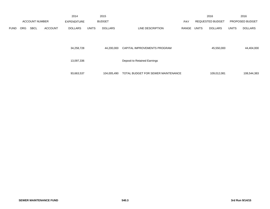|             |                       |             |                    | 2014           |              | 2015           |                                    |       |                         | 2016           |                 | 2016           |
|-------------|-----------------------|-------------|--------------------|----------------|--------------|----------------|------------------------------------|-------|-------------------------|----------------|-----------------|----------------|
|             | <b>ACCOUNT NUMBER</b> |             | <b>EXPENDITURE</b> | <b>BUDGET</b>  |              |                | <b>PAY</b>                         |       | <b>REQUESTED BUDGET</b> |                | PROPOSED BUDGET |                |
| <b>FUND</b> | <b>ORG</b>            | <b>SBCL</b> | <b>ACCOUNT</b>     | <b>DOLLARS</b> | <b>UNITS</b> | <b>DOLLARS</b> | LINE DESCRIPTION                   | RANGE | <b>UNITS</b>            | <b>DOLLARS</b> | <b>UNITS</b>    | <b>DOLLARS</b> |
|             |                       |             |                    | 34,258,728     |              | 44,200,000     | CAPITAL IMPROVEMENTS PROGRAM       |       |                         | 45,550,000     |                 | 44,404,000     |
|             |                       |             |                    | 13,097,336     |              |                | Deposit to Retained Earnings       |       |                         |                |                 |                |
|             |                       |             |                    | 93,663,537     |              | 104,005,490    | TOTAL BUDGET FOR SEWER MAINTENANCE |       |                         | 109,012,081    |                 | 108,544,383    |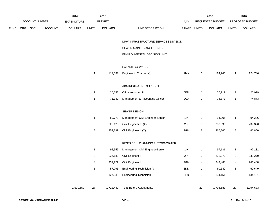|             |             | 2014           |                    | 2015         |                |                                  | 2016                               |                                                                           | 2016           |                           |                 |
|-------------|-------------|----------------|--------------------|--------------|----------------|----------------------------------|------------------------------------|---------------------------------------------------------------------------|----------------|---------------------------|-----------------|
|             |             |                | <b>EXPENDITURE</b> |              |                |                                  | <b>PAY</b>                         |                                                                           |                |                           | PROPOSED BUDGET |
| ORG         | <b>SBCL</b> | <b>ACCOUNT</b> | <b>DOLLARS</b>     | <b>UNITS</b> | <b>DOLLARS</b> | LINE DESCRIPTION                 |                                    |                                                                           | <b>DOLLARS</b> | <b>UNITS</b>              | <b>DOLLARS</b>  |
|             |             |                |                    |              |                |                                  |                                    |                                                                           |                |                           |                 |
|             |             |                |                    |              |                | SEWER MAINTENANCE FUND -         |                                    |                                                                           |                |                           |                 |
|             |             |                |                    |              |                | ENVIRONMENTAL DECISION UNIT      |                                    |                                                                           |                |                           |                 |
|             |             |                |                    |              |                | <b>SALARIES &amp; WAGES</b>      |                                    |                                                                           |                |                           |                 |
|             |             |                |                    | $\mathbf{1}$ | 117,087        | Engineer in Charge (Y)           | 1MX                                | $\overline{1}$                                                            | 124,746        | $\mathbf{1}$              | 124,746         |
|             |             |                |                    |              |                | ADMINISTRATIVE SUPPORT           |                                    |                                                                           |                |                           |                 |
|             |             |                |                    | $\mathbf{1}$ | 25,652         | <b>Office Assistant II</b>       | 6EN                                | $\mathbf{1}$                                                              | 26,919         | $\mathbf{1}$              | 26,919          |
|             |             |                |                    | $\mathbf{1}$ | 71,349         | Management & Accounting Officer  | 2GX                                | $\mathbf{1}$                                                              | 74,873         | $\mathbf{1}$              | 74,873          |
|             |             |                |                    |              |                | SEWER DESIGN                     |                                    |                                                                           |                |                           |                 |
|             |             |                |                    | $\mathbf{1}$ | 89,772         | Management Civil Engineer-Senior | 11X                                | $\mathbf{1}$                                                              | 94,206         | $\mathbf{1}$              | 94,206          |
|             |             |                |                    | 3            | 228,123        | Civil Engineer III (X)           | 2IN                                | 3                                                                         | 239,390        | 3                         | 239,390         |
|             |             |                |                    | 8            | 459,799        | Civil Engineer II (X)            | 2GN                                | 8                                                                         | 466,860        | 8                         | 466,860         |
|             |             |                |                    |              |                |                                  |                                    |                                                                           |                |                           |                 |
|             |             |                |                    | $\mathbf{1}$ | 92,559         | Management Civil Engineer-Senior | 11X                                | $\mathbf{1}$                                                              | 97,131         | $\mathbf{1}$              | 97,131          |
|             |             |                |                    | 3            | 226,189        | Civil Engineer III               | 2IN                                | 3                                                                         | 232,270        | $\ensuremath{\mathsf{3}}$ | 232,270         |
|             |             |                |                    | 4            | 232,279        | Civil Engineer II                | 2GN                                | $\overline{4}$                                                            | 243,488        | 4                         | 243,488         |
|             |             |                |                    | $\mathbf{1}$ | 57,795         | Engineering Technician IV        | 3NN                                | $\mathbf{1}$                                                              | 60,649         | $\mathbf{1}$              | 60,649          |
|             |             |                |                    | 3            | 127,838        | <b>Engineering Technician II</b> | 3FN                                | 3                                                                         | 134,151        | 3                         | 134,151         |
|             |             |                | 1,510,659          | 27           |                |                                  |                                    | 27                                                                        | 1,794,683      | 27                        | 1,794,683       |
| <b>FUND</b> |             |                | ACCOUNT NUMBER     |              |                | <b>BUDGET</b>                    | 1,728,442 Total Before Adjustments | DPW-INFRASTRUCTURE SERVICES DIVISION -<br>RESEARCH, PLANNING & STORMWATER | RANGE UNITS    | REQUESTED BUDGET          |                 |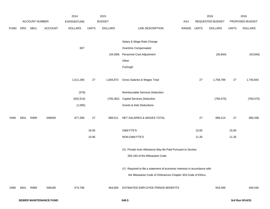|             |      |                |                | 2014               |              | 2015           |                                                                                                                                           |             |       | 2016             |              | 2016            |
|-------------|------|----------------|----------------|--------------------|--------------|----------------|-------------------------------------------------------------------------------------------------------------------------------------------|-------------|-------|------------------|--------------|-----------------|
|             |      | ACCOUNT NUMBER |                | <b>EXPENDITURE</b> |              | <b>BUDGET</b>  |                                                                                                                                           | PAY         |       | REQUESTED BUDGET |              | PROPOSED BUDGET |
| <b>FUND</b> | ORG  | <b>SBCL</b>    | <b>ACCOUNT</b> | <b>DOLLARS</b>     | <b>UNITS</b> | <b>DOLLARS</b> | LINE DESCRIPTION                                                                                                                          | RANGE UNITS |       | <b>DOLLARS</b>   | <b>UNITS</b> | <b>DOLLARS</b>  |
|             |      |                |                |                    |              |                | Salary & Wage Rate Change                                                                                                                 |             |       |                  |              |                 |
|             |      |                |                |                    |              |                |                                                                                                                                           |             |       |                  |              |                 |
|             |      |                |                | 607                |              |                | Overtime Compensated                                                                                                                      |             |       |                  |              |                 |
|             |      |                |                |                    |              | (34, 569)      | Personnel Cost Adjustment                                                                                                                 |             |       | (35, 894)        |              | (53, 840)       |
|             |      |                |                |                    |              |                | Other                                                                                                                                     |             |       |                  |              |                 |
|             |      |                |                |                    |              |                | Furlough                                                                                                                                  |             |       |                  |              |                 |
|             |      |                |                | 1,511,266          | $27\,$       | 1,693,873      | Gross Salaries & Wages Total                                                                                                              |             | 27    | 1,758,789        | $27\,$       | 1,740,843       |
|             |      |                |                | (379)              |              |                | Reimbursable Services Deduction                                                                                                           |             |       |                  |              |                 |
|             |      |                |                | (632, 514)         |              | (705, 362)     | <b>Capital Services Deduction</b>                                                                                                         |             |       | (760, 575)       |              | (760, 575)      |
|             |      |                |                | (1,065)            |              |                | <b>Grants &amp; Aids Deductions</b>                                                                                                       |             |       |                  |              |                 |
| 0490        | 6831 | R999           | 006000         | 877,308            | $27\,$       | 988,511        | NET SALARIES & WAGES TOTAL                                                                                                                |             | 27    | 998,214          | 27           | 980,268         |
|             |      |                |                |                    | 16.05        |                | O&M FTE'S                                                                                                                                 |             | 15.65 |                  | 15.65        |                 |
|             |      |                |                |                    | 10.95        |                | NON-O&M FTE'S                                                                                                                             |             | 11.35 |                  | 11.35        |                 |
|             |      |                |                |                    |              |                | (X) Private Auto Allowance May Be Paid Pursuant to Section<br>350-183 of the Milwaukee Code.                                              |             |       |                  |              |                 |
|             |      |                |                |                    |              |                | (Y) Required to file a statement of economic interests in accordance with<br>the Milwaukee Code of Ordinances Chapter 303-Code of Ethics. |             |       |                  |              |                 |
| 0490        | 6831 | R999           | 006180         | 574,796            |              | 464,600        | ESTIMATED EMPLOYEE FRINGE BENEFITS                                                                                                        |             |       | 503,599          |              | 494,545         |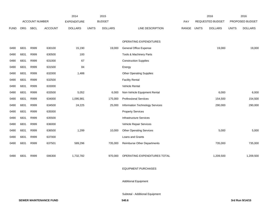| 2016            |
|-----------------|
| PROPOSED BUDGET |
| <b>DOLLARS</b>  |
|                 |
|                 |
| 19,000          |
|                 |
|                 |
|                 |
|                 |
|                 |
|                 |
| 6,000           |
| 154,500         |
| 290,000         |
|                 |
|                 |
|                 |
| 5,000           |
|                 |
| 735,000         |
|                 |
| 1,209,500       |
|                 |

### EQUIPMENT PURCHASES

Additional Equipment

Subtotal - Additional Equipment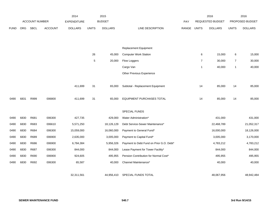|             |            |                |                | 2014               |              | 2015           |                                          |            |                  | 2016           |                 | 2016           |
|-------------|------------|----------------|----------------|--------------------|--------------|----------------|------------------------------------------|------------|------------------|----------------|-----------------|----------------|
|             |            | ACCOUNT NUMBER |                | <b>EXPENDITURE</b> |              | <b>BUDGET</b>  |                                          | <b>PAY</b> | REQUESTED BUDGET |                | PROPOSED BUDGET |                |
| <b>FUND</b> | <b>ORG</b> | <b>SBCL</b>    | <b>ACCOUNT</b> | <b>DOLLARS</b>     | <b>UNITS</b> | <b>DOLLARS</b> | LINE DESCRIPTION                         | RANGE      | <b>UNITS</b>     | <b>DOLLARS</b> | <b>UNITS</b>    | <b>DOLLARS</b> |
|             |            |                |                |                    |              |                |                                          |            |                  |                |                 |                |
|             |            |                |                |                    |              |                |                                          |            |                  |                |                 |                |
|             |            |                |                |                    |              |                | <b>Replacement Equipment</b>             |            |                  |                |                 |                |
|             |            |                |                |                    | 26           | 45,000         | <b>Computer Work Station</b>             |            | 6                | 15,000         | 6               | 15,000         |
|             |            |                |                |                    | $\mathbf 5$  | 20,000         | Flow Loggers                             |            | $\overline{7}$   | 30,000         | 7               | 30,000         |
|             |            |                |                |                    |              |                | Cargo Van                                |            | $\overline{1}$   | 40,000         | $\mathbf{1}$    | 40,000         |
|             |            |                |                |                    |              |                | Other Previous Experience                |            |                  |                |                 |                |
|             |            |                |                |                    |              |                |                                          |            |                  |                |                 |                |
|             |            |                |                | 411,699            | 31           | 65,000         | Subtotal - Replacement Equipment         |            | 14               | 85,000         | 14              | 85,000         |
|             |            |                |                |                    |              |                |                                          |            |                  |                |                 |                |
| 0490        | 6831       | R999           | 006800         | 411,699            | 31           | 65,000         | <b>EQUIPMENT PURCHASES TOTAL</b>         |            | 14               | 85,000         | 14              | 85,000         |
|             |            |                |                |                    |              |                |                                          |            |                  |                |                 |                |
|             |            |                |                |                    |              |                | SPECIAL FUNDS                            |            |                  |                |                 |                |
| 0490        | 6830       | R681           | 006300         | 427,735            |              | 429,000        | Water Administration*                    |            |                  | 431,000        |                 | 431,000        |
| 0490        | 6830       | R683           | 006610         | 5,571,250          |              | 18,126,129     | Debt Service-Sewer Maintenance*          |            |                  | 22,468,789     |                 | 21,052,317     |
| 0490        | 6830       | R684           | 006300         | 15,059,000         |              | 16,060,000     | Payment to General Fund*                 |            |                  | 16,000,000     |                 | 18,126,000     |
| 0490        | 6830       | R689           | 006900         | 2,635,000          |              | 3,005,000      | Payment to Capital Fund*                 |            |                  | 3,005,000      |                 | 3,170,000      |
| 0490        | 6830       | R686           | 006900         | 6,784,384          |              | 5,956,326      | Payment to Debt Fund on Prior G.O. Debt* |            |                  | 4,783,212      |                 | 4,783,212      |
| 0490        | 6830       | R687           | 006300         | 844,000            |              | 844,000        | Lease Payment for Tower Facility*        |            |                  | 844,000        |                 | 844,000        |
| 0490        | 6830       | R690           | 006900         | 924,605            |              | 495,955        | Pension Contribution for Normal Cost*    |            |                  | 495,955        |                 | 495,955        |
| 0490        | 6830       | R692           | 006300         | 65,587             |              | 40,000         | Channel Maintenance*                     |            |                  | 40,000         |                 | 40,000         |
|             |            |                |                |                    |              |                |                                          |            |                  |                |                 |                |
|             |            |                |                | 32,311,561         |              | 44,956,410     | SPECIAL FUNDS TOTAL                      |            |                  | 48,067,956     |                 | 48,942,484     |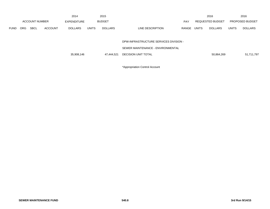|             |                       |             |                    | 2014           |               | 2015           |                                        |                  |              | 2016                   |              | 2016           |
|-------------|-----------------------|-------------|--------------------|----------------|---------------|----------------|----------------------------------------|------------------|--------------|------------------------|--------------|----------------|
|             | <b>ACCOUNT NUMBER</b> |             | <b>EXPENDITURE</b> |                | <b>BUDGET</b> |                | <b>PAY</b>                             | REQUESTED BUDGET |              | <b>PROPOSED BUDGET</b> |              |                |
| <b>FUND</b> | <b>ORG</b>            | <b>SBCL</b> | <b>ACCOUNT</b>     | <b>DOLLARS</b> | <b>UNITS</b>  | <b>DOLLARS</b> | LINE DESCRIPTION                       | RANGE            | <b>UNITS</b> | <b>DOLLARS</b>         | <b>UNITS</b> | <b>DOLLARS</b> |
|             |                       |             |                    |                |               |                |                                        |                  |              |                        |              |                |
|             |                       |             |                    |                |               |                | DPW-INFRASTRUCTURE SERVICES DIVISION - |                  |              |                        |              |                |
|             |                       |             |                    |                |               |                | SEWER MAINTENANCE - ENVIRONMENTAL      |                  |              |                        |              |                |
|             |                       |             |                    | 35,908,146     |               | 47.444.521     | <b>DECISION UNIT TOTAL</b>             |                  |              | 50,864,269             |              | 51,711,797     |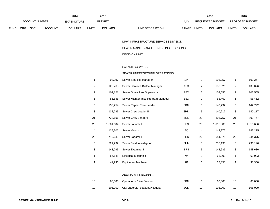|      |     |                |                | 2014           |              | 2015           |                                  | 2016                           |              | 2016                   |
|------|-----|----------------|----------------|----------------|--------------|----------------|----------------------------------|--------------------------------|--------------|------------------------|
|      |     | ACCOUNT NUMBER |                | EXPENDITURE    |              | <b>BUDGET</b>  | PAY                              | REQUESTED BUDGET               |              | <b>PROPOSED BUDGET</b> |
| FUND | ORG | SBCL           | <b>ACCOUNT</b> | <b>DOLLARS</b> | <b>UNITS</b> | <b>DOLLARS</b> | <b>RANGE</b><br>LINE DESCRIPTION | <b>UNITS</b><br><b>DOLLARS</b> | <b>UNITS</b> | <b>DOLLARS</b>         |

## DPW-INFRASTRUCTURE SERVICES DIVISION -

#### SEWER MAINTENANCE FUND - UNDERGROUND

### DECISION UNIT

#### SALARIES & WAGES

#### SEWER UNDERGROUND OPERATIONS

| 1            | 98,397    | Sewer Services Manager            | 11X | 1  | 103,257   |                | 103,257   |
|--------------|-----------|-----------------------------------|-----|----|-----------|----------------|-----------|
| 2            | 125,765   | Sewer Services District Manager   | 1FX | 2  | 130,026   | $\overline{c}$ | 130,026   |
| 2            | 109,121   | Sewer Operations Supervisor       | 1BX | 2  | 102,555   | $\overline{c}$ | 102,555   |
| $\mathbf{1}$ | 56,546    | Sewer Maintenance Program Manager | 1BX | 1  | 58,462    | 1              | 58,462    |
| 5            | 138,254   | Sewer Repair Crew Leader          | 8KN | 5  | 142,792   | 5              | 142,792   |
| 3            | 132,285   | Sewer Crew Leader II              | 8HN | 3  | 140,217   | 3              | 140,217   |
| 21           | 738,196   | Sewer Crew Leader I               | 8GN | 21 | 803,757   | 21             | 803,757   |
| 28           | 1,001,684 | Sewer Laborer II                  | 8FN | 28 | 1,016,686 | 28             | 1,016,686 |
| 4            | 138,706   | Sewer Mason                       | 7Q  | 4  | 143,275   | 4              | 143,275   |
| 22           | 710,633   | Sewer Laborer I                   | 8EN | 22 | 644,375   | 22             | 644,375   |
| 5            | 221,292   | Sewer Field Investigator          | 8HN | 5  | 236,196   | 5              | 236,196   |
| 3            | 143,295   | Sewer Examiner II                 | 8JN | 3  | 148,686   | 3              | 148,686   |
| 1            | 56,148    | <b>Electrical Mechanic</b>        | 7M  | 1  | 63,003    | 1              | 63,003    |
| 1            | 41,930    | Equipment Mechanic I              | 7B  |    | 38,350    |                | 38,350    |

### AUXILIARY PERSONNEL

| 10  | 60,000 Operations Driver/Worker          | 8KN |    | 60.000  | 60,000  |
|-----|------------------------------------------|-----|----|---------|---------|
| -10 | 105,000 City Laborer, (Seasonal/Regular) | 8CN | 10 | 105.000 | 105,000 |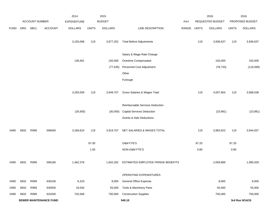|             |      |                |                               | 2014               |              | 2015           |                                     |             |       | 2016             |              | 2016            |
|-------------|------|----------------|-------------------------------|--------------------|--------------|----------------|-------------------------------------|-------------|-------|------------------|--------------|-----------------|
|             |      | ACCOUNT NUMBER |                               | <b>EXPENDITURE</b> |              | <b>BUDGET</b>  |                                     | PAY         |       | REQUESTED BUDGET |              | PROPOSED BUDGET |
| <b>FUND</b> | ORG  | <b>SBCL</b>    | <b>ACCOUNT</b>                | <b>DOLLARS</b>     | <b>UNITS</b> | <b>DOLLARS</b> | LINE DESCRIPTION                    | RANGE UNITS |       | <b>DOLLARS</b>   | <b>UNITS</b> | <b>DOLLARS</b>  |
|             |      |                |                               | 3,155,068          | 119          | 3,877,252      | <b>Total Before Adjustments</b>     |             | 119   | 3,936,637        | 119          | 3,936,637       |
|             |      |                |                               |                    |              |                | Salary & Wage Rate Change           |             |       |                  |              |                 |
|             |      |                |                               | 138,491            |              | 150,000        | Overtime Compensated                |             |       | 150,000          |              | 150,000         |
|             |      |                |                               |                    |              | (77, 545)      | Personnel Cost Adjustment           |             |       | (78, 733)        |              | (118,099)       |
|             |      |                |                               |                    |              |                | Other                               |             |       |                  |              |                 |
|             |      |                |                               |                    |              |                | Furlough                            |             |       |                  |              |                 |
|             |      |                |                               | 3,293,559          | 119          | 3,949,707      | Gross Salaries & Wages Total        |             | 119   | 4,007,904        | 119          | 3,968,538       |
|             |      |                |                               |                    |              |                | Reimbursable Services Deduction     |             |       |                  |              |                 |
|             |      |                |                               | (26, 935)          |              | (30,000)       | <b>Capital Services Deduction</b>   |             |       | (23, 981)        |              | (23, 981)       |
|             |      |                |                               |                    |              |                | <b>Grants &amp; Aids Deductions</b> |             |       |                  |              |                 |
| 0490        | 6832 | R999           | 006000                        | 3,266,624          | 119          | 3,919,707      | NET SALARIES & WAGES TOTAL          |             | 119   | 3,983,923        | 119          | 3,944,557       |
|             |      |                |                               |                    | 87.00        |                | O&M FTE'S                           |             | 87.20 |                  | 87.20        |                 |
|             |      |                |                               |                    | 1.00         |                | NON-O&M FTE'S                       |             | 0.80  |                  | 0.80         |                 |
| 0490        | 6832 | R999           | 006180                        | 1,462,378          |              | 1,842,262      | ESTIMATED EMPLOYEE FRINGE BENEFITS  |             |       | 2,009,889        |              | 1,990,029       |
|             |      |                |                               |                    |              |                | OPERATING EXPENDITURES              |             |       |                  |              |                 |
| 0490        | 6832 | R999           | 630100                        | 6,319              |              | 8,000          | General Office Expense              |             |       | 8,000            |              | 8,000           |
| 0490        | 6832 | R999           | 630500                        | 18,540             |              | 55,000         | Tools & Machinery Parts             |             |       | 55,000           |              | 55,000          |
| 0490        | 6832 | R999           | 631000                        | 702,568            |              | 700,000        | <b>Construction Supplies</b>        |             |       | 700,000          |              | 700,000         |
|             |      |                | <b>SEWER MAINTENANCE FUND</b> |                    |              |                | 540.10                              |             |       |                  |              | 3rd Run 9/14/15 |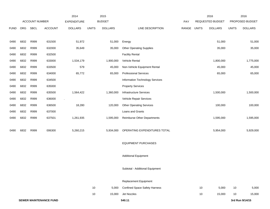|             |      |                       |                        | 2014               |              | 2015           |                                      |       |              | 2016             |              | 2016            |
|-------------|------|-----------------------|------------------------|--------------------|--------------|----------------|--------------------------------------|-------|--------------|------------------|--------------|-----------------|
|             |      | <b>ACCOUNT NUMBER</b> |                        | <b>EXPENDITURE</b> |              | <b>BUDGET</b>  |                                      | PAY   |              | REQUESTED BUDGET |              | PROPOSED BUDGET |
| <b>FUND</b> | ORG  | <b>SBCL</b>           | <b>ACCOUNT</b>         | <b>DOLLARS</b>     | <b>UNITS</b> | <b>DOLLARS</b> | LINE DESCRIPTION                     | RANGE | <b>UNITS</b> | <b>DOLLARS</b>   | <b>UNITS</b> | <b>DOLLARS</b>  |
|             |      |                       |                        |                    |              |                |                                      |       |              |                  |              |                 |
| 0490        | 6832 | R999                  | 631500                 | 51,972             |              | 51,000         | Energy                               |       |              | 51,000           |              | 51,000          |
| 0490        | 6832 | R999                  | 632000                 | 35,649             |              | 35,000         | <b>Other Operating Supplies</b>      |       |              | 35,000           |              | 35,000          |
| 0490        | 6832 | R999                  | 632500                 |                    |              |                | <b>Facility Rental</b>               |       |              |                  |              |                 |
| 0490        | 6832 | R999                  | 633000                 | 1,534,179          |              | 1,900,000      | Vehicle Rental                       |       |              | 1,800,000        |              | 1,775,000       |
| 0490        | 6832 | R999                  | 633500                 | 579                |              | 45,000         | Non-Vehicle Equipment Rental         |       |              | 45,000           |              | 45,000          |
| 0490        | 6832 | R999                  | 634000                 | 65,772             |              | 65,000         | <b>Professional Services</b>         |       |              | 65,000           |              | 65,000          |
| 0490        | 6832 | R999                  | 634500                 |                    |              |                | Information Technology Services      |       |              |                  |              |                 |
| 0490        | 6832 | R999                  | 635000                 |                    |              |                | <b>Property Services</b>             |       |              |                  |              |                 |
| 0490        | 6832 | R999                  | 635500                 | 1,564,422          |              | 1,360,000      | Infrastructure Services              |       |              | 1,500,000        |              | 1,500,000       |
| 0490        | 6832 | R999                  | 636000                 |                    |              |                | Vehicle Repair Services              |       |              |                  |              |                 |
| 0490        | 6832 | R999                  | 636500                 | 18,280             |              | 120,000        | <b>Other Operating Services</b>      |       |              | 100,000          |              | 100,000         |
| 0490        | 6832 | R999                  | 637000                 |                    |              |                | Loans and Grants                     |       |              |                  |              |                 |
| 0490        | 6832 | R999                  | 637501                 | 1,261,935          |              | 1,595,000      | Reimburse Other Departments          |       |              | 1,595,000        |              | 1,595,000       |
|             |      |                       |                        |                    |              |                |                                      |       |              |                  |              |                 |
| 0490        | 6832 | R999                  | 006300                 | 5,260,215          |              | 5,934,000      | OPERATING EXPENDITURES TOTAL         |       |              | 5,954,000        |              | 5,929,000       |
|             |      |                       |                        |                    |              |                |                                      |       |              |                  |              |                 |
|             |      |                       |                        |                    |              |                | <b>EQUIPMENT PURCHASES</b>           |       |              |                  |              |                 |
|             |      |                       |                        |                    |              |                |                                      |       |              |                  |              |                 |
|             |      |                       |                        |                    |              |                | <b>Additional Equipment</b>          |       |              |                  |              |                 |
|             |      |                       |                        |                    |              |                |                                      |       |              |                  |              |                 |
|             |      |                       |                        |                    |              |                | Subtotal - Additional Equipment      |       |              |                  |              |                 |
|             |      |                       |                        |                    |              |                |                                      |       |              |                  |              |                 |
|             |      |                       |                        |                    |              |                | Replacement Equipment                |       |              |                  |              |                 |
|             |      |                       |                        |                    | 10           | 5,000          | <b>Confined Space Safety Harness</b> |       | 10           | 5,000            | 10           | 5,000           |
|             |      |                       |                        |                    | 10           | 15,000         | Jet Nozzles                          |       | 10           | 15,000           | 10           | 15,000          |
|             |      |                       | SEWER MAINTENANCE FUND |                    |              |                | 540.11                               |       |              |                  |              | 3rd Run 9/14/15 |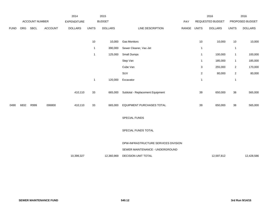|             |            |                |                | 2014               |                | 2015           |                                      |       |                           | 2016             |                  | 2016            |
|-------------|------------|----------------|----------------|--------------------|----------------|----------------|--------------------------------------|-------|---------------------------|------------------|------------------|-----------------|
|             |            | ACCOUNT NUMBER |                | <b>EXPENDITURE</b> |                | <b>BUDGET</b>  |                                      | PAY   |                           | REQUESTED BUDGET |                  | PROPOSED BUDGET |
| <b>FUND</b> | <b>ORG</b> | SBCL           | <b>ACCOUNT</b> | <b>DOLLARS</b>     | <b>UNITS</b>   | <b>DOLLARS</b> | LINE DESCRIPTION                     | RANGE | <b>UNITS</b>              | <b>DOLLARS</b>   | <b>UNITS</b>     | <b>DOLLARS</b>  |
|             |            |                |                |                    |                |                |                                      |       |                           |                  |                  |                 |
|             |            |                |                |                    | 10             | 10,000         | <b>Gas Monitors</b>                  |       | 10                        | 10,000           | 10               | 10,000          |
|             |            |                |                |                    | $\mathbf{1}$   | 390,000        | Sewer Cleaner, Vac-Jet               |       | $\overline{1}$            |                  | 1                |                 |
|             |            |                |                |                    | $\mathbf{1}$   | 125,000        | Small Dumps                          |       | $\overline{1}$            | 100,000          | $\mathbf{1}$     | 100,000         |
|             |            |                |                |                    |                |                | Step Van                             |       | $\overline{1}$            | 185,000          | 1                | 185,000         |
|             |            |                |                |                    |                |                | Cube Van                             |       | $\ensuremath{\mathsf{3}}$ | 255,000          | $\boldsymbol{2}$ | 170,000         |
|             |            |                |                |                    |                |                | SUV                                  |       | $\mathbf{2}$              | 80,000           | $\overline{c}$   | 80,000          |
|             |            |                |                |                    | $\overline{1}$ | 120,000        | Excavator                            |       | $\mathbf{1}$              |                  | $\mathbf{1}$     |                 |
|             |            |                |                |                    |                |                |                                      |       |                           |                  |                  |                 |
|             |            |                |                | 410,110            | 33             | 665,000        | Subtotal - Replacement Equipment     |       | 39                        | 650,000          | 38               | 565,000         |
|             |            |                |                |                    |                |                |                                      |       |                           |                  |                  |                 |
| 0490        | 6832       | R999           | 006800         | 410,110            | 33             | 665,000        | <b>EQUIPMENT PURCHASES TOTAL</b>     |       | 39                        | 650,000          | 38               | 565,000         |
|             |            |                |                |                    |                |                |                                      |       |                           |                  |                  |                 |
|             |            |                |                |                    |                |                | SPECIAL FUNDS                        |       |                           |                  |                  |                 |
|             |            |                |                |                    |                |                |                                      |       |                           |                  |                  |                 |
|             |            |                |                |                    |                |                | SPECIAL FUNDS TOTAL                  |       |                           |                  |                  |                 |
|             |            |                |                |                    |                |                | DPW-INFRASTRUCTURE SERVICES DIVISION |       |                           |                  |                  |                 |
|             |            |                |                |                    |                |                |                                      |       |                           |                  |                  |                 |
|             |            |                |                |                    |                |                | SEWER MAINTENANCE - UNDERGROUND      |       |                           |                  |                  |                 |
|             |            |                |                | 10,399,327         |                | 12,360,969     | DECISION UNIT TOTAL                  |       |                           | 12,597,812       |                  | 12,428,586      |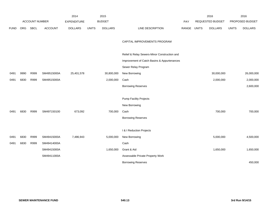|             |      |                       |                | 2014               |              | 2015           |                                              |       |              | 2016                    |              | 2016            |
|-------------|------|-----------------------|----------------|--------------------|--------------|----------------|----------------------------------------------|-------|--------------|-------------------------|--------------|-----------------|
|             |      | <b>ACCOUNT NUMBER</b> |                | <b>EXPENDITURE</b> |              | <b>BUDGET</b>  |                                              | PAY   |              | <b>REQUESTED BUDGET</b> |              | PROPOSED BUDGET |
| <b>FUND</b> | ORG  | SBCL                  | <b>ACCOUNT</b> | <b>DOLLARS</b>     | <b>UNITS</b> | <b>DOLLARS</b> | LINE DESCRIPTION                             | RANGE | <b>UNITS</b> | <b>DOLLARS</b>          | <b>UNITS</b> | <b>DOLLARS</b>  |
|             |      |                       |                |                    |              |                |                                              |       |              |                         |              |                 |
|             |      |                       |                |                    |              |                | CAPITAL IMPROVEMENTS PROGRAM                 |       |              |                         |              |                 |
|             |      |                       |                |                    |              |                |                                              |       |              |                         |              |                 |
|             |      |                       |                |                    |              |                | Relief & Relay Sewers-Minor Construction and |       |              |                         |              |                 |
|             |      |                       |                |                    |              |                | Improvement of Catch Basins & Appurtenances  |       |              |                         |              |                 |
|             |      |                       |                |                    |              |                | Sewer Relay Program                          |       |              |                         |              |                 |
| 0491        | 9990 | R999                  | SM49515000A    | 25,401,578         |              | 30,800,000     | New Borrowing                                |       |              | 30,000,000              |              | 26,000,000      |
| 0491        | 6830 | R999                  | SM49515000A    |                    |              | 2,000,000      | Cash                                         |       |              | 2,000,000               |              | 2,000,000       |
|             |      |                       |                |                    |              |                | <b>Borrowing Reserves</b>                    |       |              |                         |              | 2,600,000       |
|             |      |                       |                |                    |              |                |                                              |       |              |                         |              |                 |
|             |      |                       |                |                    |              |                | <b>Pump Facility Projects</b>                |       |              |                         |              |                 |
|             |      |                       |                |                    |              |                | New Borrowing                                |       |              |                         |              |                 |
| 0491        | 6830 | R999                  | SM497150100    | 673,092            |              | 700,000        | Cash                                         |       |              | 700,000                 |              | 700,000         |
|             |      |                       |                |                    |              |                | <b>Borrowing Reserves</b>                    |       |              |                         |              |                 |
|             |      |                       |                |                    |              |                |                                              |       |              |                         |              |                 |
|             |      |                       |                |                    |              |                | I & I Reduction Projects                     |       |              |                         |              |                 |
| 0491        | 6830 | R999                  | SM49415000A    | 7,486,943          |              | 5,000,000      | New Borrowing                                |       |              | 5,000,000               |              | 4,500,000       |
| 0491        | 6830 | R999                  | SM49414000A    |                    |              |                | Cash                                         |       |              |                         |              |                 |
|             |      |                       | SM49415000A    |                    |              | 1,650,000      | Grant & Aid                                  |       |              | 1,650,000               |              | 1,650,000       |
|             |      |                       | SM49411000A    |                    |              |                | Assessable Private Property Work             |       |              |                         |              |                 |
|             |      |                       |                |                    |              |                | <b>Borrowing Reserves</b>                    |       |              |                         |              | 450,000         |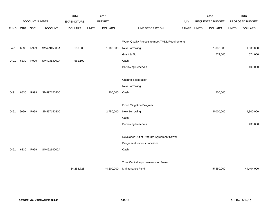|             |      |                |                | 2014               |              | 2015           |                                                  |            |              | 2016             |              | 2016            |
|-------------|------|----------------|----------------|--------------------|--------------|----------------|--------------------------------------------------|------------|--------------|------------------|--------------|-----------------|
|             |      | ACCOUNT NUMBER |                | <b>EXPENDITURE</b> |              | <b>BUDGET</b>  |                                                  | <b>PAY</b> |              | REQUESTED BUDGET |              | PROPOSED BUDGET |
| <b>FUND</b> | ORG  | SBCL           | <b>ACCOUNT</b> | <b>DOLLARS</b>     | <b>UNITS</b> | <b>DOLLARS</b> | LINE DESCRIPTION                                 | RANGE      | <b>UNITS</b> | <b>DOLLARS</b>   | <b>UNITS</b> | <b>DOLLARS</b>  |
|             |      |                |                |                    |              |                |                                                  |            |              |                  |              |                 |
|             |      |                |                |                    |              |                | Water Quality Projects to meet TMDL Requirements |            |              |                  |              |                 |
| 0491        | 6830 | R999           | SM49915000A    | 136,006            |              | 1,100,000      | New Borrowing                                    |            |              | 1,000,000        |              | 1,000,000       |
|             |      |                |                |                    |              |                | Grant & Aid                                      |            |              | 674,000          |              | 674,000         |
| 0491        | 6830 | R999           | SM49313000A    | 561,109            |              |                | Cash                                             |            |              |                  |              |                 |
|             |      |                |                |                    |              |                | <b>Borrowing Reserves</b>                        |            |              |                  |              | 100,000         |
|             |      |                |                |                    |              |                |                                                  |            |              |                  |              |                 |
|             |      |                |                |                    |              |                | <b>Channel Restoration</b>                       |            |              |                  |              |                 |
|             |      |                |                |                    |              |                | New Borrowing                                    |            |              |                  |              |                 |
| 0491        | 6830 | R999           | SM497150200    |                    |              | 200,000        | Cash                                             |            |              | 200,000          |              |                 |
|             |      |                |                |                    |              |                |                                                  |            |              |                  |              |                 |
|             |      |                |                |                    |              |                | <b>Flood Mitigation Program</b>                  |            |              |                  |              |                 |
| 0491        | 9990 | R999           | SM497150300    |                    |              | 2,750,000      | New Borrowing                                    |            |              | 5,000,000        |              | 4,300,000       |
|             |      |                |                |                    |              |                | Cash                                             |            |              |                  |              |                 |
|             |      |                |                |                    |              |                | <b>Borrowing Reserves</b>                        |            |              |                  |              | 430,000         |
|             |      |                |                |                    |              |                |                                                  |            |              |                  |              |                 |
|             |      |                |                |                    |              |                | Developer Out of Program Agreement Sewer         |            |              |                  |              |                 |
|             |      |                |                |                    |              |                | Program at Various Locations                     |            |              |                  |              |                 |
| 0491        | 6830 | R999           | SM49214000A    |                    |              |                | Cash                                             |            |              |                  |              |                 |
|             |      |                |                |                    |              |                |                                                  |            |              |                  |              |                 |
|             |      |                |                |                    |              |                | <b>Total Capital Improvements for Sewer</b>      |            |              |                  |              |                 |
|             |      |                |                | 34,258,728         |              | 44,200,000     | Maintenance Fund                                 |            |              | 45,550,000       |              | 44,404,000      |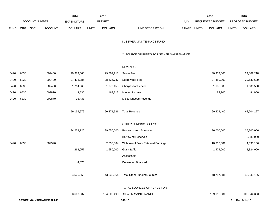|             |      |                       |                               | 2014               |              | 2015           |                                          |       |              | 2016             |              | 2016            |
|-------------|------|-----------------------|-------------------------------|--------------------|--------------|----------------|------------------------------------------|-------|--------------|------------------|--------------|-----------------|
|             |      | <b>ACCOUNT NUMBER</b> |                               | <b>EXPENDITURE</b> |              | <b>BUDGET</b>  |                                          | PAY   |              | REQUESTED BUDGET |              | PROPOSED BUDGET |
| <b>FUND</b> | ORG  | SBCL                  | <b>ACCOUNT</b>                | <b>DOLLARS</b>     | <b>UNITS</b> | <b>DOLLARS</b> | LINE DESCRIPTION                         | RANGE | <b>UNITS</b> | <b>DOLLARS</b>   | <b>UNITS</b> | <b>DOLLARS</b>  |
|             |      |                       |                               |                    |              |                | K. SEWER MAINTENANCE FUND                |       |              |                  |              |                 |
|             |      |                       |                               |                    |              |                | 2. SOURCE OF FUNDS FOR SEWER MAINTENANCE |       |              |                  |              |                 |
|             |      |                       |                               |                    |              |                | <b>REVENUES</b>                          |       |              |                  |              |                 |
| 0490        | 6830 |                       | 009400                        | 29,973,660         |              | 29,802,218     | Sewer Fee                                |       |              | 30,973,000       |              | 29,802,218      |
| 0490        | 6830 |                       | 009400                        | 27,428,385         |              | 28,626,737     | Stormwater Fee                           |       |              | 27,480,000       |              | 30,630,609      |
| 0490        | 6830 |                       | 009400                        | 1,714,366          |              | 1,779,158      | <b>Charges for Service</b>               |       |              | 1,686,500        |              | 1,686,500       |
| 0490        | 6830 |                       | 009810                        | 3,830              |              | 163,813        | Interest Income                          |       |              | 84,900           |              | 84,900          |
| 0490        | 6830 |                       | 009870                        | 16,438             |              |                | Miscellaneous Revenue                    |       |              |                  |              |                 |
|             |      |                       |                               | 59,136,679         |              | 60,371,926     | <b>Total Revenue</b>                     |       |              | 60,224,400       |              | 62,204,227      |
|             |      |                       |                               |                    |              |                | OTHER FUNDING SOURCES                    |       |              |                  |              |                 |
|             |      |                       |                               | 34,259,126         |              | 39,650,000     | Proceeds from Borrowing                  |       |              | 36,000,000       |              | 35,800,000      |
|             |      |                       |                               |                    |              |                | <b>Borrowing Reserves</b>                |       |              |                  |              | 3,580,000       |
| 0490        | 6830 |                       | 009920                        |                    |              | 2,333,564      | Withdrawal From Retained Earnings        |       |              | 10,313,681       |              | 4,636,156       |
|             |      |                       |                               | 263,057            |              | 1,650,000      | Grant & Aid                              |       |              | 2,474,000        |              | 2,324,000       |
|             |      |                       |                               |                    |              |                | Assessable                               |       |              |                  |              |                 |
|             |      |                       |                               | 4,675              |              |                | Developer Financed                       |       |              |                  |              |                 |
|             |      |                       |                               | 34,526,858         |              |                | 43,633,564 Total Other Funding Sources   |       |              | 48,787,681       |              | 46,340,156      |
|             |      |                       |                               |                    |              |                | TOTAL SOURCES OF FUNDS FOR               |       |              |                  |              |                 |
|             |      |                       |                               | 93,663,537         |              | 104,005,490    | SEWER MAINTENANCE                        |       |              | 109,012,081      |              | 108,544,383     |
|             |      |                       | <b>SEWER MAINTENANCE FUND</b> |                    |              |                | 540.15                                   |       |              |                  |              | 3rd Run 9/14/15 |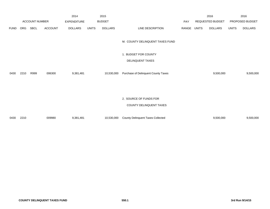|             |            |                       |                | 2014               |              | 2015           |                                                   |       |              | 2016             |              | 2016            |
|-------------|------------|-----------------------|----------------|--------------------|--------------|----------------|---------------------------------------------------|-------|--------------|------------------|--------------|-----------------|
|             |            | <b>ACCOUNT NUMBER</b> |                | <b>EXPENDITURE</b> |              | <b>BUDGET</b>  |                                                   | PAY   |              | REQUESTED BUDGET |              | PROPOSED BUDGET |
| <b>FUND</b> | <b>ORG</b> | SBCL                  | <b>ACCOUNT</b> | <b>DOLLARS</b>     | <b>UNITS</b> | <b>DOLLARS</b> | LINE DESCRIPTION                                  | RANGE | <b>UNITS</b> | <b>DOLLARS</b>   | <b>UNITS</b> | <b>DOLLARS</b>  |
|             |            |                       |                |                    |              |                | M. COUNTY DELINQUENT TAXES FUND                   |       |              |                  |              |                 |
|             |            |                       |                |                    |              |                | 1. BUDGET FOR COUNTY                              |       |              |                  |              |                 |
|             |            |                       |                |                    |              |                | DELINQUENT TAXES                                  |       |              |                  |              |                 |
| 0430        | 2210       | R999                  | 006300         | 9,381,481          |              | 10,530,000     | Purchase of Delinquent County Taxes               |       |              | 9,500,000        |              | 9,500,000       |
|             |            |                       |                |                    |              |                | 2. SOURCE OF FUNDS FOR<br>COUNTY DELINQUENT TAXES |       |              |                  |              |                 |
| 0430        | 2210       |                       | 009980         | 9,381,481          |              | 10,530,000     | <b>County Delinquent Taxes Collected</b>          |       |              | 9,500,000        |              | 9,500,000       |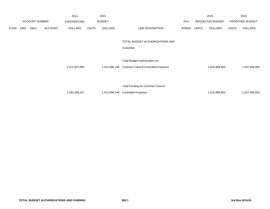|             |     |                       |                | 2014               |              | 2015           |                                           |       |       | 2016             |              | 2016            |
|-------------|-----|-----------------------|----------------|--------------------|--------------|----------------|-------------------------------------------|-------|-------|------------------|--------------|-----------------|
|             |     | <b>ACCOUNT NUMBER</b> |                | <b>EXPENDITURE</b> |              | <b>BUDGET</b>  |                                           | PAY   |       | REQUESTED BUDGET |              | PROPOSED BUDGET |
| <b>FUND</b> | ORG | <b>SBCL</b>           | <b>ACCOUNT</b> | <b>DOLLARS</b>     | <b>UNITS</b> | <b>DOLLARS</b> | LINE DESCRIPTION                          | RANGE | UNITS | <b>DOLLARS</b>   | <b>UNITS</b> | <b>DOLLARS</b>  |
|             |     |                       |                |                    |              |                | TOTAL BUDGET AUTHORIZATIONS AND           |       |       |                  |              |                 |
|             |     |                       |                |                    |              |                | <b>FUNDING</b>                            |       |       |                  |              |                 |
|             |     |                       |                |                    |              |                | <b>Total Budget Authorization for</b>     |       |       |                  |              |                 |
|             |     |                       |                | 1,471,927,095      |              | 1,512,096,148  | <b>Common Council Controlled Purposes</b> |       |       | 1,616,999,803    |              | 1,547,056,943   |
|             |     |                       |                |                    |              |                |                                           |       |       |                  |              |                 |
|             |     |                       |                |                    |              |                | Total Funding for Common Council          |       |       |                  |              |                 |
|             |     |                       |                | 1,493,208,327      |              | 1,512,096,148  | <b>Controlled Purposes</b>                |       |       | 1,616,999,803    |              | 1,547,056,943   |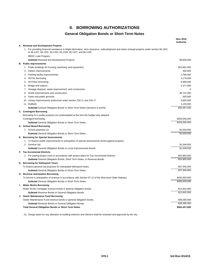## **II. BORROWING AUTHORIZATIONS**

## **General Obligation Bonds or Short Term Notes**

|                                                                                                                                                                                                             | <b>New 2016</b><br>Authortiy |
|-------------------------------------------------------------------------------------------------------------------------------------------------------------------------------------------------------------|------------------------------|
| A. Renewal and Development Projects                                                                                                                                                                         |                              |
| 1. For providing financial assistance to blight elimination, slum clearance, redevelopment and urban renewal projects under section 66.1301<br>to 66.1327, 66.1331, 66.1333, 66.1335, 66.1337, and 66.1105. |                              |
| MEDC Loan Program.                                                                                                                                                                                          |                              |
| Subtotal Renewal and Development Projects.                                                                                                                                                                  | \$6,800,000                  |
| <b>B.</b> Public Improvements                                                                                                                                                                               |                              |
| 1. Public buildings for housing machinery and equipment.                                                                                                                                                    | \$23,981,000                 |
| 2.<br>Harbor improvements.                                                                                                                                                                                  | 400,000                      |
| 3. Parking facility improvements.                                                                                                                                                                           | 1,780,000                    |
| 4. All Fire borrowing.                                                                                                                                                                                      | 3,179,000                    |
| 5. All Police borrowing.                                                                                                                                                                                    | 8,998,000                    |
| Bridge and viaduct.<br>6.                                                                                                                                                                                   | 4,377,000                    |
| Sewage disposal, sewer improvement, and construction.<br>7.                                                                                                                                                 | 0                            |
| 8. Street improvements and construction.                                                                                                                                                                    | 36,737,000                   |
| 9. Parks and public grounds.                                                                                                                                                                                | 500,000                      |
| 10. Library improvements authorized under section 229.11 and 229.17.                                                                                                                                        | 5,800,000                    |
| 11. Rubbish.                                                                                                                                                                                                | 3,135,000                    |
| <b>Subtotal General Obligation Bonds or Short Term Notes (Sections A and B).</b>                                                                                                                            | \$95,687,000                 |
| C. Contingent Borrowing                                                                                                                                                                                     |                              |
| Borrowing for a public purpose not contemplated at the time the budget was adopted.                                                                                                                         |                              |
| Contingent borrowing.                                                                                                                                                                                       | \$200,000,000                |
| Subtotal General Obligation Bonds or Short Term Notes.                                                                                                                                                      | \$200,000,000                |
| D. School Board Borrowing                                                                                                                                                                                   |                              |
| 1. School purposes (1).                                                                                                                                                                                     | \$2,000,000                  |
| Subtotal General Obligation Bonds or Short Term Notes.                                                                                                                                                      | \$2,000,000                  |
| E. Borrowing for Special Assessments                                                                                                                                                                        |                              |
| 1. To finance public improvements in anticipation of special assessments levied against property.                                                                                                           |                              |
| 2. General city.                                                                                                                                                                                            | \$1,648,000                  |
| <b>Subtotal</b> General Obligation Bonds or Local Improvements Bonds.                                                                                                                                       | \$1,648,000                  |
| <b>F. Tax Incremental Districts</b>                                                                                                                                                                         |                              |
| 1. For paying project costs in accordance with project plans for Tax Incremental Districts.                                                                                                                 | \$53,900,000                 |
| Subtotal General Obligation Bonds, Short Term Notes, or Revenue Bonds.                                                                                                                                      | \$53,900,000                 |
| G. Borrowing for Delinquent Taxes                                                                                                                                                                           |                              |
| To finance general city purposes for anticipated delinquent taxes.                                                                                                                                          | \$37,000,000                 |
| <b>Subtotal</b> General Obligation Bonds or Short Term Notes.                                                                                                                                               | \$37,000,000                 |
| H. Revenue Anticipation Borrowing                                                                                                                                                                           |                              |
| To borrow in anticipation of revenue in accordance with Section 67.12 of the Wisconsin State Statutes.                                                                                                      | \$400,000,000                |
| <b>Subtotal</b> General Obligation Bonds or Short Term Notes.                                                                                                                                               | \$400,000,000                |
| I. Water Works Borrowing                                                                                                                                                                                    |                              |
| Water Works mortgage revenue bonds or general obligation bonds.                                                                                                                                             | \$12,842,000                 |
| <b>Subtotal</b> Revenue Bonds or General Obligation Bonds.                                                                                                                                                  | \$12,842,000                 |
| J. Sewer Maintenance Fund Borrowing                                                                                                                                                                         |                              |
| Sewer Maintenance Fund revenue bonds or general obligation bonds.                                                                                                                                           | \$39,380,000                 |
| Subtotal Revenue Bonds or General Obligation Bonds.                                                                                                                                                         | \$39,380,000                 |
| <b>Total General Obligation Bonds or Short Term Notes</b>                                                                                                                                                   | \$842,457,000                |
|                                                                                                                                                                                                             |                              |

(1) Design plans for any alteration to building exteriors and interiors shall be reviewed and approved by the city.